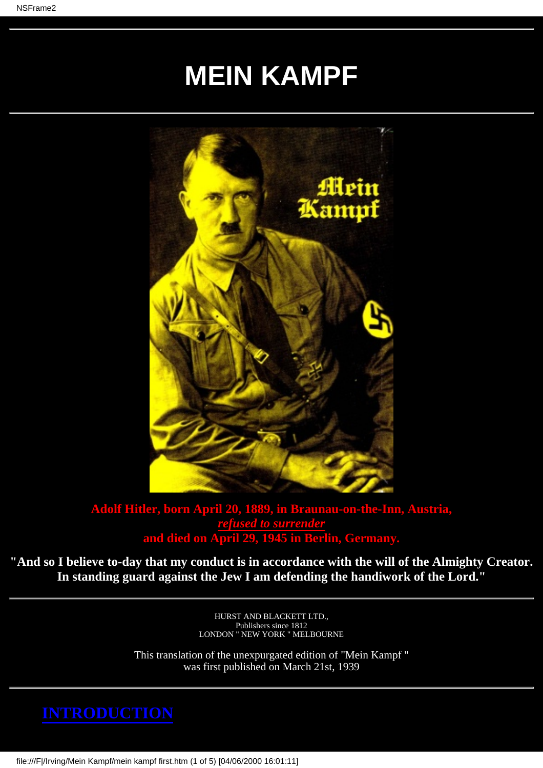## **MEIN KAMPF**



**Adolf Hitler, born April 20, 1889, in Braunau-on-the-Inn, Austria,** *refused to surrender* **and died on April 29, 1945 in Berlin, Germany.**

**"And so I believe to-day that my conduct is in accordance with the will of the Almighty Creator. In standing guard against the Jew I am defending the handiwork of the Lord."**

> HURST AND BLACKETT LTD., Publishers since 1812 LONDON " NEW YORK " MELBOURNE

This translation of the unexpurgated edition of "Mein Kampf " was first published on March 21st, 1939

file:///F|/Irving/Mein Kampf/mein kampf first.htm (1 of 5) [04/06/2000 16:01:11]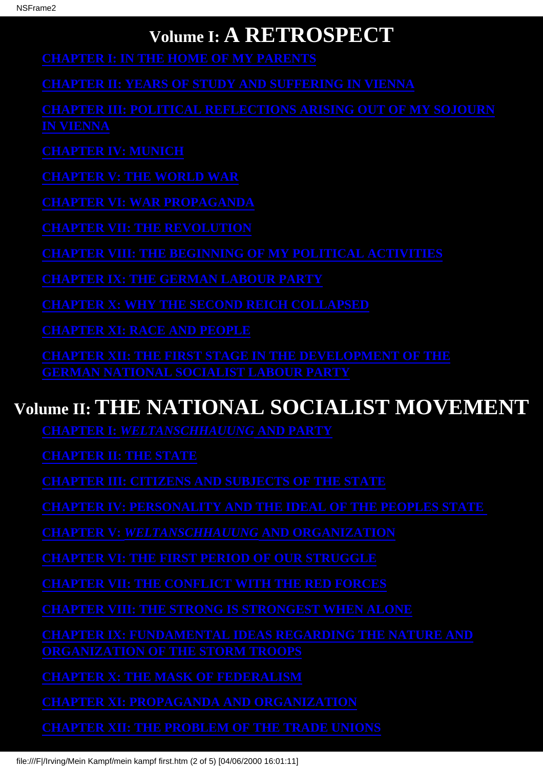## **Volume I: A RETROSPECT**

**[CHAPTER III: POLITICAL REFLECTIONS ARISING OUT OF MY SOJOURN](#page-48-0)**

**[CHAPTER XII: THE FIRST STAGE IN THE DEVELOPMENT OF THE](#page-201-0)**

## **Volume II: THE NATIONAL SOCIALIST MOVEMENT**

**[CHAPTER II: THE STATE](#page-233-0)**

**[CHAPTER VI: THE FIRST PERIOD OF OUR STRUGGLE](file:///F|/Irving/Mein Kampf/mein%20kampf%202%20chap6.htm)**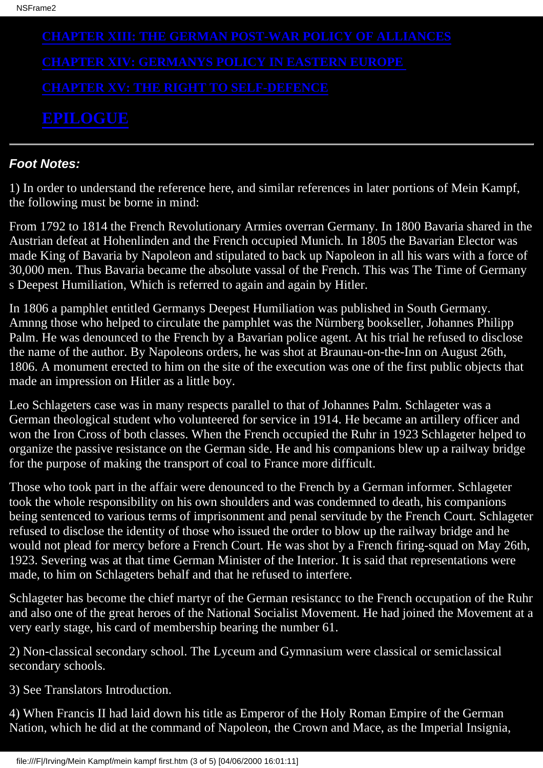## **[EPILOGUE](file:///F|/Irving/Mein Kampf/mein%20kampf%202%20epilogue.htm)**

#### *Foot Notes:*

1) In order to understand the reference here, and similar references in later portions of Mein Kampf, the following must be borne in mind:

From 1792 to 1814 the French Revolutionary Armies overran Germany. In 1800 Bavaria shared in the Austrian defeat at Hohenlinden and the French occupied Munich. In 1805 the Bavarian Elector was made King of Bavaria by Napoleon and stipulated to back up Napoleon in all his wars with a force of 30,000 men. Thus Bavaria became the absolute vassal of the French. This was The Time of Germany s Deepest Humiliation, Which is referred to again and again by Hitler.

In 1806 a pamphlet entitled Germanys Deepest Humiliation was published in South Germany. Amnng those who helped to circulate the pamphlet was the Nürnberg bookseller, Johannes Philipp Palm. He was denounced to the French by a Bavarian police agent. At his trial he refused to disclose the name of the author. By Napoleon s orders, he was shot at Braunau-on-the-Inn on August 26th, 1806. A monument erected to him on the site of the execution was one of the first public objects that made an impression on Hitler as a little boy.

Leo Schlageter s case was in many respects parallel to that of Johannes Palm. Schlageter was a German theological student who volunteered for service in 1914. He became an artillery officer and won the Iron Cross of both classes. When the French occupied the Ruhr in 1923 Schlageter helped to organize the passive resistance on the German side. He and his companions blew up a railway bridge for the purpose of making the transport of coal to France more difficult.

Those who took part in the affair were denounced to the French by a German informer. Schlageter took the whole responsibility on his own shoulders and was condemned to death, his companions being sentenced to various terms of imprisonment and penal servitude by the French Court. Schlageter refused to disclose the identity of those who issued the order to blow up the railway bridge and he would not plead for mercy before a French Court. He was shot by a French firing-squad on May 26th, 1923. Severing was at that time German Minister of the Interior. It is said that representations were made, to him on Schlageter s behalf and that he refused to interfere.

Schlageter has become the chief martyr of the German resistancc to the French occupation of the Ruhr and also one of the great heroes of the National Socialist Movement. He had joined the Movement at a very early stage, his card of membership bearing the number 61.

2) Non-classical secondary school. The Lyceum and Gymnasium were classical or semiclassical secondary schools.

3) See Translator s Introduction.

4) When Francis II had laid down his title as Emperor of the Holy Roman Empire of the German Nation, which he did at the command of Napoleon, the Crown and Mace, as the Imperial Insignia,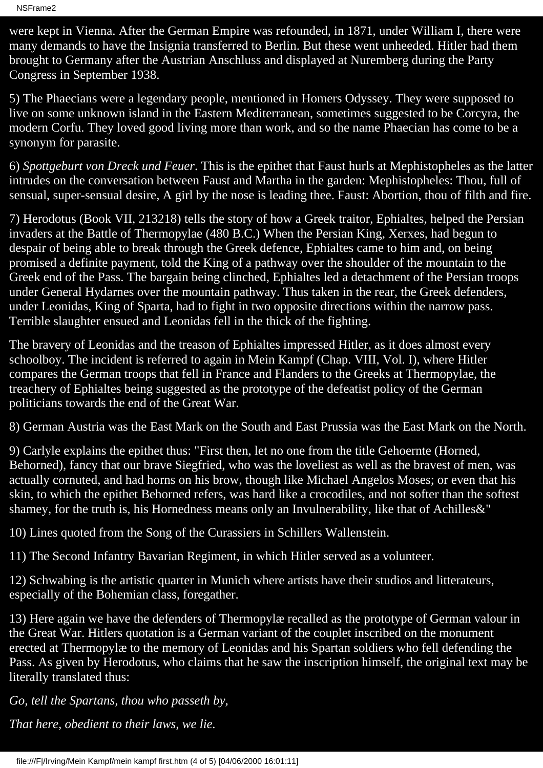were kept in Vienna. After the German Empire was refounded, in 1871, under William I, there were many demands to have the Insignia transferred to Berlin. But these went unheeded. Hitler had them brought to Germany after the Austrian Anschluss and displayed at Nuremberg during the Party Congress in September 1938.

5) The Phaecians were a legendary people, mentioned in Homers Odyssey. They were supposed to live on some unknown island in the Eastern Mediterranean, sometimes suggested to be Corcyra, the modern Corfu. They loved good living more than work, and so the name Phaecian has come to be a synonym for parasite.

6) *Spottgeburt von Dreck und Feuer*. This is the epithet that Faust hurls at Mephistopheles as the latter intrudes on the conversation between Faust and Martha in the garden: Mephistopheles: Thou, full of sensual, super-sensual desire, A girl by the nose is leading thee. Faust: Abortion, thou of filth and fire.

7) Herodotus (Book VII, 213218) tells the story of how a Greek traitor, Ephialtes, helped the Persian invaders at the Battle of Thermopylae (480 B.C.) When the Persian King, Xerxes, had begun to despair of being able to break through the Greek defence, Ephialtes came to him and, on being promised a definite payment, told the King of a pathway over the shoulder of the mountain to the Greek end of the Pass. The bargain being clinched, Ephialtes led a detachment of the Persian troops under General Hydarnes over the mountain pathway. Thus taken in the rear, the Greek defenders, under Leonidas, King of Sparta, had to fight in two opposite directions within the narrow pass. Terrible slaughter ensued and Leonidas fell in the thick of the fighting.

The bravery of Leonidas and the treason of Ephialtes impressed Hitler, as it does almost every schoolboy. The incident is referred to again in Mein Kampf (Chap. VIII, Vol. I), where Hitler compares the German troops that fell in France and Flanders to the Greeks at Thermopylae, the treachery of Ephialtes being suggested as the prototype of the defeatist policy of the German politicians towards the end of the Great War.

8) German Austria was the East Mark on the South and East Prussia was the East Mark on the North.

9) Carlyle explains the epithet thus: "First then, let no one from the title Gehoernte (Horned, Behorned), fancy that our brave Siegfried, who was the loveliest as well as the bravest of men, was actually cornuted, and had horns on his brow, though like Michael Angelos Moses; or even that his skin, to which the epithet Behorned refers, was hard like a crocodiles, and not softer than the softest shamey, for the truth is, his Hornedness means only an Invulnerability, like that of Achilles&"

10) Lines quoted from the Song of the Curassiers in Schiller s Wallenstein.

11) The Second Infantry Bavarian Regiment, in which Hitler served as a volunteer.

12) Schwabing is the artistic quarter in Munich where artists have their studios and litterateurs, especially of the Bohemian class, foregather.

13) Here again we have the defenders of Thermopylæ recalled as the prototype of German valour in the Great War. Hitler s quotation is a German variant of the couplet inscribed on the monument erected at Thermopylæ to the memory of Leonidas and his Spartan soldiers who fell defending the Pass. As given by Herodotus, who claims that he saw the inscription himself, the original text may be literally translated thus:

*Go, tell the Spartans, thou who passeth by, That here, obedient to their laws, we lie.*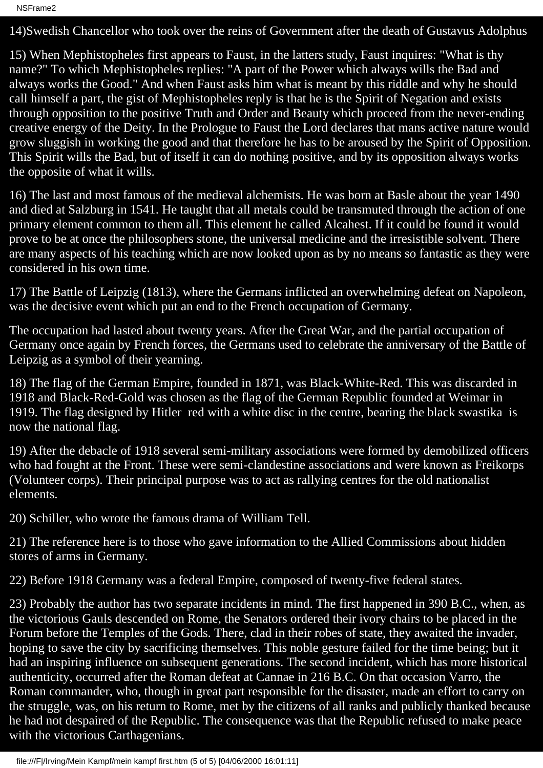14)Swedish Chancellor who took over the reins of Government after the death of Gustavus Adolphus

15) When Mephistopheles first appears to Faust, in the latters study, Faust inquires: "What is thy name?" To which Mephistopheles replies: "A part of the Power which always wills the Bad and always works the Good." And when Faust asks him what is meant by this riddle and why he should call himself a part, the gist of Mephistopheles reply is that he is the Spirit of Negation and exists through opposition to the positive Truth and Order and Beauty which proceed from the never-ending creative energy of the Deity. In the Prologue to Faust the Lord declares that mans active nature would grow sluggish in working the good and that therefore he has to be aroused by the Spirit of Opposition. This Spirit wills the Bad, but of itself it can do nothing positive, and by its opposition always works the opposite of what it wills.

16) The last and most famous of the medieval alchemists. He was born at Basle about the year 1490 and died at Salzburg in 1541. He taught that all metals could be transmuted through the action of one primary element common to them all. This element he called Alcahest. If it could be found it would prove to be at once the philosopher s stone, the universal medicine and the irresistible solvent. There are many aspects of his teaching which are now looked upon as by no means so fantastic as they were considered in his own time.

17) The Battle of Leipzig (1813), where the Germans inflicted an overwhelming defeat on Napoleon, was the decisive event which put an end to the French occupation of Germany.

The occupation had lasted about twenty years. After the Great War, and the partial occupation of Germany once again by French forces, the Germans used to celebrate the anniversary of the Battle of Leipzig as a symbol of their yearning.

18) The flag of the German Empire, founded in 1871, was Black-White-Red. This was discarded in 1918 and Black-Red-Gold was chosen as the flag of the German Republic founded at Weimar in 1919. The flag designed by Hitler red with a white disc in the centre, bearing the black swastika is now the national flag.

19) After the debacle of 1918 several semi-military associations were formed by demobilized officers who had fought at the Front. These were semi-clandestine associations and were known as Freikorps (Volunteer corps). Their principal purpose was to act as rallying centres for the old nationalist elements.

20) Schiller, who wrote the famous drama of William Tell.

21) The reference here is to those who gave information to the Allied Commissions about hidden stores of arms in Germany.

22) Before 1918 Germany was a federal Empire, composed of twenty-five federal states.

23) Probably the author has two separate incidents in mind. The first happened in 390 B.C., when, as the victorious Gauls descended on Rome, the Senators ordered their ivory chairs to be placed in the Forum before the Temples of the Gods. There, clad in their robes of state, they awaited the invader, hoping to save the city by sacrificing themselves. This noble gesture failed for the time being; but it had an inspiring influence on subsequent generations. The second incident, which has more historical authenticity, occurred after the Roman defeat at Cannae in 216 B.C. On that occasion Varro, the Roman commander, who, though in great part responsible for the disaster, made an effort to carry on the struggle, was, on his return to Rome, met by the citizens of all ranks and publicly thanked because he had not despaired of the Republic. The consequence was that the Republic refused to make peace with the victorious Carthagenians.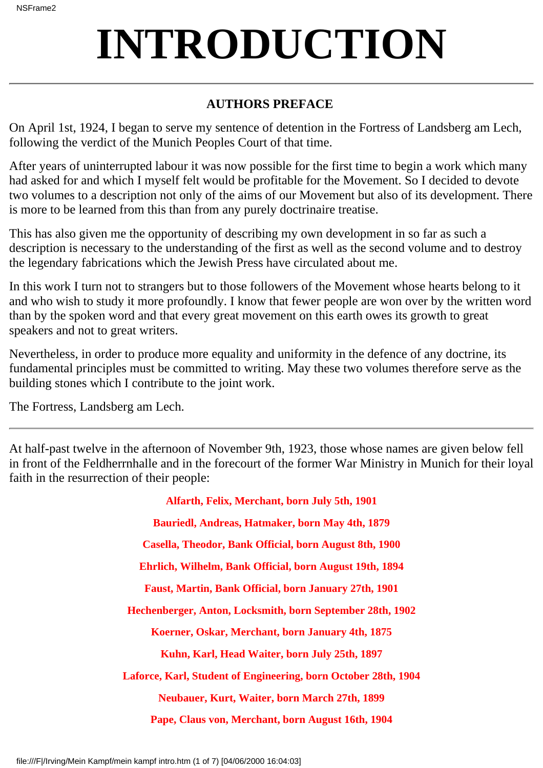# <span id="page-5-0"></span>**INTRODUCTION**

### **AUTHORS PREFACE**

On April 1st, 1924, I began to serve my sentence of detention in the Fortress of Landsberg am Lech, following the verdict of the Munich Peoples Court of that time.

After years of uninterrupted labour it was now possible for the first time to begin a work which many had asked for and which I myself felt would be profitable for the Movement. So I decided to devote two volumes to a description not only of the aims of our Movement but also of its development. There is more to be learned from this than from any purely doctrinaire treatise.

This has also given me the opportunity of describing my own development in so far as such a description is necessary to the understanding of the first as well as the second volume and to destroy the legendary fabrications which the Jewish Press have circulated about me.

In this work I turn not to strangers but to those followers of the Movement whose hearts belong to it and who wish to study it more profoundly. I know that fewer people are won over by the written word than by the spoken word and that every great movement on this earth owes its growth to great speakers and not to great writers.

Nevertheless, in order to produce more equality and uniformity in the defence of any doctrine, its fundamental principles must be committed to writing. May these two volumes therefore serve as the building stones which I contribute to the joint work.

The Fortress, Landsberg am Lech.

At half-past twelve in the afternoon of November 9th, 1923, those whose names are given below fell in front of the Feldherrnhalle and in the forecourt of the former War Ministry in Munich for their loyal faith in the resurrection of their people:

> **Alfarth, Felix, Merchant, born July 5th, 1901 Bauriedl, Andreas, Hatmaker, born May 4th, 1879 Casella, Theodor, Bank Official, born August 8th, 1900 Ehrlich, Wilhelm, Bank Official, born August 19th, 1894 Faust, Martin, Bank Official, born January 27th, 1901 Hechenberger, Anton, Locksmith, born September 28th, 1902 Koerner, Oskar, Merchant, born January 4th, 1875 Kuhn, Karl, Head Waiter, born July 25th, 1897 Laforce, Karl, Student of Engineering, born October 28th, 1904 Neubauer, Kurt, Waiter, born March 27th, 1899**

**Pape, Claus von, Merchant, born August 16th, 1904**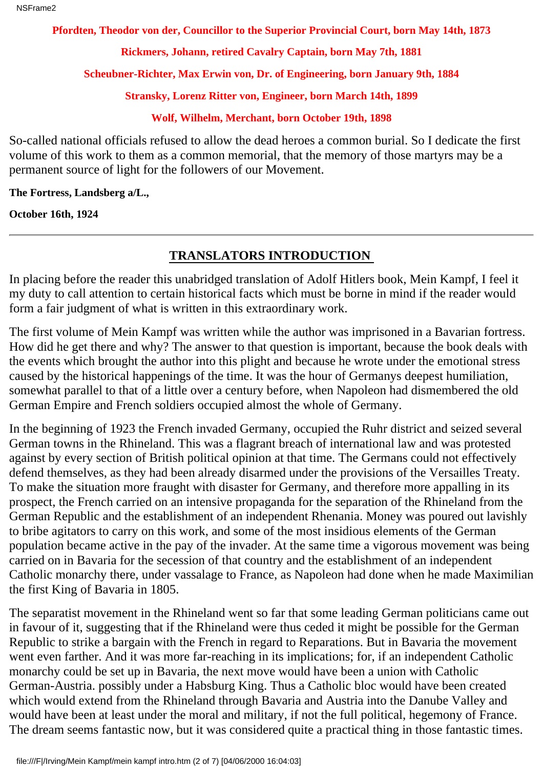**Pfordten, Theodor von der, Councillor to the Superior Provincial Court, born May 14th, 1873**

**Rickmers, Johann, retired Cavalry Captain, born May 7th, 1881**

**Scheubner-Richter, Max Erwin von, Dr. of Engineering, born January 9th, 1884**

**Stransky, Lorenz Ritter von, Engineer, born March 14th, 1899**

**Wolf, Wilhelm, Merchant, born October 19th, 1898**

So-called national officials refused to allow the dead heroes a common burial. So I dedicate the first volume of this work to them as a common memorial, that the memory of those martyrs may be a permanent source of light for the followers of our Movement.

**The Fortress, Landsberg a/L.,**

**October 16th, 1924**

### **TRANSLATORS INTRODUCTION**

In placing before the reader this unabridged translation of Adolf Hitler s book, Mein Kampf, I feel it my duty to call attention to certain historical facts which must be borne in mind if the reader would form a fair judgment of what is written in this extraordinary work.

The first volume of Mein Kampf was written while the author was imprisoned in a Bavarian fortress. How did he get there and why? The answer to that question is important, because the book deals with the events which brought the author into this plight and because he wrote under the emotional stress caused by the historical happenings of the time. It was the hour of Germanys deepest humiliation, somewhat parallel to that of a little over a century before, when Napoleon had dismembered the old German Empire and French soldiers occupied almost the whole of Germany.

In the beginning of 1923 the French invaded Germany, occupied the Ruhr district and seized several German towns in the Rhineland. This was a flagrant breach of international law and was protested against by every section of British political opinion at that time. The Germans could not effectively defend themselves, as they had been already disarmed under the provisions of the Versailles Treaty. To make the situation more fraught with disaster for Germany, and therefore more appalling in its prospect, the French carried on an intensive propaganda for the separation of the Rhineland from the German Republic and the establishment of an independent Rhenania. Money was poured out lavishly to bribe agitators to carry on this work, and some of the most insidious elements of the German population became active in the pay of the invader. At the same time a vigorous movement was being carried on in Bavaria for the secession of that country and the establishment of an independent Catholic monarchy there, under vassalage to France, as Napoleon had done when he made Maximilian the first King of Bavaria in 1805.

The separatist movement in the Rhineland went so far that some leading German politicians came out in favour of it, suggesting that if the Rhineland were thus ceded it might be possible for the German Republic to strike a bargain with the French in regard to Reparations. But in Bavaria the movement went even farther. And it was more far-reaching in its implications; for, if an independent Catholic monarchy could be set up in Bavaria, the next move would have been a union with Catholic German-Austria. possibly under a Habsburg King. Thus a Catholic bloc would have been created which would extend from the Rhineland through Bavaria and Austria into the Danube Valley and would have been at least under the moral and military, if not the full political, hegemony of France. The dream seems fantastic now, but it was considered quite a practical thing in those fantastic times.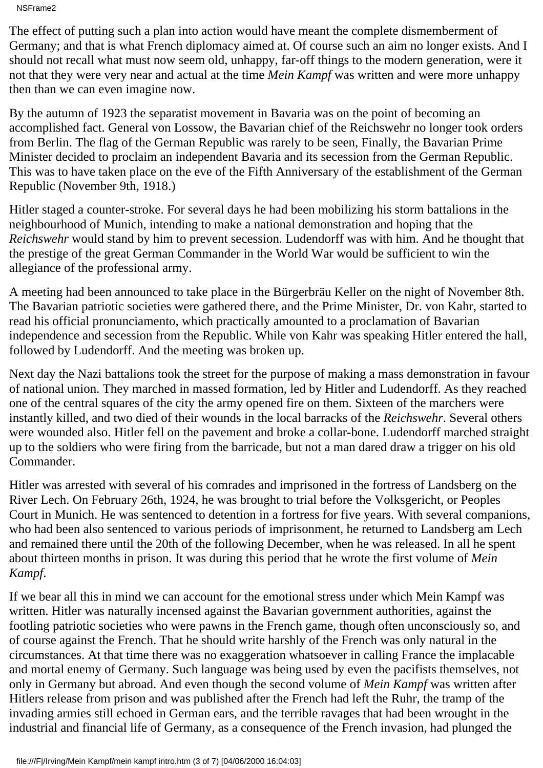NSFrame2

The effect of putting such a plan into action would have meant the complete dismemberment of Germany; and that is what French diplomacy aimed at. Of course such an aim no longer exists. And I should not recall what must now seem old, unhappy, far-off things to the modern generation, were it not that they were very near and actual at the time *Mein Kampf* was written and were more unhappy then than we can even imagine now.

By the autumn of 1923 the separatist movement in Bavaria was on the point of becoming an accomplished fact. General von Lossow, the Bavarian chief of the Reichswehr no longer took orders from Berlin. The flag of the German Republic was rarely to be seen, Finally, the Bavarian Prime Minister decided to proclaim an independent Bavaria and its secession from the German Republic. This was to have taken place on the eve of the Fifth Anniversary of the establishment of the German Republic (November 9th, 1918.)

Hitler staged a counter-stroke. For several days he had been mobilizing his storm battalions in the neighbourhood of Munich, intending to make a national demonstration and hoping that the *Reichswehr* would stand by him to prevent secession. Ludendorff was with him. And he thought that the prestige of the great German Commander in the World War would be sufficient to win the allegiance of the professional army.

A meeting had been announced to take place in the Bürgerbräu Keller on the night of November 8th. The Bavarian patriotic societies were gathered there, and the Prime Minister, Dr. von Kahr, started to read his official pronunciamento, which practically amounted to a proclamation of Bavarian independence and secession from the Republic. While von Kahr was speaking Hitler entered the hall, followed by Ludendorff. And the meeting was broken up.

Next day the Nazi battalions took the street for the purpose of making a mass demonstration in favour of national union. They marched in massed formation, led by Hitler and Ludendorff. As they reached one of the central squares of the city the army opened fire on them. Sixteen of the marchers were instantly killed, and two died of their wounds in the local barracks of the *Reichswehr*. Several others were wounded also. Hitler fell on the pavement and broke a collar-bone. Ludendorff marched straight up to the soldiers who were firing from the barricade, but not a man dared draw a trigger on his old Commander.

Hitler was arrested with several of his comrades and imprisoned in the fortress of Landsberg on the River Lech. On February 26th, 1924, he was brought to trial before the Volksgericht, or Peoples Court in Munich. He was sentenced to detention in a fortress for five years. With several companions, who had been also sentenced to various periods of imprisonment, he returned to Landsberg am Lech and remained there until the 20th of the following December, when he was released. In all he spent about thirteen months in prison. It was during this period that he wrote the first volume of *Mein Kampf*.

If we bear all this in mind we can account for the emotional stress under which Mein Kampf was written. Hitler was naturally incensed against the Bavarian government authorities, against the footling patriotic societies who were pawns in the French game, though often unconsciously so, and of course against the French. That he should write harshly of the French was only natural in the circumstances. At that time there was no exaggeration whatsoever in calling France the implacable and mortal enemy of Germany. Such language was being used by even the pacifists themselves, not only in Germany but abroad. And even though the second volume of *Mein Kampf* was written after Hitler s release from prison and was published after the French had left the Ruhr, the tramp of the invading armies still echoed in German ears, and the terrible ravages that had been wrought in the industrial and financial life of Germany, as a consequence of the French invasion, had plunged the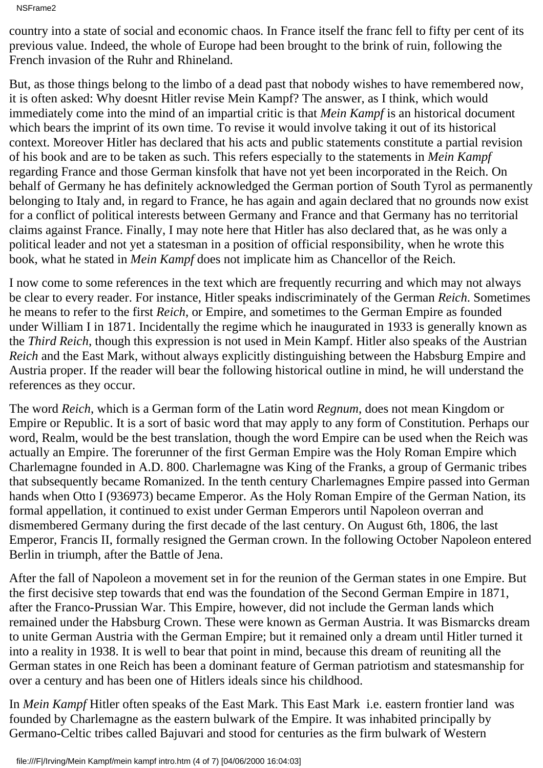NSFrame2

country into a state of social and economic chaos. In France itself the franc fell to fifty per cent of its previous value. Indeed, the whole of Europe had been brought to the brink of ruin, following the French invasion of the Ruhr and Rhineland.

But, as those things belong to the limbo of a dead past that nobody wishes to have remembered now, it is often asked: Why doesn t Hitler revise Mein Kampf? The answer, as I think, which would immediately come into the mind of an impartial critic is that *Mein Kampf* is an historical document which bears the imprint of its own time. To revise it would involve taking it out of its historical context. Moreover Hitler has declared that his acts and public statements constitute a partial revision of his book and are to be taken as such. This refers especially to the statements in *Mein Kampf* regarding France and those German kinsfolk that have not yet been incorporated in the Reich. On behalf of Germany he has definitely acknowledged the German portion of South Tyrol as permanently belonging to Italy and, in regard to France, he has again and again declared that no grounds now exist for a conflict of political interests between Germany and France and that Germany has no territorial claims against France. Finally, I may note here that Hitler has also declared that, as he was only a political leader and not yet a statesman in a position of official responsibility, when he wrote this book, what he stated in *Mein Kampf* does not implicate him as Chancellor of the Reich.

I now come to some references in the text which are frequently recurring and which may not always be clear to every reader. For instance, Hitler speaks indiscriminately of the German *Reich*. Sometimes he means to refer to the first *Reich*, or Empire, and sometimes to the German Empire as founded under William I in 1871. Incidentally the regime which he inaugurated in 1933 is generally known as the *Third Reich*, though this expression is not used in Mein Kampf. Hitler also speaks of the Austrian *Reich* and the East Mark, without always explicitly distinguishing between the Habsburg Empire and Austria proper. If the reader will bear the following historical outline in mind, he will understand the references as they occur.

The word *Reich*, which is a German form of the Latin word *Regnum*, does not mean Kingdom or Empire or Republic. It is a sort of basic word that may apply to any form of Constitution. Perhaps our word, Realm, would be the best translation, though the word Empire can be used when the Reich was actually an Empire. The forerunner of the first German Empire was the Holy Roman Empire which Charlemagne founded in A.D. 800. Charlemagne was King of the Franks, a group of Germanic tribes that subsequently became Romanized. In the tenth century Charlemagnes Empire passed into German hands when Otto I (936 973) became Emperor. As the Holy Roman Empire of the German Nation, its formal appellation, it continued to exist under German Emperors until Napoleon overran and dismembered Germany during the first decade of the last century. On August 6th, 1806, the last Emperor, Francis II, formally resigned the German crown. In the following October Napoleon entered Berlin in triumph, after the Battle of Jena.

After the fall of Napoleon a movement set in for the reunion of the German states in one Empire. But the first decisive step towards that end was the foundation of the Second German Empire in 1871, after the Franco-Prussian War. This Empire, however, did not include the German lands which remained under the Habsburg Crown. These were known as German Austria. It was Bismarck s dream to unite German Austria with the German Empire; but it remained only a dream until Hitler turned it into a reality in 1938. It is well to bear that point in mind, because this dream of reuniting all the German states in one Reich has been a dominant feature of German patriotism and statesmanship for over a century and has been one of Hitler s ideals since his childhood.

In *Mein Kampf* Hitler often speaks of the East Mark. This East Mark i.e. eastern frontier land was founded by Charlemagne as the eastern bulwark of the Empire. It was inhabited principally by Germano-Celtic tribes called Bajuvari and stood for centuries as the firm bulwark of Western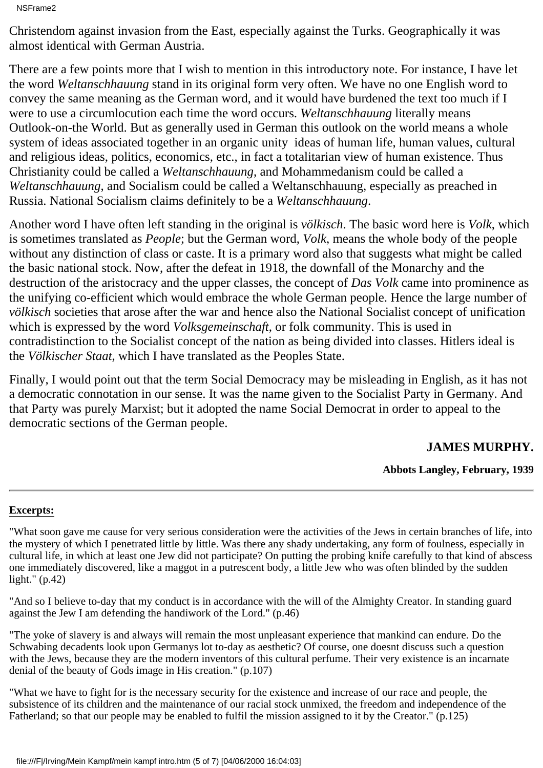NSFrame2

Christendom against invasion from the East, especially against the Turks. Geographically it was almost identical with German Austria.

There are a few points more that I wish to mention in this introductory note. For instance, I have let the word *Weltanschhauung* stand in its original form very often. We have no one English word to convey the same meaning as the German word, and it would have burdened the text too much if I were to use a circumlocution each time the word occurs. *Weltanschhauung* literally means Outlook-on-the World. But as generally used in German this outlook on the world means a whole system of ideas associated together in an organic unity ideas of human life, human values, cultural and religious ideas, politics, economics, etc., in fact a totalitarian view of human existence. Thus Christianity could be called a *Weltanschhauung*, and Mohammedanism could be called a *Weltanschhauung*, and Socialism could be called a Weltanschhauung, especially as preached in Russia. National Socialism claims definitely to be a *Weltanschhauung*.

Another word I have often left standing in the original is *völkisch*. The basic word here is *Volk*, which is sometimes translated as *People*; but the German word, *Volk*, means the whole body of the people without any distinction of class or caste. It is a primary word also that suggests what might be called the basic national stock. Now, after the defeat in 1918, the downfall of the Monarchy and the destruction of the aristocracy and the upper classes, the concept of *Das Volk* came into prominence as the unifying co-efficient which would embrace the whole German people. Hence the large number of *völkisch* societies that arose after the war and hence also the National Socialist concept of unification which is expressed by the word *Volksgemeinschaft*, or folk community. This is used in contradistinction to the Socialist concept of the nation as being divided into classes. Hitler s ideal is the *Völkischer Staat*, which I have translated as the Peoples State.

Finally, I would point out that the term Social Democracy may be misleading in English, as it has not a democratic connotation in our sense. It was the name given to the Socialist Party in Germany. And that Party was purely Marxist; but it adopted the name Social Democrat in order to appeal to the democratic sections of the German people.

### **JAMES MURPHY.**

#### **Abbots Langley, February, 1939**

#### **Excerpts:**

"What soon gave me cause for very serious consideration were the activities of the Jews in certain branches of life, into the mystery of which I penetrated little by little. Was there any shady undertaking, any form of foulness, especially in cultural life, in which at least one Jew did not participate? On putting the probing knife carefully to that kind of abscess one immediately discovered, like a maggot in a putrescent body, a little Jew who was often blinded by the sudden light." (p.42)

"And so I believe to-day that my conduct is in accordance with the will of the Almighty Creator. In standing guard against the Jew I am defending the handiwork of the Lord." (p.46)

"The yoke of slavery is and always will remain the most unpleasant experience that mankind can endure. Do the Schwabing decadents look upon Germanys lot to-day as aesthetic? Of course, one doesnt discuss such a question with the Jews, because they are the modern inventors of this cultural perfume. Their very existence is an incarnate denial of the beauty of God s image in His creation." (p.107)

"What we have to fight for is the necessary security for the existence and increase of our race and people, the subsistence of its children and the maintenance of our racial stock unmixed, the freedom and independence of the Fatherland; so that our people may be enabled to fulfil the mission assigned to it by the Creator." (p.125)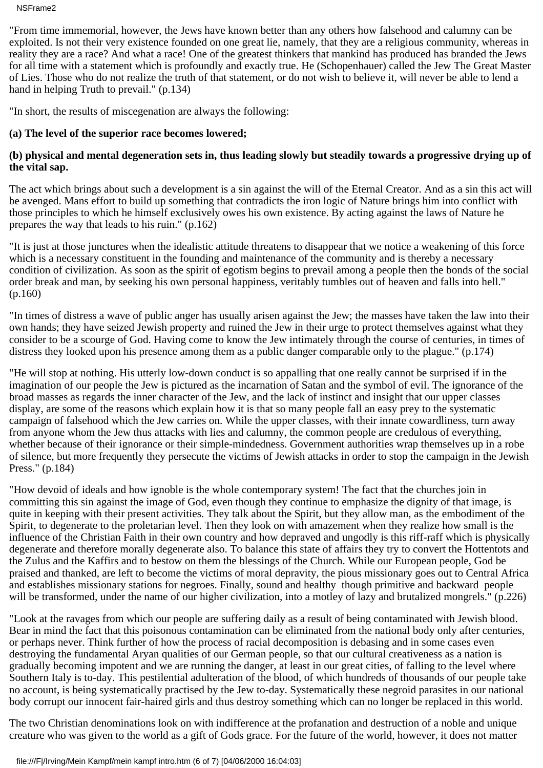"From time immemorial, however, the Jews have known better than any others how falsehood and calumny can be exploited. Is not their very existence founded on one great lie, namely, that they are a religious community, whereas in reality they are a race? And what a race! One of the greatest thinkers that mankind has produced has branded the Jews for all time with a statement which is profoundly and exactly true. He (Schopenhauer) called the Jew The Great Master of Lies. Those who do not realize the truth of that statement, or do not wish to believe it, will never be able to lend a hand in helping Truth to prevail." (p.134)

"In short, the results of miscegenation are always the following:

#### **(a) The level of the superior race becomes lowered;**

#### **(b) physical and mental degeneration sets in, thus leading slowly but steadily towards a progressive drying up of the vital sap.**

The act which brings about such a development is a sin against the will of the Eternal Creator. And as a sin this act will be avenged. Mans effort to build up something that contradicts the iron logic of Nature brings him into conflict with those principles to which he himself exclusively owes his own existence. By acting against the laws of Nature he prepares the way that leads to his ruin." (p.162)

"It is just at those junctures when the idealistic attitude threatens to disappear that we notice a weakening of this force which is a necessary constituent in the founding and maintenance of the community and is thereby a necessary condition of civilization. As soon as the spirit of egotism begins to prevail among a people then the bonds of the social order break and man, by seeking his own personal happiness, veritably tumbles out of heaven and falls into hell." (p.160)

"In times of distress a wave of public anger has usually arisen against the Jew; the masses have taken the law into their own hands; they have seized Jewish property and ruined the Jew in their urge to protect themselves against what they consider to be a scourge of God. Having come to know the Jew intimately through the course of centuries, in times of distress they looked upon his presence among them as a public danger comparable only to the plague." (p.174)

"He will stop at nothing. His utterly low-down conduct is so appalling that one really cannot be surprised if in the imagination of our people the Jew is pictured as the incarnation of Satan and the symbol of evil. The ignorance of the broad masses as regards the inner character of the Jew, and the lack of instinct and insight that our upper classes display, are some of the reasons which explain how it is that so many people fall an easy prey to the systematic campaign of falsehood which the Jew carries on. While the upper classes, with their innate cowardliness, turn away from anyone whom the Jew thus attacks with lies and calumny, the common people are credulous of everything, whether because of their ignorance or their simple-mindedness. Government authorities wrap themselves up in a robe of silence, but more frequently they persecute the victims of Jewish attacks in order to stop the campaign in the Jewish Press." (p.184)

"How devoid of ideals and how ignoble is the whole contemporary system! The fact that the churches join in committing this sin against the image of God, even though they continue to emphasize the dignity of that image, is quite in keeping with their present activities. They talk about the Spirit, but they allow man, as the embodiment of the Spirit, to degenerate to the proletarian level. Then they look on with amazement when they realize how small is the influence of the Christian Faith in their own country and how depraved and ungodly is this riff-raff which is physically degenerate and therefore morally degenerate also. To balance this state of affairs they try to convert the Hottentots and the Zulus and the Kaffirs and to bestow on them the blessings of the Church. While our European people, God be praised and thanked, are left to become the victims of moral depravity, the pious missionary goes out to Central Africa and establishes missionary stations for negroes. Finally, sound and healthy though primitive and backward people will be transformed, under the name of our higher civilization, into a motley of lazy and brutalized mongrels." (p.226)

"Look at the ravages from which our people are suffering daily as a result of being contaminated with Jewish blood. Bear in mind the fact that this poisonous contamination can be eliminated from the national body only after centuries, or perhaps never. Think further of how the process of racial decomposition is debasing and in some cases even destroying the fundamental Aryan qualities of our German people, so that our cultural creativeness as a nation is gradually becoming impotent and we are running the danger, at least in our great cities, of falling to the level where Southern Italy is to-day. This pestilential adulteration of the blood, of which hundreds of thousands of our people take no account, is being systematically practised by the Jew to-day. Systematically these negroid parasites in our national body corrupt our innocent fair-haired girls and thus destroy something which can no longer be replaced in this world.

The two Christian denominations look on with indifference at the profanation and destruction of a noble and unique creature who was given to the world as a gift of Gods grace. For the future of the world, however, it does not matter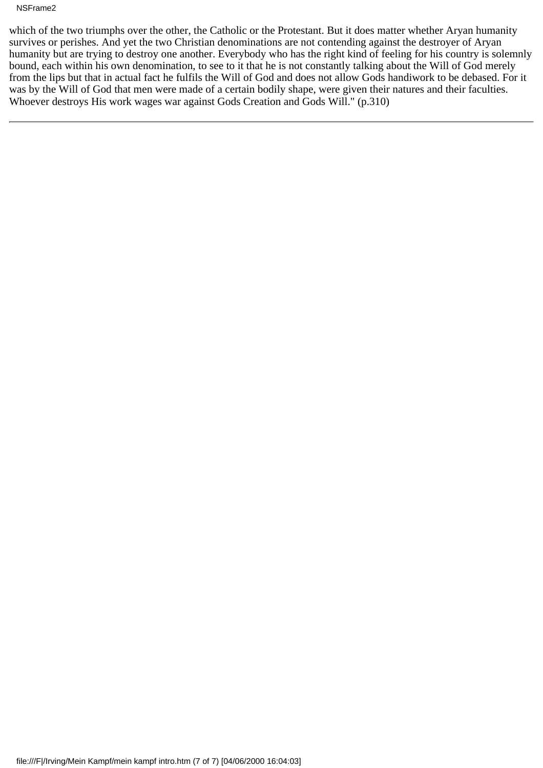#### NSFrame2

which of the two triumphs over the other, the Catholic or the Protestant. But it does matter whether Aryan humanity survives or perishes. And yet the two Christian denominations are not contending against the destroyer of Aryan humanity but are trying to destroy one another. Everybody who has the right kind of feeling for his country is solemnly bound, each within his own denomination, to see to it that he is not constantly talking about the Will of God merely from the lips but that in actual fact he fulfils the Will of God and does not allow God s handiwork to be debased. For it was by the Will of God that men were made of a certain bodily shape, were given their natures and their faculties. Whoever destroys His work wages war against God s Creation and God s Will." (p.310)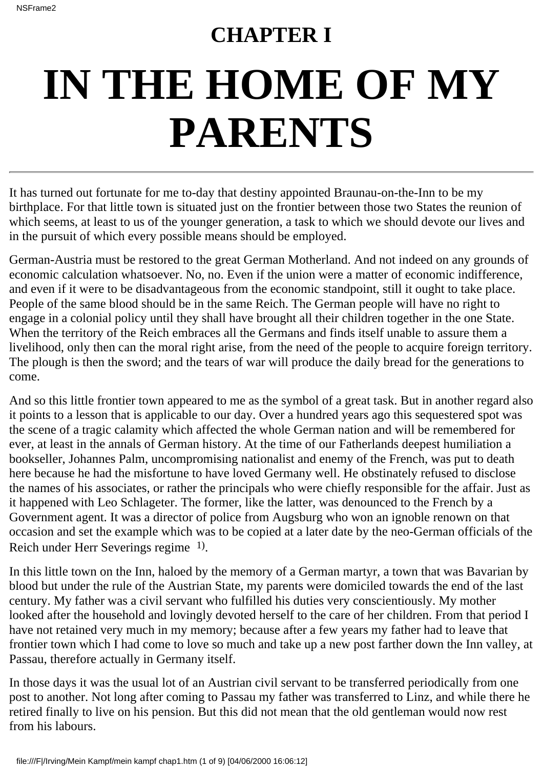# <span id="page-12-0"></span>**CHAPTER I IN THE HOME OF MY PARENTS**

It has turned out fortunate for me to-day that destiny appointed Braunau-on-the-Inn to be my birthplace. For that little town is situated just on the frontier between those two States the reunion of which seems, at least to us of the younger generation, a task to which we should devote our lives and in the pursuit of which every possible means should be employed.

German-Austria must be restored to the great German Motherland. And not indeed on any grounds of economic calculation whatsoever. No, no. Even if the union were a matter of economic indifference, and even if it were to be disadvantageous from the economic standpoint, still it ought to take place. People of the same blood should be in the same Reich. The German people will have no right to engage in a colonial policy until they shall have brought all their children together in the one State. When the territory of the Reich embraces all the Germans and finds itself unable to assure them a livelihood, only then can the moral right arise, from the need of the people to acquire foreign territory. The plough is then the sword; and the tears of war will produce the daily bread for the generations to come.

And so this little frontier town appeared to me as the symbol of a great task. But in another regard also it points to a lesson that is applicable to our day. Over a hundred years ago this sequestered spot was the scene of a tragic calamity which affected the whole German nation and will be remembered for ever, at least in the annals of German history. At the time of our Fatherland s deepest humiliation a bookseller, Johannes Palm, uncompromising nationalist and enemy of the French, was put to death here because he had the misfortune to have loved Germany well. He obstinately refused to disclose the names of his associates, or rather the principals who were chiefly responsible for the affair. Just as it happened with Leo Schlageter. The former, like the latter, was denounced to the French by a Government agent. It was a director of police from Augsburg who won an ignoble renown on that occasion and set the example which was to be copied at a later date by the neo-German officials of the Reich under Herr Severing s regime <sup>1</sup>.

In this little town on the Inn, haloed by the memory of a German martyr, a town that was Bavarian by blood but under the rule of the Austrian State, my parents were domiciled towards the end of the last century. My father was a civil servant who fulfilled his duties very conscientiously. My mother looked after the household and lovingly devoted herself to the care of her children. From that period I have not retained very much in my memory; because after a few years my father had to leave that frontier town which I had come to love so much and take up a new post farther down the Inn valley, at Passau, therefore actually in Germany itself.

In those days it was the usual lot of an Austrian civil servant to be transferred periodically from one post to another. Not long after coming to Passau my father was transferred to Linz, and while there he retired finally to live on his pension. But this did not mean that the old gentleman would now rest from his labours.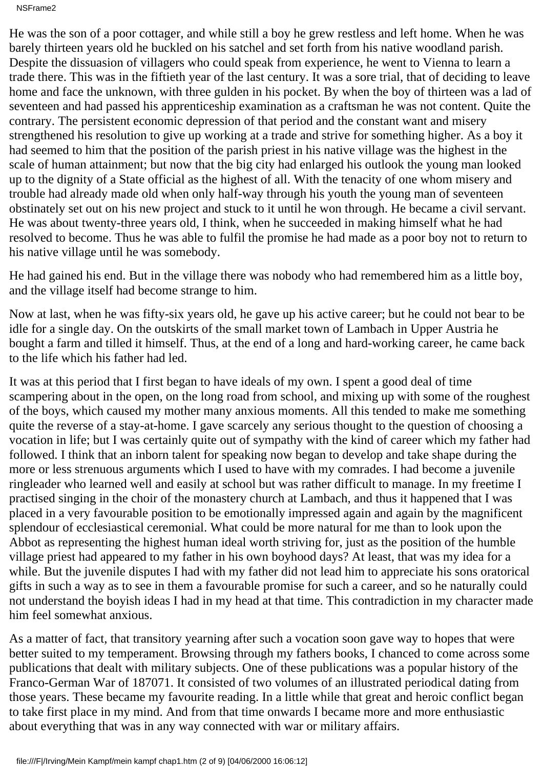He was the son of a poor cottager, and while still a boy he grew restless and left home. When he was barely thirteen years old he buckled on his satchel and set forth from his native woodland parish. Despite the dissuasion of villagers who could speak from experience, he went to Vienna to learn a trade there. This was in the fiftieth year of the last century. It was a sore trial, that of deciding to leave home and face the unknown, with three gulden in his pocket. By when the boy of thirteen was a lad of seventeen and had passed his apprenticeship examination as a craftsman he was not content. Quite the contrary. The persistent economic depression of that period and the constant want and misery strengthened his resolution to give up working at a trade and strive for something higher. As a boy it had seemed to him that the position of the parish priest in his native village was the highest in the scale of human attainment; but now that the big city had enlarged his outlook the young man looked up to the dignity of a State official as the highest of all. With the tenacity of one whom misery and trouble had already made old when only half-way through his youth the young man of seventeen obstinately set out on his new project and stuck to it until he won through. He became a civil servant. He was about twenty-three years old, I think, when he succeeded in making himself what he had resolved to become. Thus he was able to fulfil the promise he had made as a poor boy not to return to his native village until he was somebody.

He had gained his end. But in the village there was nobody who had remembered him as a little boy, and the village itself had become strange to him.

Now at last, when he was fifty-six years old, he gave up his active career; but he could not bear to be idle for a single day. On the outskirts of the small market town of Lambach in Upper Austria he bought a farm and tilled it himself. Thus, at the end of a long and hard-working career, he came back to the life which his father had led.

It was at this period that I first began to have ideals of my own. I spent a good deal of time scampering about in the open, on the long road from school, and mixing up with some of the roughest of the boys, which caused my mother many anxious moments. All this tended to make me something quite the reverse of a stay-at-home. I gave scarcely any serious thought to the question of choosing a vocation in life; but I was certainly quite out of sympathy with the kind of career which my father had followed. I think that an inborn talent for speaking now began to develop and take shape during the more or less strenuous arguments which I used to have with my comrades. I had become a juvenile ringleader who learned well and easily at school but was rather difficult to manage. In my freetime I practised singing in the choir of the monastery church at Lambach, and thus it happened that I was placed in a very favourable position to be emotionally impressed again and again by the magnificent splendour of ecclesiastical ceremonial. What could be more natural for me than to look upon the Abbot as representing the highest human ideal worth striving for, just as the position of the humble village priest had appeared to my father in his own boyhood days? At least, that was my idea for a while. But the juvenile disputes I had with my father did not lead him to appreciate his son s oratorical gifts in such a way as to see in them a favourable promise for such a career, and so he naturally could not understand the boyish ideas I had in my head at that time. This contradiction in my character made him feel somewhat anxious.

As a matter of fact, that transitory yearning after such a vocation soon gave way to hopes that were better suited to my temperament. Browsing through my father s books, I chanced to come across some publications that dealt with military subjects. One of these publications was a popular history of the Franco-German War of 1870 71. It consisted of two volumes of an illustrated periodical dating from those years. These became my favourite reading. In a little while that great and heroic conflict began to take first place in my mind. And from that time onwards I became more and more enthusiastic about everything that was in any way connected with war or military affairs.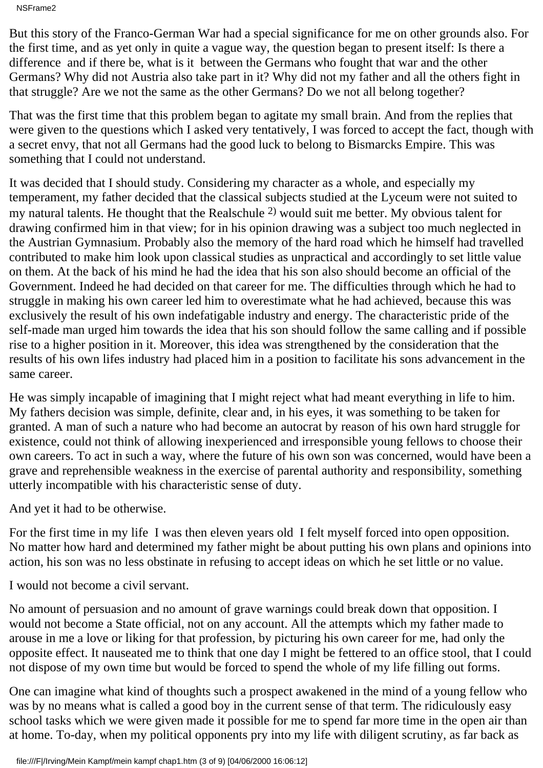NSFrame2

But this story of the Franco-German War had a special significance for me on other grounds also. For the first time, and as yet only in quite a vague way, the question began to present itself: Is there a difference and if there be, what is it between the Germans who fought that war and the other Germans? Why did not Austria also take part in it? Why did not my father and all the others fight in that struggle? Are we not the same as the other Germans? Do we not all belong together?

That was the first time that this problem began to agitate my small brain. And from the replies that were given to the questions which I asked very tentatively, I was forced to accept the fact, though with a secret envy, that not all Germans had the good luck to belong to Bismarck s Empire. This was something that I could not understand.

It was decided that I should study. Considering my character as a whole, and especially my temperament, my father decided that the classical subjects studied at the Lyceum were not suited to my natural talents. He thought that the Realschule 2) would suit me better. My obvious talent for drawing confirmed him in that view; for in his opinion drawing was a subject too much neglected in the Austrian Gymnasium. Probably also the memory of the hard road which he himself had travelled contributed to make him look upon classical studies as unpractical and accordingly to set little value on them. At the back of his mind he had the idea that his son also should become an official of the Government. Indeed he had decided on that career for me. The difficulties through which he had to struggle in making his own career led him to overestimate what he had achieved, because this was exclusively the result of his own indefatigable industry and energy. The characteristic pride of the self-made man urged him towards the idea that his son should follow the same calling and if possible rise to a higher position in it. Moreover, this idea was strengthened by the consideration that the results of his own life s industry had placed him in a position to facilitate his son s advancement in the same career.

He was simply incapable of imagining that I might reject what had meant everything in life to him. My father s decision was simple, definite, clear and, in his eyes, it was something to be taken for granted. A man of such a nature who had become an autocrat by reason of his own hard struggle for existence, could not think of allowing inexperienced and irresponsible young fellows to choose their own careers. To act in such a way, where the future of his own son was concerned, would have been a grave and reprehensible weakness in the exercise of parental authority and responsibility, something utterly incompatible with his characteristic sense of duty.

And yet it had to be otherwise.

For the first time in my life I was then eleven years old I felt myself forced into open opposition. No matter how hard and determined my father might be about putting his own plans and opinions into action, his son was no less obstinate in refusing to accept ideas on which he set little or no value.

I would not become a civil servant.

No amount of persuasion and no amount of grave warnings could break down that opposition. I would not become a State official, not on any account. All the attempts which my father made to arouse in me a love or liking for that profession, by picturing his own career for me, had only the opposite effect. It nauseated me to think that one day I might be fettered to an office stool, that I could not dispose of my own time but would be forced to spend the whole of my life filling out forms.

One can imagine what kind of thoughts such a prospect awakened in the mind of a young fellow who was by no means what is called a good boy in the current sense of that term. The ridiculously easy school tasks which we were given made it possible for me to spend far more time in the open air than at home. To-day, when my political opponents pry into my life with diligent scrutiny, as far back as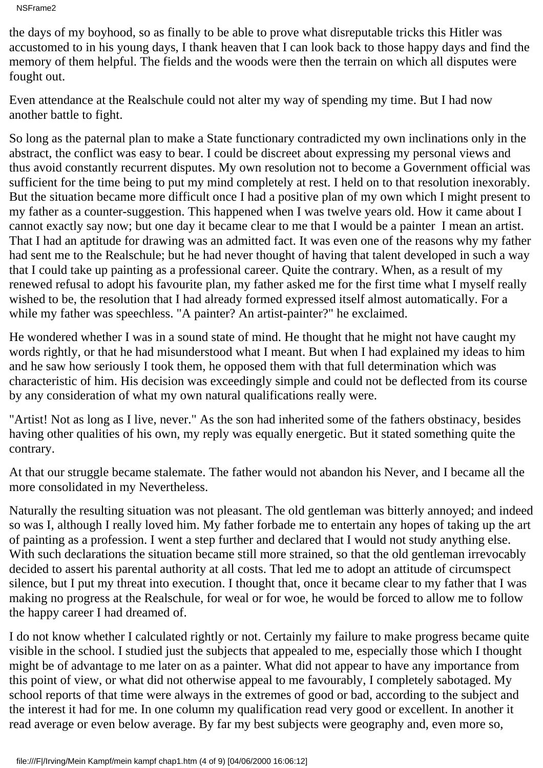NSFrame2

the days of my boyhood, so as finally to be able to prove what disreputable tricks this Hitler was accustomed to in his young days, I thank heaven that I can look back to those happy days and find the memory of them helpful. The fields and the woods were then the terrain on which all disputes were fought out.

Even attendance at the Realschule could not alter my way of spending my time. But I had now another battle to fight.

So long as the paternal plan to make a State functionary contradicted my own inclinations only in the abstract, the conflict was easy to bear. I could be discreet about expressing my personal views and thus avoid constantly recurrent disputes. My own resolution not to become a Government official was sufficient for the time being to put my mind completely at rest. I held on to that resolution inexorably. But the situation became more difficult once I had a positive plan of my own which I might present to my father as a counter-suggestion. This happened when I was twelve years old. How it came about I cannot exactly say now; but one day it became clear to me that I would be a painter I mean an artist. That I had an aptitude for drawing was an admitted fact. It was even one of the reasons why my father had sent me to the Realschule; but he had never thought of having that talent developed in such a way that I could take up painting as a professional career. Quite the contrary. When, as a result of my renewed refusal to adopt his favourite plan, my father asked me for the first time what I myself really wished to be, the resolution that I had already formed expressed itself almost automatically. For a while my father was speechless. "A painter? An artist-painter?" he exclaimed.

He wondered whether I was in a sound state of mind. He thought that he might not have caught my words rightly, or that he had misunderstood what I meant. But when I had explained my ideas to him and he saw how seriously I took them, he opposed them with that full determination which was characteristic of him. His decision was exceedingly simple and could not be deflected from its course by any consideration of what my own natural qualifications really were.

"Artist! Not as long as I live, never." As the son had inherited some of the father s obstinacy, besides having other qualities of his own, my reply was equally energetic. But it stated something quite the contrary.

At that our struggle became stalemate. The father would not abandon his Never, and I became all the more consolidated in my Nevertheless.

Naturally the resulting situation was not pleasant. The old gentleman was bitterly annoyed; and indeed so was I, although I really loved him. My father forbade me to entertain any hopes of taking up the art of painting as a profession. I went a step further and declared that I would not study anything else. With such declarations the situation became still more strained, so that the old gentleman irrevocably decided to assert his parental authority at all costs. That led me to adopt an attitude of circumspect silence, but I put my threat into execution. I thought that, once it became clear to my father that I was making no progress at the Realschule, for weal or for woe, he would be forced to allow me to follow the happy career I had dreamed of.

I do not know whether I calculated rightly or not. Certainly my failure to make progress became quite visible in the school. I studied just the subjects that appealed to me, especially those which I thought might be of advantage to me later on as a painter. What did not appear to have any importance from this point of view, or what did not otherwise appeal to me favourably, I completely sabotaged. My school reports of that time were always in the extremes of good or bad, according to the subject and the interest it had for me. In one column my qualification read very good or excellent. In another it read average or even below average. By far my best subjects were geography and, even more so,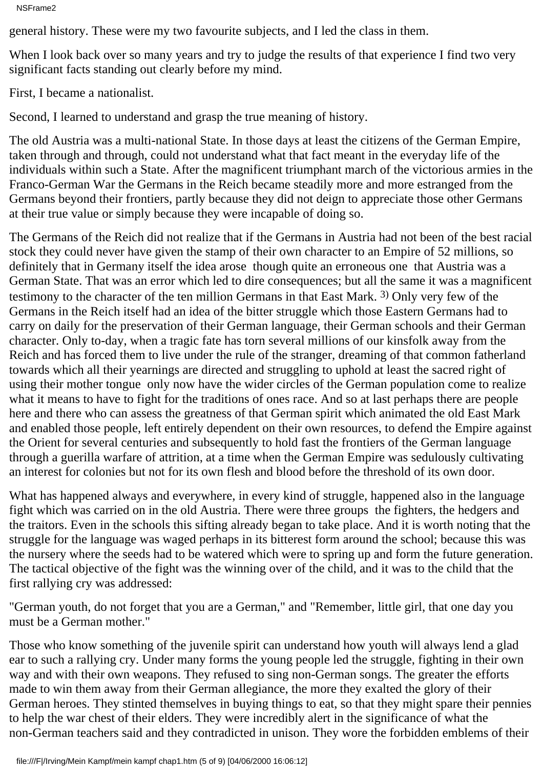NSFrame2

general history. These were my two favourite subjects, and I led the class in them.

When I look back over so many years and try to judge the results of that experience I find two very significant facts standing out clearly before my mind.

First, I became a nationalist.

Second, I learned to understand and grasp the true meaning of history.

The old Austria was a multi-national State. In those days at least the citizens of the German Empire, taken through and through, could not understand what that fact meant in the everyday life of the individuals within such a State. After the magnificent triumphant march of the victorious armies in the Franco-German War the Germans in the Reich became steadily more and more estranged from the Germans beyond their frontiers, partly because they did not deign to appreciate those other Germans at their true value or simply because they were incapable of doing so.

The Germans of the Reich did not realize that if the Germans in Austria had not been of the best racial stock they could never have given the stamp of their own character to an Empire of 52 millions, so definitely that in Germany itself the idea arose though quite an erroneous one that Austria was a German State. That was an error which led to dire consequences; but all the same it was a magnificent testimony to the character of the ten million Germans in that East Mark. 3) Only very few of the Germans in the Reich itself had an idea of the bitter struggle which those Eastern Germans had to carry on daily for the preservation of their German language, their German schools and their German character. Only to-day, when a tragic fate has torn several millions of our kinsfolk away from the Reich and has forced them to live under the rule of the stranger, dreaming of that common fatherland towards which all their yearnings are directed and struggling to uphold at least the sacred right of using their mother tongue only now have the wider circles of the German population come to realize what it means to have to fight for the traditions of ones race. And so at last perhaps there are people here and there who can assess the greatness of that German spirit which animated the old East Mark and enabled those people, left entirely dependent on their own resources, to defend the Empire against the Orient for several centuries and subsequently to hold fast the frontiers of the German language through a guerilla warfare of attrition, at a time when the German Empire was sedulously cultivating an interest for colonies but not for its own flesh and blood before the threshold of its own door.

What has happened always and everywhere, in every kind of struggle, happened also in the language fight which was carried on in the old Austria. There were three groups the fighters, the hedgers and the traitors. Even in the schools this sifting already began to take place. And it is worth noting that the struggle for the language was waged perhaps in its bitterest form around the school; because this was the nursery where the seeds had to be watered which were to spring up and form the future generation. The tactical objective of the fight was the winning over of the child, and it was to the child that the first rallying cry was addressed:

"German youth, do not forget that you are a German," and "Remember, little girl, that one day you must be a German mother."

Those who know something of the juvenile spirit can understand how youth will always lend a glad ear to such a rallying cry. Under many forms the young people led the struggle, fighting in their own way and with their own weapons. They refused to sing non-German songs. The greater the efforts made to win them away from their German allegiance, the more they exalted the glory of their German heroes. They stinted themselves in buying things to eat, so that they might spare their pennies to help the war chest of their elders. They were incredibly alert in the significance of what the non-German teachers said and they contradicted in unison. They wore the forbidden emblems of their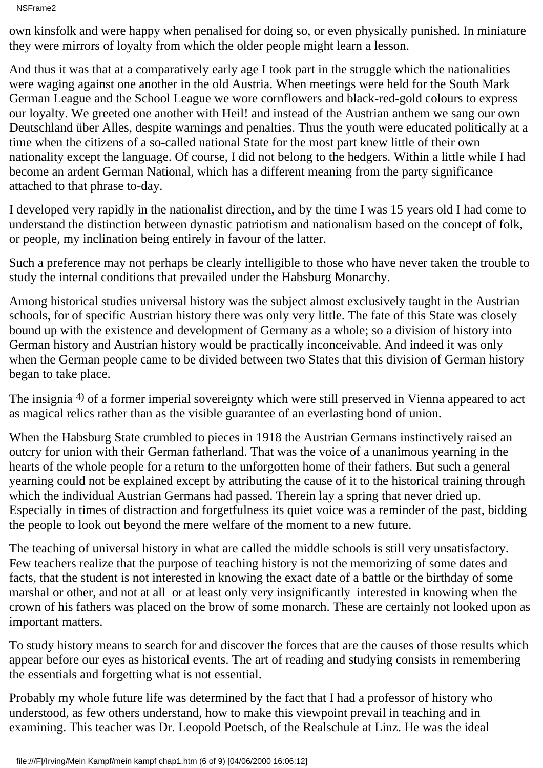NSFrame2

own kinsfolk and were happy when penalised for doing so, or even physically punished. In miniature they were mirrors of loyalty from which the older people might learn a lesson.

And thus it was that at a comparatively early age I took part in the struggle which the nationalities were waging against one another in the old Austria. When meetings were held for the South Mark German League and the School League we wore cornflowers and black-red-gold colours to express our loyalty. We greeted one another with Heil! and instead of the Austrian anthem we sang our own Deutschland über Alles, despite warnings and penalties. Thus the youth were educated politically at a time when the citizens of a so-called national State for the most part knew little of their own nationality except the language. Of course, I did not belong to the hedgers. Within a little while I had become an ardent German National, which has a different meaning from the party significance attached to that phrase to-day.

I developed very rapidly in the nationalist direction, and by the time I was 15 years old I had come to understand the distinction between dynastic patriotism and nationalism based on the concept of folk, or people, my inclination being entirely in favour of the latter.

Such a preference may not perhaps be clearly intelligible to those who have never taken the trouble to study the internal conditions that prevailed under the Habsburg Monarchy.

Among historical studies universal history was the subject almost exclusively taught in the Austrian schools, for of specific Austrian history there was only very little. The fate of this State was closely bound up with the existence and development of Germany as a whole; so a division of history into German history and Austrian history would be practically inconceivable. And indeed it was only when the German people came to be divided between two States that this division of German history began to take place.

The insignia 4) of a former imperial sovereignty which were still preserved in Vienna appeared to act as magical relics rather than as the visible guarantee of an everlasting bond of union.

When the Habsburg State crumbled to pieces in 1918 the Austrian Germans instinctively raised an outcry for union with their German fatherland. That was the voice of a unanimous yearning in the hearts of the whole people for a return to the unforgotten home of their fathers. But such a general yearning could not be explained except by attributing the cause of it to the historical training through which the individual Austrian Germans had passed. Therein lay a spring that never dried up. Especially in times of distraction and forgetfulness its quiet voice was a reminder of the past, bidding the people to look out beyond the mere welfare of the moment to a new future.

The teaching of universal history in what are called the middle schools is still very unsatisfactory. Few teachers realize that the purpose of teaching history is not the memorizing of some dates and facts, that the student is not interested in knowing the exact date of a battle or the birthday of some marshal or other, and not at all or at least only very insignificantly interested in knowing when the crown of his fathers was placed on the brow of some monarch. These are certainly not looked upon as important matters.

To study history means to search for and discover the forces that are the causes of those results which appear before our eyes as historical events. The art of reading and studying consists in remembering the essentials and forgetting what is not essential.

Probably my whole future life was determined by the fact that I had a professor of history who understood, as few others understand, how to make this viewpoint prevail in teaching and in examining. This teacher was Dr. Leopold Poetsch, of the Realschule at Linz. He was the ideal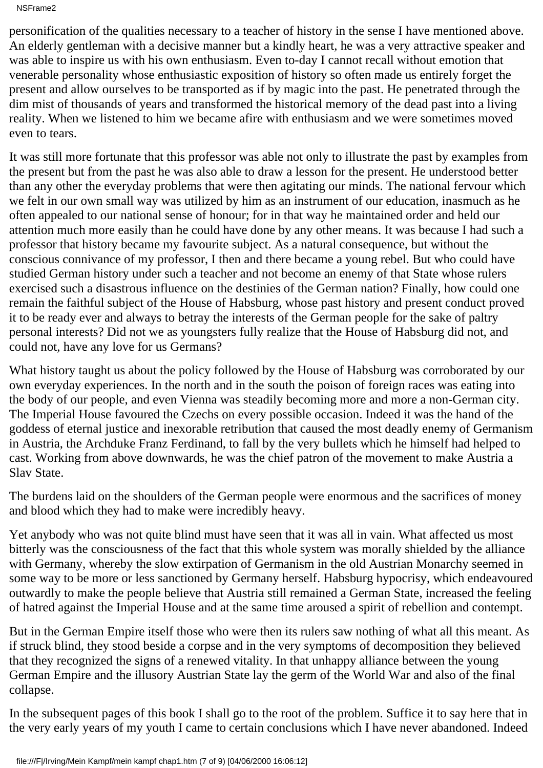NSFrame2

personification of the qualities necessary to a teacher of history in the sense I have mentioned above. An elderly gentleman with a decisive manner but a kindly heart, he was a very attractive speaker and was able to inspire us with his own enthusiasm. Even to-day I cannot recall without emotion that venerable personality whose enthusiastic exposition of history so often made us entirely forget the present and allow ourselves to be transported as if by magic into the past. He penetrated through the dim mist of thousands of years and transformed the historical memory of the dead past into a living reality. When we listened to him we became afire with enthusiasm and we were sometimes moved even to tears.

It was still more fortunate that this professor was able not only to illustrate the past by examples from the present but from the past he was also able to draw a lesson for the present. He understood better than any other the everyday problems that were then agitating our minds. The national fervour which we felt in our own small way was utilized by him as an instrument of our education, inasmuch as he often appealed to our national sense of honour; for in that way he maintained order and held our attention much more easily than he could have done by any other means. It was because I had such a professor that history became my favourite subject. As a natural consequence, but without the conscious connivance of my professor, I then and there became a young rebel. But who could have studied German history under such a teacher and not become an enemy of that State whose rulers exercised such a disastrous influence on the destinies of the German nation? Finally, how could one remain the faithful subject of the House of Habsburg, whose past history and present conduct proved it to be ready ever and always to betray the interests of the German people for the sake of paltry personal interests? Did not we as youngsters fully realize that the House of Habsburg did not, and could not, have any love for us Germans?

What history taught us about the policy followed by the House of Habsburg was corroborated by our own everyday experiences. In the north and in the south the poison of foreign races was eating into the body of our people, and even Vienna was steadily becoming more and more a non-German city. The Imperial House favoured the Czechs on every possible occasion. Indeed it was the hand of the goddess of eternal justice and inexorable retribution that caused the most deadly enemy of Germanism in Austria, the Archduke Franz Ferdinand, to fall by the very bullets which he himself had helped to cast. Working from above downwards, he was the chief patron of the movement to make Austria a Slav State.

The burdens laid on the shoulders of the German people were enormous and the sacrifices of money and blood which they had to make were incredibly heavy.

Yet anybody who was not quite blind must have seen that it was all in vain. What affected us most bitterly was the consciousness of the fact that this whole system was morally shielded by the alliance with Germany, whereby the slow extirpation of Germanism in the old Austrian Monarchy seemed in some way to be more or less sanctioned by Germany herself. Habsburg hypocrisy, which endeavoured outwardly to make the people believe that Austria still remained a German State, increased the feeling of hatred against the Imperial House and at the same time aroused a spirit of rebellion and contempt.

But in the German Empire itself those who were then its rulers saw nothing of what all this meant. As if struck blind, they stood beside a corpse and in the very symptoms of decomposition they believed that they recognized the signs of a renewed vitality. In that unhappy alliance between the young German Empire and the illusory Austrian State lay the germ of the World War and also of the final collapse.

In the subsequent pages of this book I shall go to the root of the problem. Suffice it to say here that in the very early years of my youth I came to certain conclusions which I have never abandoned. Indeed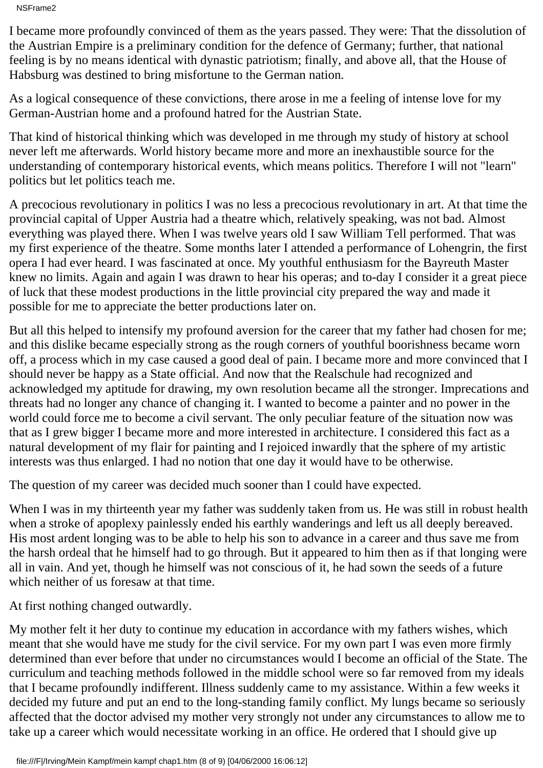NSFrame2

I became more profoundly convinced of them as the years passed. They were: That the dissolution of the Austrian Empire is a preliminary condition for the defence of Germany; further, that national feeling is by no means identical with dynastic patriotism; finally, and above all, that the House of Habsburg was destined to bring misfortune to the German nation.

As a logical consequence of these convictions, there arose in me a feeling of intense love for my German-Austrian home and a profound hatred for the Austrian State.

That kind of historical thinking which was developed in me through my study of history at school never left me afterwards. World history became more and more an inexhaustible source for the understanding of contemporary historical events, which means politics. Therefore I will not "learn" politics but let politics teach me.

A precocious revolutionary in politics I was no less a precocious revolutionary in art. At that time the provincial capital of Upper Austria had a theatre which, relatively speaking, was not bad. Almost everything was played there. When I was twelve years old I saw William Tell performed. That was my first experience of the theatre. Some months later I attended a performance of Lohengrin, the first opera I had ever heard. I was fascinated at once. My youthful enthusiasm for the Bayreuth Master knew no limits. Again and again I was drawn to hear his operas; and to-day I consider it a great piece of luck that these modest productions in the little provincial city prepared the way and made it possible for me to appreciate the better productions later on.

But all this helped to intensify my profound aversion for the career that my father had chosen for me; and this dislike became especially strong as the rough corners of youthful boorishness became worn off, a process which in my case caused a good deal of pain. I became more and more convinced that I should never be happy as a State official. And now that the Realschule had recognized and acknowledged my aptitude for drawing, my own resolution became all the stronger. Imprecations and threats had no longer any chance of changing it. I wanted to become a painter and no power in the world could force me to become a civil servant. The only peculiar feature of the situation now was that as I grew bigger I became more and more interested in architecture. I considered this fact as a natural development of my flair for painting and I rejoiced inwardly that the sphere of my artistic interests was thus enlarged. I had no notion that one day it would have to be otherwise.

The question of my career was decided much sooner than I could have expected.

When I was in my thirteenth year my father was suddenly taken from us. He was still in robust health when a stroke of apoplexy painlessly ended his earthly wanderings and left us all deeply bereaved. His most ardent longing was to be able to help his son to advance in a career and thus save me from the harsh ordeal that he himself had to go through. But it appeared to him then as if that longing were all in vain. And yet, though he himself was not conscious of it, he had sown the seeds of a future which neither of us foresaw at that time.

At first nothing changed outwardly.

My mother felt it her duty to continue my education in accordance with my father s wishes, which meant that she would have me study for the civil service. For my own part I was even more firmly determined than ever before that under no circumstances would I become an official of the State. The curriculum and teaching methods followed in the middle school were so far removed from my ideals that I became profoundly indifferent. Illness suddenly came to my assistance. Within a few weeks it decided my future and put an end to the long-standing family conflict. My lungs became so seriously affected that the doctor advised my mother very strongly not under any circumstances to allow me to take up a career which would necessitate working in an office. He ordered that I should give up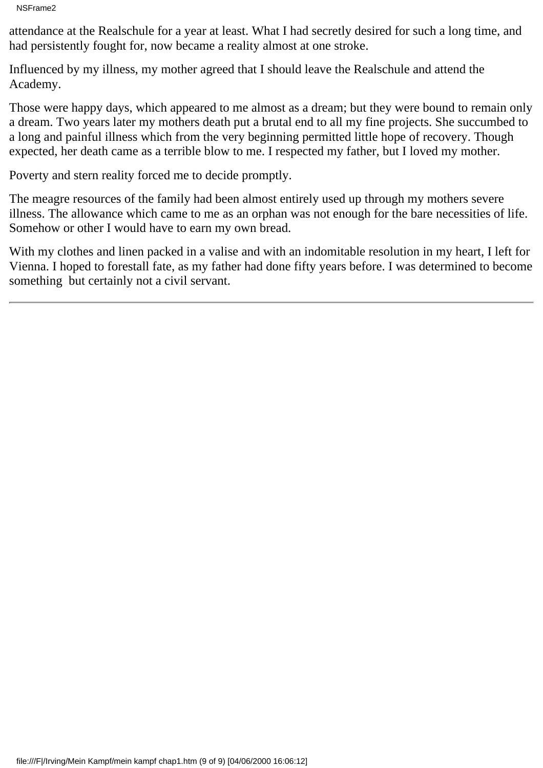NSFrame2

attendance at the Realschule for a year at least. What I had secretly desired for such a long time, and had persistently fought for, now became a reality almost at one stroke.

Influenced by my illness, my mother agreed that I should leave the Realschule and attend the Academy.

Those were happy days, which appeared to me almost as a dream; but they were bound to remain only a dream. Two years later my mother s death put a brutal end to all my fine projects. She succumbed to a long and painful illness which from the very beginning permitted little hope of recovery. Though expected, her death came as a terrible blow to me. I respected my father, but I loved my mother.

Poverty and stern reality forced me to decide promptly.

The meagre resources of the family had been almost entirely used up through my mother s severe illness. The allowance which came to me as an orphan was not enough for the bare necessities of life. Somehow or other I would have to earn my own bread.

With my clothes and linen packed in a valise and with an indomitable resolution in my heart, I left for Vienna. I hoped to forestall fate, as my father had done fifty years before. I was determined to become something but certainly not a civil servant.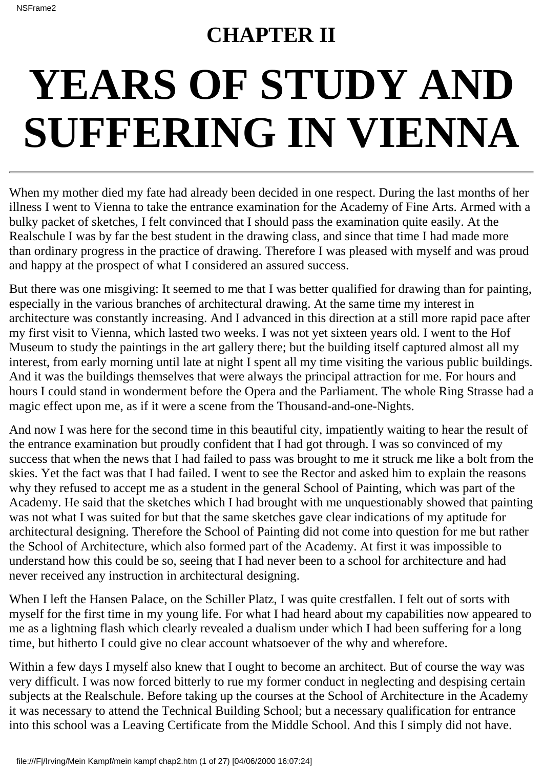# **CHAPTER II**

# <span id="page-21-0"></span>**YEARS OF STUDY AND SUFFERING IN VIENNA**

When my mother died my fate had already been decided in one respect. During the last months of her illness I went to Vienna to take the entrance examination for the Academy of Fine Arts. Armed with a bulky packet of sketches, I felt convinced that I should pass the examination quite easily. At the Realschule I was by far the best student in the drawing class, and since that time I had made more than ordinary progress in the practice of drawing. Therefore I was pleased with myself and was proud and happy at the prospect of what I considered an assured success.

But there was one misgiving: It seemed to me that I was better qualified for drawing than for painting, especially in the various branches of architectural drawing. At the same time my interest in architecture was constantly increasing. And I advanced in this direction at a still more rapid pace after my first visit to Vienna, which lasted two weeks. I was not yet sixteen years old. I went to the Hof Museum to study the paintings in the art gallery there; but the building itself captured almost all my interest, from early morning until late at night I spent all my time visiting the various public buildings. And it was the buildings themselves that were always the principal attraction for me. For hours and hours I could stand in wonderment before the Opera and the Parliament. The whole Ring Strasse had a magic effect upon me, as if it were a scene from the Thousand-and-one-Nights.

And now I was here for the second time in this beautiful city, impatiently waiting to hear the result of the entrance examination but proudly confident that I had got through. I was so convinced of my success that when the news that I had failed to pass was brought to me it struck me like a bolt from the skies. Yet the fact was that I had failed. I went to see the Rector and asked him to explain the reasons why they refused to accept me as a student in the general School of Painting, which was part of the Academy. He said that the sketches which I had brought with me unquestionably showed that painting was not what I was suited for but that the same sketches gave clear indications of my aptitude for architectural designing. Therefore the School of Painting did not come into question for me but rather the School of Architecture, which also formed part of the Academy. At first it was impossible to understand how this could be so, seeing that I had never been to a school for architecture and had never received any instruction in architectural designing.

When I left the Hansen Palace, on the Schiller Platz, I was quite crestfallen. I felt out of sorts with myself for the first time in my young life. For what I had heard about my capabilities now appeared to me as a lightning flash which clearly revealed a dualism under which I had been suffering for a long time, but hitherto I could give no clear account whatsoever of the why and wherefore.

Within a few days I myself also knew that I ought to become an architect. But of course the way was very difficult. I was now forced bitterly to rue my former conduct in neglecting and despising certain subjects at the Realschule. Before taking up the courses at the School of Architecture in the Academy it was necessary to attend the Technical Building School; but a necessary qualification for entrance into this school was a Leaving Certificate from the Middle School. And this I simply did not have.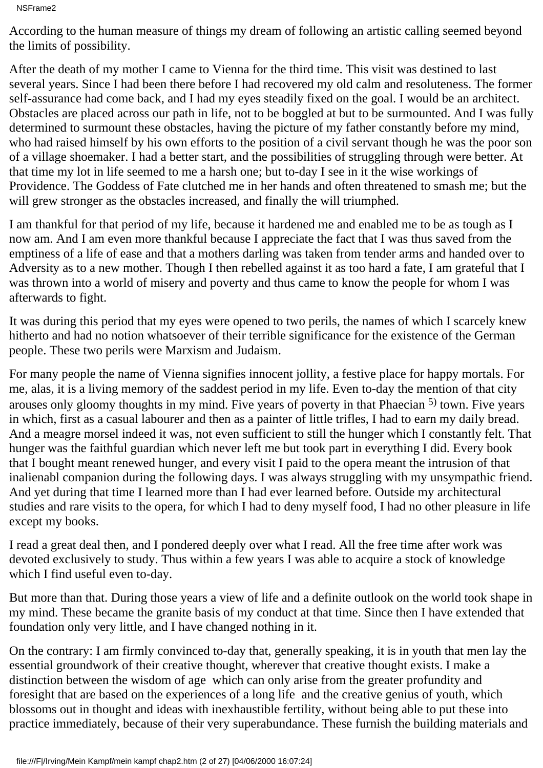```
NSFrame2
```
According to the human measure of things my dream of following an artistic calling seemed beyond the limits of possibility.

After the death of my mother I came to Vienna for the third time. This visit was destined to last several years. Since I had been there before I had recovered my old calm and resoluteness. The former self-assurance had come back, and I had my eyes steadily fixed on the goal. I would be an architect. Obstacles are placed across our path in life, not to be boggled at but to be surmounted. And I was fully determined to surmount these obstacles, having the picture of my father constantly before my mind, who had raised himself by his own efforts to the position of a civil servant though he was the poor son of a village shoemaker. I had a better start, and the possibilities of struggling through were better. At that time my lot in life seemed to me a harsh one; but to-day I see in it the wise workings of Providence. The Goddess of Fate clutched me in her hands and often threatened to smash me; but the will grew stronger as the obstacles increased, and finally the will triumphed.

I am thankful for that period of my life, because it hardened me and enabled me to be as tough as I now am. And I am even more thankful because I appreciate the fact that I was thus saved from the emptiness of a life of ease and that a mother s darling was taken from tender arms and handed over to Adversity as to a new mother. Though I then rebelled against it as too hard a fate, I am grateful that I was thrown into a world of misery and poverty and thus came to know the people for whom I was afterwards to fight.

It was during this period that my eyes were opened to two perils, the names of which I scarcely knew hitherto and had no notion whatsoever of their terrible significance for the existence of the German people. These two perils were Marxism and Judaism.

For many people the name of Vienna signifies innocent jollity, a festive place for happy mortals. For me, alas, it is a living memory of the saddest period in my life. Even to-day the mention of that city arouses only gloomy thoughts in my mind. Five years of poverty in that Phaecian 5) town. Five years in which, first as a casual labourer and then as a painter of little trifles, I had to earn my daily bread. And a meagre morsel indeed it was, not even sufficient to still the hunger which I constantly felt. That hunger was the faithful guardian which never left me but took part in everything I did. Every book that I bought meant renewed hunger, and every visit I paid to the opera meant the intrusion of that inalienabl companion during the following days. I was always struggling with my unsympathic friend. And yet during that time I learned more than I had ever learned before. Outside my architectural studies and rare visits to the opera, for which I had to deny myself food, I had no other pleasure in life except my books.

I read a great deal then, and I pondered deeply over what I read. All the free time after work was devoted exclusively to study. Thus within a few years I was able to acquire a stock of knowledge which I find useful even to-day.

But more than that. During those years a view of life and a definite outlook on the world took shape in my mind. These became the granite basis of my conduct at that time. Since then I have extended that foundation only very little, and I have changed nothing in it.

On the contrary: I am firmly convinced to-day that, generally speaking, it is in youth that men lay the essential groundwork of their creative thought, wherever that creative thought exists. I make a distinction between the wisdom of age which can only arise from the greater profundity and foresight that are based on the experiences of a long life and the creative genius of youth, which blossoms out in thought and ideas with inexhaustible fertility, without being able to put these into practice immediately, because of their very superabundance. These furnish the building materials and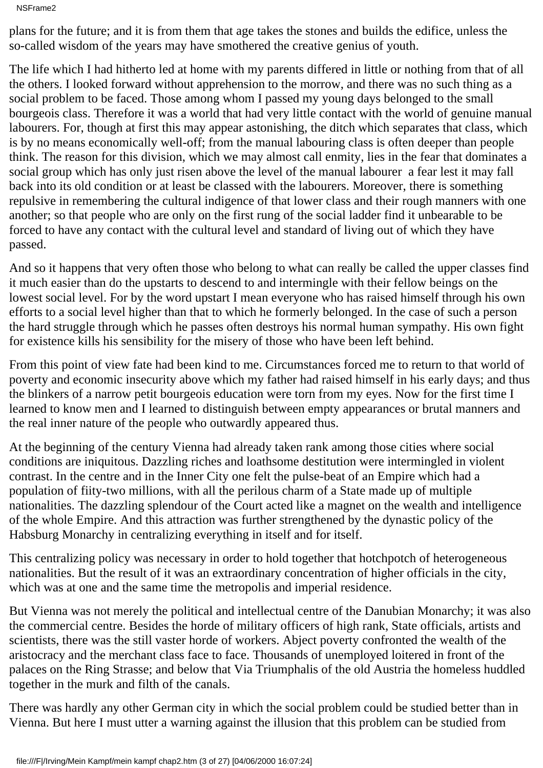NSFrame2

plans for the future; and it is from them that age takes the stones and builds the edifice, unless the so-called wisdom of the years may have smothered the creative genius of youth.

The life which I had hitherto led at home with my parents differed in little or nothing from that of all the others. I looked forward without apprehension to the morrow, and there was no such thing as a social problem to be faced. Those among whom I passed my young days belonged to the small bourgeois class. Therefore it was a world that had very little contact with the world of genuine manual labourers. For, though at first this may appear astonishing, the ditch which separates that class, which is by no means economically well-off; from the manual labouring class is often deeper than people think. The reason for this division, which we may almost call enmity, lies in the fear that dominates a social group which has only just risen above the level of the manual labourer a fear lest it may fall back into its old condition or at least be classed with the labourers. Moreover, there is something repulsive in remembering the cultural indigence of that lower class and their rough manners with one another; so that people who are only on the first rung of the social ladder find it unbearable to be forced to have any contact with the cultural level and standard of living out of which they have passed.

And so it happens that very often those who belong to what can really be called the upper classes find it much easier than do the upstarts to descend to and intermingle with their fellow beings on the lowest social level. For by the word upstart I mean everyone who has raised himself through his own efforts to a social level higher than that to which he formerly belonged. In the case of such a person the hard struggle through which he passes often destroys his normal human sympathy. His own fight for existence kills his sensibility for the misery of those who have been left behind.

From this point of view fate had been kind to me. Circumstances forced me to return to that world of poverty and economic insecurity above which my father had raised himself in his early days; and thus the blinkers of a narrow petit bourgeois education were torn from my eyes. Now for the first time I learned to know men and I learned to distinguish between empty appearances or brutal manners and the real inner nature of the people who outwardly appeared thus.

At the beginning of the century Vienna had already taken rank among those cities where social conditions are iniquitous. Dazzling riches and loathsome destitution were intermingled in violent contrast. In the centre and in the Inner City one felt the pulse-beat of an Empire which had a population of fiity-two millions, with all the perilous charm of a State made up of multiple nationalities. The dazzling splendour of the Court acted like a magnet on the wealth and intelligence of the whole Empire. And this attraction was further strengthened by the dynastic policy of the Habsburg Monarchy in centralizing everything in itself and for itself.

This centralizing policy was necessary in order to hold together that hotchpotch of heterogeneous nationalities. But the result of it was an extraordinary concentration of higher officials in the city, which was at one and the same time the metropolis and imperial residence.

But Vienna was not merely the political and intellectual centre of the Danubian Monarchy; it was also the commercial centre. Besides the horde of military officers of high rank, State officials, artists and scientists, there was the still vaster horde of workers. Abject poverty confronted the wealth of the aristocracy and the merchant class face to face. Thousands of unemployed loitered in front of the palaces on the Ring Strasse; and below that Via Triumphalis of the old Austria the homeless huddled together in the murk and filth of the canals.

There was hardly any other German city in which the social problem could be studied better than in Vienna. But here I must utter a warning against the illusion that this problem can be studied from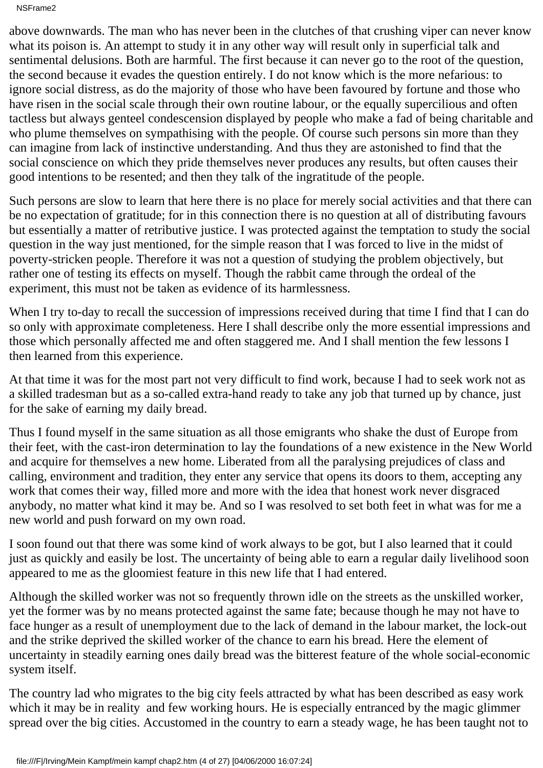NSFrame2

above downwards. The man who has never been in the clutches of that crushing viper can never know what its poison is. An attempt to study it in any other way will result only in superficial talk and sentimental delusions. Both are harmful. The first because it can never go to the root of the question, the second because it evades the question entirely. I do not know which is the more nefarious: to ignore social distress, as do the majority of those who have been favoured by fortune and those who have risen in the social scale through their own routine labour, or the equally supercilious and often tactless but always genteel condescension displayed by people who make a fad of being charitable and who plume themselves on sympathising with the people. Of course such persons sin more than they can imagine from lack of instinctive understanding. And thus they are astonished to find that the social conscience on which they pride themselves never produces any results, but often causes their good intentions to be resented; and then they talk of the ingratitude of the people.

Such persons are slow to learn that here there is no place for merely social activities and that there can be no expectation of gratitude; for in this connection there is no question at all of distributing favours but essentially a matter of retributive justice. I was protected against the temptation to study the social question in the way just mentioned, for the simple reason that I was forced to live in the midst of poverty-stricken people. Therefore it was not a question of studying the problem objectively, but rather one of testing its effects on myself. Though the rabbit came through the ordeal of the experiment, this must not be taken as evidence of its harmlessness.

When I try to-day to recall the succession of impressions received during that time I find that I can do so only with approximate completeness. Here I shall describe only the more essential impressions and those which personally affected me and often staggered me. And I shall mention the few lessons I then learned from this experience.

At that time it was for the most part not very difficult to find work, because I had to seek work not as a skilled tradesman but as a so-called extra-hand ready to take any job that turned up by chance, just for the sake of earning my daily bread.

Thus I found myself in the same situation as all those emigrants who shake the dust of Europe from their feet, with the cast-iron determination to lay the foundations of a new existence in the New World and acquire for themselves a new home. Liberated from all the paralysing prejudices of class and calling, environment and tradition, they enter any service that opens its doors to them, accepting any work that comes their way, filled more and more with the idea that honest work never disgraced anybody, no matter what kind it may be. And so I was resolved to set both feet in what was for me a new world and push forward on my own road.

I soon found out that there was some kind of work always to be got, but I also learned that it could just as quickly and easily be lost. The uncertainty of being able to earn a regular daily livelihood soon appeared to me as the gloomiest feature in this new life that I had entered.

Although the skilled worker was not so frequently thrown idle on the streets as the unskilled worker, yet the former was by no means protected against the same fate; because though he may not have to face hunger as a result of unemployment due to the lack of demand in the labour market, the lock-out and the strike deprived the skilled worker of the chance to earn his bread. Here the element of uncertainty in steadily earning ones daily bread was the bitterest feature of the whole social-economic system itself.

The country lad who migrates to the big city feels attracted by what has been described as easy work which it may be in reality and few working hours. He is especially entranced by the magic glimmer spread over the big cities. Accustomed in the country to earn a steady wage, he has been taught not to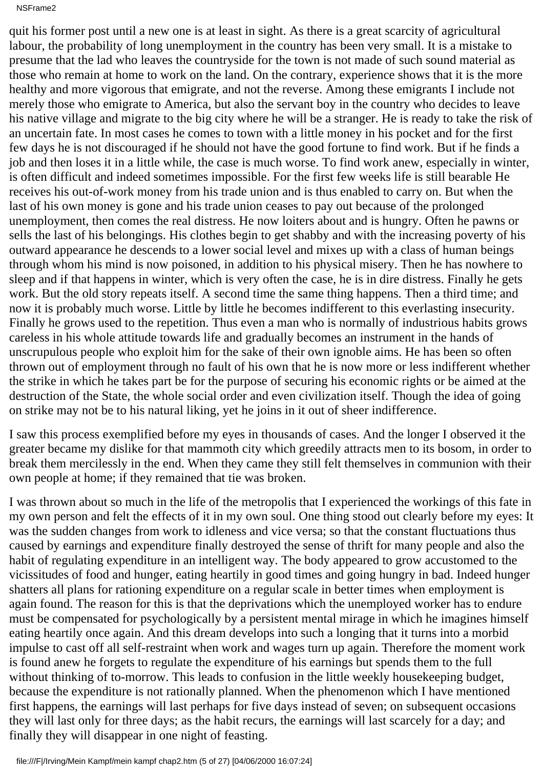#### NSFrame2

quit his former post until a new one is at least in sight. As there is a great scarcity of agricultural labour, the probability of long unemployment in the country has been very small. It is a mistake to presume that the lad who leaves the countryside for the town is not made of such sound material as those who remain at home to work on the land. On the contrary, experience shows that it is the more healthy and more vigorous that emigrate, and not the reverse. Among these emigrants I include not merely those who emigrate to America, but also the servant boy in the country who decides to leave his native village and migrate to the big city where he will be a stranger. He is ready to take the risk of an uncertain fate. In most cases he comes to town with a little money in his pocket and for the first few days he is not discouraged if he should not have the good fortune to find work. But if he finds a job and then loses it in a little while, the case is much worse. To find work anew, especially in winter, is often difficult and indeed sometimes impossible. For the first few weeks life is still bearable He receives his out-of-work money from his trade union and is thus enabled to carry on. But when the last of his own money is gone and his trade union ceases to pay out because of the prolonged unemployment, then comes the real distress. He now loiters about and is hungry. Often he pawns or sells the last of his belongings. His clothes begin to get shabby and with the increasing poverty of his outward appearance he descends to a lower social level and mixes up with a class of human beings through whom his mind is now poisoned, in addition to his physical misery. Then he has nowhere to sleep and if that happens in winter, which is very often the case, he is in dire distress. Finally he gets work. But the old story repeats itself. A second time the same thing happens. Then a third time; and now it is probably much worse. Little by little he becomes indifferent to this everlasting insecurity. Finally he grows used to the repetition. Thus even a man who is normally of industrious habits grows careless in his whole attitude towards life and gradually becomes an instrument in the hands of unscrupulous people who exploit him for the sake of their own ignoble aims. He has been so often thrown out of employment through no fault of his own that he is now more or less indifferent whether the strike in which he takes part be for the purpose of securing his economic rights or be aimed at the destruction of the State, the whole social order and even civilization itself. Though the idea of going on strike may not be to his natural liking, yet he joins in it out of sheer indifference.

I saw this process exemplified before my eyes in thousands of cases. And the longer I observed it the greater became my dislike for that mammoth city which greedily attracts men to its bosom, in order to break them mercilessly in the end. When they came they still felt themselves in communion with their own people at home; if they remained that tie was broken.

I was thrown about so much in the life of the metropolis that I experienced the workings of this fate in my own person and felt the effects of it in my own soul. One thing stood out clearly before my eyes: It was the sudden changes from work to idleness and vice versa; so that the constant fluctuations thus caused by earnings and expenditure finally destroyed the sense of thrift for many people and also the habit of regulating expenditure in an intelligent way. The body appeared to grow accustomed to the vicissitudes of food and hunger, eating heartily in good times and going hungry in bad. Indeed hunger shatters all plans for rationing expenditure on a regular scale in better times when employment is again found. The reason for this is that the deprivations which the unemployed worker has to endure must be compensated for psychologically by a persistent mental mirage in which he imagines himself eating heartily once again. And this dream develops into such a longing that it turns into a morbid impulse to cast off all self-restraint when work and wages turn up again. Therefore the moment work is found anew he forgets to regulate the expenditure of his earnings but spends them to the full without thinking of to-morrow. This leads to confusion in the little weekly housekeeping budget, because the expenditure is not rationally planned. When the phenomenon which I have mentioned first happens, the earnings will last perhaps for five days instead of seven; on subsequent occasions they will last only for three days; as the habit recurs, the earnings will last scarcely for a day; and finally they will disappear in one night of feasting.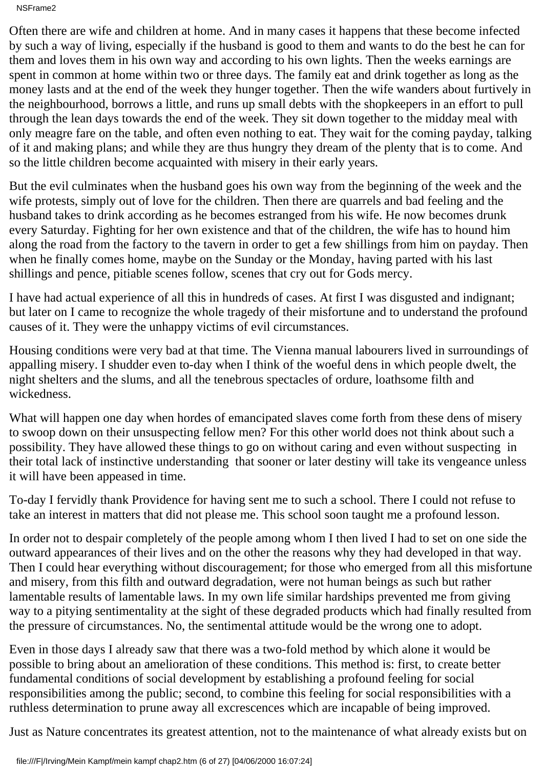NSFrame2

Often there are wife and children at home. And in many cases it happens that these become infected by such a way of living, especially if the husband is good to them and wants to do the best he can for them and loves them in his own way and according to his own lights. Then the week s earnings are spent in common at home within two or three days. The family eat and drink together as long as the money lasts and at the end of the week they hunger together. Then the wife wanders about furtively in the neighbourhood, borrows a little, and runs up small debts with the shopkeepers in an effort to pull through the lean days towards the end of the week. They sit down together to the midday meal with only meagre fare on the table, and often even nothing to eat. They wait for the coming payday, talking of it and making plans; and while they are thus hungry they dream of the plenty that is to come. And so the little children become acquainted with misery in their early years.

But the evil culminates when the husband goes his own way from the beginning of the week and the wife protests, simply out of love for the children. Then there are quarrels and bad feeling and the husband takes to drink according as he becomes estranged from his wife. He now becomes drunk every Saturday. Fighting for her own existence and that of the children, the wife has to hound him along the road from the factory to the tavern in order to get a few shillings from him on payday. Then when he finally comes home, maybe on the Sunday or the Monday, having parted with his last shillings and pence, pitiable scenes follow, scenes that cry out for God s mercy.

I have had actual experience of all this in hundreds of cases. At first I was disgusted and indignant; but later on I came to recognize the whole tragedy of their misfortune and to understand the profound causes of it. They were the unhappy victims of evil circumstances.

Housing conditions were very bad at that time. The Vienna manual labourers lived in surroundings of appalling misery. I shudder even to-day when I think of the woeful dens in which people dwelt, the night shelters and the slums, and all the tenebrous spectacles of ordure, loathsome filth and wickedness.

What will happen one day when hordes of emancipated slaves come forth from these dens of misery to swoop down on their unsuspecting fellow men? For this other world does not think about such a possibility. They have allowed these things to go on without caring and even without suspecting in their total lack of instinctive understanding that sooner or later destiny will take its vengeance unless it will have been appeased in time.

To-day I fervidly thank Providence for having sent me to such a school. There I could not refuse to take an interest in matters that did not please me. This school soon taught me a profound lesson.

In order not to despair completely of the people among whom I then lived I had to set on one side the outward appearances of their lives and on the other the reasons why they had developed in that way. Then I could hear everything without discouragement; for those who emerged from all this misfortune and misery, from this filth and outward degradation, were not human beings as such but rather lamentable results of lamentable laws. In my own life similar hardships prevented me from giving way to a pitying sentimentality at the sight of these degraded products which had finally resulted from the pressure of circumstances. No, the sentimental attitude would be the wrong one to adopt.

Even in those days I already saw that there was a two-fold method by which alone it would be possible to bring about an amelioration of these conditions. This method is: first, to create better fundamental conditions of social development by establishing a profound feeling for social responsibilities among the public; second, to combine this feeling for social responsibilities with a ruthless determination to prune away all excrescences which are incapable of being improved.

Just as Nature concentrates its greatest attention, not to the maintenance of what already exists but on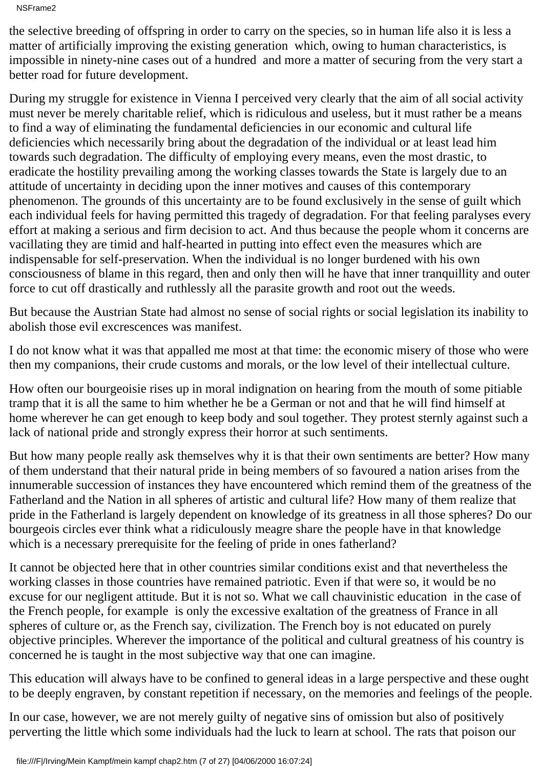NSFrame2

the selective breeding of offspring in order to carry on the species, so in human life also it is less a matter of artificially improving the existing generation which, owing to human characteristics, is impossible in ninety-nine cases out of a hundred and more a matter of securing from the very start a better road for future development.

During my struggle for existence in Vienna I perceived very clearly that the aim of all social activity must never be merely charitable relief, which is ridiculous and useless, but it must rather be a means to find a way of eliminating the fundamental deficiencies in our economic and cultural life deficiencies which necessarily bring about the degradation of the individual or at least lead him towards such degradation. The difficulty of employing every means, even the most drastic, to eradicate the hostility prevailing among the working classes towards the State is largely due to an attitude of uncertainty in deciding upon the inner motives and causes of this contemporary phenomenon. The grounds of this uncertainty are to be found exclusively in the sense of guilt which each individual feels for having permitted this tragedy of degradation. For that feeling paralyses every effort at making a serious and firm decision to act. And thus because the people whom it concerns are vacillating they are timid and half-hearted in putting into effect even the measures which are indispensable for self-preservation. When the individual is no longer burdened with his own consciousness of blame in this regard, then and only then will he have that inner tranquillity and outer force to cut off drastically and ruthlessly all the parasite growth and root out the weeds.

But because the Austrian State had almost no sense of social rights or social legislation its inability to abolish those evil excrescences was manifest.

I do not know what it was that appalled me most at that time: the economic misery of those who were then my companions, their crude customs and morals, or the low level of their intellectual culture.

How often our bourgeoisie rises up in moral indignation on hearing from the mouth of some pitiable tramp that it is all the same to him whether he be a German or not and that he will find himself at home wherever he can get enough to keep body and soul together. They protest sternly against such a lack of national pride and strongly express their horror at such sentiments.

But how many people really ask themselves why it is that their own sentiments are better? How many of them understand that their natural pride in being members of so favoured a nation arises from the innumerable succession of instances they have encountered which remind them of the greatness of the Fatherland and the Nation in all spheres of artistic and cultural life? How many of them realize that pride in the Fatherland is largely dependent on knowledge of its greatness in all those spheres? Do our bourgeois circles ever think what a ridiculously meagre share the people have in that knowledge which is a necessary prerequisite for the feeling of pride in one s fatherland?

It cannot be objected here that in other countries similar conditions exist and that nevertheless the working classes in those countries have remained patriotic. Even if that were so, it would be no excuse for our negligent attitude. But it is not so. What we call chauvinistic education in the case of the French people, for example is only the excessive exaltation of the greatness of France in all spheres of culture or, as the French say, civilization. The French boy is not educated on purely objective principles. Wherever the importance of the political and cultural greatness of his country is concerned he is taught in the most subjective way that one can imagine.

This education will always have to be confined to general ideas in a large perspective and these ought to be deeply engraven, by constant repetition if necessary, on the memories and feelings of the people.

In our case, however, we are not merely guilty of negative sins of omission but also of positively perverting the little which some individuals had the luck to learn at school. The rats that poison our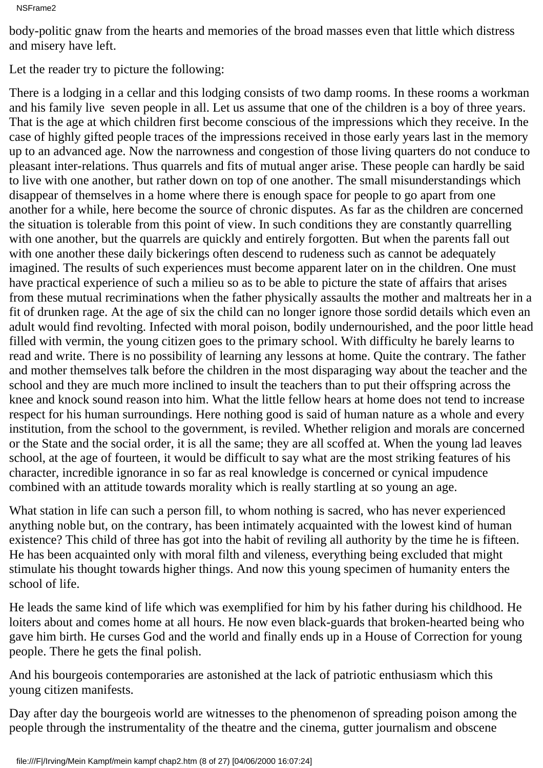#### NSFrame2

body-politic gnaw from the hearts and memories of the broad masses even that little which distress and misery have left.

Let the reader try to picture the following:

There is a lodging in a cellar and this lodging consists of two damp rooms. In these rooms a workman and his family live seven people in all. Let us assume that one of the children is a boy of three years. That is the age at which children first become conscious of the impressions which they receive. In the case of highly gifted people traces of the impressions received in those early years last in the memory up to an advanced age. Now the narrowness and congestion of those living quarters do not conduce to pleasant inter-relations. Thus quarrels and fits of mutual anger arise. These people can hardly be said to live with one another, but rather down on top of one another. The small misunderstandings which disappear of themselves in a home where there is enough space for people to go apart from one another for a while, here become the source of chronic disputes. As far as the children are concerned the situation is tolerable from this point of view. In such conditions they are constantly quarrelling with one another, but the quarrels are quickly and entirely forgotten. But when the parents fall out with one another these daily bickerings often descend to rudeness such as cannot be adequately imagined. The results of such experiences must become apparent later on in the children. One must have practical experience of such a milieu so as to be able to picture the state of affairs that arises from these mutual recriminations when the father physically assaults the mother and maltreats her in a fit of drunken rage. At the age of six the child can no longer ignore those sordid details which even an adult would find revolting. Infected with moral poison, bodily undernourished, and the poor little head filled with vermin, the young citizen goes to the primary school. With difficulty he barely learns to read and write. There is no possibility of learning any lessons at home. Quite the contrary. The father and mother themselves talk before the children in the most disparaging way about the teacher and the school and they are much more inclined to insult the teachers than to put their offspring across the knee and knock sound reason into him. What the little fellow hears at home does not tend to increase respect for his human surroundings. Here nothing good is said of human nature as a whole and every institution, from the school to the government, is reviled. Whether religion and morals are concerned or the State and the social order, it is all the same; they are all scoffed at. When the young lad leaves school, at the age of fourteen, it would be difficult to say what are the most striking features of his character, incredible ignorance in so far as real knowledge is concerned or cynical impudence combined with an attitude towards morality which is really startling at so young an age.

What station in life can such a person fill, to whom nothing is sacred, who has never experienced anything noble but, on the contrary, has been intimately acquainted with the lowest kind of human existence? This child of three has got into the habit of reviling all authority by the time he is fifteen. He has been acquainted only with moral filth and vileness, everything being excluded that might stimulate his thought towards higher things. And now this young specimen of humanity enters the school of life.

He leads the same kind of life which was exemplified for him by his father during his childhood. He loiters about and comes home at all hours. He now even black-guards that broken-hearted being who gave him birth. He curses God and the world and finally ends up in a House of Correction for young people. There he gets the final polish.

And his bourgeois contemporaries are astonished at the lack of patriotic enthusiasm which this young citizen manifests.

Day after day the bourgeois world are witnesses to the phenomenon of spreading poison among the people through the instrumentality of the theatre and the cinema, gutter journalism and obscene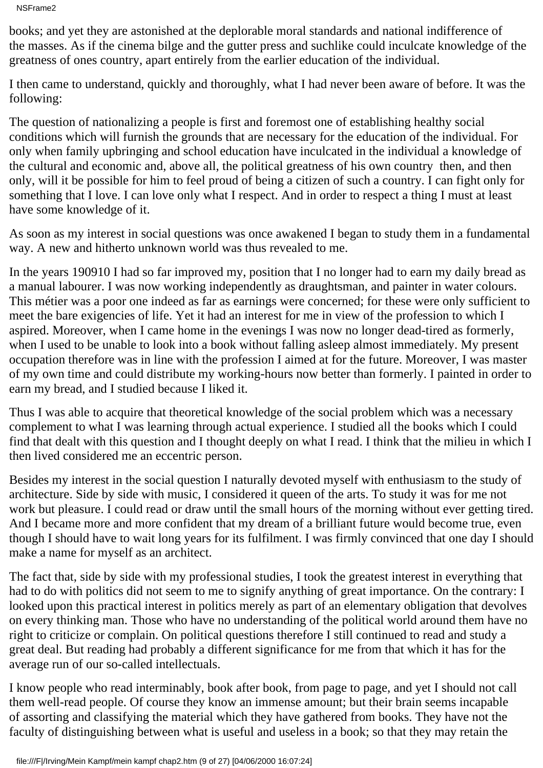NSFrame2

books; and yet they are astonished at the deplorable moral standards and national indifference of the masses. As if the cinema bilge and the gutter press and suchlike could inculcate knowledge of the greatness of ones country, apart entirely from the earlier education of the individual.

I then came to understand, quickly and thoroughly, what I had never been aware of before. It was the following:

The question of nationalizing a people is first and foremost one of establishing healthy social conditions which will furnish the grounds that are necessary for the education of the individual. For only when family upbringing and school education have inculcated in the individual a knowledge of the cultural and economic and, above all, the political greatness of his own country then, and then only, will it be possible for him to feel proud of being a citizen of such a country. I can fight only for something that I love. I can love only what I respect. And in order to respect a thing I must at least have some knowledge of it.

As soon as my interest in social questions was once awakened I began to study them in a fundamental way. A new and hitherto unknown world was thus revealed to me.

In the years 1909 10 I had so far improved my, position that I no longer had to earn my daily bread as a manual labourer. I was now working independently as draughtsman, and painter in water colours. This métier was a poor one indeed as far as earnings were concerned; for these were only sufficient to meet the bare exigencies of life. Yet it had an interest for me in view of the profession to which I aspired. Moreover, when I came home in the evenings I was now no longer dead-tired as formerly, when I used to be unable to look into a book without falling asleep almost immediately. My present occupation therefore was in line with the profession I aimed at for the future. Moreover, I was master of my own time and could distribute my working-hours now better than formerly. I painted in order to earn my bread, and I studied because I liked it.

Thus I was able to acquire that theoretical knowledge of the social problem which was a necessary complement to what I was learning through actual experience. I studied all the books which I could find that dealt with this question and I thought deeply on what I read. I think that the milieu in which I then lived considered me an eccentric person.

Besides my interest in the social question I naturally devoted myself with enthusiasm to the study of architecture. Side by side with music, I considered it queen of the arts. To study it was for me not work but pleasure. I could read or draw until the small hours of the morning without ever getting tired. And I became more and more confident that my dream of a brilliant future would become true, even though I should have to wait long years for its fulfilment. I was firmly convinced that one day I should make a name for myself as an architect.

The fact that, side by side with my professional studies, I took the greatest interest in everything that had to do with politics did not seem to me to signify anything of great importance. On the contrary: I looked upon this practical interest in politics merely as part of an elementary obligation that devolves on every thinking man. Those who have no understanding of the political world around them have no right to criticize or complain. On political questions therefore I still continued to read and study a great deal. But reading had probably a different significance for me from that which it has for the average run of our so-called intellectuals.

I know people who read interminably, book after book, from page to page, and yet I should not call them well-read people. Of course they know an immense amount; but their brain seems incapable of assorting and classifying the material which they have gathered from books. They have not the faculty of distinguishing between what is useful and useless in a book; so that they may retain the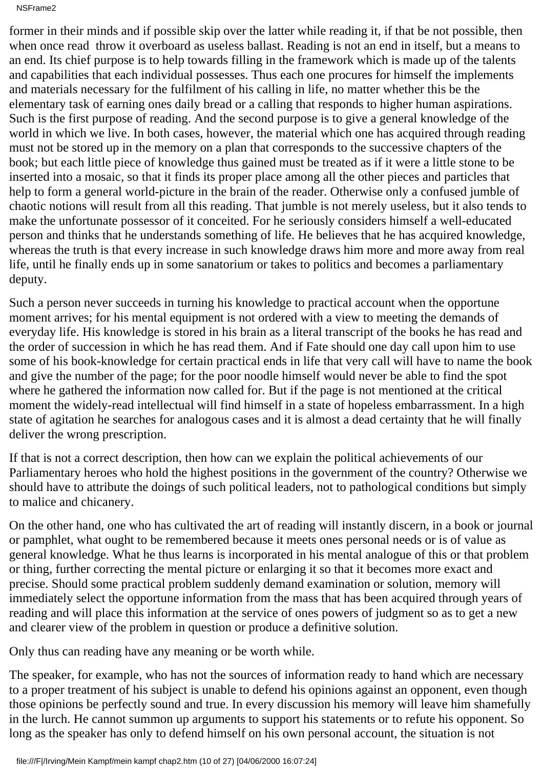NSFrame2

former in their minds and if possible skip over the latter while reading it, if that be not possible, then when once read throw it overboard as useless ballast. Reading is not an end in itself, but a means to an end. Its chief purpose is to help towards filling in the framework which is made up of the talents and capabilities that each individual possesses. Thus each one procures for himself the implements and materials necessary for the fulfilment of his calling in life, no matter whether this be the elementary task of earning ones daily bread or a calling that responds to higher human aspirations. Such is the first purpose of reading. And the second purpose is to give a general knowledge of the world in which we live. In both cases, however, the material which one has acquired through reading must not be stored up in the memory on a plan that corresponds to the successive chapters of the book; but each little piece of knowledge thus gained must be treated as if it were a little stone to be inserted into a mosaic, so that it finds its proper place among all the other pieces and particles that help to form a general world-picture in the brain of the reader. Otherwise only a confused jumble of chaotic notions will result from all this reading. That jumble is not merely useless, but it also tends to make the unfortunate possessor of it conceited. For he seriously considers himself a well-educated person and thinks that he understands something of life. He believes that he has acquired knowledge, whereas the truth is that every increase in such knowledge draws him more and more away from real life, until he finally ends up in some sanatorium or takes to politics and becomes a parliamentary deputy.

Such a person never succeeds in turning his knowledge to practical account when the opportune moment arrives; for his mental equipment is not ordered with a view to meeting the demands of everyday life. His knowledge is stored in his brain as a literal transcript of the books he has read and the order of succession in which he has read them. And if Fate should one day call upon him to use some of his book-knowledge for certain practical ends in life that very call will have to name the book and give the number of the page; for the poor noodle himself would never be able to find the spot where he gathered the information now called for. But if the page is not mentioned at the critical moment the widely-read intellectual will find himself in a state of hopeless embarrassment. In a high state of agitation he searches for analogous cases and it is almost a dead certainty that he will finally deliver the wrong prescription.

If that is not a correct description, then how can we explain the political achievements of our Parliamentary heroes who hold the highest positions in the government of the country? Otherwise we should have to attribute the doings of such political leaders, not to pathological conditions but simply to malice and chicanery.

On the other hand, one who has cultivated the art of reading will instantly discern, in a book or journal or pamphlet, what ought to be remembered because it meets ones personal needs or is of value as general knowledge. What he thus learns is incorporated in his mental analogue of this or that problem or thing, further correcting the mental picture or enlarging it so that it becomes more exact and precise. Should some practical problem suddenly demand examination or solution, memory will immediately select the opportune information from the mass that has been acquired through years of reading and will place this information at the service of ones powers of judgment so as to get a new and clearer view of the problem in question or produce a definitive solution.

Only thus can reading have any meaning or be worth while.

The speaker, for example, who has not the sources of information ready to hand which are necessary to a proper treatment of his subject is unable to defend his opinions against an opponent, even though those opinions be perfectly sound and true. In every discussion his memory will leave him shamefully in the lurch. He cannot summon up arguments to support his statements or to refute his opponent. So long as the speaker has only to defend himself on his own personal account, the situation is not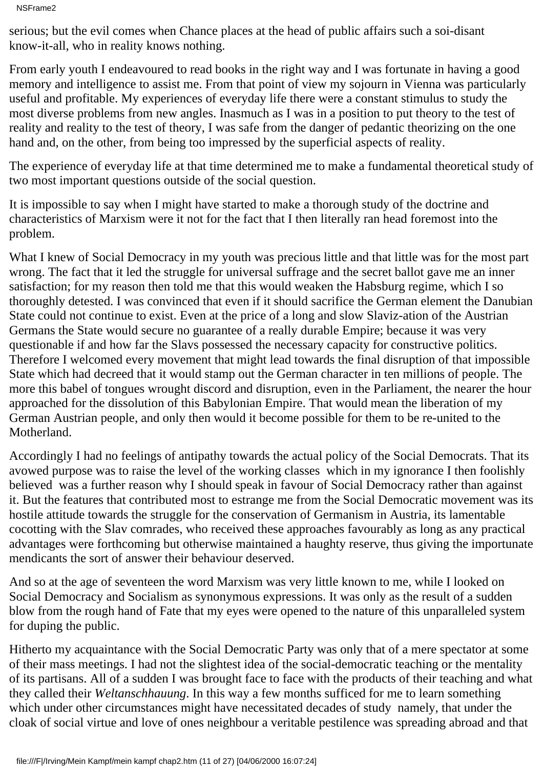serious; but the evil comes when Chance places at the head of public affairs such a soi-disant know-it-all, who in reality knows nothing.

From early youth I endeavoured to read books in the right way and I was fortunate in having a good memory and intelligence to assist me. From that point of view my sojourn in Vienna was particularly useful and profitable. My experiences of everyday life there were a constant stimulus to study the most diverse problems from new angles. Inasmuch as I was in a position to put theory to the test of reality and reality to the test of theory, I was safe from the danger of pedantic theorizing on the one hand and, on the other, from being too impressed by the superficial aspects of reality.

The experience of everyday life at that time determined me to make a fundamental theoretical study of two most important questions outside of the social question.

It is impossible to say when I might have started to make a thorough study of the doctrine and characteristics of Marxism were it not for the fact that I then literally ran head foremost into the problem.

What I knew of Social Democracy in my youth was precious little and that little was for the most part wrong. The fact that it led the struggle for universal suffrage and the secret ballot gave me an inner satisfaction; for my reason then told me that this would weaken the Habsburg regime, which I so thoroughly detested. I was convinced that even if it should sacrifice the German element the Danubian State could not continue to exist. Even at the price of a long and slow Slaviz-ation of the Austrian Germans the State would secure no guarantee of a really durable Empire; because it was very questionable if and how far the Slavs possessed the necessary capacity for constructive politics. Therefore I welcomed every movement that might lead towards the final disruption of that impossible State which had decreed that it would stamp out the German character in ten millions of people. The more this babel of tongues wrought discord and disruption, even in the Parliament, the nearer the hour approached for the dissolution of this Babylonian Empire. That would mean the liberation of my German Austrian people, and only then would it become possible for them to be re-united to the Motherland.

Accordingly I had no feelings of antipathy towards the actual policy of the Social Democrats. That its avowed purpose was to raise the level of the working classes which in my ignorance I then foolishly believed was a further reason why I should speak in favour of Social Democracy rather than against it. But the features that contributed most to estrange me from the Social Democratic movement was its hostile attitude towards the struggle for the conservation of Germanism in Austria, its lamentable cocotting with the Slav comrades, who received these approaches favourably as long as any practical advantages were forthcoming but otherwise maintained a haughty reserve, thus giving the importunate mendicants the sort of answer their behaviour deserved.

And so at the age of seventeen the word Marxism was very little known to me, while I looked on Social Democracy and Socialism as synonymous expressions. It was only as the result of a sudden blow from the rough hand of Fate that my eyes were opened to the nature of this unparalleled system for duping the public.

Hitherto my acquaintance with the Social Democratic Party was only that of a mere spectator at some of their mass meetings. I had not the slightest idea of the social-democratic teaching or the mentality of its partisans. All of a sudden I was brought face to face with the products of their teaching and what they called their *Weltanschhauung*. In this way a few months sufficed for me to learn something which under other circumstances might have necessitated decades of study namely, that under the cloak of social virtue and love of ones neighbour a veritable pestilence was spreading abroad and that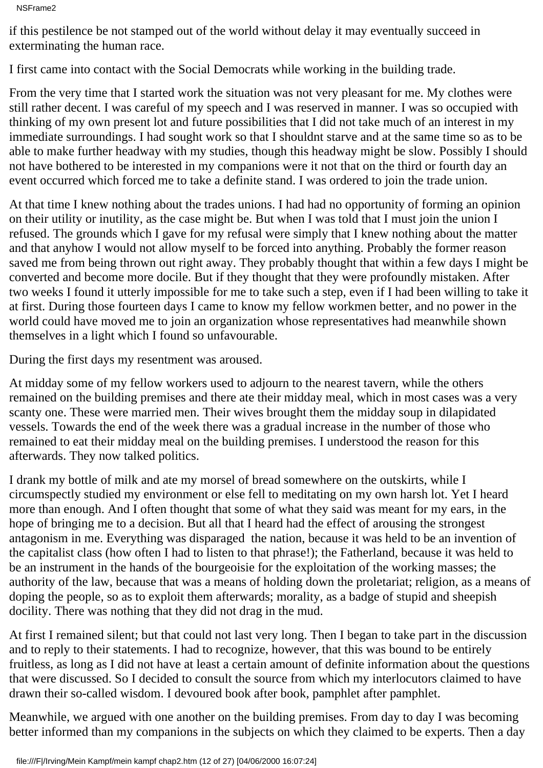NSFrame2

if this pestilence be not stamped out of the world without delay it may eventually succeed in exterminating the human race.

I first came into contact with the Social Democrats while working in the building trade.

From the very time that I started work the situation was not very pleasant for me. My clothes were still rather decent. I was careful of my speech and I was reserved in manner. I was so occupied with thinking of my own present lot and future possibilities that I did not take much of an interest in my immediate surroundings. I had sought work so that I shouldn t starve and at the same time so as to be able to make further headway with my studies, though this headway might be slow. Possibly I should not have bothered to be interested in my companions were it not that on the third or fourth day an event occurred which forced me to take a definite stand. I was ordered to join the trade union.

At that time I knew nothing about the trades unions. I had had no opportunity of forming an opinion on their utility or inutility, as the case might be. But when I was told that I must join the union I refused. The grounds which I gave for my refusal were simply that I knew nothing about the matter and that anyhow I would not allow myself to be forced into anything. Probably the former reason saved me from being thrown out right away. They probably thought that within a few days I might be converted and become more docile. But if they thought that they were profoundly mistaken. After two weeks I found it utterly impossible for me to take such a step, even if I had been willing to take it at first. During those fourteen days I came to know my fellow workmen better, and no power in the world could have moved me to join an organization whose representatives had meanwhile shown themselves in a light which I found so unfavourable.

During the first days my resentment was aroused.

At midday some of my fellow workers used to adjourn to the nearest tavern, while the others remained on the building premises and there ate their midday meal, which in most cases was a very scanty one. These were married men. Their wives brought them the midday soup in dilapidated vessels. Towards the end of the week there was a gradual increase in the number of those who remained to eat their midday meal on the building premises. I understood the reason for this afterwards. They now talked politics.

I drank my bottle of milk and ate my morsel of bread somewhere on the outskirts, while I circumspectly studied my environment or else fell to meditating on my own harsh lot. Yet I heard more than enough. And I often thought that some of what they said was meant for my ears, in the hope of bringing me to a decision. But all that I heard had the effect of arousing the strongest antagonism in me. Everything was disparaged the nation, because it was held to be an invention of the capitalist class (how often I had to listen to that phrase!); the Fatherland, because it was held to be an instrument in the hands of the bourgeoisie for the exploitation of the working masses; the authority of the law, because that was a means of holding down the proletariat; religion, as a means of doping the people, so as to exploit them afterwards; morality, as a badge of stupid and sheepish docility. There was nothing that they did not drag in the mud.

At first I remained silent; but that could not last very long. Then I began to take part in the discussion and to reply to their statements. I had to recognize, however, that this was bound to be entirely fruitless, as long as I did not have at least a certain amount of definite information about the questions that were discussed. So I decided to consult the source from which my interlocutors claimed to have drawn their so-called wisdom. I devoured book after book, pamphlet after pamphlet.

Meanwhile, we argued with one another on the building premises. From day to day I was becoming better informed than my companions in the subjects on which they claimed to be experts. Then a day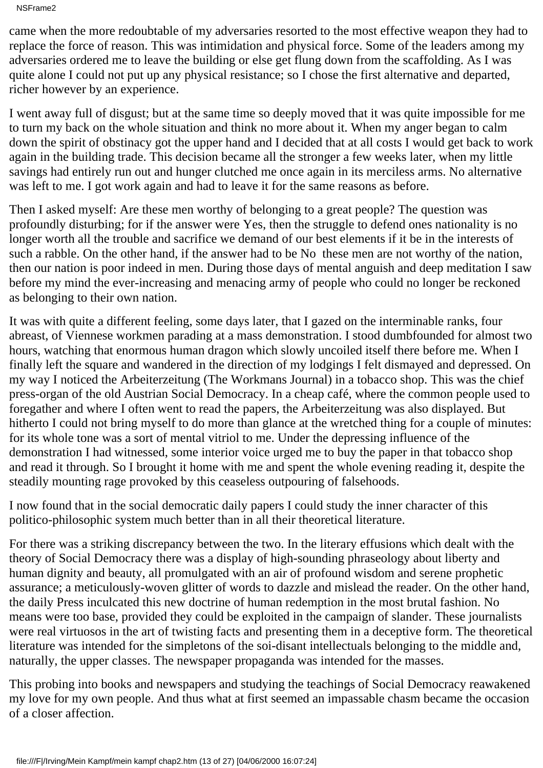NSFrame2

came when the more redoubtable of my adversaries resorted to the most effective weapon they had to replace the force of reason. This was intimidation and physical force. Some of the leaders among my adversaries ordered me to leave the building or else get flung down from the scaffolding. As I was quite alone I could not put up any physical resistance; so I chose the first alternative and departed, richer however by an experience.

I went away full of disgust; but at the same time so deeply moved that it was quite impossible for me to turn my back on the whole situation and think no more about it. When my anger began to calm down the spirit of obstinacy got the upper hand and I decided that at all costs I would get back to work again in the building trade. This decision became all the stronger a few weeks later, when my little savings had entirely run out and hunger clutched me once again in its merciless arms. No alternative was left to me. I got work again and had to leave it for the same reasons as before.

Then I asked myself: Are these men worthy of belonging to a great people? The question was profoundly disturbing; for if the answer were Yes, then the struggle to defend ones nationality is no longer worth all the trouble and sacrifice we demand of our best elements if it be in the interests of such a rabble. On the other hand, if the answer had to be No these men are not worthy of the nation, then our nation is poor indeed in men. During those days of mental anguish and deep meditation I saw before my mind the ever-increasing and menacing army of people who could no longer be reckoned as belonging to their own nation.

It was with quite a different feeling, some days later, that I gazed on the interminable ranks, four abreast, of Viennese workmen parading at a mass demonstration. I stood dumbfounded for almost two hours, watching that enormous human dragon which slowly uncoiled itself there before me. When I finally left the square and wandered in the direction of my lodgings I felt dismayed and depressed. On my way I noticed the Arbeiterzeitung (The Workmans Journal) in a tobacco shop. This was the chief press-organ of the old Austrian Social Democracy. In a cheap café, where the common people used to foregather and where I often went to read the papers, the Arbeiterzeitung was also displayed. But hitherto I could not bring myself to do more than glance at the wretched thing for a couple of minutes: for its whole tone was a sort of mental vitriol to me. Under the depressing influence of the demonstration I had witnessed, some interior voice urged me to buy the paper in that tobacco shop and read it through. So I brought it home with me and spent the whole evening reading it, despite the steadily mounting rage provoked by this ceaseless outpouring of falsehoods.

I now found that in the social democratic daily papers I could study the inner character of this politico-philosophic system much better than in all their theoretical literature.

For there was a striking discrepancy between the two. In the literary effusions which dealt with the theory of Social Democracy there was a display of high-sounding phraseology about liberty and human dignity and beauty, all promulgated with an air of profound wisdom and serene prophetic assurance; a meticulously-woven glitter of words to dazzle and mislead the reader. On the other hand, the daily Press inculcated this new doctrine of human redemption in the most brutal fashion. No means were too base, provided they could be exploited in the campaign of slander. These journalists were real virtuosos in the art of twisting facts and presenting them in a deceptive form. The theoretical literature was intended for the simpletons of the soi-disant intellectuals belonging to the middle and, naturally, the upper classes. The newspaper propaganda was intended for the masses.

This probing into books and newspapers and studying the teachings of Social Democracy reawakened my love for my own people. And thus what at first seemed an impassable chasm became the occasion of a closer affection.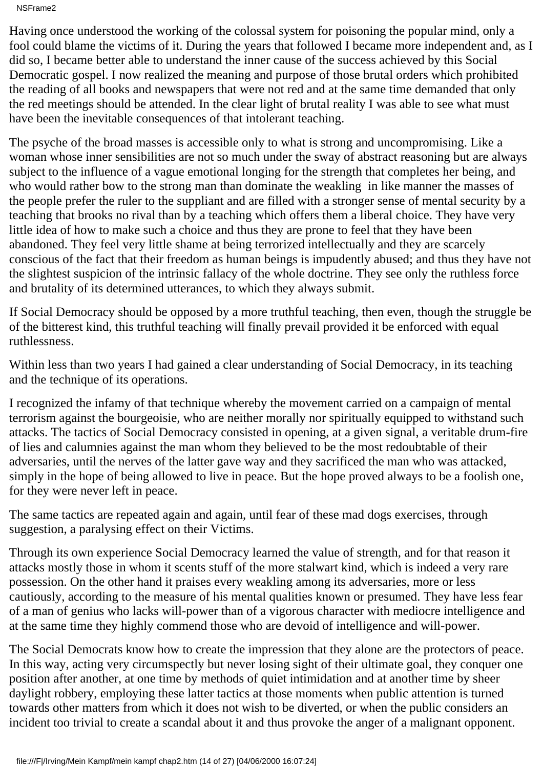NSFrame2

Having once understood the working of the colossal system for poisoning the popular mind, only a fool could blame the victims of it. During the years that followed I became more independent and, as I did so, I became better able to understand the inner cause of the success achieved by this Social Democratic gospel. I now realized the meaning and purpose of those brutal orders which prohibited the reading of all books and newspapers that were not red and at the same time demanded that only the red meetings should be attended. In the clear light of brutal reality I was able to see what must have been the inevitable consequences of that intolerant teaching.

The psyche of the broad masses is accessible only to what is strong and uncompromising. Like a woman whose inner sensibilities are not so much under the sway of abstract reasoning but are always subject to the influence of a vague emotional longing for the strength that completes her being, and who would rather bow to the strong man than dominate the weakling in like manner the masses of the people prefer the ruler to the suppliant and are filled with a stronger sense of mental security by a teaching that brooks no rival than by a teaching which offers them a liberal choice. They have very little idea of how to make such a choice and thus they are prone to feel that they have been abandoned. They feel very little shame at being terrorized intellectually and they are scarcely conscious of the fact that their freedom as human beings is impudently abused; and thus they have not the slightest suspicion of the intrinsic fallacy of the whole doctrine. They see only the ruthless force and brutality of its determined utterances, to which they always submit.

If Social Democracy should be opposed by a more truthful teaching, then even, though the struggle be of the bitterest kind, this truthful teaching will finally prevail provided it be enforced with equal ruthlessness.

Within less than two years I had gained a clear understanding of Social Democracy, in its teaching and the technique of its operations.

I recognized the infamy of that technique whereby the movement carried on a campaign of mental terrorism against the bourgeoisie, who are neither morally nor spiritually equipped to withstand such attacks. The tactics of Social Democracy consisted in opening, at a given signal, a veritable drum-fire of lies and calumnies against the man whom they believed to be the most redoubtable of their adversaries, until the nerves of the latter gave way and they sacrificed the man who was attacked, simply in the hope of being allowed to live in peace. But the hope proved always to be a foolish one, for they were never left in peace.

The same tactics are repeated again and again, until fear of these mad dogs exercises, through suggestion, a paralysing effect on their Victims.

Through its own experience Social Democracy learned the value of strength, and for that reason it attacks mostly those in whom it scents stuff of the more stalwart kind, which is indeed a very rare possession. On the other hand it praises every weakling among its adversaries, more or less cautiously, according to the measure of his mental qualities known or presumed. They have less fear of a man of genius who lacks will-power than of a vigorous character with mediocre intelligence and at the same time they highly commend those who are devoid of intelligence and will-power.

The Social Democrats know how to create the impression that they alone are the protectors of peace. In this way, acting very circumspectly but never losing sight of their ultimate goal, they conquer one position after another, at one time by methods of quiet intimidation and at another time by sheer daylight robbery, employing these latter tactics at those moments when public attention is turned towards other matters from which it does not wish to be diverted, or when the public considers an incident too trivial to create a scandal about it and thus provoke the anger of a malignant opponent.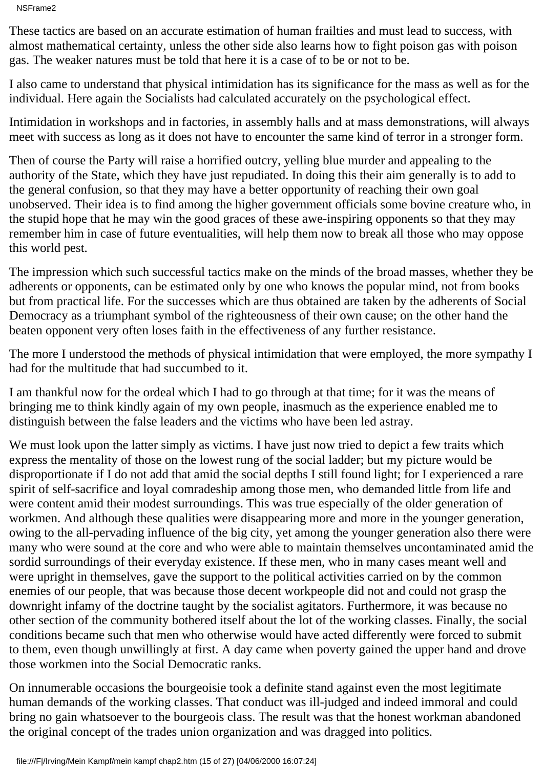NSFrame2

These tactics are based on an accurate estimation of human frailties and must lead to success, with almost mathematical certainty, unless the other side also learns how to fight poison gas with poison gas. The weaker natures must be told that here it is a case of to be or not to be.

I also came to understand that physical intimidation has its significance for the mass as well as for the individual. Here again the Socialists had calculated accurately on the psychological effect.

Intimidation in workshops and in factories, in assembly halls and at mass demonstrations, will always meet with success as long as it does not have to encounter the same kind of terror in a stronger form.

Then of course the Party will raise a horrified outcry, yelling blue murder and appealing to the authority of the State, which they have just repudiated. In doing this their aim generally is to add to the general confusion, so that they may have a better opportunity of reaching their own goal unobserved. Their idea is to find among the higher government officials some bovine creature who, in the stupid hope that he may win the good graces of these awe-inspiring opponents so that they may remember him in case of future eventualities, will help them now to break all those who may oppose this world pest.

The impression which such successful tactics make on the minds of the broad masses, whether they be adherents or opponents, can be estimated only by one who knows the popular mind, not from books but from practical life. For the successes which are thus obtained are taken by the adherents of Social Democracy as a triumphant symbol of the righteousness of their own cause; on the other hand the beaten opponent very often loses faith in the effectiveness of any further resistance.

The more I understood the methods of physical intimidation that were employed, the more sympathy I had for the multitude that had succumbed to it.

I am thankful now for the ordeal which I had to go through at that time; for it was the means of bringing me to think kindly again of my own people, inasmuch as the experience enabled me to distinguish between the false leaders and the victims who have been led astray.

We must look upon the latter simply as victims. I have just now tried to depict a few traits which express the mentality of those on the lowest rung of the social ladder; but my picture would be disproportionate if I do not add that amid the social depths I still found light; for I experienced a rare spirit of self-sacrifice and loyal comradeship among those men, who demanded little from life and were content amid their modest surroundings. This was true especially of the older generation of workmen. And although these qualities were disappearing more and more in the younger generation, owing to the all-pervading influence of the big city, yet among the younger generation also there were many who were sound at the core and who were able to maintain themselves uncontaminated amid the sordid surroundings of their everyday existence. If these men, who in many cases meant well and were upright in themselves, gave the support to the political activities carried on by the common enemies of our people, that was because those decent workpeople did not and could not grasp the downright infamy of the doctrine taught by the socialist agitators. Furthermore, it was because no other section of the community bothered itself about the lot of the working classes. Finally, the social conditions became such that men who otherwise would have acted differently were forced to submit to them, even though unwillingly at first. A day came when poverty gained the upper hand and drove those workmen into the Social Democratic ranks.

On innumerable occasions the bourgeoisie took a definite stand against even the most legitimate human demands of the working classes. That conduct was ill-judged and indeed immoral and could bring no gain whatsoever to the bourgeois class. The result was that the honest workman abandoned the original concept of the trades union organization and was dragged into politics.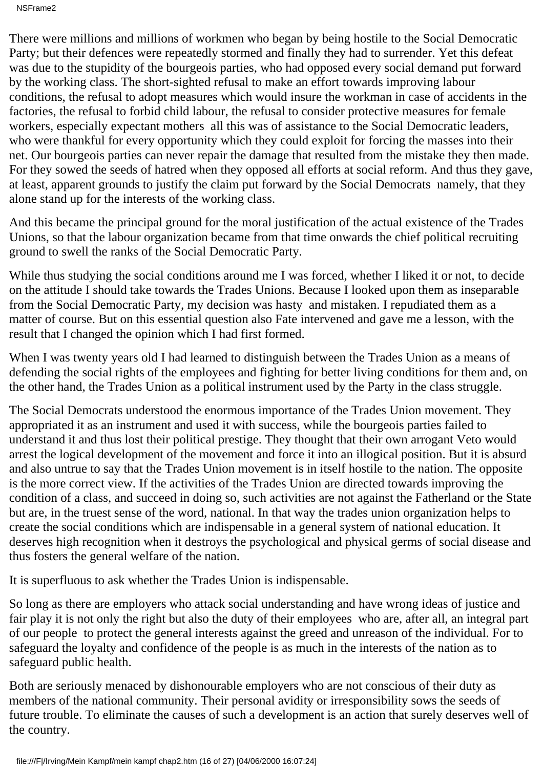NSFrame2

There were millions and millions of workmen who began by being hostile to the Social Democratic Party; but their defences were repeatedly stormed and finally they had to surrender. Yet this defeat was due to the stupidity of the bourgeois parties, who had opposed every social demand put forward by the working class. The short-sighted refusal to make an effort towards improving labour conditions, the refusal to adopt measures which would insure the workman in case of accidents in the factories, the refusal to forbid child labour, the refusal to consider protective measures for female workers, especially expectant mothers all this was of assistance to the Social Democratic leaders, who were thankful for every opportunity which they could exploit for forcing the masses into their net. Our bourgeois parties can never repair the damage that resulted from the mistake they then made. For they sowed the seeds of hatred when they opposed all efforts at social reform. And thus they gave, at least, apparent grounds to justify the claim put forward by the Social Democrats namely, that they alone stand up for the interests of the working class.

And this became the principal ground for the moral justification of the actual existence of the Trades Unions, so that the labour organization became from that time onwards the chief political recruiting ground to swell the ranks of the Social Democratic Party.

While thus studying the social conditions around me I was forced, whether I liked it or not, to decide on the attitude I should take towards the Trades Unions. Because I looked upon them as inseparable from the Social Democratic Party, my decision was hasty and mistaken. I repudiated them as a matter of course. But on this essential question also Fate intervened and gave me a lesson, with the result that I changed the opinion which I had first formed.

When I was twenty years old I had learned to distinguish between the Trades Union as a means of defending the social rights of the employees and fighting for better living conditions for them and, on the other hand, the Trades Union as a political instrument used by the Party in the class struggle.

The Social Democrats understood the enormous importance of the Trades Union movement. They appropriated it as an instrument and used it with success, while the bourgeois parties failed to understand it and thus lost their political prestige. They thought that their own arrogant Veto would arrest the logical development of the movement and force it into an illogical position. But it is absurd and also untrue to say that the Trades Union movement is in itself hostile to the nation. The opposite is the more correct view. If the activities of the Trades Union are directed towards improving the condition of a class, and succeed in doing so, such activities are not against the Fatherland or the State but are, in the truest sense of the word, national. In that way the trades union organization helps to create the social conditions which are indispensable in a general system of national education. It deserves high recognition when it destroys the psychological and physical germs of social disease and thus fosters the general welfare of the nation.

It is superfluous to ask whether the Trades Union is indispensable.

So long as there are employers who attack social understanding and have wrong ideas of justice and fair play it is not only the right but also the duty of their employees who are, after all, an integral part of our people to protect the general interests against the greed and unreason of the individual. For to safeguard the loyalty and confidence of the people is as much in the interests of the nation as to safeguard public health.

Both are seriously menaced by dishonourable employers who are not conscious of their duty as members of the national community. Their personal avidity or irresponsibility sows the seeds of future trouble. To eliminate the causes of such a development is an action that surely deserves well of the country.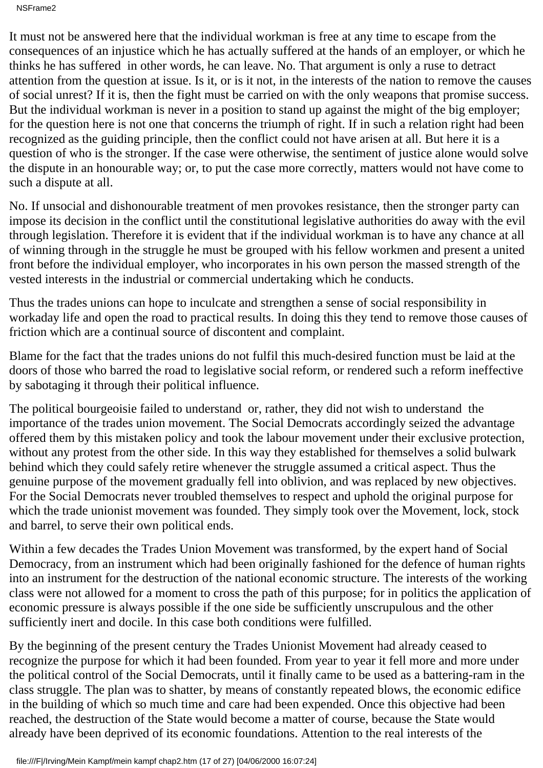It must not be answered here that the individual workman is free at any time to escape from the consequences of an injustice which he has actually suffered at the hands of an employer, or which he thinks he has suffered in other words, he can leave. No. That argument is only a ruse to detract attention from the question at issue. Is it, or is it not, in the interests of the nation to remove the causes of social unrest? If it is, then the fight must be carried on with the only weapons that promise success. But the individual workman is never in a position to stand up against the might of the big employer; for the question here is not one that concerns the triumph of right. If in such a relation right had been recognized as the guiding principle, then the conflict could not have arisen at all. But here it is a question of who is the stronger. If the case were otherwise, the sentiment of justice alone would solve the dispute in an honourable way; or, to put the case more correctly, matters would not have come to such a dispute at all.

No. If unsocial and dishonourable treatment of men provokes resistance, then the stronger party can impose its decision in the conflict until the constitutional legislative authorities do away with the evil through legislation. Therefore it is evident that if the individual workman is to have any chance at all of winning through in the struggle he must be grouped with his fellow workmen and present a united front before the individual employer, who incorporates in his own person the massed strength of the vested interests in the industrial or commercial undertaking which he conducts.

Thus the trades unions can hope to inculcate and strengthen a sense of social responsibility in workaday life and open the road to practical results. In doing this they tend to remove those causes of friction which are a continual source of discontent and complaint.

Blame for the fact that the trades unions do not fulfil this much-desired function must be laid at the doors of those who barred the road to legislative social reform, or rendered such a reform ineffective by sabotaging it through their political influence.

The political bourgeoisie failed to understand or, rather, they did not wish to understand the importance of the trades union movement. The Social Democrats accordingly seized the advantage offered them by this mistaken policy and took the labour movement under their exclusive protection, without any protest from the other side. In this way they established for themselves a solid bulwark behind which they could safely retire whenever the struggle assumed a critical aspect. Thus the genuine purpose of the movement gradually fell into oblivion, and was replaced by new objectives. For the Social Democrats never troubled themselves to respect and uphold the original purpose for which the trade unionist movement was founded. They simply took over the Movement, lock, stock and barrel, to serve their own political ends.

Within a few decades the Trades Union Movement was transformed, by the expert hand of Social Democracy, from an instrument which had been originally fashioned for the defence of human rights into an instrument for the destruction of the national economic structure. The interests of the working class were not allowed for a moment to cross the path of this purpose; for in politics the application of economic pressure is always possible if the one side be sufficiently unscrupulous and the other sufficiently inert and docile. In this case both conditions were fulfilled.

By the beginning of the present century the Trades Unionist Movement had already ceased to recognize the purpose for which it had been founded. From year to year it fell more and more under the political control of the Social Democrats, until it finally came to be used as a battering-ram in the class struggle. The plan was to shatter, by means of constantly repeated blows, the economic edifice in the building of which so much time and care had been expended. Once this objective had been reached, the destruction of the State would become a matter of course, because the State would already have been deprived of its economic foundations. Attention to the real interests of the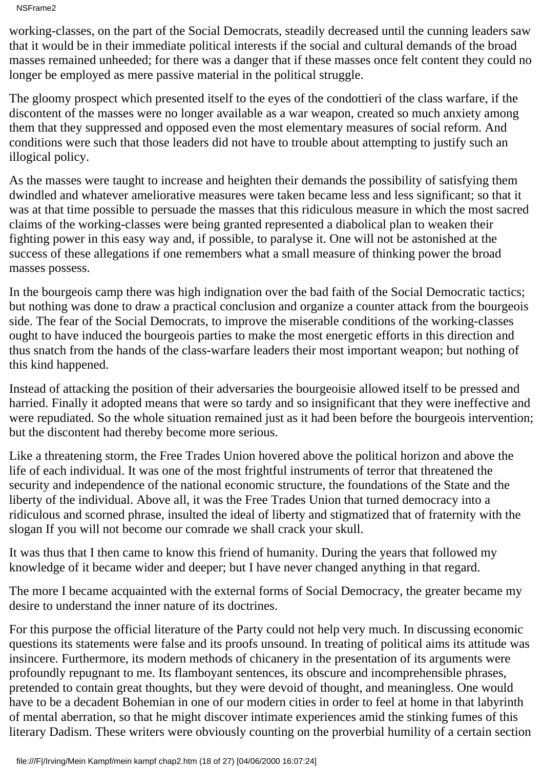NSFrame2

working-classes, on the part of the Social Democrats, steadily decreased until the cunning leaders saw that it would be in their immediate political interests if the social and cultural demands of the broad masses remained unheeded; for there was a danger that if these masses once felt content they could no longer be employed as mere passive material in the political struggle.

The gloomy prospect which presented itself to the eyes of the condottieri of the class warfare, if the discontent of the masses were no longer available as a war weapon, created so much anxiety among them that they suppressed and opposed even the most elementary measures of social reform. And conditions were such that those leaders did not have to trouble about attempting to justify such an illogical policy.

As the masses were taught to increase and heighten their demands the possibility of satisfying them dwindled and whatever ameliorative measures were taken became less and less significant; so that it was at that time possible to persuade the masses that this ridiculous measure in which the most sacred claims of the working-classes were being granted represented a diabolical plan to weaken their fighting power in this easy way and, if possible, to paralyse it. One will not be astonished at the success of these allegations if one remembers what a small measure of thinking power the broad masses possess.

In the bourgeois camp there was high indignation over the bad faith of the Social Democratic tactics; but nothing was done to draw a practical conclusion and organize a counter attack from the bourgeois side. The fear of the Social Democrats, to improve the miserable conditions of the working-classes ought to have induced the bourgeois parties to make the most energetic efforts in this direction and thus snatch from the hands of the class-warfare leaders their most important weapon; but nothing of this kind happened.

Instead of attacking the position of their adversaries the bourgeoisie allowed itself to be pressed and harried. Finally it adopted means that were so tardy and so insignificant that they were ineffective and were repudiated. So the whole situation remained just as it had been before the bourgeois intervention; but the discontent had thereby become more serious.

Like a threatening storm, the Free Trades Union hovered above the political horizon and above the life of each individual. It was one of the most frightful instruments of terror that threatened the security and independence of the national economic structure, the foundations of the State and the liberty of the individual. Above all, it was the Free Trades Union that turned democracy into a ridiculous and scorned phrase, insulted the ideal of liberty and stigmatized that of fraternity with the slogan If you will not become our comrade we shall crack your skull.

It was thus that I then came to know this friend of humanity. During the years that followed my knowledge of it became wider and deeper; but I have never changed anything in that regard.

The more I became acquainted with the external forms of Social Democracy, the greater became my desire to understand the inner nature of its doctrines.

For this purpose the official literature of the Party could not help very much. In discussing economic questions its statements were false and its proofs unsound. In treating of political aims its attitude was insincere. Furthermore, its modern methods of chicanery in the presentation of its arguments were profoundly repugnant to me. Its flamboyant sentences, its obscure and incomprehensible phrases, pretended to contain great thoughts, but they were devoid of thought, and meaningless. One would have to be a decadent Bohemian in one of our modern cities in order to feel at home in that labyrinth of mental aberration, so that he might discover intimate experiences amid the stinking fumes of this literary Dadism. These writers were obviously counting on the proverbial humility of a certain section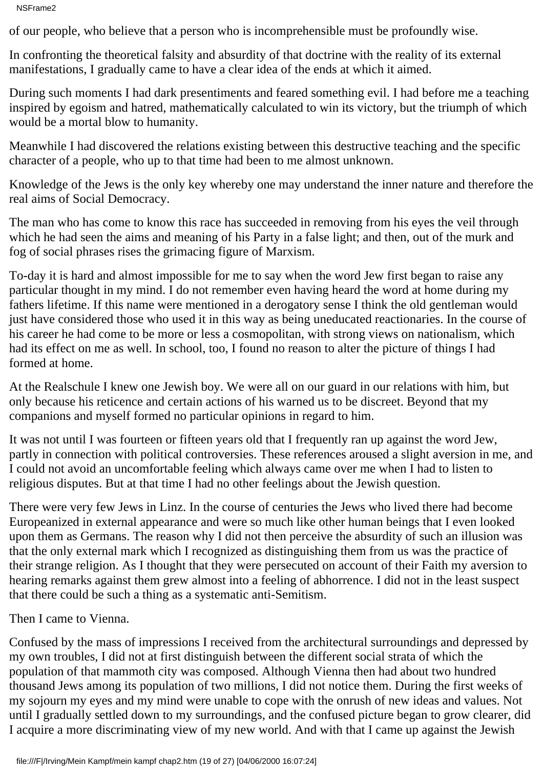of our people, who believe that a person who is incomprehensible must be profoundly wise.

In confronting the theoretical falsity and absurdity of that doctrine with the reality of its external manifestations, I gradually came to have a clear idea of the ends at which it aimed.

During such moments I had dark presentiments and feared something evil. I had before me a teaching inspired by egoism and hatred, mathematically calculated to win its victory, but the triumph of which would be a mortal blow to humanity.

Meanwhile I had discovered the relations existing between this destructive teaching and the specific character of a people, who up to that time had been to me almost unknown.

Knowledge of the Jews is the only key whereby one may understand the inner nature and therefore the real aims of Social Democracy.

The man who has come to know this race has succeeded in removing from his eyes the veil through which he had seen the aims and meaning of his Party in a false light; and then, out of the murk and fog of social phrases rises the grimacing figure of Marxism.

To-day it is hard and almost impossible for me to say when the word Jew first began to raise any particular thought in my mind. I do not remember even having heard the word at home during my father s lifetime. If this name were mentioned in a derogatory sense I think the old gentleman would just have considered those who used it in this way as being uneducated reactionaries. In the course of his career he had come to be more or less a cosmopolitan, with strong views on nationalism, which had its effect on me as well. In school, too, I found no reason to alter the picture of things I had formed at home.

At the Realschule I knew one Jewish boy. We were all on our guard in our relations with him, but only because his reticence and certain actions of his warned us to be discreet. Beyond that my companions and myself formed no particular opinions in regard to him.

It was not until I was fourteen or fifteen years old that I frequently ran up against the word Jew, partly in connection with political controversies. These references aroused a slight aversion in me, and I could not avoid an uncomfortable feeling which always came over me when I had to listen to religious disputes. But at that time I had no other feelings about the Jewish question.

There were very few Jews in Linz. In the course of centuries the Jews who lived there had become Europeanized in external appearance and were so much like other human beings that I even looked upon them as Germans. The reason why I did not then perceive the absurdity of such an illusion was that the only external mark which I recognized as distinguishing them from us was the practice of their strange religion. As I thought that they were persecuted on account of their Faith my aversion to hearing remarks against them grew almost into a feeling of abhorrence. I did not in the least suspect that there could be such a thing as a systematic anti-Semitism.

Then I came to Vienna.

Confused by the mass of impressions I received from the architectural surroundings and depressed by my own troubles, I did not at first distinguish between the different social strata of which the population of that mammoth city was composed. Although Vienna then had about two hundred thousand Jews among its population of two millions, I did not notice them. During the first weeks of my sojourn my eyes and my mind were unable to cope with the onrush of new ideas and values. Not until I gradually settled down to my surroundings, and the confused picture began to grow clearer, did I acquire a more discriminating view of my new world. And with that I came up against the Jewish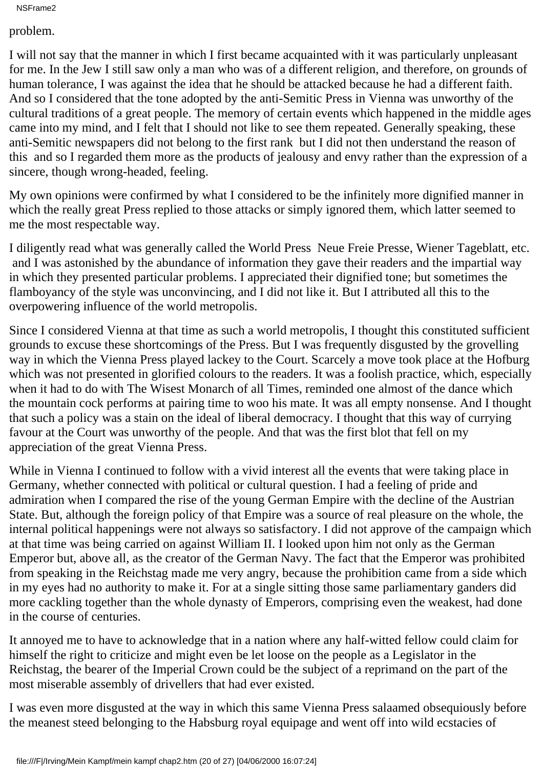NSFrame2

# problem.

I will not say that the manner in which I first became acquainted with it was particularly unpleasant for me. In the Jew I still saw only a man who was of a different religion, and therefore, on grounds of human tolerance, I was against the idea that he should be attacked because he had a different faith. And so I considered that the tone adopted by the anti-Semitic Press in Vienna was unworthy of the cultural traditions of a great people. The memory of certain events which happened in the middle ages came into my mind, and I felt that I should not like to see them repeated. Generally speaking, these anti-Semitic newspapers did not belong to the first rank but I did not then understand the reason of this and so I regarded them more as the products of jealousy and envy rather than the expression of a sincere, though wrong-headed, feeling.

My own opinions were confirmed by what I considered to be the infinitely more dignified manner in which the really great Press replied to those attacks or simply ignored them, which latter seemed to me the most respectable way.

I diligently read what was generally called the World Press Neue Freie Presse, Wiener Tageblatt, etc. and I was astonished by the abundance of information they gave their readers and the impartial way in which they presented particular problems. I appreciated their dignified tone; but sometimes the flamboyancy of the style was unconvincing, and I did not like it. But I attributed all this to the overpowering influence of the world metropolis.

Since I considered Vienna at that time as such a world metropolis, I thought this constituted sufficient grounds to excuse these shortcomings of the Press. But I was frequently disgusted by the grovelling way in which the Vienna Press played lackey to the Court. Scarcely a move took place at the Hofburg which was not presented in glorified colours to the readers. It was a foolish practice, which, especially when it had to do with The Wisest Monarch of all Times, reminded one almost of the dance which the mountain cock performs at pairing time to woo his mate. It was all empty nonsense. And I thought that such a policy was a stain on the ideal of liberal democracy. I thought that this way of currying favour at the Court was unworthy of the people. And that was the first blot that fell on my appreciation of the great Vienna Press.

While in Vienna I continued to follow with a vivid interest all the events that were taking place in Germany, whether connected with political or cultural question. I had a feeling of pride and admiration when I compared the rise of the young German Empire with the decline of the Austrian State. But, although the foreign policy of that Empire was a source of real pleasure on the whole, the internal political happenings were not always so satisfactory. I did not approve of the campaign which at that time was being carried on against William II. I looked upon him not only as the German Emperor but, above all, as the creator of the German Navy. The fact that the Emperor was prohibited from speaking in the Reichstag made me very angry, because the prohibition came from a side which in my eyes had no authority to make it. For at a single sitting those same parliamentary ganders did more cackling together than the whole dynasty of Emperors, comprising even the weakest, had done in the course of centuries.

It annoyed me to have to acknowledge that in a nation where any half-witted fellow could claim for himself the right to criticize and might even be let loose on the people as a Legislator in the Reichstag, the bearer of the Imperial Crown could be the subject of a reprimand on the part of the most miserable assembly of drivellers that had ever existed.

I was even more disgusted at the way in which this same Vienna Press salaamed obsequiously before the meanest steed belonging to the Habsburg royal equipage and went off into wild ecstacies of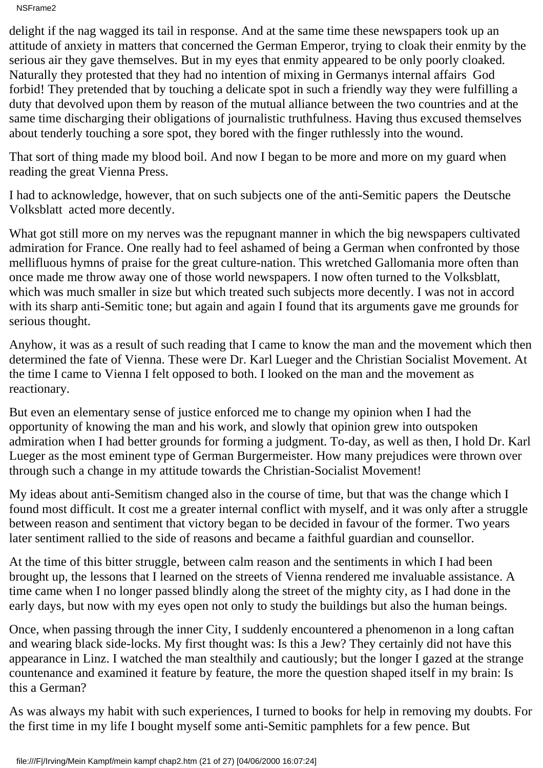NSFrame2

delight if the nag wagged its tail in response. And at the same time these newspapers took up an attitude of anxiety in matters that concerned the German Emperor, trying to cloak their enmity by the serious air they gave themselves. But in my eyes that enmity appeared to be only poorly cloaked. Naturally they protested that they had no intention of mixing in Germanys internal affairs God forbid! They pretended that by touching a delicate spot in such a friendly way they were fulfilling a duty that devolved upon them by reason of the mutual alliance between the two countries and at the same time discharging their obligations of journalistic truthfulness. Having thus excused themselves about tenderly touching a sore spot, they bored with the finger ruthlessly into the wound.

That sort of thing made my blood boil. And now I began to be more and more on my guard when reading the great Vienna Press.

I had to acknowledge, however, that on such subjects one of the anti-Semitic papers the Deutsche Volksblatt acted more decently.

What got still more on my nerves was the repugnant manner in which the big newspapers cultivated admiration for France. One really had to feel ashamed of being a German when confronted by those mellifluous hymns of praise for the great culture-nation. This wretched Gallomania more often than once made me throw away one of those world newspapers. I now often turned to the Volksblatt, which was much smaller in size but which treated such subjects more decently. I was not in accord with its sharp anti-Semitic tone; but again and again I found that its arguments gave me grounds for serious thought.

Anyhow, it was as a result of such reading that I came to know the man and the movement which then determined the fate of Vienna. These were Dr. Karl Lueger and the Christian Socialist Movement. At the time I came to Vienna I felt opposed to both. I looked on the man and the movement as reactionary.

But even an elementary sense of justice enforced me to change my opinion when I had the opportunity of knowing the man and his work, and slowly that opinion grew into outspoken admiration when I had better grounds for forming a judgment. To-day, as well as then, I hold Dr. Karl Lueger as the most eminent type of German Burgermeister. How many prejudices were thrown over through such a change in my attitude towards the Christian-Socialist Movement!

My ideas about anti-Semitism changed also in the course of time, but that was the change which I found most difficult. It cost me a greater internal conflict with myself, and it was only after a struggle between reason and sentiment that victory began to be decided in favour of the former. Two years later sentiment rallied to the side of reasons and became a faithful guardian and counsellor.

At the time of this bitter struggle, between calm reason and the sentiments in which I had been brought up, the lessons that I learned on the streets of Vienna rendered me invaluable assistance. A time came when I no longer passed blindly along the street of the mighty city, as I had done in the early days, but now with my eyes open not only to study the buildings but also the human beings.

Once, when passing through the inner City, I suddenly encountered a phenomenon in a long caftan and wearing black side-locks. My first thought was: Is this a Jew? They certainly did not have this appearance in Linz. I watched the man stealthily and cautiously; but the longer I gazed at the strange countenance and examined it feature by feature, the more the question shaped itself in my brain: Is this a German?

As was always my habit with such experiences, I turned to books for help in removing my doubts. For the first time in my life I bought myself some anti-Semitic pamphlets for a few pence. But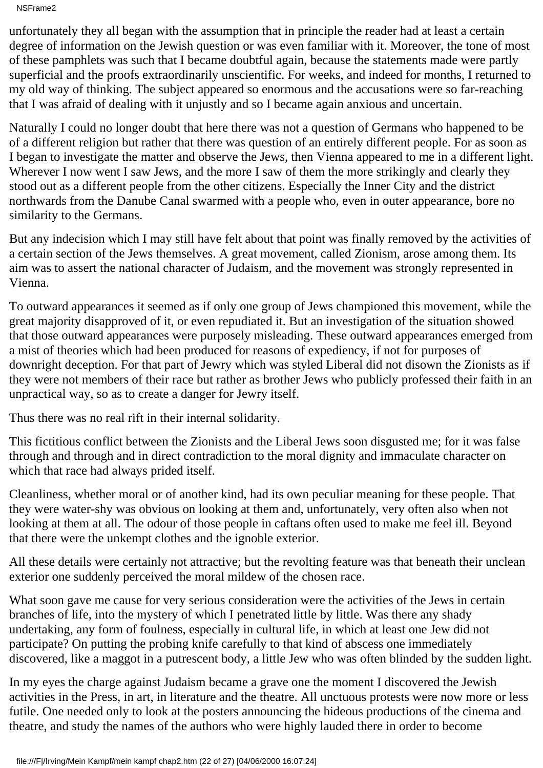NSFrame2

unfortunately they all began with the assumption that in principle the reader had at least a certain degree of information on the Jewish question or was even familiar with it. Moreover, the tone of most of these pamphlets was such that I became doubtful again, because the statements made were partly superficial and the proofs extraordinarily unscientific. For weeks, and indeed for months, I returned to my old way of thinking. The subject appeared so enormous and the accusations were so far-reaching that I was afraid of dealing with it unjustly and so I became again anxious and uncertain.

Naturally I could no longer doubt that here there was not a question of Germans who happened to be of a different religion but rather that there was question of an entirely different people. For as soon as I began to investigate the matter and observe the Jews, then Vienna appeared to me in a different light. Wherever I now went I saw Jews, and the more I saw of them the more strikingly and clearly they stood out as a different people from the other citizens. Especially the Inner City and the district northwards from the Danube Canal swarmed with a people who, even in outer appearance, bore no similarity to the Germans.

But any indecision which I may still have felt about that point was finally removed by the activities of a certain section of the Jews themselves. A great movement, called Zionism, arose among them. Its aim was to assert the national character of Judaism, and the movement was strongly represented in Vienna.

To outward appearances it seemed as if only one group of Jews championed this movement, while the great majority disapproved of it, or even repudiated it. But an investigation of the situation showed that those outward appearances were purposely misleading. These outward appearances emerged from a mist of theories which had been produced for reasons of expediency, if not for purposes of downright deception. For that part of Jewry which was styled Liberal did not disown the Zionists as if they were not members of their race but rather as brother Jews who publicly professed their faith in an unpractical way, so as to create a danger for Jewry itself.

Thus there was no real rift in their internal solidarity.

This fictitious conflict between the Zionists and the Liberal Jews soon disgusted me; for it was false through and through and in direct contradiction to the moral dignity and immaculate character on which that race had always prided itself.

Cleanliness, whether moral or of another kind, had its own peculiar meaning for these people. That they were water-shy was obvious on looking at them and, unfortunately, very often also when not looking at them at all. The odour of those people in caftans often used to make me feel ill. Beyond that there were the unkempt clothes and the ignoble exterior.

All these details were certainly not attractive; but the revolting feature was that beneath their unclean exterior one suddenly perceived the moral mildew of the chosen race.

What soon gave me cause for very serious consideration were the activities of the Jews in certain branches of life, into the mystery of which I penetrated little by little. Was there any shady undertaking, any form of foulness, especially in cultural life, in which at least one Jew did not participate? On putting the probing knife carefully to that kind of abscess one immediately discovered, like a maggot in a putrescent body, a little Jew who was often blinded by the sudden light.

In my eyes the charge against Judaism became a grave one the moment I discovered the Jewish activities in the Press, in art, in literature and the theatre. All unctuous protests were now more or less futile. One needed only to look at the posters announcing the hideous productions of the cinema and theatre, and study the names of the authors who were highly lauded there in order to become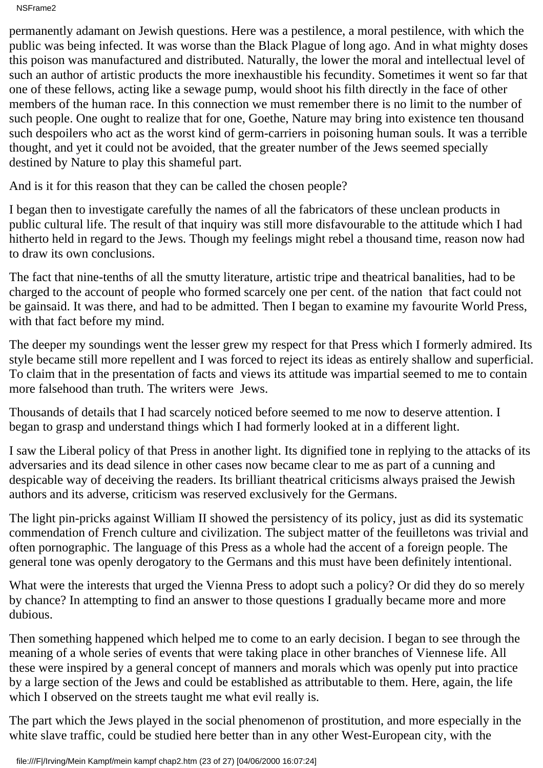permanently adamant on Jewish questions. Here was a pestilence, a moral pestilence, with which the public was being infected. It was worse than the Black Plague of long ago. And in what mighty doses this poison was manufactured and distributed. Naturally, the lower the moral and intellectual level of such an author of artistic products the more inexhaustible his fecundity. Sometimes it went so far that one of these fellows, acting like a sewage pump, would shoot his filth directly in the face of other members of the human race. In this connection we must remember there is no limit to the number of such people. One ought to realize that for one, Goethe, Nature may bring into existence ten thousand such despoilers who act as the worst kind of germ-carriers in poisoning human souls. It was a terrible thought, and yet it could not be avoided, that the greater number of the Jews seemed specially destined by Nature to play this shameful part.

And is it for this reason that they can be called the chosen people?

I began then to investigate carefully the names of all the fabricators of these unclean products in public cultural life. The result of that inquiry was still more disfavourable to the attitude which I had hitherto held in regard to the Jews. Though my feelings might rebel a thousand time, reason now had to draw its own conclusions.

The fact that nine-tenths of all the smutty literature, artistic tripe and theatrical banalities, had to be charged to the account of people who formed scarcely one per cent. of the nation that fact could not be gainsaid. It was there, and had to be admitted. Then I began to examine my favourite World Press, with that fact before my mind.

The deeper my soundings went the lesser grew my respect for that Press which I formerly admired. Its style became still more repellent and I was forced to reject its ideas as entirely shallow and superficial. To claim that in the presentation of facts and views its attitude was impartial seemed to me to contain more falsehood than truth. The writers were Jews.

Thousands of details that I had scarcely noticed before seemed to me now to deserve attention. I began to grasp and understand things which I had formerly looked at in a different light.

I saw the Liberal policy of that Press in another light. Its dignified tone in replying to the attacks of its adversaries and its dead silence in other cases now became clear to me as part of a cunning and despicable way of deceiving the readers. Its brilliant theatrical criticisms always praised the Jewish authors and its adverse, criticism was reserved exclusively for the Germans.

The light pin-pricks against William II showed the persistency of its policy, just as did its systematic commendation of French culture and civilization. The subject matter of the feuilletons was trivial and often pornographic. The language of this Press as a whole had the accent of a foreign people. The general tone was openly derogatory to the Germans and this must have been definitely intentional.

What were the interests that urged the Vienna Press to adopt such a policy? Or did they do so merely by chance? In attempting to find an answer to those questions I gradually became more and more dubious.

Then something happened which helped me to come to an early decision. I began to see through the meaning of a whole series of events that were taking place in other branches of Viennese life. All these were inspired by a general concept of manners and morals which was openly put into practice by a large section of the Jews and could be established as attributable to them. Here, again, the life which I observed on the streets taught me what evil really is.

The part which the Jews played in the social phenomenon of prostitution, and more especially in the white slave traffic, could be studied here better than in any other West-European city, with the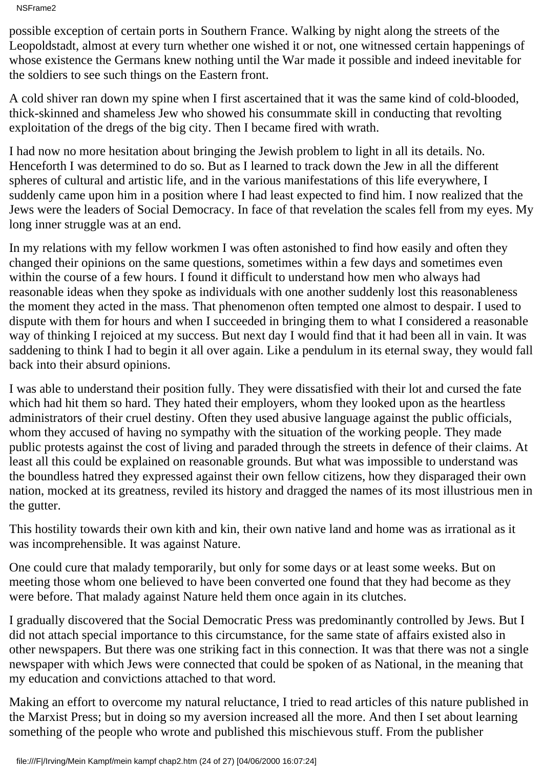NSFrame2

possible exception of certain ports in Southern France. Walking by night along the streets of the Leopoldstadt, almost at every turn whether one wished it or not, one witnessed certain happenings of whose existence the Germans knew nothing until the War made it possible and indeed inevitable for the soldiers to see such things on the Eastern front.

A cold shiver ran down my spine when I first ascertained that it was the same kind of cold-blooded, thick-skinned and shameless Jew who showed his consummate skill in conducting that revolting exploitation of the dregs of the big city. Then I became fired with wrath.

I had now no more hesitation about bringing the Jewish problem to light in all its details. No. Henceforth I was determined to do so. But as I learned to track down the Jew in all the different spheres of cultural and artistic life, and in the various manifestations of this life everywhere, I suddenly came upon him in a position where I had least expected to find him. I now realized that the Jews were the leaders of Social Democracy. In face of that revelation the scales fell from my eyes. My long inner struggle was at an end.

In my relations with my fellow workmen I was often astonished to find how easily and often they changed their opinions on the same questions, sometimes within a few days and sometimes even within the course of a few hours. I found it difficult to understand how men who always had reasonable ideas when they spoke as individuals with one another suddenly lost this reasonableness the moment they acted in the mass. That phenomenon often tempted one almost to despair. I used to dispute with them for hours and when I succeeded in bringing them to what I considered a reasonable way of thinking I rejoiced at my success. But next day I would find that it had been all in vain. It was saddening to think I had to begin it all over again. Like a pendulum in its eternal sway, they would fall back into their absurd opinions.

I was able to understand their position fully. They were dissatisfied with their lot and cursed the fate which had hit them so hard. They hated their employers, whom they looked upon as the heartless administrators of their cruel destiny. Often they used abusive language against the public officials, whom they accused of having no sympathy with the situation of the working people. They made public protests against the cost of living and paraded through the streets in defence of their claims. At least all this could be explained on reasonable grounds. But what was impossible to understand was the boundless hatred they expressed against their own fellow citizens, how they disparaged their own nation, mocked at its greatness, reviled its history and dragged the names of its most illustrious men in the gutter.

This hostility towards their own kith and kin, their own native land and home was as irrational as it was incomprehensible. It was against Nature.

One could cure that malady temporarily, but only for some days or at least some weeks. But on meeting those whom one believed to have been converted one found that they had become as they were before. That malady against Nature held them once again in its clutches.

I gradually discovered that the Social Democratic Press was predominantly controlled by Jews. But I did not attach special importance to this circumstance, for the same state of affairs existed also in other newspapers. But there was one striking fact in this connection. It was that there was not a single newspaper with which Jews were connected that could be spoken of as National, in the meaning that my education and convictions attached to that word.

Making an effort to overcome my natural reluctance, I tried to read articles of this nature published in the Marxist Press; but in doing so my aversion increased all the more. And then I set about learning something of the people who wrote and published this mischievous stuff. From the publisher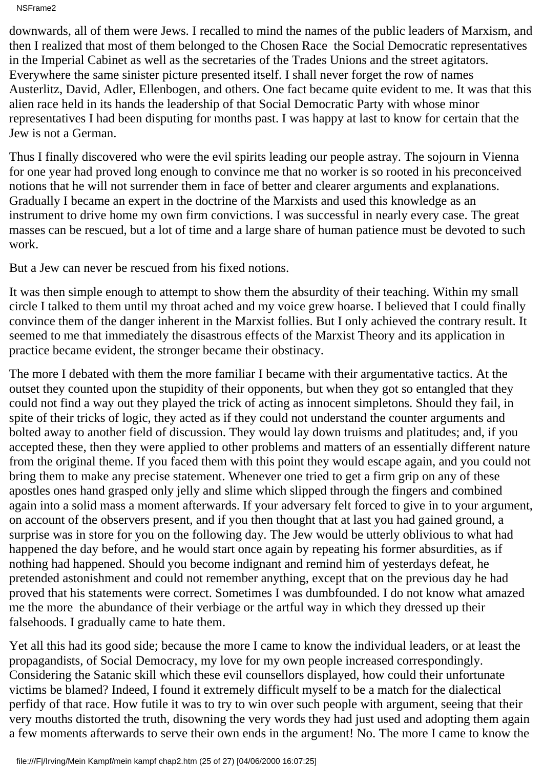NSFrame2

downwards, all of them were Jews. I recalled to mind the names of the public leaders of Marxism, and then I realized that most of them belonged to the Chosen Race the Social Democratic representatives in the Imperial Cabinet as well as the secretaries of the Trades Unions and the street agitators. Everywhere the same sinister picture presented itself. I shall never forget the row of names Austerlitz, David, Adler, Ellenbogen, and others. One fact became quite evident to me. It was that this alien race held in its hands the leadership of that Social Democratic Party with whose minor representatives I had been disputing for months past. I was happy at last to know for certain that the Jew is not a German.

Thus I finally discovered who were the evil spirits leading our people astray. The sojourn in Vienna for one year had proved long enough to convince me that no worker is so rooted in his preconceived notions that he will not surrender them in face of better and clearer arguments and explanations. Gradually I became an expert in the doctrine of the Marxists and used this knowledge as an instrument to drive home my own firm convictions. I was successful in nearly every case. The great masses can be rescued, but a lot of time and a large share of human patience must be devoted to such work.

But a Jew can never be rescued from his fixed notions.

It was then simple enough to attempt to show them the absurdity of their teaching. Within my small circle I talked to them until my throat ached and my voice grew hoarse. I believed that I could finally convince them of the danger inherent in the Marxist follies. But I only achieved the contrary result. It seemed to me that immediately the disastrous effects of the Marxist Theory and its application in practice became evident, the stronger became their obstinacy.

The more I debated with them the more familiar I became with their argumentative tactics. At the outset they counted upon the stupidity of their opponents, but when they got so entangled that they could not find a way out they played the trick of acting as innocent simpletons. Should they fail, in spite of their tricks of logic, they acted as if they could not understand the counter arguments and bolted away to another field of discussion. They would lay down truisms and platitudes; and, if you accepted these, then they were applied to other problems and matters of an essentially different nature from the original theme. If you faced them with this point they would escape again, and you could not bring them to make any precise statement. Whenever one tried to get a firm grip on any of these apostles ones hand grasped only jelly and slime which slipped through the fingers and combined again into a solid mass a moment afterwards. If your adversary felt forced to give in to your argument, on account of the observers present, and if you then thought that at last you had gained ground, a surprise was in store for you on the following day. The Jew would be utterly oblivious to what had happened the day before, and he would start once again by repeating his former absurdities, as if nothing had happened. Should you become indignant and remind him of yesterdays defeat, he pretended astonishment and could not remember anything, except that on the previous day he had proved that his statements were correct. Sometimes I was dumbfounded. I do not know what amazed me the more the abundance of their verbiage or the artful way in which they dressed up their falsehoods. I gradually came to hate them.

Yet all this had its good side; because the more I came to know the individual leaders, or at least the propagandists, of Social Democracy, my love for my own people increased correspondingly. Considering the Satanic skill which these evil counsellors displayed, how could their unfortunate victims be blamed? Indeed, I found it extremely difficult myself to be a match for the dialectical perfidy of that race. How futile it was to try to win over such people with argument, seeing that their very mouths distorted the truth, disowning the very words they had just used and adopting them again a few moments afterwards to serve their own ends in the argument! No. The more I came to know the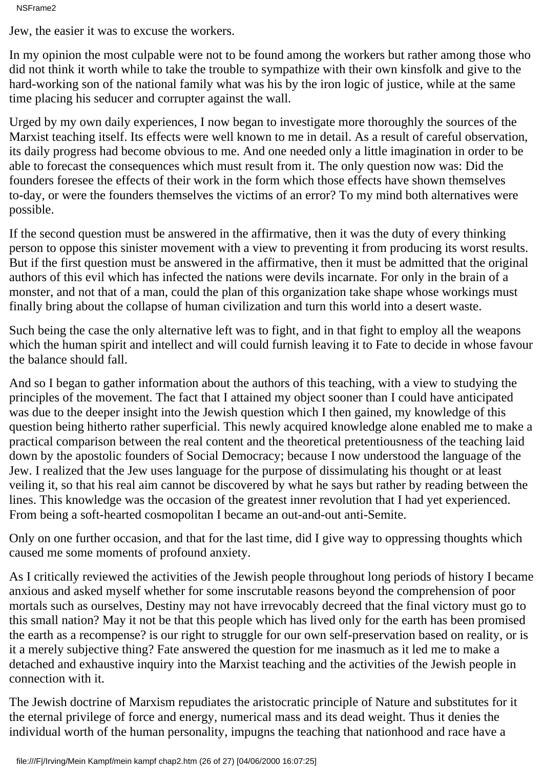NSFrame2

Jew, the easier it was to excuse the workers.

In my opinion the most culpable were not to be found among the workers but rather among those who did not think it worth while to take the trouble to sympathize with their own kinsfolk and give to the hard-working son of the national family what was his by the iron logic of justice, while at the same time placing his seducer and corrupter against the wall.

Urged by my own daily experiences, I now began to investigate more thoroughly the sources of the Marxist teaching itself. Its effects were well known to me in detail. As a result of careful observation, its daily progress had become obvious to me. And one needed only a little imagination in order to be able to forecast the consequences which must result from it. The only question now was: Did the founders foresee the effects of their work in the form which those effects have shown themselves to-day, or were the founders themselves the victims of an error? To my mind both alternatives were possible.

If the second question must be answered in the affirmative, then it was the duty of every thinking person to oppose this sinister movement with a view to preventing it from producing its worst results. But if the first question must be answered in the affirmative, then it must be admitted that the original authors of this evil which has infected the nations were devils incarnate. For only in the brain of a monster, and not that of a man, could the plan of this organization take shape whose workings must finally bring about the collapse of human civilization and turn this world into a desert waste.

Such being the case the only alternative left was to fight, and in that fight to employ all the weapons which the human spirit and intellect and will could furnish leaving it to Fate to decide in whose favour the balance should fall.

And so I began to gather information about the authors of this teaching, with a view to studying the principles of the movement. The fact that I attained my object sooner than I could have anticipated was due to the deeper insight into the Jewish question which I then gained, my knowledge of this question being hitherto rather superficial. This newly acquired knowledge alone enabled me to make a practical comparison between the real content and the theoretical pretentiousness of the teaching laid down by the apostolic founders of Social Democracy; because I now understood the language of the Jew. I realized that the Jew uses language for the purpose of dissimulating his thought or at least veiling it, so that his real aim cannot be discovered by what he says but rather by reading between the lines. This knowledge was the occasion of the greatest inner revolution that I had yet experienced. From being a soft-hearted cosmopolitan I became an out-and-out anti-Semite.

Only on one further occasion, and that for the last time, did I give way to oppressing thoughts which caused me some moments of profound anxiety.

As I critically reviewed the activities of the Jewish people throughout long periods of history I became anxious and asked myself whether for some inscrutable reasons beyond the comprehension of poor mortals such as ourselves, Destiny may not have irrevocably decreed that the final victory must go to this small nation? May it not be that this people which has lived only for the earth has been promised the earth as a recompense? is our right to struggle for our own self-preservation based on reality, or is it a merely subjective thing? Fate answered the question for me inasmuch as it led me to make a detached and exhaustive inquiry into the Marxist teaching and the activities of the Jewish people in connection with it.

The Jewish doctrine of Marxism repudiates the aristocratic principle of Nature and substitutes for it the eternal privilege of force and energy, numerical mass and its dead weight. Thus it denies the individual worth of the human personality, impugns the teaching that nationhood and race have a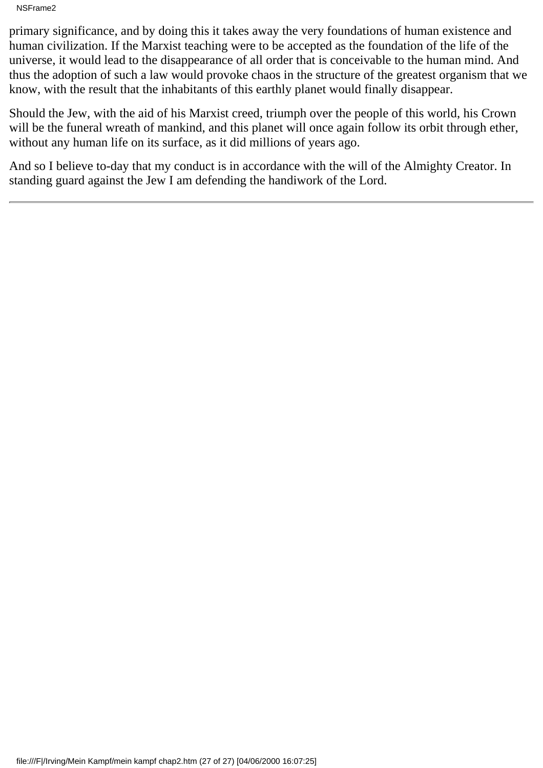NSFrame2

primary significance, and by doing this it takes away the very foundations of human existence and human civilization. If the Marxist teaching were to be accepted as the foundation of the life of the universe, it would lead to the disappearance of all order that is conceivable to the human mind. And thus the adoption of such a law would provoke chaos in the structure of the greatest organism that we know, with the result that the inhabitants of this earthly planet would finally disappear.

Should the Jew, with the aid of his Marxist creed, triumph over the people of this world, his Crown will be the funeral wreath of mankind, and this planet will once again follow its orbit through ether, without any human life on its surface, as it did millions of years ago.

And so I believe to-day that my conduct is in accordance with the will of the Almighty Creator. In standing guard against the Jew I am defending the handiwork of the Lord.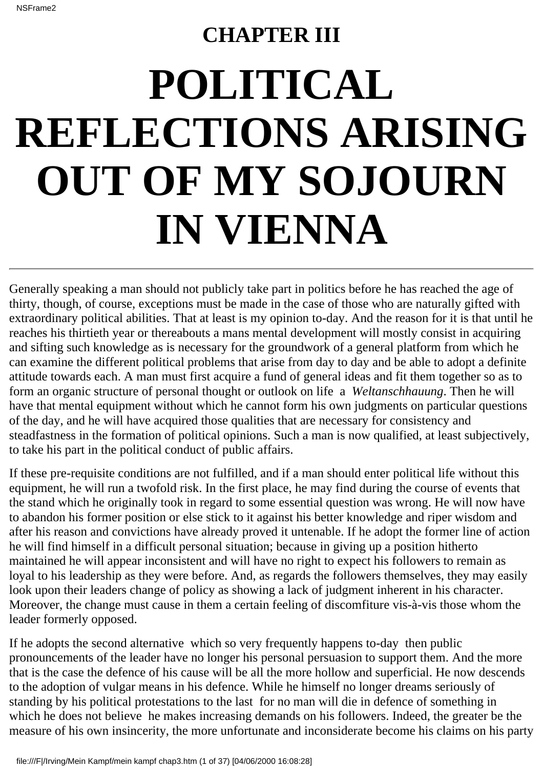# **CHAPTER III POLITICAL REFLECTIONS ARISING OUT OF MY SOJOURN IN VIENNA**

Generally speaking a man should not publicly take part in politics before he has reached the age of thirty, though, of course, exceptions must be made in the case of those who are naturally gifted with extraordinary political abilities. That at least is my opinion to-day. And the reason for it is that until he reaches his thirtieth year or thereabouts a mans mental development will mostly consist in acquiring and sifting such knowledge as is necessary for the groundwork of a general platform from which he can examine the different political problems that arise from day to day and be able to adopt a definite attitude towards each. A man must first acquire a fund of general ideas and fit them together so as to form an organic structure of personal thought or outlook on life a *Weltanschhauung*. Then he will have that mental equipment without which he cannot form his own judgments on particular questions of the day, and he will have acquired those qualities that are necessary for consistency and steadfastness in the formation of political opinions. Such a man is now qualified, at least subjectively, to take his part in the political conduct of public affairs.

If these pre-requisite conditions are not fulfilled, and if a man should enter political life without this equipment, he will run a twofold risk. In the first place, he may find during the course of events that the stand which he originally took in regard to some essential question was wrong. He will now have to abandon his former position or else stick to it against his better knowledge and riper wisdom and after his reason and convictions have already proved it untenable. If he adopt the former line of action he will find himself in a difficult personal situation; because in giving up a position hitherto maintained he will appear inconsistent and will have no right to expect his followers to remain as loyal to his leadership as they were before. And, as regards the followers themselves, they may easily look upon their leader s change of policy as showing a lack of judgment inherent in his character. Moreover, the change must cause in them a certain feeling of discomfiture vis-à-vis those whom the leader formerly opposed.

If he adopts the second alternative which so very frequently happens to-day then public pronouncements of the leader have no longer his personal persuasion to support them. And the more that is the case the defence of his cause will be all the more hollow and superficial. He now descends to the adoption of vulgar means in his defence. While he himself no longer dreams seriously of standing by his political protestations to the last for no man will die in defence of something in which he does not believe he makes increasing demands on his followers. Indeed, the greater be the measure of his own insincerity, the more unfortunate and inconsiderate become his claims on his party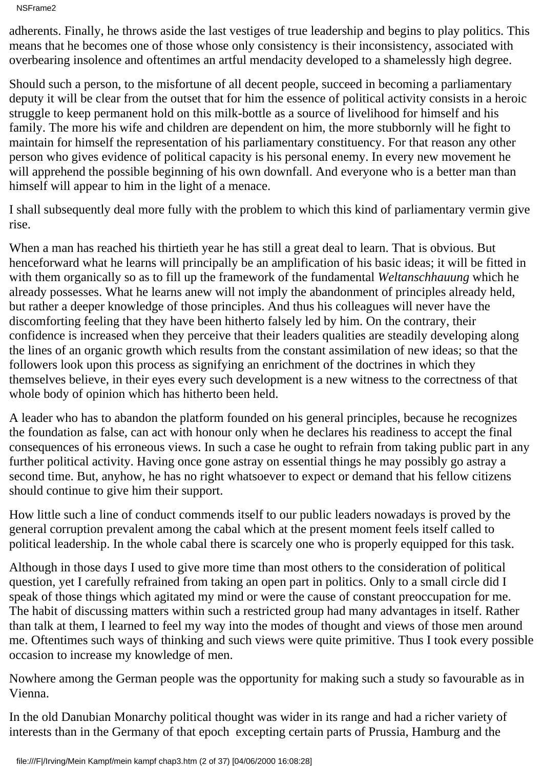NSFrame2

adherents. Finally, he throws aside the last vestiges of true leadership and begins to play politics. This means that he becomes one of those whose only consistency is their inconsistency, associated with overbearing insolence and oftentimes an artful mendacity developed to a shamelessly high degree.

Should such a person, to the misfortune of all decent people, succeed in becoming a parliamentary deputy it will be clear from the outset that for him the essence of political activity consists in a heroic struggle to keep permanent hold on this milk-bottle as a source of livelihood for himself and his family. The more his wife and children are dependent on him, the more stubbornly will he fight to maintain for himself the representation of his parliamentary constituency. For that reason any other person who gives evidence of political capacity is his personal enemy. In every new movement he will apprehend the possible beginning of his own downfall. And everyone who is a better man than himself will appear to him in the light of a menace.

I shall subsequently deal more fully with the problem to which this kind of parliamentary vermin give rise.

When a man has reached his thirtieth year he has still a great deal to learn. That is obvious. But henceforward what he learns will principally be an amplification of his basic ideas; it will be fitted in with them organically so as to fill up the framework of the fundamental *Weltanschhauung* which he already possesses. What he learns anew will not imply the abandonment of principles already held, but rather a deeper knowledge of those principles. And thus his colleagues will never have the discomforting feeling that they have been hitherto falsely led by him. On the contrary, their confidence is increased when they perceive that their leader s qualities are steadily developing along the lines of an organic growth which results from the constant assimilation of new ideas; so that the followers look upon this process as signifying an enrichment of the doctrines in which they themselves believe, in their eyes every such development is a new witness to the correctness of that whole body of opinion which has hitherto been held.

A leader who has to abandon the platform founded on his general principles, because he recognizes the foundation as false, can act with honour only when he declares his readiness to accept the final consequences of his erroneous views. In such a case he ought to refrain from taking public part in any further political activity. Having once gone astray on essential things he may possibly go astray a second time. But, anyhow, he has no right whatsoever to expect or demand that his fellow citizens should continue to give him their support.

How little such a line of conduct commends itself to our public leaders nowadays is proved by the general corruption prevalent among the cabal which at the present moment feels itself called to political leadership. In the whole cabal there is scarcely one who is properly equipped for this task.

Although in those days I used to give more time than most others to the consideration of political question, yet I carefully refrained from taking an open part in politics. Only to a small circle did I speak of those things which agitated my mind or were the cause of constant preoccupation for me. The habit of discussing matters within such a restricted group had many advantages in itself. Rather than talk at them, I learned to feel my way into the modes of thought and views of those men around me. Oftentimes such ways of thinking and such views were quite primitive. Thus I took every possible occasion to increase my knowledge of men.

Nowhere among the German people was the opportunity for making such a study so favourable as in Vienna.

In the old Danubian Monarchy political thought was wider in its range and had a richer variety of interests than in the Germany of that epoch excepting certain parts of Prussia, Hamburg and the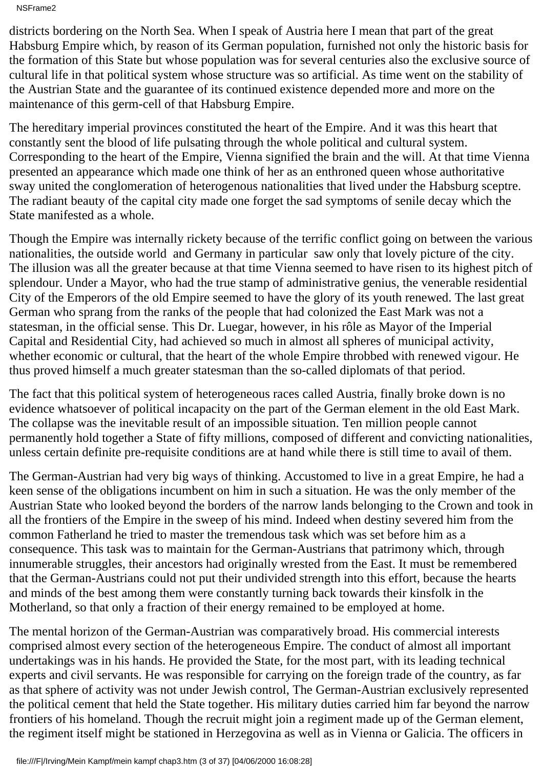NSFrame2

districts bordering on the North Sea. When I speak of Austria here I mean that part of the great Habsburg Empire which, by reason of its German population, furnished not only the historic basis for the formation of this State but whose population was for several centuries also the exclusive source of cultural life in that political system whose structure was so artificial. As time went on the stability of the Austrian State and the guarantee of its continued existence depended more and more on the maintenance of this germ-cell of that Habsburg Empire.

The hereditary imperial provinces constituted the heart of the Empire. And it was this heart that constantly sent the blood of life pulsating through the whole political and cultural system. Corresponding to the heart of the Empire, Vienna signified the brain and the will. At that time Vienna presented an appearance which made one think of her as an enthroned queen whose authoritative sway united the conglomeration of heterogenous nationalities that lived under the Habsburg sceptre. The radiant beauty of the capital city made one forget the sad symptoms of senile decay which the State manifested as a whole.

Though the Empire was internally rickety because of the terrific conflict going on between the various nationalities, the outside world and Germany in particular saw only that lovely picture of the city. The illusion was all the greater because at that time Vienna seemed to have risen to its highest pitch of splendour. Under a Mayor, who had the true stamp of administrative genius, the venerable residential City of the Emperors of the old Empire seemed to have the glory of its youth renewed. The last great German who sprang from the ranks of the people that had colonized the East Mark was not a statesman, in the official sense. This Dr. Luegar, however, in his rôle as Mayor of the Imperial Capital and Residential City, had achieved so much in almost all spheres of municipal activity, whether economic or cultural, that the heart of the whole Empire throbbed with renewed vigour. He thus proved himself a much greater statesman than the so-called diplomats of that period.

The fact that this political system of heterogeneous races called Austria, finally broke down is no evidence whatsoever of political incapacity on the part of the German element in the old East Mark. The collapse was the inevitable result of an impossible situation. Ten million people cannot permanently hold together a State of fifty millions, composed of different and convicting nationalities, unless certain definite pre-requisite conditions are at hand while there is still time to avail of them.

The German-Austrian had very big ways of thinking. Accustomed to live in a great Empire, he had a keen sense of the obligations incumbent on him in such a situation. He was the only member of the Austrian State who looked beyond the borders of the narrow lands belonging to the Crown and took in all the frontiers of the Empire in the sweep of his mind. Indeed when destiny severed him from the common Fatherland he tried to master the tremendous task which was set before him as a consequence. This task was to maintain for the German-Austrians that patrimony which, through innumerable struggles, their ancestors had originally wrested from the East. It must be remembered that the German-Austrians could not put their undivided strength into this effort, because the hearts and minds of the best among them were constantly turning back towards their kinsfolk in the Motherland, so that only a fraction of their energy remained to be employed at home.

The mental horizon of the German-Austrian was comparatively broad. His commercial interests comprised almost every section of the heterogeneous Empire. The conduct of almost all important undertakings was in his hands. He provided the State, for the most part, with its leading technical experts and civil servants. He was responsible for carrying on the foreign trade of the country, as far as that sphere of activity was not under Jewish control, The German-Austrian exclusively represented the political cement that held the State together. His military duties carried him far beyond the narrow frontiers of his homeland. Though the recruit might join a regiment made up of the German element, the regiment itself might be stationed in Herzegovina as well as in Vienna or Galicia. The officers in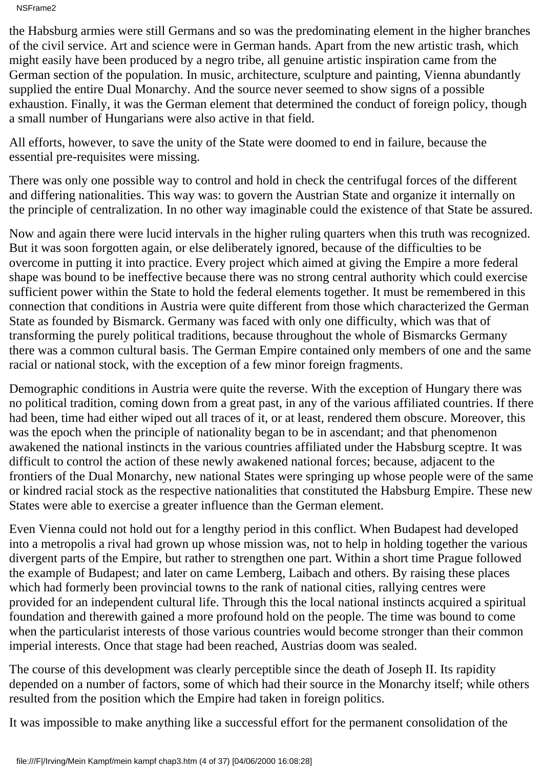NSFrame2

the Habsburg armies were still Germans and so was the predominating element in the higher branches of the civil service. Art and science were in German hands. Apart from the new artistic trash, which might easily have been produced by a negro tribe, all genuine artistic inspiration came from the German section of the population. In music, architecture, sculpture and painting, Vienna abundantly supplied the entire Dual Monarchy. And the source never seemed to show signs of a possible exhaustion. Finally, it was the German element that determined the conduct of foreign policy, though a small number of Hungarians were also active in that field.

All efforts, however, to save the unity of the State were doomed to end in failure, because the essential pre-requisites were missing.

There was only one possible way to control and hold in check the centrifugal forces of the different and differing nationalities. This way was: to govern the Austrian State and organize it internally on the principle of centralization. In no other way imaginable could the existence of that State be assured.

Now and again there were lucid intervals in the higher ruling quarters when this truth was recognized. But it was soon forgotten again, or else deliberately ignored, because of the difficulties to be overcome in putting it into practice. Every project which aimed at giving the Empire a more federal shape was bound to be ineffective because there was no strong central authority which could exercise sufficient power within the State to hold the federal elements together. It must be remembered in this connection that conditions in Austria were quite different from those which characterized the German State as founded by Bismarck. Germany was faced with only one difficulty, which was that of transforming the purely political traditions, because throughout the whole of Bismarcks Germany there was a common cultural basis. The German Empire contained only members of one and the same racial or national stock, with the exception of a few minor foreign fragments.

Demographic conditions in Austria were quite the reverse. With the exception of Hungary there was no political tradition, coming down from a great past, in any of the various affiliated countries. If there had been, time had either wiped out all traces of it, or at least, rendered them obscure. Moreover, this was the epoch when the principle of nationality began to be in ascendant; and that phenomenon awakened the national instincts in the various countries affiliated under the Habsburg sceptre. It was difficult to control the action of these newly awakened national forces; because, adjacent to the frontiers of the Dual Monarchy, new national States were springing up whose people were of the same or kindred racial stock as the respective nationalities that constituted the Habsburg Empire. These new States were able to exercise a greater influence than the German element.

Even Vienna could not hold out for a lengthy period in this conflict. When Budapest had developed into a metropolis a rival had grown up whose mission was, not to help in holding together the various divergent parts of the Empire, but rather to strengthen one part. Within a short time Prague followed the example of Budapest; and later on came Lemberg, Laibach and others. By raising these places which had formerly been provincial towns to the rank of national cities, rallying centres were provided for an independent cultural life. Through this the local national instincts acquired a spiritual foundation and therewith gained a more profound hold on the people. The time was bound to come when the particularist interests of those various countries would become stronger than their common imperial interests. Once that stage had been reached, Austrias doom was sealed.

The course of this development was clearly perceptible since the death of Joseph II. Its rapidity depended on a number of factors, some of which had their source in the Monarchy itself; while others resulted from the position which the Empire had taken in foreign politics.

It was impossible to make anything like a successful effort for the permanent consolidation of the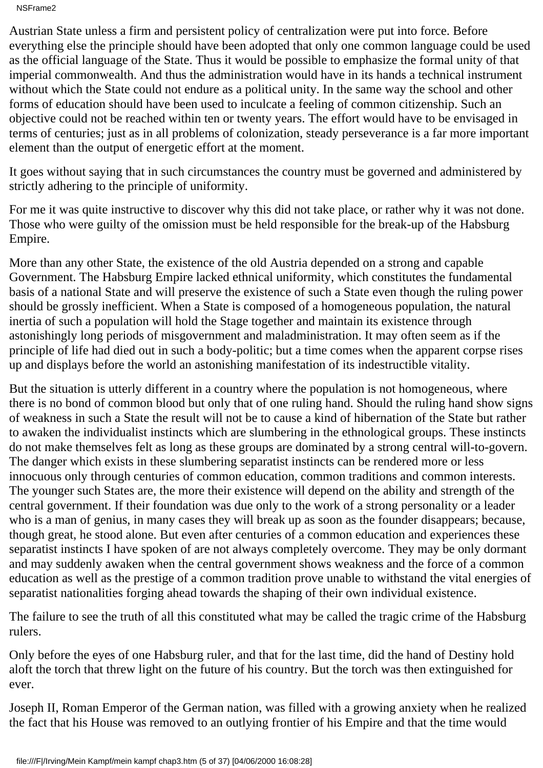#### NSFrame2

Austrian State unless a firm and persistent policy of centralization were put into force. Before everything else the principle should have been adopted that only one common language could be used as the official language of the State. Thus it would be possible to emphasize the formal unity of that imperial commonwealth. And thus the administration would have in its hands a technical instrument without which the State could not endure as a political unity. In the same way the school and other forms of education should have been used to inculcate a feeling of common citizenship. Such an objective could not be reached within ten or twenty years. The effort would have to be envisaged in terms of centuries; just as in all problems of colonization, steady perseverance is a far more important element than the output of energetic effort at the moment.

It goes without saying that in such circumstances the country must be governed and administered by strictly adhering to the principle of uniformity.

For me it was quite instructive to discover why this did not take place, or rather why it was not done. Those who were guilty of the omission must be held responsible for the break-up of the Habsburg Empire.

More than any other State, the existence of the old Austria depended on a strong and capable Government. The Habsburg Empire lacked ethnical uniformity, which constitutes the fundamental basis of a national State and will preserve the existence of such a State even though the ruling power should be grossly inefficient. When a State is composed of a homogeneous population, the natural inertia of such a population will hold the Stage together and maintain its existence through astonishingly long periods of misgovernment and maladministration. It may often seem as if the principle of life had died out in such a body-politic; but a time comes when the apparent corpse rises up and displays before the world an astonishing manifestation of its indestructible vitality.

But the situation is utterly different in a country where the population is not homogeneous, where there is no bond of common blood but only that of one ruling hand. Should the ruling hand show signs of weakness in such a State the result will not be to cause a kind of hibernation of the State but rather to awaken the individualist instincts which are slumbering in the ethnological groups. These instincts do not make themselves felt as long as these groups are dominated by a strong central will-to-govern. The danger which exists in these slumbering separatist instincts can be rendered more or less innocuous only through centuries of common education, common traditions and common interests. The younger such States are, the more their existence will depend on the ability and strength of the central government. If their foundation was due only to the work of a strong personality or a leader who is a man of genius, in many cases they will break up as soon as the founder disappears; because, though great, he stood alone. But even after centuries of a common education and experiences these separatist instincts I have spoken of are not always completely overcome. They may be only dormant and may suddenly awaken when the central government shows weakness and the force of a common education as well as the prestige of a common tradition prove unable to withstand the vital energies of separatist nationalities forging ahead towards the shaping of their own individual existence.

The failure to see the truth of all this constituted what may be called the tragic crime of the Habsburg rulers.

Only before the eyes of one Habsburg ruler, and that for the last time, did the hand of Destiny hold aloft the torch that threw light on the future of his country. But the torch was then extinguished for ever.

Joseph II, Roman Emperor of the German nation, was filled with a growing anxiety when he realized the fact that his House was removed to an outlying frontier of his Empire and that the time would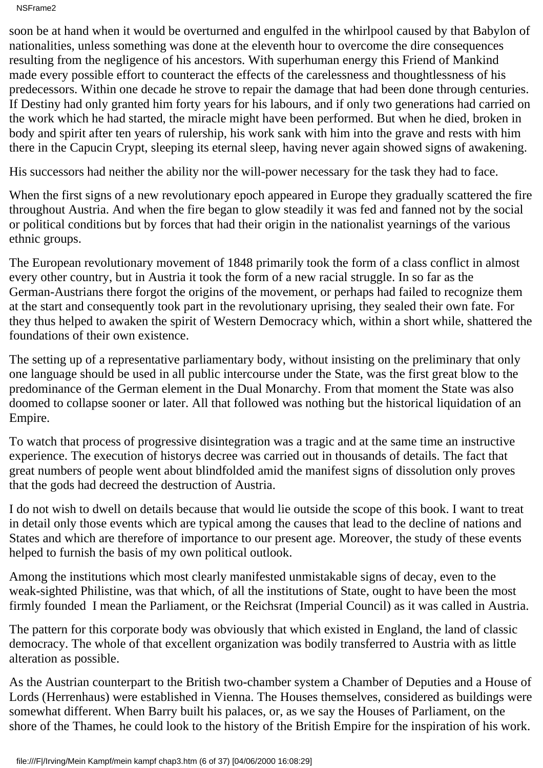soon be at hand when it would be overturned and engulfed in the whirlpool caused by that Babylon of nationalities, unless something was done at the eleventh hour to overcome the dire consequences resulting from the negligence of his ancestors. With superhuman energy this Friend of Mankind made every possible effort to counteract the effects of the carelessness and thoughtlessness of his predecessors. Within one decade he strove to repair the damage that had been done through centuries. If Destiny had only granted him forty years for his labours, and if only two generations had carried on the work which he had started, the miracle might have been performed. But when he died, broken in body and spirit after ten years of rulership, his work sank with him into the grave and rests with him there in the Capucin Crypt, sleeping its eternal sleep, having never again showed signs of awakening.

His successors had neither the ability nor the will-power necessary for the task they had to face.

When the first signs of a new revolutionary epoch appeared in Europe they gradually scattered the fire throughout Austria. And when the fire began to glow steadily it was fed and fanned not by the social or political conditions but by forces that had their origin in the nationalist yearnings of the various ethnic groups.

The European revolutionary movement of 1848 primarily took the form of a class conflict in almost every other country, but in Austria it took the form of a new racial struggle. In so far as the German-Austrians there forgot the origins of the movement, or perhaps had failed to recognize them at the start and consequently took part in the revolutionary uprising, they sealed their own fate. For they thus helped to awaken the spirit of Western Democracy which, within a short while, shattered the foundations of their own existence.

The setting up of a representative parliamentary body, without insisting on the preliminary that only one language should be used in all public intercourse under the State, was the first great blow to the predominance of the German element in the Dual Monarchy. From that moment the State was also doomed to collapse sooner or later. All that followed was nothing but the historical liquidation of an Empire.

To watch that process of progressive disintegration was a tragic and at the same time an instructive experience. The execution of history s decree was carried out in thousands of details. The fact that great numbers of people went about blindfolded amid the manifest signs of dissolution only proves that the gods had decreed the destruction of Austria.

I do not wish to dwell on details because that would lie outside the scope of this book. I want to treat in detail only those events which are typical among the causes that lead to the decline of nations and States and which are therefore of importance to our present age. Moreover, the study of these events helped to furnish the basis of my own political outlook.

Among the institutions which most clearly manifested unmistakable signs of decay, even to the weak-sighted Philistine, was that which, of all the institutions of State, ought to have been the most firmly founded I mean the Parliament, or the Reichsrat (Imperial Council) as it was called in Austria.

The pattern for this corporate body was obviously that which existed in England, the land of classic democracy. The whole of that excellent organization was bodily transferred to Austria with as little alteration as possible.

As the Austrian counterpart to the British two-chamber system a Chamber of Deputies and a House of Lords (Herrenhaus) were established in Vienna. The Houses themselves, considered as buildings were somewhat different. When Barry built his palaces, or, as we say the Houses of Parliament, on the shore of the Thames, he could look to the history of the British Empire for the inspiration of his work.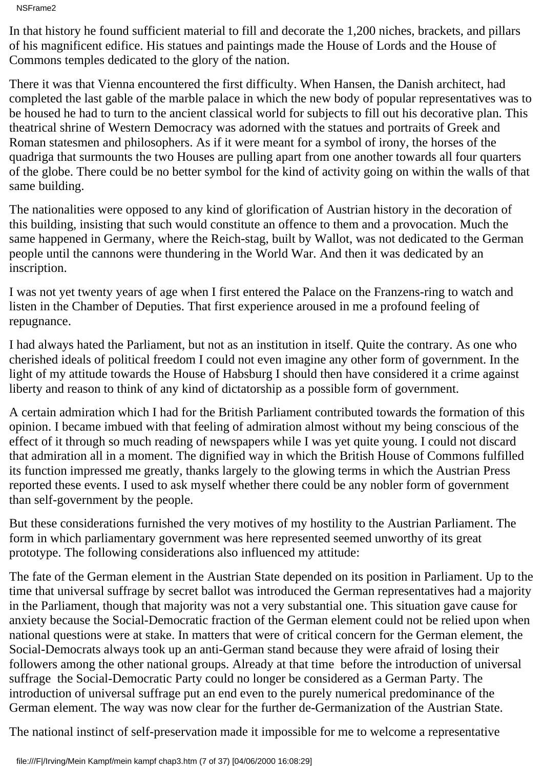NSFrame2

In that history he found sufficient material to fill and decorate the 1,200 niches, brackets, and pillars of his magnificent edifice. His statues and paintings made the House of Lords and the House of Commons temples dedicated to the glory of the nation.

There it was that Vienna encountered the first difficulty. When Hansen, the Danish architect, had completed the last gable of the marble palace in which the new body of popular representatives was to be housed he had to turn to the ancient classical world for subjects to fill out his decorative plan. This theatrical shrine of Western Democracy was adorned with the statues and portraits of Greek and Roman statesmen and philosophers. As if it were meant for a symbol of irony, the horses of the quadriga that surmounts the two Houses are pulling apart from one another towards all four quarters of the globe. There could be no better symbol for the kind of activity going on within the walls of that same building.

The nationalities were opposed to any kind of glorification of Austrian history in the decoration of this building, insisting that such would constitute an offence to them and a provocation. Much the same happened in Germany, where the Reich-stag, built by Wallot, was not dedicated to the German people until the cannons were thundering in the World War. And then it was dedicated by an inscription.

I was not yet twenty years of age when I first entered the Palace on the Franzens-ring to watch and listen in the Chamber of Deputies. That first experience aroused in me a profound feeling of repugnance.

I had always hated the Parliament, but not as an institution in itself. Quite the contrary. As one who cherished ideals of political freedom I could not even imagine any other form of government. In the light of my attitude towards the House of Habsburg I should then have considered it a crime against liberty and reason to think of any kind of dictatorship as a possible form of government.

A certain admiration which I had for the British Parliament contributed towards the formation of this opinion. I became imbued with that feeling of admiration almost without my being conscious of the effect of it through so much reading of newspapers while I was yet quite young. I could not discard that admiration all in a moment. The dignified way in which the British House of Commons fulfilled its function impressed me greatly, thanks largely to the glowing terms in which the Austrian Press reported these events. I used to ask myself whether there could be any nobler form of government than self-government by the people.

But these considerations furnished the very motives of my hostility to the Austrian Parliament. The form in which parliamentary government was here represented seemed unworthy of its great prototype. The following considerations also influenced my attitude:

The fate of the German element in the Austrian State depended on its position in Parliament. Up to the time that universal suffrage by secret ballot was introduced the German representatives had a majority in the Parliament, though that majority was not a very substantial one. This situation gave cause for anxiety because the Social-Democratic fraction of the German element could not be relied upon when national questions were at stake. In matters that were of critical concern for the German element, the Social-Democrats always took up an anti-German stand because they were afraid of losing their followers among the other national groups. Already at that time before the introduction of universal suffrage the Social-Democratic Party could no longer be considered as a German Party. The introduction of universal suffrage put an end even to the purely numerical predominance of the German element. The way was now clear for the further de-Germanization of the Austrian State.

The national instinct of self-preservation made it impossible for me to welcome a representative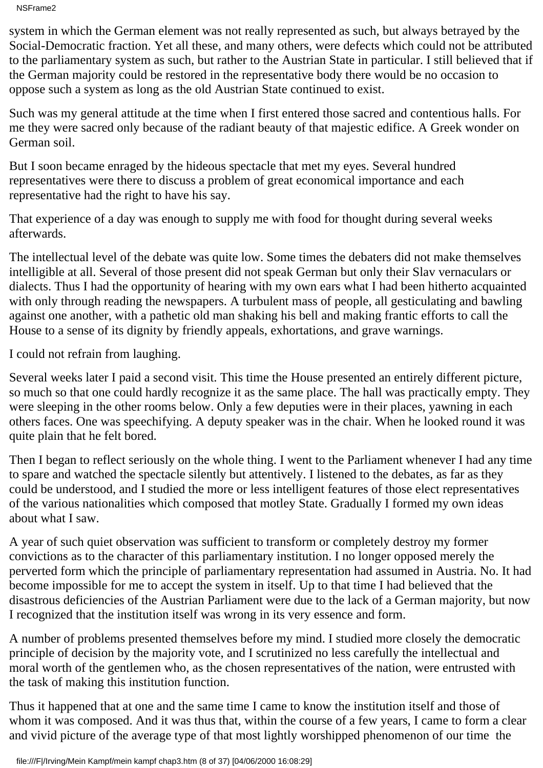NSFrame2

system in which the German element was not really represented as such, but always betrayed by the Social-Democratic fraction. Yet all these, and many others, were defects which could not be attributed to the parliamentary system as such, but rather to the Austrian State in particular. I still believed that if the German majority could be restored in the representative body there would be no occasion to oppose such a system as long as the old Austrian State continued to exist.

Such was my general attitude at the time when I first entered those sacred and contentious halls. For me they were sacred only because of the radiant beauty of that majestic edifice. A Greek wonder on German soil.

But I soon became enraged by the hideous spectacle that met my eyes. Several hundred representatives were there to discuss a problem of great economical importance and each representative had the right to have his say.

That experience of a day was enough to supply me with food for thought during several weeks afterwards.

The intellectual level of the debate was quite low. Some times the debaters did not make themselves intelligible at all. Several of those present did not speak German but only their Slav vernaculars or dialects. Thus I had the opportunity of hearing with my own ears what I had been hitherto acquainted with only through reading the newspapers. A turbulent mass of people, all gesticulating and bawling against one another, with a pathetic old man shaking his bell and making frantic efforts to call the House to a sense of its dignity by friendly appeals, exhortations, and grave warnings.

I could not refrain from laughing.

Several weeks later I paid a second visit. This time the House presented an entirely different picture, so much so that one could hardly recognize it as the same place. The hall was practically empty. They were sleeping in the other rooms below. Only a few deputies were in their places, yawning in each other s faces. One was speechifying. A deputy speaker was in the chair. When he looked round it was quite plain that he felt bored.

Then I began to reflect seriously on the whole thing. I went to the Parliament whenever I had any time to spare and watched the spectacle silently but attentively. I listened to the debates, as far as they could be understood, and I studied the more or less intelligent features of those elect representatives of the various nationalities which composed that motley State. Gradually I formed my own ideas about what I saw.

A year of such quiet observation was sufficient to transform or completely destroy my former convictions as to the character of this parliamentary institution. I no longer opposed merely the perverted form which the principle of parliamentary representation had assumed in Austria. No. It had become impossible for me to accept the system in itself. Up to that time I had believed that the disastrous deficiencies of the Austrian Parliament were due to the lack of a German majority, but now I recognized that the institution itself was wrong in its very essence and form.

A number of problems presented themselves before my mind. I studied more closely the democratic principle of decision by the majority vote, and I scrutinized no less carefully the intellectual and moral worth of the gentlemen who, as the chosen representatives of the nation, were entrusted with the task of making this institution function.

Thus it happened that at one and the same time I came to know the institution itself and those of whom it was composed. And it was thus that, within the course of a few years, I came to form a clear and vivid picture of the average type of that most lightly worshipped phenomenon of our time the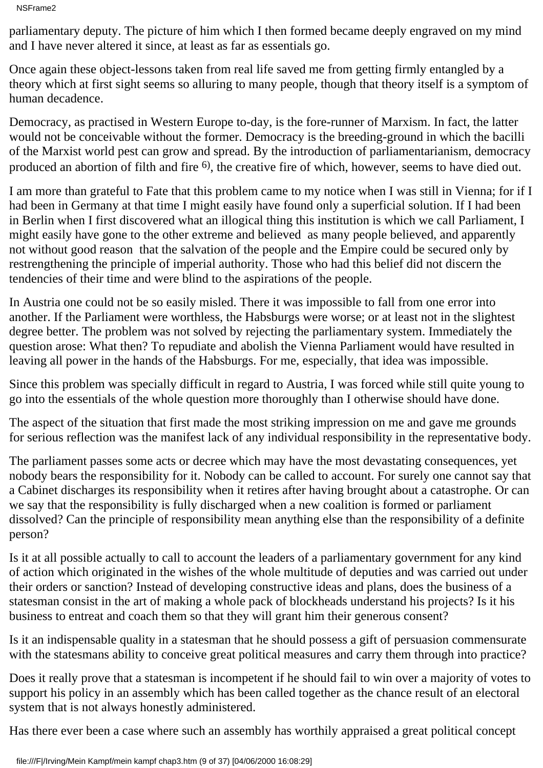NSFrame2

parliamentary deputy. The picture of him which I then formed became deeply engraved on my mind and I have never altered it since, at least as far as essentials go.

Once again these object-lessons taken from real life saved me from getting firmly entangled by a theory which at first sight seems so alluring to many people, though that theory itself is a symptom of human decadence.

Democracy, as practised in Western Europe to-day, is the fore-runner of Marxism. In fact, the latter would not be conceivable without the former. Democracy is the breeding-ground in which the bacilli of the Marxist world pest can grow and spread. By the introduction of parliamentarianism, democracy produced an abortion of filth and fire 6), the creative fire of which, however, seems to have died out.

I am more than grateful to Fate that this problem came to my notice when I was still in Vienna; for if I had been in Germany at that time I might easily have found only a superficial solution. If I had been in Berlin when I first discovered what an illogical thing this institution is which we call Parliament, I might easily have gone to the other extreme and believed as many people believed, and apparently not without good reason that the salvation of the people and the Empire could be secured only by restrengthening the principle of imperial authority. Those who had this belief did not discern the tendencies of their time and were blind to the aspirations of the people.

In Austria one could not be so easily misled. There it was impossible to fall from one error into another. If the Parliament were worthless, the Habsburgs were worse; or at least not in the slightest degree better. The problem was not solved by rejecting the parliamentary system. Immediately the question arose: What then? To repudiate and abolish the Vienna Parliament would have resulted in leaving all power in the hands of the Habsburgs. For me, especially, that idea was impossible.

Since this problem was specially difficult in regard to Austria, I was forced while still quite young to go into the essentials of the whole question more thoroughly than I otherwise should have done.

The aspect of the situation that first made the most striking impression on me and gave me grounds for serious reflection was the manifest lack of any individual responsibility in the representative body.

The parliament passes some acts or decree which may have the most devastating consequences, yet nobody bears the responsibility for it. Nobody can be called to account. For surely one cannot say that a Cabinet discharges its responsibility when it retires after having brought about a catastrophe. Or can we say that the responsibility is fully discharged when a new coalition is formed or parliament dissolved? Can the principle of responsibility mean anything else than the responsibility of a definite person?

Is it at all possible actually to call to account the leaders of a parliamentary government for any kind of action which originated in the wishes of the whole multitude of deputies and was carried out under their orders or sanction? Instead of developing constructive ideas and plans, does the business of a statesman consist in the art of making a whole pack of blockheads understand his projects? Is it his business to entreat and coach them so that they will grant him their generous consent?

Is it an indispensable quality in a statesman that he should possess a gift of persuasion commensurate with the statesman s ability to conceive great political measures and carry them through into practice?

Does it really prove that a statesman is incompetent if he should fail to win over a majority of votes to support his policy in an assembly which has been called together as the chance result of an electoral system that is not always honestly administered.

Has there ever been a case where such an assembly has worthily appraised a great political concept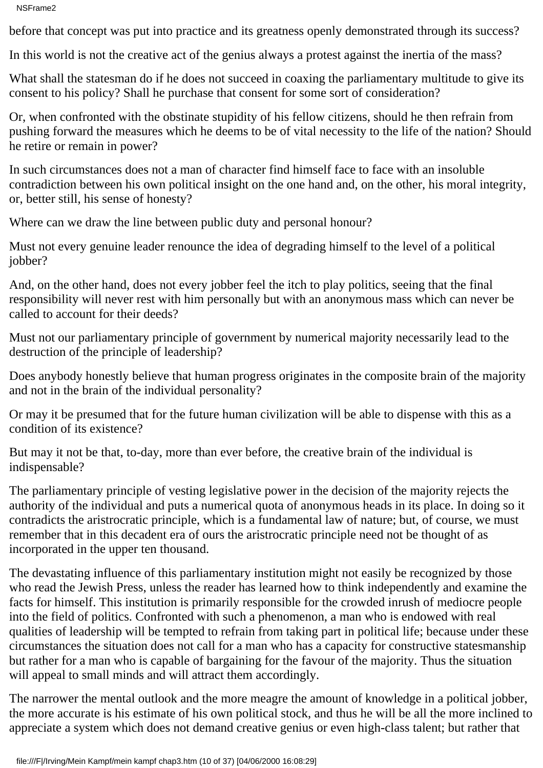## NSFrame2

before that concept was put into practice and its greatness openly demonstrated through its success?

In this world is not the creative act of the genius always a protest against the inertia of the mass?

What shall the statesman do if he does not succeed in coaxing the parliamentary multitude to give its consent to his policy? Shall he purchase that consent for some sort of consideration?

Or, when confronted with the obstinate stupidity of his fellow citizens, should he then refrain from pushing forward the measures which he deems to be of vital necessity to the life of the nation? Should he retire or remain in power?

In such circumstances does not a man of character find himself face to face with an insoluble contradiction between his own political insight on the one hand and, on the other, his moral integrity, or, better still, his sense of honesty?

Where can we draw the line between public duty and personal honour?

Must not every genuine leader renounce the idea of degrading himself to the level of a political jobber?

And, on the other hand, does not every jobber feel the itch to play politics, seeing that the final responsibility will never rest with him personally but with an anonymous mass which can never be called to account for their deeds?

Must not our parliamentary principle of government by numerical majority necessarily lead to the destruction of the principle of leadership?

Does anybody honestly believe that human progress originates in the composite brain of the majority and not in the brain of the individual personality?

Or may it be presumed that for the future human civilization will be able to dispense with this as a condition of its existence?

But may it not be that, to-day, more than ever before, the creative brain of the individual is indispensable?

The parliamentary principle of vesting legislative power in the decision of the majority rejects the authority of the individual and puts a numerical quota of anonymous heads in its place. In doing so it contradicts the aristrocratic principle, which is a fundamental law of nature; but, of course, we must remember that in this decadent era of ours the aristrocratic principle need not be thought of as incorporated in the upper ten thousand.

The devastating influence of this parliamentary institution might not easily be recognized by those who read the Jewish Press, unless the reader has learned how to think independently and examine the facts for himself. This institution is primarily responsible for the crowded inrush of mediocre people into the field of politics. Confronted with such a phenomenon, a man who is endowed with real qualities of leadership will be tempted to refrain from taking part in political life; because under these circumstances the situation does not call for a man who has a capacity for constructive statesmanship but rather for a man who is capable of bargaining for the favour of the majority. Thus the situation will appeal to small minds and will attract them accordingly.

The narrower the mental outlook and the more meagre the amount of knowledge in a political jobber, the more accurate is his estimate of his own political stock, and thus he will be all the more inclined to appreciate a system which does not demand creative genius or even high-class talent; but rather that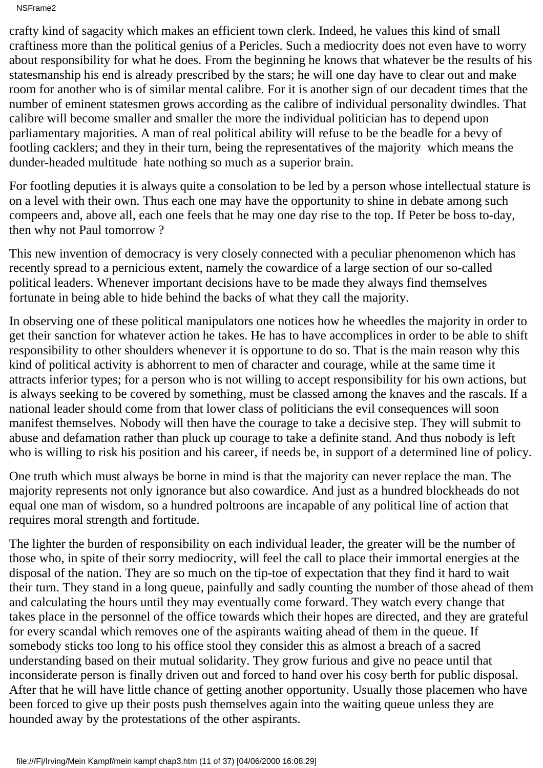crafty kind of sagacity which makes an efficient town clerk. Indeed, he values this kind of small craftiness more than the political genius of a Pericles. Such a mediocrity does not even have to worry about responsibility for what he does. From the beginning he knows that whatever be the results of his statesmanship his end is already prescribed by the stars; he will one day have to clear out and make room for another who is of similar mental calibre. For it is another sign of our decadent times that the number of eminent statesmen grows according as the calibre of individual personality dwindles. That calibre will become smaller and smaller the more the individual politician has to depend upon parliamentary majorities. A man of real political ability will refuse to be the beadle for a bevy of footling cacklers; and they in their turn, being the representatives of the majority which means the dunder-headed multitude hate nothing so much as a superior brain.

For footling deputies it is always quite a consolation to be led by a person whose intellectual stature is on a level with their own. Thus each one may have the opportunity to shine in debate among such compeers and, above all, each one feels that he may one day rise to the top. If Peter be boss to-day, then why not Paul tomorrow ?

This new invention of democracy is very closely connected with a peculiar phenomenon which has recently spread to a pernicious extent, namely the cowardice of a large section of our so-called political leaders. Whenever important decisions have to be made they always find themselves fortunate in being able to hide behind the backs of what they call the majority.

In observing one of these political manipulators one notices how he wheedles the majority in order to get their sanction for whatever action he takes. He has to have accomplices in order to be able to shift responsibility to other shoulders whenever it is opportune to do so. That is the main reason why this kind of political activity is abhorrent to men of character and courage, while at the same time it attracts inferior types; for a person who is not willing to accept responsibility for his own actions, but is always seeking to be covered by something, must be classed among the knaves and the rascals. If a national leader should come from that lower class of politicians the evil consequences will soon manifest themselves. Nobody will then have the courage to take a decisive step. They will submit to abuse and defamation rather than pluck up courage to take a definite stand. And thus nobody is left who is willing to risk his position and his career, if needs be, in support of a determined line of policy.

One truth which must always be borne in mind is that the majority can never replace the man. The majority represents not only ignorance but also cowardice. And just as a hundred blockheads do not equal one man of wisdom, so a hundred poltroons are incapable of any political line of action that requires moral strength and fortitude.

The lighter the burden of responsibility on each individual leader, the greater will be the number of those who, in spite of their sorry mediocrity, will feel the call to place their immortal energies at the disposal of the nation. They are so much on the tip-toe of expectation that they find it hard to wait their turn. They stand in a long queue, painfully and sadly counting the number of those ahead of them and calculating the hours until they may eventually come forward. They watch every change that takes place in the personnel of the office towards which their hopes are directed, and they are grateful for every scandal which removes one of the aspirants waiting ahead of them in the queue. If somebody sticks too long to his office stool they consider this as almost a breach of a sacred understanding based on their mutual solidarity. They grow furious and give no peace until that inconsiderate person is finally driven out and forced to hand over his cosy berth for public disposal. After that he will have little chance of getting another opportunity. Usually those placemen who have been forced to give up their posts push themselves again into the waiting queue unless they are hounded away by the protestations of the other aspirants.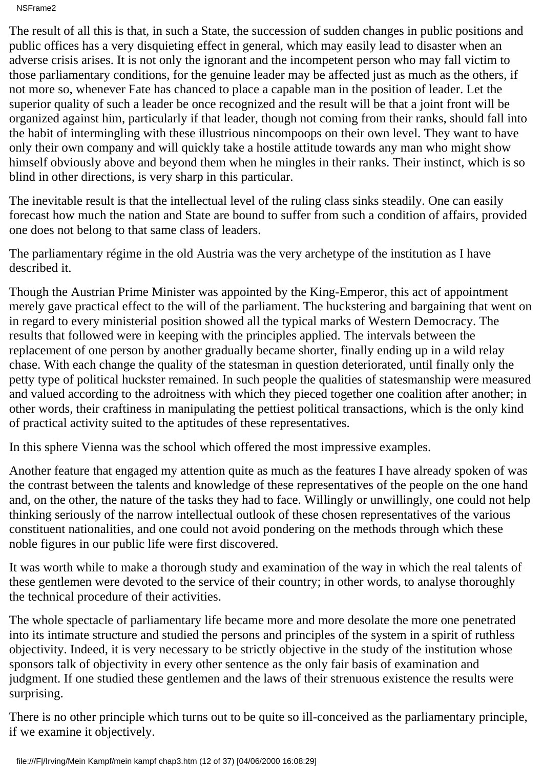NSFrame2

The result of all this is that, in such a State, the succession of sudden changes in public positions and public offices has a very disquieting effect in general, which may easily lead to disaster when an adverse crisis arises. It is not only the ignorant and the incompetent person who may fall victim to those parliamentary conditions, for the genuine leader may be affected just as much as the others, if not more so, whenever Fate has chanced to place a capable man in the position of leader. Let the superior quality of such a leader be once recognized and the result will be that a joint front will be organized against him, particularly if that leader, though not coming from their ranks, should fall into the habit of intermingling with these illustrious nincompoops on their own level. They want to have only their own company and will quickly take a hostile attitude towards any man who might show himself obviously above and beyond them when he mingles in their ranks. Their instinct, which is so blind in other directions, is very sharp in this particular.

The inevitable result is that the intellectual level of the ruling class sinks steadily. One can easily forecast how much the nation and State are bound to suffer from such a condition of affairs, provided one does not belong to that same class of leaders.

The parliamentary régime in the old Austria was the very archetype of the institution as I have described it.

Though the Austrian Prime Minister was appointed by the King-Emperor, this act of appointment merely gave practical effect to the will of the parliament. The huckstering and bargaining that went on in regard to every ministerial position showed all the typical marks of Western Democracy. The results that followed were in keeping with the principles applied. The intervals between the replacement of one person by another gradually became shorter, finally ending up in a wild relay chase. With each change the quality of the statesman in question deteriorated, until finally only the petty type of political huckster remained. In such people the qualities of statesmanship were measured and valued according to the adroitness with which they pieced together one coalition after another; in other words, their craftiness in manipulating the pettiest political transactions, which is the only kind of practical activity suited to the aptitudes of these representatives.

In this sphere Vienna was the school which offered the most impressive examples.

Another feature that engaged my attention quite as much as the features I have already spoken of was the contrast between the talents and knowledge of these representatives of the people on the one hand and, on the other, the nature of the tasks they had to face. Willingly or unwillingly, one could not help thinking seriously of the narrow intellectual outlook of these chosen representatives of the various constituent nationalities, and one could not avoid pondering on the methods through which these noble figures in our public life were first discovered.

It was worth while to make a thorough study and examination of the way in which the real talents of these gentlemen were devoted to the service of their country; in other words, to analyse thoroughly the technical procedure of their activities.

The whole spectacle of parliamentary life became more and more desolate the more one penetrated into its intimate structure and studied the persons and principles of the system in a spirit of ruthless objectivity. Indeed, it is very necessary to be strictly objective in the study of the institution whose sponsors talk of objectivity in every other sentence as the only fair basis of examination and judgment. If one studied these gentlemen and the laws of their strenuous existence the results were surprising.

There is no other principle which turns out to be quite so ill-conceived as the parliamentary principle, if we examine it objectively.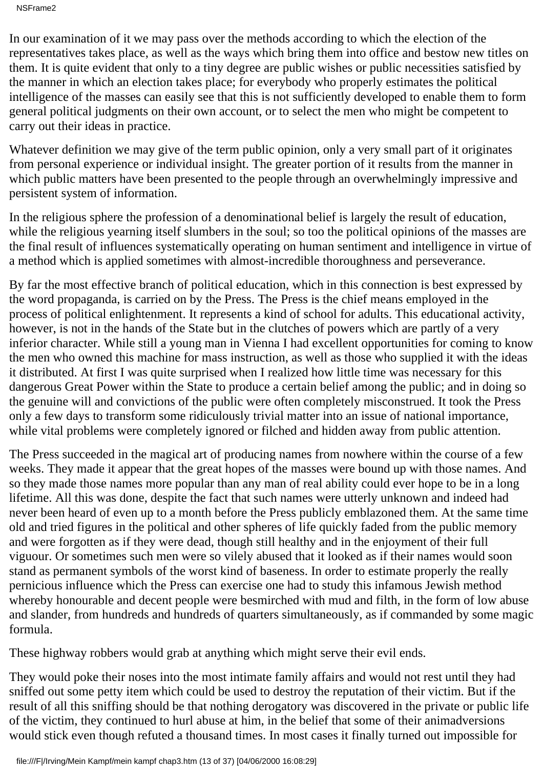In our examination of it we may pass over the methods according to which the election of the representatives takes place, as well as the ways which bring them into office and bestow new titles on them. It is quite evident that only to a tiny degree are public wishes or public necessities satisfied by the manner in which an election takes place; for everybody who properly estimates the political intelligence of the masses can easily see that this is not sufficiently developed to enable them to form general political judgments on their own account, or to select the men who might be competent to carry out their ideas in practice.

Whatever definition we may give of the term public opinion, only a very small part of it originates from personal experience or individual insight. The greater portion of it results from the manner in which public matters have been presented to the people through an overwhelmingly impressive and persistent system of information.

In the religious sphere the profession of a denominational belief is largely the result of education, while the religious yearning itself slumbers in the soul; so too the political opinions of the masses are the final result of influences systematically operating on human sentiment and intelligence in virtue of a method which is applied sometimes with almost-incredible thoroughness and perseverance.

By far the most effective branch of political education, which in this connection is best expressed by the word propaganda, is carried on by the Press. The Press is the chief means employed in the process of political enlightenment. It represents a kind of school for adults. This educational activity, however, is not in the hands of the State but in the clutches of powers which are partly of a very inferior character. While still a young man in Vienna I had excellent opportunities for coming to know the men who owned this machine for mass instruction, as well as those who supplied it with the ideas it distributed. At first I was quite surprised when I realized how little time was necessary for this dangerous Great Power within the State to produce a certain belief among the public; and in doing so the genuine will and convictions of the public were often completely misconstrued. It took the Press only a few days to transform some ridiculously trivial matter into an issue of national importance, while vital problems were completely ignored or filched and hidden away from public attention.

The Press succeeded in the magical art of producing names from nowhere within the course of a few weeks. They made it appear that the great hopes of the masses were bound up with those names. And so they made those names more popular than any man of real ability could ever hope to be in a long lifetime. All this was done, despite the fact that such names were utterly unknown and indeed had never been heard of even up to a month before the Press publicly emblazoned them. At the same time old and tried figures in the political and other spheres of life quickly faded from the public memory and were forgotten as if they were dead, though still healthy and in the enjoyment of their full viguour. Or sometimes such men were so vilely abused that it looked as if their names would soon stand as permanent symbols of the worst kind of baseness. In order to estimate properly the really pernicious influence which the Press can exercise one had to study this infamous Jewish method whereby honourable and decent people were besmirched with mud and filth, in the form of low abuse and slander, from hundreds and hundreds of quarters simultaneously, as if commanded by some magic formula.

These highway robbers would grab at anything which might serve their evil ends.

They would poke their noses into the most intimate family affairs and would not rest until they had sniffed out some petty item which could be used to destroy the reputation of their victim. But if the result of all this sniffing should be that nothing derogatory was discovered in the private or public life of the victim, they continued to hurl abuse at him, in the belief that some of their animadversions would stick even though refuted a thousand times. In most cases it finally turned out impossible for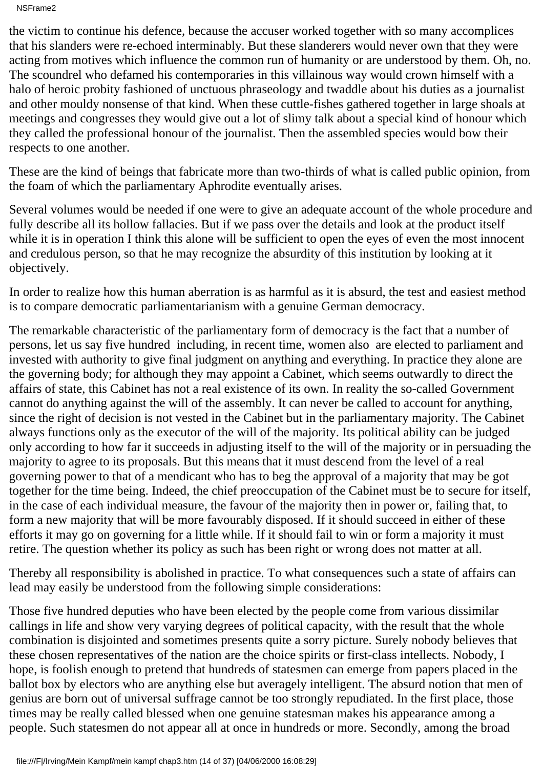#### NSFrame2

the victim to continue his defence, because the accuser worked together with so many accomplices that his slanders were re-echoed interminably. But these slanderers would never own that they were acting from motives which influence the common run of humanity or are understood by them. Oh, no. The scoundrel who defamed his contemporaries in this villainous way would crown himself with a halo of heroic probity fashioned of unctuous phraseology and twaddle about his duties as a journalist and other mouldy nonsense of that kind. When these cuttle-fishes gathered together in large shoals at meetings and congresses they would give out a lot of slimy talk about a special kind of honour which they called the professional honour of the journalist. Then the assembled species would bow their respects to one another.

These are the kind of beings that fabricate more than two-thirds of what is called public opinion, from the foam of which the parliamentary Aphrodite eventually arises.

Several volumes would be needed if one were to give an adequate account of the whole procedure and fully describe all its hollow fallacies. But if we pass over the details and look at the product itself while it is in operation I think this alone will be sufficient to open the eyes of even the most innocent and credulous person, so that he may recognize the absurdity of this institution by looking at it objectively.

In order to realize how this human aberration is as harmful as it is absurd, the test and easiest method is to compare democratic parliamentarianism with a genuine German democracy.

The remarkable characteristic of the parliamentary form of democracy is the fact that a number of persons, let us say five hundred including, in recent time, women also are elected to parliament and invested with authority to give final judgment on anything and everything. In practice they alone are the governing body; for although they may appoint a Cabinet, which seems outwardly to direct the affairs of state, this Cabinet has not a real existence of its own. In reality the so-called Government cannot do anything against the will of the assembly. It can never be called to account for anything, since the right of decision is not vested in the Cabinet but in the parliamentary majority. The Cabinet always functions only as the executor of the will of the majority. Its political ability can be judged only according to how far it succeeds in adjusting itself to the will of the majority or in persuading the majority to agree to its proposals. But this means that it must descend from the level of a real governing power to that of a mendicant who has to beg the approval of a majority that may be got together for the time being. Indeed, the chief preoccupation of the Cabinet must be to secure for itself, in the case of each individual measure, the favour of the majority then in power or, failing that, to form a new majority that will be more favourably disposed. If it should succeed in either of these efforts it may go on governing for a little while. If it should fail to win or form a majority it must retire. The question whether its policy as such has been right or wrong does not matter at all.

Thereby all responsibility is abolished in practice. To what consequences such a state of affairs can lead may easily be understood from the following simple considerations:

Those five hundred deputies who have been elected by the people come from various dissimilar callings in life and show very varying degrees of political capacity, with the result that the whole combination is disjointed and sometimes presents quite a sorry picture. Surely nobody believes that these chosen representatives of the nation are the choice spirits or first-class intellects. Nobody, I hope, is foolish enough to pretend that hundreds of statesmen can emerge from papers placed in the ballot box by electors who are anything else but averagely intelligent. The absurd notion that men of genius are born out of universal suffrage cannot be too strongly repudiated. In the first place, those times may be really called blessed when one genuine statesman makes his appearance among a people. Such statesmen do not appear all at once in hundreds or more. Secondly, among the broad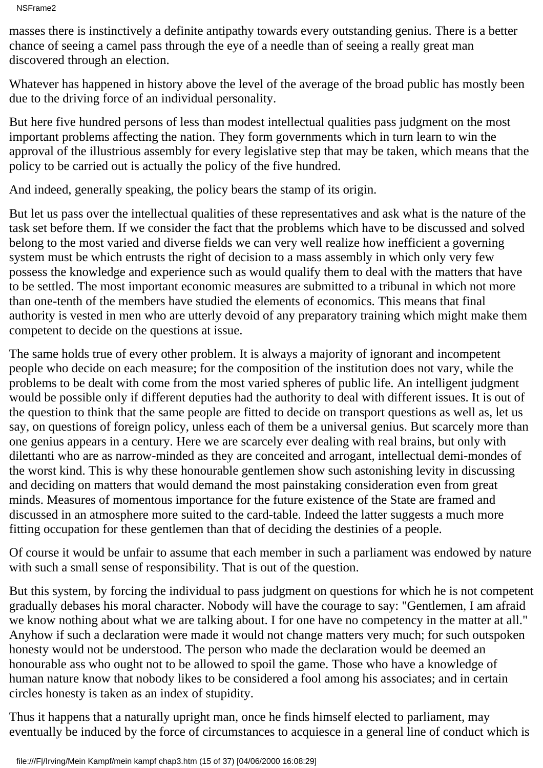masses there is instinctively a definite antipathy towards every outstanding genius. There is a better chance of seeing a camel pass through the eye of a needle than of seeing a really great man discovered through an election.

Whatever has happened in history above the level of the average of the broad public has mostly been due to the driving force of an individual personality.

But here five hundred persons of less than modest intellectual qualities pass judgment on the most important problems affecting the nation. They form governments which in turn learn to win the approval of the illustrious assembly for every legislative step that may be taken, which means that the policy to be carried out is actually the policy of the five hundred.

And indeed, generally speaking, the policy bears the stamp of its origin.

But let us pass over the intellectual qualities of these representatives and ask what is the nature of the task set before them. If we consider the fact that the problems which have to be discussed and solved belong to the most varied and diverse fields we can very well realize how inefficient a governing system must be which entrusts the right of decision to a mass assembly in which only very few possess the knowledge and experience such as would qualify them to deal with the matters that have to be settled. The most important economic measures are submitted to a tribunal in which not more than one-tenth of the members have studied the elements of economics. This means that final authority is vested in men who are utterly devoid of any preparatory training which might make them competent to decide on the questions at issue.

The same holds true of every other problem. It is always a majority of ignorant and incompetent people who decide on each measure; for the composition of the institution does not vary, while the problems to be dealt with come from the most varied spheres of public life. An intelligent judgment would be possible only if different deputies had the authority to deal with different issues. It is out of the question to think that the same people are fitted to decide on transport questions as well as, let us say, on questions of foreign policy, unless each of them be a universal genius. But scarcely more than one genius appears in a century. Here we are scarcely ever dealing with real brains, but only with dilettanti who are as narrow-minded as they are conceited and arrogant, intellectual demi-mondes of the worst kind. This is why these honourable gentlemen show such astonishing levity in discussing and deciding on matters that would demand the most painstaking consideration even from great minds. Measures of momentous importance for the future existence of the State are framed and discussed in an atmosphere more suited to the card-table. Indeed the latter suggests a much more fitting occupation for these gentlemen than that of deciding the destinies of a people.

Of course it would be unfair to assume that each member in such a parliament was endowed by nature with such a small sense of responsibility. That is out of the question.

But this system, by forcing the individual to pass judgment on questions for which he is not competent gradually debases his moral character. Nobody will have the courage to say: "Gentlemen, I am afraid we know nothing about what we are talking about. I for one have no competency in the matter at all." Anyhow if such a declaration were made it would not change matters very much; for such outspoken honesty would not be understood. The person who made the declaration would be deemed an honourable ass who ought not to be allowed to spoil the game. Those who have a knowledge of human nature know that nobody likes to be considered a fool among his associates; and in certain circles honesty is taken as an index of stupidity.

Thus it happens that a naturally upright man, once he finds himself elected to parliament, may eventually be induced by the force of circumstances to acquiesce in a general line of conduct which is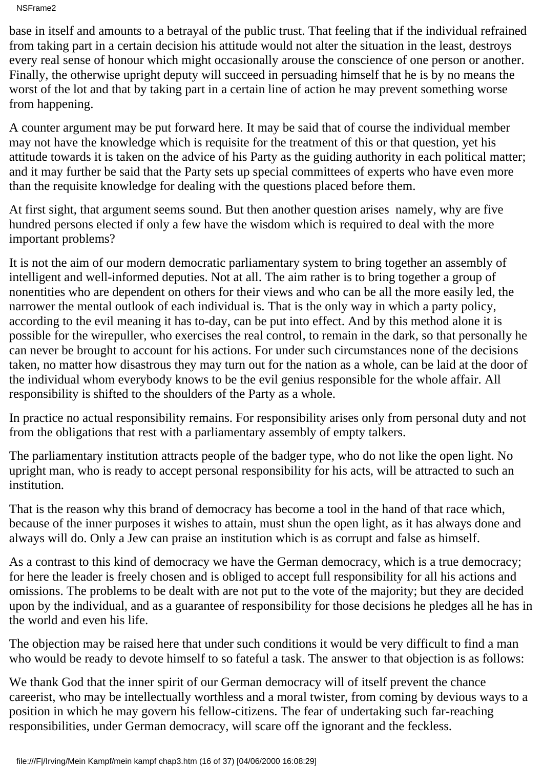NSFrame2

base in itself and amounts to a betrayal of the public trust. That feeling that if the individual refrained from taking part in a certain decision his attitude would not alter the situation in the least, destroys every real sense of honour which might occasionally arouse the conscience of one person or another. Finally, the otherwise upright deputy will succeed in persuading himself that he is by no means the worst of the lot and that by taking part in a certain line of action he may prevent something worse from happening.

A counter argument may be put forward here. It may be said that of course the individual member may not have the knowledge which is requisite for the treatment of this or that question, yet his attitude towards it is taken on the advice of his Party as the guiding authority in each political matter; and it may further be said that the Party sets up special committees of experts who have even more than the requisite knowledge for dealing with the questions placed before them.

At first sight, that argument seems sound. But then another question arises namely, why are five hundred persons elected if only a few have the wisdom which is required to deal with the more important problems?

It is not the aim of our modern democratic parliamentary system to bring together an assembly of intelligent and well-informed deputies. Not at all. The aim rather is to bring together a group of nonentities who are dependent on others for their views and who can be all the more easily led, the narrower the mental outlook of each individual is. That is the only way in which a party policy, according to the evil meaning it has to-day, can be put into effect. And by this method alone it is possible for the wirepuller, who exercises the real control, to remain in the dark, so that personally he can never be brought to account for his actions. For under such circumstances none of the decisions taken, no matter how disastrous they may turn out for the nation as a whole, can be laid at the door of the individual whom everybody knows to be the evil genius responsible for the whole affair. All responsibility is shifted to the shoulders of the Party as a whole.

In practice no actual responsibility remains. For responsibility arises only from personal duty and not from the obligations that rest with a parliamentary assembly of empty talkers.

The parliamentary institution attracts people of the badger type, who do not like the open light. No upright man, who is ready to accept personal responsibility for his acts, will be attracted to such an institution.

That is the reason why this brand of democracy has become a tool in the hand of that race which, because of the inner purposes it wishes to attain, must shun the open light, as it has always done and always will do. Only a Jew can praise an institution which is as corrupt and false as himself.

As a contrast to this kind of democracy we have the German democracy, which is a true democracy; for here the leader is freely chosen and is obliged to accept full responsibility for all his actions and omissions. The problems to be dealt with are not put to the vote of the majority; but they are decided upon by the individual, and as a guarantee of responsibility for those decisions he pledges all he has in the world and even his life.

The objection may be raised here that under such conditions it would be very difficult to find a man who would be ready to devote himself to so fateful a task. The answer to that objection is as follows:

We thank God that the inner spirit of our German democracy will of itself prevent the chance careerist, who may be intellectually worthless and a moral twister, from coming by devious ways to a position in which he may govern his fellow-citizens. The fear of undertaking such far-reaching responsibilities, under German democracy, will scare off the ignorant and the feckless.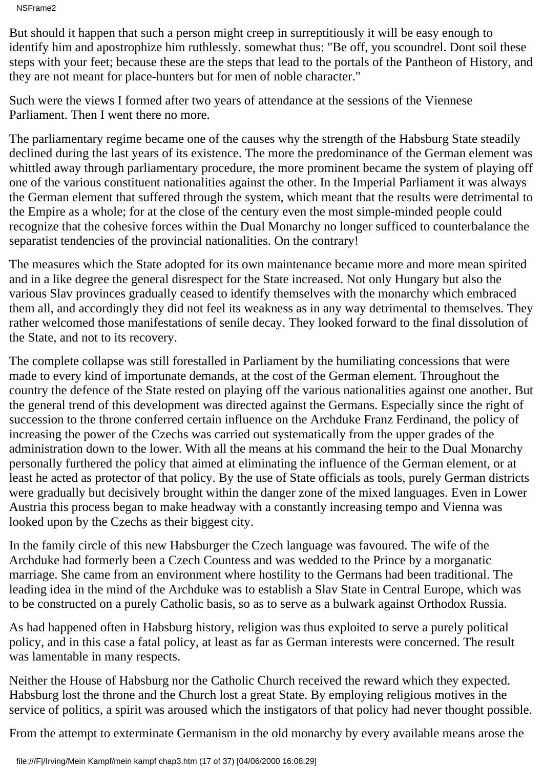NSFrame2

But should it happen that such a person might creep in surreptitiously it will be easy enough to identify him and apostrophize him ruthlessly. somewhat thus: "Be off, you scoundrel. Don t soil these steps with your feet; because these are the steps that lead to the portals of the Pantheon of History, and they are not meant for place-hunters but for men of noble character."

Such were the views I formed after two years of attendance at the sessions of the Viennese Parliament. Then I went there no more.

The parliamentary regime became one of the causes why the strength of the Habsburg State steadily declined during the last years of its existence. The more the predominance of the German element was whittled away through parliamentary procedure, the more prominent became the system of playing off one of the various constituent nationalities against the other. In the Imperial Parliament it was always the German element that suffered through the system, which meant that the results were detrimental to the Empire as a whole; for at the close of the century even the most simple-minded people could recognize that the cohesive forces within the Dual Monarchy no longer sufficed to counterbalance the separatist tendencies of the provincial nationalities. On the contrary!

The measures which the State adopted for its own maintenance became more and more mean spirited and in a like degree the general disrespect for the State increased. Not only Hungary but also the various Slav provinces gradually ceased to identify themselves with the monarchy which embraced them all, and accordingly they did not feel its weakness as in any way detrimental to themselves. They rather welcomed those manifestations of senile decay. They looked forward to the final dissolution of the State, and not to its recovery.

The complete collapse was still forestalled in Parliament by the humiliating concessions that were made to every kind of importunate demands, at the cost of the German element. Throughout the country the defence of the State rested on playing off the various nationalities against one another. But the general trend of this development was directed against the Germans. Especially since the right of succession to the throne conferred certain influence on the Archduke Franz Ferdinand, the policy of increasing the power of the Czechs was carried out systematically from the upper grades of the administration down to the lower. With all the means at his command the heir to the Dual Monarchy personally furthered the policy that aimed at eliminating the influence of the German element, or at least he acted as protector of that policy. By the use of State officials as tools, purely German districts were gradually but decisively brought within the danger zone of the mixed languages. Even in Lower Austria this process began to make headway with a constantly increasing tempo and Vienna was looked upon by the Czechs as their biggest city.

In the family circle of this new Habsburger the Czech language was favoured. The wife of the Archduke had formerly been a Czech Countess and was wedded to the Prince by a morganatic marriage. She came from an environment where hostility to the Germans had been traditional. The leading idea in the mind of the Archduke was to establish a Slav State in Central Europe, which was to be constructed on a purely Catholic basis, so as to serve as a bulwark against Orthodox Russia.

As had happened often in Habsburg history, religion was thus exploited to serve a purely political policy, and in this case a fatal policy, at least as far as German interests were concerned. The result was lamentable in many respects.

Neither the House of Habsburg nor the Catholic Church received the reward which they expected. Habsburg lost the throne and the Church lost a great State. By employing religious motives in the service of politics, a spirit was aroused which the instigators of that policy had never thought possible.

From the attempt to exterminate Germanism in the old monarchy by every available means arose the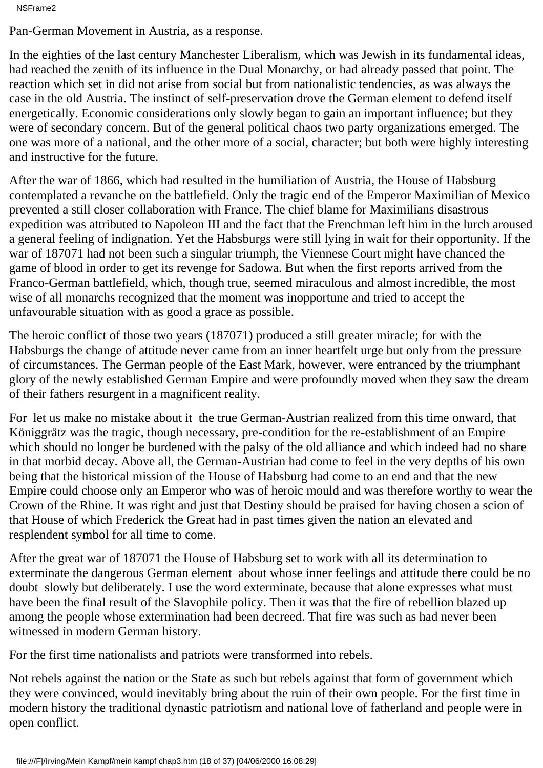NSFrame2

Pan-German Movement in Austria, as a response.

In the eighties of the last century Manchester Liberalism, which was Jewish in its fundamental ideas, had reached the zenith of its influence in the Dual Monarchy, or had already passed that point. The reaction which set in did not arise from social but from nationalistic tendencies, as was always the case in the old Austria. The instinct of self-preservation drove the German element to defend itself energetically. Economic considerations only slowly began to gain an important influence; but they were of secondary concern. But of the general political chaos two party organizations emerged. The one was more of a national, and the other more of a social, character; but both were highly interesting and instructive for the future.

After the war of 1866, which had resulted in the humiliation of Austria, the House of Habsburg contemplated a revanche on the battlefield. Only the tragic end of the Emperor Maximilian of Mexico prevented a still closer collaboration with France. The chief blame for Maximilian s disastrous expedition was attributed to Napoleon III and the fact that the Frenchman left him in the lurch aroused a general feeling of indignation. Yet the Habsburgs were still lying in wait for their opportunity. If the war of 187071 had not been such a singular triumph, the Viennese Court might have chanced the game of blood in order to get its revenge for Sadowa. But when the first reports arrived from the Franco-German battlefield, which, though true, seemed miraculous and almost incredible, the most wise of all monarchs recognized that the moment was inopportune and tried to accept the unfavourable situation with as good a grace as possible.

The heroic conflict of those two years (187071) produced a still greater miracle; for with the Habsburgs the change of attitude never came from an inner heartfelt urge but only from the pressure of circumstances. The German people of the East Mark, however, were entranced by the triumphant glory of the newly established German Empire and were profoundly moved when they saw the dream of their fathers resurgent in a magnificent reality.

For let us make no mistake about it the true German-Austrian realized from this time onward, that Königgrätz was the tragic, though necessary, pre-condition for the re-establishment of an Empire which should no longer be burdened with the palsy of the old alliance and which indeed had no share in that morbid decay. Above all, the German-Austrian had come to feel in the very depths of his own being that the historical mission of the House of Habsburg had come to an end and that the new Empire could choose only an Emperor who was of heroic mould and was therefore worthy to wear the Crown of the Rhine. It was right and just that Destiny should be praised for having chosen a scion of that House of which Frederick the Great had in past times given the nation an elevated and resplendent symbol for all time to come.

After the great war of 1870 71 the House of Habsburg set to work with all its determination to exterminate the dangerous German element about whose inner feelings and attitude there could be no doubt slowly but deliberately. I use the word exterminate, because that alone expresses what must have been the final result of the Slavophile policy. Then it was that the fire of rebellion blazed up among the people whose extermination had been decreed. That fire was such as had never been witnessed in modern German history.

For the first time nationalists and patriots were transformed into rebels.

Not rebels against the nation or the State as such but rebels against that form of government which they were convinced, would inevitably bring about the ruin of their own people. For the first time in modern history the traditional dynastic patriotism and national love of fatherland and people were in open conflict.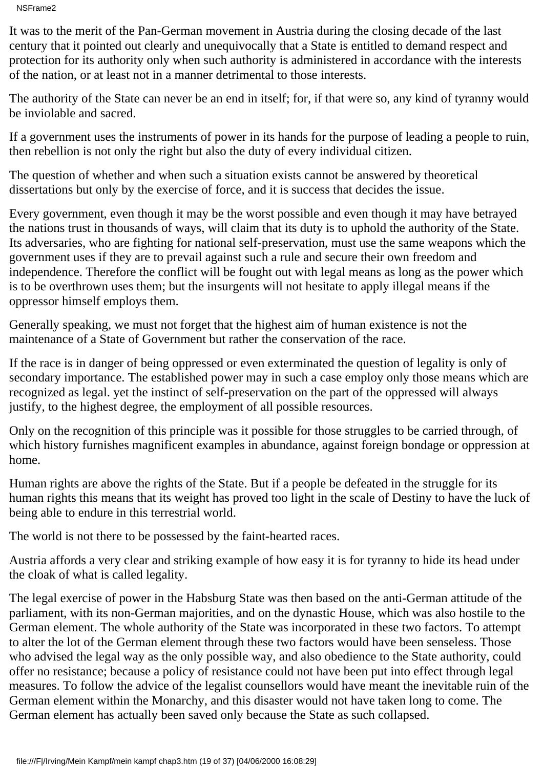It was to the merit of the Pan-German movement in Austria during the closing decade of the last century that it pointed out clearly and unequivocally that a State is entitled to demand respect and protection for its authority only when such authority is administered in accordance with the interests of the nation, or at least not in a manner detrimental to those interests.

The authority of the State can never be an end in itself; for, if that were so, any kind of tyranny would be inviolable and sacred.

If a government uses the instruments of power in its hands for the purpose of leading a people to ruin, then rebellion is not only the right but also the duty of every individual citizen.

The question of whether and when such a situation exists cannot be answered by theoretical dissertations but only by the exercise of force, and it is success that decides the issue.

Every government, even though it may be the worst possible and even though it may have betrayed the nation s trust in thousands of ways, will claim that its duty is to uphold the authority of the State. Its adversaries, who are fighting for national self-preservation, must use the same weapons which the government uses if they are to prevail against such a rule and secure their own freedom and independence. Therefore the conflict will be fought out with legal means as long as the power which is to be overthrown uses them; but the insurgents will not hesitate to apply illegal means if the oppressor himself employs them.

Generally speaking, we must not forget that the highest aim of human existence is not the maintenance of a State of Government but rather the conservation of the race.

If the race is in danger of being oppressed or even exterminated the question of legality is only of secondary importance. The established power may in such a case employ only those means which are recognized as legal. yet the instinct of self-preservation on the part of the oppressed will always justify, to the highest degree, the employment of all possible resources.

Only on the recognition of this principle was it possible for those struggles to be carried through, of which history furnishes magnificent examples in abundance, against foreign bondage or oppression at home.

Human rights are above the rights of the State. But if a people be defeated in the struggle for its human rights this means that its weight has proved too light in the scale of Destiny to have the luck of being able to endure in this terrestrial world.

The world is not there to be possessed by the faint-hearted races.

Austria affords a very clear and striking example of how easy it is for tyranny to hide its head under the cloak of what is called legality.

The legal exercise of power in the Habsburg State was then based on the anti-German attitude of the parliament, with its non-German majorities, and on the dynastic House, which was also hostile to the German element. The whole authority of the State was incorporated in these two factors. To attempt to alter the lot of the German element through these two factors would have been senseless. Those who advised the legal way as the only possible way, and also obedience to the State authority, could offer no resistance; because a policy of resistance could not have been put into effect through legal measures. To follow the advice of the legalist counsellors would have meant the inevitable ruin of the German element within the Monarchy, and this disaster would not have taken long to come. The German element has actually been saved only because the State as such collapsed.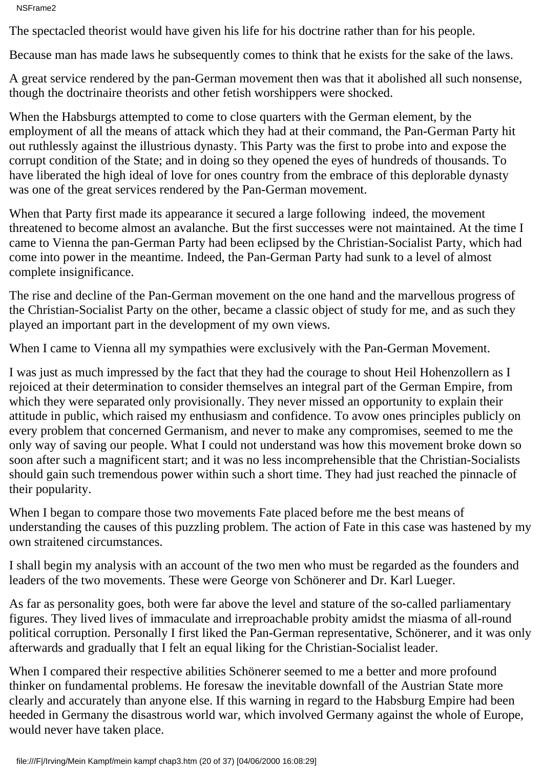## NSFrame2

The spectacled theorist would have given his life for his doctrine rather than for his people.

Because man has made laws he subsequently comes to think that he exists for the sake of the laws.

A great service rendered by the pan-German movement then was that it abolished all such nonsense, though the doctrinaire theorists and other fetish worshippers were shocked.

When the Habsburgs attempted to come to close quarters with the German element, by the employment of all the means of attack which they had at their command, the Pan-German Party hit out ruthlessly against the illustrious dynasty. This Party was the first to probe into and expose the corrupt condition of the State; and in doing so they opened the eyes of hundreds of thousands. To have liberated the high ideal of love for ones country from the embrace of this deplorable dynasty was one of the great services rendered by the Pan-German movement.

When that Party first made its appearance it secured a large following indeed, the movement threatened to become almost an avalanche. But the first successes were not maintained. At the time I came to Vienna the pan-German Party had been eclipsed by the Christian-Socialist Party, which had come into power in the meantime. Indeed, the Pan-German Party had sunk to a level of almost complete insignificance.

The rise and decline of the Pan-German movement on the one hand and the marvellous progress of the Christian-Socialist Party on the other, became a classic object of study for me, and as such they played an important part in the development of my own views.

When I came to Vienna all my sympathies were exclusively with the Pan-German Movement.

I was just as much impressed by the fact that they had the courage to shout Heil Hohenzollern as I rejoiced at their determination to consider themselves an integral part of the German Empire, from which they were separated only provisionally. They never missed an opportunity to explain their attitude in public, which raised my enthusiasm and confidence. To avow ones principles publicly on every problem that concerned Germanism, and never to make any compromises, seemed to me the only way of saving our people. What I could not understand was how this movement broke down so soon after such a magnificent start; and it was no less incomprehensible that the Christian-Socialists should gain such tremendous power within such a short time. They had just reached the pinnacle of their popularity.

When I began to compare those two movements Fate placed before me the best means of understanding the causes of this puzzling problem. The action of Fate in this case was hastened by my own straitened circumstances.

I shall begin my analysis with an account of the two men who must be regarded as the founders and leaders of the two movements. These were George von Schönerer and Dr. Karl Lueger.

As far as personality goes, both were far above the level and stature of the so-called parliamentary figures. They lived lives of immaculate and irreproachable probity amidst the miasma of all-round political corruption. Personally I first liked the Pan-German representative, Schönerer, and it was only afterwards and gradually that I felt an equal liking for the Christian-Socialist leader.

When I compared their respective abilities Schönerer seemed to me a better and more profound thinker on fundamental problems. He foresaw the inevitable downfall of the Austrian State more clearly and accurately than anyone else. If this warning in regard to the Habsburg Empire had been heeded in Germany the disastrous world war, which involved Germany against the whole of Europe, would never have taken place.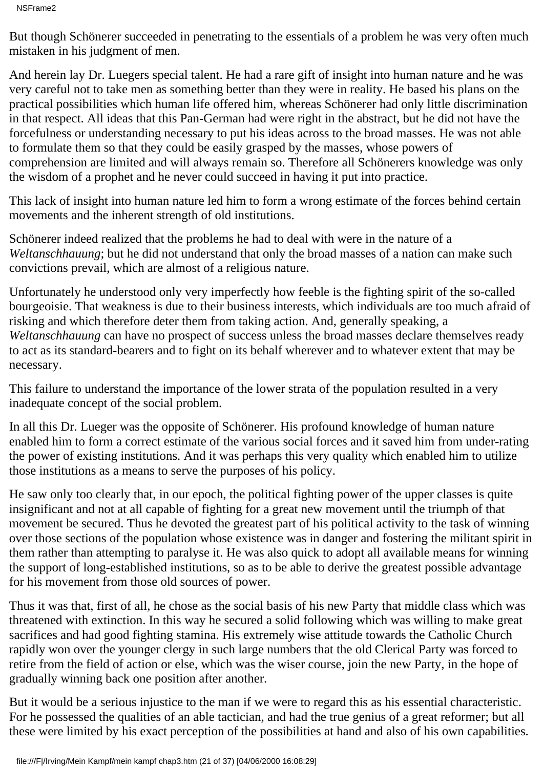But though Schönerer succeeded in penetrating to the essentials of a problem he was very often much mistaken in his judgment of men.

And herein lay Dr. Lueger s special talent. He had a rare gift of insight into human nature and he was very careful not to take men as something better than they were in reality. He based his plans on the practical possibilities which human life offered him, whereas Schönerer had only little discrimination in that respect. All ideas that this Pan-German had were right in the abstract, but he did not have the forcefulness or understanding necessary to put his ideas across to the broad masses. He was not able to formulate them so that they could be easily grasped by the masses, whose powers of comprehension are limited and will always remain so. Therefore all Schönerer s knowledge was only the wisdom of a prophet and he never could succeed in having it put into practice.

This lack of insight into human nature led him to form a wrong estimate of the forces behind certain movements and the inherent strength of old institutions.

Schönerer indeed realized that the problems he had to deal with were in the nature of a *Weltanschhauung*; but he did not understand that only the broad masses of a nation can make such convictions prevail, which are almost of a religious nature.

Unfortunately he understood only very imperfectly how feeble is the fighting spirit of the so-called bourgeoisie. That weakness is due to their business interests, which individuals are too much afraid of risking and which therefore deter them from taking action. And, generally speaking, a *Weltanschhauung* can have no prospect of success unless the broad masses declare themselves ready to act as its standard-bearers and to fight on its behalf wherever and to whatever extent that may be necessary.

This failure to understand the importance of the lower strata of the population resulted in a very inadequate concept of the social problem.

In all this Dr. Lueger was the opposite of Schönerer. His profound knowledge of human nature enabled him to form a correct estimate of the various social forces and it saved him from under-rating the power of existing institutions. And it was perhaps this very quality which enabled him to utilize those institutions as a means to serve the purposes of his policy.

He saw only too clearly that, in our epoch, the political fighting power of the upper classes is quite insignificant and not at all capable of fighting for a great new movement until the triumph of that movement be secured. Thus he devoted the greatest part of his political activity to the task of winning over those sections of the population whose existence was in danger and fostering the militant spirit in them rather than attempting to paralyse it. He was also quick to adopt all available means for winning the support of long-established institutions, so as to be able to derive the greatest possible advantage for his movement from those old sources of power.

Thus it was that, first of all, he chose as the social basis of his new Party that middle class which was threatened with extinction. In this way he secured a solid following which was willing to make great sacrifices and had good fighting stamina. His extremely wise attitude towards the Catholic Church rapidly won over the younger clergy in such large numbers that the old Clerical Party was forced to retire from the field of action or else, which was the wiser course, join the new Party, in the hope of gradually winning back one position after another.

But it would be a serious injustice to the man if we were to regard this as his essential characteristic. For he possessed the qualities of an able tactician, and had the true genius of a great reformer; but all these were limited by his exact perception of the possibilities at hand and also of his own capabilities.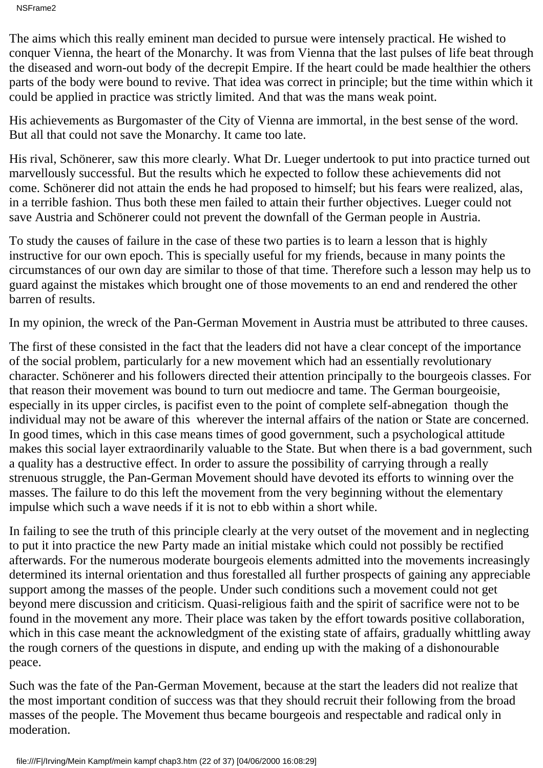NSFrame2

The aims which this really eminent man decided to pursue were intensely practical. He wished to conquer Vienna, the heart of the Monarchy. It was from Vienna that the last pulses of life beat through the diseased and worn-out body of the decrepit Empire. If the heart could be made healthier the others parts of the body were bound to revive. That idea was correct in principle; but the time within which it could be applied in practice was strictly limited. And that was the mans weak point.

His achievements as Burgomaster of the City of Vienna are immortal, in the best sense of the word. But all that could not save the Monarchy. It came too late.

His rival, Schönerer, saw this more clearly. What Dr. Lueger undertook to put into practice turned out marvellously successful. But the results which he expected to follow these achievements did not come. Schönerer did not attain the ends he had proposed to himself; but his fears were realized, alas, in a terrible fashion. Thus both these men failed to attain their further objectives. Lueger could not save Austria and Schönerer could not prevent the downfall of the German people in Austria.

To study the causes of failure in the case of these two parties is to learn a lesson that is highly instructive for our own epoch. This is specially useful for my friends, because in many points the circumstances of our own day are similar to those of that time. Therefore such a lesson may help us to guard against the mistakes which brought one of those movements to an end and rendered the other barren of results.

In my opinion, the wreck of the Pan-German Movement in Austria must be attributed to three causes.

The first of these consisted in the fact that the leaders did not have a clear concept of the importance of the social problem, particularly for a new movement which had an essentially revolutionary character. Schönerer and his followers directed their attention principally to the bourgeois classes. For that reason their movement was bound to turn out mediocre and tame. The German bourgeoisie, especially in its upper circles, is pacifist even to the point of complete self-abnegation though the individual may not be aware of this wherever the internal affairs of the nation or State are concerned. In good times, which in this case means times of good government, such a psychological attitude makes this social layer extraordinarily valuable to the State. But when there is a bad government, such a quality has a destructive effect. In order to assure the possibility of carrying through a really strenuous struggle, the Pan-German Movement should have devoted its efforts to winning over the masses. The failure to do this left the movement from the very beginning without the elementary impulse which such a wave needs if it is not to ebb within a short while.

In failing to see the truth of this principle clearly at the very outset of the movement and in neglecting to put it into practice the new Party made an initial mistake which could not possibly be rectified afterwards. For the numerous moderate bourgeois elements admitted into the movements increasingly determined its internal orientation and thus forestalled all further prospects of gaining any appreciable support among the masses of the people. Under such conditions such a movement could not get beyond mere discussion and criticism. Quasi-religious faith and the spirit of sacrifice were not to be found in the movement any more. Their place was taken by the effort towards positive collaboration, which in this case meant the acknowledgment of the existing state of affairs, gradually whittling away the rough corners of the questions in dispute, and ending up with the making of a dishonourable peace.

Such was the fate of the Pan-German Movement, because at the start the leaders did not realize that the most important condition of success was that they should recruit their following from the broad masses of the people. The Movement thus became bourgeois and respectable and radical only in moderation.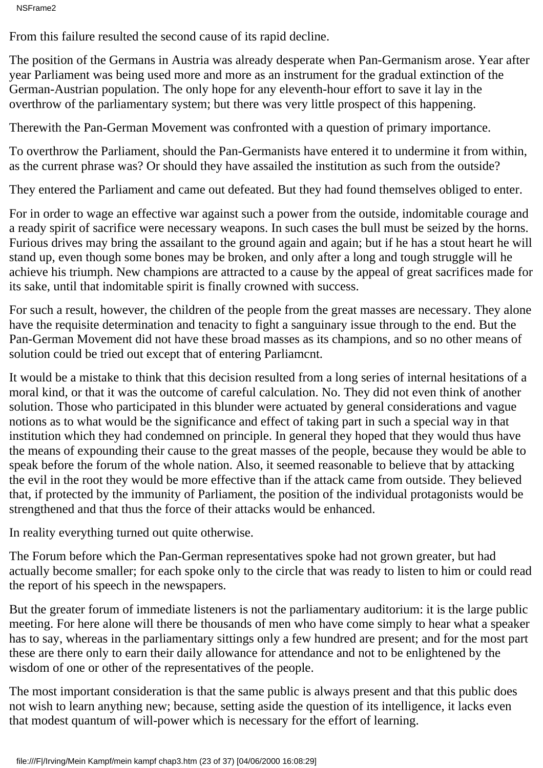From this failure resulted the second cause of its rapid decline.

The position of the Germans in Austria was already desperate when Pan-Germanism arose. Year after year Parliament was being used more and more as an instrument for the gradual extinction of the German-Austrian population. The only hope for any eleventh-hour effort to save it lay in the overthrow of the parliamentary system; but there was very little prospect of this happening.

Therewith the Pan-German Movement was confronted with a question of primary importance.

To overthrow the Parliament, should the Pan-Germanists have entered it to undermine it from within, as the current phrase was? Or should they have assailed the institution as such from the outside?

They entered the Parliament and came out defeated. But they had found themselves obliged to enter.

For in order to wage an effective war against such a power from the outside, indomitable courage and a ready spirit of sacrifice were necessary weapons. In such cases the bull must be seized by the horns. Furious drives may bring the assailant to the ground again and again; but if he has a stout heart he will stand up, even though some bones may be broken, and only after a long and tough struggle will he achieve his triumph. New champions are attracted to a cause by the appeal of great sacrifices made for its sake, until that indomitable spirit is finally crowned with success.

For such a result, however, the children of the people from the great masses are necessary. They alone have the requisite determination and tenacity to fight a sanguinary issue through to the end. But the Pan-German Movement did not have these broad masses as its champions, and so no other means of solution could be tried out except that of entering Parliamcnt.

It would be a mistake to think that this decision resulted from a long series of internal hesitations of a moral kind, or that it was the outcome of careful calculation. No. They did not even think of another solution. Those who participated in this blunder were actuated by general considerations and vague notions as to what would be the significance and effect of taking part in such a special way in that institution which they had condemned on principle. In general they hoped that they would thus have the means of expounding their cause to the great masses of the people, because they would be able to speak before the forum of the whole nation. Also, it seemed reasonable to believe that by attacking the evil in the root they would be more effective than if the attack came from outside. They believed that, if protected by the immunity of Parliament, the position of the individual protagonists would be strengthened and that thus the force of their attacks would be enhanced.

In reality everything turned out quite otherwise.

The Forum before which the Pan-German representatives spoke had not grown greater, but had actually become smaller; for each spoke only to the circle that was ready to listen to him or could read the report of his speech in the newspapers.

But the greater forum of immediate listeners is not the parliamentary auditorium: it is the large public meeting. For here alone will there be thousands of men who have come simply to hear what a speaker has to say, whereas in the parliamentary sittings only a few hundred are present; and for the most part these are there only to earn their daily allowance for attendance and not to be enlightened by the wisdom of one or other of the representatives of the people.

The most important consideration is that the same public is always present and that this public does not wish to learn anything new; because, setting aside the question of its intelligence, it lacks even that modest quantum of will-power which is necessary for the effort of learning.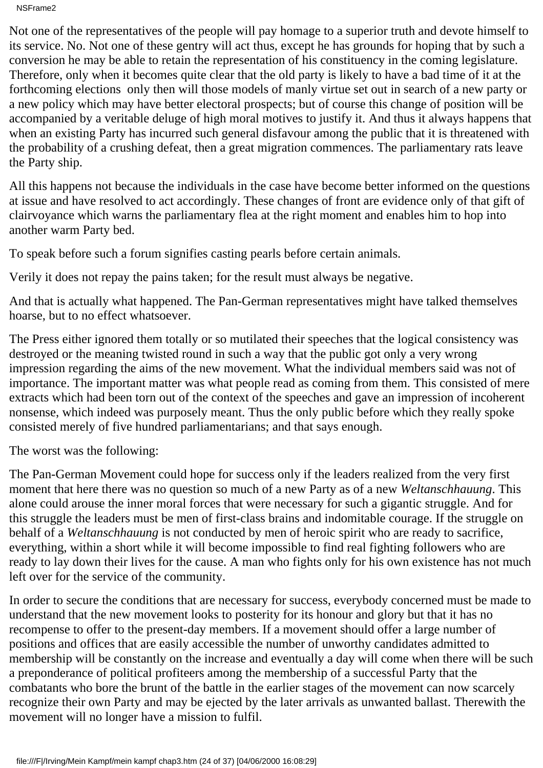NSFrame2

Not one of the representatives of the people will pay homage to a superior truth and devote himself to its service. No. Not one of these gentry will act thus, except he has grounds for hoping that by such a conversion he may be able to retain the representation of his constituency in the coming legislature. Therefore, only when it becomes quite clear that the old party is likely to have a bad time of it at the forthcoming elections only then will those models of manly virtue set out in search of a new party or a new policy which may have better electoral prospects; but of course this change of position will be accompanied by a veritable deluge of high moral motives to justify it. And thus it always happens that when an existing Party has incurred such general disfavour among the public that it is threatened with the probability of a crushing defeat, then a great migration commences. The parliamentary rats leave the Party ship.

All this happens not because the individuals in the case have become better informed on the questions at issue and have resolved to act accordingly. These changes of front are evidence only of that gift of clairvoyance which warns the parliamentary flea at the right moment and enables him to hop into another warm Party bed.

To speak before such a forum signifies casting pearls before certain animals.

Verily it does not repay the pains taken; for the result must always be negative.

And that is actually what happened. The Pan-German representatives might have talked themselves hoarse, but to no effect whatsoever.

The Press either ignored them totally or so mutilated their speeches that the logical consistency was destroyed or the meaning twisted round in such a way that the public got only a very wrong impression regarding the aims of the new movement. What the individual members said was not of importance. The important matter was what people read as coming from them. This consisted of mere extracts which had been torn out of the context of the speeches and gave an impression of incoherent nonsense, which indeed was purposely meant. Thus the only public before which they really spoke consisted merely of five hundred parliamentarians; and that says enough.

The worst was the following:

The Pan-German Movement could hope for success only if the leaders realized from the very first moment that here there was no question so much of a new Party as of a new *Weltanschhauung*. This alone could arouse the inner moral forces that were necessary for such a gigantic struggle. And for this struggle the leaders must be men of first-class brains and indomitable courage. If the struggle on behalf of a *Weltanschhauung* is not conducted by men of heroic spirit who are ready to sacrifice, everything, within a short while it will become impossible to find real fighting followers who are ready to lay down their lives for the cause. A man who fights only for his own existence has not much left over for the service of the community.

In order to secure the conditions that are necessary for success, everybody concerned must be made to understand that the new movement looks to posterity for its honour and glory but that it has no recompense to offer to the present-day members. If a movement should offer a large number of positions and offices that are easily accessible the number of unworthy candidates admitted to membership will be constantly on the increase and eventually a day will come when there will be such a preponderance of political profiteers among the membership of a successful Party that the combatants who bore the brunt of the battle in the earlier stages of the movement can now scarcely recognize their own Party and may be ejected by the later arrivals as unwanted ballast. Therewith the movement will no longer have a mission to fulfil.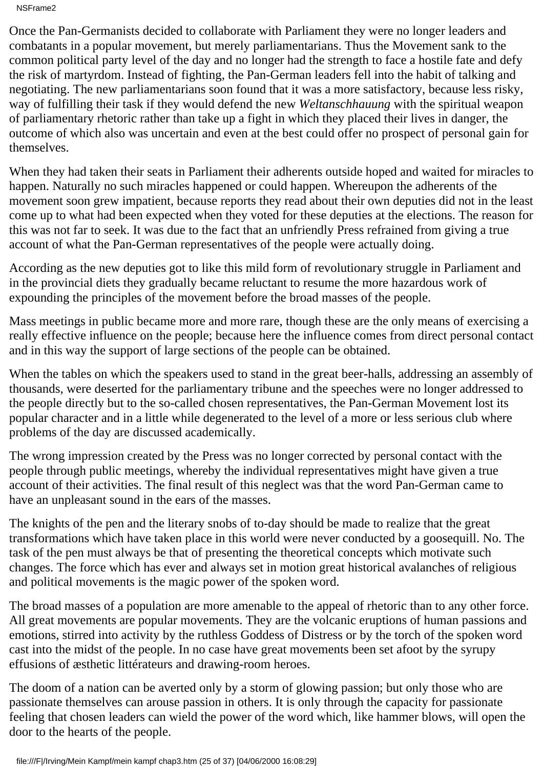NSFrame2

Once the Pan-Germanists decided to collaborate with Parliament they were no longer leaders and combatants in a popular movement, but merely parliamentarians. Thus the Movement sank to the common political party level of the day and no longer had the strength to face a hostile fate and defy the risk of martyrdom. Instead of fighting, the Pan-German leaders fell into the habit of talking and negotiating. The new parliamentarians soon found that it was a more satisfactory, because less risky, way of fulfilling their task if they would defend the new *Weltanschhauung* with the spiritual weapon of parliamentary rhetoric rather than take up a fight in which they placed their lives in danger, the outcome of which also was uncertain and even at the best could offer no prospect of personal gain for themselves.

When they had taken their seats in Parliament their adherents outside hoped and waited for miracles to happen. Naturally no such miracles happened or could happen. Whereupon the adherents of the movement soon grew impatient, because reports they read about their own deputies did not in the least come up to what had been expected when they voted for these deputies at the elections. The reason for this was not far to seek. It was due to the fact that an unfriendly Press refrained from giving a true account of what the Pan-German representatives of the people were actually doing.

According as the new deputies got to like this mild form of revolutionary struggle in Parliament and in the provincial diets they gradually became reluctant to resume the more hazardous work of expounding the principles of the movement before the broad masses of the people.

Mass meetings in public became more and more rare, though these are the only means of exercising a really effective influence on the people; because here the influence comes from direct personal contact and in this way the support of large sections of the people can be obtained.

When the tables on which the speakers used to stand in the great beer-halls, addressing an assembly of thousands, were deserted for the parliamentary tribune and the speeches were no longer addressed to the people directly but to the so-called chosen representatives, the Pan-German Movement lost its popular character and in a little while degenerated to the level of a more or less serious club where problems of the day are discussed academically.

The wrong impression created by the Press was no longer corrected by personal contact with the people through public meetings, whereby the individual representatives might have given a true account of their activities. The final result of this neglect was that the word Pan-German came to have an unpleasant sound in the ears of the masses.

The knights of the pen and the literary snobs of to-day should be made to realize that the great transformations which have taken place in this world were never conducted by a goosequill. No. The task of the pen must always be that of presenting the theoretical concepts which motivate such changes. The force which has ever and always set in motion great historical avalanches of religious and political movements is the magic power of the spoken word.

The broad masses of a population are more amenable to the appeal of rhetoric than to any other force. All great movements are popular movements. They are the volcanic eruptions of human passions and emotions, stirred into activity by the ruthless Goddess of Distress or by the torch of the spoken word cast into the midst of the people. In no case have great movements been set afoot by the syrupy effusions of æsthetic littérateurs and drawing-room heroes.

The doom of a nation can be averted only by a storm of glowing passion; but only those who are passionate themselves can arouse passion in others. It is only through the capacity for passionate feeling that chosen leaders can wield the power of the word which, like hammer blows, will open the door to the hearts of the people.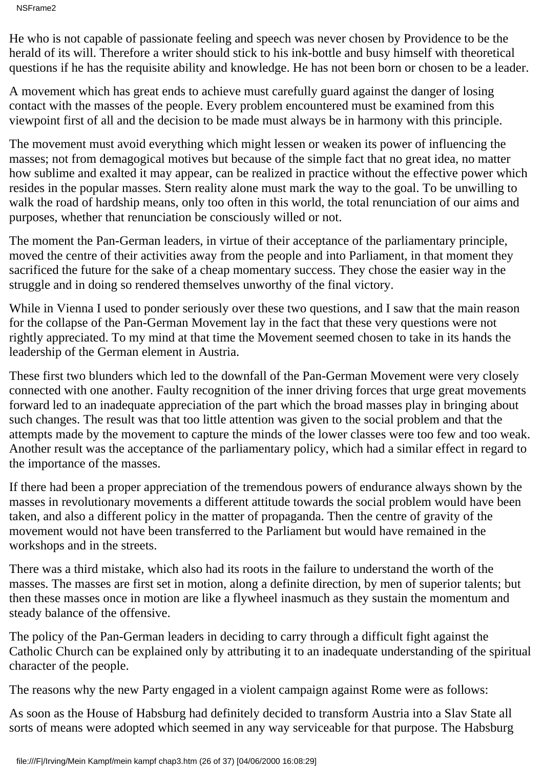NSFrame2

He who is not capable of passionate feeling and speech was never chosen by Providence to be the herald of its will. Therefore a writer should stick to his ink-bottle and busy himself with theoretical questions if he has the requisite ability and knowledge. He has not been born or chosen to be a leader.

A movement which has great ends to achieve must carefully guard against the danger of losing contact with the masses of the people. Every problem encountered must be examined from this viewpoint first of all and the decision to be made must always be in harmony with this principle.

The movement must avoid everything which might lessen or weaken its power of influencing the masses; not from demagogical motives but because of the simple fact that no great idea, no matter how sublime and exalted it may appear, can be realized in practice without the effective power which resides in the popular masses. Stern reality alone must mark the way to the goal. To be unwilling to walk the road of hardship means, only too often in this world, the total renunciation of our aims and purposes, whether that renunciation be consciously willed or not.

The moment the Pan-German leaders, in virtue of their acceptance of the parliamentary principle, moved the centre of their activities away from the people and into Parliament, in that moment they sacrificed the future for the sake of a cheap momentary success. They chose the easier way in the struggle and in doing so rendered themselves unworthy of the final victory.

While in Vienna I used to ponder seriously over these two questions, and I saw that the main reason for the collapse of the Pan-German Movement lay in the fact that these very questions were not rightly appreciated. To my mind at that time the Movement seemed chosen to take in its hands the leadership of the German element in Austria.

These first two blunders which led to the downfall of the Pan-German Movement were very closely connected with one another. Faulty recognition of the inner driving forces that urge great movements forward led to an inadequate appreciation of the part which the broad masses play in bringing about such changes. The result was that too little attention was given to the social problem and that the attempts made by the movement to capture the minds of the lower classes were too few and too weak. Another result was the acceptance of the parliamentary policy, which had a similar effect in regard to the importance of the masses.

If there had been a proper appreciation of the tremendous powers of endurance always shown by the masses in revolutionary movements a different attitude towards the social problem would have been taken, and also a different policy in the matter of propaganda. Then the centre of gravity of the movement would not have been transferred to the Parliament but would have remained in the workshops and in the streets.

There was a third mistake, which also had its roots in the failure to understand the worth of the masses. The masses are first set in motion, along a definite direction, by men of superior talents; but then these masses once in motion are like a flywheel inasmuch as they sustain the momentum and steady balance of the offensive.

The policy of the Pan-German leaders in deciding to carry through a difficult fight against the Catholic Church can be explained only by attributing it to an inadequate understanding of the spiritual character of the people.

The reasons why the new Party engaged in a violent campaign against Rome were as follows:

As soon as the House of Habsburg had definitely decided to transform Austria into a Slav State all sorts of means were adopted which seemed in any way serviceable for that purpose. The Habsburg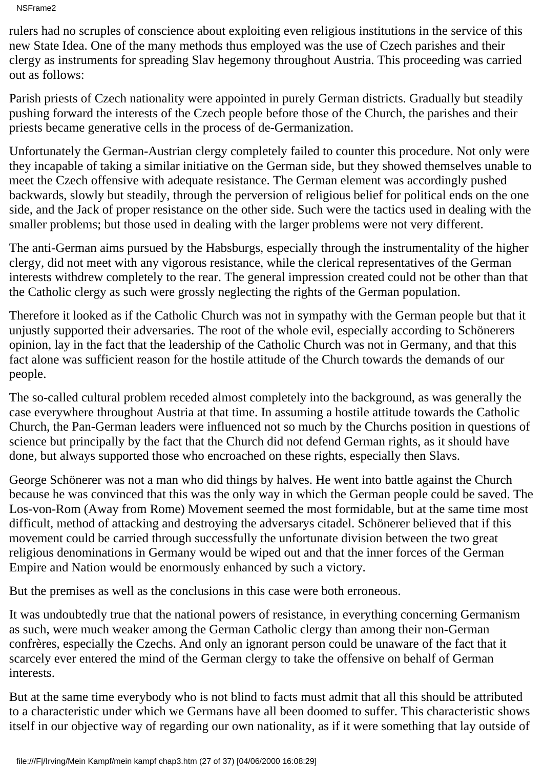NSFrame2

rulers had no scruples of conscience about exploiting even religious institutions in the service of this new State Idea. One of the many methods thus employed was the use of Czech parishes and their clergy as instruments for spreading Slav hegemony throughout Austria. This proceeding was carried out as follows:

Parish priests of Czech nationality were appointed in purely German districts. Gradually but steadily pushing forward the interests of the Czech people before those of the Church, the parishes and their priests became generative cells in the process of de-Germanization.

Unfortunately the German-Austrian clergy completely failed to counter this procedure. Not only were they incapable of taking a similar initiative on the German side, but they showed themselves unable to meet the Czech offensive with adequate resistance. The German element was accordingly pushed backwards, slowly but steadily, through the perversion of religious belief for political ends on the one side, and the Jack of proper resistance on the other side. Such were the tactics used in dealing with the smaller problems; but those used in dealing with the larger problems were not very different.

The anti-German aims pursued by the Habsburgs, especially through the instrumentality of the higher clergy, did not meet with any vigorous resistance, while the clerical representatives of the German interests withdrew completely to the rear. The general impression created could not be other than that the Catholic clergy as such were grossly neglecting the rights of the German population.

Therefore it looked as if the Catholic Church was not in sympathy with the German people but that it unjustly supported their adversaries. The root of the whole evil, especially according to Schönerers opinion, lay in the fact that the leadership of the Catholic Church was not in Germany, and that this fact alone was sufficient reason for the hostile attitude of the Church towards the demands of our people.

The so-called cultural problem receded almost completely into the background, as was generally the case everywhere throughout Austria at that time. In assuming a hostile attitude towards the Catholic Church, the Pan-German leaders were influenced not so much by the Church s position in questions of science but principally by the fact that the Church did not defend German rights, as it should have done, but always supported those who encroached on these rights, especially then Slavs.

George Schönerer was not a man who did things by halves. He went into battle against the Church because he was convinced that this was the only way in which the German people could be saved. The Los-von-Rom (Away from Rome) Movement seemed the most formidable, but at the same time most difficult, method of attacking and destroying the adversary s citadel. Schönerer believed that if this movement could be carried through successfully the unfortunate division between the two great religious denominations in Germany would be wiped out and that the inner forces of the German Empire and Nation would be enormously enhanced by such a victory.

But the premises as well as the conclusions in this case were both erroneous.

It was undoubtedly true that the national powers of resistance, in everything concerning Germanism as such, were much weaker among the German Catholic clergy than among their non-German confrères, especially the Czechs. And only an ignorant person could be unaware of the fact that it scarcely ever entered the mind of the German clergy to take the offensive on behalf of German interests.

But at the same time everybody who is not blind to facts must admit that all this should be attributed to a characteristic under which we Germans have all been doomed to suffer. This characteristic shows itself in our objective way of regarding our own nationality, as if it were something that lay outside of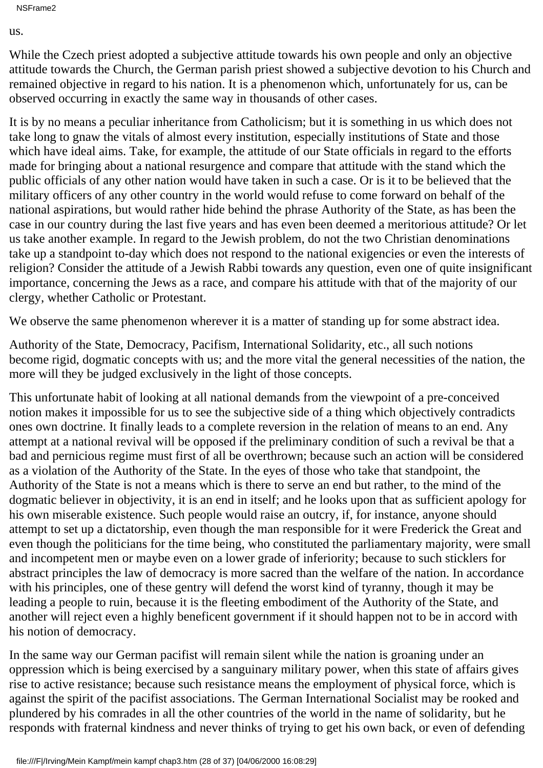NSFrame2

us.

While the Czech priest adopted a subjective attitude towards his own people and only an objective attitude towards the Church, the German parish priest showed a subjective devotion to his Church and remained objective in regard to his nation. It is a phenomenon which, unfortunately for us, can be observed occurring in exactly the same way in thousands of other cases.

It is by no means a peculiar inheritance from Catholicism; but it is something in us which does not take long to gnaw the vitals of almost every institution, especially institutions of State and those which have ideal aims. Take, for example, the attitude of our State officials in regard to the efforts made for bringing about a national resurgence and compare that attitude with the stand which the public officials of any other nation would have taken in such a case. Or is it to be believed that the military officers of any other country in the world would refuse to come forward on behalf of the national aspirations, but would rather hide behind the phrase Authority of the State, as has been the case in our country during the last five years and has even been deemed a meritorious attitude? Or let us take another example. In regard to the Jewish problem, do not the two Christian denominations take up a standpoint to-day which does not respond to the national exigencies or even the interests of religion? Consider the attitude of a Jewish Rabbi towards any question, even one of quite insignificant importance, concerning the Jews as a race, and compare his attitude with that of the majority of our clergy, whether Catholic or Protestant.

We observe the same phenomenon wherever it is a matter of standing up for some abstract idea.

Authority of the State, Democracy, Pacifism, International Solidarity, etc., all such notions become rigid, dogmatic concepts with us; and the more vital the general necessities of the nation, the more will they be judged exclusively in the light of those concepts.

This unfortunate habit of looking at all national demands from the viewpoint of a pre-conceived notion makes it impossible for us to see the subjective side of a thing which objectively contradicts ones own doctrine. It finally leads to a complete reversion in the relation of means to an end. Any attempt at a national revival will be opposed if the preliminary condition of such a revival be that a bad and pernicious regime must first of all be overthrown; because such an action will be considered as a violation of the Authority of the State. In the eyes of those who take that standpoint, the Authority of the State is not a means which is there to serve an end but rather, to the mind of the dogmatic believer in objectivity, it is an end in itself; and he looks upon that as sufficient apology for his own miserable existence. Such people would raise an outcry, if, for instance, anyone should attempt to set up a dictatorship, even though the man responsible for it were Frederick the Great and even though the politicians for the time being, who constituted the parliamentary majority, were small and incompetent men or maybe even on a lower grade of inferiority; because to such sticklers for abstract principles the law of democracy is more sacred than the welfare of the nation. In accordance with his principles, one of these gentry will defend the worst kind of tyranny, though it may be leading a people to ruin, because it is the fleeting embodiment of the Authority of the State, and another will reject even a highly beneficent government if it should happen not to be in accord with his notion of democracy.

In the same way our German pacifist will remain silent while the nation is groaning under an oppression which is being exercised by a sanguinary military power, when this state of affairs gives rise to active resistance; because such resistance means the employment of physical force, which is against the spirit of the pacifist associations. The German International Socialist may be rooked and plundered by his comrades in all the other countries of the world in the name of solidarity, but he responds with fraternal kindness and never thinks of trying to get his own back, or even of defending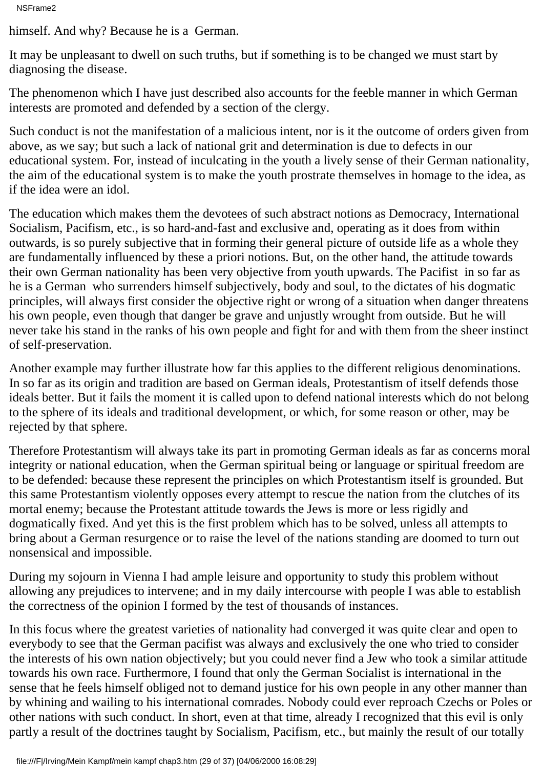himself. And why? Because he is a German.

It may be unpleasant to dwell on such truths, but if something is to be changed we must start by diagnosing the disease.

The phenomenon which I have just described also accounts for the feeble manner in which German interests are promoted and defended by a section of the clergy.

Such conduct is not the manifestation of a malicious intent, nor is it the outcome of orders given from above, as we say; but such a lack of national grit and determination is due to defects in our educational system. For, instead of inculcating in the youth a lively sense of their German nationality, the aim of the educational system is to make the youth prostrate themselves in homage to the idea, as if the idea were an idol.

The education which makes them the devotees of such abstract notions as Democracy, International Socialism, Pacifism, etc., is so hard-and-fast and exclusive and, operating as it does from within outwards, is so purely subjective that in forming their general picture of outside life as a whole they are fundamentally influenced by these a priori notions. But, on the other hand, the attitude towards their own German nationality has been very objective from youth upwards. The Pacifist in so far as he is a German who surrenders himself subjectively, body and soul, to the dictates of his dogmatic principles, will always first consider the objective right or wrong of a situation when danger threatens his own people, even though that danger be grave and unjustly wrought from outside. But he will never take his stand in the ranks of his own people and fight for and with them from the sheer instinct of self-preservation.

Another example may further illustrate how far this applies to the different religious denominations. In so far as its origin and tradition are based on German ideals, Protestantism of itself defends those ideals better. But it fails the moment it is called upon to defend national interests which do not belong to the sphere of its ideals and traditional development, or which, for some reason or other, may be rejected by that sphere.

Therefore Protestantism will always take its part in promoting German ideals as far as concerns moral integrity or national education, when the German spiritual being or language or spiritual freedom are to be defended: because these represent the principles on which Protestantism itself is grounded. But this same Protestantism violently opposes every attempt to rescue the nation from the clutches of its mortal enemy; because the Protestant attitude towards the Jews is more or less rigidly and dogmatically fixed. And yet this is the first problem which has to be solved, unless all attempts to bring about a German resurgence or to raise the level of the nation s standing are doomed to turn out nonsensical and impossible.

During my sojourn in Vienna I had ample leisure and opportunity to study this problem without allowing any prejudices to intervene; and in my daily intercourse with people I was able to establish the correctness of the opinion I formed by the test of thousands of instances.

In this focus where the greatest varieties of nationality had converged it was quite clear and open to everybody to see that the German pacifist was always and exclusively the one who tried to consider the interests of his own nation objectively; but you could never find a Jew who took a similar attitude towards his own race. Furthermore, I found that only the German Socialist is international in the sense that he feels himself obliged not to demand justice for his own people in any other manner than by whining and wailing to his international comrades. Nobody could ever reproach Czechs or Poles or other nations with such conduct. In short, even at that time, already I recognized that this evil is only partly a result of the doctrines taught by Socialism, Pacifism, etc., but mainly the result of our totally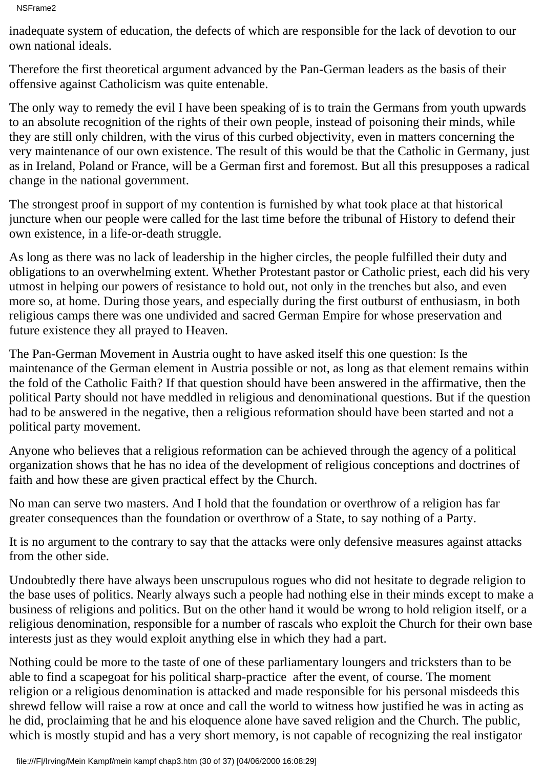inadequate system of education, the defects of which are responsible for the lack of devotion to our own national ideals.

Therefore the first theoretical argument advanced by the Pan-German leaders as the basis of their offensive against Catholicism was quite entenable.

The only way to remedy the evil I have been speaking of is to train the Germans from youth upwards to an absolute recognition of the rights of their own people, instead of poisoning their minds, while they are still only children, with the virus of this curbed objectivity, even in matters concerning the very maintenance of our own existence. The result of this would be that the Catholic in Germany, just as in Ireland, Poland or France, will be a German first and foremost. But all this presupposes a radical change in the national government.

The strongest proof in support of my contention is furnished by what took place at that historical juncture when our people were called for the last time before the tribunal of History to defend their own existence, in a life-or-death struggle.

As long as there was no lack of leadership in the higher circles, the people fulfilled their duty and obligations to an overwhelming extent. Whether Protestant pastor or Catholic priest, each did his very utmost in helping our powers of resistance to hold out, not only in the trenches but also, and even more so, at home. During those years, and especially during the first outburst of enthusiasm, in both religious camps there was one undivided and sacred German Empire for whose preservation and future existence they all prayed to Heaven.

The Pan-German Movement in Austria ought to have asked itself this one question: Is the maintenance of the German element in Austria possible or not, as long as that element remains within the fold of the Catholic Faith? If that question should have been answered in the affirmative, then the political Party should not have meddled in religious and denominational questions. But if the question had to be answered in the negative, then a religious reformation should have been started and not a political party movement.

Anyone who believes that a religious reformation can be achieved through the agency of a political organization shows that he has no idea of the development of religious conceptions and doctrines of faith and how these are given practical effect by the Church.

No man can serve two masters. And I hold that the foundation or overthrow of a religion has far greater consequences than the foundation or overthrow of a State, to say nothing of a Party.

It is no argument to the contrary to say that the attacks were only defensive measures against attacks from the other side.

Undoubtedly there have always been unscrupulous rogues who did not hesitate to degrade religion to the base uses of politics. Nearly always such a people had nothing else in their minds except to make a business of religions and politics. But on the other hand it would be wrong to hold religion itself, or a religious denomination, responsible for a number of rascals who exploit the Church for their own base interests just as they would exploit anything else in which they had a part.

Nothing could be more to the taste of one of these parliamentary loungers and tricksters than to be able to find a scapegoat for his political sharp-practice after the event, of course. The moment religion or a religious denomination is attacked and made responsible for his personal misdeeds this shrewd fellow will raise a row at once and call the world to witness how justified he was in acting as he did, proclaiming that he and his eloquence alone have saved religion and the Church. The public, which is mostly stupid and has a very short memory, is not capable of recognizing the real instigator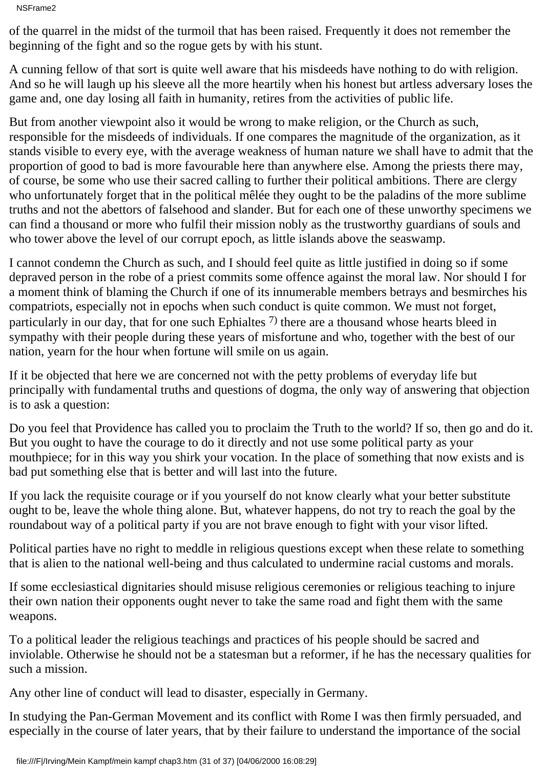NSFrame2

of the quarrel in the midst of the turmoil that has been raised. Frequently it does not remember the beginning of the fight and so the rogue gets by with his stunt.

A cunning fellow of that sort is quite well aware that his misdeeds have nothing to do with religion. And so he will laugh up his sleeve all the more heartily when his honest but artless adversary loses the game and, one day losing all faith in humanity, retires from the activities of public life.

But from another viewpoint also it would be wrong to make religion, or the Church as such, responsible for the misdeeds of individuals. If one compares the magnitude of the organization, as it stands visible to every eye, with the average weakness of human nature we shall have to admit that the proportion of good to bad is more favourable here than anywhere else. Among the priests there may, of course, be some who use their sacred calling to further their political ambitions. There are clergy who unfortunately forget that in the political mêlée they ought to be the paladins of the more sublime truths and not the abettors of falsehood and slander. But for each one of these unworthy specimens we can find a thousand or more who fulfil their mission nobly as the trustworthy guardians of souls and who tower above the level of our corrupt epoch, as little islands above the seaswamp.

I cannot condemn the Church as such, and I should feel quite as little justified in doing so if some depraved person in the robe of a priest commits some offence against the moral law. Nor should I for a moment think of blaming the Church if one of its innumerable members betrays and besmirches his compatriots, especially not in epochs when such conduct is quite common. We must not forget, particularly in our day, that for one such Ephialtes  $\frac{7}{1}$  there are a thousand whose hearts bleed in sympathy with their people during these years of misfortune and who, together with the best of our nation, yearn for the hour when fortune will smile on us again.

If it be objected that here we are concerned not with the petty problems of everyday life but principally with fundamental truths and questions of dogma, the only way of answering that objection is to ask a question:

Do you feel that Providence has called you to proclaim the Truth to the world? If so, then go and do it. But you ought to have the courage to do it directly and not use some political party as your mouthpiece; for in this way you shirk your vocation. In the place of something that now exists and is bad put something else that is better and will last into the future.

If you lack the requisite courage or if you yourself do not know clearly what your better substitute ought to be, leave the whole thing alone. But, whatever happens, do not try to reach the goal by the roundabout way of a political party if you are not brave enough to fight with your visor lifted.

Political parties have no right to meddle in religious questions except when these relate to something that is alien to the national well-being and thus calculated to undermine racial customs and morals.

If some ecclesiastical dignitaries should misuse religious ceremonies or religious teaching to injure their own nation their opponents ought never to take the same road and fight them with the same weapons.

To a political leader the religious teachings and practices of his people should be sacred and inviolable. Otherwise he should not be a statesman but a reformer, if he has the necessary qualities for such a mission.

Any other line of conduct will lead to disaster, especially in Germany.

In studying the Pan-German Movement and its conflict with Rome I was then firmly persuaded, and especially in the course of later years, that by their failure to understand the importance of the social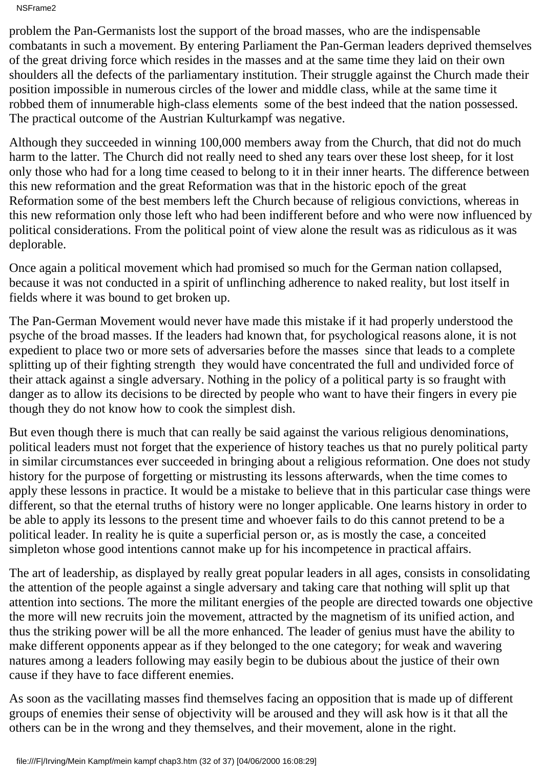NSFrame2

problem the Pan-Germanists lost the support of the broad masses, who are the indispensable combatants in such a movement. By entering Parliament the Pan-German leaders deprived themselves of the great driving force which resides in the masses and at the same time they laid on their own shoulders all the defects of the parliamentary institution. Their struggle against the Church made their position impossible in numerous circles of the lower and middle class, while at the same time it robbed them of innumerable high-class elements some of the best indeed that the nation possessed. The practical outcome of the Austrian Kulturkampf was negative.

Although they succeeded in winning 100,000 members away from the Church, that did not do much harm to the latter. The Church did not really need to shed any tears over these lost sheep, for it lost only those who had for a long time ceased to belong to it in their inner hearts. The difference between this new reformation and the great Reformation was that in the historic epoch of the great Reformation some of the best members left the Church because of religious convictions, whereas in this new reformation only those left who had been indifferent before and who were now influenced by political considerations. From the political point of view alone the result was as ridiculous as it was deplorable.

Once again a political movement which had promised so much for the German nation collapsed, because it was not conducted in a spirit of unflinching adherence to naked reality, but lost itself in fields where it was bound to get broken up.

The Pan-German Movement would never have made this mistake if it had properly understood the psyche of the broad masses. If the leaders had known that, for psychological reasons alone, it is not expedient to place two or more sets of adversaries before the masses since that leads to a complete splitting up of their fighting strength they would have concentrated the full and undivided force of their attack against a single adversary. Nothing in the policy of a political party is so fraught with danger as to allow its decisions to be directed by people who want to have their fingers in every pie though they do not know how to cook the simplest dish.

But even though there is much that can really be said against the various religious denominations, political leaders must not forget that the experience of history teaches us that no purely political party in similar circumstances ever succeeded in bringing about a religious reformation. One does not study history for the purpose of forgetting or mistrusting its lessons afterwards, when the time comes to apply these lessons in practice. It would be a mistake to believe that in this particular case things were different, so that the eternal truths of history were no longer applicable. One learns history in order to be able to apply its lessons to the present time and whoever fails to do this cannot pretend to be a political leader. In reality he is quite a superficial person or, as is mostly the case, a conceited simpleton whose good intentions cannot make up for his incompetence in practical affairs.

The art of leadership, as displayed by really great popular leaders in all ages, consists in consolidating the attention of the people against a single adversary and taking care that nothing will split up that attention into sections. The more the militant energies of the people are directed towards one objective the more will new recruits join the movement, attracted by the magnetism of its unified action, and thus the striking power will be all the more enhanced. The leader of genius must have the ability to make different opponents appear as if they belonged to the one category; for weak and wavering natures among a leader s following may easily begin to be dubious about the justice of their own cause if they have to face different enemies.

As soon as the vacillating masses find themselves facing an opposition that is made up of different groups of enemies their sense of objectivity will be aroused and they will ask how is it that all the others can be in the wrong and they themselves, and their movement, alone in the right.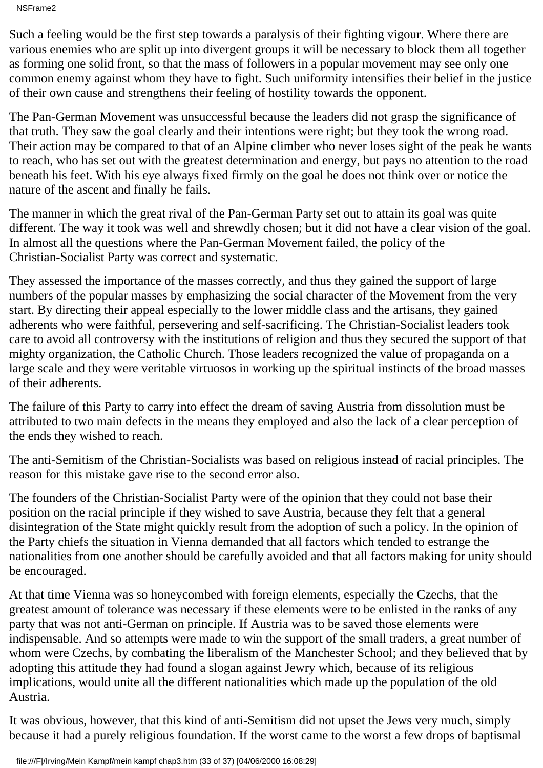NSFrame2

Such a feeling would be the first step towards a paralysis of their fighting vigour. Where there are various enemies who are split up into divergent groups it will be necessary to block them all together as forming one solid front, so that the mass of followers in a popular movement may see only one common enemy against whom they have to fight. Such uniformity intensifies their belief in the justice of their own cause and strengthens their feeling of hostility towards the opponent.

The Pan-German Movement was unsuccessful because the leaders did not grasp the significance of that truth. They saw the goal clearly and their intentions were right; but they took the wrong road. Their action may be compared to that of an Alpine climber who never loses sight of the peak he wants to reach, who has set out with the greatest determination and energy, but pays no attention to the road beneath his feet. With his eye always fixed firmly on the goal he does not think over or notice the nature of the ascent and finally he fails.

The manner in which the great rival of the Pan-German Party set out to attain its goal was quite different. The way it took was well and shrewdly chosen; but it did not have a clear vision of the goal. In almost all the questions where the Pan-German Movement failed, the policy of the Christian-Socialist Party was correct and systematic.

They assessed the importance of the masses correctly, and thus they gained the support of large numbers of the popular masses by emphasizing the social character of the Movement from the very start. By directing their appeal especially to the lower middle class and the artisans, they gained adherents who were faithful, persevering and self-sacrificing. The Christian-Socialist leaders took care to avoid all controversy with the institutions of religion and thus they secured the support of that mighty organization, the Catholic Church. Those leaders recognized the value of propaganda on a large scale and they were veritable virtuosos in working up the spiritual instincts of the broad masses of their adherents.

The failure of this Party to carry into effect the dream of saving Austria from dissolution must be attributed to two main defects in the means they employed and also the lack of a clear perception of the ends they wished to reach.

The anti-Semitism of the Christian-Socialists was based on religious instead of racial principles. The reason for this mistake gave rise to the second error also.

The founders of the Christian-Socialist Party were of the opinion that they could not base their position on the racial principle if they wished to save Austria, because they felt that a general disintegration of the State might quickly result from the adoption of such a policy. In the opinion of the Party chiefs the situation in Vienna demanded that all factors which tended to estrange the nationalities from one another should be carefully avoided and that all factors making for unity should be encouraged.

At that time Vienna was so honeycombed with foreign elements, especially the Czechs, that the greatest amount of tolerance was necessary if these elements were to be enlisted in the ranks of any party that was not anti-German on principle. If Austria was to be saved those elements were indispensable. And so attempts were made to win the support of the small traders, a great number of whom were Czechs, by combating the liberalism of the Manchester School; and they believed that by adopting this attitude they had found a slogan against Jewry which, because of its religious implications, would unite all the different nationalities which made up the population of the old Austria.

It was obvious, however, that this kind of anti-Semitism did not upset the Jews very much, simply because it had a purely religious foundation. If the worst came to the worst a few drops of baptismal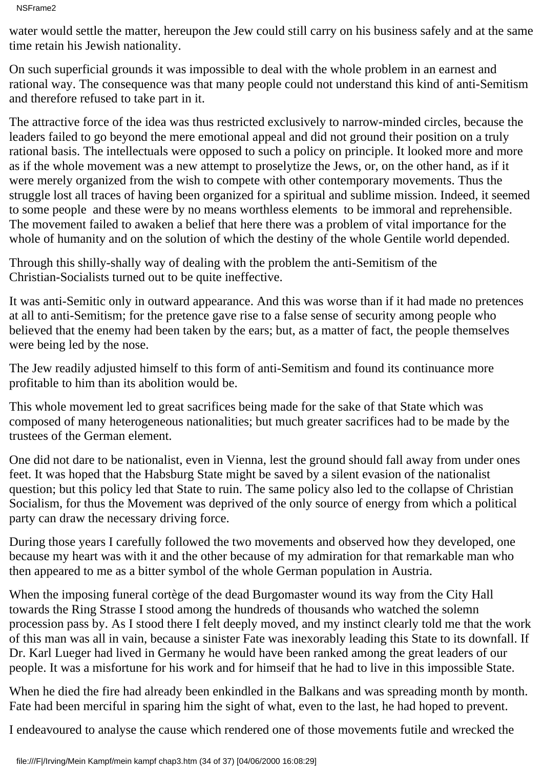water would settle the matter, hereupon the Jew could still carry on his business safely and at the same time retain his Jewish nationality.

On such superficial grounds it was impossible to deal with the whole problem in an earnest and rational way. The consequence was that many people could not understand this kind of anti-Semitism and therefore refused to take part in it.

The attractive force of the idea was thus restricted exclusively to narrow-minded circles, because the leaders failed to go beyond the mere emotional appeal and did not ground their position on a truly rational basis. The intellectuals were opposed to such a policy on principle. It looked more and more as if the whole movement was a new attempt to proselytize the Jews, or, on the other hand, as if it were merely organized from the wish to compete with other contemporary movements. Thus the struggle lost all traces of having been organized for a spiritual and sublime mission. Indeed, it seemed to some people and these were by no means worthless elements to be immoral and reprehensible. The movement failed to awaken a belief that here there was a problem of vital importance for the whole of humanity and on the solution of which the destiny of the whole Gentile world depended.

Through this shilly-shally way of dealing with the problem the anti-Semitism of the Christian-Socialists turned out to be quite ineffective.

It was anti-Semitic only in outward appearance. And this was worse than if it had made no pretences at all to anti-Semitism; for the pretence gave rise to a false sense of security among people who believed that the enemy had been taken by the ears; but, as a matter of fact, the people themselves were being led by the nose.

The Jew readily adjusted himself to this form of anti-Semitism and found its continuance more profitable to him than its abolition would be.

This whole movement led to great sacrifices being made for the sake of that State which was composed of many heterogeneous nationalities; but much greater sacrifices had to be made by the trustees of the German element.

One did not dare to be nationalist, even in Vienna, lest the ground should fall away from under ones feet. It was hoped that the Habsburg State might be saved by a silent evasion of the nationalist question; but this policy led that State to ruin. The same policy also led to the collapse of Christian Socialism, for thus the Movement was deprived of the only source of energy from which a political party can draw the necessary driving force.

During those years I carefully followed the two movements and observed how they developed, one because my heart was with it and the other because of my admiration for that remarkable man who then appeared to me as a bitter symbol of the whole German population in Austria.

When the imposing funeral cortège of the dead Burgomaster wound its way from the City Hall towards the Ring Strasse I stood among the hundreds of thousands who watched the solemn procession pass by. As I stood there I felt deeply moved, and my instinct clearly told me that the work of this man was all in vain, because a sinister Fate was inexorably leading this State to its downfall. If Dr. Karl Lueger had lived in Germany he would have been ranked among the great leaders of our people. It was a misfortune for his work and for himseif that he had to live in this impossible State.

When he died the fire had already been enkindled in the Balkans and was spreading month by month. Fate had been merciful in sparing him the sight of what, even to the last, he had hoped to prevent.

I endeavoured to analyse the cause which rendered one of those movements futile and wrecked the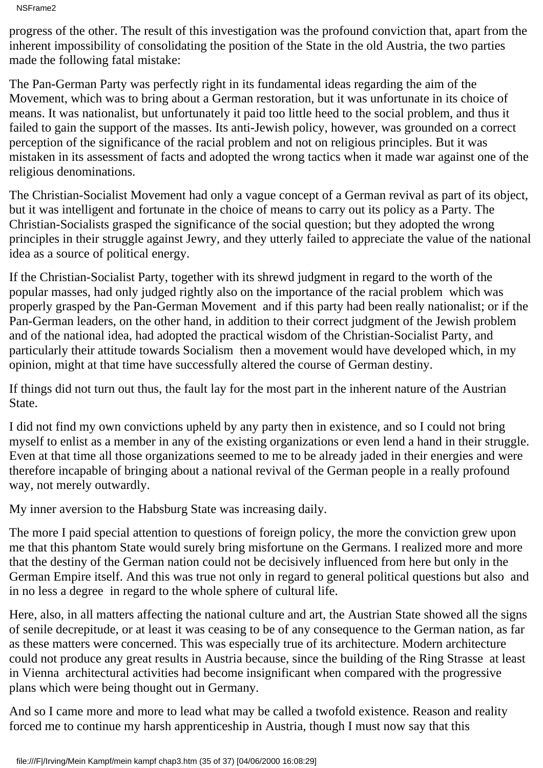progress of the other. The result of this investigation was the profound conviction that, apart from the inherent impossibility of consolidating the position of the State in the old Austria, the two parties made the following fatal mistake:

The Pan-German Party was perfectly right in its fundamental ideas regarding the aim of the Movement, which was to bring about a German restoration, but it was unfortunate in its choice of means. It was nationalist, but unfortunately it paid too little heed to the social problem, and thus it failed to gain the support of the masses. Its anti-Jewish policy, however, was grounded on a correct perception of the significance of the racial problem and not on religious principles. But it was mistaken in its assessment of facts and adopted the wrong tactics when it made war against one of the religious denominations.

The Christian-Socialist Movement had only a vague concept of a German revival as part of its object, but it was intelligent and fortunate in the choice of means to carry out its policy as a Party. The Christian-Socialists grasped the significance of the social question; but they adopted the wrong principles in their struggle against Jewry, and they utterly failed to appreciate the value of the national idea as a source of political energy.

If the Christian-Socialist Party, together with its shrewd judgment in regard to the worth of the popular masses, had only judged rightly also on the importance of the racial problem which was properly grasped by the Pan-German Movement and if this party had been really nationalist; or if the Pan-German leaders, on the other hand, in addition to their correct judgment of the Jewish problem and of the national idea, had adopted the practical wisdom of the Christian-Socialist Party, and particularly their attitude towards Socialism then a movement would have developed which, in my opinion, might at that time have successfully altered the course of German destiny.

If things did not turn out thus, the fault lay for the most part in the inherent nature of the Austrian State.

I did not find my own convictions upheld by any party then in existence, and so I could not bring myself to enlist as a member in any of the existing organizations or even lend a hand in their struggle. Even at that time all those organizations seemed to me to be already jaded in their energies and were therefore incapable of bringing about a national revival of the German people in a really profound way, not merely outwardly.

My inner aversion to the Habsburg State was increasing daily.

The more I paid special attention to questions of foreign policy, the more the conviction grew upon me that this phantom State would surely bring misfortune on the Germans. I realized more and more that the destiny of the German nation could not be decisively influenced from here but only in the German Empire itself. And this was true not only in regard to general political questions but also and in no less a degree in regard to the whole sphere of cultural life.

Here, also, in all matters affecting the national culture and art, the Austrian State showed all the signs of senile decrepitude, or at least it was ceasing to be of any consequence to the German nation, as far as these matters were concerned. This was especially true of its architecture. Modern architecture could not produce any great results in Austria because, since the building of the Ring Strasse at least in Vienna architectural activities had become insignificant when compared with the progressive plans which were being thought out in Germany.

And so I came more and more to lead what may be called a twofold existence. Reason and reality forced me to continue my harsh apprenticeship in Austria, though I must now say that this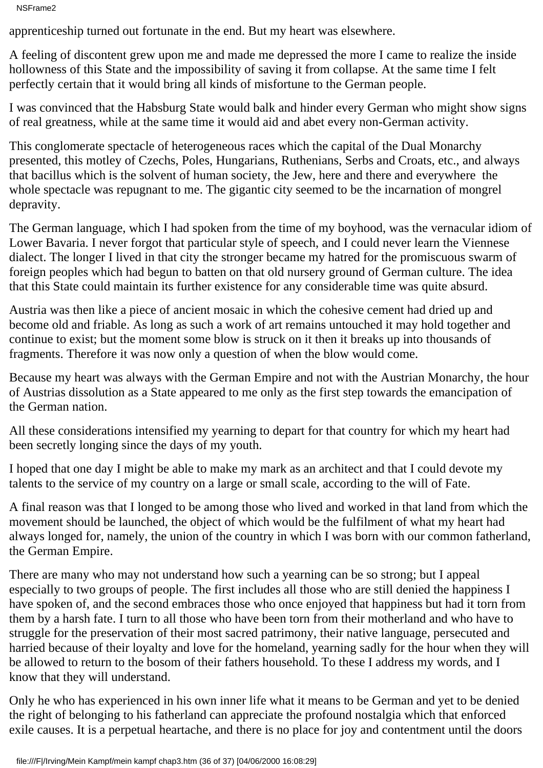NSFrame2

apprenticeship turned out fortunate in the end. But my heart was elsewhere.

A feeling of discontent grew upon me and made me depressed the more I came to realize the inside hollowness of this State and the impossibility of saving it from collapse. At the same time I felt perfectly certain that it would bring all kinds of misfortune to the German people.

I was convinced that the Habsburg State would balk and hinder every German who might show signs of real greatness, while at the same time it would aid and abet every non-German activity.

This conglomerate spectacle of heterogeneous races which the capital of the Dual Monarchy presented, this motley of Czechs, Poles, Hungarians, Ruthenians, Serbs and Croats, etc., and always that bacillus which is the solvent of human society, the Jew, here and there and everywhere the whole spectacle was repugnant to me. The gigantic city seemed to be the incarnation of mongrel depravity.

The German language, which I had spoken from the time of my boyhood, was the vernacular idiom of Lower Bavaria. I never forgot that particular style of speech, and I could never learn the Viennese dialect. The longer I lived in that city the stronger became my hatred for the promiscuous swarm of foreign peoples which had begun to batten on that old nursery ground of German culture. The idea that this State could maintain its further existence for any considerable time was quite absurd.

Austria was then like a piece of ancient mosaic in which the cohesive cement had dried up and become old and friable. As long as such a work of art remains untouched it may hold together and continue to exist; but the moment some blow is struck on it then it breaks up into thousands of fragments. Therefore it was now only a question of when the blow would come.

Because my heart was always with the German Empire and not with the Austrian Monarchy, the hour of Austrias dissolution as a State appeared to me only as the first step towards the emancipation of the German nation.

All these considerations intensified my yearning to depart for that country for which my heart had been secretly longing since the days of my youth.

I hoped that one day I might be able to make my mark as an architect and that I could devote my talents to the service of my country on a large or small scale, according to the will of Fate.

A final reason was that I longed to be among those who lived and worked in that land from which the movement should be launched, the object of which would be the fulfilment of what my heart had always longed for, namely, the union of the country in which I was born with our common fatherland, the German Empire.

There are many who may not understand how such a yearning can be so strong; but I appeal especially to two groups of people. The first includes all those who are still denied the happiness I have spoken of, and the second embraces those who once enjoyed that happiness but had it torn from them by a harsh fate. I turn to all those who have been torn from their motherland and who have to struggle for the preservation of their most sacred patrimony, their native language, persecuted and harried because of their loyalty and love for the homeland, yearning sadly for the hour when they will be allowed to return to the bosom of their father s household. To these I address my words, and I know that they will understand.

Only he who has experienced in his own inner life what it means to be German and yet to be denied the right of belonging to his fatherland can appreciate the profound nostalgia which that enforced exile causes. It is a perpetual heartache, and there is no place for joy and contentment until the doors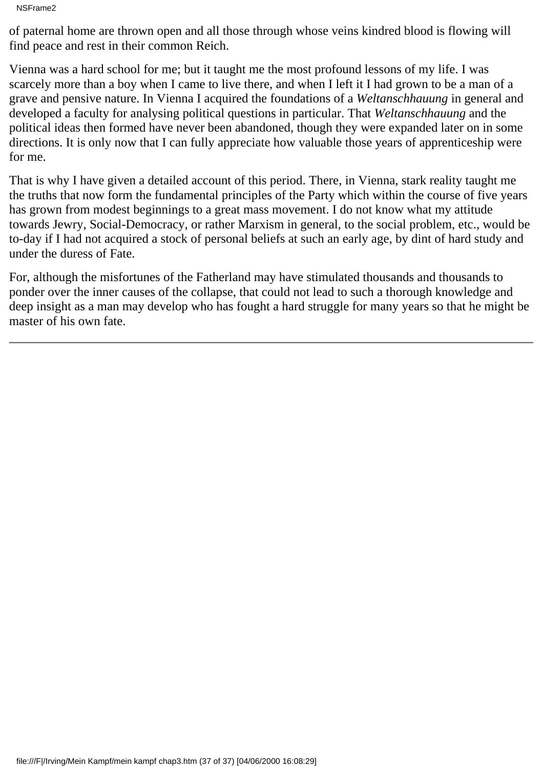NSFrame2

of paternal home are thrown open and all those through whose veins kindred blood is flowing will find peace and rest in their common Reich.

Vienna was a hard school for me; but it taught me the most profound lessons of my life. I was scarcely more than a boy when I came to live there, and when I left it I had grown to be a man of a grave and pensive nature. In Vienna I acquired the foundations of a *Weltanschhauung* in general and developed a faculty for analysing political questions in particular. That *Weltanschhauung* and the political ideas then formed have never been abandoned, though they were expanded later on in some directions. It is only now that I can fully appreciate how valuable those years of apprenticeship were for me.

That is why I have given a detailed account of this period. There, in Vienna, stark reality taught me the truths that now form the fundamental principles of the Party which within the course of five years has grown from modest beginnings to a great mass movement. I do not know what my attitude towards Jewry, Social-Democracy, or rather Marxism in general, to the social problem, etc., would be to-day if I had not acquired a stock of personal beliefs at such an early age, by dint of hard study and under the duress of Fate.

For, although the misfortunes of the Fatherland may have stimulated thousands and thousands to ponder over the inner causes of the collapse, that could not lead to such a thorough knowledge and deep insight as a man may develop who has fought a hard struggle for many years so that he might be master of his own fate.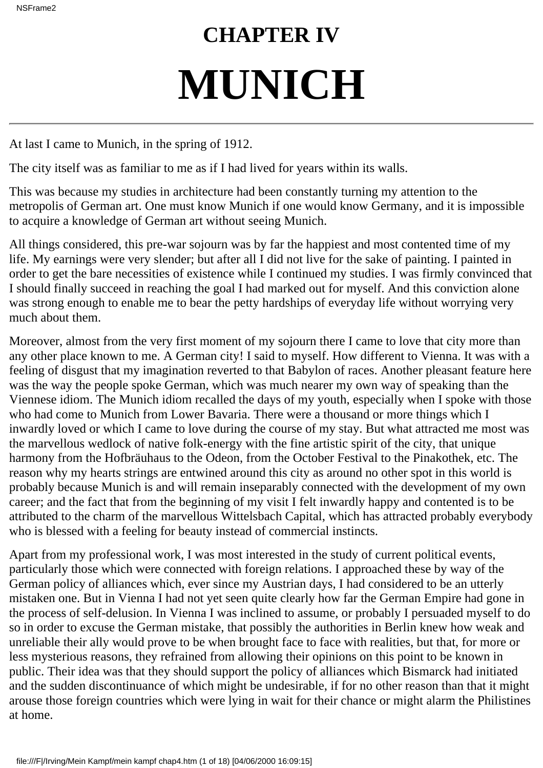## **CHAPTER IV MUNICH**

At last I came to Munich, in the spring of 1912.

The city itself was as familiar to me as if I had lived for years within its walls.

This was because my studies in architecture had been constantly turning my attention to the metropolis of German art. One must know Munich if one would know Germany, and it is impossible to acquire a knowledge of German art without seeing Munich.

All things considered, this pre-war sojourn was by far the happiest and most contented time of my life. My earnings were very slender; but after all I did not live for the sake of painting. I painted in order to get the bare necessities of existence while I continued my studies. I was firmly convinced that I should finally succeed in reaching the goal I had marked out for myself. And this conviction alone was strong enough to enable me to bear the petty hardships of everyday life without worrying very much about them.

Moreover, almost from the very first moment of my sojourn there I came to love that city more than any other place known to me. A German city! I said to myself. How different to Vienna. It was with a feeling of disgust that my imagination reverted to that Babylon of races. Another pleasant feature here was the way the people spoke German, which was much nearer my own way of speaking than the Viennese idiom. The Munich idiom recalled the days of my youth, especially when I spoke with those who had come to Munich from Lower Bavaria. There were a thousand or more things which I inwardly loved or which I came to love during the course of my stay. But what attracted me most was the marvellous wedlock of native folk-energy with the fine artistic spirit of the city, that unique harmony from the Hofbräuhaus to the Odeon, from the October Festival to the Pinakothek, etc. The reason why my heart s strings are entwined around this city as around no other spot in this world is probably because Munich is and will remain inseparably connected with the development of my own career; and the fact that from the beginning of my visit I felt inwardly happy and contented is to be attributed to the charm of the marvellous Wittelsbach Capital, which has attracted probably everybody who is blessed with a feeling for beauty instead of commercial instincts.

Apart from my professional work, I was most interested in the study of current political events, particularly those which were connected with foreign relations. I approached these by way of the German policy of alliances which, ever since my Austrian days, I had considered to be an utterly mistaken one. But in Vienna I had not yet seen quite clearly how far the German Empire had gone in the process of self-delusion. In Vienna I was inclined to assume, or probably I persuaded myself to do so in order to excuse the German mistake, that possibly the authorities in Berlin knew how weak and unreliable their ally would prove to be when brought face to face with realities, but that, for more or less mysterious reasons, they refrained from allowing their opinions on this point to be known in public. Their idea was that they should support the policy of alliances which Bismarck had initiated and the sudden discontinuance of which might be undesirable, if for no other reason than that it might arouse those foreign countries which were lying in wait for their chance or might alarm the Philistines at home.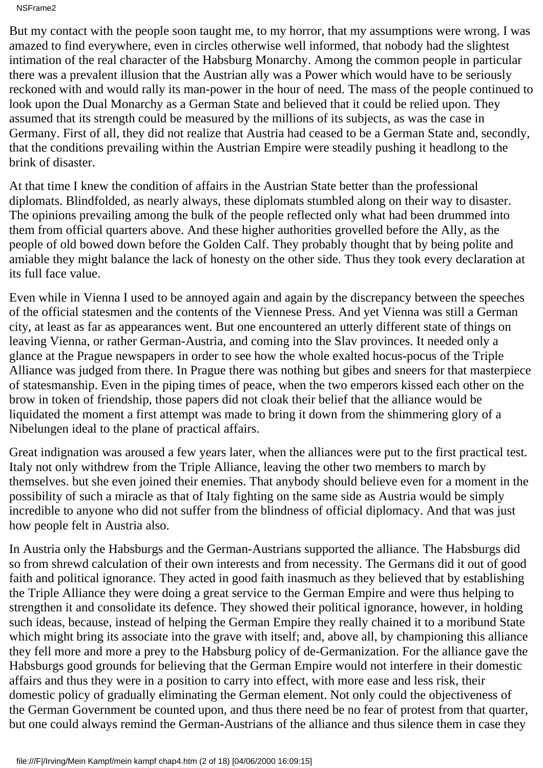NSFrame2

But my contact with the people soon taught me, to my horror, that my assumptions were wrong. I was amazed to find everywhere, even in circles otherwise well informed, that nobody had the slightest intimation of the real character of the Habsburg Monarchy. Among the common people in particular there was a prevalent illusion that the Austrian ally was a Power which would have to be seriously reckoned with and would rally its man-power in the hour of need. The mass of the people continued to look upon the Dual Monarchy as a German State and believed that it could be relied upon. They assumed that its strength could be measured by the millions of its subjects, as was the case in Germany. First of all, they did not realize that Austria had ceased to be a German State and, secondly, that the conditions prevailing within the Austrian Empire were steadily pushing it headlong to the brink of disaster.

At that time I knew the condition of affairs in the Austrian State better than the professional diplomats. Blindfolded, as nearly always, these diplomats stumbled along on their way to disaster. The opinions prevailing among the bulk of the people reflected only what had been drummed into them from official quarters above. And these higher authorities grovelled before the Ally, as the people of old bowed down before the Golden Calf. They probably thought that by being polite and amiable they might balance the lack of honesty on the other side. Thus they took every declaration at its full face value.

Even while in Vienna I used to be annoyed again and again by the discrepancy between the speeches of the official statesmen and the contents of the Viennese Press. And yet Vienna was still a German city, at least as far as appearances went. But one encountered an utterly different state of things on leaving Vienna, or rather German-Austria, and coming into the Slav provinces. It needed only a glance at the Prague newspapers in order to see how the whole exalted hocus-pocus of the Triple Alliance was judged from there. In Prague there was nothing but gibes and sneers for that masterpiece of statesmanship. Even in the piping times of peace, when the two emperors kissed each other on the brow in token of friendship, those papers did not cloak their belief that the alliance would be liquidated the moment a first attempt was made to bring it down from the shimmering glory of a Nibelungen ideal to the plane of practical affairs.

Great indignation was aroused a few years later, when the alliances were put to the first practical test. Italy not only withdrew from the Triple Alliance, leaving the other two members to march by themselves. but she even joined their enemies. That anybody should believe even for a moment in the possibility of such a miracle as that of Italy fighting on the same side as Austria would be simply incredible to anyone who did not suffer from the blindness of official diplomacy. And that was just how people felt in Austria also.

In Austria only the Habsburgs and the German-Austrians supported the alliance. The Habsburgs did so from shrewd calculation of their own interests and from necessity. The Germans did it out of good faith and political ignorance. They acted in good faith inasmuch as they believed that by establishing the Triple Alliance they were doing a great service to the German Empire and were thus helping to strengthen it and consolidate its defence. They showed their political ignorance, however, in holding such ideas, because, instead of helping the German Empire they really chained it to a moribund State which might bring its associate into the grave with itself; and, above all, by championing this alliance they fell more and more a prey to the Habsburg policy of de-Germanization. For the alliance gave the Habsburgs good grounds for believing that the German Empire would not interfere in their domestic affairs and thus they were in a position to carry into effect, with more ease and less risk, their domestic policy of gradually eliminating the German element. Not only could the objectiveness of the German Government be counted upon, and thus there need be no fear of protest from that quarter, but one could always remind the German-Austrians of the alliance and thus silence them in case they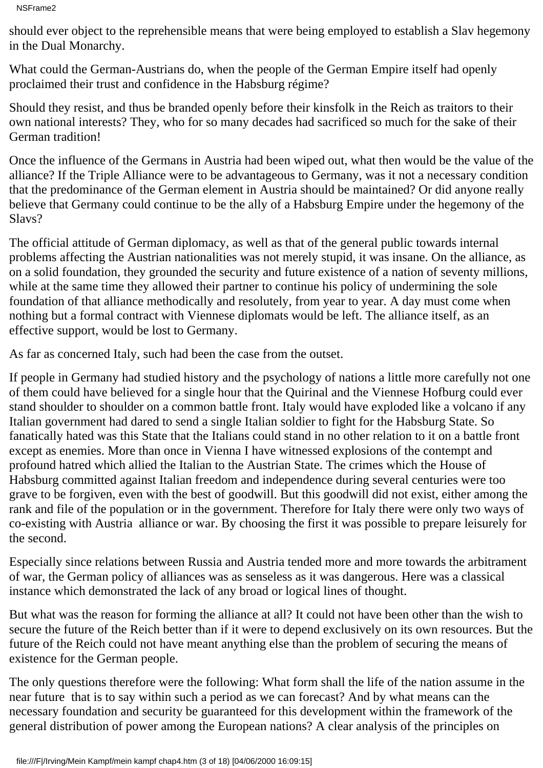should ever object to the reprehensible means that were being employed to establish a Slav hegemony in the Dual Monarchy.

What could the German-Austrians do, when the people of the German Empire itself had openly proclaimed their trust and confidence in the Habsburg régime?

Should they resist, and thus be branded openly before their kinsfolk in the Reich as traitors to their own national interests? They, who for so many decades had sacrificed so much for the sake of their German tradition!

Once the influence of the Germans in Austria had been wiped out, what then would be the value of the alliance? If the Triple Alliance were to be advantageous to Germany, was it not a necessary condition that the predominance of the German element in Austria should be maintained? Or did anyone really believe that Germany could continue to be the ally of a Habsburg Empire under the hegemony of the Slavs?

The official attitude of German diplomacy, as well as that of the general public towards internal problems affecting the Austrian nationalities was not merely stupid, it was insane. On the alliance, as on a solid foundation, they grounded the security and future existence of a nation of seventy millions, while at the same time they allowed their partner to continue his policy of undermining the sole foundation of that alliance methodically and resolutely, from year to year. A day must come when nothing but a formal contract with Viennese diplomats would be left. The alliance itself, as an effective support, would be lost to Germany.

As far as concerned Italy, such had been the case from the outset.

If people in Germany had studied history and the psychology of nations a little more carefully not one of them could have believed for a single hour that the Quirinal and the Viennese Hofburg could ever stand shoulder to shoulder on a common battle front. Italy would have exploded like a volcano if any Italian government had dared to send a single Italian soldier to fight for the Habsburg State. So fanatically hated was this State that the Italians could stand in no other relation to it on a battle front except as enemies. More than once in Vienna I have witnessed explosions of the contempt and profound hatred which allied the Italian to the Austrian State. The crimes which the House of Habsburg committed against Italian freedom and independence during several centuries were too grave to be forgiven, even with the best of goodwill. But this goodwill did not exist, either among the rank and file of the population or in the government. Therefore for Italy there were only two ways of co-existing with Austria alliance or war. By choosing the first it was possible to prepare leisurely for the second.

Especially since relations between Russia and Austria tended more and more towards the arbitrament of war, the German policy of alliances was as senseless as it was dangerous. Here was a classical instance which demonstrated the lack of any broad or logical lines of thought.

But what was the reason for forming the alliance at all? It could not have been other than the wish to secure the future of the Reich better than if it were to depend exclusively on its own resources. But the future of the Reich could not have meant anything else than the problem of securing the means of existence for the German people.

The only questions therefore were the following: What form shall the life of the nation assume in the near future that is to say within such a period as we can forecast? And by what means can the necessary foundation and security be guaranteed for this development within the framework of the general distribution of power among the European nations? A clear analysis of the principles on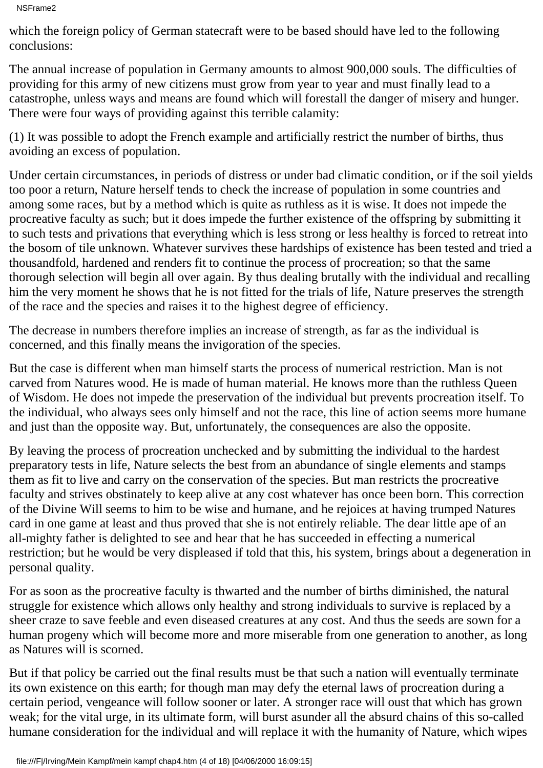NSFrame2

which the foreign policy of German statecraft were to be based should have led to the following conclusions:

The annual increase of population in Germany amounts to almost 900,000 souls. The difficulties of providing for this army of new citizens must grow from year to year and must finally lead to a catastrophe, unless ways and means are found which will forestall the danger of misery and hunger. There were four ways of providing against this terrible calamity:

(1) It was possible to adopt the French example and artificially restrict the number of births, thus avoiding an excess of population.

Under certain circumstances, in periods of distress or under bad climatic condition, or if the soil yields too poor a return, Nature herself tends to check the increase of population in some countries and among some races, but by a method which is quite as ruthless as it is wise. It does not impede the procreative faculty as such; but it does impede the further existence of the offspring by submitting it to such tests and privations that everything which is less strong or less healthy is forced to retreat into the bosom of tile unknown. Whatever survives these hardships of existence has been tested and tried a thousandfold, hardened and renders fit to continue the process of procreation; so that the same thorough selection will begin all over again. By thus dealing brutally with the individual and recalling him the very moment he shows that he is not fitted for the trials of life, Nature preserves the strength of the race and the species and raises it to the highest degree of efficiency.

The decrease in numbers therefore implies an increase of strength, as far as the individual is concerned, and this finally means the invigoration of the species.

But the case is different when man himself starts the process of numerical restriction. Man is not carved from Nature s wood. He is made of human material. He knows more than the ruthless Queen of Wisdom. He does not impede the preservation of the individual but prevents procreation itself. To the individual, who always sees only himself and not the race, this line of action seems more humane and just than the opposite way. But, unfortunately, the consequences are also the opposite.

By leaving the process of procreation unchecked and by submitting the individual to the hardest preparatory tests in life, Nature selects the best from an abundance of single elements and stamps them as fit to live and carry on the conservation of the species. But man restricts the procreative faculty and strives obstinately to keep alive at any cost whatever has once been born. This correction of the Divine Will seems to him to be wise and humane, and he rejoices at having trumped Natures card in one game at least and thus proved that she is not entirely reliable. The dear little ape of an all-mighty father is delighted to see and hear that he has succeeded in effecting a numerical restriction; but he would be very displeased if told that this, his system, brings about a degeneration in personal quality.

For as soon as the procreative faculty is thwarted and the number of births diminished, the natural struggle for existence which allows only healthy and strong individuals to survive is replaced by a sheer craze to save feeble and even diseased creatures at any cost. And thus the seeds are sown for a human progeny which will become more and more miserable from one generation to another, as long as Nature s will is scorned.

But if that policy be carried out the final results must be that such a nation will eventually terminate its own existence on this earth; for though man may defy the eternal laws of procreation during a certain period, vengeance will follow sooner or later. A stronger race will oust that which has grown weak; for the vital urge, in its ultimate form, will burst asunder all the absurd chains of this so-called humane consideration for the individual and will replace it with the humanity of Nature, which wipes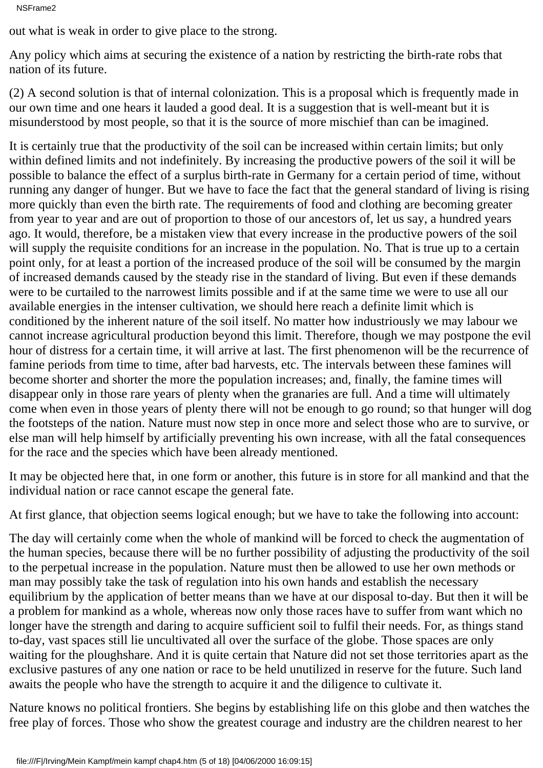```
NSFrame2
```
out what is weak in order to give place to the strong.

Any policy which aims at securing the existence of a nation by restricting the birth-rate robs that nation of its future.

(2) A second solution is that of internal colonization. This is a proposal which is frequently made in our own time and one hears it lauded a good deal. It is a suggestion that is well-meant but it is misunderstood by most people, so that it is the source of more mischief than can be imagined.

It is certainly true that the productivity of the soil can be increased within certain limits; but only within defined limits and not indefinitely. By increasing the productive powers of the soil it will be possible to balance the effect of a surplus birth-rate in Germany for a certain period of time, without running any danger of hunger. But we have to face the fact that the general standard of living is rising more quickly than even the birth rate. The requirements of food and clothing are becoming greater from year to year and are out of proportion to those of our ancestors of, let us say, a hundred years ago. It would, therefore, be a mistaken view that every increase in the productive powers of the soil will supply the requisite conditions for an increase in the population. No. That is true up to a certain point only, for at least a portion of the increased produce of the soil will be consumed by the margin of increased demands caused by the steady rise in the standard of living. But even if these demands were to be curtailed to the narrowest limits possible and if at the same time we were to use all our available energies in the intenser cultivation, we should here reach a definite limit which is conditioned by the inherent nature of the soil itself. No matter how industriously we may labour we cannot increase agricultural production beyond this limit. Therefore, though we may postpone the evil hour of distress for a certain time, it will arrive at last. The first phenomenon will be the recurrence of famine periods from time to time, after bad harvests, etc. The intervals between these famines will become shorter and shorter the more the population increases; and, finally, the famine times will disappear only in those rare years of plenty when the granaries are full. And a time will ultimately come when even in those years of plenty there will not be enough to go round; so that hunger will dog the footsteps of the nation. Nature must now step in once more and select those who are to survive, or else man will help himself by artificially preventing his own increase, with all the fatal consequences for the race and the species which have been already mentioned.

It may be objected here that, in one form or another, this future is in store for all mankind and that the individual nation or race cannot escape the general fate.

At first glance, that objection seems logical enough; but we have to take the following into account:

The day will certainly come when the whole of mankind will be forced to check the augmentation of the human species, because there will be no further possibility of adjusting the productivity of the soil to the perpetual increase in the population. Nature must then be allowed to use her own methods or man may possibly take the task of regulation into his own hands and establish the necessary equilibrium by the application of better means than we have at our disposal to-day. But then it will be a problem for mankind as a whole, whereas now only those races have to suffer from want which no longer have the strength and daring to acquire sufficient soil to fulfil their needs. For, as things stand to-day, vast spaces still lie uncultivated all over the surface of the globe. Those spaces are only waiting for the ploughshare. And it is quite certain that Nature did not set those territories apart as the exclusive pastures of any one nation or race to be held unutilized in reserve for the future. Such land awaits the people who have the strength to acquire it and the diligence to cultivate it.

Nature knows no political frontiers. She begins by establishing life on this globe and then watches the free play of forces. Those who show the greatest courage and industry are the children nearest to her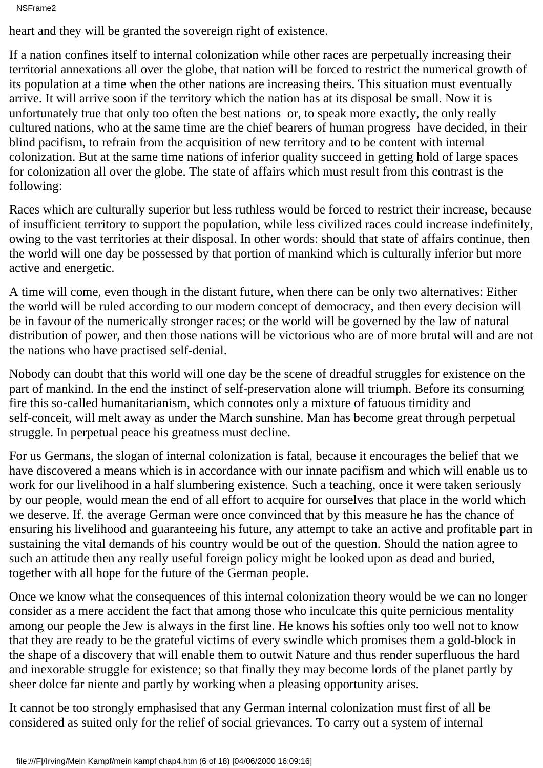```
NSFrame2
```
heart and they will be granted the sovereign right of existence.

If a nation confines itself to internal colonization while other races are perpetually increasing their territorial annexations all over the globe, that nation will be forced to restrict the numerical growth of its population at a time when the other nations are increasing theirs. This situation must eventually arrive. It will arrive soon if the territory which the nation has at its disposal be small. Now it is unfortunately true that only too often the best nations or, to speak more exactly, the only really cultured nations, who at the same time are the chief bearers of human progress have decided, in their blind pacifism, to refrain from the acquisition of new territory and to be content with internal colonization. But at the same time nations of inferior quality succeed in getting hold of large spaces for colonization all over the globe. The state of affairs which must result from this contrast is the following:

Races which are culturally superior but less ruthless would be forced to restrict their increase, because of insufficient territory to support the population, while less civilized races could increase indefinitely, owing to the vast territories at their disposal. In other words: should that state of affairs continue, then the world will one day be possessed by that portion of mankind which is culturally inferior but more active and energetic.

A time will come, even though in the distant future, when there can be only two alternatives: Either the world will be ruled according to our modern concept of democracy, and then every decision will be in favour of the numerically stronger races; or the world will be governed by the law of natural distribution of power, and then those nations will be victorious who are of more brutal will and are not the nations who have practised self-denial.

Nobody can doubt that this world will one day be the scene of dreadful struggles for existence on the part of mankind. In the end the instinct of self-preservation alone will triumph. Before its consuming fire this so-called humanitarianism, which connotes only a mixture of fatuous timidity and self-conceit, will melt away as under the March sunshine. Man has become great through perpetual struggle. In perpetual peace his greatness must decline.

For us Germans, the slogan of internal colonization is fatal, because it encourages the belief that we have discovered a means which is in accordance with our innate pacifism and which will enable us to work for our livelihood in a half slumbering existence. Such a teaching, once it were taken seriously by our people, would mean the end of all effort to acquire for ourselves that place in the world which we deserve. If. the average German were once convinced that by this measure he has the chance of ensuring his livelihood and guaranteeing his future, any attempt to take an active and profitable part in sustaining the vital demands of his country would be out of the question. Should the nation agree to such an attitude then any really useful foreign policy might be looked upon as dead and buried, together with all hope for the future of the German people.

Once we know what the consequences of this internal colonization theory would be we can no longer consider as a mere accident the fact that among those who inculcate this quite pernicious mentality among our people the Jew is always in the first line. He knows his softies only too well not to know that they are ready to be the grateful victims of every swindle which promises them a gold-block in the shape of a discovery that will enable them to outwit Nature and thus render superfluous the hard and inexorable struggle for existence; so that finally they may become lords of the planet partly by sheer dolce far niente and partly by working when a pleasing opportunity arises.

It cannot be too strongly emphasised that any German internal colonization must first of all be considered as suited only for the relief of social grievances. To carry out a system of internal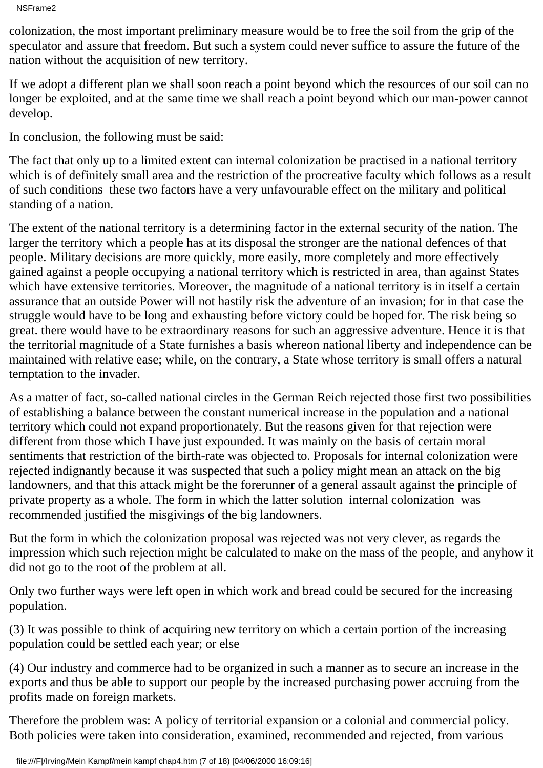colonization, the most important preliminary measure would be to free the soil from the grip of the speculator and assure that freedom. But such a system could never suffice to assure the future of the nation without the acquisition of new territory.

If we adopt a different plan we shall soon reach a point beyond which the resources of our soil can no longer be exploited, and at the same time we shall reach a point beyond which our man-power cannot develop.

In conclusion, the following must be said:

The fact that only up to a limited extent can internal colonization be practised in a national territory which is of definitely small area and the restriction of the procreative faculty which follows as a result of such conditions these two factors have a very unfavourable effect on the military and political standing of a nation.

The extent of the national territory is a determining factor in the external security of the nation. The larger the territory which a people has at its disposal the stronger are the national defences of that people. Military decisions are more quickly, more easily, more completely and more effectively gained against a people occupying a national territory which is restricted in area, than against States which have extensive territories. Moreover, the magnitude of a national territory is in itself a certain assurance that an outside Power will not hastily risk the adventure of an invasion; for in that case the struggle would have to be long and exhausting before victory could be hoped for. The risk being so great. there would have to be extraordinary reasons for such an aggressive adventure. Hence it is that the territorial magnitude of a State furnishes a basis whereon national liberty and independence can be maintained with relative ease; while, on the contrary, a State whose territory is small offers a natural temptation to the invader.

As a matter of fact, so-called national circles in the German Reich rejected those first two possibilities of establishing a balance between the constant numerical increase in the population and a national territory which could not expand proportionately. But the reasons given for that rejection were different from those which I have just expounded. It was mainly on the basis of certain moral sentiments that restriction of the birth-rate was objected to. Proposals for internal colonization were rejected indignantly because it was suspected that such a policy might mean an attack on the big landowners, and that this attack might be the forerunner of a general assault against the principle of private property as a whole. The form in which the latter solution internal colonization was recommended justified the misgivings of the big landowners.

But the form in which the colonization proposal was rejected was not very clever, as regards the impression which such rejection might be calculated to make on the mass of the people, and anyhow it did not go to the root of the problem at all.

Only two further ways were left open in which work and bread could be secured for the increasing population.

(3) It was possible to think of acquiring new territory on which a certain portion of the increasing population could be settled each year; or else

(4) Our industry and commerce had to be organized in such a manner as to secure an increase in the exports and thus be able to support our people by the increased purchasing power accruing from the profits made on foreign markets.

Therefore the problem was: A policy of territorial expansion or a colonial and commercial policy. Both policies were taken into consideration, examined, recommended and rejected, from various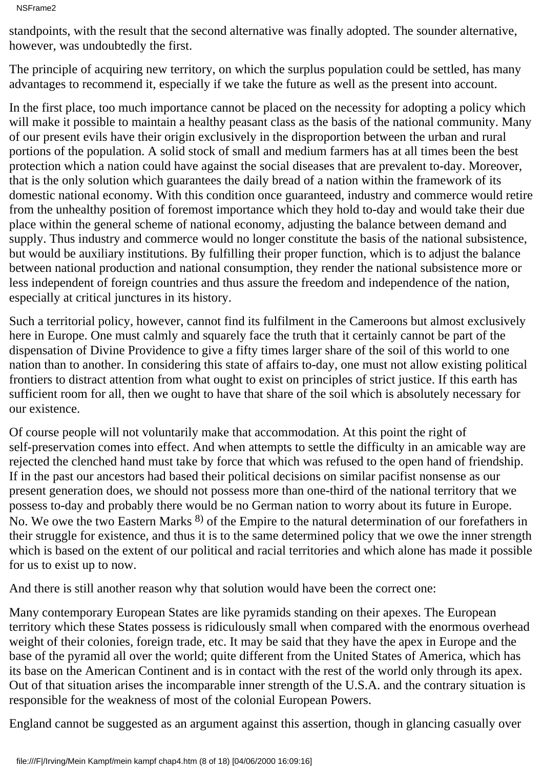NSFrame2

standpoints, with the result that the second alternative was finally adopted. The sounder alternative, however, was undoubtedly the first.

The principle of acquiring new territory, on which the surplus population could be settled, has many advantages to recommend it, especially if we take the future as well as the present into account.

In the first place, too much importance cannot be placed on the necessity for adopting a policy which will make it possible to maintain a healthy peasant class as the basis of the national community. Many of our present evils have their origin exclusively in the disproportion between the urban and rural portions of the population. A solid stock of small and medium farmers has at all times been the best protection which a nation could have against the social diseases that are prevalent to-day. Moreover, that is the only solution which guarantees the daily bread of a nation within the framework of its domestic national economy. With this condition once guaranteed, industry and commerce would retire from the unhealthy position of foremost importance which they hold to-day and would take their due place within the general scheme of national economy, adjusting the balance between demand and supply. Thus industry and commerce would no longer constitute the basis of the national subsistence, but would be auxiliary institutions. By fulfilling their proper function, which is to adjust the balance between national production and national consumption, they render the national subsistence more or less independent of foreign countries and thus assure the freedom and independence of the nation, especially at critical junctures in its history.

Such a territorial policy, however, cannot find its fulfilment in the Cameroons but almost exclusively here in Europe. One must calmly and squarely face the truth that it certainly cannot be part of the dispensation of Divine Providence to give a fifty times larger share of the soil of this world to one nation than to another. In considering this state of affairs to-day, one must not allow existing political frontiers to distract attention from what ought to exist on principles of strict justice. If this earth has sufficient room for all, then we ought to have that share of the soil which is absolutely necessary for our existence.

Of course people will not voluntarily make that accommodation. At this point the right of self-preservation comes into effect. And when attempts to settle the difficulty in an amicable way are rejected the clenched hand must take by force that which was refused to the open hand of friendship. If in the past our ancestors had based their political decisions on similar pacifist nonsense as our present generation does, we should not possess more than one-third of the national territory that we possess to-day and probably there would be no German nation to worry about its future in Europe. No. We owe the two Eastern Marks <sup>8)</sup> of the Empire to the natural determination of our forefathers in their struggle for existence, and thus it is to the same determined policy that we owe the inner strength which is based on the extent of our political and racial territories and which alone has made it possible for us to exist up to now.

And there is still another reason why that solution would have been the correct one:

Many contemporary European States are like pyramids standing on their apexes. The European territory which these States possess is ridiculously small when compared with the enormous overhead weight of their colonies, foreign trade, etc. It may be said that they have the apex in Europe and the base of the pyramid all over the world; quite different from the United States of America, which has its base on the American Continent and is in contact with the rest of the world only through its apex. Out of that situation arises the incomparable inner strength of the U.S.A. and the contrary situation is responsible for the weakness of most of the colonial European Powers.

England cannot be suggested as an argument against this assertion, though in glancing casually over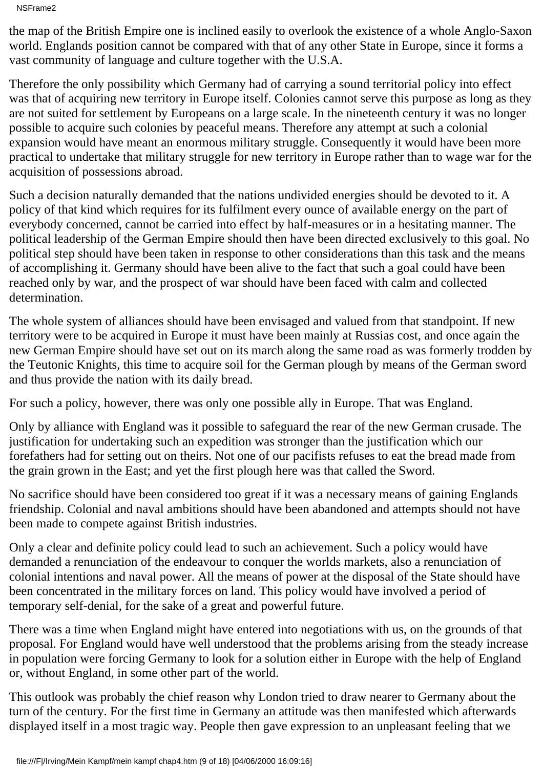NSFrame2

the map of the British Empire one is inclined easily to overlook the existence of a whole Anglo-Saxon world. England s position cannot be compared with that of any other State in Europe, since it forms a vast community of language and culture together with the U.S.A.

Therefore the only possibility which Germany had of carrying a sound territorial policy into effect was that of acquiring new territory in Europe itself. Colonies cannot serve this purpose as long as they are not suited for settlement by Europeans on a large scale. In the nineteenth century it was no longer possible to acquire such colonies by peaceful means. Therefore any attempt at such a colonial expansion would have meant an enormous military struggle. Consequently it would have been more practical to undertake that military struggle for new territory in Europe rather than to wage war for the acquisition of possessions abroad.

Such a decision naturally demanded that the nation s undivided energies should be devoted to it. A policy of that kind which requires for its fulfilment every ounce of available energy on the part of everybody concerned, cannot be carried into effect by half-measures or in a hesitating manner. The political leadership of the German Empire should then have been directed exclusively to this goal. No political step should have been taken in response to other considerations than this task and the means of accomplishing it. Germany should have been alive to the fact that such a goal could have been reached only by war, and the prospect of war should have been faced with calm and collected determination.

The whole system of alliances should have been envisaged and valued from that standpoint. If new territory were to be acquired in Europe it must have been mainly at Russias cost, and once again the new German Empire should have set out on its march along the same road as was formerly trodden by the Teutonic Knights, this time to acquire soil for the German plough by means of the German sword and thus provide the nation with its daily bread.

For such a policy, however, there was only one possible ally in Europe. That was England.

Only by alliance with England was it possible to safeguard the rear of the new German crusade. The justification for undertaking such an expedition was stronger than the justification which our forefathers had for setting out on theirs. Not one of our pacifists refuses to eat the bread made from the grain grown in the East; and yet the first plough here was that called the Sword.

No sacrifice should have been considered too great if it was a necessary means of gaining England s friendship. Colonial and naval ambitions should have been abandoned and attempts should not have been made to compete against British industries.

Only a clear and definite policy could lead to such an achievement. Such a policy would have demanded a renunciation of the endeavour to conquer the world s markets, also a renunciation of colonial intentions and naval power. All the means of power at the disposal of the State should have been concentrated in the military forces on land. This policy would have involved a period of temporary self-denial, for the sake of a great and powerful future.

There was a time when England might have entered into negotiations with us, on the grounds of that proposal. For England would have well understood that the problems arising from the steady increase in population were forcing Germany to look for a solution either in Europe with the help of England or, without England, in some other part of the world.

This outlook was probably the chief reason why London tried to draw nearer to Germany about the turn of the century. For the first time in Germany an attitude was then manifested which afterwards displayed itself in a most tragic way. People then gave expression to an unpleasant feeling that we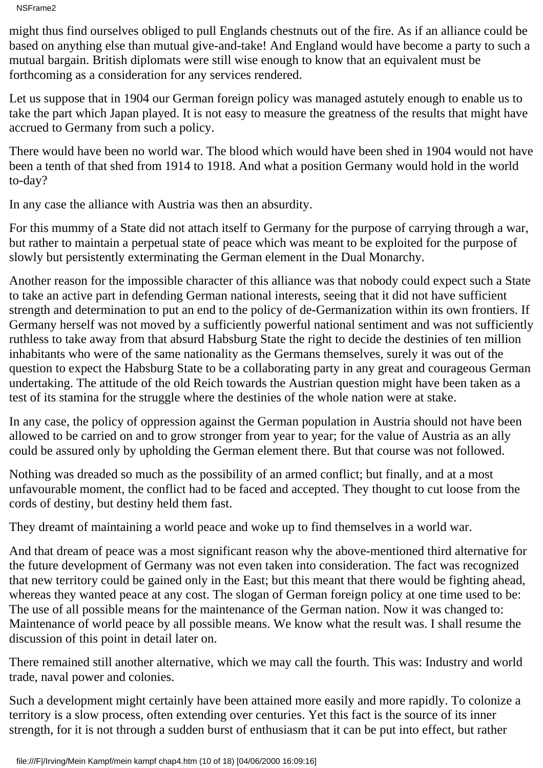might thus find ourselves obliged to pull England s chestnuts out of the fire. As if an alliance could be based on anything else than mutual give-and-take! And England would have become a party to such a mutual bargain. British diplomats were still wise enough to know that an equivalent must be forthcoming as a consideration for any services rendered.

Let us suppose that in 1904 our German foreign policy was managed astutely enough to enable us to take the part which Japan played. It is not easy to measure the greatness of the results that might have accrued to Germany from such a policy.

There would have been no world war. The blood which would have been shed in 1904 would not have been a tenth of that shed from 1914 to 1918. And what a position Germany would hold in the world to-day?

In any case the alliance with Austria was then an absurdity.

For this mummy of a State did not attach itself to Germany for the purpose of carrying through a war, but rather to maintain a perpetual state of peace which was meant to be exploited for the purpose of slowly but persistently exterminating the German element in the Dual Monarchy.

Another reason for the impossible character of this alliance was that nobody could expect such a State to take an active part in defending German national interests, seeing that it did not have sufficient strength and determination to put an end to the policy of de-Germanization within its own frontiers. If Germany herself was not moved by a sufficiently powerful national sentiment and was not sufficiently ruthless to take away from that absurd Habsburg State the right to decide the destinies of ten million inhabitants who were of the same nationality as the Germans themselves, surely it was out of the question to expect the Habsburg State to be a collaborating party in any great and courageous German undertaking. The attitude of the old Reich towards the Austrian question might have been taken as a test of its stamina for the struggle where the destinies of the whole nation were at stake.

In any case, the policy of oppression against the German population in Austria should not have been allowed to be carried on and to grow stronger from year to year; for the value of Austria as an ally could be assured only by upholding the German element there. But that course was not followed.

Nothing was dreaded so much as the possibility of an armed conflict; but finally, and at a most unfavourable moment, the conflict had to be faced and accepted. They thought to cut loose from the cords of destiny, but destiny held them fast.

They dreamt of maintaining a world peace and woke up to find themselves in a world war.

And that dream of peace was a most significant reason why the above-mentioned third alternative for the future development of Germany was not even taken into consideration. The fact was recognized that new territory could be gained only in the East; but this meant that there would be fighting ahead, whereas they wanted peace at any cost. The slogan of German foreign policy at one time used to be: The use of all possible means for the maintenance of the German nation. Now it was changed to: Maintenance of world peace by all possible means. We know what the result was. I shall resume the discussion of this point in detail later on.

There remained still another alternative, which we may call the fourth. This was: Industry and world trade, naval power and colonies.

Such a development might certainly have been attained more easily and more rapidly. To colonize a territory is a slow process, often extending over centuries. Yet this fact is the source of its inner strength, for it is not through a sudden burst of enthusiasm that it can be put into effect, but rather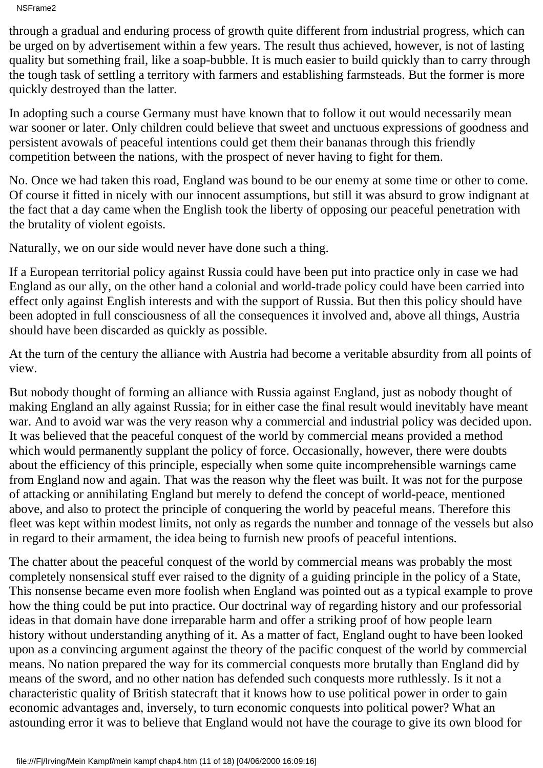## NSFrame2

through a gradual and enduring process of growth quite different from industrial progress, which can be urged on by advertisement within a few years. The result thus achieved, however, is not of lasting quality but something frail, like a soap-bubble. It is much easier to build quickly than to carry through the tough task of settling a territory with farmers and establishing farmsteads. But the former is more quickly destroyed than the latter.

In adopting such a course Germany must have known that to follow it out would necessarily mean war sooner or later. Only children could believe that sweet and unctuous expressions of goodness and persistent avowals of peaceful intentions could get them their bananas through this friendly competition between the nations, with the prospect of never having to fight for them.

No. Once we had taken this road, England was bound to be our enemy at some time or other to come. Of course it fitted in nicely with our innocent assumptions, but still it was absurd to grow indignant at the fact that a day came when the English took the liberty of opposing our peaceful penetration with the brutality of violent egoists.

Naturally, we on our side would never have done such a thing.

If a European territorial policy against Russia could have been put into practice only in case we had England as our ally, on the other hand a colonial and world-trade policy could have been carried into effect only against English interests and with the support of Russia. But then this policy should have been adopted in full consciousness of all the consequences it involved and, above all things, Austria should have been discarded as quickly as possible.

At the turn of the century the alliance with Austria had become a veritable absurdity from all points of view.

But nobody thought of forming an alliance with Russia against England, just as nobody thought of making England an ally against Russia; for in either case the final result would inevitably have meant war. And to avoid war was the very reason why a commercial and industrial policy was decided upon. It was believed that the peaceful conquest of the world by commercial means provided a method which would permanently supplant the policy of force. Occasionally, however, there were doubts about the efficiency of this principle, especially when some quite incomprehensible warnings came from England now and again. That was the reason why the fleet was built. It was not for the purpose of attacking or annihilating England but merely to defend the concept of world-peace, mentioned above, and also to protect the principle of conquering the world by peaceful means. Therefore this fleet was kept within modest limits, not only as regards the number and tonnage of the vessels but also in regard to their armament, the idea being to furnish new proofs of peaceful intentions.

The chatter about the peaceful conquest of the world by commercial means was probably the most completely nonsensical stuff ever raised to the dignity of a guiding principle in the policy of a State, This nonsense became even more foolish when England was pointed out as a typical example to prove how the thing could be put into practice. Our doctrinal way of regarding history and our professorial ideas in that domain have done irreparable harm and offer a striking proof of how people learn history without understanding anything of it. As a matter of fact, England ought to have been looked upon as a convincing argument against the theory of the pacific conquest of the world by commercial means. No nation prepared the way for its commercial conquests more brutally than England did by means of the sword, and no other nation has defended such conquests more ruthlessly. Is it not a characteristic quality of British statecraft that it knows how to use political power in order to gain economic advantages and, inversely, to turn economic conquests into political power? What an astounding error it was to believe that England would not have the courage to give its own blood for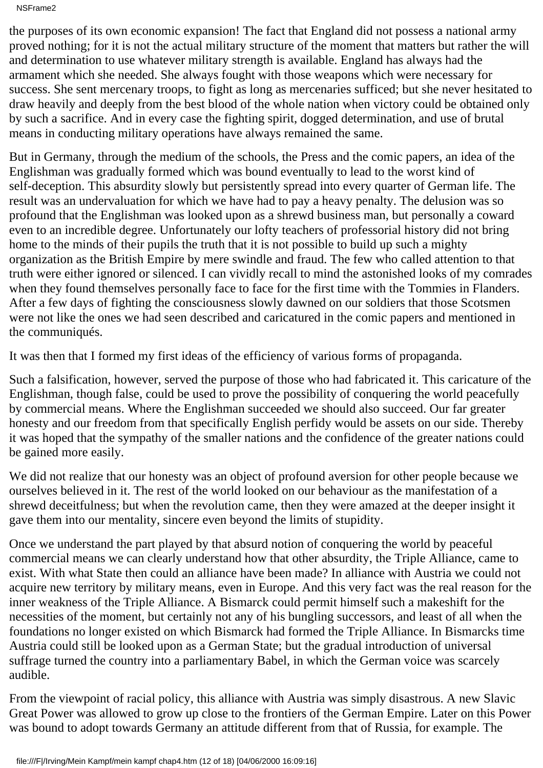NSFrame2

the purposes of its own economic expansion! The fact that England did not possess a national army proved nothing; for it is not the actual military structure of the moment that matters but rather the will and determination to use whatever military strength is available. England has always had the armament which she needed. She always fought with those weapons which were necessary for success. She sent mercenary troops, to fight as long as mercenaries sufficed; but she never hesitated to draw heavily and deeply from the best blood of the whole nation when victory could be obtained only by such a sacrifice. And in every case the fighting spirit, dogged determination, and use of brutal means in conducting military operations have always remained the same.

But in Germany, through the medium of the schools, the Press and the comic papers, an idea of the Englishman was gradually formed which was bound eventually to lead to the worst kind of self-deception. This absurdity slowly but persistently spread into every quarter of German life. The result was an undervaluation for which we have had to pay a heavy penalty. The delusion was so profound that the Englishman was looked upon as a shrewd business man, but personally a coward even to an incredible degree. Unfortunately our lofty teachers of professorial history did not bring home to the minds of their pupils the truth that it is not possible to build up such a mighty organization as the British Empire by mere swindle and fraud. The few who called attention to that truth were either ignored or silenced. I can vividly recall to mind the astonished looks of my comrades when they found themselves personally face to face for the first time with the Tommies in Flanders. After a few days of fighting the consciousness slowly dawned on our soldiers that those Scotsmen were not like the ones we had seen described and caricatured in the comic papers and mentioned in the communiqués.

It was then that I formed my first ideas of the efficiency of various forms of propaganda.

Such a falsification, however, served the purpose of those who had fabricated it. This caricature of the Englishman, though false, could be used to prove the possibility of conquering the world peacefully by commercial means. Where the Englishman succeeded we should also succeed. Our far greater honesty and our freedom from that specifically English perfidy would be assets on our side. Thereby it was hoped that the sympathy of the smaller nations and the confidence of the greater nations could be gained more easily.

We did not realize that our honesty was an object of profound aversion for other people because we ourselves believed in it. The rest of the world looked on our behaviour as the manifestation of a shrewd deceitfulness; but when the revolution came, then they were amazed at the deeper insight it gave them into our mentality, sincere even beyond the limits of stupidity.

Once we understand the part played by that absurd notion of conquering the world by peaceful commercial means we can clearly understand how that other absurdity, the Triple Alliance, came to exist. With what State then could an alliance have been made? In alliance with Austria we could not acquire new territory by military means, even in Europe. And this very fact was the real reason for the inner weakness of the Triple Alliance. A Bismarck could permit himself such a makeshift for the necessities of the moment, but certainly not any of his bungling successors, and least of all when the foundations no longer existed on which Bismarck had formed the Triple Alliance. In Bismarck s time Austria could still be looked upon as a German State; but the gradual introduction of universal suffrage turned the country into a parliamentary Babel, in which the German voice was scarcely audible.

From the viewpoint of racial policy, this alliance with Austria was simply disastrous. A new Slavic Great Power was allowed to grow up close to the frontiers of the German Empire. Later on this Power was bound to adopt towards Germany an attitude different from that of Russia, for example. The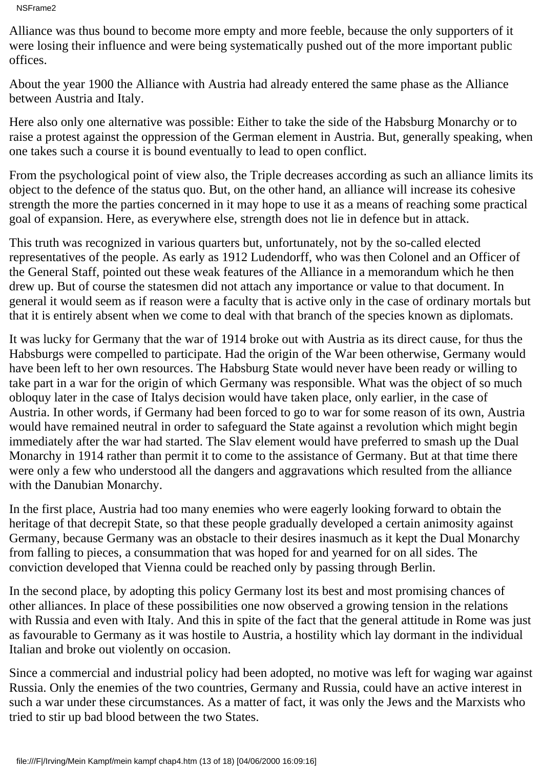NSFrame2

Alliance was thus bound to become more empty and more feeble, because the only supporters of it were losing their influence and were being systematically pushed out of the more important public offices.

About the year 1900 the Alliance with Austria had already entered the same phase as the Alliance between Austria and Italy.

Here also only one alternative was possible: Either to take the side of the Habsburg Monarchy or to raise a protest against the oppression of the German element in Austria. But, generally speaking, when one takes such a course it is bound eventually to lead to open conflict.

From the psychological point of view also, the Triple decreases according as such an alliance limits its object to the defence of the status quo. But, on the other hand, an alliance will increase its cohesive strength the more the parties concerned in it may hope to use it as a means of reaching some practical goal of expansion. Here, as everywhere else, strength does not lie in defence but in attack.

This truth was recognized in various quarters but, unfortunately, not by the so-called elected representatives of the people. As early as 1912 Ludendorff, who was then Colonel and an Officer of the General Staff, pointed out these weak features of the Alliance in a memorandum which he then drew up. But of course the statesmen did not attach any importance or value to that document. In general it would seem as if reason were a faculty that is active only in the case of ordinary mortals but that it is entirely absent when we come to deal with that branch of the species known as diplomats.

It was lucky for Germany that the war of 1914 broke out with Austria as its direct cause, for thus the Habsburgs were compelled to participate. Had the origin of the War been otherwise, Germany would have been left to her own resources. The Habsburg State would never have been ready or willing to take part in a war for the origin of which Germany was responsible. What was the object of so much obloquy later in the case of Italys decision would have taken place, only earlier, in the case of Austria. In other words, if Germany had been forced to go to war for some reason of its own, Austria would have remained neutral in order to safeguard the State against a revolution which might begin immediately after the war had started. The Slav element would have preferred to smash up the Dual Monarchy in 1914 rather than permit it to come to the assistance of Germany. But at that time there were only a few who understood all the dangers and aggravations which resulted from the alliance with the Danubian Monarchy.

In the first place, Austria had too many enemies who were eagerly looking forward to obtain the heritage of that decrepit State, so that these people gradually developed a certain animosity against Germany, because Germany was an obstacle to their desires inasmuch as it kept the Dual Monarchy from falling to pieces, a consummation that was hoped for and yearned for on all sides. The conviction developed that Vienna could be reached only by passing through Berlin.

In the second place, by adopting this policy Germany lost its best and most promising chances of other alliances. In place of these possibilities one now observed a growing tension in the relations with Russia and even with Italy. And this in spite of the fact that the general attitude in Rome was just as favourable to Germany as it was hostile to Austria, a hostility which lay dormant in the individual Italian and broke out violently on occasion.

Since a commercial and industrial policy had been adopted, no motive was left for waging war against Russia. Only the enemies of the two countries, Germany and Russia, could have an active interest in such a war under these circumstances. As a matter of fact, it was only the Jews and the Marxists who tried to stir up bad blood between the two States.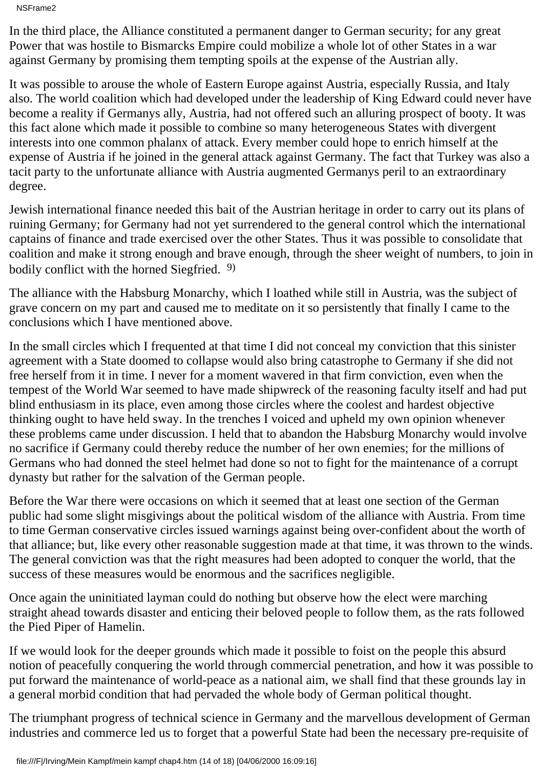NSFrame2

In the third place, the Alliance constituted a permanent danger to German security; for any great Power that was hostile to Bismarck s Empire could mobilize a whole lot of other States in a war against Germany by promising them tempting spoils at the expense of the Austrian ally.

It was possible to arouse the whole of Eastern Europe against Austria, especially Russia, and Italy also. The world coalition which had developed under the leadership of King Edward could never have become a reality if Germanys ally, Austria, had not offered such an alluring prospect of booty. It was this fact alone which made it possible to combine so many heterogeneous States with divergent interests into one common phalanx of attack. Every member could hope to enrich himself at the expense of Austria if he joined in the general attack against Germany. The fact that Turkey was also a tacit party to the unfortunate alliance with Austria augmented Germanys peril to an extraordinary degree.

Jewish international finance needed this bait of the Austrian heritage in order to carry out its plans of ruining Germany; for Germany had not yet surrendered to the general control which the international captains of finance and trade exercised over the other States. Thus it was possible to consolidate that coalition and make it strong enough and brave enough, through the sheer weight of numbers, to join in bodily conflict with the horned Siegfried.<sup>9)</sup>

The alliance with the Habsburg Monarchy, which I loathed while still in Austria, was the subject of grave concern on my part and caused me to meditate on it so persistently that finally I came to the conclusions which I have mentioned above.

In the small circles which I frequented at that time I did not conceal my conviction that this sinister agreement with a State doomed to collapse would also bring catastrophe to Germany if she did not free herself from it in time. I never for a moment wavered in that firm conviction, even when the tempest of the World War seemed to have made shipwreck of the reasoning faculty itself and had put blind enthusiasm in its place, even among those circles where the coolest and hardest objective thinking ought to have held sway. In the trenches I voiced and upheld my own opinion whenever these problems came under discussion. I held that to abandon the Habsburg Monarchy would involve no sacrifice if Germany could thereby reduce the number of her own enemies; for the millions of Germans who had donned the steel helmet had done so not to fight for the maintenance of a corrupt dynasty but rather for the salvation of the German people.

Before the War there were occasions on which it seemed that at least one section of the German public had some slight misgivings about the political wisdom of the alliance with Austria. From time to time German conservative circles issued warnings against being over-confident about the worth of that alliance; but, like every other reasonable suggestion made at that time, it was thrown to the winds. The general conviction was that the right measures had been adopted to conquer the world, that the success of these measures would be enormous and the sacrifices negligible.

Once again the uninitiated layman could do nothing but observe how the elect were marching straight ahead towards disaster and enticing their beloved people to follow them, as the rats followed the Pied Piper of Hamelin.

If we would look for the deeper grounds which made it possible to foist on the people this absurd notion of peacefully conquering the world through commercial penetration, and how it was possible to put forward the maintenance of world-peace as a national aim, we shall find that these grounds lay in a general morbid condition that had pervaded the whole body of German political thought.

The triumphant progress of technical science in Germany and the marvellous development of German industries and commerce led us to forget that a powerful State had been the necessary pre-requisite of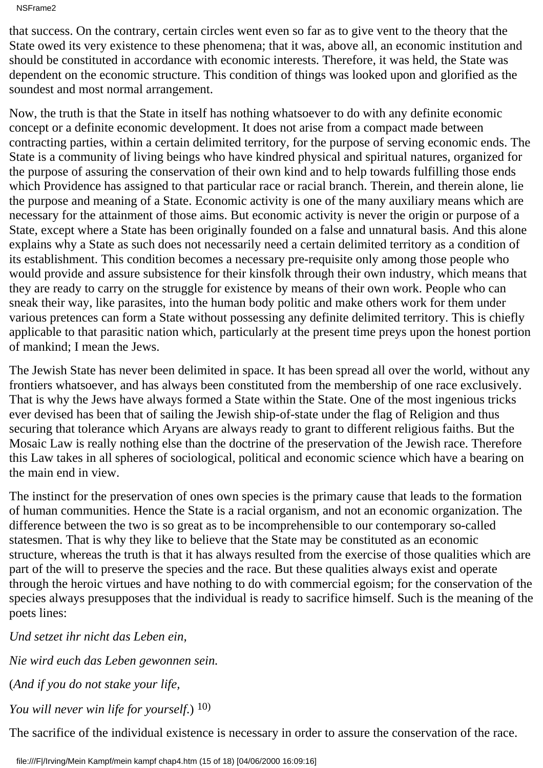NSFrame2

that success. On the contrary, certain circles went even so far as to give vent to the theory that the State owed its very existence to these phenomena; that it was, above all, an economic institution and should be constituted in accordance with economic interests. Therefore, it was held, the State was dependent on the economic structure. This condition of things was looked upon and glorified as the soundest and most normal arrangement.

Now, the truth is that the State in itself has nothing whatsoever to do with any definite economic concept or a definite economic development. It does not arise from a compact made between contracting parties, within a certain delimited territory, for the purpose of serving economic ends. The State is a community of living beings who have kindred physical and spiritual natures, organized for the purpose of assuring the conservation of their own kind and to help towards fulfilling those ends which Providence has assigned to that particular race or racial branch. Therein, and therein alone, lie the purpose and meaning of a State. Economic activity is one of the many auxiliary means which are necessary for the attainment of those aims. But economic activity is never the origin or purpose of a State, except where a State has been originally founded on a false and unnatural basis. And this alone explains why a State as such does not necessarily need a certain delimited territory as a condition of its establishment. This condition becomes a necessary pre-requisite only among those people who would provide and assure subsistence for their kinsfolk through their own industry, which means that they are ready to carry on the struggle for existence by means of their own work. People who can sneak their way, like parasites, into the human body politic and make others work for them under various pretences can form a State without possessing any definite delimited territory. This is chiefly applicable to that parasitic nation which, particularly at the present time preys upon the honest portion of mankind; I mean the Jews.

The Jewish State has never been delimited in space. It has been spread all over the world, without any frontiers whatsoever, and has always been constituted from the membership of one race exclusively. That is why the Jews have always formed a State within the State. One of the most ingenious tricks ever devised has been that of sailing the Jewish ship-of-state under the flag of Religion and thus securing that tolerance which Aryans are always ready to grant to different religious faiths. But the Mosaic Law is really nothing else than the doctrine of the preservation of the Jewish race. Therefore this Law takes in all spheres of sociological, political and economic science which have a bearing on the main end in view.

The instinct for the preservation of one s own species is the primary cause that leads to the formation of human communities. Hence the State is a racial organism, and not an economic organization. The difference between the two is so great as to be incomprehensible to our contemporary so-called statesmen. That is why they like to believe that the State may be constituted as an economic structure, whereas the truth is that it has always resulted from the exercise of those qualities which are part of the will to preserve the species and the race. But these qualities always exist and operate through the heroic virtues and have nothing to do with commercial egoism; for the conservation of the species always presupposes that the individual is ready to sacrifice himself. Such is the meaning of the poet s lines:

*Und setzet ihr nicht das Leben ein,*

*Nie wird euch das Leben gewonnen sein.*

(*And if you do not stake your life,*

*You will never win life for yourself*.) 10)

The sacrifice of the individual existence is necessary in order to assure the conservation of the race.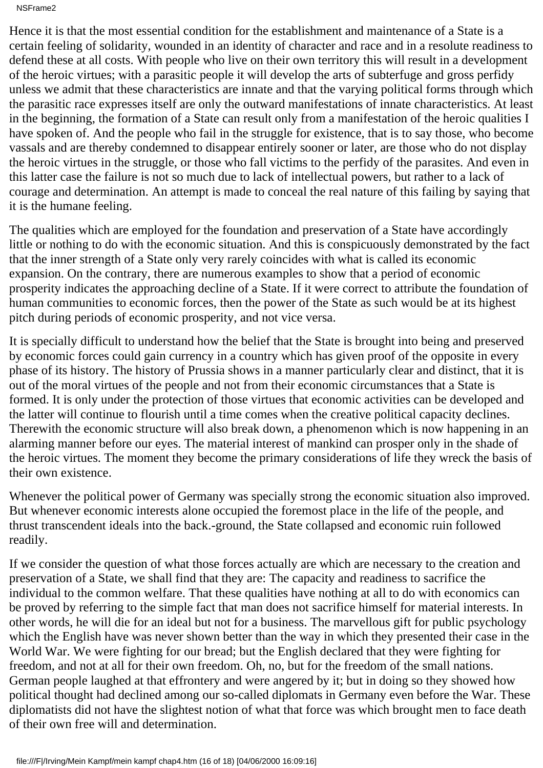## NSFrame2

Hence it is that the most essential condition for the establishment and maintenance of a State is a certain feeling of solidarity, wounded in an identity of character and race and in a resolute readiness to defend these at all costs. With people who live on their own territory this will result in a development of the heroic virtues; with a parasitic people it will develop the arts of subterfuge and gross perfidy unless we admit that these characteristics are innate and that the varying political forms through which the parasitic race expresses itself are only the outward manifestations of innate characteristics. At least in the beginning, the formation of a State can result only from a manifestation of the heroic qualities I have spoken of. And the people who fail in the struggle for existence, that is to say those, who become vassals and are thereby condemned to disappear entirely sooner or later, are those who do not display the heroic virtues in the struggle, or those who fall victims to the perfidy of the parasites. And even in this latter case the failure is not so much due to lack of intellectual powers, but rather to a lack of courage and determination. An attempt is made to conceal the real nature of this failing by saying that it is the humane feeling.

The qualities which are employed for the foundation and preservation of a State have accordingly little or nothing to do with the economic situation. And this is conspicuously demonstrated by the fact that the inner strength of a State only very rarely coincides with what is called its economic expansion. On the contrary, there are numerous examples to show that a period of economic prosperity indicates the approaching decline of a State. If it were correct to attribute the foundation of human communities to economic forces, then the power of the State as such would be at its highest pitch during periods of economic prosperity, and not vice versa.

It is specially difficult to understand how the belief that the State is brought into being and preserved by economic forces could gain currency in a country which has given proof of the opposite in every phase of its history. The history of Prussia shows in a manner particularly clear and distinct, that it is out of the moral virtues of the people and not from their economic circumstances that a State is formed. It is only under the protection of those virtues that economic activities can be developed and the latter will continue to flourish until a time comes when the creative political capacity declines. Therewith the economic structure will also break down, a phenomenon which is now happening in an alarming manner before our eyes. The material interest of mankind can prosper only in the shade of the heroic virtues. The moment they become the primary considerations of life they wreck the basis of their own existence.

Whenever the political power of Germany was specially strong the economic situation also improved. But whenever economic interests alone occupied the foremost place in the life of the people, and thrust transcendent ideals into the back.-ground, the State collapsed and economic ruin followed readily.

If we consider the question of what those forces actually are which are necessary to the creation and preservation of a State, we shall find that they are: The capacity and readiness to sacrifice the individual to the common welfare. That these qualities have nothing at all to do with economics can be proved by referring to the simple fact that man does not sacrifice himself for material interests. In other words, he will die for an ideal but not for a business. The marvellous gift for public psychology which the English have was never shown better than the way in which they presented their case in the World War. We were fighting for our bread; but the English declared that they were fighting for freedom, and not at all for their own freedom. Oh, no, but for the freedom of the small nations. German people laughed at that effrontery and were angered by it; but in doing so they showed how political thought had declined among our so-called diplomats in Germany even before the War. These diplomatists did not have the slightest notion of what that force was which brought men to face death of their own free will and determination.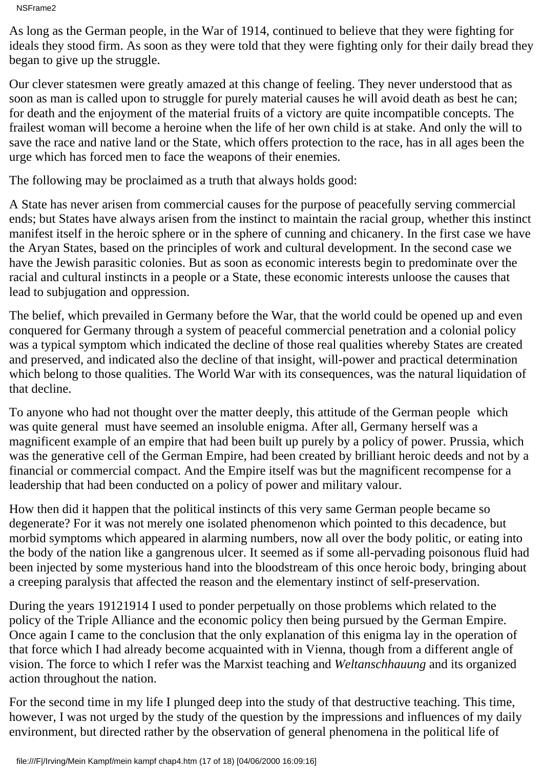As long as the German people, in the War of 1914, continued to believe that they were fighting for ideals they stood firm. As soon as they were told that they were fighting only for their daily bread they began to give up the struggle.

Our clever statesmen were greatly amazed at this change of feeling. They never understood that as soon as man is called upon to struggle for purely material causes he will avoid death as best he can; for death and the enjoyment of the material fruits of a victory are quite incompatible concepts. The frailest woman will become a heroine when the life of her own child is at stake. And only the will to save the race and native land or the State, which offers protection to the race, has in all ages been the urge which has forced men to face the weapons of their enemies.

The following may be proclaimed as a truth that always holds good:

A State has never arisen from commercial causes for the purpose of peacefully serving commercial ends; but States have always arisen from the instinct to maintain the racial group, whether this instinct manifest itself in the heroic sphere or in the sphere of cunning and chicanery. In the first case we have the Aryan States, based on the principles of work and cultural development. In the second case we have the Jewish parasitic colonies. But as soon as economic interests begin to predominate over the racial and cultural instincts in a people or a State, these economic interests unloose the causes that lead to subjugation and oppression.

The belief, which prevailed in Germany before the War, that the world could be opened up and even conquered for Germany through a system of peaceful commercial penetration and a colonial policy was a typical symptom which indicated the decline of those real qualities whereby States are created and preserved, and indicated also the decline of that insight, will-power and practical determination which belong to those qualities. The World War with its consequences, was the natural liquidation of that decline.

To anyone who had not thought over the matter deeply, this attitude of the German people which was quite general must have seemed an insoluble enigma. After all, Germany herself was a magnificent example of an empire that had been built up purely by a policy of power. Prussia, which was the generative cell of the German Empire, had been created by brilliant heroic deeds and not by a financial or commercial compact. And the Empire itself was but the magnificent recompense for a leadership that had been conducted on a policy of power and military valour.

How then did it happen that the political instincts of this very same German people became so degenerate? For it was not merely one isolated phenomenon which pointed to this decadence, but morbid symptoms which appeared in alarming numbers, now all over the body politic, or eating into the body of the nation like a gangrenous ulcer. It seemed as if some all-pervading poisonous fluid had been injected by some mysterious hand into the bloodstream of this once heroic body, bringing about a creeping paralysis that affected the reason and the elementary instinct of self-preservation.

During the years 1912 1914 I used to ponder perpetually on those problems which related to the policy of the Triple Alliance and the economic policy then being pursued by the German Empire. Once again I came to the conclusion that the only explanation of this enigma lay in the operation of that force which I had already become acquainted with in Vienna, though from a different angle of vision. The force to which I refer was the Marxist teaching and *Weltanschhauung* and its organized action throughout the nation.

For the second time in my life I plunged deep into the study of that destructive teaching. This time, however, I was not urged by the study of the question by the impressions and influences of my daily environment, but directed rather by the observation of general phenomena in the political life of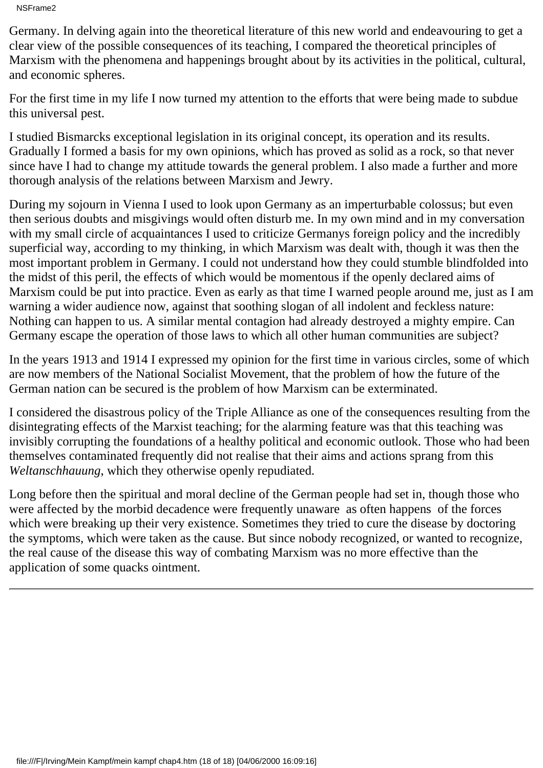NSFrame2

Germany. In delving again into the theoretical literature of this new world and endeavouring to get a clear view of the possible consequences of its teaching, I compared the theoretical principles of Marxism with the phenomena and happenings brought about by its activities in the political, cultural, and economic spheres.

For the first time in my life I now turned my attention to the efforts that were being made to subdue this universal pest.

I studied Bismarck s exceptional legislation in its original concept, its operation and its results. Gradually I formed a basis for my own opinions, which has proved as solid as a rock, so that never since have I had to change my attitude towards the general problem. I also made a further and more thorough analysis of the relations between Marxism and Jewry.

During my sojourn in Vienna I used to look upon Germany as an imperturbable colossus; but even then serious doubts and misgivings would often disturb me. In my own mind and in my conversation with my small circle of acquaintances I used to criticize Germany s foreign policy and the incredibly superficial way, according to my thinking, in which Marxism was dealt with, though it was then the most important problem in Germany. I could not understand how they could stumble blindfolded into the midst of this peril, the effects of which would be momentous if the openly declared aims of Marxism could be put into practice. Even as early as that time I warned people around me, just as I am warning a wider audience now, against that soothing slogan of all indolent and feckless nature: Nothing can happen to us. A similar mental contagion had already destroyed a mighty empire. Can Germany escape the operation of those laws to which all other human communities are subject?

In the years 1913 and 1914 I expressed my opinion for the first time in various circles, some of which are now members of the National Socialist Movement, that the problem of how the future of the German nation can be secured is the problem of how Marxism can be exterminated.

I considered the disastrous policy of the Triple Alliance as one of the consequences resulting from the disintegrating effects of the Marxist teaching; for the alarming feature was that this teaching was invisibly corrupting the foundations of a healthy political and economic outlook. Those who had been themselves contaminated frequently did not realise that their aims and actions sprang from this *Weltanschhauung*, which they otherwise openly repudiated.

Long before then the spiritual and moral decline of the German people had set in, though those who were affected by the morbid decadence were frequently unaware as often happens of the forces which were breaking up their very existence. Sometimes they tried to cure the disease by doctoring the symptoms, which were taken as the cause. But since nobody recognized, or wanted to recognize, the real cause of the disease this way of combating Marxism was no more effective than the application of some quack s ointment.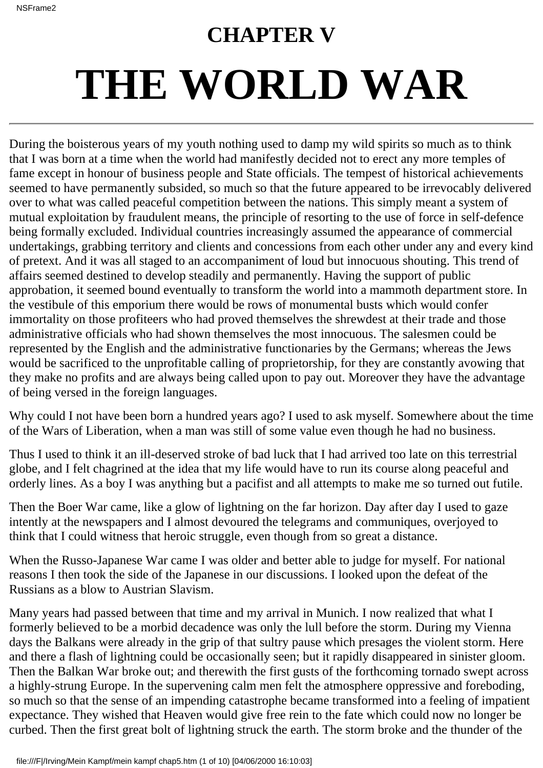## **CHAPTER V THE WORLD WAR**

During the boisterous years of my youth nothing used to damp my wild spirits so much as to think that I was born at a time when the world had manifestly decided not to erect any more temples of fame except in honour of business people and State officials. The tempest of historical achievements seemed to have permanently subsided, so much so that the future appeared to be irrevocably delivered over to what was called peaceful competition between the nations. This simply meant a system of mutual exploitation by fraudulent means, the principle of resorting to the use of force in self-defence being formally excluded. Individual countries increasingly assumed the appearance of commercial undertakings, grabbing territory and clients and concessions from each other under any and every kind of pretext. And it was all staged to an accompaniment of loud but innocuous shouting. This trend of affairs seemed destined to develop steadily and permanently. Having the support of public approbation, it seemed bound eventually to transform the world into a mammoth department store. In the vestibule of this emporium there would be rows of monumental busts which would confer immortality on those profiteers who had proved themselves the shrewdest at their trade and those administrative officials who had shown themselves the most innocuous. The salesmen could be represented by the English and the administrative functionaries by the Germans; whereas the Jews would be sacrificed to the unprofitable calling of proprietorship, for they are constantly avowing that they make no profits and are always being called upon to pay out. Moreover they have the advantage of being versed in the foreign languages.

Why could I not have been born a hundred years ago? I used to ask myself. Somewhere about the time of the Wars of Liberation, when a man was still of some value even though he had no business.

Thus I used to think it an ill-deserved stroke of bad luck that I had arrived too late on this terrestrial globe, and I felt chagrined at the idea that my life would have to run its course along peaceful and orderly lines. As a boy I was anything but a pacifist and all attempts to make me so turned out futile.

Then the Boer War came, like a glow of lightning on the far horizon. Day after day I used to gaze intently at the newspapers and I almost devoured the telegrams and communiques, overjoyed to think that I could witness that heroic struggle, even though from so great a distance.

When the Russo-Japanese War came I was older and better able to judge for myself. For national reasons I then took the side of the Japanese in our discussions. I looked upon the defeat of the Russians as a blow to Austrian Slavism.

Many years had passed between that time and my arrival in Munich. I now realized that what I formerly believed to be a morbid decadence was only the lull before the storm. During my Vienna days the Balkans were already in the grip of that sultry pause which presages the violent storm. Here and there a flash of lightning could be occasionally seen; but it rapidly disappeared in sinister gloom. Then the Balkan War broke out; and therewith the first gusts of the forthcoming tornado swept across a highly-strung Europe. In the supervening calm men felt the atmosphere oppressive and foreboding, so much so that the sense of an impending catastrophe became transformed into a feeling of impatient expectance. They wished that Heaven would give free rein to the fate which could now no longer be curbed. Then the first great bolt of lightning struck the earth. The storm broke and the thunder of the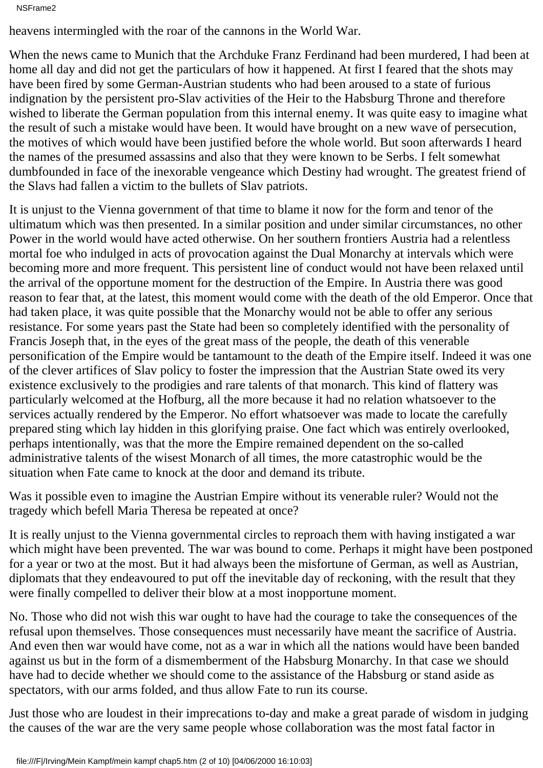NSFrame2

heavens intermingled with the roar of the cannons in the World War.

When the news came to Munich that the Archduke Franz Ferdinand had been murdered, I had been at home all day and did not get the particulars of how it happened. At first I feared that the shots may have been fired by some German-Austrian students who had been aroused to a state of furious indignation by the persistent pro-Slav activities of the Heir to the Habsburg Throne and therefore wished to liberate the German population from this internal enemy. It was quite easy to imagine what the result of such a mistake would have been. It would have brought on a new wave of persecution, the motives of which would have been justified before the whole world. But soon afterwards I heard the names of the presumed assassins and also that they were known to be Serbs. I felt somewhat dumbfounded in face of the inexorable vengeance which Destiny had wrought. The greatest friend of the Slavs had fallen a victim to the bullets of Slav patriots.

It is unjust to the Vienna government of that time to blame it now for the form and tenor of the ultimatum which was then presented. In a similar position and under similar circumstances, no other Power in the world would have acted otherwise. On her southern frontiers Austria had a relentless mortal foe who indulged in acts of provocation against the Dual Monarchy at intervals which were becoming more and more frequent. This persistent line of conduct would not have been relaxed until the arrival of the opportune moment for the destruction of the Empire. In Austria there was good reason to fear that, at the latest, this moment would come with the death of the old Emperor. Once that had taken place, it was quite possible that the Monarchy would not be able to offer any serious resistance. For some years past the State had been so completely identified with the personality of Francis Joseph that, in the eyes of the great mass of the people, the death of this venerable personification of the Empire would be tantamount to the death of the Empire itself. Indeed it was one of the clever artifices of Slav policy to foster the impression that the Austrian State owed its very existence exclusively to the prodigies and rare talents of that monarch. This kind of flattery was particularly welcomed at the Hofburg, all the more because it had no relation whatsoever to the services actually rendered by the Emperor. No effort whatsoever was made to locate the carefully prepared sting which lay hidden in this glorifying praise. One fact which was entirely overlooked, perhaps intentionally, was that the more the Empire remained dependent on the so-called administrative talents of the wisest Monarch of all times, the more catastrophic would be the situation when Fate came to knock at the door and demand its tribute.

Was it possible even to imagine the Austrian Empire without its venerable ruler? Would not the tragedy which befell Maria Theresa be repeated at once?

It is really unjust to the Vienna governmental circles to reproach them with having instigated a war which might have been prevented. The war was bound to come. Perhaps it might have been postponed for a year or two at the most. But it had always been the misfortune of German, as well as Austrian, diplomats that they endeavoured to put off the inevitable day of reckoning, with the result that they were finally compelled to deliver their blow at a most inopportune moment.

No. Those who did not wish this war ought to have had the courage to take the consequences of the refusal upon themselves. Those consequences must necessarily have meant the sacrifice of Austria. And even then war would have come, not as a war in which all the nations would have been banded against us but in the form of a dismemberment of the Habsburg Monarchy. In that case we should have had to decide whether we should come to the assistance of the Habsburg or stand aside as spectators, with our arms folded, and thus allow Fate to run its course.

Just those who are loudest in their imprecations to-day and make a great parade of wisdom in judging the causes of the war are the very same people whose collaboration was the most fatal factor in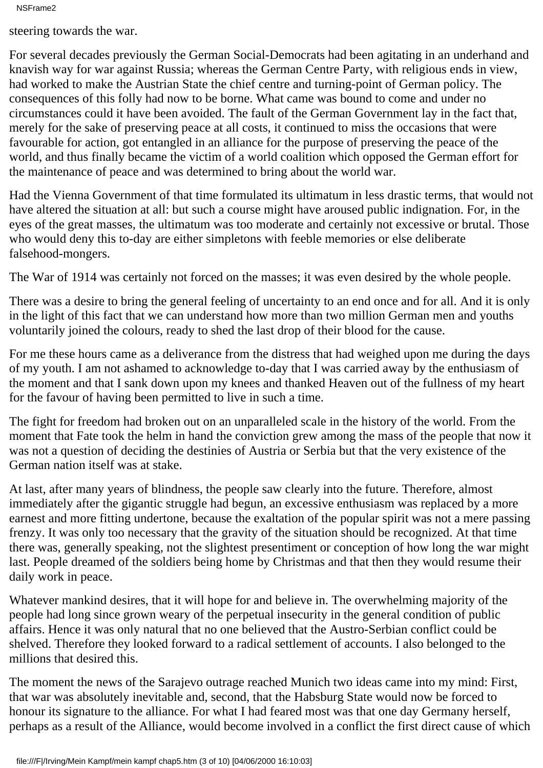NSFrame2

steering towards the war.

For several decades previously the German Social-Democrats had been agitating in an underhand and knavish way for war against Russia; whereas the German Centre Party, with religious ends in view, had worked to make the Austrian State the chief centre and turning-point of German policy. The consequences of this folly had now to be borne. What came was bound to come and under no circumstances could it have been avoided. The fault of the German Government lay in the fact that, merely for the sake of preserving peace at all costs, it continued to miss the occasions that were favourable for action, got entangled in an alliance for the purpose of preserving the peace of the world, and thus finally became the victim of a world coalition which opposed the German effort for the maintenance of peace and was determined to bring about the world war.

Had the Vienna Government of that time formulated its ultimatum in less drastic terms, that would not have altered the situation at all: but such a course might have aroused public indignation. For, in the eyes of the great masses, the ultimatum was too moderate and certainly not excessive or brutal. Those who would deny this to-day are either simpletons with feeble memories or else deliberate falsehood-mongers.

The War of 1914 was certainly not forced on the masses; it was even desired by the whole people.

There was a desire to bring the general feeling of uncertainty to an end once and for all. And it is only in the light of this fact that we can understand how more than two million German men and youths voluntarily joined the colours, ready to shed the last drop of their blood for the cause.

For me these hours came as a deliverance from the distress that had weighed upon me during the days of my youth. I am not ashamed to acknowledge to-day that I was carried away by the enthusiasm of the moment and that I sank down upon my knees and thanked Heaven out of the fullness of my heart for the favour of having been permitted to live in such a time.

The fight for freedom had broken out on an unparalleled scale in the history of the world. From the moment that Fate took the helm in hand the conviction grew among the mass of the people that now it was not a question of deciding the destinies of Austria or Serbia but that the very existence of the German nation itself was at stake.

At last, after many years of blindness, the people saw clearly into the future. Therefore, almost immediately after the gigantic struggle had begun, an excessive enthusiasm was replaced by a more earnest and more fitting undertone, because the exaltation of the popular spirit was not a mere passing frenzy. It was only too necessary that the gravity of the situation should be recognized. At that time there was, generally speaking, not the slightest presentiment or conception of how long the war might last. People dreamed of the soldiers being home by Christmas and that then they would resume their daily work in peace.

Whatever mankind desires, that it will hope for and believe in. The overwhelming majority of the people had long since grown weary of the perpetual insecurity in the general condition of public affairs. Hence it was only natural that no one believed that the Austro-Serbian conflict could be shelved. Therefore they looked forward to a radical settlement of accounts. I also belonged to the millions that desired this.

The moment the news of the Sarajevo outrage reached Munich two ideas came into my mind: First, that war was absolutely inevitable and, second, that the Habsburg State would now be forced to honour its signature to the alliance. For what I had feared most was that one day Germany herself, perhaps as a result of the Alliance, would become involved in a conflict the first direct cause of which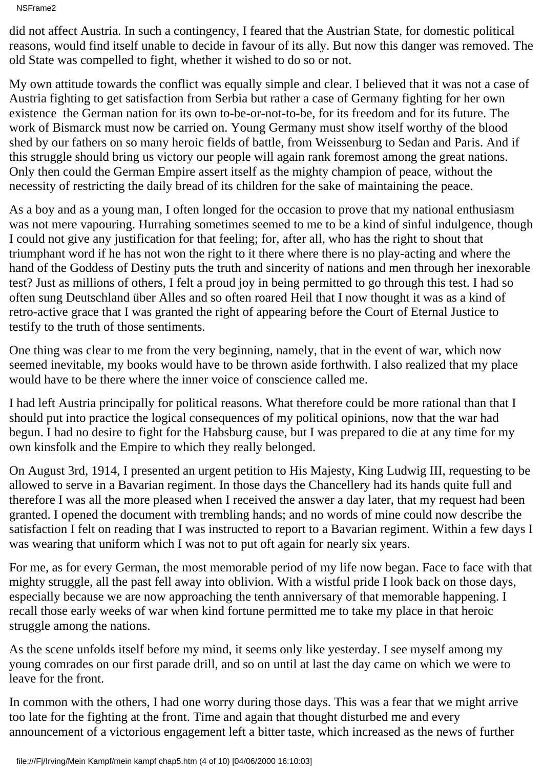NSFrame2

did not affect Austria. In such a contingency, I feared that the Austrian State, for domestic political reasons, would find itself unable to decide in favour of its ally. But now this danger was removed. The old State was compelled to fight, whether it wished to do so or not.

My own attitude towards the conflict was equally simple and clear. I believed that it was not a case of Austria fighting to get satisfaction from Serbia but rather a case of Germany fighting for her own existence the German nation for its own to-be-or-not-to-be, for its freedom and for its future. The work of Bismarck must now be carried on. Young Germany must show itself worthy of the blood shed by our fathers on so many heroic fields of battle, from Weissenburg to Sedan and Paris. And if this struggle should bring us victory our people will again rank foremost among the great nations. Only then could the German Empire assert itself as the mighty champion of peace, without the necessity of restricting the daily bread of its children for the sake of maintaining the peace.

As a boy and as a young man, I often longed for the occasion to prove that my national enthusiasm was not mere vapouring. Hurrahing sometimes seemed to me to be a kind of sinful indulgence, though I could not give any justification for that feeling; for, after all, who has the right to shout that triumphant word if he has not won the right to it there where there is no play-acting and where the hand of the Goddess of Destiny puts the truth and sincerity of nations and men through her inexorable test? Just as millions of others, I felt a proud joy in being permitted to go through this test. I had so often sung Deutschland über Alles and so often roared Heil that I now thought it was as a kind of retro-active grace that I was granted the right of appearing before the Court of Eternal Justice to testify to the truth of those sentiments.

One thing was clear to me from the very beginning, namely, that in the event of war, which now seemed inevitable, my books would have to be thrown aside forthwith. I also realized that my place would have to be there where the inner voice of conscience called me.

I had left Austria principally for political reasons. What therefore could be more rational than that I should put into practice the logical consequences of my political opinions, now that the war had begun. I had no desire to fight for the Habsburg cause, but I was prepared to die at any time for my own kinsfolk and the Empire to which they really belonged.

On August 3rd, 1914, I presented an urgent petition to His Majesty, King Ludwig III, requesting to be allowed to serve in a Bavarian regiment. In those days the Chancellery had its hands quite full and therefore I was all the more pleased when I received the answer a day later, that my request had been granted. I opened the document with trembling hands; and no words of mine could now describe the satisfaction I felt on reading that I was instructed to report to a Bavarian regiment. Within a few days I was wearing that uniform which I was not to put oft again for nearly six years.

For me, as for every German, the most memorable period of my life now began. Face to face with that mighty struggle, all the past fell away into oblivion. With a wistful pride I look back on those days, especially because we are now approaching the tenth anniversary of that memorable happening. I recall those early weeks of war when kind fortune permitted me to take my place in that heroic struggle among the nations.

As the scene unfolds itself before my mind, it seems only like yesterday. I see myself among my young comrades on our first parade drill, and so on until at last the day came on which we were to leave for the front.

In common with the others, I had one worry during those days. This was a fear that we might arrive too late for the fighting at the front. Time and again that thought disturbed me and every announcement of a victorious engagement left a bitter taste, which increased as the news of further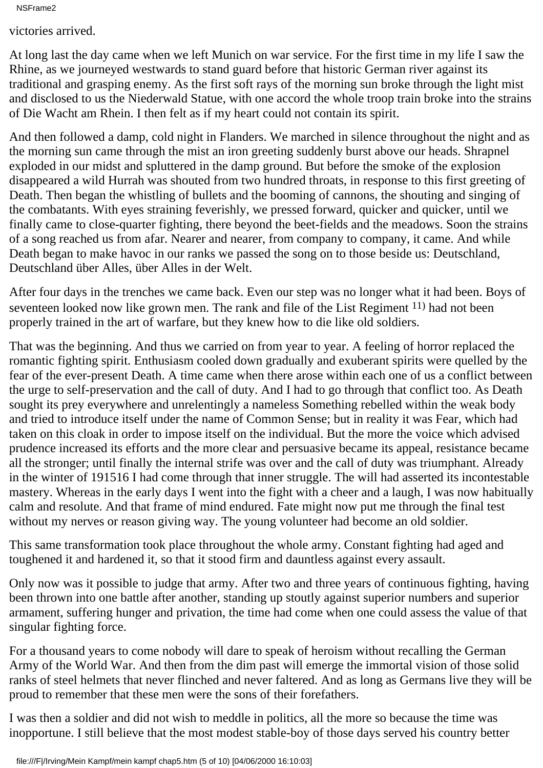NSFrame2

victories arrived.

At long last the day came when we left Munich on war service. For the first time in my life I saw the Rhine, as we journeyed westwards to stand guard before that historic German river against its traditional and grasping enemy. As the first soft rays of the morning sun broke through the light mist and disclosed to us the Niederwald Statue, with one accord the whole troop train broke into the strains of Die Wacht am Rhein. I then felt as if my heart could not contain its spirit.

And then followed a damp, cold night in Flanders. We marched in silence throughout the night and as the morning sun came through the mist an iron greeting suddenly burst above our heads. Shrapnel exploded in our midst and spluttered in the damp ground. But before the smoke of the explosion disappeared a wild Hurrah was shouted from two hundred throats, in response to this first greeting of Death. Then began the whistling of bullets and the booming of cannons, the shouting and singing of the combatants. With eyes straining feverishly, we pressed forward, quicker and quicker, until we finally came to close-quarter fighting, there beyond the beet-fields and the meadows. Soon the strains of a song reached us from afar. Nearer and nearer, from company to company, it came. And while Death began to make havoc in our ranks we passed the song on to those beside us: Deutschland, Deutschland über Alles, über Alles in der Welt.

After four days in the trenches we came back. Even our step was no longer what it had been. Boys of seventeen looked now like grown men. The rank and file of the List Regiment 11) had not been properly trained in the art of warfare, but they knew how to die like old soldiers.

That was the beginning. And thus we carried on from year to year. A feeling of horror replaced the romantic fighting spirit. Enthusiasm cooled down gradually and exuberant spirits were quelled by the fear of the ever-present Death. A time came when there arose within each one of us a conflict between the urge to self-preservation and the call of duty. And I had to go through that conflict too. As Death sought its prey everywhere and unrelentingly a nameless Something rebelled within the weak body and tried to introduce itself under the name of Common Sense; but in reality it was Fear, which had taken on this cloak in order to impose itself on the individual. But the more the voice which advised prudence increased its efforts and the more clear and persuasive became its appeal, resistance became all the stronger; until finally the internal strife was over and the call of duty was triumphant. Already in the winter of 1915 16 I had come through that inner struggle. The will had asserted its incontestable mastery. Whereas in the early days I went into the fight with a cheer and a laugh, I was now habitually calm and resolute. And that frame of mind endured. Fate might now put me through the final test without my nerves or reason giving way. The young volunteer had become an old soldier.

This same transformation took place throughout the whole army. Constant fighting had aged and toughened it and hardened it, so that it stood firm and dauntless against every assault.

Only now was it possible to judge that army. After two and three years of continuous fighting, having been thrown into one battle after another, standing up stoutly against superior numbers and superior armament, suffering hunger and privation, the time had come when one could assess the value of that singular fighting force.

For a thousand years to come nobody will dare to speak of heroism without recalling the German Army of the World War. And then from the dim past will emerge the immortal vision of those solid ranks of steel helmets that never flinched and never faltered. And as long as Germans live they will be proud to remember that these men were the sons of their forefathers.

I was then a soldier and did not wish to meddle in politics, all the more so because the time was inopportune. I still believe that the most modest stable-boy of those days served his country better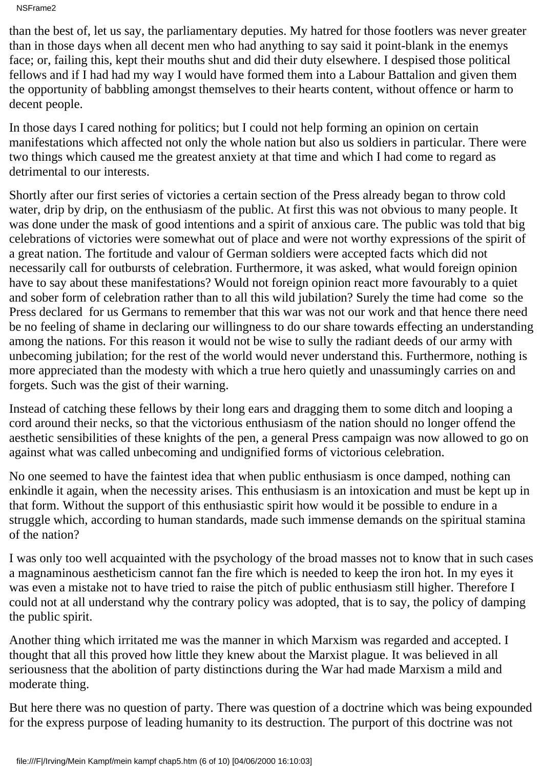than the best of, let us say, the parliamentary deputies. My hatred for those footlers was never greater than in those days when all decent men who had anything to say said it point-blank in the enemys face; or, failing this, kept their mouths shut and did their duty elsewhere. I despised those political fellows and if I had had my way I would have formed them into a Labour Battalion and given them the opportunity of babbling amongst themselves to their hearts content, without offence or harm to decent people.

In those days I cared nothing for politics; but I could not help forming an opinion on certain manifestations which affected not only the whole nation but also us soldiers in particular. There were two things which caused me the greatest anxiety at that time and which I had come to regard as detrimental to our interests.

Shortly after our first series of victories a certain section of the Press already began to throw cold water, drip by drip, on the enthusiasm of the public. At first this was not obvious to many people. It was done under the mask of good intentions and a spirit of anxious care. The public was told that big celebrations of victories were somewhat out of place and were not worthy expressions of the spirit of a great nation. The fortitude and valour of German soldiers were accepted facts which did not necessarily call for outbursts of celebration. Furthermore, it was asked, what would foreign opinion have to say about these manifestations? Would not foreign opinion react more favourably to a quiet and sober form of celebration rather than to all this wild jubilation? Surely the time had come so the Press declared for us Germans to remember that this war was not our work and that hence there need be no feeling of shame in declaring our willingness to do our share towards effecting an understanding among the nations. For this reason it would not be wise to sully the radiant deeds of our army with unbecoming jubilation; for the rest of the world would never understand this. Furthermore, nothing is more appreciated than the modesty with which a true hero quietly and unassumingly carries on and forgets. Such was the gist of their warning.

Instead of catching these fellows by their long ears and dragging them to some ditch and looping a cord around their necks, so that the victorious enthusiasm of the nation should no longer offend the aesthetic sensibilities of these knights of the pen, a general Press campaign was now allowed to go on against what was called unbecoming and undignified forms of victorious celebration.

No one seemed to have the faintest idea that when public enthusiasm is once damped, nothing can enkindle it again, when the necessity arises. This enthusiasm is an intoxication and must be kept up in that form. Without the support of this enthusiastic spirit how would it be possible to endure in a struggle which, according to human standards, made such immense demands on the spiritual stamina of the nation?

I was only too well acquainted with the psychology of the broad masses not to know that in such cases a magnaminous aestheticism cannot fan the fire which is needed to keep the iron hot. In my eyes it was even a mistake not to have tried to raise the pitch of public enthusiasm still higher. Therefore I could not at all understand why the contrary policy was adopted, that is to say, the policy of damping the public spirit.

Another thing which irritated me was the manner in which Marxism was regarded and accepted. I thought that all this proved how little they knew about the Marxist plague. It was believed in all seriousness that the abolition of party distinctions during the War had made Marxism a mild and moderate thing.

But here there was no question of party. There was question of a doctrine which was being expounded for the express purpose of leading humanity to its destruction. The purport of this doctrine was not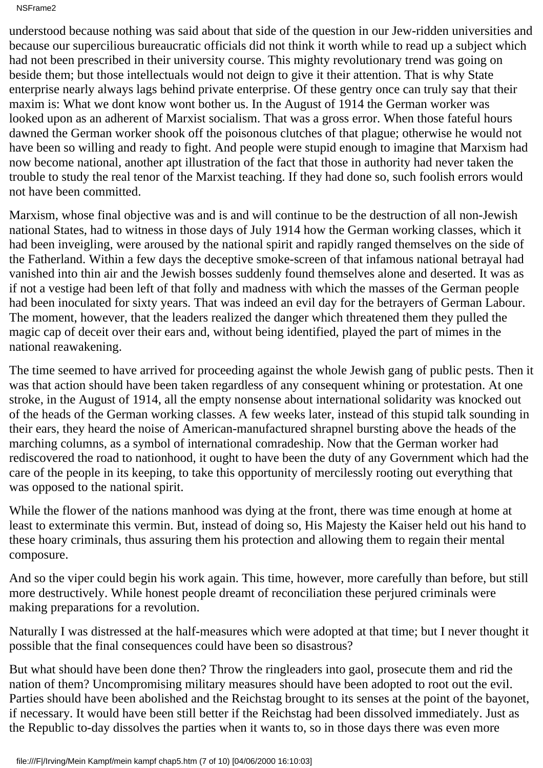NSFrame2

understood because nothing was said about that side of the question in our Jew-ridden universities and because our supercilious bureaucratic officials did not think it worth while to read up a subject which had not been prescribed in their university course. This mighty revolutionary trend was going on beside them; but those intellectuals would not deign to give it their attention. That is why State enterprise nearly always lags behind private enterprise. Of these gentry once can truly say that their maxim is: What we dont know wont bother us. In the August of 1914 the German worker was looked upon as an adherent of Marxist socialism. That was a gross error. When those fateful hours dawned the German worker shook off the poisonous clutches of that plague; otherwise he would not have been so willing and ready to fight. And people were stupid enough to imagine that Marxism had now become national, another apt illustration of the fact that those in authority had never taken the trouble to study the real tenor of the Marxist teaching. If they had done so, such foolish errors would not have been committed.

Marxism, whose final objective was and is and will continue to be the destruction of all non-Jewish national States, had to witness in those days of July 1914 how the German working classes, which it had been inveigling, were aroused by the national spirit and rapidly ranged themselves on the side of the Fatherland. Within a few days the deceptive smoke-screen of that infamous national betrayal had vanished into thin air and the Jewish bosses suddenly found themselves alone and deserted. It was as if not a vestige had been left of that folly and madness with which the masses of the German people had been inoculated for sixty years. That was indeed an evil day for the betrayers of German Labour. The moment, however, that the leaders realized the danger which threatened them they pulled the magic cap of deceit over their ears and, without being identified, played the part of mimes in the national reawakening.

The time seemed to have arrived for proceeding against the whole Jewish gang of public pests. Then it was that action should have been taken regardless of any consequent whining or protestation. At one stroke, in the August of 1914, all the empty nonsense about international solidarity was knocked out of the heads of the German working classes. A few weeks later, instead of this stupid talk sounding in their ears, they heard the noise of American-manufactured shrapnel bursting above the heads of the marching columns, as a symbol of international comradeship. Now that the German worker had rediscovered the road to nationhood, it ought to have been the duty of any Government which had the care of the people in its keeping, to take this opportunity of mercilessly rooting out everything that was opposed to the national spirit.

While the flower of the nation s manhood was dying at the front, there was time enough at home at least to exterminate this vermin. But, instead of doing so, His Majesty the Kaiser held out his hand to these hoary criminals, thus assuring them his protection and allowing them to regain their mental composure.

And so the viper could begin his work again. This time, however, more carefully than before, but still more destructively. While honest people dreamt of reconciliation these perjured criminals were making preparations for a revolution.

Naturally I was distressed at the half-measures which were adopted at that time; but I never thought it possible that the final consequences could have been so disastrous?

But what should have been done then? Throw the ringleaders into gaol, prosecute them and rid the nation of them? Uncompromising military measures should have been adopted to root out the evil. Parties should have been abolished and the Reichstag brought to its senses at the point of the bayonet, if necessary. It would have been still better if the Reichstag had been dissolved immediately. Just as the Republic to-day dissolves the parties when it wants to, so in those days there was even more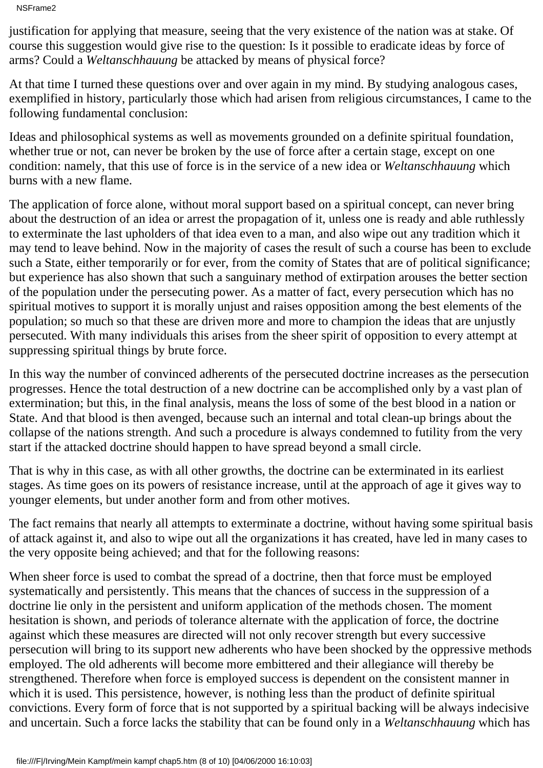NSFrame2

justification for applying that measure, seeing that the very existence of the nation was at stake. Of course this suggestion would give rise to the question: Is it possible to eradicate ideas by force of arms? Could a *Weltanschhauung* be attacked by means of physical force?

At that time I turned these questions over and over again in my mind. By studying analogous cases, exemplified in history, particularly those which had arisen from religious circumstances, I came to the following fundamental conclusion:

Ideas and philosophical systems as well as movements grounded on a definite spiritual foundation, whether true or not, can never be broken by the use of force after a certain stage, except on one condition: namely, that this use of force is in the service of a new idea or *Weltanschhauung* which burns with a new flame.

The application of force alone, without moral support based on a spiritual concept, can never bring about the destruction of an idea or arrest the propagation of it, unless one is ready and able ruthlessly to exterminate the last upholders of that idea even to a man, and also wipe out any tradition which it may tend to leave behind. Now in the majority of cases the result of such a course has been to exclude such a State, either temporarily or for ever, from the comity of States that are of political significance; but experience has also shown that such a sanguinary method of extirpation arouses the better section of the population under the persecuting power. As a matter of fact, every persecution which has no spiritual motives to support it is morally unjust and raises opposition among the best elements of the population; so much so that these are driven more and more to champion the ideas that are unjustly persecuted. With many individuals this arises from the sheer spirit of opposition to every attempt at suppressing spiritual things by brute force.

In this way the number of convinced adherents of the persecuted doctrine increases as the persecution progresses. Hence the total destruction of a new doctrine can be accomplished only by a vast plan of extermination; but this, in the final analysis, means the loss of some of the best blood in a nation or State. And that blood is then avenged, because such an internal and total clean-up brings about the collapse of the nation s strength. And such a procedure is always condemned to futility from the very start if the attacked doctrine should happen to have spread beyond a small circle.

That is why in this case, as with all other growths, the doctrine can be exterminated in its earliest stages. As time goes on its powers of resistance increase, until at the approach of age it gives way to younger elements, but under another form and from other motives.

The fact remains that nearly all attempts to exterminate a doctrine, without having some spiritual basis of attack against it, and also to wipe out all the organizations it has created, have led in many cases to the very opposite being achieved; and that for the following reasons:

When sheer force is used to combat the spread of a doctrine, then that force must be employed systematically and persistently. This means that the chances of success in the suppression of a doctrine lie only in the persistent and uniform application of the methods chosen. The moment hesitation is shown, and periods of tolerance alternate with the application of force, the doctrine against which these measures are directed will not only recover strength but every successive persecution will bring to its support new adherents who have been shocked by the oppressive methods employed. The old adherents will become more embittered and their allegiance will thereby be strengthened. Therefore when force is employed success is dependent on the consistent manner in which it is used. This persistence, however, is nothing less than the product of definite spiritual convictions. Every form of force that is not supported by a spiritual backing will be always indecisive and uncertain. Such a force lacks the stability that can be found only in a *Weltanschhauung* which has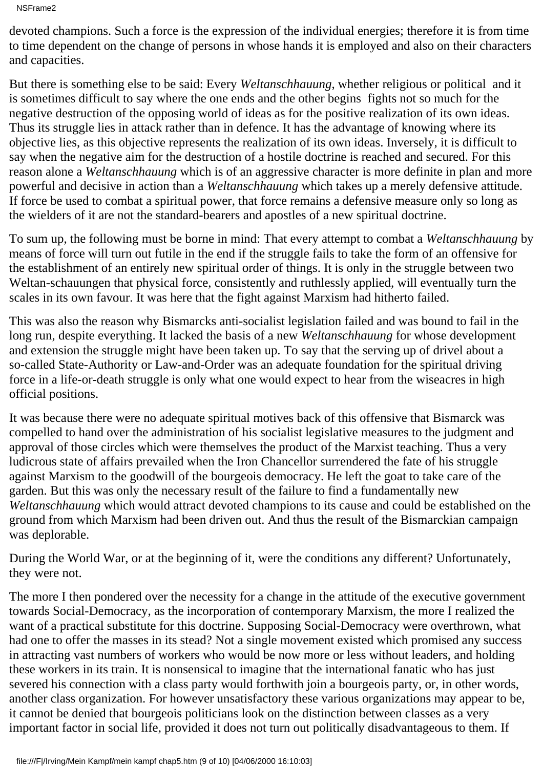NSFrame2

devoted champions. Such a force is the expression of the individual energies; therefore it is from time to time dependent on the change of persons in whose hands it is employed and also on their characters and capacities.

But there is something else to be said: Every *Weltanschhauung*, whether religious or political and it is sometimes difficult to say where the one ends and the other begins fights not so much for the negative destruction of the opposing world of ideas as for the positive realization of its own ideas. Thus its struggle lies in attack rather than in defence. It has the advantage of knowing where its objective lies, as this objective represents the realization of its own ideas. Inversely, it is difficult to say when the negative aim for the destruction of a hostile doctrine is reached and secured. For this reason alone a *Weltanschhauung* which is of an aggressive character is more definite in plan and more powerful and decisive in action than a *Weltanschhauung* which takes up a merely defensive attitude. If force be used to combat a spiritual power, that force remains a defensive measure only so long as the wielders of it are not the standard-bearers and apostles of a new spiritual doctrine.

To sum up, the following must be borne in mind: That every attempt to combat a *Weltanschhauung* by means of force will turn out futile in the end if the struggle fails to take the form of an offensive for the establishment of an entirely new spiritual order of things. It is only in the struggle between two Weltan-schauungen that physical force, consistently and ruthlessly applied, will eventually turn the scales in its own favour. It was here that the fight against Marxism had hitherto failed.

This was also the reason why Bismarck s anti-socialist legislation failed and was bound to fail in the long run, despite everything. It lacked the basis of a new *Weltanschhauung* for whose development and extension the struggle might have been taken up. To say that the serving up of drivel about a so-called State-Authority or Law-and-Order was an adequate foundation for the spiritual driving force in a life-or-death struggle is only what one would expect to hear from the wiseacres in high official positions.

It was because there were no adequate spiritual motives back of this offensive that Bismarck was compelled to hand over the administration of his socialist legislative measures to the judgment and approval of those circles which were themselves the product of the Marxist teaching. Thus a very ludicrous state of affairs prevailed when the Iron Chancellor surrendered the fate of his struggle against Marxism to the goodwill of the bourgeois democracy. He left the goat to take care of the garden. But this was only the necessary result of the failure to find a fundamentally new *Weltanschhauung* which would attract devoted champions to its cause and could be established on the ground from which Marxism had been driven out. And thus the result of the Bismarckian campaign was deplorable.

During the World War, or at the beginning of it, were the conditions any different? Unfortunately, they were not.

The more I then pondered over the necessity for a change in the attitude of the executive government towards Social-Democracy, as the incorporation of contemporary Marxism, the more I realized the want of a practical substitute for this doctrine. Supposing Social-Democracy were overthrown, what had one to offer the masses in its stead? Not a single movement existed which promised any success in attracting vast numbers of workers who would be now more or less without leaders, and holding these workers in its train. It is nonsensical to imagine that the international fanatic who has just severed his connection with a class party would forthwith join a bourgeois party, or, in other words, another class organization. For however unsatisfactory these various organizations may appear to be, it cannot be denied that bourgeois politicians look on the distinction between classes as a very important factor in social life, provided it does not turn out politically disadvantageous to them. If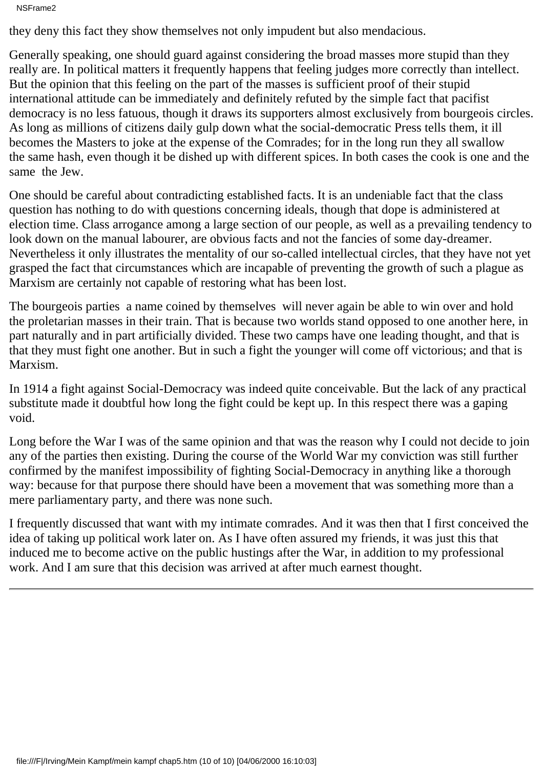NSFrame2

they deny this fact they show themselves not only impudent but also mendacious.

Generally speaking, one should guard against considering the broad masses more stupid than they really are. In political matters it frequently happens that feeling judges more correctly than intellect. But the opinion that this feeling on the part of the masses is sufficient proof of their stupid international attitude can be immediately and definitely refuted by the simple fact that pacifist democracy is no less fatuous, though it draws its supporters almost exclusively from bourgeois circles. As long as millions of citizens daily gulp down what the social-democratic Press tells them, it ill becomes the Masters to joke at the expense of the Comrades; for in the long run they all swallow the same hash, even though it be dished up with different spices. In both cases the cook is one and the same the Jew.

One should be careful about contradicting established facts. It is an undeniable fact that the class question has nothing to do with questions concerning ideals, though that dope is administered at election time. Class arrogance among a large section of our people, as well as a prevailing tendency to look down on the manual labourer, are obvious facts and not the fancies of some day-dreamer. Nevertheless it only illustrates the mentality of our so-called intellectual circles, that they have not yet grasped the fact that circumstances which are incapable of preventing the growth of such a plague as Marxism are certainly not capable of restoring what has been lost.

The bourgeois parties a name coined by themselves will never again be able to win over and hold the proletarian masses in their train. That is because two worlds stand opposed to one another here, in part naturally and in part artificially divided. These two camps have one leading thought, and that is that they must fight one another. But in such a fight the younger will come off victorious; and that is Marxism.

In 1914 a fight against Social-Democracy was indeed quite conceivable. But the lack of any practical substitute made it doubtful how long the fight could be kept up. In this respect there was a gaping void.

Long before the War I was of the same opinion and that was the reason why I could not decide to join any of the parties then existing. During the course of the World War my conviction was still further confirmed by the manifest impossibility of fighting Social-Democracy in anything like a thorough way: because for that purpose there should have been a movement that was something more than a mere parliamentary party, and there was none such.

I frequently discussed that want with my intimate comrades. And it was then that I first conceived the idea of taking up political work later on. As I have often assured my friends, it was just this that induced me to become active on the public hustings after the War, in addition to my professional work. And I am sure that this decision was arrived at after much earnest thought.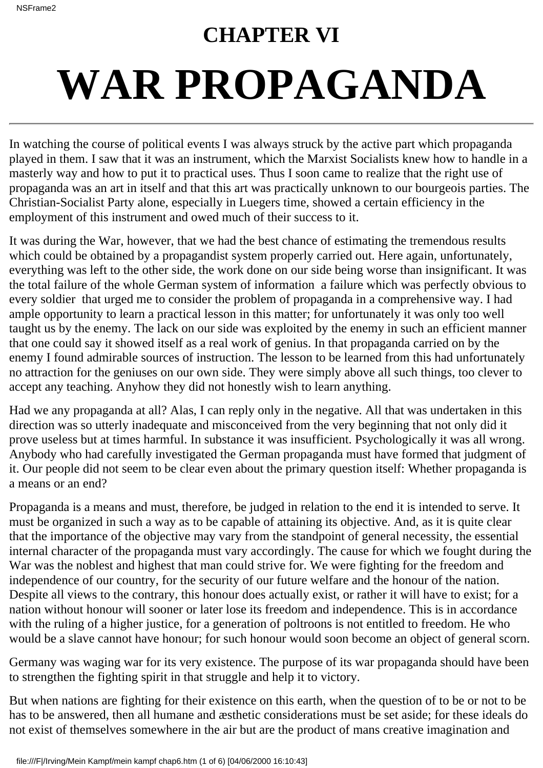### **CHAPTER VI**

# **WAR PROPAGANDA**

In watching the course of political events I was always struck by the active part which propaganda played in them. I saw that it was an instrument, which the Marxist Socialists knew how to handle in a masterly way and how to put it to practical uses. Thus I soon came to realize that the right use of propaganda was an art in itself and that this art was practically unknown to our bourgeois parties. The Christian-Socialist Party alone, especially in Luegers time, showed a certain efficiency in the employment of this instrument and owed much of their success to it.

It was during the War, however, that we had the best chance of estimating the tremendous results which could be obtained by a propagandist system properly carried out. Here again, unfortunately, everything was left to the other side, the work done on our side being worse than insignificant. It was the total failure of the whole German system of information a failure which was perfectly obvious to every soldier that urged me to consider the problem of propaganda in a comprehensive way. I had ample opportunity to learn a practical lesson in this matter; for unfortunately it was only too well taught us by the enemy. The lack on our side was exploited by the enemy in such an efficient manner that one could say it showed itself as a real work of genius. In that propaganda carried on by the enemy I found admirable sources of instruction. The lesson to be learned from this had unfortunately no attraction for the geniuses on our own side. They were simply above all such things, too clever to accept any teaching. Anyhow they did not honestly wish to learn anything.

Had we any propaganda at all? Alas, I can reply only in the negative. All that was undertaken in this direction was so utterly inadequate and misconceived from the very beginning that not only did it prove useless but at times harmful. In substance it was insufficient. Psychologically it was all wrong. Anybody who had carefully investigated the German propaganda must have formed that judgment of it. Our people did not seem to be clear even about the primary question itself: Whether propaganda is a means or an end?

Propaganda is a means and must, therefore, be judged in relation to the end it is intended to serve. It must be organized in such a way as to be capable of attaining its objective. And, as it is quite clear that the importance of the objective may vary from the standpoint of general necessity, the essential internal character of the propaganda must vary accordingly. The cause for which we fought during the War was the noblest and highest that man could strive for. We were fighting for the freedom and independence of our country, for the security of our future welfare and the honour of the nation. Despite all views to the contrary, this honour does actually exist, or rather it will have to exist; for a nation without honour will sooner or later lose its freedom and independence. This is in accordance with the ruling of a higher justice, for a generation of poltroons is not entitled to freedom. He who would be a slave cannot have honour; for such honour would soon become an object of general scorn.

Germany was waging war for its very existence. The purpose of its war propaganda should have been to strengthen the fighting spirit in that struggle and help it to victory.

But when nations are fighting for their existence on this earth, when the question of to be or not to be has to be answered, then all humane and æsthetic considerations must be set aside; for these ideals do not exist of themselves somewhere in the air but are the product of mans creative imagination and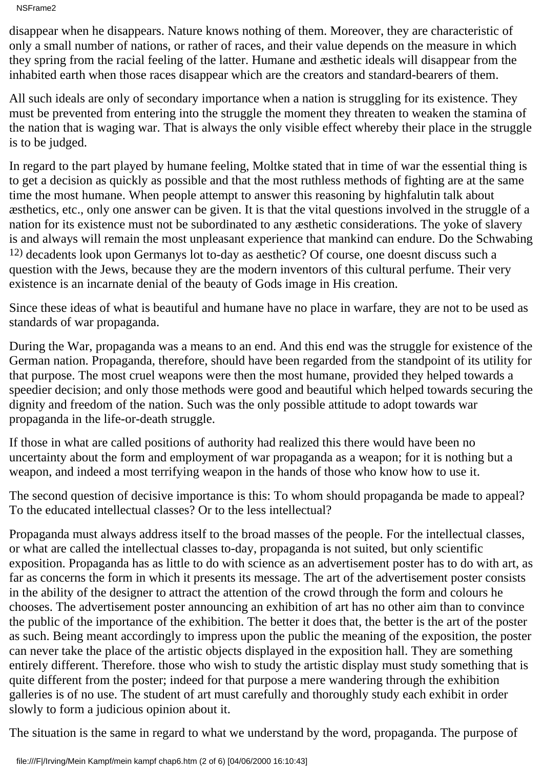NSFrame2

disappear when he disappears. Nature knows nothing of them. Moreover, they are characteristic of only a small number of nations, or rather of races, and their value depends on the measure in which they spring from the racial feeling of the latter. Humane and æsthetic ideals will disappear from the inhabited earth when those races disappear which are the creators and standard-bearers of them.

All such ideals are only of secondary importance when a nation is struggling for its existence. They must be prevented from entering into the struggle the moment they threaten to weaken the stamina of the nation that is waging war. That is always the only visible effect whereby their place in the struggle is to be judged.

In regard to the part played by humane feeling, Moltke stated that in time of war the essential thing is to get a decision as quickly as possible and that the most ruthless methods of fighting are at the same time the most humane. When people attempt to answer this reasoning by highfalutin talk about æsthetics, etc., only one answer can be given. It is that the vital questions involved in the struggle of a nation for its existence must not be subordinated to any æsthetic considerations. The yoke of slavery is and always will remain the most unpleasant experience that mankind can endure. Do the Schwabing 12) decadents look upon Germanys lot to-day as aesthetic? Of course, one doesnt discuss such a question with the Jews, because they are the modern inventors of this cultural perfume. Their very existence is an incarnate denial of the beauty of God s image in His creation.

Since these ideas of what is beautiful and humane have no place in warfare, they are not to be used as standards of war propaganda.

During the War, propaganda was a means to an end. And this end was the struggle for existence of the German nation. Propaganda, therefore, should have been regarded from the standpoint of its utility for that purpose. The most cruel weapons were then the most humane, provided they helped towards a speedier decision; and only those methods were good and beautiful which helped towards securing the dignity and freedom of the nation. Such was the only possible attitude to adopt towards war propaganda in the life-or-death struggle.

If those in what are called positions of authority had realized this there would have been no uncertainty about the form and employment of war propaganda as a weapon; for it is nothing but a weapon, and indeed a most terrifying weapon in the hands of those who know how to use it.

The second question of decisive importance is this: To whom should propaganda be made to appeal? To the educated intellectual classes? Or to the less intellectual?

Propaganda must always address itself to the broad masses of the people. For the intellectual classes, or what are called the intellectual classes to-day, propaganda is not suited, but only scientific exposition. Propaganda has as little to do with science as an advertisement poster has to do with art, as far as concerns the form in which it presents its message. The art of the advertisement poster consists in the ability of the designer to attract the attention of the crowd through the form and colours he chooses. The advertisement poster announcing an exhibition of art has no other aim than to convince the public of the importance of the exhibition. The better it does that, the better is the art of the poster as such. Being meant accordingly to impress upon the public the meaning of the exposition, the poster can never take the place of the artistic objects displayed in the exposition hall. They are something entirely different. Therefore. those who wish to study the artistic display must study something that is quite different from the poster; indeed for that purpose a mere wandering through the exhibition galleries is of no use. The student of art must carefully and thoroughly study each exhibit in order slowly to form a judicious opinion about it.

The situation is the same in regard to what we understand by the word, propaganda. The purpose of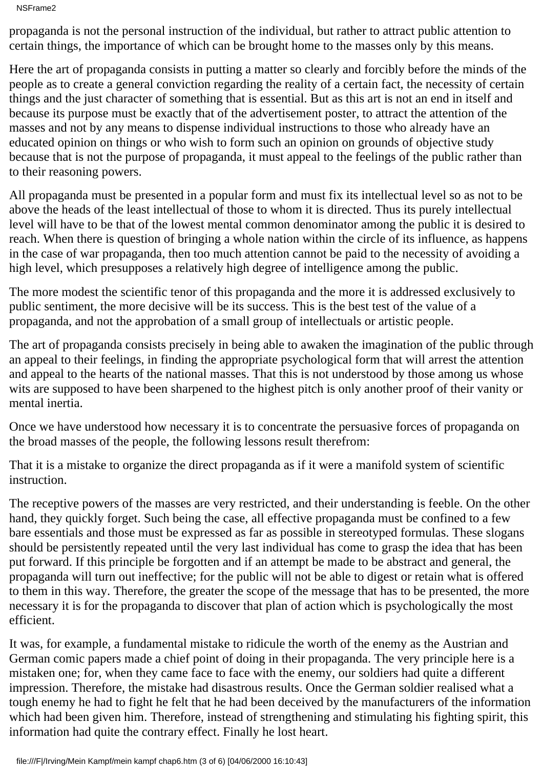NSFrame2

propaganda is not the personal instruction of the individual, but rather to attract public attention to certain things, the importance of which can be brought home to the masses only by this means.

Here the art of propaganda consists in putting a matter so clearly and forcibly before the minds of the people as to create a general conviction regarding the reality of a certain fact, the necessity of certain things and the just character of something that is essential. But as this art is not an end in itself and because its purpose must be exactly that of the advertisement poster, to attract the attention of the masses and not by any means to dispense individual instructions to those who already have an educated opinion on things or who wish to form such an opinion on grounds of objective study because that is not the purpose of propaganda, it must appeal to the feelings of the public rather than to their reasoning powers.

All propaganda must be presented in a popular form and must fix its intellectual level so as not to be above the heads of the least intellectual of those to whom it is directed. Thus its purely intellectual level will have to be that of the lowest mental common denominator among the public it is desired to reach. When there is question of bringing a whole nation within the circle of its influence, as happens in the case of war propaganda, then too much attention cannot be paid to the necessity of avoiding a high level, which presupposes a relatively high degree of intelligence among the public.

The more modest the scientific tenor of this propaganda and the more it is addressed exclusively to public sentiment, the more decisive will be its success. This is the best test of the value of a propaganda, and not the approbation of a small group of intellectuals or artistic people.

The art of propaganda consists precisely in being able to awaken the imagination of the public through an appeal to their feelings, in finding the appropriate psychological form that will arrest the attention and appeal to the hearts of the national masses. That this is not understood by those among us whose wits are supposed to have been sharpened to the highest pitch is only another proof of their vanity or mental inertia.

Once we have understood how necessary it is to concentrate the persuasive forces of propaganda on the broad masses of the people, the following lessons result therefrom:

That it is a mistake to organize the direct propaganda as if it were a manifold system of scientific instruction.

The receptive powers of the masses are very restricted, and their understanding is feeble. On the other hand, they quickly forget. Such being the case, all effective propaganda must be confined to a few bare essentials and those must be expressed as far as possible in stereotyped formulas. These slogans should be persistently repeated until the very last individual has come to grasp the idea that has been put forward. If this principle be forgotten and if an attempt be made to be abstract and general, the propaganda will turn out ineffective; for the public will not be able to digest or retain what is offered to them in this way. Therefore, the greater the scope of the message that has to be presented, the more necessary it is for the propaganda to discover that plan of action which is psychologically the most efficient.

It was, for example, a fundamental mistake to ridicule the worth of the enemy as the Austrian and German comic papers made a chief point of doing in their propaganda. The very principle here is a mistaken one; for, when they came face to face with the enemy, our soldiers had quite a different impression. Therefore, the mistake had disastrous results. Once the German soldier realised what a tough enemy he had to fight he felt that he had been deceived by the manufacturers of the information which had been given him. Therefore, instead of strengthening and stimulating his fighting spirit, this information had quite the contrary effect. Finally he lost heart.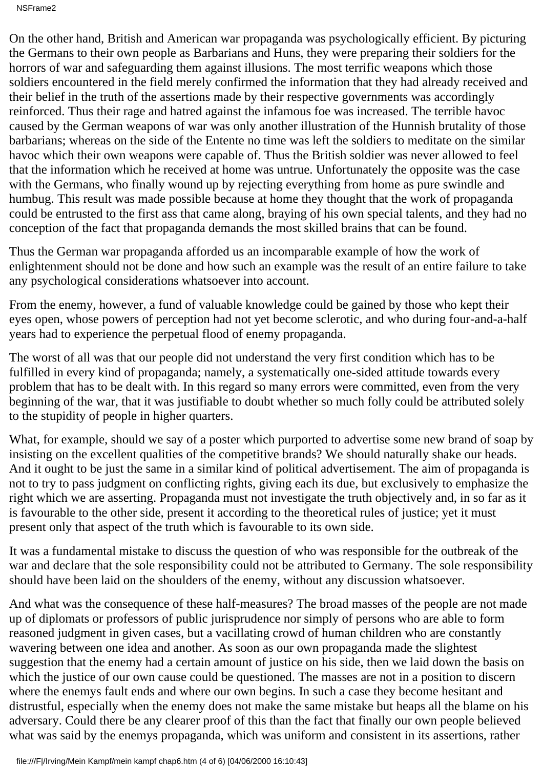On the other hand, British and American war propaganda was psychologically efficient. By picturing the Germans to their own people as Barbarians and Huns, they were preparing their soldiers for the horrors of war and safeguarding them against illusions. The most terrific weapons which those soldiers encountered in the field merely confirmed the information that they had already received and their belief in the truth of the assertions made by their respective governments was accordingly reinforced. Thus their rage and hatred against the infamous foe was increased. The terrible havoc caused by the German weapons of war was only another illustration of the Hunnish brutality of those barbarians; whereas on the side of the Entente no time was left the soldiers to meditate on the similar havoc which their own weapons were capable of. Thus the British soldier was never allowed to feel that the information which he received at home was untrue. Unfortunately the opposite was the case with the Germans, who finally wound up by rejecting everything from home as pure swindle and humbug. This result was made possible because at home they thought that the work of propaganda could be entrusted to the first ass that came along, braying of his own special talents, and they had no conception of the fact that propaganda demands the most skilled brains that can be found.

Thus the German war propaganda afforded us an incomparable example of how the work of enlightenment should not be done and how such an example was the result of an entire failure to take any psychological considerations whatsoever into account.

From the enemy, however, a fund of valuable knowledge could be gained by those who kept their eyes open, whose powers of perception had not yet become sclerotic, and who during four-and-a-half years had to experience the perpetual flood of enemy propaganda.

The worst of all was that our people did not understand the very first condition which has to be fulfilled in every kind of propaganda; namely, a systematically one-sided attitude towards every problem that has to be dealt with. In this regard so many errors were committed, even from the very beginning of the war, that it was justifiable to doubt whether so much folly could be attributed solely to the stupidity of people in higher quarters.

What, for example, should we say of a poster which purported to advertise some new brand of soap by insisting on the excellent qualities of the competitive brands? We should naturally shake our heads. And it ought to be just the same in a similar kind of political advertisement. The aim of propaganda is not to try to pass judgment on conflicting rights, giving each its due, but exclusively to emphasize the right which we are asserting. Propaganda must not investigate the truth objectively and, in so far as it is favourable to the other side, present it according to the theoretical rules of justice; yet it must present only that aspect of the truth which is favourable to its own side.

It was a fundamental mistake to discuss the question of who was responsible for the outbreak of the war and declare that the sole responsibility could not be attributed to Germany. The sole responsibility should have been laid on the shoulders of the enemy, without any discussion whatsoever.

And what was the consequence of these half-measures? The broad masses of the people are not made up of diplomats or professors of public jurisprudence nor simply of persons who are able to form reasoned judgment in given cases, but a vacillating crowd of human children who are constantly wavering between one idea and another. As soon as our own propaganda made the slightest suggestion that the enemy had a certain amount of justice on his side, then we laid down the basis on which the justice of our own cause could be questioned. The masses are not in a position to discern where the enemys fault ends and where our own begins. In such a case they become hesitant and distrustful, especially when the enemy does not make the same mistake but heaps all the blame on his adversary. Could there be any clearer proof of this than the fact that finally our own people believed what was said by the enemy s propaganda, which was uniform and consistent in its assertions, rather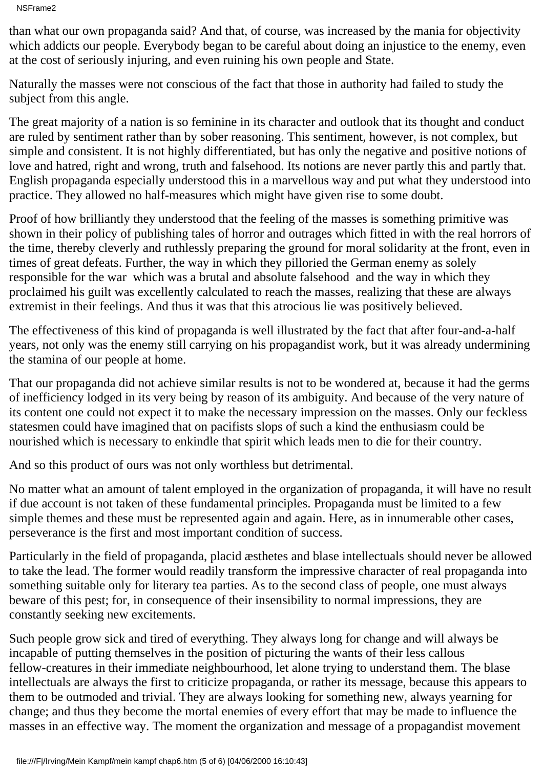NSFrame2

than what our own propaganda said? And that, of course, was increased by the mania for objectivity which addicts our people. Everybody began to be careful about doing an injustice to the enemy, even at the cost of seriously injuring, and even ruining his own people and State.

Naturally the masses were not conscious of the fact that those in authority had failed to study the subject from this angle.

The great majority of a nation is so feminine in its character and outlook that its thought and conduct are ruled by sentiment rather than by sober reasoning. This sentiment, however, is not complex, but simple and consistent. It is not highly differentiated, but has only the negative and positive notions of love and hatred, right and wrong, truth and falsehood. Its notions are never partly this and partly that. English propaganda especially understood this in a marvellous way and put what they understood into practice. They allowed no half-measures which might have given rise to some doubt.

Proof of how brilliantly they understood that the feeling of the masses is something primitive was shown in their policy of publishing tales of horror and outrages which fitted in with the real horrors of the time, thereby cleverly and ruthlessly preparing the ground for moral solidarity at the front, even in times of great defeats. Further, the way in which they pilloried the German enemy as solely responsible for the war which was a brutal and absolute falsehood and the way in which they proclaimed his guilt was excellently calculated to reach the masses, realizing that these are always extremist in their feelings. And thus it was that this atrocious lie was positively believed.

The effectiveness of this kind of propaganda is well illustrated by the fact that after four-and-a-half years, not only was the enemy still carrying on his propagandist work, but it was already undermining the stamina of our people at home.

That our propaganda did not achieve similar results is not to be wondered at, because it had the germs of inefficiency lodged in its very being by reason of its ambiguity. And because of the very nature of its content one could not expect it to make the necessary impression on the masses. Only our feckless statesmen could have imagined that on pacifists slops of such a kind the enthusiasm could be nourished which is necessary to enkindle that spirit which leads men to die for their country.

And so this product of ours was not only worthless but detrimental.

No matter what an amount of talent employed in the organization of propaganda, it will have no result if due account is not taken of these fundamental principles. Propaganda must be limited to a few simple themes and these must be represented again and again. Here, as in innumerable other cases, perseverance is the first and most important condition of success.

Particularly in the field of propaganda, placid æsthetes and blase intellectuals should never be allowed to take the lead. The former would readily transform the impressive character of real propaganda into something suitable only for literary tea parties. As to the second class of people, one must always beware of this pest; for, in consequence of their insensibility to normal impressions, they are constantly seeking new excitements.

Such people grow sick and tired of everything. They always long for change and will always be incapable of putting themselves in the position of picturing the wants of their less callous fellow-creatures in their immediate neighbourhood, let alone trying to understand them. The blase intellectuals are always the first to criticize propaganda, or rather its message, because this appears to them to be outmoded and trivial. They are always looking for something new, always yearning for change; and thus they become the mortal enemies of every effort that may be made to influence the masses in an effective way. The moment the organization and message of a propagandist movement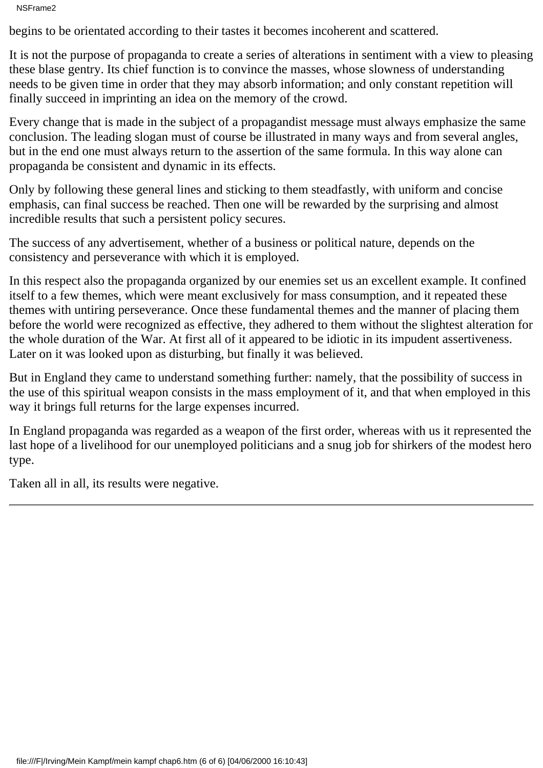NSFrame2

begins to be orientated according to their tastes it becomes incoherent and scattered.

It is not the purpose of propaganda to create a series of alterations in sentiment with a view to pleasing these blase gentry. Its chief function is to convince the masses, whose slowness of understanding needs to be given time in order that they may absorb information; and only constant repetition will finally succeed in imprinting an idea on the memory of the crowd.

Every change that is made in the subject of a propagandist message must always emphasize the same conclusion. The leading slogan must of course be illustrated in many ways and from several angles, but in the end one must always return to the assertion of the same formula. In this way alone can propaganda be consistent and dynamic in its effects.

Only by following these general lines and sticking to them steadfastly, with uniform and concise emphasis, can final success be reached. Then one will be rewarded by the surprising and almost incredible results that such a persistent policy secures.

The success of any advertisement, whether of a business or political nature, depends on the consistency and perseverance with which it is employed.

In this respect also the propaganda organized by our enemies set us an excellent example. It confined itself to a few themes, which were meant exclusively for mass consumption, and it repeated these themes with untiring perseverance. Once these fundamental themes and the manner of placing them before the world were recognized as effective, they adhered to them without the slightest alteration for the whole duration of the War. At first all of it appeared to be idiotic in its impudent assertiveness. Later on it was looked upon as disturbing, but finally it was believed.

But in England they came to understand something further: namely, that the possibility of success in the use of this spiritual weapon consists in the mass employment of it, and that when employed in this way it brings full returns for the large expenses incurred.

In England propaganda was regarded as a weapon of the first order, whereas with us it represented the last hope of a livelihood for our unemployed politicians and a snug job for shirkers of the modest hero type.

Taken all in all, its results were negative.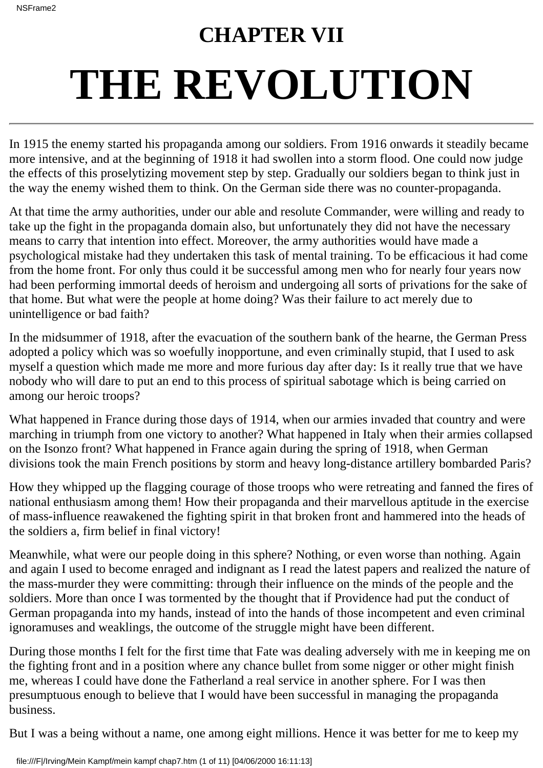## **CHAPTER VII THE REVOLUTION**

In 1915 the enemy started his propaganda among our soldiers. From 1916 onwards it steadily became more intensive, and at the beginning of 1918 it had swollen into a storm flood. One could now judge the effects of this proselytizing movement step by step. Gradually our soldiers began to think just in the way the enemy wished them to think. On the German side there was no counter-propaganda.

At that time the army authorities, under our able and resolute Commander, were willing and ready to take up the fight in the propaganda domain also, but unfortunately they did not have the necessary means to carry that intention into effect. Moreover, the army authorities would have made a psychological mistake had they undertaken this task of mental training. To be efficacious it had come from the home front. For only thus could it be successful among men who for nearly four years now had been performing immortal deeds of heroism and undergoing all sorts of privations for the sake of that home. But what were the people at home doing? Was their failure to act merely due to unintelligence or bad faith?

In the midsummer of 1918, after the evacuation of the southern bank of the hearne, the German Press adopted a policy which was so woefully inopportune, and even criminally stupid, that I used to ask myself a question which made me more and more furious day after day: Is it really true that we have nobody who will dare to put an end to this process of spiritual sabotage which is being carried on among our heroic troops?

What happened in France during those days of 1914, when our armies invaded that country and were marching in triumph from one victory to another? What happened in Italy when their armies collapsed on the Isonzo front? What happened in France again during the spring of 1918, when German divisions took the main French positions by storm and heavy long-distance artillery bombarded Paris?

How they whipped up the flagging courage of those troops who were retreating and fanned the fires of national enthusiasm among them! How their propaganda and their marvellous aptitude in the exercise of mass-influence reawakened the fighting spirit in that broken front and hammered into the heads of the soldiers a, firm belief in final victory!

Meanwhile, what were our people doing in this sphere? Nothing, or even worse than nothing. Again and again I used to become enraged and indignant as I read the latest papers and realized the nature of the mass-murder they were committing: through their influence on the minds of the people and the soldiers. More than once I was tormented by the thought that if Providence had put the conduct of German propaganda into my hands, instead of into the hands of those incompetent and even criminal ignoramuses and weaklings, the outcome of the struggle might have been different.

During those months I felt for the first time that Fate was dealing adversely with me in keeping me on the fighting front and in a position where any chance bullet from some nigger or other might finish me, whereas I could have done the Fatherland a real service in another sphere. For I was then presumptuous enough to believe that I would have been successful in managing the propaganda business.

But I was a being without a name, one among eight millions. Hence it was better for me to keep my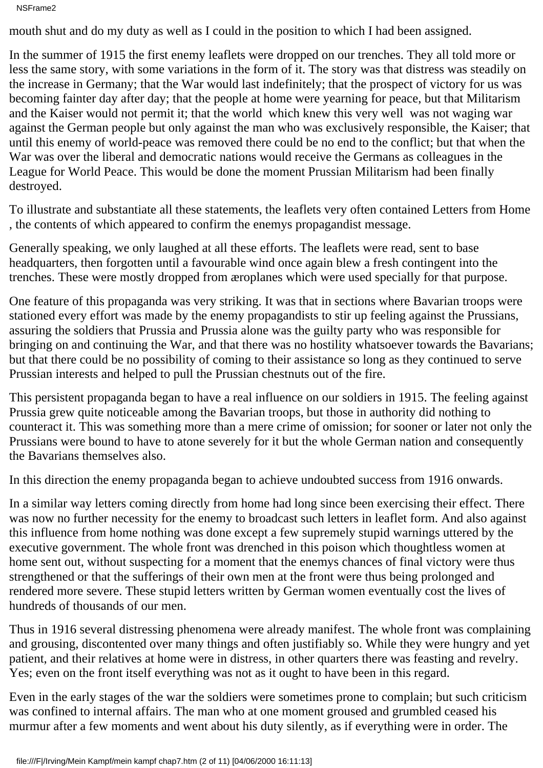NSFrame2

mouth shut and do my duty as well as I could in the position to which I had been assigned.

In the summer of 1915 the first enemy leaflets were dropped on our trenches. They all told more or less the same story, with some variations in the form of it. The story was that distress was steadily on the increase in Germany; that the War would last indefinitely; that the prospect of victory for us was becoming fainter day after day; that the people at home were yearning for peace, but that Militarism and the Kaiser would not permit it; that the world which knew this very well was not waging war against the German people but only against the man who was exclusively responsible, the Kaiser; that until this enemy of world-peace was removed there could be no end to the conflict; but that when the War was over the liberal and democratic nations would receive the Germans as colleagues in the League for World Peace. This would be done the moment Prussian Militarism had been finally destroyed.

To illustrate and substantiate all these statements, the leaflets very often contained Letters from Home , the contents of which appeared to confirm the enemys propagandist message.

Generally speaking, we only laughed at all these efforts. The leaflets were read, sent to base headquarters, then forgotten until a favourable wind once again blew a fresh contingent into the trenches. These were mostly dropped from æroplanes which were used specially for that purpose.

One feature of this propaganda was very striking. It was that in sections where Bavarian troops were stationed every effort was made by the enemy propagandists to stir up feeling against the Prussians, assuring the soldiers that Prussia and Prussia alone was the guilty party who was responsible for bringing on and continuing the War, and that there was no hostility whatsoever towards the Bavarians; but that there could be no possibility of coming to their assistance so long as they continued to serve Prussian interests and helped to pull the Prussian chestnuts out of the fire.

This persistent propaganda began to have a real influence on our soldiers in 1915. The feeling against Prussia grew quite noticeable among the Bavarian troops, but those in authority did nothing to counteract it. This was something more than a mere crime of omission; for sooner or later not only the Prussians were bound to have to atone severely for it but the whole German nation and consequently the Bavarians themselves also.

In this direction the enemy propaganda began to achieve undoubted success from 1916 onwards.

In a similar way letters coming directly from home had long since been exercising their effect. There was now no further necessity for the enemy to broadcast such letters in leaflet form. And also against this influence from home nothing was done except a few supremely stupid warnings uttered by the executive government. The whole front was drenched in this poison which thoughtless women at home sent out, without suspecting for a moment that the enemys chances of final victory were thus strengthened or that the sufferings of their own men at the front were thus being prolonged and rendered more severe. These stupid letters written by German women eventually cost the lives of hundreds of thousands of our men.

Thus in 1916 several distressing phenomena were already manifest. The whole front was complaining and grousing, discontented over many things and often justifiably so. While they were hungry and yet patient, and their relatives at home were in distress, in other quarters there was feasting and revelry. Yes; even on the front itself everything was not as it ought to have been in this regard.

Even in the early stages of the war the soldiers were sometimes prone to complain; but such criticism was confined to internal affairs. The man who at one moment groused and grumbled ceased his murmur after a few moments and went about his duty silently, as if everything were in order. The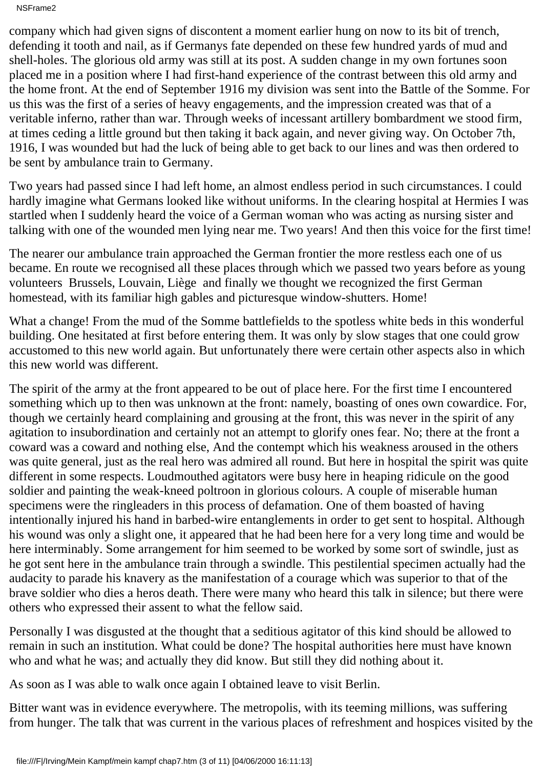company which had given signs of discontent a moment earlier hung on now to its bit of trench, defending it tooth and nail, as if Germanys fate depended on these few hundred yards of mud and shell-holes. The glorious old army was still at its post. A sudden change in my own fortunes soon placed me in a position where I had first-hand experience of the contrast between this old army and the home front. At the end of September 1916 my division was sent into the Battle of the Somme. For us this was the first of a series of heavy engagements, and the impression created was that of a veritable inferno, rather than war. Through weeks of incessant artillery bombardment we stood firm, at times ceding a little ground but then taking it back again, and never giving way. On October 7th, 1916, I was wounded but had the luck of being able to get back to our lines and was then ordered to be sent by ambulance train to Germany.

Two years had passed since I had left home, an almost endless period in such circumstances. I could hardly imagine what Germans looked like without uniforms. In the clearing hospital at Hermies I was startled when I suddenly heard the voice of a German woman who was acting as nursing sister and talking with one of the wounded men lying near me. Two years! And then this voice for the first time!

The nearer our ambulance train approached the German frontier the more restless each one of us became. En route we recognised all these places through which we passed two years before as young volunteers Brussels, Louvain, Liège and finally we thought we recognized the first German homestead, with its familiar high gables and picturesque window-shutters. Home!

What a change! From the mud of the Somme battlefields to the spotless white beds in this wonderful building. One hesitated at first before entering them. It was only by slow stages that one could grow accustomed to this new world again. But unfortunately there were certain other aspects also in which this new world was different.

The spirit of the army at the front appeared to be out of place here. For the first time I encountered something which up to then was unknown at the front: namely, boasting of ones own cowardice. For, though we certainly heard complaining and grousing at the front, this was never in the spirit of any agitation to insubordination and certainly not an attempt to glorify ones fear. No; there at the front a coward was a coward and nothing else, And the contempt which his weakness aroused in the others was quite general, just as the real hero was admired all round. But here in hospital the spirit was quite different in some respects. Loudmouthed agitators were busy here in heaping ridicule on the good soldier and painting the weak-kneed poltroon in glorious colours. A couple of miserable human specimens were the ringleaders in this process of defamation. One of them boasted of having intentionally injured his hand in barbed-wire entanglements in order to get sent to hospital. Although his wound was only a slight one, it appeared that he had been here for a very long time and would be here interminably. Some arrangement for him seemed to be worked by some sort of swindle, just as he got sent here in the ambulance train through a swindle. This pestilential specimen actually had the audacity to parade his knavery as the manifestation of a courage which was superior to that of the brave soldier who dies a hero s death. There were many who heard this talk in silence; but there were others who expressed their assent to what the fellow said.

Personally I was disgusted at the thought that a seditious agitator of this kind should be allowed to remain in such an institution. What could be done? The hospital authorities here must have known who and what he was; and actually they did know. But still they did nothing about it.

As soon as I was able to walk once again I obtained leave to visit Berlin.

Bitter want was in evidence everywhere. The metropolis, with its teeming millions, was suffering from hunger. The talk that was current in the various places of refreshment and hospices visited by the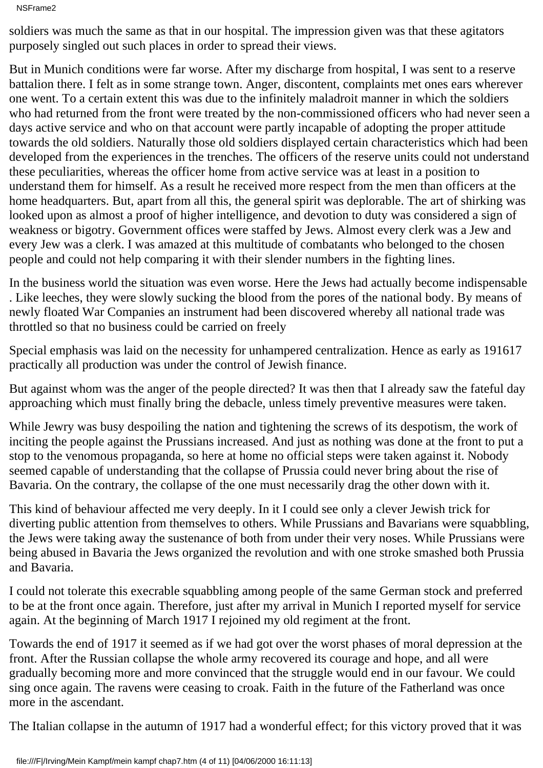NSFrame2

soldiers was much the same as that in our hospital. The impression given was that these agitators purposely singled out such places in order to spread their views.

But in Munich conditions were far worse. After my discharge from hospital, I was sent to a reserve battalion there. I felt as in some strange town. Anger, discontent, complaints met ones ears wherever one went. To a certain extent this was due to the infinitely maladroit manner in which the soldiers who had returned from the front were treated by the non-commissioned officers who had never seen a days active service and who on that account were partly incapable of adopting the proper attitude towards the old soldiers. Naturally those old soldiers displayed certain characteristics which had been developed from the experiences in the trenches. The officers of the reserve units could not understand these peculiarities, whereas the officer home from active service was at least in a position to understand them for himself. As a result he received more respect from the men than officers at the home headquarters. But, apart from all this, the general spirit was deplorable. The art of shirking was looked upon as almost a proof of higher intelligence, and devotion to duty was considered a sign of weakness or bigotry. Government offices were staffed by Jews. Almost every clerk was a Jew and every Jew was a clerk. I was amazed at this multitude of combatants who belonged to the chosen people and could not help comparing it with their slender numbers in the fighting lines.

In the business world the situation was even worse. Here the Jews had actually become indispensable . Like leeches, they were slowly sucking the blood from the pores of the national body. By means of newly floated War Companies an instrument had been discovered whereby all national trade was throttled so that no business could be carried on freely

Special emphasis was laid on the necessity for unhampered centralization. Hence as early as 191617 practically all production was under the control of Jewish finance.

But against whom was the anger of the people directed? It was then that I already saw the fateful day approaching which must finally bring the debacle, unless timely preventive measures were taken.

While Jewry was busy despoiling the nation and tightening the screws of its despotism, the work of inciting the people against the Prussians increased. And just as nothing was done at the front to put a stop to the venomous propaganda, so here at home no official steps were taken against it. Nobody seemed capable of understanding that the collapse of Prussia could never bring about the rise of Bavaria. On the contrary, the collapse of the one must necessarily drag the other down with it.

This kind of behaviour affected me very deeply. In it I could see only a clever Jewish trick for diverting public attention from themselves to others. While Prussians and Bavarians were squabbling, the Jews were taking away the sustenance of both from under their very noses. While Prussians were being abused in Bavaria the Jews organized the revolution and with one stroke smashed both Prussia and Bavaria.

I could not tolerate this execrable squabbling among people of the same German stock and preferred to be at the front once again. Therefore, just after my arrival in Munich I reported myself for service again. At the beginning of March 1917 I rejoined my old regiment at the front.

Towards the end of 1917 it seemed as if we had got over the worst phases of moral depression at the front. After the Russian collapse the whole army recovered its courage and hope, and all were gradually becoming more and more convinced that the struggle would end in our favour. We could sing once again. The ravens were ceasing to croak. Faith in the future of the Fatherland was once more in the ascendant.

The Italian collapse in the autumn of 1917 had a wonderful effect; for this victory proved that it was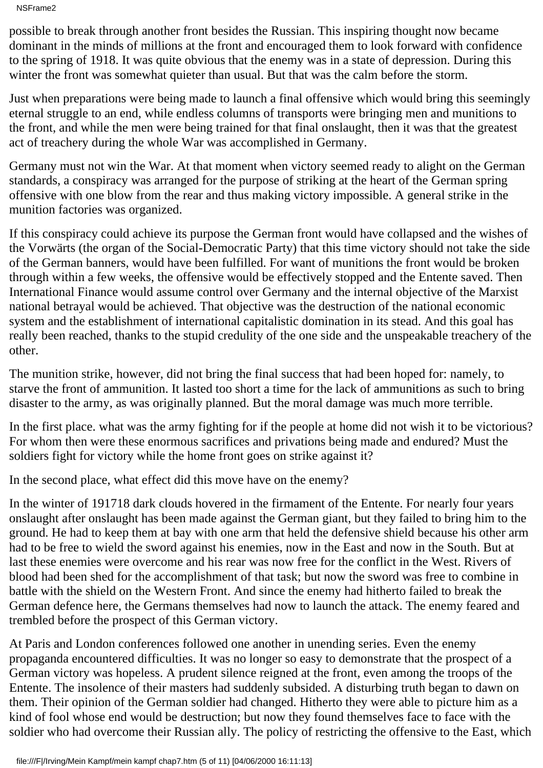NSFrame2

possible to break through another front besides the Russian. This inspiring thought now became dominant in the minds of millions at the front and encouraged them to look forward with confidence to the spring of 1918. It was quite obvious that the enemy was in a state of depression. During this winter the front was somewhat quieter than usual. But that was the calm before the storm.

Just when preparations were being made to launch a final offensive which would bring this seemingly eternal struggle to an end, while endless columns of transports were bringing men and munitions to the front, and while the men were being trained for that final onslaught, then it was that the greatest act of treachery during the whole War was accomplished in Germany.

Germany must not win the War. At that moment when victory seemed ready to alight on the German standards, a conspiracy was arranged for the purpose of striking at the heart of the German spring offensive with one blow from the rear and thus making victory impossible. A general strike in the munition factories was organized.

If this conspiracy could achieve its purpose the German front would have collapsed and the wishes of the Vorwärts (the organ of the Social-Democratic Party) that this time victory should not take the side of the German banners, would have been fulfilled. For want of munitions the front would be broken through within a few weeks, the offensive would be effectively stopped and the Entente saved. Then International Finance would assume control over Germany and the internal objective of the Marxist national betrayal would be achieved. That objective was the destruction of the national economic system and the establishment of international capitalistic domination in its stead. And this goal has really been reached, thanks to the stupid credulity of the one side and the unspeakable treachery of the other.

The munition strike, however, did not bring the final success that had been hoped for: namely, to starve the front of ammunition. It lasted too short a time for the lack of ammunitions as such to bring disaster to the army, as was originally planned. But the moral damage was much more terrible.

In the first place. what was the army fighting for if the people at home did not wish it to be victorious? For whom then were these enormous sacrifices and privations being made and endured? Must the soldiers fight for victory while the home front goes on strike against it?

In the second place, what effect did this move have on the enemy?

In the winter of 191718 dark clouds hovered in the firmament of the Entente. For nearly four years onslaught after onslaught has been made against the German giant, but they failed to bring him to the ground. He had to keep them at bay with one arm that held the defensive shield because his other arm had to be free to wield the sword against his enemies, now in the East and now in the South. But at last these enemies were overcome and his rear was now free for the conflict in the West. Rivers of blood had been shed for the accomplishment of that task; but now the sword was free to combine in battle with the shield on the Western Front. And since the enemy had hitherto failed to break the German defence here, the Germans themselves had now to launch the attack. The enemy feared and trembled before the prospect of this German victory.

At Paris and London conferences followed one another in unending series. Even the enemy propaganda encountered difficulties. It was no longer so easy to demonstrate that the prospect of a German victory was hopeless. A prudent silence reigned at the front, even among the troops of the Entente. The insolence of their masters had suddenly subsided. A disturbing truth began to dawn on them. Their opinion of the German soldier had changed. Hitherto they were able to picture him as a kind of fool whose end would be destruction; but now they found themselves face to face with the soldier who had overcome their Russian ally. The policy of restricting the offensive to the East, which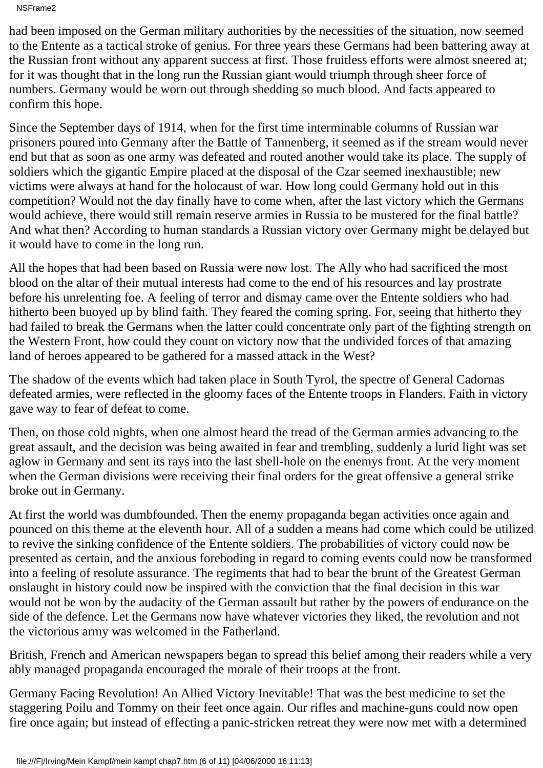NSFrame2

had been imposed on the German military authorities by the necessities of the situation, now seemed to the Entente as a tactical stroke of genius. For three years these Germans had been battering away at the Russian front without any apparent success at first. Those fruitless efforts were almost sneered at; for it was thought that in the long run the Russian giant would triumph through sheer force of numbers. Germany would be worn out through shedding so much blood. And facts appeared to confirm this hope.

Since the September days of 1914, when for the first time interminable columns of Russian war prisoners poured into Germany after the Battle of Tannenberg, it seemed as if the stream would never end but that as soon as one army was defeated and routed another would take its place. The supply of soldiers which the gigantic Empire placed at the disposal of the Czar seemed inexhaustible; new victims were always at hand for the holocaust of war. How long could Germany hold out in this competition? Would not the day finally have to come when, after the last victory which the Germans would achieve, there would still remain reserve armies in Russia to be mustered for the final battle? And what then? According to human standards a Russian victory over Germany might be delayed but it would have to come in the long run.

All the hopes that had been based on Russia were now lost. The Ally who had sacrificed the most blood on the altar of their mutual interests had come to the end of his resources and lay prostrate before his unrelenting foe. A feeling of terror and dismay came over the Entente soldiers who had hitherto been buoyed up by blind faith. They feared the coming spring. For, seeing that hitherto they had failed to break the Germans when the latter could concentrate only part of the fighting strength on the Western Front, how could they count on victory now that the undivided forces of that amazing land of heroes appeared to be gathered for a massed attack in the West?

The shadow of the events which had taken place in South Tyrol, the spectre of General Cadorna s defeated armies, were reflected in the gloomy faces of the Entente troops in Flanders. Faith in victory gave way to fear of defeat to come.

Then, on those cold nights, when one almost heard the tread of the German armies advancing to the great assault, and the decision was being awaited in fear and trembling, suddenly a lurid light was set aglow in Germany and sent its rays into the last shell-hole on the enemys front. At the very moment when the German divisions were receiving their final orders for the great offensive a general strike broke out in Germany.

At first the world was dumbfounded. Then the enemy propaganda began activities once again and pounced on this theme at the eleventh hour. All of a sudden a means had come which could be utilized to revive the sinking confidence of the Entente soldiers. The probabilities of victory could now be presented as certain, and the anxious foreboding in regard to coming events could now be transformed into a feeling of resolute assurance. The regiments that had to bear the brunt of the Greatest German onslaught in history could now be inspired with the conviction that the final decision in this war would not be won by the audacity of the German assault but rather by the powers of endurance on the side of the defence. Let the Germans now have whatever victories they liked, the revolution and not the victorious army was welcomed in the Fatherland.

British, French and American newspapers began to spread this belief among their readers while a very ably managed propaganda encouraged the morale of their troops at the front.

Germany Facing Revolution! An Allied Victory Inevitable! That was the best medicine to set the staggering Poilu and Tommy on their feet once again. Our rifles and machine-guns could now open fire once again; but instead of effecting a panic-stricken retreat they were now met with a determined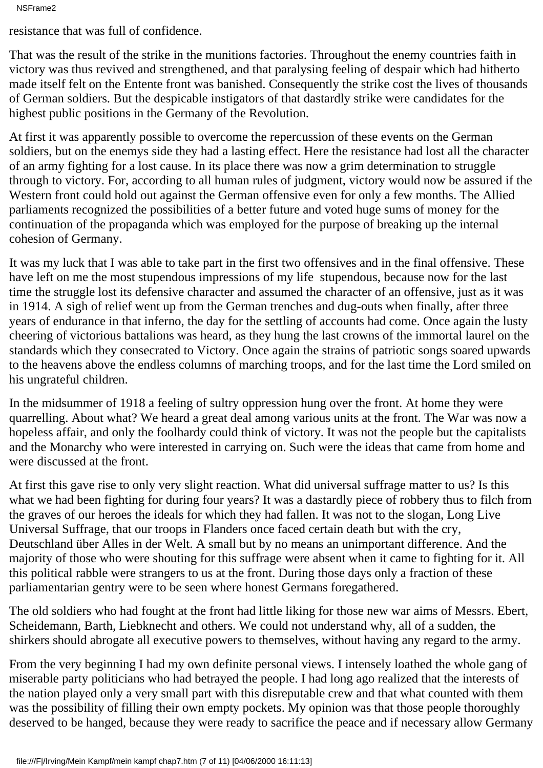NSFrame2

resistance that was full of confidence.

That was the result of the strike in the munitions factories. Throughout the enemy countries faith in victory was thus revived and strengthened, and that paralysing feeling of despair which had hitherto made itself felt on the Entente front was banished. Consequently the strike cost the lives of thousands of German soldiers. But the despicable instigators of that dastardly strike were candidates for the highest public positions in the Germany of the Revolution.

At first it was apparently possible to overcome the repercussion of these events on the German soldiers, but on the enemy s side they had a lasting effect. Here the resistance had lost all the character of an army fighting for a lost cause. In its place there was now a grim determination to struggle through to victory. For, according to all human rules of judgment, victory would now be assured if the Western front could hold out against the German offensive even for only a few months. The Allied parliaments recognized the possibilities of a better future and voted huge sums of money for the continuation of the propaganda which was employed for the purpose of breaking up the internal cohesion of Germany.

It was my luck that I was able to take part in the first two offensives and in the final offensive. These have left on me the most stupendous impressions of my life stupendous, because now for the last time the struggle lost its defensive character and assumed the character of an offensive, just as it was in 1914. A sigh of relief went up from the German trenches and dug-outs when finally, after three years of endurance in that inferno, the day for the settling of accounts had come. Once again the lusty cheering of victorious battalions was heard, as they hung the last crowns of the immortal laurel on the standards which they consecrated to Victory. Once again the strains of patriotic songs soared upwards to the heavens above the endless columns of marching troops, and for the last time the Lord smiled on his ungrateful children.

In the midsummer of 1918 a feeling of sultry oppression hung over the front. At home they were quarrelling. About what? We heard a great deal among various units at the front. The War was now a hopeless affair, and only the foolhardy could think of victory. It was not the people but the capitalists and the Monarchy who were interested in carrying on. Such were the ideas that came from home and were discussed at the front.

At first this gave rise to only very slight reaction. What did universal suffrage matter to us? Is this what we had been fighting for during four years? It was a dastardly piece of robbery thus to filch from the graves of our heroes the ideals for which they had fallen. It was not to the slogan, Long Live Universal Suffrage, that our troops in Flanders once faced certain death but with the cry, Deutschland über Alles in der Welt. A small but by no means an unimportant difference. And the majority of those who were shouting for this suffrage were absent when it came to fighting for it. All this political rabble were strangers to us at the front. During those days only a fraction of these parliamentarian gentry were to be seen where honest Germans foregathered.

The old soldiers who had fought at the front had little liking for those new war aims of Messrs. Ebert, Scheidemann, Barth, Liebknecht and others. We could not understand why, all of a sudden, the shirkers should abrogate all executive powers to themselves, without having any regard to the army.

From the very beginning I had my own definite personal views. I intensely loathed the whole gang of miserable party politicians who had betrayed the people. I had long ago realized that the interests of the nation played only a very small part with this disreputable crew and that what counted with them was the possibility of filling their own empty pockets. My opinion was that those people thoroughly deserved to be hanged, because they were ready to sacrifice the peace and if necessary allow Germany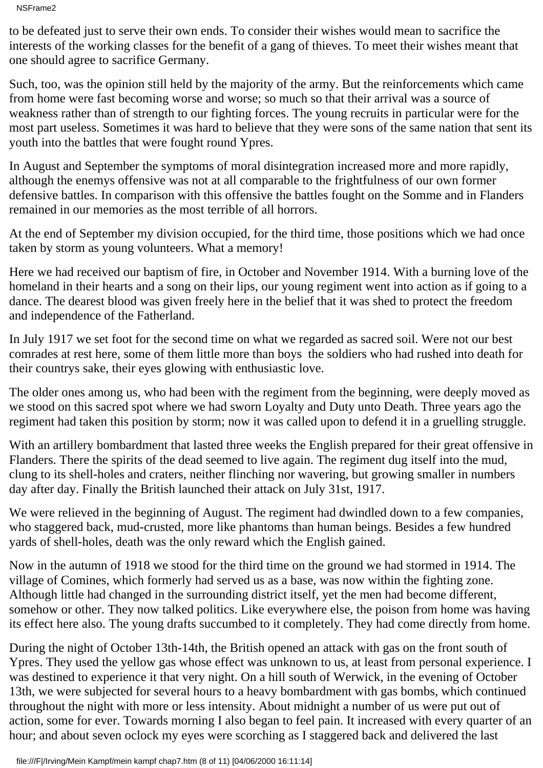to be defeated just to serve their own ends. To consider their wishes would mean to sacrifice the interests of the working classes for the benefit of a gang of thieves. To meet their wishes meant that one should agree to sacrifice Germany.

Such, too, was the opinion still held by the majority of the army. But the reinforcements which came from home were fast becoming worse and worse; so much so that their arrival was a source of weakness rather than of strength to our fighting forces. The young recruits in particular were for the most part useless. Sometimes it was hard to believe that they were sons of the same nation that sent its youth into the battles that were fought round Ypres.

In August and September the symptoms of moral disintegration increased more and more rapidly, although the enemys offensive was not at all comparable to the frightfulness of our own former defensive battles. In comparison with this offensive the battles fought on the Somme and in Flanders remained in our memories as the most terrible of all horrors.

At the end of September my division occupied, for the third time, those positions which we had once taken by storm as young volunteers. What a memory!

Here we had received our baptism of fire, in October and November 1914. With a burning love of the homeland in their hearts and a song on their lips, our young regiment went into action as if going to a dance. The dearest blood was given freely here in the belief that it was shed to protect the freedom and independence of the Fatherland.

In July 1917 we set foot for the second time on what we regarded as sacred soil. Were not our best comrades at rest here, some of them little more than boys the soldiers who had rushed into death for their countrys sake, their eyes glowing with enthusiastic love.

The older ones among us, who had been with the regiment from the beginning, were deeply moved as we stood on this sacred spot where we had sworn Loyalty and Duty unto Death. Three years ago the regiment had taken this position by storm; now it was called upon to defend it in a gruelling struggle.

With an artillery bombardment that lasted three weeks the English prepared for their great offensive in Flanders. There the spirits of the dead seemed to live again. The regiment dug itself into the mud, clung to its shell-holes and craters, neither flinching nor wavering, but growing smaller in numbers day after day. Finally the British launched their attack on July 31st, 1917.

We were relieved in the beginning of August. The regiment had dwindled down to a few companies, who staggered back, mud-crusted, more like phantoms than human beings. Besides a few hundred yards of shell-holes, death was the only reward which the English gained.

Now in the autumn of 1918 we stood for the third time on the ground we had stormed in 1914. The village of Comines, which formerly had served us as a base, was now within the fighting zone. Although little had changed in the surrounding district itself, yet the men had become different, somehow or other. They now talked politics. Like everywhere else, the poison from home was having its effect here also. The young drafts succumbed to it completely. They had come directly from home.

During the night of October 13th-14th, the British opened an attack with gas on the front south of Ypres. They used the yellow gas whose effect was unknown to us, at least from personal experience. I was destined to experience it that very night. On a hill south of Werwick, in the evening of October 13th, we were subjected for several hours to a heavy bombardment with gas bombs, which continued throughout the night with more or less intensity. About midnight a number of us were put out of action, some for ever. Towards morning I also began to feel pain. It increased with every quarter of an hour; and about seven o clock my eyes were scorching as I staggered back and delivered the last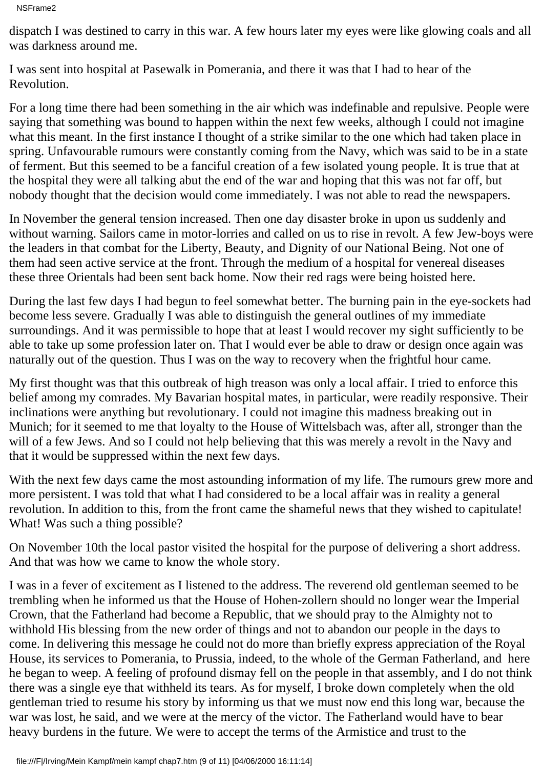dispatch I was destined to carry in this war. A few hours later my eyes were like glowing coals and all was darkness around me.

I was sent into hospital at Pasewalk in Pomerania, and there it was that I had to hear of the Revolution.

For a long time there had been something in the air which was indefinable and repulsive. People were saying that something was bound to happen within the next few weeks, although I could not imagine what this meant. In the first instance I thought of a strike similar to the one which had taken place in spring. Unfavourable rumours were constantly coming from the Navy, which was said to be in a state of ferment. But this seemed to be a fanciful creation of a few isolated young people. It is true that at the hospital they were all talking abut the end of the war and hoping that this was not far off, but nobody thought that the decision would come immediately. I was not able to read the newspapers.

In November the general tension increased. Then one day disaster broke in upon us suddenly and without warning. Sailors came in motor-lorries and called on us to rise in revolt. A few Jew-boys were the leaders in that combat for the Liberty, Beauty, and Dignity of our National Being. Not one of them had seen active service at the front. Through the medium of a hospital for venereal diseases these three Orientals had been sent back home. Now their red rags were being hoisted here.

During the last few days I had begun to feel somewhat better. The burning pain in the eye-sockets had become less severe. Gradually I was able to distinguish the general outlines of my immediate surroundings. And it was permissible to hope that at least I would recover my sight sufficiently to be able to take up some profession later on. That I would ever be able to draw or design once again was naturally out of the question. Thus I was on the way to recovery when the frightful hour came.

My first thought was that this outbreak of high treason was only a local affair. I tried to enforce this belief among my comrades. My Bavarian hospital mates, in particular, were readily responsive. Their inclinations were anything but revolutionary. I could not imagine this madness breaking out in Munich; for it seemed to me that loyalty to the House of Wittelsbach was, after all, stronger than the will of a few Jews. And so I could not help believing that this was merely a revolt in the Navy and that it would be suppressed within the next few days.

With the next few days came the most astounding information of my life. The rumours grew more and more persistent. I was told that what I had considered to be a local affair was in reality a general revolution. In addition to this, from the front came the shameful news that they wished to capitulate! What! Was such a thing possible?

On November 10th the local pastor visited the hospital for the purpose of delivering a short address. And that was how we came to know the whole story.

I was in a fever of excitement as I listened to the address. The reverend old gentleman seemed to be trembling when he informed us that the House of Hohen-zollern should no longer wear the Imperial Crown, that the Fatherland had become a Republic, that we should pray to the Almighty not to withhold His blessing from the new order of things and not to abandon our people in the days to come. In delivering this message he could not do more than briefly express appreciation of the Royal House, its services to Pomerania, to Prussia, indeed, to the whole of the German Fatherland, and here he began to weep. A feeling of profound dismay fell on the people in that assembly, and I do not think there was a single eye that withheld its tears. As for myself, I broke down completely when the old gentleman tried to resume his story by informing us that we must now end this long war, because the war was lost, he said, and we were at the mercy of the victor. The Fatherland would have to bear heavy burdens in the future. We were to accept the terms of the Armistice and trust to the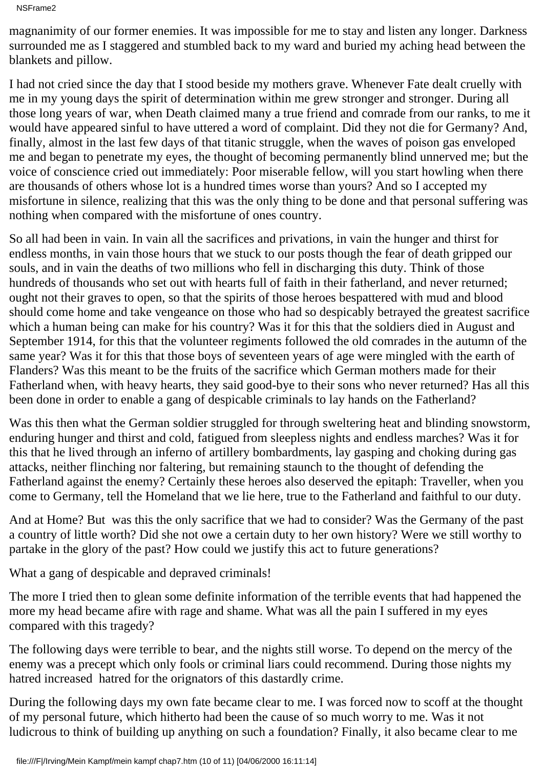NSFrame2

magnanimity of our former enemies. It was impossible for me to stay and listen any longer. Darkness surrounded me as I staggered and stumbled back to my ward and buried my aching head between the blankets and pillow.

I had not cried since the day that I stood beside my mother s grave. Whenever Fate dealt cruelly with me in my young days the spirit of determination within me grew stronger and stronger. During all those long years of war, when Death claimed many a true friend and comrade from our ranks, to me it would have appeared sinful to have uttered a word of complaint. Did they not die for Germany? And, finally, almost in the last few days of that titanic struggle, when the waves of poison gas enveloped me and began to penetrate my eyes, the thought of becoming permanently blind unnerved me; but the voice of conscience cried out immediately: Poor miserable fellow, will you start howling when there are thousands of others whose lot is a hundred times worse than yours? And so I accepted my misfortune in silence, realizing that this was the only thing to be done and that personal suffering was nothing when compared with the misfortune of ones country.

So all had been in vain. In vain all the sacrifices and privations, in vain the hunger and thirst for endless months, in vain those hours that we stuck to our posts though the fear of death gripped our souls, and in vain the deaths of two millions who fell in discharging this duty. Think of those hundreds of thousands who set out with hearts full of faith in their fatherland, and never returned; ought not their graves to open, so that the spirits of those heroes bespattered with mud and blood should come home and take vengeance on those who had so despicably betrayed the greatest sacrifice which a human being can make for his country? Was it for this that the soldiers died in August and September 1914, for this that the volunteer regiments followed the old comrades in the autumn of the same year? Was it for this that those boys of seventeen years of age were mingled with the earth of Flanders? Was this meant to be the fruits of the sacrifice which German mothers made for their Fatherland when, with heavy hearts, they said good-bye to their sons who never returned? Has all this been done in order to enable a gang of despicable criminals to lay hands on the Fatherland?

Was this then what the German soldier struggled for through sweltering heat and blinding snowstorm, enduring hunger and thirst and cold, fatigued from sleepless nights and endless marches? Was it for this that he lived through an inferno of artillery bombardments, lay gasping and choking during gas attacks, neither flinching nor faltering, but remaining staunch to the thought of defending the Fatherland against the enemy? Certainly these heroes also deserved the epitaph: Traveller, when you come to Germany, tell the Homeland that we lie here, true to the Fatherland and faithful to our duty.

And at Home? But was this the only sacrifice that we had to consider? Was the Germany of the past a country of little worth? Did she not owe a certain duty to her own history? Were we still worthy to partake in the glory of the past? How could we justify this act to future generations?

What a gang of despicable and depraved criminals!

The more I tried then to glean some definite information of the terrible events that had happened the more my head became afire with rage and shame. What was all the pain I suffered in my eyes compared with this tragedy?

The following days were terrible to bear, and the nights still worse. To depend on the mercy of the enemy was a precept which only fools or criminal liars could recommend. During those nights my hatred increased hatred for the orignators of this dastardly crime.

During the following days my own fate became clear to me. I was forced now to scoff at the thought of my personal future, which hitherto had been the cause of so much worry to me. Was it not ludicrous to think of building up anything on such a foundation? Finally, it also became clear to me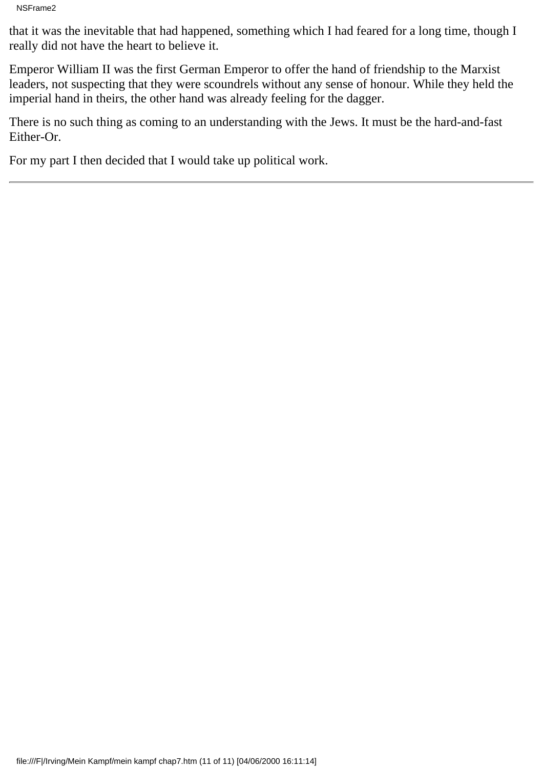that it was the inevitable that had happened, something which I had feared for a long time, though I really did not have the heart to believe it.

Emperor William II was the first German Emperor to offer the hand of friendship to the Marxist leaders, not suspecting that they were scoundrels without any sense of honour. While they held the imperial hand in theirs, the other hand was already feeling for the dagger.

There is no such thing as coming to an understanding with the Jews. It must be the hard-and-fast Either-Or.

For my part I then decided that I would take up political work.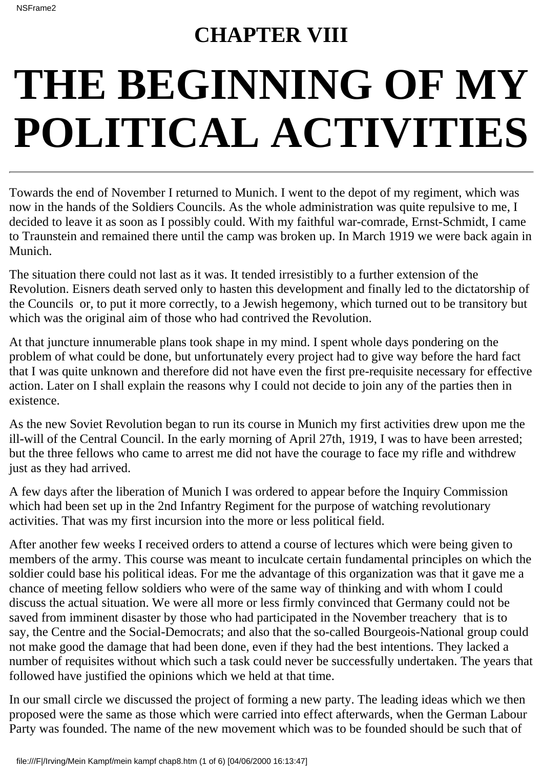#### **CHAPTER VIII**

# **THE BEGINNING OF MY POLITICAL ACTIVITIES**

Towards the end of November I returned to Munich. I went to the depot of my regiment, which was now in the hands of the Soldiers Councils. As the whole administration was quite repulsive to me, I decided to leave it as soon as I possibly could. With my faithful war-comrade, Ernst-Schmidt, I came to Traunstein and remained there until the camp was broken up. In March 1919 we were back again in Munich.

The situation there could not last as it was. It tended irresistibly to a further extension of the Revolution. Eisner s death served only to hasten this development and finally led to the dictatorship of the Councils or, to put it more correctly, to a Jewish hegemony, which turned out to be transitory but which was the original aim of those who had contrived the Revolution.

At that juncture innumerable plans took shape in my mind. I spent whole days pondering on the problem of what could be done, but unfortunately every project had to give way before the hard fact that I was quite unknown and therefore did not have even the first pre-requisite necessary for effective action. Later on I shall explain the reasons why I could not decide to join any of the parties then in existence.

As the new Soviet Revolution began to run its course in Munich my first activities drew upon me the ill-will of the Central Council. In the early morning of April 27th, 1919, I was to have been arrested; but the three fellows who came to arrest me did not have the courage to face my rifle and withdrew just as they had arrived.

A few days after the liberation of Munich I was ordered to appear before the Inquiry Commission which had been set up in the 2nd Infantry Regiment for the purpose of watching revolutionary activities. That was my first incursion into the more or less political field.

After another few weeks I received orders to attend a course of lectures which were being given to members of the army. This course was meant to inculcate certain fundamental principles on which the soldier could base his political ideas. For me the advantage of this organization was that it gave me a chance of meeting fellow soldiers who were of the same way of thinking and with whom I could discuss the actual situation. We were all more or less firmly convinced that Germany could not be saved from imminent disaster by those who had participated in the November treachery that is to say, the Centre and the Social-Democrats; and also that the so-called Bourgeois-National group could not make good the damage that had been done, even if they had the best intentions. They lacked a number of requisites without which such a task could never be successfully undertaken. The years that followed have justified the opinions which we held at that time.

In our small circle we discussed the project of forming a new party. The leading ideas which we then proposed were the same as those which were carried into effect afterwards, when the German Labour Party was founded. The name of the new movement which was to be founded should be such that of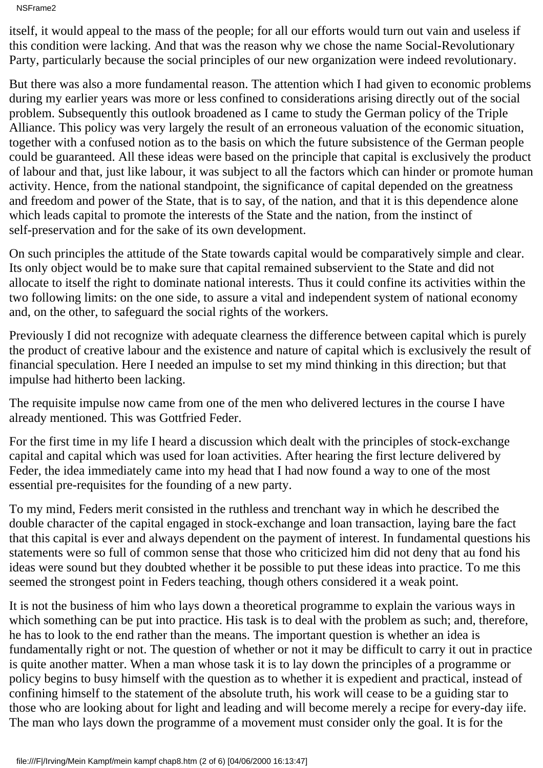NSFrame2

itself, it would appeal to the mass of the people; for all our efforts would turn out vain and useless if this condition were lacking. And that was the reason why we chose the name Social-Revolutionary Party, particularly because the social principles of our new organization were indeed revolutionary.

But there was also a more fundamental reason. The attention which I had given to economic problems during my earlier years was more or less confined to considerations arising directly out of the social problem. Subsequently this outlook broadened as I came to study the German policy of the Triple Alliance. This policy was very largely the result of an erroneous valuation of the economic situation, together with a confused notion as to the basis on which the future subsistence of the German people could be guaranteed. All these ideas were based on the principle that capital is exclusively the product of labour and that, just like labour, it was subject to all the factors which can hinder or promote human activity. Hence, from the national standpoint, the significance of capital depended on the greatness and freedom and power of the State, that is to say, of the nation, and that it is this dependence alone which leads capital to promote the interests of the State and the nation, from the instinct of self-preservation and for the sake of its own development.

On such principles the attitude of the State towards capital would be comparatively simple and clear. Its only object would be to make sure that capital remained subservient to the State and did not allocate to itself the right to dominate national interests. Thus it could confine its activities within the two following limits: on the one side, to assure a vital and independent system of national economy and, on the other, to safeguard the social rights of the workers.

Previously I did not recognize with adequate clearness the difference between capital which is purely the product of creative labour and the existence and nature of capital which is exclusively the result of financial speculation. Here I needed an impulse to set my mind thinking in this direction; but that impulse had hitherto been lacking.

The requisite impulse now came from one of the men who delivered lectures in the course I have already mentioned. This was Gottfried Feder.

For the first time in my life I heard a discussion which dealt with the principles of stock-exchange capital and capital which was used for loan activities. After hearing the first lecture delivered by Feder, the idea immediately came into my head that I had now found a way to one of the most essential pre-requisites for the founding of a new party.

To my mind, Feder s merit consisted in the ruthless and trenchant way in which he described the double character of the capital engaged in stock-exchange and loan transaction, laying bare the fact that this capital is ever and always dependent on the payment of interest. In fundamental questions his statements were so full of common sense that those who criticized him did not deny that au fond his ideas were sound but they doubted whether it be possible to put these ideas into practice. To me this seemed the strongest point in Feder s teaching, though others considered it a weak point.

It is not the business of him who lays down a theoretical programme to explain the various ways in which something can be put into practice. His task is to deal with the problem as such; and, therefore, he has to look to the end rather than the means. The important question is whether an idea is fundamentally right or not. The question of whether or not it may be difficult to carry it out in practice is quite another matter. When a man whose task it is to lay down the principles of a programme or policy begins to busy himself with the question as to whether it is expedient and practical, instead of confining himself to the statement of the absolute truth, his work will cease to be a guiding star to those who are looking about for light and leading and will become merely a recipe for every-day iife. The man who lays down the programme of a movement must consider only the goal. It is for the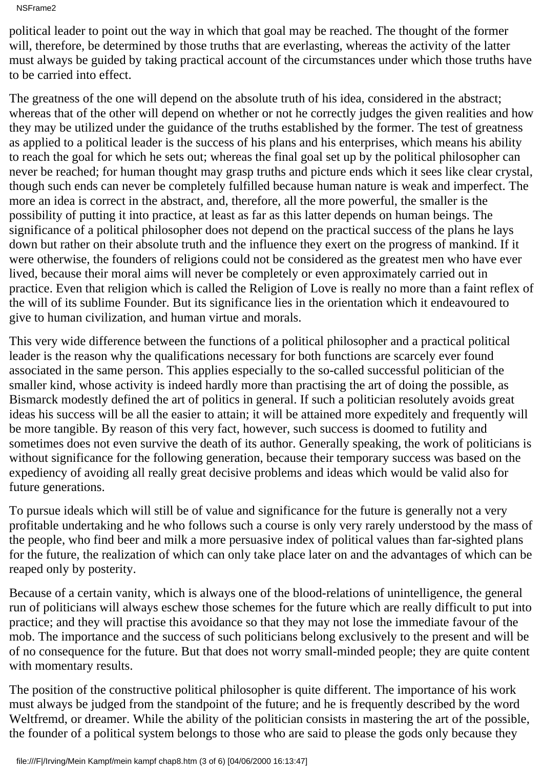NSFrame2

political leader to point out the way in which that goal may be reached. The thought of the former will, therefore, be determined by those truths that are everlasting, whereas the activity of the latter must always be guided by taking practical account of the circumstances under which those truths have to be carried into effect.

The greatness of the one will depend on the absolute truth of his idea, considered in the abstract; whereas that of the other will depend on whether or not he correctly judges the given realities and how they may be utilized under the guidance of the truths established by the former. The test of greatness as applied to a political leader is the success of his plans and his enterprises, which means his ability to reach the goal for which he sets out; whereas the final goal set up by the political philosopher can never be reached; for human thought may grasp truths and picture ends which it sees like clear crystal, though such ends can never be completely fulfilled because human nature is weak and imperfect. The more an idea is correct in the abstract, and, therefore, all the more powerful, the smaller is the possibility of putting it into practice, at least as far as this latter depends on human beings. The significance of a political philosopher does not depend on the practical success of the plans he lays down but rather on their absolute truth and the influence they exert on the progress of mankind. If it were otherwise, the founders of religions could not be considered as the greatest men who have ever lived, because their moral aims will never be completely or even approximately carried out in practice. Even that religion which is called the Religion of Love is really no more than a faint reflex of the will of its sublime Founder. But its significance lies in the orientation which it endeavoured to give to human civilization, and human virtue and morals.

This very wide difference between the functions of a political philosopher and a practical political leader is the reason why the qualifications necessary for both functions are scarcely ever found associated in the same person. This applies especially to the so-called successful politician of the smaller kind, whose activity is indeed hardly more than practising the art of doing the possible, as Bismarck modestly defined the art of politics in general. If such a politician resolutely avoids great ideas his success will be all the easier to attain; it will be attained more expeditely and frequently will be more tangible. By reason of this very fact, however, such success is doomed to futility and sometimes does not even survive the death of its author. Generally speaking, the work of politicians is without significance for the following generation, because their temporary success was based on the expediency of avoiding all really great decisive problems and ideas which would be valid also for future generations.

To pursue ideals which will still be of value and significance for the future is generally not a very profitable undertaking and he who follows such a course is only very rarely understood by the mass of the people, who find beer and milk a more persuasive index of political values than far-sighted plans for the future, the realization of which can only take place later on and the advantages of which can be reaped only by posterity.

Because of a certain vanity, which is always one of the blood-relations of unintelligence, the general run of politicians will always eschew those schemes for the future which are really difficult to put into practice; and they will practise this avoidance so that they may not lose the immediate favour of the mob. The importance and the success of such politicians belong exclusively to the present and will be of no consequence for the future. But that does not worry small-minded people; they are quite content with momentary results.

The position of the constructive political philosopher is quite different. The importance of his work must always be judged from the standpoint of the future; and he is frequently described by the word Weltfremd, or dreamer. While the ability of the politician consists in mastering the art of the possible, the founder of a political system belongs to those who are said to please the gods only because they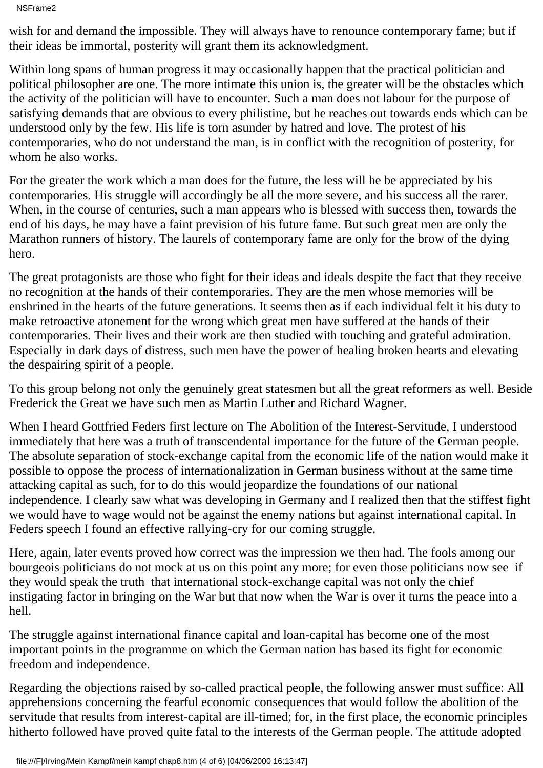NSFrame2

wish for and demand the impossible. They will always have to renounce contemporary fame; but if their ideas be immortal, posterity will grant them its acknowledgment.

Within long spans of human progress it may occasionally happen that the practical politician and political philosopher are one. The more intimate this union is, the greater will be the obstacles which the activity of the politician will have to encounter. Such a man does not labour for the purpose of satisfying demands that are obvious to every philistine, but he reaches out towards ends which can be understood only by the few. His life is torn asunder by hatred and love. The protest of his contemporaries, who do not understand the man, is in conflict with the recognition of posterity, for whom he also works.

For the greater the work which a man does for the future, the less will he be appreciated by his contemporaries. His struggle will accordingly be all the more severe, and his success all the rarer. When, in the course of centuries, such a man appears who is blessed with success then, towards the end of his days, he may have a faint prevision of his future fame. But such great men are only the Marathon runners of history. The laurels of contemporary fame are only for the brow of the dying hero.

The great protagonists are those who fight for their ideas and ideals despite the fact that they receive no recognition at the hands of their contemporaries. They are the men whose memories will be enshrined in the hearts of the future generations. It seems then as if each individual felt it his duty to make retroactive atonement for the wrong which great men have suffered at the hands of their contemporaries. Their lives and their work are then studied with touching and grateful admiration. Especially in dark days of distress, such men have the power of healing broken hearts and elevating the despairing spirit of a people.

To this group belong not only the genuinely great statesmen but all the great reformers as well. Beside Frederick the Great we have such men as Martin Luther and Richard Wagner.

When I heard Gottfried Feder s first lecture on The Abolition of the Interest-Servitude, I understood immediately that here was a truth of transcendental importance for the future of the German people. The absolute separation of stock-exchange capital from the economic life of the nation would make it possible to oppose the process of internationalization in German business without at the same time attacking capital as such, for to do this would jeopardize the foundations of our national independence. I clearly saw what was developing in Germany and I realized then that the stiffest fight we would have to wage would not be against the enemy nations but against international capital. In Feder s speech I found an effective rallying-cry for our coming struggle.

Here, again, later events proved how correct was the impression we then had. The fools among our bourgeois politicians do not mock at us on this point any more; for even those politicians now see if they would speak the truth that international stock-exchange capital was not only the chief instigating factor in bringing on the War but that now when the War is over it turns the peace into a hell.

The struggle against international finance capital and loan-capital has become one of the most important points in the programme on which the German nation has based its fight for economic freedom and independence.

Regarding the objections raised by so-called practical people, the following answer must suffice: All apprehensions concerning the fearful economic consequences that would follow the abolition of the servitude that results from interest-capital are ill-timed; for, in the first place, the economic principles hitherto followed have proved quite fatal to the interests of the German people. The attitude adopted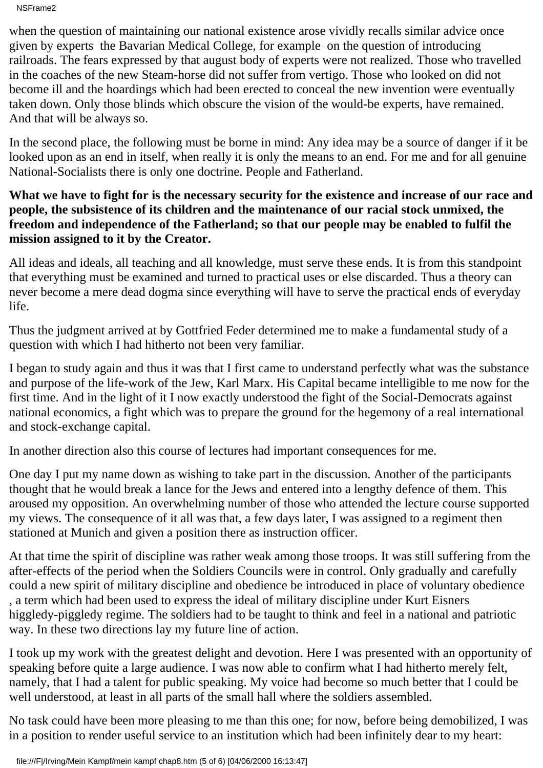when the question of maintaining our national existence arose vividly recalls similar advice once given by experts the Bavarian Medical College, for example on the question of introducing railroads. The fears expressed by that august body of experts were not realized. Those who travelled in the coaches of the new Steam-horse did not suffer from vertigo. Those who looked on did not become ill and the hoardings which had been erected to conceal the new invention were eventually taken down. Only those blinds which obscure the vision of the would-be experts, have remained. And that will be always so.

In the second place, the following must be borne in mind: Any idea may be a source of danger if it be looked upon as an end in itself, when really it is only the means to an end. For me and for all genuine National-Socialists there is only one doctrine. People and Fatherland.

#### **What we have to fight for is the necessary security for the existence and increase of our race and people, the subsistence of its children and the maintenance of our racial stock unmixed, the freedom and independence of the Fatherland; so that our people may be enabled to fulfil the mission assigned to it by the Creator.**

All ideas and ideals, all teaching and all knowledge, must serve these ends. It is from this standpoint that everything must be examined and turned to practical uses or else discarded. Thus a theory can never become a mere dead dogma since everything will have to serve the practical ends of everyday life.

Thus the judgment arrived at by Gottfried Feder determined me to make a fundamental study of a question with which I had hitherto not been very familiar.

I began to study again and thus it was that I first came to understand perfectly what was the substance and purpose of the life-work of the Jew, Karl Marx. His Capital became intelligible to me now for the first time. And in the light of it I now exactly understood the fight of the Social-Democrats against national economics, a fight which was to prepare the ground for the hegemony of a real international and stock-exchange capital.

In another direction also this course of lectures had important consequences for me.

One day I put my name down as wishing to take part in the discussion. Another of the participants thought that he would break a lance for the Jews and entered into a lengthy defence of them. This aroused my opposition. An overwhelming number of those who attended the lecture course supported my views. The consequence of it all was that, a few days later, I was assigned to a regiment then stationed at Munich and given a position there as instruction officer.

At that time the spirit of discipline was rather weak among those troops. It was still suffering from the after-effects of the period when the Soldiers Councils were in control. Only gradually and carefully could a new spirit of military discipline and obedience be introduced in place of voluntary obedience , a term which had been used to express the ideal of military discipline under Kurt Eisners higgledy-piggledy regime. The soldiers had to be taught to think and feel in a national and patriotic way. In these two directions lay my future line of action.

I took up my work with the greatest delight and devotion. Here I was presented with an opportunity of speaking before quite a large audience. I was now able to confirm what I had hitherto merely felt, namely, that I had a talent for public speaking. My voice had become so much better that I could be well understood, at least in all parts of the small hall where the soldiers assembled.

No task could have been more pleasing to me than this one; for now, before being demobilized, I was in a position to render useful service to an institution which had been infinitely dear to my heart: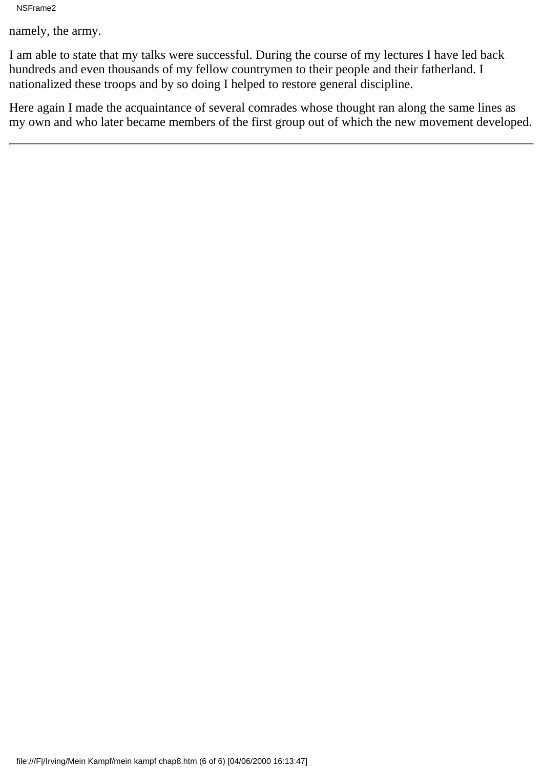NSFrame2

namely, the army.

I am able to state that my talks were successful. During the course of my lectures I have led back hundreds and even thousands of my fellow countrymen to their people and their fatherland. I nationalized these troops and by so doing I helped to restore general discipline.

Here again I made the acquaintance of several comrades whose thought ran along the same lines as my own and who later became members of the first group out of which the new movement developed.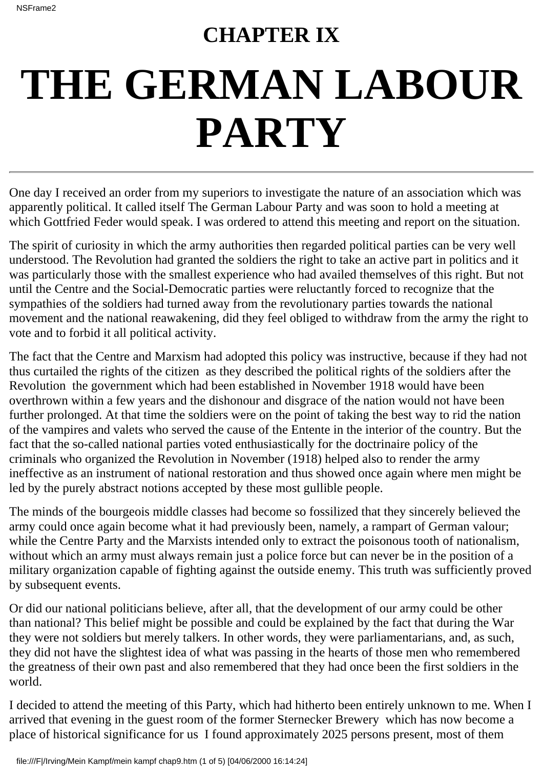#### **CHAPTER IX**

## **THE GERMAN LABOUR PARTY**

One day I received an order from my superiors to investigate the nature of an association which was apparently political. It called itself The German Labour Party and was soon to hold a meeting at which Gottfried Feder would speak. I was ordered to attend this meeting and report on the situation.

The spirit of curiosity in which the army authorities then regarded political parties can be very well understood. The Revolution had granted the soldiers the right to take an active part in politics and it was particularly those with the smallest experience who had availed themselves of this right. But not until the Centre and the Social-Democratic parties were reluctantly forced to recognize that the sympathies of the soldiers had turned away from the revolutionary parties towards the national movement and the national reawakening, did they feel obliged to withdraw from the army the right to vote and to forbid it all political activity.

The fact that the Centre and Marxism had adopted this policy was instructive, because if they had not thus curtailed the rights of the citizen as they described the political rights of the soldiers after the Revolution the government which had been established in November 1918 would have been overthrown within a few years and the dishonour and disgrace of the nation would not have been further prolonged. At that time the soldiers were on the point of taking the best way to rid the nation of the vampires and valets who served the cause of the Entente in the interior of the country. But the fact that the so-called national parties voted enthusiastically for the doctrinaire policy of the criminals who organized the Revolution in November (1918) helped also to render the army ineffective as an instrument of national restoration and thus showed once again where men might be led by the purely abstract notions accepted by these most gullible people.

The minds of the bourgeois middle classes had become so fossilized that they sincerely believed the army could once again become what it had previously been, namely, a rampart of German valour; while the Centre Party and the Marxists intended only to extract the poisonous tooth of nationalism, without which an army must always remain just a police force but can never be in the position of a military organization capable of fighting against the outside enemy. This truth was sufficiently proved by subsequent events.

Or did our national politicians believe, after all, that the development of our army could be other than national? This belief might be possible and could be explained by the fact that during the War they were not soldiers but merely talkers. In other words, they were parliamentarians, and, as such, they did not have the slightest idea of what was passing in the hearts of those men who remembered the greatness of their own past and also remembered that they had once been the first soldiers in the world.

I decided to attend the meeting of this Party, which had hitherto been entirely unknown to me. When I arrived that evening in the guest room of the former Sternecker Brewery which has now become a place of historical significance for us I found approximately 2025 persons present, most of them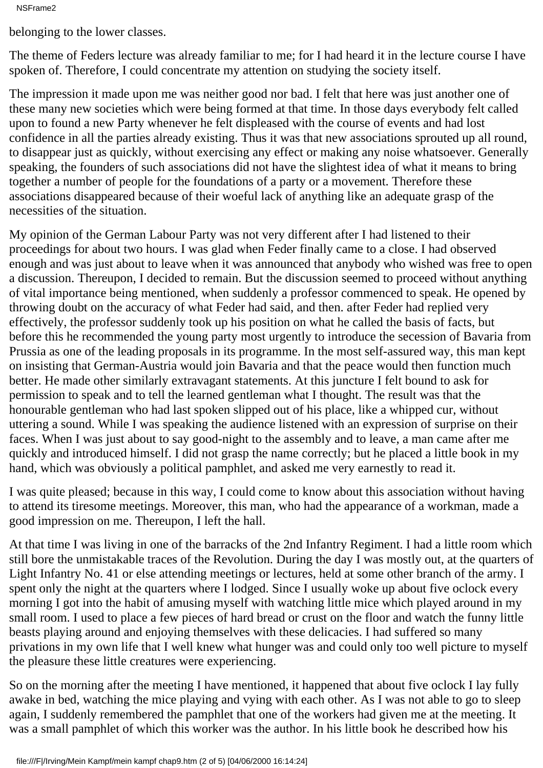NSFrame2

belonging to the lower classes.

The theme of Feder s lecture was already familiar to me; for I had heard it in the lecture course I have spoken of. Therefore, I could concentrate my attention on studying the society itself.

The impression it made upon me was neither good nor bad. I felt that here was just another one of these many new societies which were being formed at that time. In those days everybody felt called upon to found a new Party whenever he felt displeased with the course of events and had lost confidence in all the parties already existing. Thus it was that new associations sprouted up all round, to disappear just as quickly, without exercising any effect or making any noise whatsoever. Generally speaking, the founders of such associations did not have the slightest idea of what it means to bring together a number of people for the foundations of a party or a movement. Therefore these associations disappeared because of their woeful lack of anything like an adequate grasp of the necessities of the situation.

My opinion of the German Labour Party was not very different after I had listened to their proceedings for about two hours. I was glad when Feder finally came to a close. I had observed enough and was just about to leave when it was announced that anybody who wished was free to open a discussion. Thereupon, I decided to remain. But the discussion seemed to proceed without anything of vital importance being mentioned, when suddenly a professor commenced to speak. He opened by throwing doubt on the accuracy of what Feder had said, and then. after Feder had replied very effectively, the professor suddenly took up his position on what he called the basis of facts, but before this he recommended the young party most urgently to introduce the secession of Bavaria from Prussia as one of the leading proposals in its programme. In the most self-assured way, this man kept on insisting that German-Austria would join Bavaria and that the peace would then function much better. He made other similarly extravagant statements. At this juncture I felt bound to ask for permission to speak and to tell the learned gentleman what I thought. The result was that the honourable gentleman who had last spoken slipped out of his place, like a whipped cur, without uttering a sound. While I was speaking the audience listened with an expression of surprise on their faces. When I was just about to say good-night to the assembly and to leave, a man came after me quickly and introduced himself. I did not grasp the name correctly; but he placed a little book in my hand, which was obviously a political pamphlet, and asked me very earnestly to read it.

I was quite pleased; because in this way, I could come to know about this association without having to attend its tiresome meetings. Moreover, this man, who had the appearance of a workman, made a good impression on me. Thereupon, I left the hall.

At that time I was living in one of the barracks of the 2nd Infantry Regiment. I had a little room which still bore the unmistakable traces of the Revolution. During the day I was mostly out, at the quarters of Light Infantry No. 41 or else attending meetings or lectures, held at some other branch of the army. I spent only the night at the quarters where I lodged. Since I usually woke up about five o clock every morning I got into the habit of amusing myself with watching little mice which played around in my small room. I used to place a few pieces of hard bread or crust on the floor and watch the funny little beasts playing around and enjoying themselves with these delicacies. I had suffered so many privations in my own life that I well knew what hunger was and could only too well picture to myself the pleasure these little creatures were experiencing.

So on the morning after the meeting I have mentioned, it happened that about five o clock I lay fully awake in bed, watching the mice playing and vying with each other. As I was not able to go to sleep again, I suddenly remembered the pamphlet that one of the workers had given me at the meeting. It was a small pamphlet of which this worker was the author. In his little book he described how his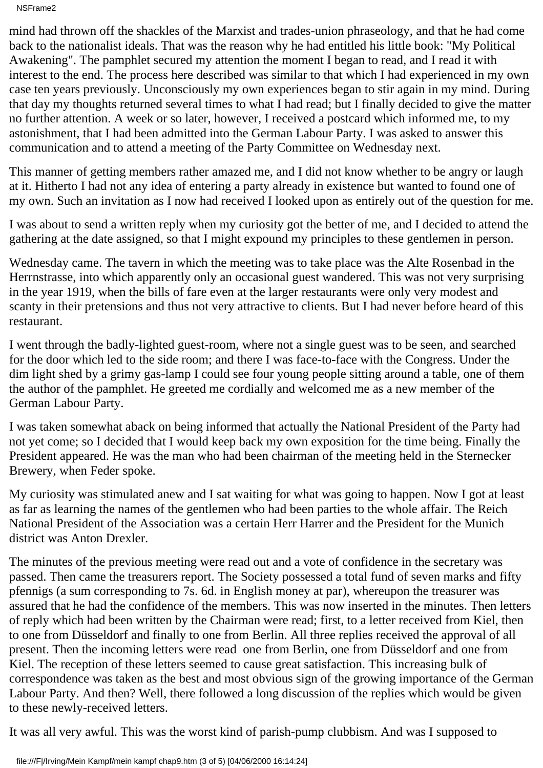mind had thrown off the shackles of the Marxist and trades-union phraseology, and that he had come back to the nationalist ideals. That was the reason why he had entitled his little book: "My Political Awakening". The pamphlet secured my attention the moment I began to read, and I read it with interest to the end. The process here described was similar to that which I had experienced in my own case ten years previously. Unconsciously my own experiences began to stir again in my mind. During that day my thoughts returned several times to what I had read; but I finally decided to give the matter no further attention. A week or so later, however, I received a postcard which informed me, to my astonishment, that I had been admitted into the German Labour Party. I was asked to answer this communication and to attend a meeting of the Party Committee on Wednesday next.

This manner of getting members rather amazed me, and I did not know whether to be angry or laugh at it. Hitherto I had not any idea of entering a party already in existence but wanted to found one of my own. Such an invitation as I now had received I looked upon as entirely out of the question for me.

I was about to send a written reply when my curiosity got the better of me, and I decided to attend the gathering at the date assigned, so that I might expound my principles to these gentlemen in person.

Wednesday came. The tavern in which the meeting was to take place was the Alte Rosenbad in the Herrnstrasse, into which apparently only an occasional guest wandered. This was not very surprising in the year 1919, when the bills of fare even at the larger restaurants were only very modest and scanty in their pretensions and thus not very attractive to clients. But I had never before heard of this restaurant.

I went through the badly-lighted guest-room, where not a single guest was to be seen, and searched for the door which led to the side room; and there I was face-to-face with the Congress. Under the dim light shed by a grimy gas-lamp I could see four young people sitting around a table, one of them the author of the pamphlet. He greeted me cordially and welcomed me as a new member of the German Labour Party.

I was taken somewhat aback on being informed that actually the National President of the Party had not yet come; so I decided that I would keep back my own exposition for the time being. Finally the President appeared. He was the man who had been chairman of the meeting held in the Sternecker Brewery, when Feder spoke.

My curiosity was stimulated anew and I sat waiting for what was going to happen. Now I got at least as far as learning the names of the gentlemen who had been parties to the whole affair. The Reich National President of the Association was a certain Herr Harrer and the President for the Munich district was Anton Drexler.

The minutes of the previous meeting were read out and a vote of confidence in the secretary was passed. Then came the treasurer s report. The Society possessed a total fund of seven marks and fifty pfennigs (a sum corresponding to 7s. 6d. in English money at par), whereupon the treasurer was assured that he had the confidence of the members. This was now inserted in the minutes. Then letters of reply which had been written by the Chairman were read; first, to a letter received from Kiel, then to one from Düsseldorf and finally to one from Berlin. All three replies received the approval of all present. Then the incoming letters were read one from Berlin, one from Düsseldorf and one from Kiel. The reception of these letters seemed to cause great satisfaction. This increasing bulk of correspondence was taken as the best and most obvious sign of the growing importance of the German Labour Party. And then? Well, there followed a long discussion of the replies which would be given to these newly-received letters.

It was all very awful. This was the worst kind of parish-pump clubbism. And was I supposed to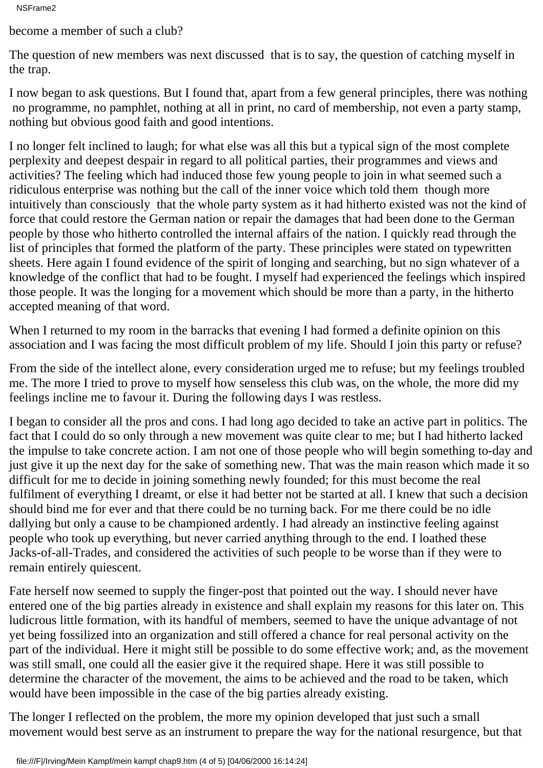NSFrame2

become a member of such a club?

The question of new members was next discussed that is to say, the question of catching myself in the trap.

I now began to ask questions. But I found that, apart from a few general principles, there was nothing no programme, no pamphlet, nothing at all in print, no card of membership, not even a party stamp, nothing but obvious good faith and good intentions.

I no longer felt inclined to laugh; for what else was all this but a typical sign of the most complete perplexity and deepest despair in regard to all political parties, their programmes and views and activities? The feeling which had induced those few young people to join in what seemed such a ridiculous enterprise was nothing but the call of the inner voice which told them though more intuitively than consciously that the whole party system as it had hitherto existed was not the kind of force that could restore the German nation or repair the damages that had been done to the German people by those who hitherto controlled the internal affairs of the nation. I quickly read through the list of principles that formed the platform of the party. These principles were stated on typewritten sheets. Here again I found evidence of the spirit of longing and searching, but no sign whatever of a knowledge of the conflict that had to be fought. I myself had experienced the feelings which inspired those people. It was the longing for a movement which should be more than a party, in the hitherto accepted meaning of that word.

When I returned to my room in the barracks that evening I had formed a definite opinion on this association and I was facing the most difficult problem of my life. Should I join this party or refuse?

From the side of the intellect alone, every consideration urged me to refuse; but my feelings troubled me. The more I tried to prove to myself how senseless this club was, on the whole, the more did my feelings incline me to favour it. During the following days I was restless.

I began to consider all the pros and cons. I had long ago decided to take an active part in politics. The fact that I could do so only through a new movement was quite clear to me; but I had hitherto lacked the impulse to take concrete action. I am not one of those people who will begin something to-day and just give it up the next day for the sake of something new. That was the main reason which made it so difficult for me to decide in joining something newly founded; for this must become the real fulfilment of everything I dreamt, or else it had better not be started at all. I knew that such a decision should bind me for ever and that there could be no turning back. For me there could be no idle dallying but only a cause to be championed ardently. I had already an instinctive feeling against people who took up everything, but never carried anything through to the end. I loathed these Jacks-of-all-Trades, and considered the activities of such people to be worse than if they were to remain entirely quiescent.

Fate herself now seemed to supply the finger-post that pointed out the way. I should never have entered one of the big parties already in existence and shall explain my reasons for this later on. This ludicrous little formation, with its handful of members, seemed to have the unique advantage of not yet being fossilized into an organization and still offered a chance for real personal activity on the part of the individual. Here it might still be possible to do some effective work; and, as the movement was still small, one could all the easier give it the required shape. Here it was still possible to determine the character of the movement, the aims to be achieved and the road to be taken, which would have been impossible in the case of the big parties already existing.

The longer I reflected on the problem, the more my opinion developed that just such a small movement would best serve as an instrument to prepare the way for the national resurgence, but that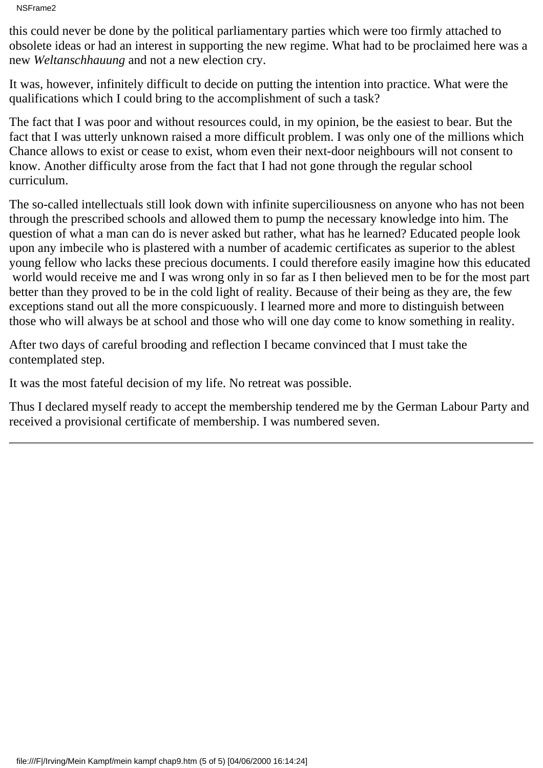NSFrame2

this could never be done by the political parliamentary parties which were too firmly attached to obsolete ideas or had an interest in supporting the new regime. What had to be proclaimed here was a new *Weltanschhauung* and not a new election cry.

It was, however, infinitely difficult to decide on putting the intention into practice. What were the qualifications which I could bring to the accomplishment of such a task?

The fact that I was poor and without resources could, in my opinion, be the easiest to bear. But the fact that I was utterly unknown raised a more difficult problem. I was only one of the millions which Chance allows to exist or cease to exist, whom even their next-door neighbours will not consent to know. Another difficulty arose from the fact that I had not gone through the regular school curriculum.

The so-called intellectuals still look down with infinite superciliousness on anyone who has not been through the prescribed schools and allowed them to pump the necessary knowledge into him. The question of what a man can do is never asked but rather, what has he learned? Educated people look upon any imbecile who is plastered with a number of academic certificates as superior to the ablest young fellow who lacks these precious documents. I could therefore easily imagine how this educated world would receive me and I was wrong only in so far as I then believed men to be for the most part

better than they proved to be in the cold light of reality. Because of their being as they are, the few exceptions stand out all the more conspicuously. I learned more and more to distinguish between those who will always be at school and those who will one day come to know something in reality.

After two days of careful brooding and reflection I became convinced that I must take the contemplated step.

It was the most fateful decision of my life. No retreat was possible.

Thus I declared myself ready to accept the membership tendered me by the German Labour Party and received a provisional certificate of membership. I was numbered seven.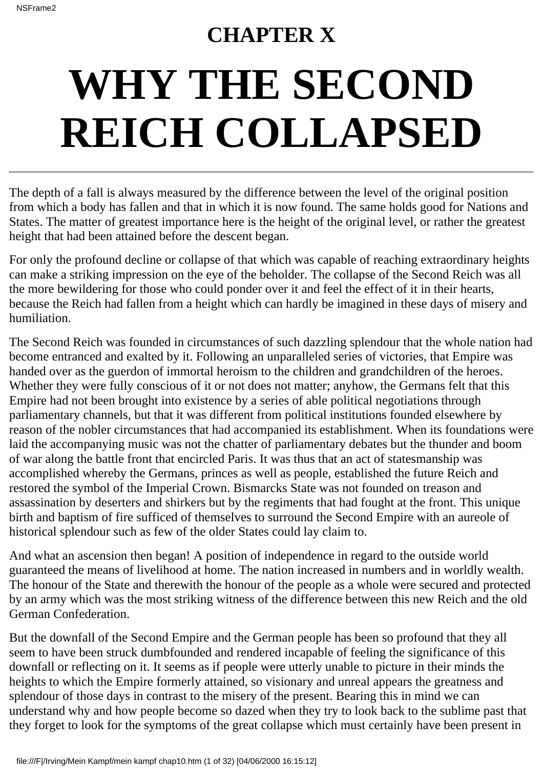## **CHAPTER X WHY THE SECOND REICH COLLAPSED**

The depth of a fall is always measured by the difference between the level of the original position from which a body has fallen and that in which it is now found. The same holds good for Nations and States. The matter of greatest importance here is the height of the original level, or rather the greatest height that had been attained before the descent began.

For only the profound decline or collapse of that which was capable of reaching extraordinary heights can make a striking impression on the eye of the beholder. The collapse of the Second Reich was all the more bewildering for those who could ponder over it and feel the effect of it in their hearts, because the Reich had fallen from a height which can hardly be imagined in these days of misery and humiliation.

The Second Reich was founded in circumstances of such dazzling splendour that the whole nation had become entranced and exalted by it. Following an unparalleled series of victories, that Empire was handed over as the guerdon of immortal heroism to the children and grandchildren of the heroes. Whether they were fully conscious of it or not does not matter; anyhow, the Germans felt that this Empire had not been brought into existence by a series of able political negotiations through parliamentary channels, but that it was different from political institutions founded elsewhere by reason of the nobler circumstances that had accompanied its establishment. When its foundations were laid the accompanying music was not the chatter of parliamentary debates but the thunder and boom of war along the battle front that encircled Paris. It was thus that an act of statesmanship was accomplished whereby the Germans, princes as well as people, established the future Reich and restored the symbol of the Imperial Crown. Bismarck s State was not founded on treason and assassination by deserters and shirkers but by the regiments that had fought at the front. This unique birth and baptism of fire sufficed of themselves to surround the Second Empire with an aureole of historical splendour such as few of the older States could lay claim to.

And what an ascension then began! A position of independence in regard to the outside world guaranteed the means of livelihood at home. The nation increased in numbers and in worldly wealth. The honour of the State and therewith the honour of the people as a whole were secured and protected by an army which was the most striking witness of the difference between this new Reich and the old German Confederation.

But the downfall of the Second Empire and the German people has been so profound that they all seem to have been struck dumbfounded and rendered incapable of feeling the significance of this downfall or reflecting on it. It seems as if people were utterly unable to picture in their minds the heights to which the Empire formerly attained, so visionary and unreal appears the greatness and splendour of those days in contrast to the misery of the present. Bearing this in mind we can understand why and how people become so dazed when they try to look back to the sublime past that they forget to look for the symptoms of the great collapse which must certainly have been present in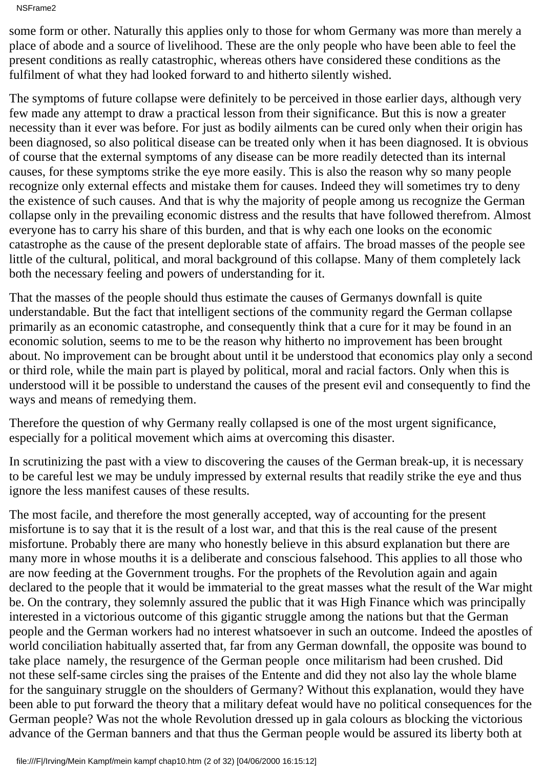NSFrame2

some form or other. Naturally this applies only to those for whom Germany was more than merely a place of abode and a source of livelihood. These are the only people who have been able to feel the present conditions as really catastrophic, whereas others have considered these conditions as the fulfilment of what they had looked forward to and hitherto silently wished.

The symptoms of future collapse were definitely to be perceived in those earlier days, although very few made any attempt to draw a practical lesson from their significance. But this is now a greater necessity than it ever was before. For just as bodily ailments can be cured only when their origin has been diagnosed, so also political disease can be treated only when it has been diagnosed. It is obvious of course that the external symptoms of any disease can be more readily detected than its internal causes, for these symptoms strike the eye more easily. This is also the reason why so many people recognize only external effects and mistake them for causes. Indeed they will sometimes try to deny the existence of such causes. And that is why the majority of people among us recognize the German collapse only in the prevailing economic distress and the results that have followed therefrom. Almost everyone has to carry his share of this burden, and that is why each one looks on the economic catastrophe as the cause of the present deplorable state of affairs. The broad masses of the people see little of the cultural, political, and moral background of this collapse. Many of them completely lack both the necessary feeling and powers of understanding for it.

That the masses of the people should thus estimate the causes of Germanys downfall is quite understandable. But the fact that intelligent sections of the community regard the German collapse primarily as an economic catastrophe, and consequently think that a cure for it may be found in an economic solution, seems to me to be the reason why hitherto no improvement has been brought about. No improvement can be brought about until it be understood that economics play only a second or third role, while the main part is played by political, moral and racial factors. Only when this is understood will it be possible to understand the causes of the present evil and consequently to find the ways and means of remedying them.

Therefore the question of why Germany really collapsed is one of the most urgent significance, especially for a political movement which aims at overcoming this disaster.

In scrutinizing the past with a view to discovering the causes of the German break-up, it is necessary to be careful lest we may be unduly impressed by external results that readily strike the eye and thus ignore the less manifest causes of these results.

The most facile, and therefore the most generally accepted, way of accounting for the present misfortune is to say that it is the result of a lost war, and that this is the real cause of the present misfortune. Probably there are many who honestly believe in this absurd explanation but there are many more in whose mouths it is a deliberate and conscious falsehood. This applies to all those who are now feeding at the Government troughs. For the prophets of the Revolution again and again declared to the people that it would be immaterial to the great masses what the result of the War might be. On the contrary, they solemnly assured the public that it was High Finance which was principally interested in a victorious outcome of this gigantic struggle among the nations but that the German people and the German workers had no interest whatsoever in such an outcome. Indeed the apostles of world conciliation habitually asserted that, far from any German downfall, the opposite was bound to take place namely, the resurgence of the German people once militarism had been crushed. Did not these self-same circles sing the praises of the Entente and did they not also lay the whole blame for the sanguinary struggle on the shoulders of Germany? Without this explanation, would they have been able to put forward the theory that a military defeat would have no political consequences for the German people? Was not the whole Revolution dressed up in gala colours as blocking the victorious advance of the German banners and that thus the German people would be assured its liberty both at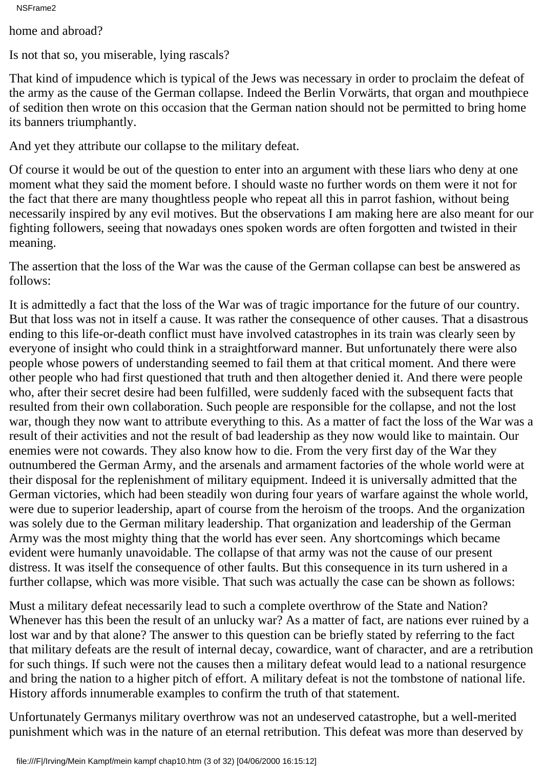NSFrame2

home and abroad?

Is not that so, you miserable, lying rascals?

That kind of impudence which is typical of the Jews was necessary in order to proclaim the defeat of the army as the cause of the German collapse. Indeed the Berlin Vorwärts, that organ and mouthpiece of sedition then wrote on this occasion that the German nation should not be permitted to bring home its banners triumphantly.

And yet they attribute our collapse to the military defeat.

Of course it would be out of the question to enter into an argument with these liars who deny at one moment what they said the moment before. I should waste no further words on them were it not for the fact that there are many thoughtless people who repeat all this in parrot fashion, without being necessarily inspired by any evil motives. But the observations I am making here are also meant for our fighting followers, seeing that nowadays ones spoken words are often forgotten and twisted in their meaning.

The assertion that the loss of the War was the cause of the German collapse can best be answered as follows:

It is admittedly a fact that the loss of the War was of tragic importance for the future of our country. But that loss was not in itself a cause. It was rather the consequence of other causes. That a disastrous ending to this life-or-death conflict must have involved catastrophes in its train was clearly seen by everyone of insight who could think in a straightforward manner. But unfortunately there were also people whose powers of understanding seemed to fail them at that critical moment. And there were other people who had first questioned that truth and then altogether denied it. And there were people who, after their secret desire had been fulfilled, were suddenly faced with the subsequent facts that resulted from their own collaboration. Such people are responsible for the collapse, and not the lost war, though they now want to attribute everything to this. As a matter of fact the loss of the War was a result of their activities and not the result of bad leadership as they now would like to maintain. Our enemies were not cowards. They also know how to die. From the very first day of the War they outnumbered the German Army, and the arsenals and armament factories of the whole world were at their disposal for the replenishment of military equipment. Indeed it is universally admitted that the German victories, which had been steadily won during four years of warfare against the whole world, were due to superior leadership, apart of course from the heroism of the troops. And the organization was solely due to the German military leadership. That organization and leadership of the German Army was the most mighty thing that the world has ever seen. Any shortcomings which became evident were humanly unavoidable. The collapse of that army was not the cause of our present distress. It was itself the consequence of other faults. But this consequence in its turn ushered in a further collapse, which was more visible. That such was actually the case can be shown as follows:

Must a military defeat necessarily lead to such a complete overthrow of the State and Nation? Whenever has this been the result of an unlucky war? As a matter of fact, are nations ever ruined by a lost war and by that alone? The answer to this question can be briefly stated by referring to the fact that military defeats are the result of internal decay, cowardice, want of character, and are a retribution for such things. If such were not the causes then a military defeat would lead to a national resurgence and bring the nation to a higher pitch of effort. A military defeat is not the tombstone of national life. History affords innumerable examples to confirm the truth of that statement.

Unfortunately Germanys military overthrow was not an undeserved catastrophe, but a well-merited punishment which was in the nature of an eternal retribution. This defeat was more than deserved by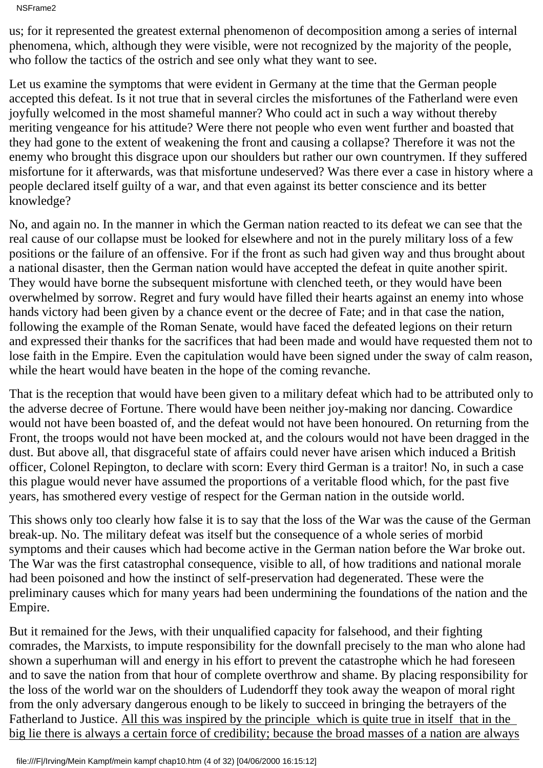NSFrame2

us; for it represented the greatest external phenomenon of decomposition among a series of internal phenomena, which, although they were visible, were not recognized by the majority of the people, who follow the tactics of the ostrich and see only what they want to see.

Let us examine the symptoms that were evident in Germany at the time that the German people accepted this defeat. Is it not true that in several circles the misfortunes of the Fatherland were even joyfully welcomed in the most shameful manner? Who could act in such a way without thereby meriting vengeance for his attitude? Were there not people who even went further and boasted that they had gone to the extent of weakening the front and causing a collapse? Therefore it was not the enemy who brought this disgrace upon our shoulders but rather our own countrymen. If they suffered misfortune for it afterwards, was that misfortune undeserved? Was there ever a case in history where a people declared itself guilty of a war, and that even against its better conscience and its better knowledge?

No, and again no. In the manner in which the German nation reacted to its defeat we can see that the real cause of our collapse must be looked for elsewhere and not in the purely military loss of a few positions or the failure of an offensive. For if the front as such had given way and thus brought about a national disaster, then the German nation would have accepted the defeat in quite another spirit. They would have borne the subsequent misfortune with clenched teeth, or they would have been overwhelmed by sorrow. Regret and fury would have filled their hearts against an enemy into whose hands victory had been given by a chance event or the decree of Fate; and in that case the nation, following the example of the Roman Senate, would have faced the defeated legions on their return and expressed their thanks for the sacrifices that had been made and would have requested them not to lose faith in the Empire. Even the capitulation would have been signed under the sway of calm reason, while the heart would have beaten in the hope of the coming revanche.

That is the reception that would have been given to a military defeat which had to be attributed only to the adverse decree of Fortune. There would have been neither joy-making nor dancing. Cowardice would not have been boasted of, and the defeat would not have been honoured. On returning from the Front, the troops would not have been mocked at, and the colours would not have been dragged in the dust. But above all, that disgraceful state of affairs could never have arisen which induced a British officer, Colonel Repington, to declare with scorn: Every third German is a traitor! No, in such a case this plague would never have assumed the proportions of a veritable flood which, for the past five years, has smothered every vestige of respect for the German nation in the outside world.

This shows only too clearly how false it is to say that the loss of the War was the cause of the German break-up. No. The military defeat was itself but the consequence of a whole series of morbid symptoms and their causes which had become active in the German nation before the War broke out. The War was the first catastrophal consequence, visible to all, of how traditions and national morale had been poisoned and how the instinct of self-preservation had degenerated. These were the preliminary causes which for many years had been undermining the foundations of the nation and the Empire.

But it remained for the Jews, with their unqualified capacity for falsehood, and their fighting comrades, the Marxists, to impute responsibility for the downfall precisely to the man who alone had shown a superhuman will and energy in his effort to prevent the catastrophe which he had foreseen and to save the nation from that hour of complete overthrow and shame. By placing responsibility for the loss of the world war on the shoulders of Ludendorff they took away the weapon of moral right from the only adversary dangerous enough to be likely to succeed in bringing the betrayers of the Fatherland to Justice. All this was inspired by the principle which is quite true in itself that in the big lie there is always a certain force of credibility; because the broad masses of a nation are always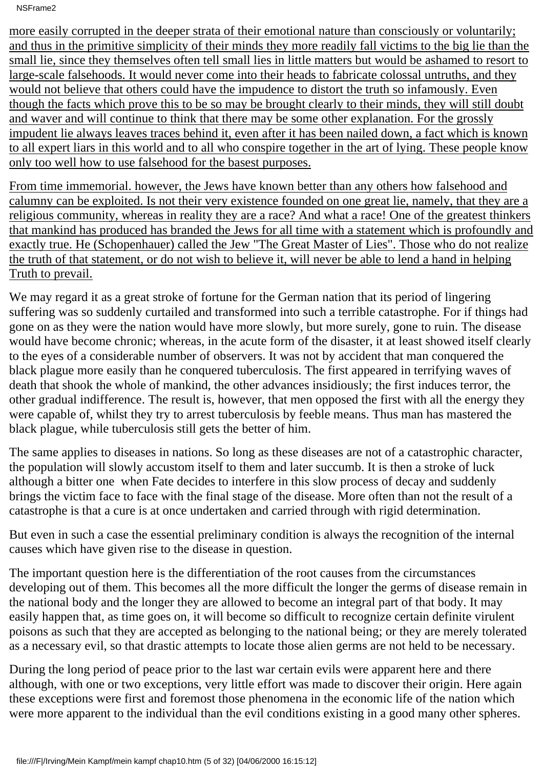more easily corrupted in the deeper strata of their emotional nature than consciously or voluntarily; and thus in the primitive simplicity of their minds they more readily fall victims to the big lie than the small lie, since they themselves often tell small lies in little matters but would be ashamed to resort to large-scale falsehoods. It would never come into their heads to fabricate colossal untruths, and they would not believe that others could have the impudence to distort the truth so infamously. Even though the facts which prove this to be so may be brought clearly to their minds, they will still doubt and waver and will continue to think that there may be some other explanation. For the grossly impudent lie always leaves traces behind it, even after it has been nailed down, a fact which is known to all expert liars in this world and to all who conspire together in the art of lying. These people know only too well how to use falsehood for the basest purposes.

From time immemorial. however, the Jews have known better than any others how falsehood and calumny can be exploited. Is not their very existence founded on one great lie, namely, that they are a religious community, whereas in reality they are a race? And what a race! One of the greatest thinkers that mankind has produced has branded the Jews for all time with a statement which is profoundly and exactly true. He (Schopenhauer) called the Jew "The Great Master of Lies". Those who do not realize the truth of that statement, or do not wish to believe it, will never be able to lend a hand in helping Truth to prevail.

We may regard it as a great stroke of fortune for the German nation that its period of lingering suffering was so suddenly curtailed and transformed into such a terrible catastrophe. For if things had gone on as they were the nation would have more slowly, but more surely, gone to ruin. The disease would have become chronic; whereas, in the acute form of the disaster, it at least showed itself clearly to the eyes of a considerable number of observers. It was not by accident that man conquered the black plague more easily than he conquered tuberculosis. The first appeared in terrifying waves of death that shook the whole of mankind, the other advances insidiously; the first induces terror, the other gradual indifference. The result is, however, that men opposed the first with all the energy they were capable of, whilst they try to arrest tuberculosis by feeble means. Thus man has mastered the black plague, while tuberculosis still gets the better of him.

The same applies to diseases in nations. So long as these diseases are not of a catastrophic character, the population will slowly accustom itself to them and later succumb. It is then a stroke of luck although a bitter one when Fate decides to interfere in this slow process of decay and suddenly brings the victim face to face with the final stage of the disease. More often than not the result of a catastrophe is that a cure is at once undertaken and carried through with rigid determination.

But even in such a case the essential preliminary condition is always the recognition of the internal causes which have given rise to the disease in question.

The important question here is the differentiation of the root causes from the circumstances developing out of them. This becomes all the more difficult the longer the germs of disease remain in the national body and the longer they are allowed to become an integral part of that body. It may easily happen that, as time goes on, it will become so difficult to recognize certain definite virulent poisons as such that they are accepted as belonging to the national being; or they are merely tolerated as a necessary evil, so that drastic attempts to locate those alien germs are not held to be necessary.

During the long period of peace prior to the last war certain evils were apparent here and there although, with one or two exceptions, very little effort was made to discover their origin. Here again these exceptions were first and foremost those phenomena in the economic life of the nation which were more apparent to the individual than the evil conditions existing in a good many other spheres.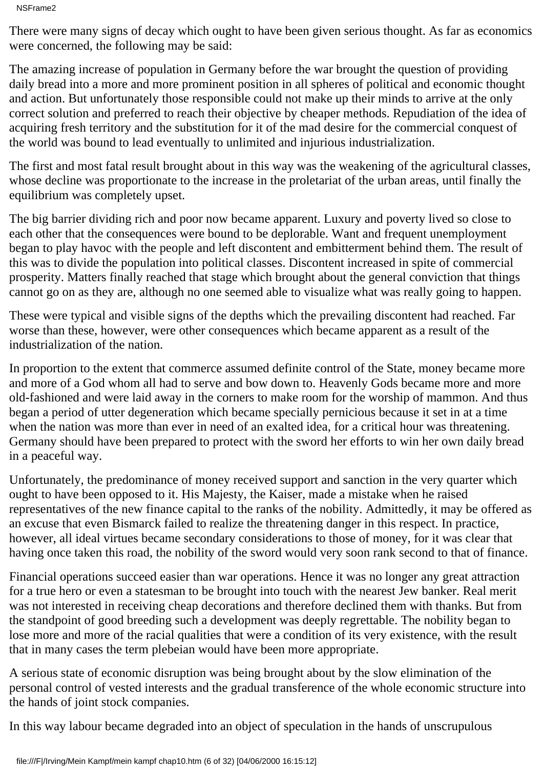There were many signs of decay which ought to have been given serious thought. As far as economics were concerned, the following may be said:

The amazing increase of population in Germany before the war brought the question of providing daily bread into a more and more prominent position in all spheres of political and economic thought and action. But unfortunately those responsible could not make up their minds to arrive at the only correct solution and preferred to reach their objective by cheaper methods. Repudiation of the idea of acquiring fresh territory and the substitution for it of the mad desire for the commercial conquest of the world was bound to lead eventually to unlimited and injurious industrialization.

The first and most fatal result brought about in this way was the weakening of the agricultural classes, whose decline was proportionate to the increase in the proletariat of the urban areas, until finally the equilibrium was completely upset.

The big barrier dividing rich and poor now became apparent. Luxury and poverty lived so close to each other that the consequences were bound to be deplorable. Want and frequent unemployment began to play havoc with the people and left discontent and embitterment behind them. The result of this was to divide the population into political classes. Discontent increased in spite of commercial prosperity. Matters finally reached that stage which brought about the general conviction that things cannot go on as they are, although no one seemed able to visualize what was really going to happen.

These were typical and visible signs of the depths which the prevailing discontent had reached. Far worse than these, however, were other consequences which became apparent as a result of the industrialization of the nation.

In proportion to the extent that commerce assumed definite control of the State, money became more and more of a God whom all had to serve and bow down to. Heavenly Gods became more and more old-fashioned and were laid away in the corners to make room for the worship of mammon. And thus began a period of utter degeneration which became specially pernicious because it set in at a time when the nation was more than ever in need of an exalted idea, for a critical hour was threatening. Germany should have been prepared to protect with the sword her efforts to win her own daily bread in a peaceful way.

Unfortunately, the predominance of money received support and sanction in the very quarter which ought to have been opposed to it. His Majesty, the Kaiser, made a mistake when he raised representatives of the new finance capital to the ranks of the nobility. Admittedly, it may be offered as an excuse that even Bismarck failed to realize the threatening danger in this respect. In practice, however, all ideal virtues became secondary considerations to those of money, for it was clear that having once taken this road, the nobility of the sword would very soon rank second to that of finance.

Financial operations succeed easier than war operations. Hence it was no longer any great attraction for a true hero or even a statesman to be brought into touch with the nearest Jew banker. Real merit was not interested in receiving cheap decorations and therefore declined them with thanks. But from the standpoint of good breeding such a development was deeply regrettable. The nobility began to lose more and more of the racial qualities that were a condition of its very existence, with the result that in many cases the term plebeian would have been more appropriate.

A serious state of economic disruption was being brought about by the slow elimination of the personal control of vested interests and the gradual transference of the whole economic structure into the hands of joint stock companies.

In this way labour became degraded into an object of speculation in the hands of unscrupulous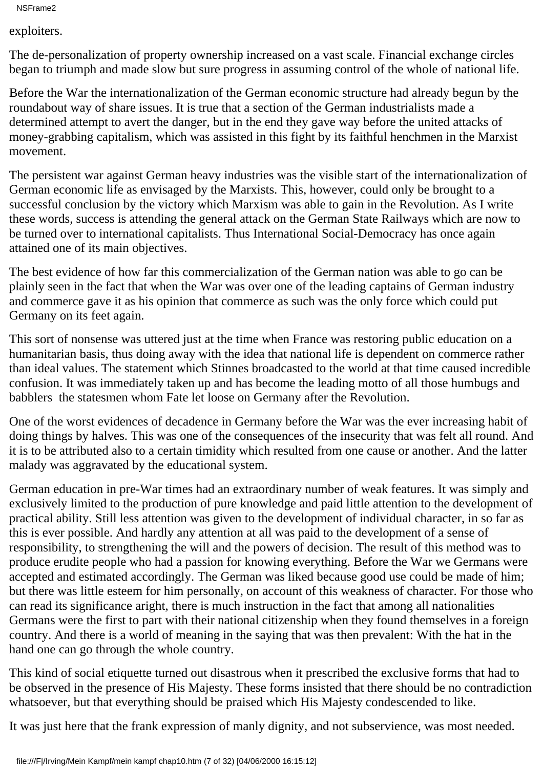# exploiters.

The de-personalization of property ownership increased on a vast scale. Financial exchange circles began to triumph and made slow but sure progress in assuming control of the whole of national life.

Before the War the internationalization of the German economic structure had already begun by the roundabout way of share issues. It is true that a section of the German industrialists made a determined attempt to avert the danger, but in the end they gave way before the united attacks of money-grabbing capitalism, which was assisted in this fight by its faithful henchmen in the Marxist movement.

The persistent war against German heavy industries was the visible start of the internationalization of German economic life as envisaged by the Marxists. This, however, could only be brought to a successful conclusion by the victory which Marxism was able to gain in the Revolution. As I write these words, success is attending the general attack on the German State Railways which are now to be turned over to international capitalists. Thus International Social-Democracy has once again attained one of its main objectives.

The best evidence of how far this commercialization of the German nation was able to go can be plainly seen in the fact that when the War was over one of the leading captains of German industry and commerce gave it as his opinion that commerce as such was the only force which could put Germany on its feet again.

This sort of nonsense was uttered just at the time when France was restoring public education on a humanitarian basis, thus doing away with the idea that national life is dependent on commerce rather than ideal values. The statement which Stinnes broadcasted to the world at that time caused incredible confusion. It was immediately taken up and has become the leading motto of all those humbugs and babblers the statesmen whom Fate let loose on Germany after the Revolution.

One of the worst evidences of decadence in Germany before the War was the ever increasing habit of doing things by halves. This was one of the consequences of the insecurity that was felt all round. And it is to be attributed also to a certain timidity which resulted from one cause or another. And the latter malady was aggravated by the educational system.

German education in pre-War times had an extraordinary number of weak features. It was simply and exclusively limited to the production of pure knowledge and paid little attention to the development of practical ability. Still less attention was given to the development of individual character, in so far as this is ever possible. And hardly any attention at all was paid to the development of a sense of responsibility, to strengthening the will and the powers of decision. The result of this method was to produce erudite people who had a passion for knowing everything. Before the War we Germans were accepted and estimated accordingly. The German was liked because good use could be made of him; but there was little esteem for him personally, on account of this weakness of character. For those who can read its significance aright, there is much instruction in the fact that among all nationalities Germans were the first to part with their national citizenship when they found themselves in a foreign country. And there is a world of meaning in the saying that was then prevalent: With the hat in the hand one can go through the whole country.

This kind of social etiquette turned out disastrous when it prescribed the exclusive forms that had to be observed in the presence of His Majesty. These forms insisted that there should be no contradiction whatsoever, but that everything should be praised which His Majesty condescended to like.

It was just here that the frank expression of manly dignity, and not subservience, was most needed.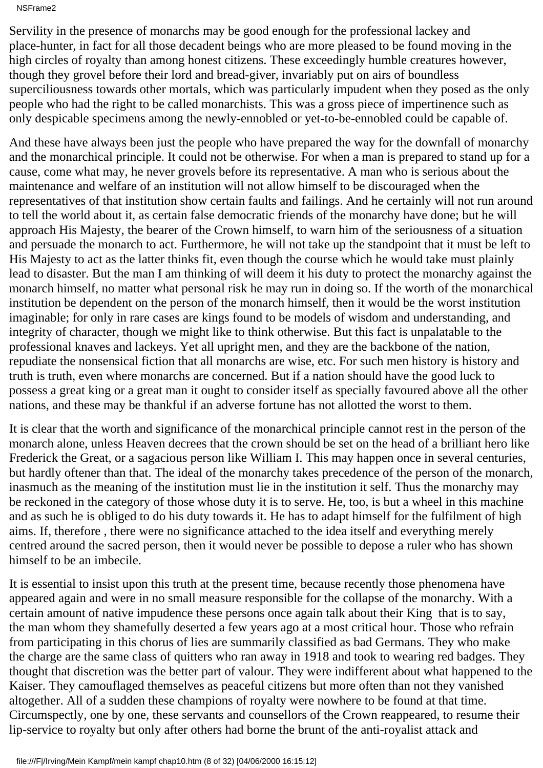NSFrame2

Servility in the presence of monarchs may be good enough for the professional lackey and place-hunter, in fact for all those decadent beings who are more pleased to be found moving in the high circles of royalty than among honest citizens. These exceedingly humble creatures however, though they grovel before their lord and bread-giver, invariably put on airs of boundless superciliousness towards other mortals, which was particularly impudent when they posed as the only people who had the right to be called monarchists. This was a gross piece of impertinence such as only despicable specimens among the newly-ennobled or yet-to-be-ennobled could be capable of.

And these have always been just the people who have prepared the way for the downfall of monarchy and the monarchical principle. It could not be otherwise. For when a man is prepared to stand up for a cause, come what may, he never grovels before its representative. A man who is serious about the maintenance and welfare of an institution will not allow himself to be discouraged when the representatives of that institution show certain faults and failings. And he certainly will not run around to tell the world about it, as certain false democratic friends of the monarchy have done; but he will approach His Majesty, the bearer of the Crown himself, to warn him of the seriousness of a situation and persuade the monarch to act. Furthermore, he will not take up the standpoint that it must be left to His Majesty to act as the latter thinks fit, even though the course which he would take must plainly lead to disaster. But the man I am thinking of will deem it his duty to protect the monarchy against the monarch himself, no matter what personal risk he may run in doing so. If the worth of the monarchical institution be dependent on the person of the monarch himself, then it would be the worst institution imaginable; for only in rare cases are kings found to be models of wisdom and understanding, and integrity of character, though we might like to think otherwise. But this fact is unpalatable to the professional knaves and lackeys. Yet all upright men, and they are the backbone of the nation, repudiate the nonsensical fiction that all monarchs are wise, etc. For such men history is history and truth is truth, even where monarchs are concerned. But if a nation should have the good luck to possess a great king or a great man it ought to consider itself as specially favoured above all the other nations, and these may be thankful if an adverse fortune has not allotted the worst to them.

It is clear that the worth and significance of the monarchical principle cannot rest in the person of the monarch alone, unless Heaven decrees that the crown should be set on the head of a brilliant hero like Frederick the Great, or a sagacious person like William I. This may happen once in several centuries, but hardly oftener than that. The ideal of the monarchy takes precedence of the person of the monarch, inasmuch as the meaning of the institution must lie in the institution it self. Thus the monarchy may be reckoned in the category of those whose duty it is to serve. He, too, is but a wheel in this machine and as such he is obliged to do his duty towards it. He has to adapt himself for the fulfilment of high aims. If, therefore , there were no significance attached to the idea itself and everything merely centred around the sacred person, then it would never be possible to depose a ruler who has shown himself to be an imbecile.

It is essential to insist upon this truth at the present time, because recently those phenomena have appeared again and were in no small measure responsible for the collapse of the monarchy. With a certain amount of native impudence these persons once again talk about their King that is to say, the man whom they shamefully deserted a few years ago at a most critical hour. Those who refrain from participating in this chorus of lies are summarily classified as bad Germans. They who make the charge are the same class of quitters who ran away in 1918 and took to wearing red badges. They thought that discretion was the better part of valour. They were indifferent about what happened to the Kaiser. They camouflaged themselves as peaceful citizens but more often than not they vanished altogether. All of a sudden these champions of royalty were nowhere to be found at that time. Circumspectly, one by one, these servants and counsellors of the Crown reappeared, to resume their lip-service to royalty but only after others had borne the brunt of the anti-royalist attack and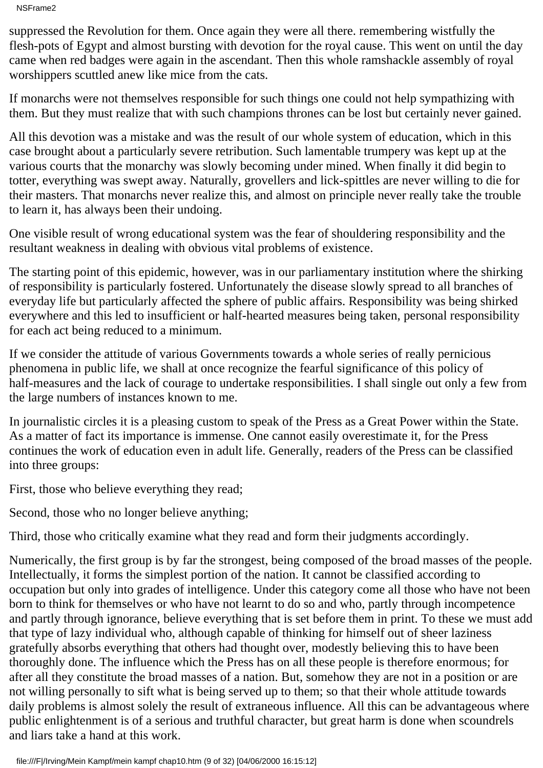NSFrame2

suppressed the Revolution for them. Once again they were all there. remembering wistfully the flesh-pots of Egypt and almost bursting with devotion for the royal cause. This went on until the day came when red badges were again in the ascendant. Then this whole ramshackle assembly of royal worshippers scuttled anew like mice from the cats.

If monarchs were not themselves responsible for such things one could not help sympathizing with them. But they must realize that with such champions thrones can be lost but certainly never gained.

All this devotion was a mistake and was the result of our whole system of education, which in this case brought about a particularly severe retribution. Such lamentable trumpery was kept up at the various courts that the monarchy was slowly becoming under mined. When finally it did begin to totter, everything was swept away. Naturally, grovellers and lick-spittles are never willing to die for their masters. That monarchs never realize this, and almost on principle never really take the trouble to learn it, has always been their undoing.

One visible result of wrong educational system was the fear of shouldering responsibility and the resultant weakness in dealing with obvious vital problems of existence.

The starting point of this epidemic, however, was in our parliamentary institution where the shirking of responsibility is particularly fostered. Unfortunately the disease slowly spread to all branches of everyday life but particularly affected the sphere of public affairs. Responsibility was being shirked everywhere and this led to insufficient or half-hearted measures being taken, personal responsibility for each act being reduced to a minimum.

If we consider the attitude of various Governments towards a whole series of really pernicious phenomena in public life, we shall at once recognize the fearful significance of this policy of half-measures and the lack of courage to undertake responsibilities. I shall single out only a few from the large numbers of instances known to me.

In journalistic circles it is a pleasing custom to speak of the Press as a Great Power within the State. As a matter of fact its importance is immense. One cannot easily overestimate it, for the Press continues the work of education even in adult life. Generally, readers of the Press can be classified into three groups:

First, those who believe everything they read;

Second, those who no longer believe anything;

Third, those who critically examine what they read and form their judgments accordingly.

Numerically, the first group is by far the strongest, being composed of the broad masses of the people. Intellectually, it forms the simplest portion of the nation. It cannot be classified according to occupation but only into grades of intelligence. Under this category come all those who have not been born to think for themselves or who have not learnt to do so and who, partly through incompetence and partly through ignorance, believe everything that is set before them in print. To these we must add that type of lazy individual who, although capable of thinking for himself out of sheer laziness gratefully absorbs everything that others had thought over, modestly believing this to have been thoroughly done. The influence which the Press has on all these people is therefore enormous; for after all they constitute the broad masses of a nation. But, somehow they are not in a position or are not willing personally to sift what is being served up to them; so that their whole attitude towards daily problems is almost solely the result of extraneous influence. All this can be advantageous where public enlightenment is of a serious and truthful character, but great harm is done when scoundrels and liars take a hand at this work.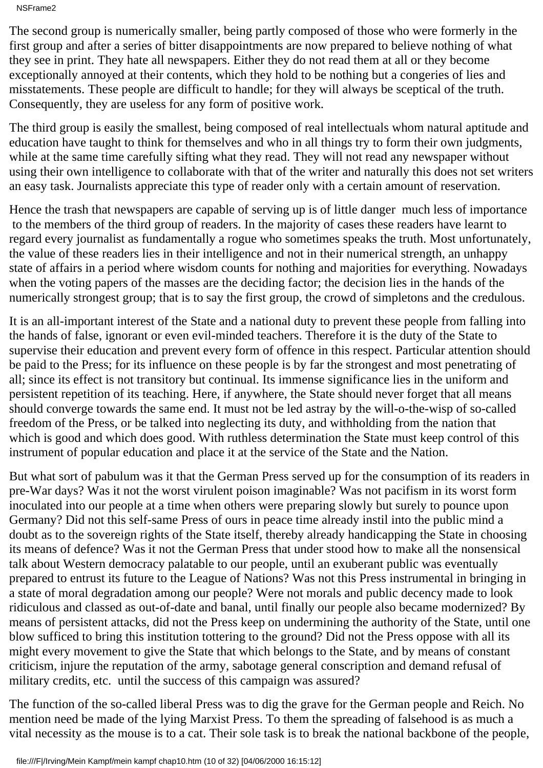NSFrame2

The second group is numerically smaller, being partly composed of those who were formerly in the first group and after a series of bitter disappointments are now prepared to believe nothing of what they see in print. They hate all newspapers. Either they do not read them at all or they become exceptionally annoyed at their contents, which they hold to be nothing but a congeries of lies and misstatements. These people are difficult to handle; for they will always be sceptical of the truth. Consequently, they are useless for any form of positive work.

The third group is easily the smallest, being composed of real intellectuals whom natural aptitude and education have taught to think for themselves and who in all things try to form their own judgments, while at the same time carefully sifting what they read. They will not read any newspaper without using their own intelligence to collaborate with that of the writer and naturally this does not set writers an easy task. Journalists appreciate this type of reader only with a certain amount of reservation.

Hence the trash that newspapers are capable of serving up is of little danger much less of importance to the members of the third group of readers. In the majority of cases these readers have learnt to regard every journalist as fundamentally a rogue who sometimes speaks the truth. Most unfortunately, the value of these readers lies in their intelligence and not in their numerical strength, an unhappy state of affairs in a period where wisdom counts for nothing and majorities for everything. Nowadays when the voting papers of the masses are the deciding factor; the decision lies in the hands of the numerically strongest group; that is to say the first group, the crowd of simpletons and the credulous.

It is an all-important interest of the State and a national duty to prevent these people from falling into the hands of false, ignorant or even evil-minded teachers. Therefore it is the duty of the State to supervise their education and prevent every form of offence in this respect. Particular attention should be paid to the Press; for its influence on these people is by far the strongest and most penetrating of all; since its effect is not transitory but continual. Its immense significance lies in the uniform and persistent repetition of its teaching. Here, if anywhere, the State should never forget that all means should converge towards the same end. It must not be led astray by the will-o-the-wisp of so-called freedom of the Press, or be talked into neglecting its duty, and withholding from the nation that which is good and which does good. With ruthless determination the State must keep control of this instrument of popular education and place it at the service of the State and the Nation.

But what sort of pabulum was it that the German Press served up for the consumption of its readers in pre-War days? Was it not the worst virulent poison imaginable? Was not pacifism in its worst form inoculated into our people at a time when others were preparing slowly but surely to pounce upon Germany? Did not this self-same Press of ours in peace time already instil into the public mind a doubt as to the sovereign rights of the State itself, thereby already handicapping the State in choosing its means of defence? Was it not the German Press that under stood how to make all the nonsensical talk about Western democracy palatable to our people, until an exuberant public was eventually prepared to entrust its future to the League of Nations? Was not this Press instrumental in bringing in a state of moral degradation among our people? Were not morals and public decency made to look ridiculous and classed as out-of-date and banal, until finally our people also became modernized? By means of persistent attacks, did not the Press keep on undermining the authority of the State, until one blow sufficed to bring this institution tottering to the ground? Did not the Press oppose with all its might every movement to give the State that which belongs to the State, and by means of constant criticism, injure the reputation of the army, sabotage general conscription and demand refusal of military credits, etc. until the success of this campaign was assured?

The function of the so-called liberal Press was to dig the grave for the German people and Reich. No mention need be made of the lying Marxist Press. To them the spreading of falsehood is as much a vital necessity as the mouse is to a cat. Their sole task is to break the national backbone of the people,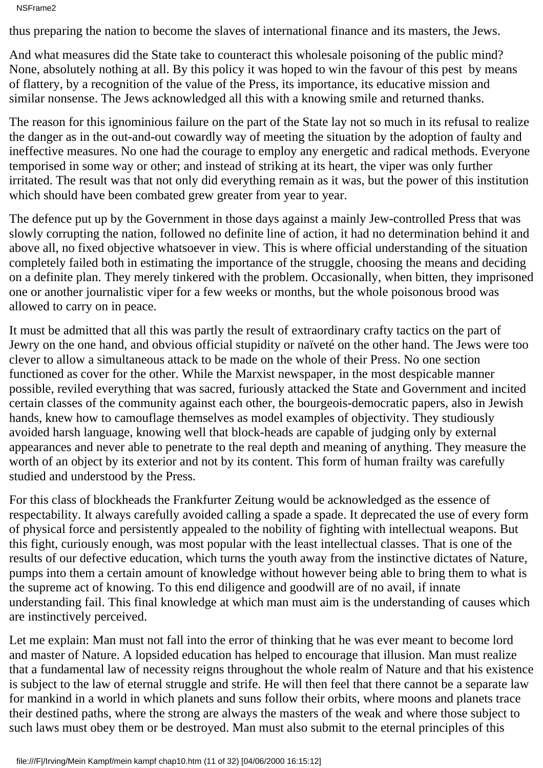NSFrame2

thus preparing the nation to become the slaves of international finance and its masters, the Jews.

And what measures did the State take to counteract this wholesale poisoning of the public mind? None, absolutely nothing at all. By this policy it was hoped to win the favour of this pest by means of flattery, by a recognition of the value of the Press, its importance, its educative mission and similar nonsense. The Jews acknowledged all this with a knowing smile and returned thanks.

The reason for this ignominious failure on the part of the State lay not so much in its refusal to realize the danger as in the out-and-out cowardly way of meeting the situation by the adoption of faulty and ineffective measures. No one had the courage to employ any energetic and radical methods. Everyone temporised in some way or other; and instead of striking at its heart, the viper was only further irritated. The result was that not only did everything remain as it was, but the power of this institution which should have been combated grew greater from year to year.

The defence put up by the Government in those days against a mainly Jew-controlled Press that was slowly corrupting the nation, followed no definite line of action, it had no determination behind it and above all, no fixed objective whatsoever in view. This is where official understanding of the situation completely failed both in estimating the importance of the struggle, choosing the means and deciding on a definite plan. They merely tinkered with the problem. Occasionally, when bitten, they imprisoned one or another journalistic viper for a few weeks or months, but the whole poisonous brood was allowed to carry on in peace.

It must be admitted that all this was partly the result of extraordinary crafty tactics on the part of Jewry on the one hand, and obvious official stupidity or naïveté on the other hand. The Jews were too clever to allow a simultaneous attack to be made on the whole of their Press. No one section functioned as cover for the other. While the Marxist newspaper, in the most despicable manner possible, reviled everything that was sacred, furiously attacked the State and Government and incited certain classes of the community against each other, the bourgeois-democratic papers, also in Jewish hands, knew how to camouflage themselves as model examples of objectivity. They studiously avoided harsh language, knowing well that block-heads are capable of judging only by external appearances and never able to penetrate to the real depth and meaning of anything. They measure the worth of an object by its exterior and not by its content. This form of human frailty was carefully studied and understood by the Press.

For this class of blockheads the Frankfurter Zeitung would be acknowledged as the essence of respectability. It always carefully avoided calling a spade a spade. It deprecated the use of every form of physical force and persistently appealed to the nobility of fighting with intellectual weapons. But this fight, curiously enough, was most popular with the least intellectual classes. That is one of the results of our defective education, which turns the youth away from the instinctive dictates of Nature, pumps into them a certain amount of knowledge without however being able to bring them to what is the supreme act of knowing. To this end diligence and goodwill are of no avail, if innate understanding fail. This final knowledge at which man must aim is the understanding of causes which are instinctively perceived.

Let me explain: Man must not fall into the error of thinking that he was ever meant to become lord and master of Nature. A lopsided education has helped to encourage that illusion. Man must realize that a fundamental law of necessity reigns throughout the whole realm of Nature and that his existence is subject to the law of eternal struggle and strife. He will then feel that there cannot be a separate law for mankind in a world in which planets and suns follow their orbits, where moons and planets trace their destined paths, where the strong are always the masters of the weak and where those subject to such laws must obey them or be destroyed. Man must also submit to the eternal principles of this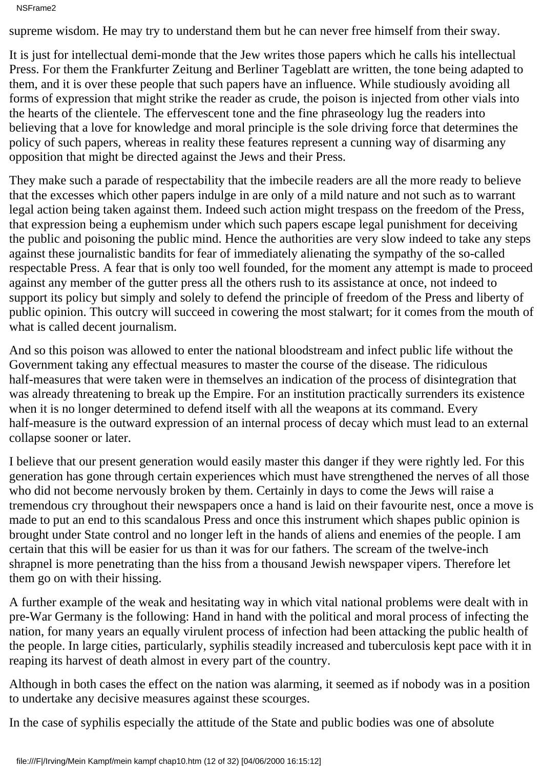supreme wisdom. He may try to understand them but he can never free himself from their sway.

It is just for intellectual demi-monde that the Jew writes those papers which he calls his intellectual Press. For them the Frankfurter Zeitung and Berliner Tageblatt are written, the tone being adapted to them, and it is over these people that such papers have an influence. While studiously avoiding all forms of expression that might strike the reader as crude, the poison is injected from other vials into the hearts of the clientele. The effervescent tone and the fine phraseology lug the readers into believing that a love for knowledge and moral principle is the sole driving force that determines the policy of such papers, whereas in reality these features represent a cunning way of disarming any opposition that might be directed against the Jews and their Press.

They make such a parade of respectability that the imbecile readers are all the more ready to believe that the excesses which other papers indulge in are only of a mild nature and not such as to warrant legal action being taken against them. Indeed such action might trespass on the freedom of the Press, that expression being a euphemism under which such papers escape legal punishment for deceiving the public and poisoning the public mind. Hence the authorities are very slow indeed to take any steps against these journalistic bandits for fear of immediately alienating the sympathy of the so-called respectable Press. A fear that is only too well founded, for the moment any attempt is made to proceed against any member of the gutter press all the others rush to its assistance at once, not indeed to support its policy but simply and solely to defend the principle of freedom of the Press and liberty of public opinion. This outcry will succeed in cowering the most stalwart; for it comes from the mouth of what is called decent journalism.

And so this poison was allowed to enter the national bloodstream and infect public life without the Government taking any effectual measures to master the course of the disease. The ridiculous half-measures that were taken were in themselves an indication of the process of disintegration that was already threatening to break up the Empire. For an institution practically surrenders its existence when it is no longer determined to defend itself with all the weapons at its command. Every half-measure is the outward expression of an internal process of decay which must lead to an external collapse sooner or later.

I believe that our present generation would easily master this danger if they were rightly led. For this generation has gone through certain experiences which must have strengthened the nerves of all those who did not become nervously broken by them. Certainly in days to come the Jews will raise a tremendous cry throughout their newspapers once a hand is laid on their favourite nest, once a move is made to put an end to this scandalous Press and once this instrument which shapes public opinion is brought under State control and no longer left in the hands of aliens and enemies of the people. I am certain that this will be easier for us than it was for our fathers. The scream of the twelve-inch shrapnel is more penetrating than the hiss from a thousand Jewish newspaper vipers. Therefore let them go on with their hissing.

A further example of the weak and hesitating way in which vital national problems were dealt with in pre-War Germany is the following: Hand in hand with the political and moral process of infecting the nation, for many years an equally virulent process of infection had been attacking the public health of the people. In large cities, particularly, syphilis steadily increased and tuberculosis kept pace with it in reaping its harvest of death almost in every part of the country.

Although in both cases the effect on the nation was alarming, it seemed as if nobody was in a position to undertake any decisive measures against these scourges.

In the case of syphilis especially the attitude of the State and public bodies was one of absolute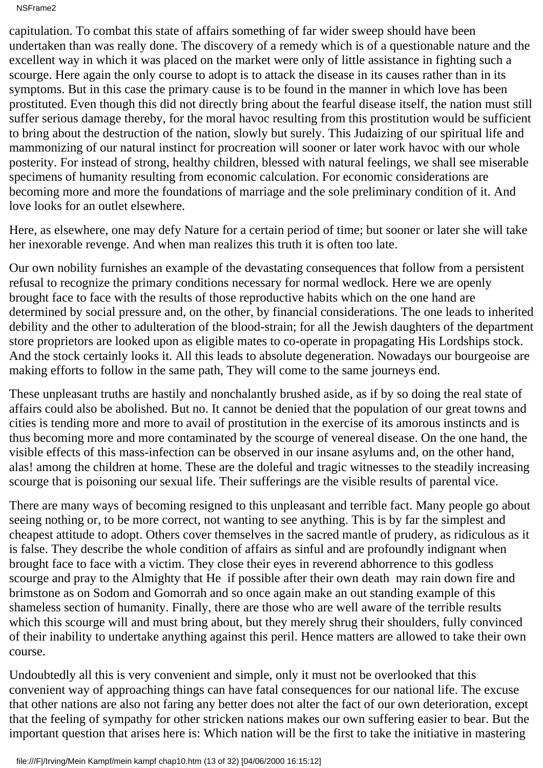capitulation. To combat this state of affairs something of far wider sweep should have been undertaken than was really done. The discovery of a remedy which is of a questionable nature and the excellent way in which it was placed on the market were only of little assistance in fighting such a scourge. Here again the only course to adopt is to attack the disease in its causes rather than in its symptoms. But in this case the primary cause is to be found in the manner in which love has been prostituted. Even though this did not directly bring about the fearful disease itself, the nation must still suffer serious damage thereby, for the moral havoc resulting from this prostitution would be sufficient to bring about the destruction of the nation, slowly but surely. This Judaizing of our spiritual life and mammonizing of our natural instinct for procreation will sooner or later work havoc with our whole posterity. For instead of strong, healthy children, blessed with natural feelings, we shall see miserable specimens of humanity resulting from economic calculation. For economic considerations are becoming more and more the foundations of marriage and the sole preliminary condition of it. And love looks for an outlet elsewhere.

Here, as elsewhere, one may defy Nature for a certain period of time; but sooner or later she will take her inexorable revenge. And when man realizes this truth it is often too late.

Our own nobility furnishes an example of the devastating consequences that follow from a persistent refusal to recognize the primary conditions necessary for normal wedlock. Here we are openly brought face to face with the results of those reproductive habits which on the one hand are determined by social pressure and, on the other, by financial considerations. The one leads to inherited debility and the other to adulteration of the blood-strain; for all the Jewish daughters of the department store proprietors are looked upon as eligible mates to co-operate in propagating His Lordship s stock. And the stock certainly looks it. All this leads to absolute degeneration. Nowadays our bourgeoise are making efforts to follow in the same path, They will come to the same journey s end.

These unpleasant truths are hastily and nonchalantly brushed aside, as if by so doing the real state of affairs could also be abolished. But no. It cannot be denied that the population of our great towns and cities is tending more and more to avail of prostitution in the exercise of its amorous instincts and is thus becoming more and more contaminated by the scourge of venereal disease. On the one hand, the visible effects of this mass-infection can be observed in our insane asylums and, on the other hand, alas! among the children at home. These are the doleful and tragic witnesses to the steadily increasing scourge that is poisoning our sexual life. Their sufferings are the visible results of parental vice.

There are many ways of becoming resigned to this unpleasant and terrible fact. Many people go about seeing nothing or, to be more correct, not wanting to see anything. This is by far the simplest and cheapest attitude to adopt. Others cover themselves in the sacred mantle of prudery, as ridiculous as it is false. They describe the whole condition of affairs as sinful and are profoundly indignant when brought face to face with a victim. They close their eyes in reverend abhorrence to this godless scourge and pray to the Almighty that He if possible after their own death may rain down fire and brimstone as on Sodom and Gomorrah and so once again make an out standing example of this shameless section of humanity. Finally, there are those who are well aware of the terrible results which this scourge will and must bring about, but they merely shrug their shoulders, fully convinced of their inability to undertake anything against this peril. Hence matters are allowed to take their own course.

Undoubtedly all this is very convenient and simple, only it must not be overlooked that this convenient way of approaching things can have fatal consequences for our national life. The excuse that other nations are also not faring any better does not alter the fact of our own deterioration, except that the feeling of sympathy for other stricken nations makes our own suffering easier to bear. But the important question that arises here is: Which nation will be the first to take the initiative in mastering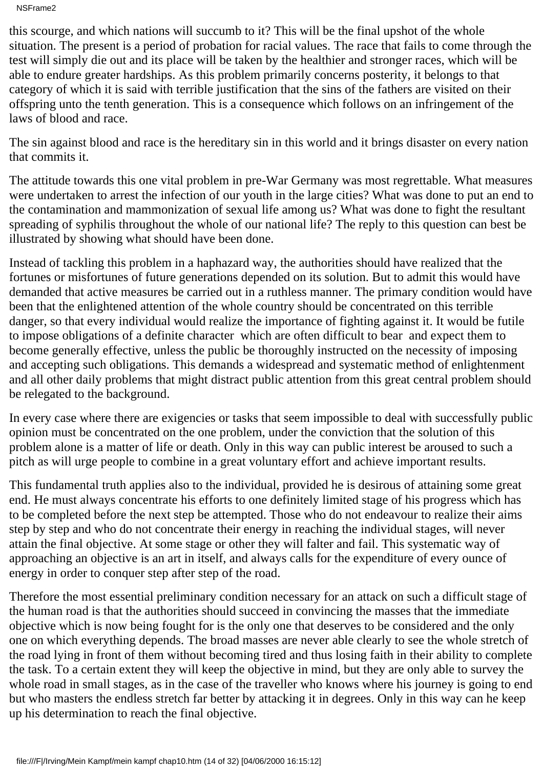this scourge, and which nations will succumb to it? This will be the final upshot of the whole situation. The present is a period of probation for racial values. The race that fails to come through the test will simply die out and its place will be taken by the healthier and stronger races, which will be able to endure greater hardships. As this problem primarily concerns posterity, it belongs to that category of which it is said with terrible justification that the sins of the fathers are visited on their offspring unto the tenth generation. This is a consequence which follows on an infringement of the laws of blood and race.

The sin against blood and race is the hereditary sin in this world and it brings disaster on every nation that commits it.

The attitude towards this one vital problem in pre-War Germany was most regrettable. What measures were undertaken to arrest the infection of our youth in the large cities? What was done to put an end to the contamination and mammonization of sexual life among us? What was done to fight the resultant spreading of syphilis throughout the whole of our national life? The reply to this question can best be illustrated by showing what should have been done.

Instead of tackling this problem in a haphazard way, the authorities should have realized that the fortunes or misfortunes of future generations depended on its solution. But to admit this would have demanded that active measures be carried out in a ruthless manner. The primary condition would have been that the enlightened attention of the whole country should be concentrated on this terrible danger, so that every individual would realize the importance of fighting against it. It would be futile to impose obligations of a definite character which are often difficult to bear and expect them to become generally effective, unless the public be thoroughly instructed on the necessity of imposing and accepting such obligations. This demands a widespread and systematic method of enlightenment and all other daily problems that might distract public attention from this great central problem should be relegated to the background.

In every case where there are exigencies or tasks that seem impossible to deal with successfully public opinion must be concentrated on the one problem, under the conviction that the solution of this problem alone is a matter of life or death. Only in this way can public interest be aroused to such a pitch as will urge people to combine in a great voluntary effort and achieve important results.

This fundamental truth applies also to the individual, provided he is desirous of attaining some great end. He must always concentrate his efforts to one definitely limited stage of his progress which has to be completed before the next step be attempted. Those who do not endeavour to realize their aims step by step and who do not concentrate their energy in reaching the individual stages, will never attain the final objective. At some stage or other they will falter and fail. This systematic way of approaching an objective is an art in itself, and always calls for the expenditure of every ounce of energy in order to conquer step after step of the road.

Therefore the most essential preliminary condition necessary for an attack on such a difficult stage of the human road is that the authorities should succeed in convincing the masses that the immediate objective which is now being fought for is the only one that deserves to be considered and the only one on which everything depends. The broad masses are never able clearly to see the whole stretch of the road lying in front of them without becoming tired and thus losing faith in their ability to complete the task. To a certain extent they will keep the objective in mind, but they are only able to survey the whole road in small stages, as in the case of the traveller who knows where his journey is going to end but who masters the endless stretch far better by attacking it in degrees. Only in this way can he keep up his determination to reach the final objective.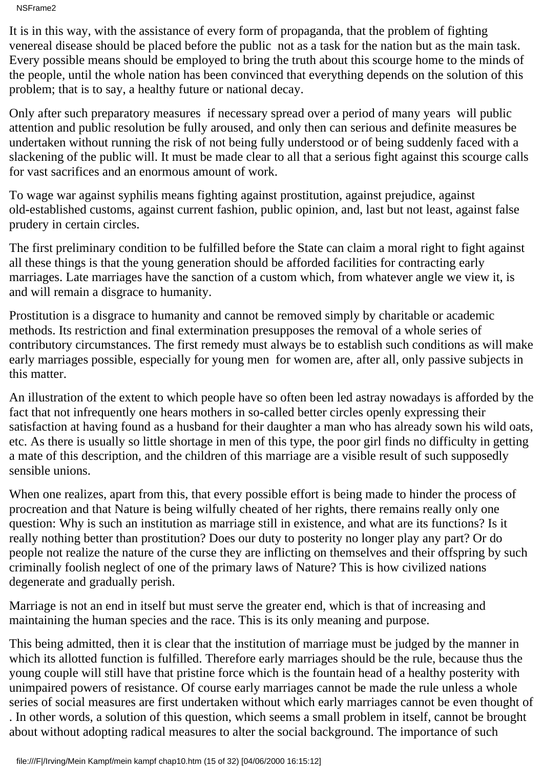NSFrame2

It is in this way, with the assistance of every form of propaganda, that the problem of fighting venereal disease should be placed before the public not as a task for the nation but as the main task. Every possible means should be employed to bring the truth about this scourge home to the minds of the people, until the whole nation has been convinced that everything depends on the solution of this problem; that is to say, a healthy future or national decay.

Only after such preparatory measures if necessary spread over a period of many years will public attention and public resolution be fully aroused, and only then can serious and definite measures be undertaken without running the risk of not being fully understood or of being suddenly faced with a slackening of the public will. It must be made clear to all that a serious fight against this scourge calls for vast sacrifices and an enormous amount of work.

To wage war against syphilis means fighting against prostitution, against prejudice, against old-established customs, against current fashion, public opinion, and, last but not least, against false prudery in certain circles.

The first preliminary condition to be fulfilled before the State can claim a moral right to fight against all these things is that the young generation should be afforded facilities for contracting early marriages. Late marriages have the sanction of a custom which, from whatever angle we view it, is and will remain a disgrace to humanity.

Prostitution is a disgrace to humanity and cannot be removed simply by charitable or academic methods. Its restriction and final extermination presupposes the removal of a whole series of contributory circumstances. The first remedy must always be to establish such conditions as will make early marriages possible, especially for young men for women are, after all, only passive subjects in this matter.

An illustration of the extent to which people have so often been led astray nowadays is afforded by the fact that not infrequently one hears mothers in so-called better circles openly expressing their satisfaction at having found as a husband for their daughter a man who has already sown his wild oats, etc. As there is usually so little shortage in men of this type, the poor girl finds no difficulty in getting a mate of this description, and the children of this marriage are a visible result of such supposedly sensible unions.

When one realizes, apart from this, that every possible effort is being made to hinder the process of procreation and that Nature is being wilfully cheated of her rights, there remains really only one question: Why is such an institution as marriage still in existence, and what are its functions? Is it really nothing better than prostitution? Does our duty to posterity no longer play any part? Or do people not realize the nature of the curse they are inflicting on themselves and their offspring by such criminally foolish neglect of one of the primary laws of Nature? This is how civilized nations degenerate and gradually perish.

Marriage is not an end in itself but must serve the greater end, which is that of increasing and maintaining the human species and the race. This is its only meaning and purpose.

This being admitted, then it is clear that the institution of marriage must be judged by the manner in which its allotted function is fulfilled. Therefore early marriages should be the rule, because thus the young couple will still have that pristine force which is the fountain head of a healthy posterity with unimpaired powers of resistance. Of course early marriages cannot be made the rule unless a whole series of social measures are first undertaken without which early marriages cannot be even thought of . In other words, a solution of this question, which seems a small problem in itself, cannot be brought about without adopting radical measures to alter the social background. The importance of such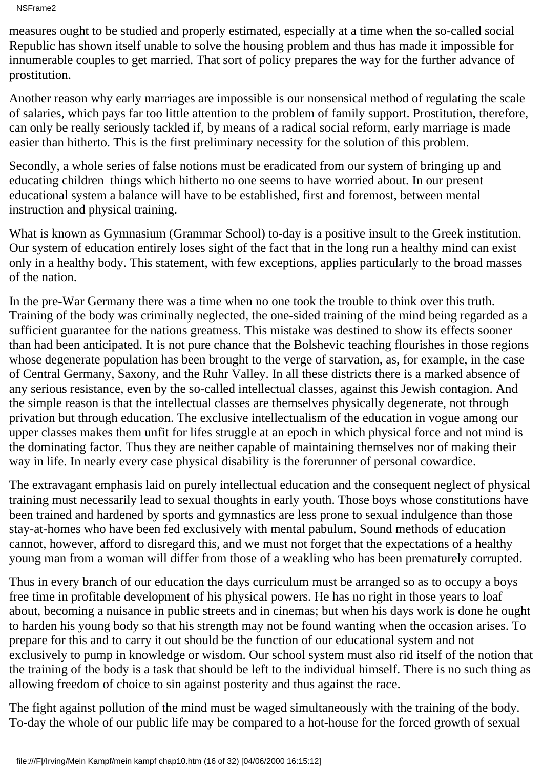NSFrame2

measures ought to be studied and properly estimated, especially at a time when the so-called social Republic has shown itself unable to solve the housing problem and thus has made it impossible for innumerable couples to get married. That sort of policy prepares the way for the further advance of prostitution.

Another reason why early marriages are impossible is our nonsensical method of regulating the scale of salaries, which pays far too little attention to the problem of family support. Prostitution, therefore, can only be really seriously tackled if, by means of a radical social reform, early marriage is made easier than hitherto. This is the first preliminary necessity for the solution of this problem.

Secondly, a whole series of false notions must be eradicated from our system of bringing up and educating children things which hitherto no one seems to have worried about. In our present educational system a balance will have to be established, first and foremost, between mental instruction and physical training.

What is known as Gymnasium (Grammar School) to-day is a positive insult to the Greek institution. Our system of education entirely loses sight of the fact that in the long run a healthy mind can exist only in a healthy body. This statement, with few exceptions, applies particularly to the broad masses of the nation.

In the pre-War Germany there was a time when no one took the trouble to think over this truth. Training of the body was criminally neglected, the one-sided training of the mind being regarded as a sufficient guarantee for the nation s greatness. This mistake was destined to show its effects sooner than had been anticipated. It is not pure chance that the Bolshevic teaching flourishes in those regions whose degenerate population has been brought to the verge of starvation, as, for example, in the case of Central Germany, Saxony, and the Ruhr Valley. In all these districts there is a marked absence of any serious resistance, even by the so-called intellectual classes, against this Jewish contagion. And the simple reason is that the intellectual classes are themselves physically degenerate, not through privation but through education. The exclusive intellectualism of the education in vogue among our upper classes makes them unfit for life s struggle at an epoch in which physical force and not mind is the dominating factor. Thus they are neither capable of maintaining themselves nor of making their way in life. In nearly every case physical disability is the forerunner of personal cowardice.

The extravagant emphasis laid on purely intellectual education and the consequent neglect of physical training must necessarily lead to sexual thoughts in early youth. Those boys whose constitutions have been trained and hardened by sports and gymnastics are less prone to sexual indulgence than those stay-at-homes who have been fed exclusively with mental pabulum. Sound methods of education cannot, however, afford to disregard this, and we must not forget that the expectations of a healthy young man from a woman will differ from those of a weakling who has been prematurely corrupted.

Thus in every branch of our education the day s curriculum must be arranged so as to occupy a boy s free time in profitable development of his physical powers. He has no right in those years to loaf about, becoming a nuisance in public streets and in cinemas; but when his days work is done he ought to harden his young body so that his strength may not be found wanting when the occasion arises. To prepare for this and to carry it out should be the function of our educational system and not exclusively to pump in knowledge or wisdom. Our school system must also rid itself of the notion that the training of the body is a task that should be left to the individual himself. There is no such thing as allowing freedom of choice to sin against posterity and thus against the race.

The fight against pollution of the mind must be waged simultaneously with the training of the body. To-day the whole of our public life may be compared to a hot-house for the forced growth of sexual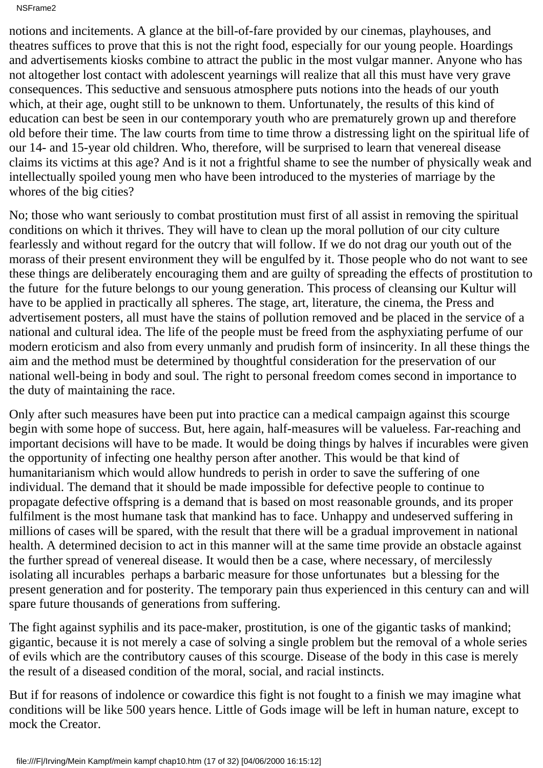notions and incitements. A glance at the bill-of-fare provided by our cinemas, playhouses, and theatres suffices to prove that this is not the right food, especially for our young people. Hoardings and advertisements kiosks combine to attract the public in the most vulgar manner. Anyone who has not altogether lost contact with adolescent yearnings will realize that all this must have very grave consequences. This seductive and sensuous atmosphere puts notions into the heads of our youth which, at their age, ought still to be unknown to them. Unfortunately, the results of this kind of education can best be seen in our contemporary youth who are prematurely grown up and therefore old before their time. The law courts from time to time throw a distressing light on the spiritual life of our 14- and 15-year old children. Who, therefore, will be surprised to learn that venereal disease claims its victims at this age? And is it not a frightful shame to see the number of physically weak and intellectually spoiled young men who have been introduced to the mysteries of marriage by the whores of the big cities?

No; those who want seriously to combat prostitution must first of all assist in removing the spiritual conditions on which it thrives. They will have to clean up the moral pollution of our city culture fearlessly and without regard for the outcry that will follow. If we do not drag our youth out of the morass of their present environment they will be engulfed by it. Those people who do not want to see these things are deliberately encouraging them and are guilty of spreading the effects of prostitution to the future for the future belongs to our young generation. This process of cleansing our Kultur will have to be applied in practically all spheres. The stage, art, literature, the cinema, the Press and advertisement posters, all must have the stains of pollution removed and be placed in the service of a national and cultural idea. The life of the people must be freed from the asphyxiating perfume of our modern eroticism and also from every unmanly and prudish form of insincerity. In all these things the aim and the method must be determined by thoughtful consideration for the preservation of our national well-being in body and soul. The right to personal freedom comes second in importance to the duty of maintaining the race.

Only after such measures have been put into practice can a medical campaign against this scourge begin with some hope of success. But, here again, half-measures will be valueless. Far-reaching and important decisions will have to be made. It would be doing things by halves if incurables were given the opportunity of infecting one healthy person after another. This would be that kind of humanitarianism which would allow hundreds to perish in order to save the suffering of one individual. The demand that it should be made impossible for defective people to continue to propagate defective offspring is a demand that is based on most reasonable grounds, and its proper fulfilment is the most humane task that mankind has to face. Unhappy and undeserved suffering in millions of cases will be spared, with the result that there will be a gradual improvement in national health. A determined decision to act in this manner will at the same time provide an obstacle against the further spread of venereal disease. It would then be a case, where necessary, of mercilessly isolating all incurables perhaps a barbaric measure for those unfortunates but a blessing for the present generation and for posterity. The temporary pain thus experienced in this century can and will spare future thousands of generations from suffering.

The fight against syphilis and its pace-maker, prostitution, is one of the gigantic tasks of mankind; gigantic, because it is not merely a case of solving a single problem but the removal of a whole series of evils which are the contributory causes of this scourge. Disease of the body in this case is merely the result of a diseased condition of the moral, social, and racial instincts.

But if for reasons of indolence or cowardice this fight is not fought to a finish we may imagine what conditions will be like 500 years hence. Little of God s image will be left in human nature, except to mock the Creator.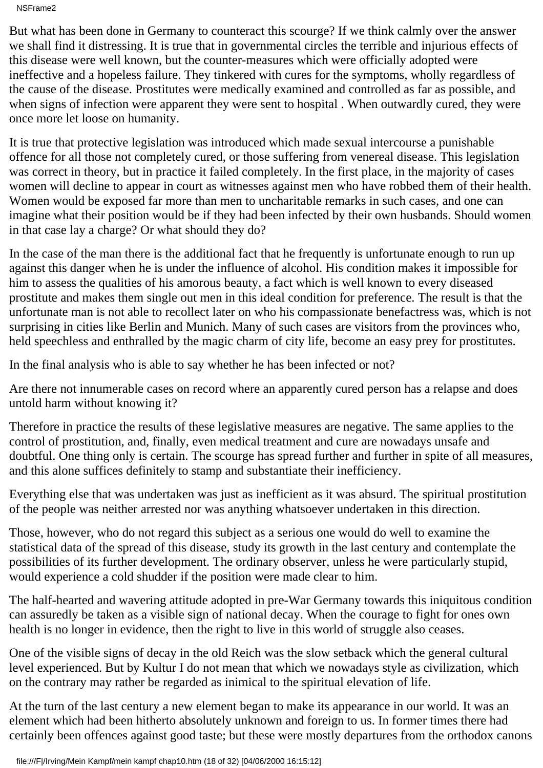NSFrame2

But what has been done in Germany to counteract this scourge? If we think calmly over the answer we shall find it distressing. It is true that in governmental circles the terrible and injurious effects of this disease were well known, but the counter-measures which were officially adopted were ineffective and a hopeless failure. They tinkered with cures for the symptoms, wholly regardless of the cause of the disease. Prostitutes were medically examined and controlled as far as possible, and when signs of infection were apparent they were sent to hospital . When outwardly cured, they were once more let loose on humanity.

It is true that protective legislation was introduced which made sexual intercourse a punishable offence for all those not completely cured, or those suffering from venereal disease. This legislation was correct in theory, but in practice it failed completely. In the first place, in the majority of cases women will decline to appear in court as witnesses against men who have robbed them of their health. Women would be exposed far more than men to uncharitable remarks in such cases, and one can imagine what their position would be if they had been infected by their own husbands. Should women in that case lay a charge? Or what should they do?

In the case of the man there is the additional fact that he frequently is unfortunate enough to run up against this danger when he is under the influence of alcohol. His condition makes it impossible for him to assess the qualities of his amorous beauty, a fact which is well known to every diseased prostitute and makes them single out men in this ideal condition for preference. The result is that the unfortunate man is not able to recollect later on who his compassionate benefactress was, which is not surprising in cities like Berlin and Munich. Many of such cases are visitors from the provinces who, held speechless and enthralled by the magic charm of city life, become an easy prey for prostitutes.

In the final analysis who is able to say whether he has been infected or not?

Are there not innumerable cases on record where an apparently cured person has a relapse and does untold harm without knowing it?

Therefore in practice the results of these legislative measures are negative. The same applies to the control of prostitution, and, finally, even medical treatment and cure are nowadays unsafe and doubtful. One thing only is certain. The scourge has spread further and further in spite of all measures, and this alone suffices definitely to stamp and substantiate their inefficiency.

Everything else that was undertaken was just as inefficient as it was absurd. The spiritual prostitution of the people was neither arrested nor was anything whatsoever undertaken in this direction.

Those, however, who do not regard this subject as a serious one would do well to examine the statistical data of the spread of this disease, study its growth in the last century and contemplate the possibilities of its further development. The ordinary observer, unless he were particularly stupid, would experience a cold shudder if the position were made clear to him.

The half-hearted and wavering attitude adopted in pre-War Germany towards this iniquitous condition can assuredly be taken as a visible sign of national decay. When the courage to fight for ones own health is no longer in evidence, then the right to live in this world of struggle also ceases.

One of the visible signs of decay in the old Reich was the slow setback which the general cultural level experienced. But by Kultur I do not mean that which we nowadays style as civilization, which on the contrary may rather be regarded as inimical to the spiritual elevation of life.

At the turn of the last century a new element began to make its appearance in our world. It was an element which had been hitherto absolutely unknown and foreign to us. In former times there had certainly been offences against good taste; but these were mostly departures from the orthodox canons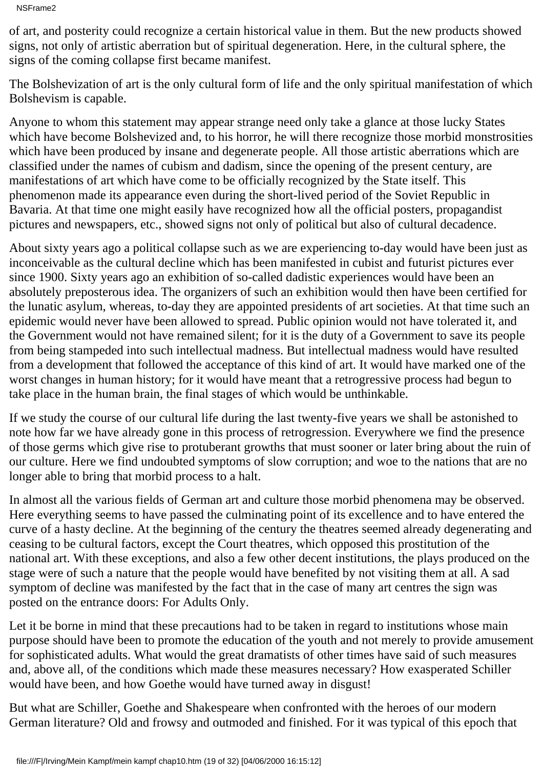NSFrame2

of art, and posterity could recognize a certain historical value in them. But the new products showed signs, not only of artistic aberration but of spiritual degeneration. Here, in the cultural sphere, the signs of the coming collapse first became manifest.

The Bolshevization of art is the only cultural form of life and the only spiritual manifestation of which Bolshevism is capable.

Anyone to whom this statement may appear strange need only take a glance at those lucky States which have become Bolshevized and, to his horror, he will there recognize those morbid monstrosities which have been produced by insane and degenerate people. All those artistic aberrations which are classified under the names of cubism and dadism, since the opening of the present century, are manifestations of art which have come to be officially recognized by the State itself. This phenomenon made its appearance even during the short-lived period of the Soviet Republic in Bavaria. At that time one might easily have recognized how all the official posters, propagandist pictures and newspapers, etc., showed signs not only of political but also of cultural decadence.

About sixty years ago a political collapse such as we are experiencing to-day would have been just as inconceivable as the cultural decline which has been manifested in cubist and futurist pictures ever since 1900. Sixty years ago an exhibition of so-called dadistic experiences would have been an absolutely preposterous idea. The organizers of such an exhibition would then have been certified for the lunatic asylum, whereas, to-day they are appointed presidents of art societies. At that time such an epidemic would never have been allowed to spread. Public opinion would not have tolerated it, and the Government would not have remained silent; for it is the duty of a Government to save its people from being stampeded into such intellectual madness. But intellectual madness would have resulted from a development that followed the acceptance of this kind of art. It would have marked one of the worst changes in human history; for it would have meant that a retrogressive process had begun to take place in the human brain, the final stages of which would be unthinkable.

If we study the course of our cultural life during the last twenty-five years we shall be astonished to note how far we have already gone in this process of retrogression. Everywhere we find the presence of those germs which give rise to protuberant growths that must sooner or later bring about the ruin of our culture. Here we find undoubted symptoms of slow corruption; and woe to the nations that are no longer able to bring that morbid process to a halt.

In almost all the various fields of German art and culture those morbid phenomena may be observed. Here everything seems to have passed the culminating point of its excellence and to have entered the curve of a hasty decline. At the beginning of the century the theatres seemed already degenerating and ceasing to be cultural factors, except the Court theatres, which opposed this prostitution of the national art. With these exceptions, and also a few other decent institutions, the plays produced on the stage were of such a nature that the people would have benefited by not visiting them at all. A sad symptom of decline was manifested by the fact that in the case of many art centres the sign was posted on the entrance doors: For Adults Only.

Let it be borne in mind that these precautions had to be taken in regard to institutions whose main purpose should have been to promote the education of the youth and not merely to provide amusement for sophisticated adults. What would the great dramatists of other times have said of such measures and, above all, of the conditions which made these measures necessary? How exasperated Schiller would have been, and how Goethe would have turned away in disgust!

But what are Schiller, Goethe and Shakespeare when confronted with the heroes of our modern German literature? Old and frowsy and outmoded and finished. For it was typical of this epoch that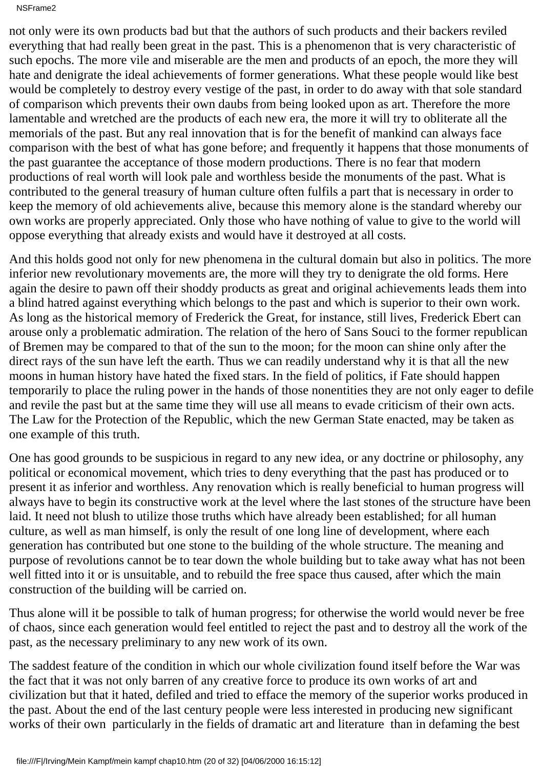NSFrame2

not only were its own products bad but that the authors of such products and their backers reviled everything that had really been great in the past. This is a phenomenon that is very characteristic of such epochs. The more vile and miserable are the men and products of an epoch, the more they will hate and denigrate the ideal achievements of former generations. What these people would like best would be completely to destroy every vestige of the past, in order to do away with that sole standard of comparison which prevents their own daubs from being looked upon as art. Therefore the more lamentable and wretched are the products of each new era, the more it will try to obliterate all the memorials of the past. But any real innovation that is for the benefit of mankind can always face comparison with the best of what has gone before; and frequently it happens that those monuments of the past guarantee the acceptance of those modern productions. There is no fear that modern productions of real worth will look pale and worthless beside the monuments of the past. What is contributed to the general treasury of human culture often fulfils a part that is necessary in order to keep the memory of old achievements alive, because this memory alone is the standard whereby our own works are properly appreciated. Only those who have nothing of value to give to the world will oppose everything that already exists and would have it destroyed at all costs.

And this holds good not only for new phenomena in the cultural domain but also in politics. The more inferior new revolutionary movements are, the more will they try to denigrate the old forms. Here again the desire to pawn off their shoddy products as great and original achievements leads them into a blind hatred against everything which belongs to the past and which is superior to their own work. As long as the historical memory of Frederick the Great, for instance, still lives, Frederick Ebert can arouse only a problematic admiration. The relation of the hero of Sans Souci to the former republican of Bremen may be compared to that of the sun to the moon; for the moon can shine only after the direct rays of the sun have left the earth. Thus we can readily understand why it is that all the new moons in human history have hated the fixed stars. In the field of politics, if Fate should happen temporarily to place the ruling power in the hands of those nonentities they are not only eager to defile and revile the past but at the same time they will use all means to evade criticism of their own acts. The Law for the Protection of the Republic, which the new German State enacted, may be taken as one example of this truth.

One has good grounds to be suspicious in regard to any new idea, or any doctrine or philosophy, any political or economical movement, which tries to deny everything that the past has produced or to present it as inferior and worthless. Any renovation which is really beneficial to human progress will always have to begin its constructive work at the level where the last stones of the structure have been laid. It need not blush to utilize those truths which have already been established; for all human culture, as well as man himself, is only the result of one long line of development, where each generation has contributed but one stone to the building of the whole structure. The meaning and purpose of revolutions cannot be to tear down the whole building but to take away what has not been well fitted into it or is unsuitable, and to rebuild the free space thus caused, after which the main construction of the building will be carried on.

Thus alone will it be possible to talk of human progress; for otherwise the world would never be free of chaos, since each generation would feel entitled to reject the past and to destroy all the work of the past, as the necessary preliminary to any new work of its own.

The saddest feature of the condition in which our whole civilization found itself before the War was the fact that it was not only barren of any creative force to produce its own works of art and civilization but that it hated, defiled and tried to efface the memory of the superior works produced in the past. About the end of the last century people were less interested in producing new significant works of their own particularly in the fields of dramatic art and literature than in defaming the best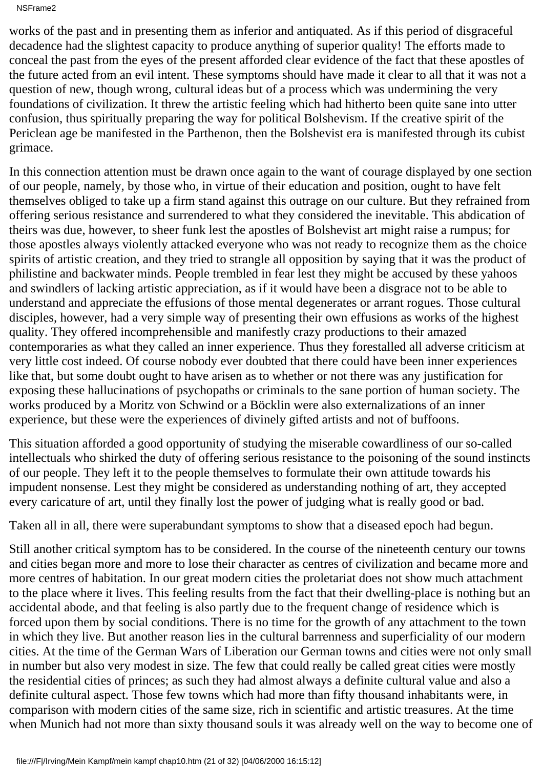NSFrame2

works of the past and in presenting them as inferior and antiquated. As if this period of disgraceful decadence had the slightest capacity to produce anything of superior quality! The efforts made to conceal the past from the eyes of the present afforded clear evidence of the fact that these apostles of the future acted from an evil intent. These symptoms should have made it clear to all that it was not a question of new, though wrong, cultural ideas but of a process which was undermining the very foundations of civilization. It threw the artistic feeling which had hitherto been quite sane into utter confusion, thus spiritually preparing the way for political Bolshevism. If the creative spirit of the Periclean age be manifested in the Parthenon, then the Bolshevist era is manifested through its cubist grimace.

In this connection attention must be drawn once again to the want of courage displayed by one section of our people, namely, by those who, in virtue of their education and position, ought to have felt themselves obliged to take up a firm stand against this outrage on our culture. But they refrained from offering serious resistance and surrendered to what they considered the inevitable. This abdication of theirs was due, however, to sheer funk lest the apostles of Bolshevist art might raise a rumpus; for those apostles always violently attacked everyone who was not ready to recognize them as the choice spirits of artistic creation, and they tried to strangle all opposition by saying that it was the product of philistine and backwater minds. People trembled in fear lest they might be accused by these yahoos and swindlers of lacking artistic appreciation, as if it would have been a disgrace not to be able to understand and appreciate the effusions of those mental degenerates or arrant rogues. Those cultural disciples, however, had a very simple way of presenting their own effusions as works of the highest quality. They offered incomprehensible and manifestly crazy productions to their amazed contemporaries as what they called an inner experience. Thus they forestalled all adverse criticism at very little cost indeed. Of course nobody ever doubted that there could have been inner experiences like that, but some doubt ought to have arisen as to whether or not there was any justification for exposing these hallucinations of psychopaths or criminals to the sane portion of human society. The works produced by a Moritz von Schwind or a Böcklin were also externalizations of an inner experience, but these were the experiences of divinely gifted artists and not of buffoons.

This situation afforded a good opportunity of studying the miserable cowardliness of our so-called intellectuals who shirked the duty of offering serious resistance to the poisoning of the sound instincts of our people. They left it to the people themselves to formulate their own attitude towards his impudent nonsense. Lest they might be considered as understanding nothing of art, they accepted every caricature of art, until they finally lost the power of judging what is really good or bad.

Taken all in all, there were superabundant symptoms to show that a diseased epoch had begun.

Still another critical symptom has to be considered. In the course of the nineteenth century our towns and cities began more and more to lose their character as centres of civilization and became more and more centres of habitation. In our great modern cities the proletariat does not show much attachment to the place where it lives. This feeling results from the fact that their dwelling-place is nothing but an accidental abode, and that feeling is also partly due to the frequent change of residence which is forced upon them by social conditions. There is no time for the growth of any attachment to the town in which they live. But another reason lies in the cultural barrenness and superficiality of our modern cities. At the time of the German Wars of Liberation our German towns and cities were not only small in number but also very modest in size. The few that could really be called great cities were mostly the residential cities of princes; as such they had almost always a definite cultural value and also a definite cultural aspect. Those few towns which had more than fifty thousand inhabitants were, in comparison with modern cities of the same size, rich in scientific and artistic treasures. At the time when Munich had not more than sixty thousand souls it was already well on the way to become one of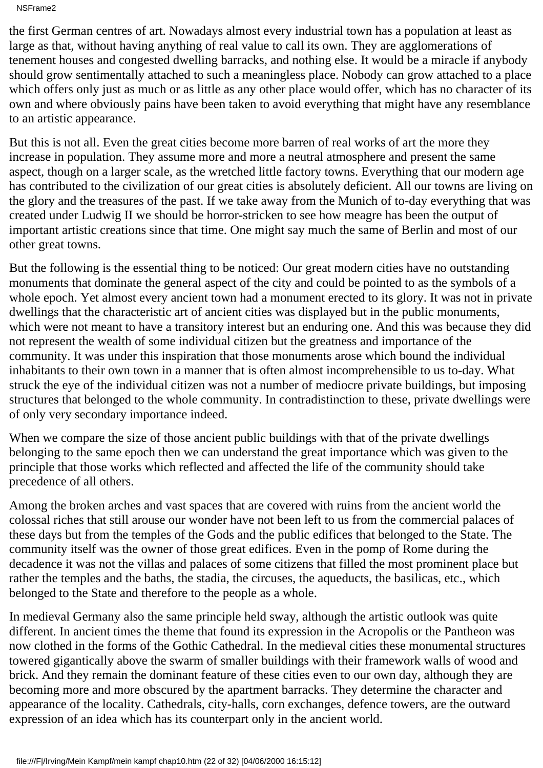NSFrame2

the first German centres of art. Nowadays almost every industrial town has a population at least as large as that, without having anything of real value to call its own. They are agglomerations of tenement houses and congested dwelling barracks, and nothing else. It would be a miracle if anybody should grow sentimentally attached to such a meaningless place. Nobody can grow attached to a place which offers only just as much or as little as any other place would offer, which has no character of its own and where obviously pains have been taken to avoid everything that might have any resemblance to an artistic appearance.

But this is not all. Even the great cities become more barren of real works of art the more they increase in population. They assume more and more a neutral atmosphere and present the same aspect, though on a larger scale, as the wretched little factory towns. Everything that our modern age has contributed to the civilization of our great cities is absolutely deficient. All our towns are living on the glory and the treasures of the past. If we take away from the Munich of to-day everything that was created under Ludwig II we should be horror-stricken to see how meagre has been the output of important artistic creations since that time. One might say much the same of Berlin and most of our other great towns.

But the following is the essential thing to be noticed: Our great modern cities have no outstanding monuments that dominate the general aspect of the city and could be pointed to as the symbols of a whole epoch. Yet almost every ancient town had a monument erected to its glory. It was not in private dwellings that the characteristic art of ancient cities was displayed but in the public monuments, which were not meant to have a transitory interest but an enduring one. And this was because they did not represent the wealth of some individual citizen but the greatness and importance of the community. It was under this inspiration that those monuments arose which bound the individual inhabitants to their own town in a manner that is often almost incomprehensible to us to-day. What struck the eye of the individual citizen was not a number of mediocre private buildings, but imposing structures that belonged to the whole community. In contradistinction to these, private dwellings were of only very secondary importance indeed.

When we compare the size of those ancient public buildings with that of the private dwellings belonging to the same epoch then we can understand the great importance which was given to the principle that those works which reflected and affected the life of the community should take precedence of all others.

Among the broken arches and vast spaces that are covered with ruins from the ancient world the colossal riches that still arouse our wonder have not been left to us from the commercial palaces of these days but from the temples of the Gods and the public edifices that belonged to the State. The community itself was the owner of those great edifices. Even in the pomp of Rome during the decadence it was not the villas and palaces of some citizens that filled the most prominent place but rather the temples and the baths, the stadia, the circuses, the aqueducts, the basilicas, etc., which belonged to the State and therefore to the people as a whole.

In medieval Germany also the same principle held sway, although the artistic outlook was quite different. In ancient times the theme that found its expression in the Acropolis or the Pantheon was now clothed in the forms of the Gothic Cathedral. In the medieval cities these monumental structures towered gigantically above the swarm of smaller buildings with their framework walls of wood and brick. And they remain the dominant feature of these cities even to our own day, although they are becoming more and more obscured by the apartment barracks. They determine the character and appearance of the locality. Cathedrals, city-halls, corn exchanges, defence towers, are the outward expression of an idea which has its counterpart only in the ancient world.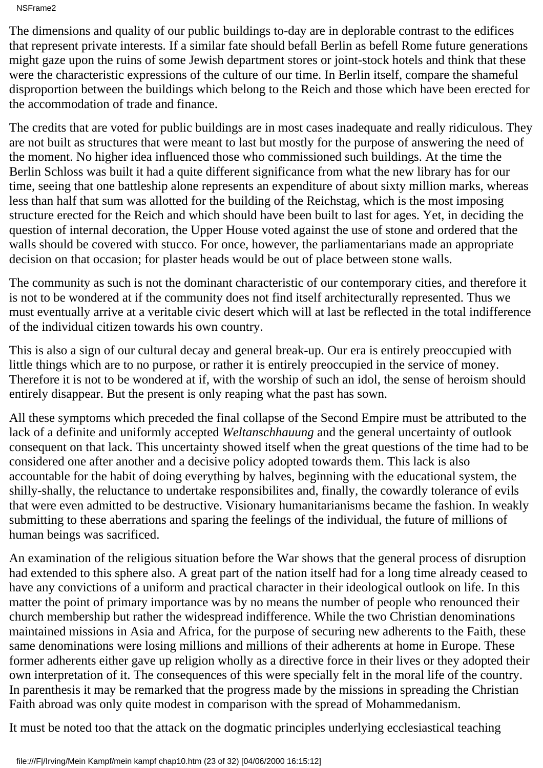NSFrame2

The dimensions and quality of our public buildings to-day are in deplorable contrast to the edifices that represent private interests. If a similar fate should befall Berlin as befell Rome future generations might gaze upon the ruins of some Jewish department stores or joint-stock hotels and think that these were the characteristic expressions of the culture of our time. In Berlin itself, compare the shameful disproportion between the buildings which belong to the Reich and those which have been erected for the accommodation of trade and finance.

The credits that are voted for public buildings are in most cases inadequate and really ridiculous. They are not built as structures that were meant to last but mostly for the purpose of answering the need of the moment. No higher idea influenced those who commissioned such buildings. At the time the Berlin Schloss was built it had a quite different significance from what the new library has for our time, seeing that one battleship alone represents an expenditure of about sixty million marks, whereas less than half that sum was allotted for the building of the Reichstag, which is the most imposing structure erected for the Reich and which should have been built to last for ages. Yet, in deciding the question of internal decoration, the Upper House voted against the use of stone and ordered that the walls should be covered with stucco. For once, however, the parliamentarians made an appropriate decision on that occasion; for plaster heads would be out of place between stone walls.

The community as such is not the dominant characteristic of our contemporary cities, and therefore it is not to be wondered at if the community does not find itself architecturally represented. Thus we must eventually arrive at a veritable civic desert which will at last be reflected in the total indifference of the individual citizen towards his own country.

This is also a sign of our cultural decay and general break-up. Our era is entirely preoccupied with little things which are to no purpose, or rather it is entirely preoccupied in the service of money. Therefore it is not to be wondered at if, with the worship of such an idol, the sense of heroism should entirely disappear. But the present is only reaping what the past has sown.

All these symptoms which preceded the final collapse of the Second Empire must be attributed to the lack of a definite and uniformly accepted *Weltanschhauung* and the general uncertainty of outlook consequent on that lack. This uncertainty showed itself when the great questions of the time had to be considered one after another and a decisive policy adopted towards them. This lack is also accountable for the habit of doing everything by halves, beginning with the educational system, the shilly-shally, the reluctance to undertake responsibilites and, finally, the cowardly tolerance of evils that were even admitted to be destructive. Visionary humanitarianisms became the fashion. In weakly submitting to these aberrations and sparing the feelings of the individual, the future of millions of human beings was sacrificed.

An examination of the religious situation before the War shows that the general process of disruption had extended to this sphere also. A great part of the nation itself had for a long time already ceased to have any convictions of a uniform and practical character in their ideological outlook on life. In this matter the point of primary importance was by no means the number of people who renounced their church membership but rather the widespread indifference. While the two Christian denominations maintained missions in Asia and Africa, for the purpose of securing new adherents to the Faith, these same denominations were losing millions and millions of their adherents at home in Europe. These former adherents either gave up religion wholly as a directive force in their lives or they adopted their own interpretation of it. The consequences of this were specially felt in the moral life of the country. In parenthesis it may be remarked that the progress made by the missions in spreading the Christian Faith abroad was only quite modest in comparison with the spread of Mohammedanism.

It must be noted too that the attack on the dogmatic principles underlying ecclesiastical teaching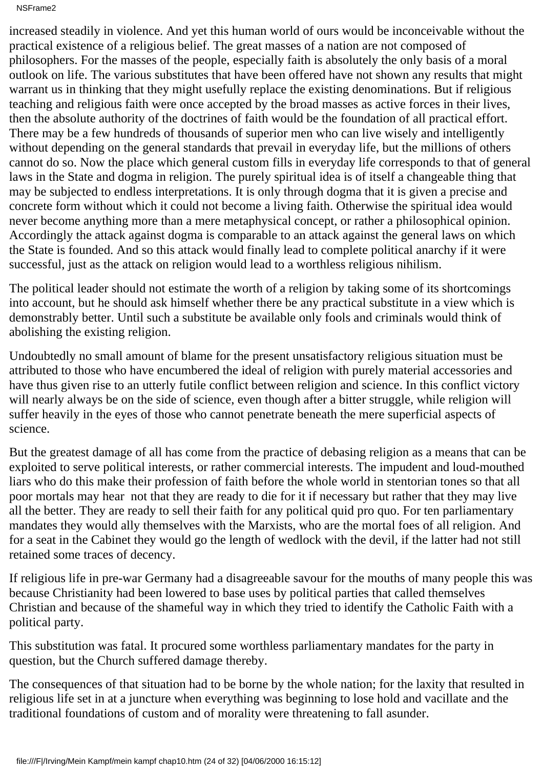increased steadily in violence. And yet this human world of ours would be inconceivable without the practical existence of a religious belief. The great masses of a nation are not composed of philosophers. For the masses of the people, especially faith is absolutely the only basis of a moral outlook on life. The various substitutes that have been offered have not shown any results that might warrant us in thinking that they might usefully replace the existing denominations. But if religious teaching and religious faith were once accepted by the broad masses as active forces in their lives, then the absolute authority of the doctrines of faith would be the foundation of all practical effort. There may be a few hundreds of thousands of superior men who can live wisely and intelligently without depending on the general standards that prevail in everyday life, but the millions of others cannot do so. Now the place which general custom fills in everyday life corresponds to that of general laws in the State and dogma in religion. The purely spiritual idea is of itself a changeable thing that may be subjected to endless interpretations. It is only through dogma that it is given a precise and concrete form without which it could not become a living faith. Otherwise the spiritual idea would never become anything more than a mere metaphysical concept, or rather a philosophical opinion. Accordingly the attack against dogma is comparable to an attack against the general laws on which the State is founded. And so this attack would finally lead to complete political anarchy if it were successful, just as the attack on religion would lead to a worthless religious nihilism.

The political leader should not estimate the worth of a religion by taking some of its shortcomings into account, but he should ask himself whether there be any practical substitute in a view which is demonstrably better. Until such a substitute be available only fools and criminals would think of abolishing the existing religion.

Undoubtedly no small amount of blame for the present unsatisfactory religious situation must be attributed to those who have encumbered the ideal of religion with purely material accessories and have thus given rise to an utterly futile conflict between religion and science. In this conflict victory will nearly always be on the side of science, even though after a bitter struggle, while religion will suffer heavily in the eyes of those who cannot penetrate beneath the mere superficial aspects of science.

But the greatest damage of all has come from the practice of debasing religion as a means that can be exploited to serve political interests, or rather commercial interests. The impudent and loud-mouthed liars who do this make their profession of faith before the whole world in stentorian tones so that all poor mortals may hear not that they are ready to die for it if necessary but rather that they may live all the better. They are ready to sell their faith for any political quid pro quo. For ten parliamentary mandates they would ally themselves with the Marxists, who are the mortal foes of all religion. And for a seat in the Cabinet they would go the length of wedlock with the devil, if the latter had not still retained some traces of decency.

If religious life in pre-war Germany had a disagreeable savour for the mouths of many people this was because Christianity had been lowered to base uses by political parties that called themselves Christian and because of the shameful way in which they tried to identify the Catholic Faith with a political party.

This substitution was fatal. It procured some worthless parliamentary mandates for the party in question, but the Church suffered damage thereby.

The consequences of that situation had to be borne by the whole nation; for the laxity that resulted in religious life set in at a juncture when everything was beginning to lose hold and vacillate and the traditional foundations of custom and of morality were threatening to fall asunder.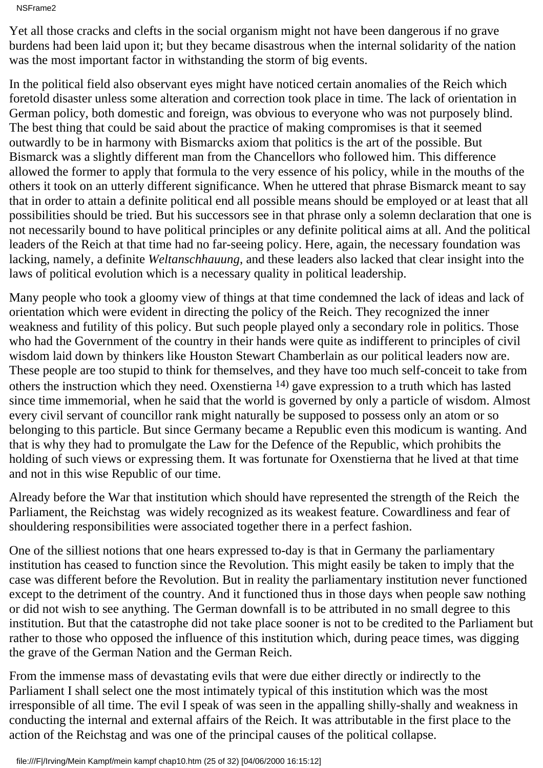NSFrame2

Yet all those cracks and clefts in the social organism might not have been dangerous if no grave burdens had been laid upon it; but they became disastrous when the internal solidarity of the nation was the most important factor in withstanding the storm of big events.

In the political field also observant eyes might have noticed certain anomalies of the Reich which foretold disaster unless some alteration and correction took place in time. The lack of orientation in German policy, both domestic and foreign, was obvious to everyone who was not purposely blind. The best thing that could be said about the practice of making compromises is that it seemed outwardly to be in harmony with Bismarck s axiom that politics is the art of the possible. But Bismarck was a slightly different man from the Chancellors who followed him. This difference allowed the former to apply that formula to the very essence of his policy, while in the mouths of the others it took on an utterly different significance. When he uttered that phrase Bismarck meant to say that in order to attain a definite political end all possible means should be employed or at least that all possibilities should be tried. But his successors see in that phrase only a solemn declaration that one is not necessarily bound to have political principles or any definite political aims at all. And the political leaders of the Reich at that time had no far-seeing policy. Here, again, the necessary foundation was lacking, namely, a definite *Weltanschhauung*, and these leaders also lacked that clear insight into the laws of political evolution which is a necessary quality in political leadership.

Many people who took a gloomy view of things at that time condemned the lack of ideas and lack of orientation which were evident in directing the policy of the Reich. They recognized the inner weakness and futility of this policy. But such people played only a secondary role in politics. Those who had the Government of the country in their hands were quite as indifferent to principles of civil wisdom laid down by thinkers like Houston Stewart Chamberlain as our political leaders now are. These people are too stupid to think for themselves, and they have too much self-conceit to take from others the instruction which they need. Oxenstierna 14) gave expression to a truth which has lasted since time immemorial, when he said that the world is governed by only a particle of wisdom. Almost every civil servant of councillor rank might naturally be supposed to possess only an atom or so belonging to this particle. But since Germany became a Republic even this modicum is wanting. And that is why they had to promulgate the Law for the Defence of the Republic, which prohibits the holding of such views or expressing them. It was fortunate for Oxenstierna that he lived at that time and not in this wise Republic of our time.

Already before the War that institution which should have represented the strength of the Reich the Parliament, the Reichstag was widely recognized as its weakest feature. Cowardliness and fear of shouldering responsibilities were associated together there in a perfect fashion.

One of the silliest notions that one hears expressed to-day is that in Germany the parliamentary institution has ceased to function since the Revolution. This might easily be taken to imply that the case was different before the Revolution. But in reality the parliamentary institution never functioned except to the detriment of the country. And it functioned thus in those days when people saw nothing or did not wish to see anything. The German downfall is to be attributed in no small degree to this institution. But that the catastrophe did not take place sooner is not to be credited to the Parliament but rather to those who opposed the influence of this institution which, during peace times, was digging the grave of the German Nation and the German Reich.

From the immense mass of devastating evils that were due either directly or indirectly to the Parliament I shall select one the most intimately typical of this institution which was the most irresponsible of all time. The evil I speak of was seen in the appalling shilly-shally and weakness in conducting the internal and external affairs of the Reich. It was attributable in the first place to the action of the Reichstag and was one of the principal causes of the political collapse.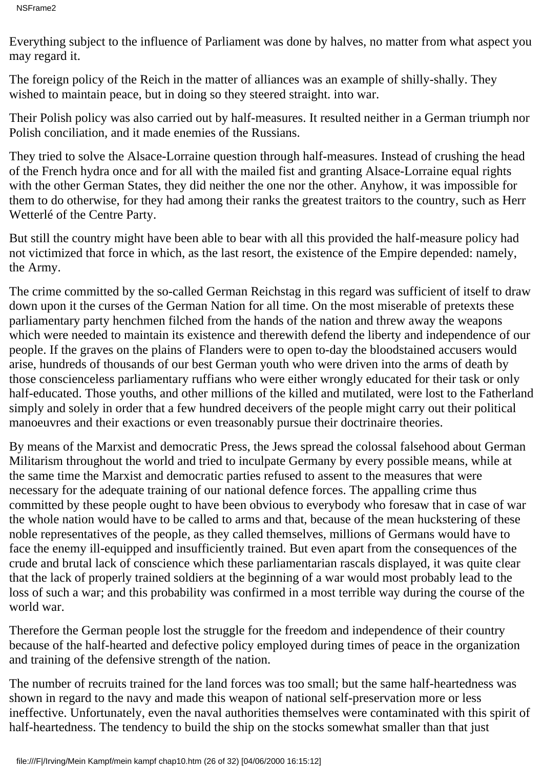Everything subject to the influence of Parliament was done by halves, no matter from what aspect you may regard it.

The foreign policy of the Reich in the matter of alliances was an example of shilly-shally. They wished to maintain peace, but in doing so they steered straight. into war.

Their Polish policy was also carried out by half-measures. It resulted neither in a German triumph nor Polish conciliation, and it made enemies of the Russians.

They tried to solve the Alsace-Lorraine question through half-measures. Instead of crushing the head of the French hydra once and for all with the mailed fist and granting Alsace-Lorraine equal rights with the other German States, they did neither the one nor the other. Anyhow, it was impossible for them to do otherwise, for they had among their ranks the greatest traitors to the country, such as Herr Wetterlé of the Centre Party.

But still the country might have been able to bear with all this provided the half-measure policy had not victimized that force in which, as the last resort, the existence of the Empire depended: namely, the Army.

The crime committed by the so-called German Reichstag in this regard was sufficient of itself to draw down upon it the curses of the German Nation for all time. On the most miserable of pretexts these parliamentary party henchmen filched from the hands of the nation and threw away the weapons which were needed to maintain its existence and therewith defend the liberty and independence of our people. If the graves on the plains of Flanders were to open to-day the bloodstained accusers would arise, hundreds of thousands of our best German youth who were driven into the arms of death by those conscienceless parliamentary ruffians who were either wrongly educated for their task or only half-educated. Those youths, and other millions of the killed and mutilated, were lost to the Fatherland simply and solely in order that a few hundred deceivers of the people might carry out their political manoeuvres and their exactions or even treasonably pursue their doctrinaire theories.

By means of the Marxist and democratic Press, the Jews spread the colossal falsehood about German Militarism throughout the world and tried to inculpate Germany by every possible means, while at the same time the Marxist and democratic parties refused to assent to the measures that were necessary for the adequate training of our national defence forces. The appalling crime thus committed by these people ought to have been obvious to everybody who foresaw that in case of war the whole nation would have to be called to arms and that, because of the mean huckstering of these noble representatives of the people, as they called themselves, millions of Germans would have to face the enemy ill-equipped and insufficiently trained. But even apart from the consequences of the crude and brutal lack of conscience which these parliamentarian rascals displayed, it was quite clear that the lack of properly trained soldiers at the beginning of a war would most probably lead to the loss of such a war; and this probability was confirmed in a most terrible way during the course of the world war.

Therefore the German people lost the struggle for the freedom and independence of their country because of the half-hearted and defective policy employed during times of peace in the organization and training of the defensive strength of the nation.

The number of recruits trained for the land forces was too small; but the same half-heartedness was shown in regard to the navy and made this weapon of national self-preservation more or less ineffective. Unfortunately, even the naval authorities themselves were contaminated with this spirit of half-heartedness. The tendency to build the ship on the stocks somewhat smaller than that just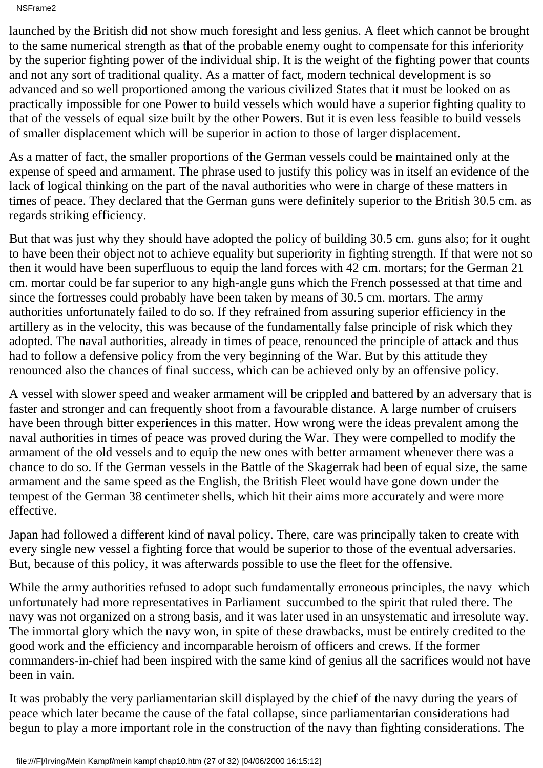NSFrame2

launched by the British did not show much foresight and less genius. A fleet which cannot be brought to the same numerical strength as that of the probable enemy ought to compensate for this inferiority by the superior fighting power of the individual ship. It is the weight of the fighting power that counts and not any sort of traditional quality. As a matter of fact, modern technical development is so advanced and so well proportioned among the various civilized States that it must be looked on as practically impossible for one Power to build vessels which would have a superior fighting quality to that of the vessels of equal size built by the other Powers. But it is even less feasible to build vessels of smaller displacement which will be superior in action to those of larger displacement.

As a matter of fact, the smaller proportions of the German vessels could be maintained only at the expense of speed and armament. The phrase used to justify this policy was in itself an evidence of the lack of logical thinking on the part of the naval authorities who were in charge of these matters in times of peace. They declared that the German guns were definitely superior to the British 30.5 cm. as regards striking efficiency.

But that was just why they should have adopted the policy of building 30.5 cm. guns also; for it ought to have been their object not to achieve equality but superiority in fighting strength. If that were not so then it would have been superfluous to equip the land forces with 42 cm. mortars; for the German 21 cm. mortar could be far superior to any high-angle guns which the French possessed at that time and since the fortresses could probably have been taken by means of 30.5 cm. mortars. The army authorities unfortunately failed to do so. If they refrained from assuring superior efficiency in the artillery as in the velocity, this was because of the fundamentally false principle of risk which they adopted. The naval authorities, already in times of peace, renounced the principle of attack and thus had to follow a defensive policy from the very beginning of the War. But by this attitude they renounced also the chances of final success, which can be achieved only by an offensive policy.

A vessel with slower speed and weaker armament will be crippled and battered by an adversary that is faster and stronger and can frequently shoot from a favourable distance. A large number of cruisers have been through bitter experiences in this matter. How wrong were the ideas prevalent among the naval authorities in times of peace was proved during the War. They were compelled to modify the armament of the old vessels and to equip the new ones with better armament whenever there was a chance to do so. If the German vessels in the Battle of the Skagerrak had been of equal size, the same armament and the same speed as the English, the British Fleet would have gone down under the tempest of the German 38 centimeter shells, which hit their aims more accurately and were more effective.

Japan had followed a different kind of naval policy. There, care was principally taken to create with every single new vessel a fighting force that would be superior to those of the eventual adversaries. But, because of this policy, it was afterwards possible to use the fleet for the offensive.

While the army authorities refused to adopt such fundamentally erroneous principles, the navy which unfortunately had more representatives in Parliament succumbed to the spirit that ruled there. The navy was not organized on a strong basis, and it was later used in an unsystematic and irresolute way. The immortal glory which the navy won, in spite of these drawbacks, must be entirely credited to the good work and the efficiency and incomparable heroism of officers and crews. If the former commanders-in-chief had been inspired with the same kind of genius all the sacrifices would not have been in vain.

It was probably the very parliamentarian skill displayed by the chief of the navy during the years of peace which later became the cause of the fatal collapse, since parliamentarian considerations had begun to play a more important role in the construction of the navy than fighting considerations. The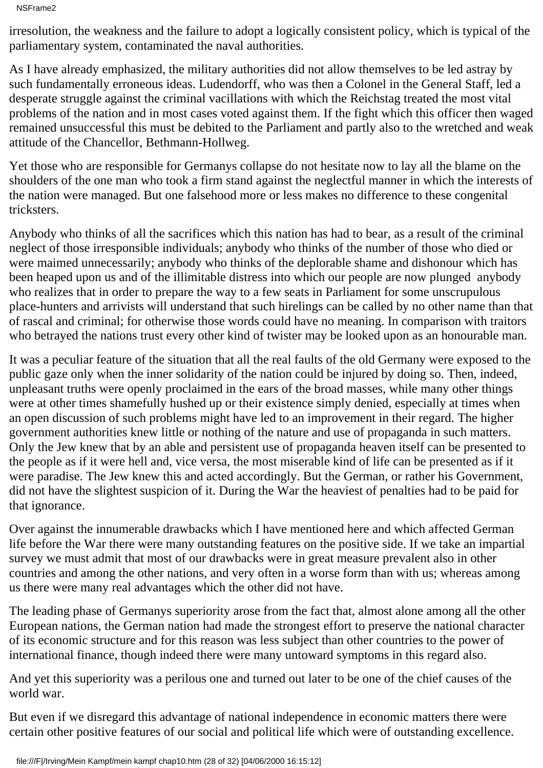NSFrame2

irresolution, the weakness and the failure to adopt a logically consistent policy, which is typical of the parliamentary system, contaminated the naval authorities.

As I have already emphasized, the military authorities did not allow themselves to be led astray by such fundamentally erroneous ideas. Ludendorff, who was then a Colonel in the General Staff, led a desperate struggle against the criminal vacillations with which the Reichstag treated the most vital problems of the nation and in most cases voted against them. If the fight which this officer then waged remained unsuccessful this must be debited to the Parliament and partly also to the wretched and weak attitude of the Chancellor, Bethmann-Hollweg.

Yet those who are responsible for Germanys collapse do not hesitate now to lay all the blame on the shoulders of the one man who took a firm stand against the neglectful manner in which the interests of the nation were managed. But one falsehood more or less makes no difference to these congenital tricksters.

Anybody who thinks of all the sacrifices which this nation has had to bear, as a result of the criminal neglect of those irresponsible individuals; anybody who thinks of the number of those who died or were maimed unnecessarily; anybody who thinks of the deplorable shame and dishonour which has been heaped upon us and of the illimitable distress into which our people are now plunged anybody who realizes that in order to prepare the way to a few seats in Parliament for some unscrupulous place-hunters and arrivists will understand that such hirelings can be called by no other name than that of rascal and criminal; for otherwise those words could have no meaning. In comparison with traitors who betrayed the nation s trust every other kind of twister may be looked upon as an honourable man.

It was a peculiar feature of the situation that all the real faults of the old Germany were exposed to the public gaze only when the inner solidarity of the nation could be injured by doing so. Then, indeed, unpleasant truths were openly proclaimed in the ears of the broad masses, while many other things were at other times shamefully hushed up or their existence simply denied, especially at times when an open discussion of such problems might have led to an improvement in their regard. The higher government authorities knew little or nothing of the nature and use of propaganda in such matters. Only the Jew knew that by an able and persistent use of propaganda heaven itself can be presented to the people as if it were hell and, vice versa, the most miserable kind of life can be presented as if it were paradise. The Jew knew this and acted accordingly. But the German, or rather his Government, did not have the slightest suspicion of it. During the War the heaviest of penalties had to be paid for that ignorance.

Over against the innumerable drawbacks which I have mentioned here and which affected German life before the War there were many outstanding features on the positive side. If we take an impartial survey we must admit that most of our drawbacks were in great measure prevalent also in other countries and among the other nations, and very often in a worse form than with us; whereas among us there were many real advantages which the other did not have.

The leading phase of Germany s superiority arose from the fact that, almost alone among all the other European nations, the German nation had made the strongest effort to preserve the national character of its economic structure and for this reason was less subject than other countries to the power of international finance, though indeed there were many untoward symptoms in this regard also.

And yet this superiority was a perilous one and turned out later to be one of the chief causes of the world war.

But even if we disregard this advantage of national independence in economic matters there were certain other positive features of our social and political life which were of outstanding excellence.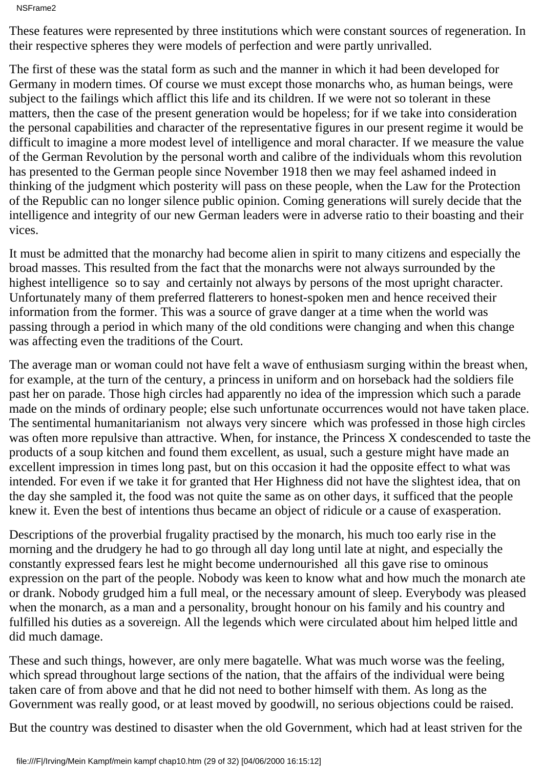NSFrame2

These features were represented by three institutions which were constant sources of regeneration. In their respective spheres they were models of perfection and were partly unrivalled.

The first of these was the statal form as such and the manner in which it had been developed for Germany in modern times. Of course we must except those monarchs who, as human beings, were subject to the failings which afflict this life and its children. If we were not so tolerant in these matters, then the case of the present generation would be hopeless; for if we take into consideration the personal capabilities and character of the representative figures in our present regime it would be difficult to imagine a more modest level of intelligence and moral character. If we measure the value of the German Revolution by the personal worth and calibre of the individuals whom this revolution has presented to the German people since November 1918 then we may feel ashamed indeed in thinking of the judgment which posterity will pass on these people, when the Law for the Protection of the Republic can no longer silence public opinion. Coming generations will surely decide that the intelligence and integrity of our new German leaders were in adverse ratio to their boasting and their vices.

It must be admitted that the monarchy had become alien in spirit to many citizens and especially the broad masses. This resulted from the fact that the monarchs were not always surrounded by the highest intelligence so to say and certainly not always by persons of the most upright character. Unfortunately many of them preferred flatterers to honest-spoken men and hence received their information from the former. This was a source of grave danger at a time when the world was passing through a period in which many of the old conditions were changing and when this change was affecting even the traditions of the Court.

The average man or woman could not have felt a wave of enthusiasm surging within the breast when, for example, at the turn of the century, a princess in uniform and on horseback had the soldiers file past her on parade. Those high circles had apparently no idea of the impression which such a parade made on the minds of ordinary people; else such unfortunate occurrences would not have taken place. The sentimental humanitarianism not always very sincere which was professed in those high circles was often more repulsive than attractive. When, for instance, the Princess X condescended to taste the products of a soup kitchen and found them excellent, as usual, such a gesture might have made an excellent impression in times long past, but on this occasion it had the opposite effect to what was intended. For even if we take it for granted that Her Highness did not have the slightest idea, that on the day she sampled it, the food was not quite the same as on other days, it sufficed that the people knew it. Even the best of intentions thus became an object of ridicule or a cause of exasperation.

Descriptions of the proverbial frugality practised by the monarch, his much too early rise in the morning and the drudgery he had to go through all day long until late at night, and especially the constantly expressed fears lest he might become undernourished all this gave rise to ominous expression on the part of the people. Nobody was keen to know what and how much the monarch ate or drank. Nobody grudged him a full meal, or the necessary amount of sleep. Everybody was pleased when the monarch, as a man and a personality, brought honour on his family and his country and fulfilled his duties as a sovereign. All the legends which were circulated about him helped little and did much damage.

These and such things, however, are only mere bagatelle. What was much worse was the feeling, which spread throughout large sections of the nation, that the affairs of the individual were being taken care of from above and that he did not need to bother himself with them. As long as the Government was really good, or at least moved by goodwill, no serious objections could be raised.

But the country was destined to disaster when the old Government, which had at least striven for the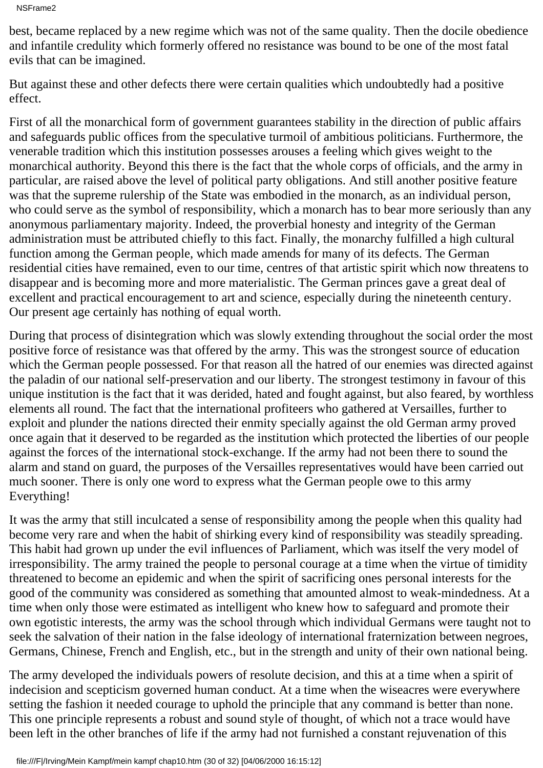best, became replaced by a new regime which was not of the same quality. Then the docile obedience and infantile credulity which formerly offered no resistance was bound to be one of the most fatal evils that can be imagined.

But against these and other defects there were certain qualities which undoubtedly had a positive effect.

First of all the monarchical form of government guarantees stability in the direction of public affairs and safeguards public offices from the speculative turmoil of ambitious politicians. Furthermore, the venerable tradition which this institution possesses arouses a feeling which gives weight to the monarchical authority. Beyond this there is the fact that the whole corps of officials, and the army in particular, are raised above the level of political party obligations. And still another positive feature was that the supreme rulership of the State was embodied in the monarch, as an individual person, who could serve as the symbol of responsibility, which a monarch has to bear more seriously than any anonymous parliamentary majority. Indeed, the proverbial honesty and integrity of the German administration must be attributed chiefly to this fact. Finally, the monarchy fulfilled a high cultural function among the German people, which made amends for many of its defects. The German residential cities have remained, even to our time, centres of that artistic spirit which now threatens to disappear and is becoming more and more materialistic. The German princes gave a great deal of excellent and practical encouragement to art and science, especially during the nineteenth century. Our present age certainly has nothing of equal worth.

During that process of disintegration which was slowly extending throughout the social order the most positive force of resistance was that offered by the army. This was the strongest source of education which the German people possessed. For that reason all the hatred of our enemies was directed against the paladin of our national self-preservation and our liberty. The strongest testimony in favour of this unique institution is the fact that it was derided, hated and fought against, but also feared, by worthless elements all round. The fact that the international profiteers who gathered at Versailles, further to exploit and plunder the nations directed their enmity specially against the old German army proved once again that it deserved to be regarded as the institution which protected the liberties of our people against the forces of the international stock-exchange. If the army had not been there to sound the alarm and stand on guard, the purposes of the Versailles representatives would have been carried out much sooner. There is only one word to express what the German people owe to this army Everything!

It was the army that still inculcated a sense of responsibility among the people when this quality had become very rare and when the habit of shirking every kind of responsibility was steadily spreading. This habit had grown up under the evil influences of Parliament, which was itself the very model of irresponsibility. The army trained the people to personal courage at a time when the virtue of timidity threatened to become an epidemic and when the spirit of sacrificing ones personal interests for the good of the community was considered as something that amounted almost to weak-mindedness. At a time when only those were estimated as intelligent who knew how to safeguard and promote their own egotistic interests, the army was the school through which individual Germans were taught not to seek the salvation of their nation in the false ideology of international fraternization between negroes, Germans, Chinese, French and English, etc., but in the strength and unity of their own national being.

The army developed the individual s powers of resolute decision, and this at a time when a spirit of indecision and scepticism governed human conduct. At a time when the wiseacres were everywhere setting the fashion it needed courage to uphold the principle that any command is better than none. This one principle represents a robust and sound style of thought, of which not a trace would have been left in the other branches of life if the army had not furnished a constant rejuvenation of this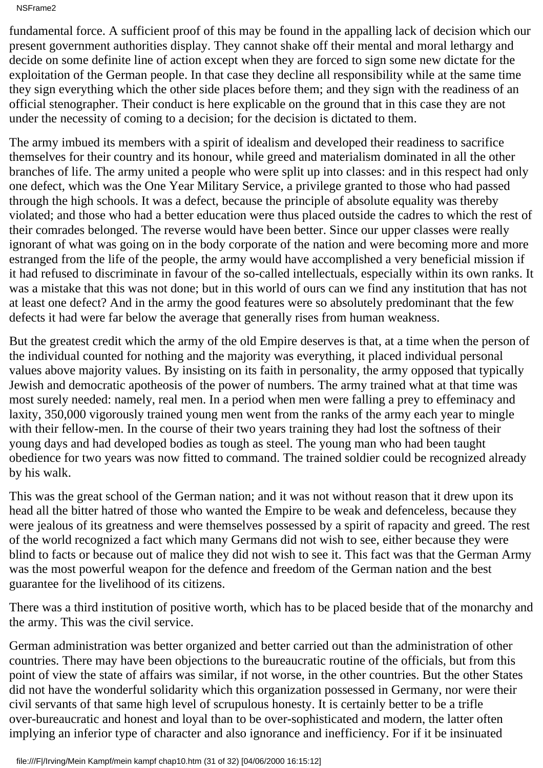NSFrame2

fundamental force. A sufficient proof of this may be found in the appalling lack of decision which our present government authorities display. They cannot shake off their mental and moral lethargy and decide on some definite line of action except when they are forced to sign some new dictate for the exploitation of the German people. In that case they decline all responsibility while at the same time they sign everything which the other side places before them; and they sign with the readiness of an official stenographer. Their conduct is here explicable on the ground that in this case they are not under the necessity of coming to a decision; for the decision is dictated to them.

The army imbued its members with a spirit of idealism and developed their readiness to sacrifice themselves for their country and its honour, while greed and materialism dominated in all the other branches of life. The army united a people who were split up into classes: and in this respect had only one defect, which was the One Year Military Service, a privilege granted to those who had passed through the high schools. It was a defect, because the principle of absolute equality was thereby violated; and those who had a better education were thus placed outside the cadres to which the rest of their comrades belonged. The reverse would have been better. Since our upper classes were really ignorant of what was going on in the body corporate of the nation and were becoming more and more estranged from the life of the people, the army would have accomplished a very beneficial mission if it had refused to discriminate in favour of the so-called intellectuals, especially within its own ranks. It was a mistake that this was not done; but in this world of ours can we find any institution that has not at least one defect? And in the army the good features were so absolutely predominant that the few defects it had were far below the average that generally rises from human weakness.

But the greatest credit which the army of the old Empire deserves is that, at a time when the person of the individual counted for nothing and the majority was everything, it placed individual personal values above majority values. By insisting on its faith in personality, the army opposed that typically Jewish and democratic apotheosis of the power of numbers. The army trained what at that time was most surely needed: namely, real men. In a period when men were falling a prey to effeminacy and laxity, 350,000 vigorously trained young men went from the ranks of the army each year to mingle with their fellow-men. In the course of their two years training they had lost the softness of their young days and had developed bodies as tough as steel. The young man who had been taught obedience for two years was now fitted to command. The trained soldier could be recognized already by his walk.

This was the great school of the German nation; and it was not without reason that it drew upon its head all the bitter hatred of those who wanted the Empire to be weak and defenceless, because they were jealous of its greatness and were themselves possessed by a spirit of rapacity and greed. The rest of the world recognized a fact which many Germans did not wish to see, either because they were blind to facts or because out of malice they did not wish to see it. This fact was that the German Army was the most powerful weapon for the defence and freedom of the German nation and the best guarantee for the livelihood of its citizens.

There was a third institution of positive worth, which has to be placed beside that of the monarchy and the army. This was the civil service.

German administration was better organized and better carried out than the administration of other countries. There may have been objections to the bureaucratic routine of the officials, but from this point of view the state of affairs was similar, if not worse, in the other countries. But the other States did not have the wonderful solidarity which this organization possessed in Germany, nor were their civil servants of that same high level of scrupulous honesty. It is certainly better to be a trifle over-bureaucratic and honest and loyal than to be over-sophisticated and modern, the latter often implying an inferior type of character and also ignorance and inefficiency. For if it be insinuated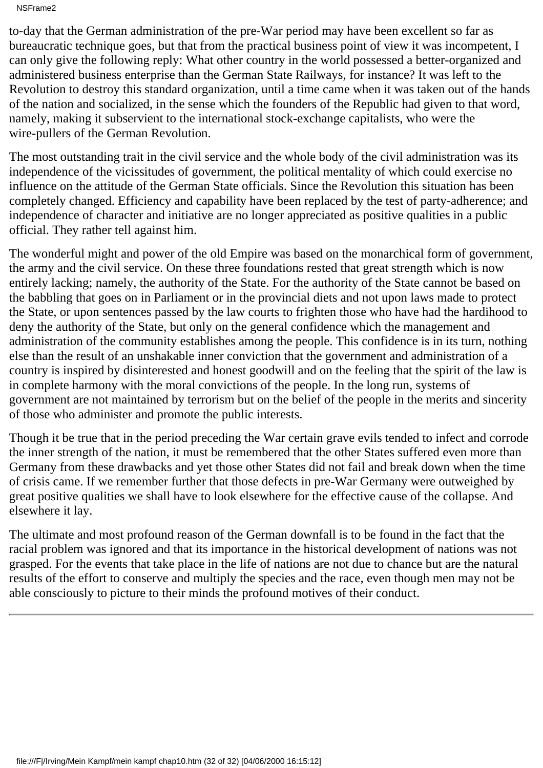NSFrame2

to-day that the German administration of the pre-War period may have been excellent so far as bureaucratic technique goes, but that from the practical business point of view it was incompetent, I can only give the following reply: What other country in the world possessed a better-organized and administered business enterprise than the German State Railways, for instance? It was left to the Revolution to destroy this standard organization, until a time came when it was taken out of the hands of the nation and socialized, in the sense which the founders of the Republic had given to that word, namely, making it subservient to the international stock-exchange capitalists, who were the wire-pullers of the German Revolution.

The most outstanding trait in the civil service and the whole body of the civil administration was its independence of the vicissitudes of government, the political mentality of which could exercise no influence on the attitude of the German State officials. Since the Revolution this situation has been completely changed. Efficiency and capability have been replaced by the test of party-adherence; and independence of character and initiative are no longer appreciated as positive qualities in a public official. They rather tell against him.

The wonderful might and power of the old Empire was based on the monarchical form of government, the army and the civil service. On these three foundations rested that great strength which is now entirely lacking; namely, the authority of the State. For the authority of the State cannot be based on the babbling that goes on in Parliament or in the provincial diets and not upon laws made to protect the State, or upon sentences passed by the law courts to frighten those who have had the hardihood to deny the authority of the State, but only on the general confidence which the management and administration of the community establishes among the people. This confidence is in its turn, nothing else than the result of an unshakable inner conviction that the government and administration of a country is inspired by disinterested and honest goodwill and on the feeling that the spirit of the law is in complete harmony with the moral convictions of the people. In the long run, systems of government are not maintained by terrorism but on the belief of the people in the merits and sincerity of those who administer and promote the public interests.

Though it be true that in the period preceding the War certain grave evils tended to infect and corrode the inner strength of the nation, it must be remembered that the other States suffered even more than Germany from these drawbacks and yet those other States did not fail and break down when the time of crisis came. If we remember further that those defects in pre-War Germany were outweighed by great positive qualities we shall have to look elsewhere for the effective cause of the collapse. And elsewhere it lay.

The ultimate and most profound reason of the German downfall is to be found in the fact that the racial problem was ignored and that its importance in the historical development of nations was not grasped. For the events that take place in the life of nations are not due to chance but are the natural results of the effort to conserve and multiply the species and the race, even though men may not be able consciously to picture to their minds the profound motives of their conduct.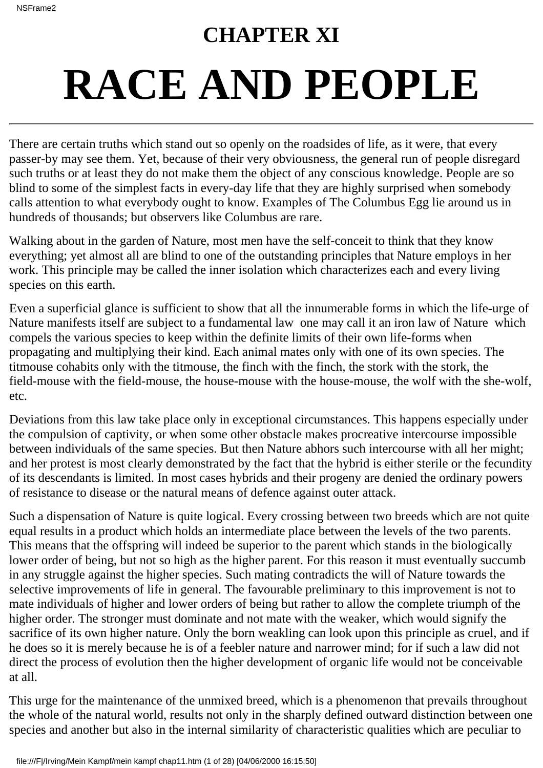# **CHAPTER XI RACE AND PEOPLE**

There are certain truths which stand out so openly on the roadsides of life, as it were, that every passer-by may see them. Yet, because of their very obviousness, the general run of people disregard such truths or at least they do not make them the object of any conscious knowledge. People are so blind to some of the simplest facts in every-day life that they are highly surprised when somebody calls attention to what everybody ought to know. Examples of The Columbus Egg lie around us in hundreds of thousands; but observers like Columbus are rare.

Walking about in the garden of Nature, most men have the self-conceit to think that they know everything; yet almost all are blind to one of the outstanding principles that Nature employs in her work. This principle may be called the inner isolation which characterizes each and every living species on this earth.

Even a superficial glance is sufficient to show that all the innumerable forms in which the life-urge of Nature manifests itself are subject to a fundamental law one may call it an iron law of Nature which compels the various species to keep within the definite limits of their own life-forms when propagating and multiplying their kind. Each animal mates only with one of its own species. The titmouse cohabits only with the titmouse, the finch with the finch, the stork with the stork, the field-mouse with the field-mouse, the house-mouse with the house-mouse, the wolf with the she-wolf, etc.

Deviations from this law take place only in exceptional circumstances. This happens especially under the compulsion of captivity, or when some other obstacle makes procreative intercourse impossible between individuals of the same species. But then Nature abhors such intercourse with all her might; and her protest is most clearly demonstrated by the fact that the hybrid is either sterile or the fecundity of its descendants is limited. In most cases hybrids and their progeny are denied the ordinary powers of resistance to disease or the natural means of defence against outer attack.

Such a dispensation of Nature is quite logical. Every crossing between two breeds which are not quite equal results in a product which holds an intermediate place between the levels of the two parents. This means that the offspring will indeed be superior to the parent which stands in the biologically lower order of being, but not so high as the higher parent. For this reason it must eventually succumb in any struggle against the higher species. Such mating contradicts the will of Nature towards the selective improvements of life in general. The favourable preliminary to this improvement is not to mate individuals of higher and lower orders of being but rather to allow the complete triumph of the higher order. The stronger must dominate and not mate with the weaker, which would signify the sacrifice of its own higher nature. Only the born weakling can look upon this principle as cruel, and if he does so it is merely because he is of a feebler nature and narrower mind; for if such a law did not direct the process of evolution then the higher development of organic life would not be conceivable at all.

This urge for the maintenance of the unmixed breed, which is a phenomenon that prevails throughout the whole of the natural world, results not only in the sharply defined outward distinction between one species and another but also in the internal similarity of characteristic qualities which are peculiar to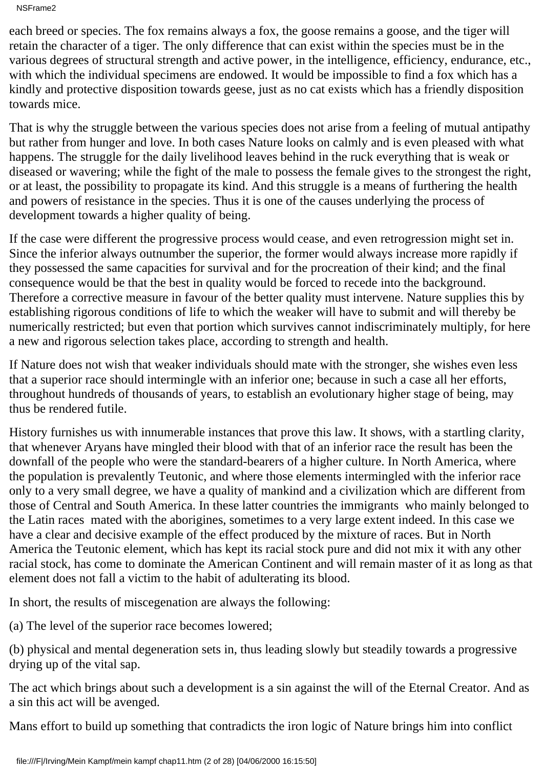NSFrame2

each breed or species. The fox remains always a fox, the goose remains a goose, and the tiger will retain the character of a tiger. The only difference that can exist within the species must be in the various degrees of structural strength and active power, in the intelligence, efficiency, endurance, etc., with which the individual specimens are endowed. It would be impossible to find a fox which has a kindly and protective disposition towards geese, just as no cat exists which has a friendly disposition towards mice.

That is why the struggle between the various species does not arise from a feeling of mutual antipathy but rather from hunger and love. In both cases Nature looks on calmly and is even pleased with what happens. The struggle for the daily livelihood leaves behind in the ruck everything that is weak or diseased or wavering; while the fight of the male to possess the female gives to the strongest the right, or at least, the possibility to propagate its kind. And this struggle is a means of furthering the health and powers of resistance in the species. Thus it is one of the causes underlying the process of development towards a higher quality of being.

If the case were different the progressive process would cease, and even retrogression might set in. Since the inferior always outnumber the superior, the former would always increase more rapidly if they possessed the same capacities for survival and for the procreation of their kind; and the final consequence would be that the best in quality would be forced to recede into the background. Therefore a corrective measure in favour of the better quality must intervene. Nature supplies this by establishing rigorous conditions of life to which the weaker will have to submit and will thereby be numerically restricted; but even that portion which survives cannot indiscriminately multiply, for here a new and rigorous selection takes place, according to strength and health.

If Nature does not wish that weaker individuals should mate with the stronger, she wishes even less that a superior race should intermingle with an inferior one; because in such a case all her efforts, throughout hundreds of thousands of years, to establish an evolutionary higher stage of being, may thus be rendered futile.

History furnishes us with innumerable instances that prove this law. It shows, with a startling clarity, that whenever Aryans have mingled their blood with that of an inferior race the result has been the downfall of the people who were the standard-bearers of a higher culture. In North America, where the population is prevalently Teutonic, and where those elements intermingled with the inferior race only to a very small degree, we have a quality of mankind and a civilization which are different from those of Central and South America. In these latter countries the immigrants who mainly belonged to the Latin races mated with the aborigines, sometimes to a very large extent indeed. In this case we have a clear and decisive example of the effect produced by the mixture of races. But in North America the Teutonic element, which has kept its racial stock pure and did not mix it with any other racial stock, has come to dominate the American Continent and will remain master of it as long as that element does not fall a victim to the habit of adulterating its blood.

In short, the results of miscegenation are always the following:

(a) The level of the superior race becomes lowered;

(b) physical and mental degeneration sets in, thus leading slowly but steadily towards a progressive drying up of the vital sap.

The act which brings about such a development is a sin against the will of the Eternal Creator. And as a sin this act will be avenged.

Mans effort to build up something that contradicts the iron logic of Nature brings him into conflict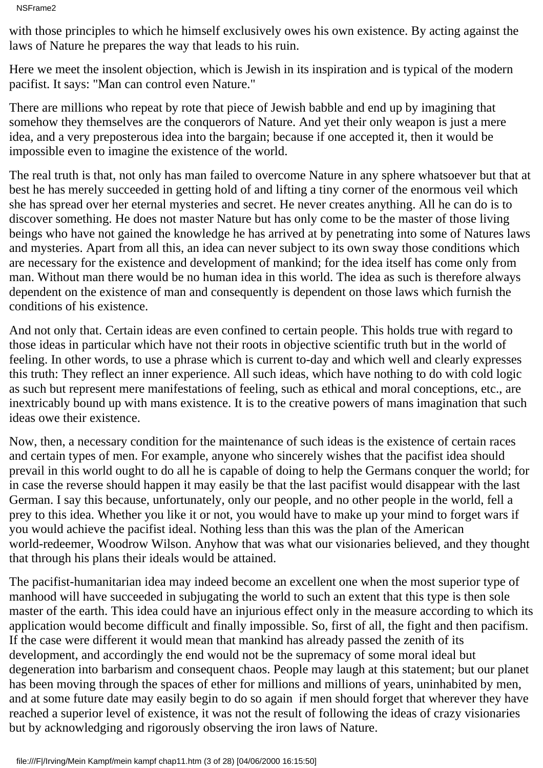NSFrame2

with those principles to which he himself exclusively owes his own existence. By acting against the laws of Nature he prepares the way that leads to his ruin.

Here we meet the insolent objection, which is Jewish in its inspiration and is typical of the modern pacifist. It says: "Man can control even Nature."

There are millions who repeat by rote that piece of Jewish babble and end up by imagining that somehow they themselves are the conquerors of Nature. And yet their only weapon is just a mere idea, and a very preposterous idea into the bargain; because if one accepted it, then it would be impossible even to imagine the existence of the world.

The real truth is that, not only has man failed to overcome Nature in any sphere whatsoever but that at best he has merely succeeded in getting hold of and lifting a tiny corner of the enormous veil which she has spread over her eternal mysteries and secret. He never creates anything. All he can do is to discover something. He does not master Nature but has only come to be the master of those living beings who have not gained the knowledge he has arrived at by penetrating into some of Nature s laws and mysteries. Apart from all this, an idea can never subject to its own sway those conditions which are necessary for the existence and development of mankind; for the idea itself has come only from man. Without man there would be no human idea in this world. The idea as such is therefore always dependent on the existence of man and consequently is dependent on those laws which furnish the conditions of his existence.

And not only that. Certain ideas are even confined to certain people. This holds true with regard to those ideas in particular which have not their roots in objective scientific truth but in the world of feeling. In other words, to use a phrase which is current to-day and which well and clearly expresses this truth: They reflect an inner experience. All such ideas, which have nothing to do with cold logic as such but represent mere manifestations of feeling, such as ethical and moral conceptions, etc., are inextricably bound up with man s existence. It is to the creative powers of man s imagination that such ideas owe their existence.

Now, then, a necessary condition for the maintenance of such ideas is the existence of certain races and certain types of men. For example, anyone who sincerely wishes that the pacifist idea should prevail in this world ought to do all he is capable of doing to help the Germans conquer the world; for in case the reverse should happen it may easily be that the last pacifist would disappear with the last German. I say this because, unfortunately, only our people, and no other people in the world, fell a prey to this idea. Whether you like it or not, you would have to make up your mind to forget wars if you would achieve the pacifist ideal. Nothing less than this was the plan of the American world-redeemer, Woodrow Wilson. Anyhow that was what our visionaries believed, and they thought that through his plans their ideals would be attained.

The pacifist-humanitarian idea may indeed become an excellent one when the most superior type of manhood will have succeeded in subjugating the world to such an extent that this type is then sole master of the earth. This idea could have an injurious effect only in the measure according to which its application would become difficult and finally impossible. So, first of all, the fight and then pacifism. If the case were different it would mean that mankind has already passed the zenith of its development, and accordingly the end would not be the supremacy of some moral ideal but degeneration into barbarism and consequent chaos. People may laugh at this statement; but our planet has been moving through the spaces of ether for millions and millions of years, uninhabited by men, and at some future date may easily begin to do so again if men should forget that wherever they have reached a superior level of existence, it was not the result of following the ideas of crazy visionaries but by acknowledging and rigorously observing the iron laws of Nature.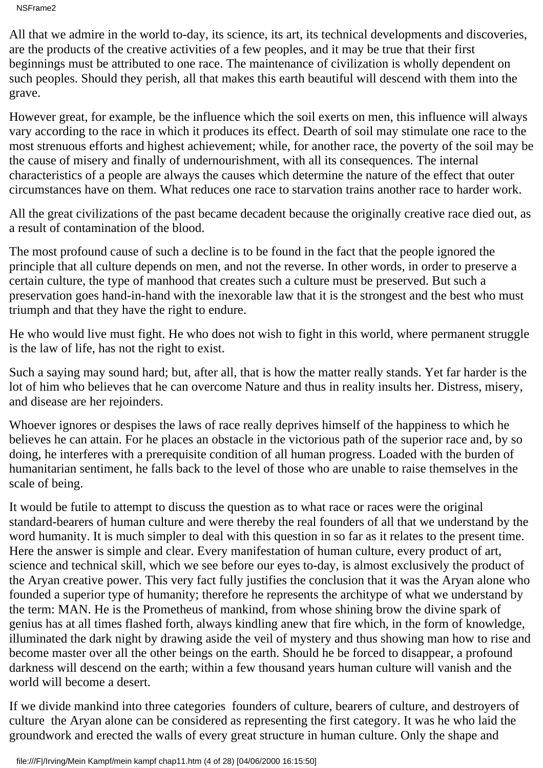All that we admire in the world to-day, its science, its art, its technical developments and discoveries, are the products of the creative activities of a few peoples, and it may be true that their first beginnings must be attributed to one race. The maintenance of civilization is wholly dependent on such peoples. Should they perish, all that makes this earth beautiful will descend with them into the grave.

However great, for example, be the influence which the soil exerts on men, this influence will always vary according to the race in which it produces its effect. Dearth of soil may stimulate one race to the most strenuous efforts and highest achievement; while, for another race, the poverty of the soil may be the cause of misery and finally of undernourishment, with all its consequences. The internal characteristics of a people are always the causes which determine the nature of the effect that outer circumstances have on them. What reduces one race to starvation trains another race to harder work.

All the great civilizations of the past became decadent because the originally creative race died out, as a result of contamination of the blood.

The most profound cause of such a decline is to be found in the fact that the people ignored the principle that all culture depends on men, and not the reverse. In other words, in order to preserve a certain culture, the type of manhood that creates such a culture must be preserved. But such a preservation goes hand-in-hand with the inexorable law that it is the strongest and the best who must triumph and that they have the right to endure.

He who would live must fight. He who does not wish to fight in this world, where permanent struggle is the law of life, has not the right to exist.

Such a saying may sound hard; but, after all, that is how the matter really stands. Yet far harder is the lot of him who believes that he can overcome Nature and thus in reality insults her. Distress, misery, and disease are her rejoinders.

Whoever ignores or despises the laws of race really deprives himself of the happiness to which he believes he can attain. For he places an obstacle in the victorious path of the superior race and, by so doing, he interferes with a prerequisite condition of all human progress. Loaded with the burden of humanitarian sentiment, he falls back to the level of those who are unable to raise themselves in the scale of being.

It would be futile to attempt to discuss the question as to what race or races were the original standard-bearers of human culture and were thereby the real founders of all that we understand by the word humanity. It is much simpler to deal with this question in so far as it relates to the present time. Here the answer is simple and clear. Every manifestation of human culture, every product of art, science and technical skill, which we see before our eyes to-day, is almost exclusively the product of the Aryan creative power. This very fact fully justifies the conclusion that it was the Aryan alone who founded a superior type of humanity; therefore he represents the architype of what we understand by the term: MAN. He is the Prometheus of mankind, from whose shining brow the divine spark of genius has at all times flashed forth, always kindling anew that fire which, in the form of knowledge, illuminated the dark night by drawing aside the veil of mystery and thus showing man how to rise and become master over all the other beings on the earth. Should he be forced to disappear, a profound darkness will descend on the earth; within a few thousand years human culture will vanish and the world will become a desert.

If we divide mankind into three categories founders of culture, bearers of culture, and destroyers of culture the Aryan alone can be considered as representing the first category. It was he who laid the groundwork and erected the walls of every great structure in human culture. Only the shape and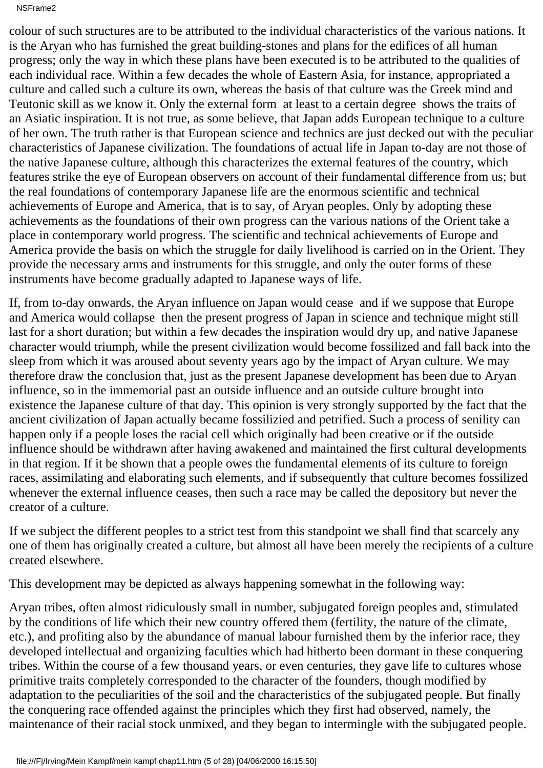colour of such structures are to be attributed to the individual characteristics of the various nations. It is the Aryan who has furnished the great building-stones and plans for the edifices of all human progress; only the way in which these plans have been executed is to be attributed to the qualities of each individual race. Within a few decades the whole of Eastern Asia, for instance, appropriated a culture and called such a culture its own, whereas the basis of that culture was the Greek mind and Teutonic skill as we know it. Only the external form at least to a certain degree shows the traits of an Asiatic inspiration. It is not true, as some believe, that Japan adds European technique to a culture of her own. The truth rather is that European science and technics are just decked out with the peculiar characteristics of Japanese civilization. The foundations of actual life in Japan to-day are not those of the native Japanese culture, although this characterizes the external features of the country, which features strike the eye of European observers on account of their fundamental difference from us; but the real foundations of contemporary Japanese life are the enormous scientific and technical achievements of Europe and America, that is to say, of Aryan peoples. Only by adopting these achievements as the foundations of their own progress can the various nations of the Orient take a place in contemporary world progress. The scientific and technical achievements of Europe and America provide the basis on which the struggle for daily livelihood is carried on in the Orient. They provide the necessary arms and instruments for this struggle, and only the outer forms of these instruments have become gradually adapted to Japanese ways of life.

If, from to-day onwards, the Aryan influence on Japan would cease and if we suppose that Europe and America would collapse then the present progress of Japan in science and technique might still last for a short duration; but within a few decades the inspiration would dry up, and native Japanese character would triumph, while the present civilization would become fossilized and fall back into the sleep from which it was aroused about seventy years ago by the impact of Aryan culture. We may therefore draw the conclusion that, just as the present Japanese development has been due to Aryan influence, so in the immemorial past an outside influence and an outside culture brought into existence the Japanese culture of that day. This opinion is very strongly supported by the fact that the ancient civilization of Japan actually became fossilizied and petrified. Such a process of senility can happen only if a people loses the racial cell which originally had been creative or if the outside influence should be withdrawn after having awakened and maintained the first cultural developments in that region. If it be shown that a people owes the fundamental elements of its culture to foreign races, assimilating and elaborating such elements, and if subsequently that culture becomes fossilized whenever the external influence ceases, then such a race may be called the depository but never the creator of a culture.

If we subject the different peoples to a strict test from this standpoint we shall find that scarcely any one of them has originally created a culture, but almost all have been merely the recipients of a culture created elsewhere.

This development may be depicted as always happening somewhat in the following way:

Aryan tribes, often almost ridiculously small in number, subjugated foreign peoples and, stimulated by the conditions of life which their new country offered them (fertility, the nature of the climate, etc.), and profiting also by the abundance of manual labour furnished them by the inferior race, they developed intellectual and organizing faculties which had hitherto been dormant in these conquering tribes. Within the course of a few thousand years, or even centuries, they gave life to cultures whose primitive traits completely corresponded to the character of the founders, though modified by adaptation to the peculiarities of the soil and the characteristics of the subjugated people. But finally the conquering race offended against the principles which they first had observed, namely, the maintenance of their racial stock unmixed, and they began to intermingle with the subjugated people.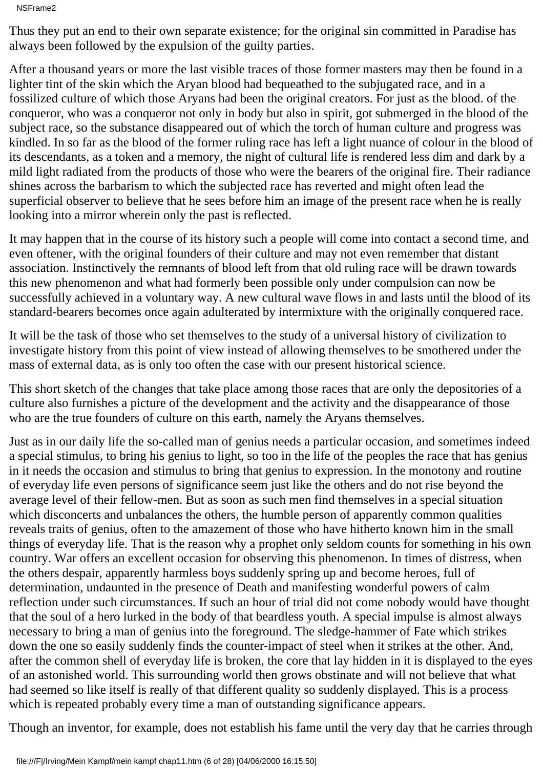NSFrame2

Thus they put an end to their own separate existence; for the original sin committed in Paradise has always been followed by the expulsion of the guilty parties.

After a thousand years or more the last visible traces of those former masters may then be found in a lighter tint of the skin which the Aryan blood had bequeathed to the subjugated race, and in a fossilized culture of which those Aryans had been the original creators. For just as the blood. of the conqueror, who was a conqueror not only in body but also in spirit, got submerged in the blood of the subject race, so the substance disappeared out of which the torch of human culture and progress was kindled. In so far as the blood of the former ruling race has left a light nuance of colour in the blood of its descendants, as a token and a memory, the night of cultural life is rendered less dim and dark by a mild light radiated from the products of those who were the bearers of the original fire. Their radiance shines across the barbarism to which the subjected race has reverted and might often lead the superficial observer to believe that he sees before him an image of the present race when he is really looking into a mirror wherein only the past is reflected.

It may happen that in the course of its history such a people will come into contact a second time, and even oftener, with the original founders of their culture and may not even remember that distant association. Instinctively the remnants of blood left from that old ruling race will be drawn towards this new phenomenon and what had formerly been possible only under compulsion can now be successfully achieved in a voluntary way. A new cultural wave flows in and lasts until the blood of its standard-bearers becomes once again adulterated by intermixture with the originally conquered race.

It will be the task of those who set themselves to the study of a universal history of civilization to investigate history from this point of view instead of allowing themselves to be smothered under the mass of external data, as is only too often the case with our present historical science.

This short sketch of the changes that take place among those races that are only the depositories of a culture also furnishes a picture of the development and the activity and the disappearance of those who are the true founders of culture on this earth, namely the Aryans themselves.

Just as in our daily life the so-called man of genius needs a particular occasion, and sometimes indeed a special stimulus, to bring his genius to light, so too in the life of the peoples the race that has genius in it needs the occasion and stimulus to bring that genius to expression. In the monotony and routine of everyday life even persons of significance seem just like the others and do not rise beyond the average level of their fellow-men. But as soon as such men find themselves in a special situation which disconcerts and unbalances the others, the humble person of apparently common qualities reveals traits of genius, often to the amazement of those who have hitherto known him in the small things of everyday life. That is the reason why a prophet only seldom counts for something in his own country. War offers an excellent occasion for observing this phenomenon. In times of distress, when the others despair, apparently harmless boys suddenly spring up and become heroes, full of determination, undaunted in the presence of Death and manifesting wonderful powers of calm reflection under such circumstances. If such an hour of trial did not come nobody would have thought that the soul of a hero lurked in the body of that beardless youth. A special impulse is almost always necessary to bring a man of genius into the foreground. The sledge-hammer of Fate which strikes down the one so easily suddenly finds the counter-impact of steel when it strikes at the other. And, after the common shell of everyday life is broken, the core that lay hidden in it is displayed to the eyes of an astonished world. This surrounding world then grows obstinate and will not believe that what had seemed so like itself is really of that different quality so suddenly displayed. This is a process which is repeated probably every time a man of outstanding significance appears.

Though an inventor, for example, does not establish his fame until the very day that he carries through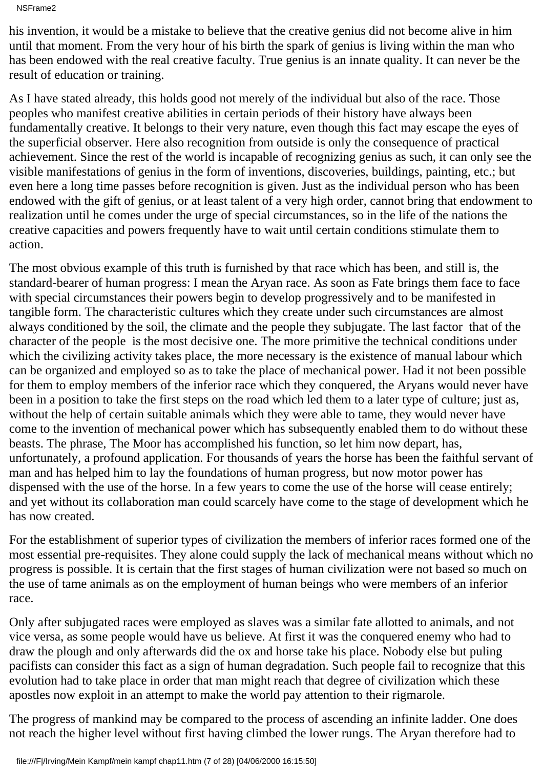NSFrame2

his invention, it would be a mistake to believe that the creative genius did not become alive in him until that moment. From the very hour of his birth the spark of genius is living within the man who has been endowed with the real creative faculty. True genius is an innate quality. It can never be the result of education or training.

As I have stated already, this holds good not merely of the individual but also of the race. Those peoples who manifest creative abilities in certain periods of their history have always been fundamentally creative. It belongs to their very nature, even though this fact may escape the eyes of the superficial observer. Here also recognition from outside is only the consequence of practical achievement. Since the rest of the world is incapable of recognizing genius as such, it can only see the visible manifestations of genius in the form of inventions, discoveries, buildings, painting, etc.; but even here a long time passes before recognition is given. Just as the individual person who has been endowed with the gift of genius, or at least talent of a very high order, cannot bring that endowment to realization until he comes under the urge of special circumstances, so in the life of the nations the creative capacities and powers frequently have to wait until certain conditions stimulate them to action.

The most obvious example of this truth is furnished by that race which has been, and still is, the standard-bearer of human progress: I mean the Aryan race. As soon as Fate brings them face to face with special circumstances their powers begin to develop progressively and to be manifested in tangible form. The characteristic cultures which they create under such circumstances are almost always conditioned by the soil, the climate and the people they subjugate. The last factor that of the character of the people is the most decisive one. The more primitive the technical conditions under which the civilizing activity takes place, the more necessary is the existence of manual labour which can be organized and employed so as to take the place of mechanical power. Had it not been possible for them to employ members of the inferior race which they conquered, the Aryans would never have been in a position to take the first steps on the road which led them to a later type of culture; just as, without the help of certain suitable animals which they were able to tame, they would never have come to the invention of mechanical power which has subsequently enabled them to do without these beasts. The phrase, The Moor has accomplished his function, so let him now depart, has, unfortunately, a profound application. For thousands of years the horse has been the faithful servant of man and has helped him to lay the foundations of human progress, but now motor power has dispensed with the use of the horse. In a few years to come the use of the horse will cease entirely; and yet without its collaboration man could scarcely have come to the stage of development which he has now created.

For the establishment of superior types of civilization the members of inferior races formed one of the most essential pre-requisites. They alone could supply the lack of mechanical means without which no progress is possible. It is certain that the first stages of human civilization were not based so much on the use of tame animals as on the employment of human beings who were members of an inferior race.

Only after subjugated races were employed as slaves was a similar fate allotted to animals, and not vice versa, as some people would have us believe. At first it was the conquered enemy who had to draw the plough and only afterwards did the ox and horse take his place. Nobody else but puling pacifists can consider this fact as a sign of human degradation. Such people fail to recognize that this evolution had to take place in order that man might reach that degree of civilization which these apostles now exploit in an attempt to make the world pay attention to their rigmarole.

The progress of mankind may be compared to the process of ascending an infinite ladder. One does not reach the higher level without first having climbed the lower rungs. The Aryan therefore had to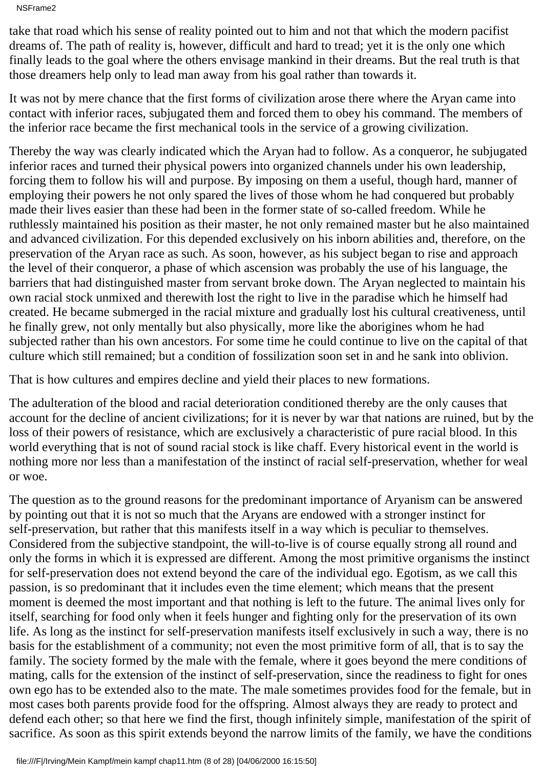NSFrame2

take that road which his sense of reality pointed out to him and not that which the modern pacifist dreams of. The path of reality is, however, difficult and hard to tread; yet it is the only one which finally leads to the goal where the others envisage mankind in their dreams. But the real truth is that those dreamers help only to lead man away from his goal rather than towards it.

It was not by mere chance that the first forms of civilization arose there where the Aryan came into contact with inferior races, subjugated them and forced them to obey his command. The members of the inferior race became the first mechanical tools in the service of a growing civilization.

Thereby the way was clearly indicated which the Aryan had to follow. As a conqueror, he subjugated inferior races and turned their physical powers into organized channels under his own leadership, forcing them to follow his will and purpose. By imposing on them a useful, though hard, manner of employing their powers he not only spared the lives of those whom he had conquered but probably made their lives easier than these had been in the former state of so-called freedom. While he ruthlessly maintained his position as their master, he not only remained master but he also maintained and advanced civilization. For this depended exclusively on his inborn abilities and, therefore, on the preservation of the Aryan race as such. As soon, however, as his subject began to rise and approach the level of their conqueror, a phase of which ascension was probably the use of his language, the barriers that had distinguished master from servant broke down. The Aryan neglected to maintain his own racial stock unmixed and therewith lost the right to live in the paradise which he himself had created. He became submerged in the racial mixture and gradually lost his cultural creativeness, until he finally grew, not only mentally but also physically, more like the aborigines whom he had subjected rather than his own ancestors. For some time he could continue to live on the capital of that culture which still remained; but a condition of fossilization soon set in and he sank into oblivion.

That is how cultures and empires decline and yield their places to new formations.

The adulteration of the blood and racial deterioration conditioned thereby are the only causes that account for the decline of ancient civilizations; for it is never by war that nations are ruined, but by the loss of their powers of resistance, which are exclusively a characteristic of pure racial blood. In this world everything that is not of sound racial stock is like chaff. Every historical event in the world is nothing more nor less than a manifestation of the instinct of racial self-preservation, whether for weal or woe.

The question as to the ground reasons for the predominant importance of Aryanism can be answered by pointing out that it is not so much that the Aryans are endowed with a stronger instinct for self-preservation, but rather that this manifests itself in a way which is peculiar to themselves. Considered from the subjective standpoint, the will-to-live is of course equally strong all round and only the forms in which it is expressed are different. Among the most primitive organisms the instinct for self-preservation does not extend beyond the care of the individual ego. Egotism, as we call this passion, is so predominant that it includes even the time element; which means that the present moment is deemed the most important and that nothing is left to the future. The animal lives only for itself, searching for food only when it feels hunger and fighting only for the preservation of its own life. As long as the instinct for self-preservation manifests itself exclusively in such a way, there is no basis for the establishment of a community; not even the most primitive form of all, that is to say the family. The society formed by the male with the female, where it goes beyond the mere conditions of mating, calls for the extension of the instinct of self-preservation, since the readiness to fight for one s own ego has to be extended also to the mate. The male sometimes provides food for the female, but in most cases both parents provide food for the offspring. Almost always they are ready to protect and defend each other; so that here we find the first, though infinitely simple, manifestation of the spirit of sacrifice. As soon as this spirit extends beyond the narrow limits of the family, we have the conditions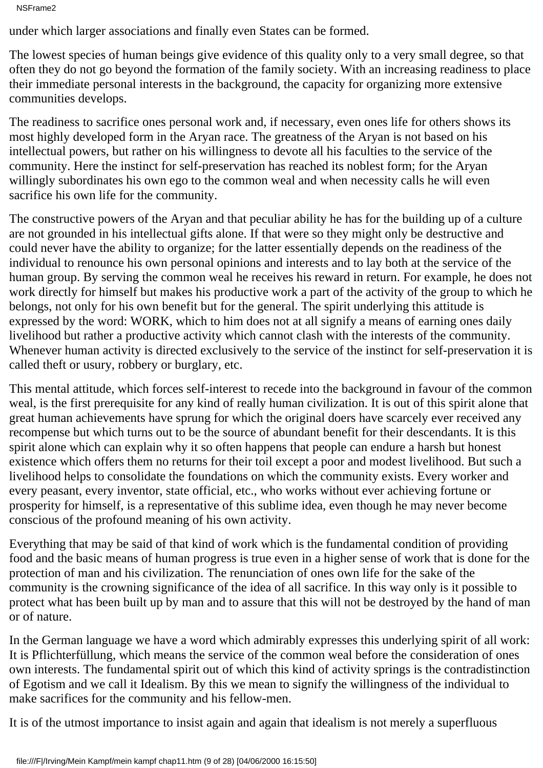NSFrame2

under which larger associations and finally even States can be formed.

The lowest species of human beings give evidence of this quality only to a very small degree, so that often they do not go beyond the formation of the family society. With an increasing readiness to place their immediate personal interests in the background, the capacity for organizing more extensive communities develops.

The readiness to sacrifice one s personal work and, if necessary, even one s life for others shows its most highly developed form in the Aryan race. The greatness of the Aryan is not based on his intellectual powers, but rather on his willingness to devote all his faculties to the service of the community. Here the instinct for self-preservation has reached its noblest form; for the Aryan willingly subordinates his own ego to the common weal and when necessity calls he will even sacrifice his own life for the community.

The constructive powers of the Aryan and that peculiar ability he has for the building up of a culture are not grounded in his intellectual gifts alone. If that were so they might only be destructive and could never have the ability to organize; for the latter essentially depends on the readiness of the individual to renounce his own personal opinions and interests and to lay both at the service of the human group. By serving the common weal he receives his reward in return. For example, he does not work directly for himself but makes his productive work a part of the activity of the group to which he belongs, not only for his own benefit but for the general. The spirit underlying this attitude is expressed by the word: WORK, which to him does not at all signify a means of earning ones daily livelihood but rather a productive activity which cannot clash with the interests of the community. Whenever human activity is directed exclusively to the service of the instinct for self-preservation it is called theft or usury, robbery or burglary, etc.

This mental attitude, which forces self-interest to recede into the background in favour of the common weal, is the first prerequisite for any kind of really human civilization. It is out of this spirit alone that great human achievements have sprung for which the original doers have scarcely ever received any recompense but which turns out to be the source of abundant benefit for their descendants. It is this spirit alone which can explain why it so often happens that people can endure a harsh but honest existence which offers them no returns for their toil except a poor and modest livelihood. But such a livelihood helps to consolidate the foundations on which the community exists. Every worker and every peasant, every inventor, state official, etc., who works without ever achieving fortune or prosperity for himself, is a representative of this sublime idea, even though he may never become conscious of the profound meaning of his own activity.

Everything that may be said of that kind of work which is the fundamental condition of providing food and the basic means of human progress is true even in a higher sense of work that is done for the protection of man and his civilization. The renunciation of ones own life for the sake of the community is the crowning significance of the idea of all sacrifice. In this way only is it possible to protect what has been built up by man and to assure that this will not be destroyed by the hand of man or of nature.

In the German language we have a word which admirably expresses this underlying spirit of all work: It is Pflichterfüllung, which means the service of the common weal before the consideration of ones own interests. The fundamental spirit out of which this kind of activity springs is the contradistinction of Egotism and we call it Idealism. By this we mean to signify the willingness of the individual to make sacrifices for the community and his fellow-men.

It is of the utmost importance to insist again and again that idealism is not merely a superfluous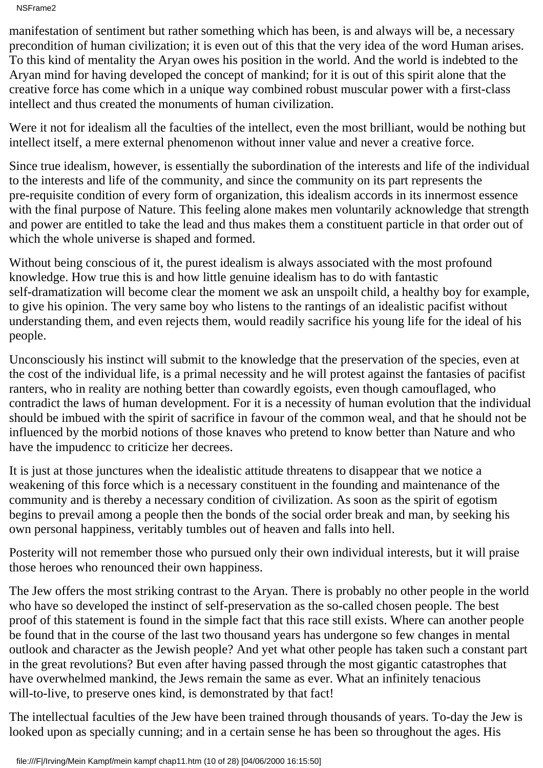NSFrame2

manifestation of sentiment but rather something which has been, is and always will be, a necessary precondition of human civilization; it is even out of this that the very idea of the word Human arises. To this kind of mentality the Aryan owes his position in the world. And the world is indebted to the Aryan mind for having developed the concept of mankind; for it is out of this spirit alone that the creative force has come which in a unique way combined robust muscular power with a first-class intellect and thus created the monuments of human civilization.

Were it not for idealism all the faculties of the intellect, even the most brilliant, would be nothing but intellect itself, a mere external phenomenon without inner value and never a creative force.

Since true idealism, however, is essentially the subordination of the interests and life of the individual to the interests and life of the community, and since the community on its part represents the pre-requisite condition of every form of organization, this idealism accords in its innermost essence with the final purpose of Nature. This feeling alone makes men voluntarily acknowledge that strength and power are entitled to take the lead and thus makes them a constituent particle in that order out of which the whole universe is shaped and formed.

Without being conscious of it, the purest idealism is always associated with the most profound knowledge. How true this is and how little genuine idealism has to do with fantastic self-dramatization will become clear the moment we ask an unspoilt child, a healthy boy for example, to give his opinion. The very same boy who listens to the rantings of an idealistic pacifist without understanding them, and even rejects them, would readily sacrifice his young life for the ideal of his people.

Unconsciously his instinct will submit to the knowledge that the preservation of the species, even at the cost of the individual life, is a primal necessity and he will protest against the fantasies of pacifist ranters, who in reality are nothing better than cowardly egoists, even though camouflaged, who contradict the laws of human development. For it is a necessity of human evolution that the individual should be imbued with the spirit of sacrifice in favour of the common weal, and that he should not be influenced by the morbid notions of those knaves who pretend to know better than Nature and who have the impudencc to criticize her decrees.

It is just at those junctures when the idealistic attitude threatens to disappear that we notice a weakening of this force which is a necessary constituent in the founding and maintenance of the community and is thereby a necessary condition of civilization. As soon as the spirit of egotism begins to prevail among a people then the bonds of the social order break and man, by seeking his own personal happiness, veritably tumbles out of heaven and falls into hell.

Posterity will not remember those who pursued only their own individual interests, but it will praise those heroes who renounced their own happiness.

The Jew offers the most striking contrast to the Aryan. There is probably no other people in the world who have so developed the instinct of self-preservation as the so-called chosen people. The best proof of this statement is found in the simple fact that this race still exists. Where can another people be found that in the course of the last two thousand years has undergone so few changes in mental outlook and character as the Jewish people? And yet what other people has taken such a constant part in the great revolutions? But even after having passed through the most gigantic catastrophes that have overwhelmed mankind, the Jews remain the same as ever. What an infinitely tenacious will-to-live, to preserve one s kind, is demonstrated by that fact!

The intellectual faculties of the Jew have been trained through thousands of years. To-day the Jew is looked upon as specially cunning; and in a certain sense he has been so throughout the ages. His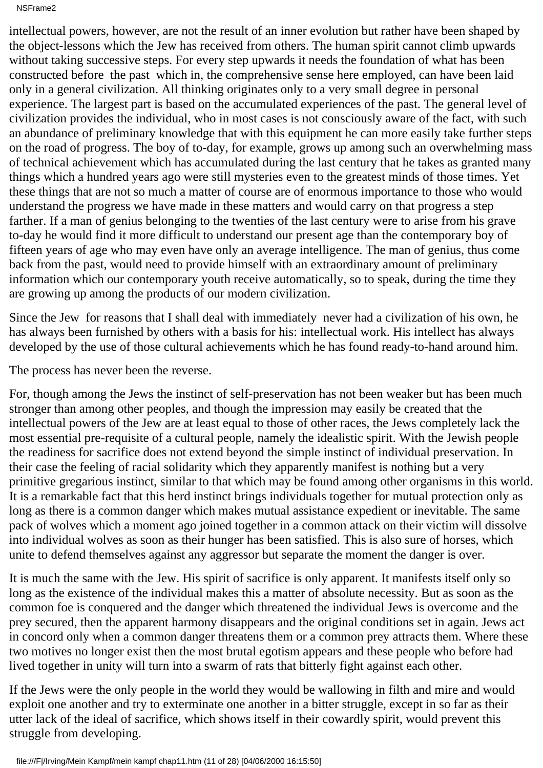intellectual powers, however, are not the result of an inner evolution but rather have been shaped by the object-lessons which the Jew has received from others. The human spirit cannot climb upwards without taking successive steps. For every step upwards it needs the foundation of what has been constructed before the past which in, the comprehensive sense here employed, can have been laid only in a general civilization. All thinking originates only to a very small degree in personal experience. The largest part is based on the accumulated experiences of the past. The general level of civilization provides the individual, who in most cases is not consciously aware of the fact, with such an abundance of preliminary knowledge that with this equipment he can more easily take further steps on the road of progress. The boy of to-day, for example, grows up among such an overwhelming mass of technical achievement which has accumulated during the last century that he takes as granted many things which a hundred years ago were still mysteries even to the greatest minds of those times. Yet these things that are not so much a matter of course are of enormous importance to those who would understand the progress we have made in these matters and would carry on that progress a step farther. If a man of genius belonging to the twenties of the last century were to arise from his grave to-day he would find it more difficult to understand our present age than the contemporary boy of fifteen years of age who may even have only an average intelligence. The man of genius, thus come back from the past, would need to provide himself with an extraordinary amount of preliminary information which our contemporary youth receive automatically, so to speak, during the time they are growing up among the products of our modern civilization.

Since the Jew for reasons that I shall deal with immediately never had a civilization of his own, he has always been furnished by others with a basis for his: intellectual work. His intellect has always developed by the use of those cultural achievements which he has found ready-to-hand around him.

The process has never been the reverse.

For, though among the Jews the instinct of self-preservation has not been weaker but has been much stronger than among other peoples, and though the impression may easily be created that the intellectual powers of the Jew are at least equal to those of other races, the Jews completely lack the most essential pre-requisite of a cultural people, namely the idealistic spirit. With the Jewish people the readiness for sacrifice does not extend beyond the simple instinct of individual preservation. In their case the feeling of racial solidarity which they apparently manifest is nothing but a very primitive gregarious instinct, similar to that which may be found among other organisms in this world. It is a remarkable fact that this herd instinct brings individuals together for mutual protection only as long as there is a common danger which makes mutual assistance expedient or inevitable. The same pack of wolves which a moment ago joined together in a common attack on their victim will dissolve into individual wolves as soon as their hunger has been satisfied. This is also sure of horses, which unite to defend themselves against any aggressor but separate the moment the danger is over.

It is much the same with the Jew. His spirit of sacrifice is only apparent. It manifests itself only so long as the existence of the individual makes this a matter of absolute necessity. But as soon as the common foe is conquered and the danger which threatened the individual Jews is overcome and the prey secured, then the apparent harmony disappears and the original conditions set in again. Jews act in concord only when a common danger threatens them or a common prey attracts them. Where these two motives no longer exist then the most brutal egotism appears and these people who before had lived together in unity will turn into a swarm of rats that bitterly fight against each other.

If the Jews were the only people in the world they would be wallowing in filth and mire and would exploit one another and try to exterminate one another in a bitter struggle, except in so far as their utter lack of the ideal of sacrifice, which shows itself in their cowardly spirit, would prevent this struggle from developing.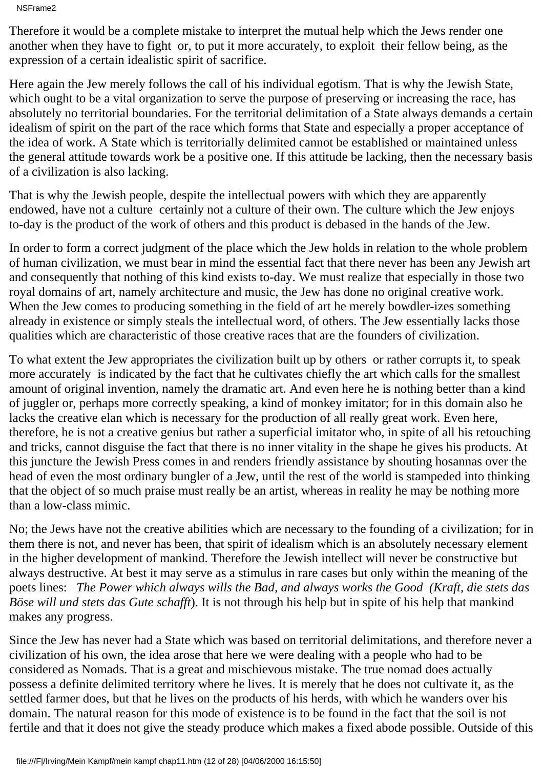NSFrame2

Therefore it would be a complete mistake to interpret the mutual help which the Jews render one another when they have to fight or, to put it more accurately, to exploit their fellow being, as the expression of a certain idealistic spirit of sacrifice.

Here again the Jew merely follows the call of his individual egotism. That is why the Jewish State, which ought to be a vital organization to serve the purpose of preserving or increasing the race, has absolutely no territorial boundaries. For the territorial delimitation of a State always demands a certain idealism of spirit on the part of the race which forms that State and especially a proper acceptance of the idea of work. A State which is territorially delimited cannot be established or maintained unless the general attitude towards work be a positive one. If this attitude be lacking, then the necessary basis of a civilization is also lacking.

That is why the Jewish people, despite the intellectual powers with which they are apparently endowed, have not a culture certainly not a culture of their own. The culture which the Jew enjoys to-day is the product of the work of others and this product is debased in the hands of the Jew.

In order to form a correct judgment of the place which the Jew holds in relation to the whole problem of human civilization, we must bear in mind the essential fact that there never has been any Jewish art and consequently that nothing of this kind exists to-day. We must realize that especially in those two royal domains of art, namely architecture and music, the Jew has done no original creative work. When the Jew comes to producing something in the field of art he merely bowdler-izes something already in existence or simply steals the intellectual word, of others. The Jew essentially lacks those qualities which are characteristic of those creative races that are the founders of civilization.

To what extent the Jew appropriates the civilization built up by others or rather corrupts it, to speak more accurately is indicated by the fact that he cultivates chiefly the art which calls for the smallest amount of original invention, namely the dramatic art. And even here he is nothing better than a kind of juggler or, perhaps more correctly speaking, a kind of monkey imitator; for in this domain also he lacks the creative elan which is necessary for the production of all really great work. Even here, therefore, he is not a creative genius but rather a superficial imitator who, in spite of all his retouching and tricks, cannot disguise the fact that there is no inner vitality in the shape he gives his products. At this juncture the Jewish Press comes in and renders friendly assistance by shouting hosannas over the head of even the most ordinary bungler of a Jew, until the rest of the world is stampeded into thinking that the object of so much praise must really be an artist, whereas in reality he may be nothing more than a low-class mimic.

No; the Jews have not the creative abilities which are necessary to the founding of a civilization; for in them there is not, and never has been, that spirit of idealism which is an absolutely necessary element in the higher development of mankind. Therefore the Jewish intellect will never be constructive but always destructive. At best it may serve as a stimulus in rare cases but only within the meaning of the poets lines: *The Power which always wills the Bad, and always works the Good (Kraft, die stets das Böse will und stets das Gute schafft*). It is not through his help but in spite of his help that mankind makes any progress.

Since the Jew has never had a State which was based on territorial delimitations, and therefore never a civilization of his own, the idea arose that here we were dealing with a people who had to be considered as Nomads. That is a great and mischievous mistake. The true nomad does actually possess a definite delimited territory where he lives. It is merely that he does not cultivate it, as the settled farmer does, but that he lives on the products of his herds, with which he wanders over his domain. The natural reason for this mode of existence is to be found in the fact that the soil is not fertile and that it does not give the steady produce which makes a fixed abode possible. Outside of this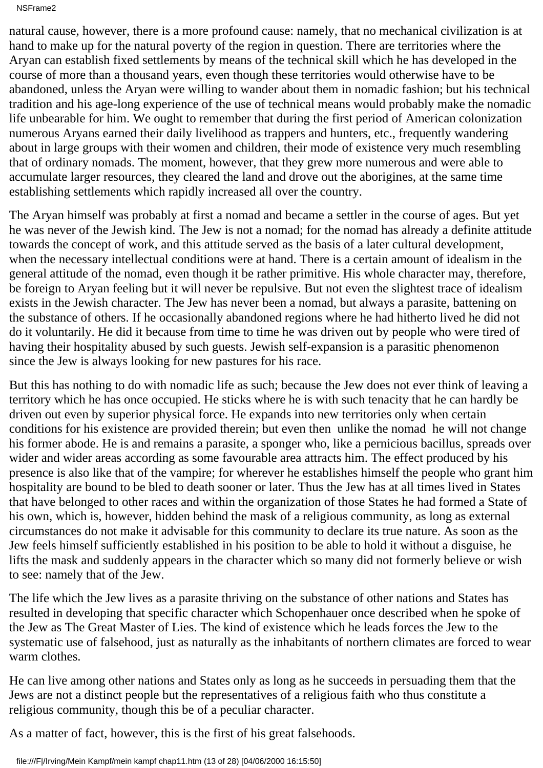NSFrame2

natural cause, however, there is a more profound cause: namely, that no mechanical civilization is at hand to make up for the natural poverty of the region in question. There are territories where the Aryan can establish fixed settlements by means of the technical skill which he has developed in the course of more than a thousand years, even though these territories would otherwise have to be abandoned, unless the Aryan were willing to wander about them in nomadic fashion; but his technical tradition and his age-long experience of the use of technical means would probably make the nomadic life unbearable for him. We ought to remember that during the first period of American colonization numerous Aryans earned their daily livelihood as trappers and hunters, etc., frequently wandering about in large groups with their women and children, their mode of existence very much resembling that of ordinary nomads. The moment, however, that they grew more numerous and were able to accumulate larger resources, they cleared the land and drove out the aborigines, at the same time establishing settlements which rapidly increased all over the country.

The Aryan himself was probably at first a nomad and became a settler in the course of ages. But yet he was never of the Jewish kind. The Jew is not a nomad; for the nomad has already a definite attitude towards the concept of work, and this attitude served as the basis of a later cultural development, when the necessary intellectual conditions were at hand. There is a certain amount of idealism in the general attitude of the nomad, even though it be rather primitive. His whole character may, therefore, be foreign to Aryan feeling but it will never be repulsive. But not even the slightest trace of idealism exists in the Jewish character. The Jew has never been a nomad, but always a parasite, battening on the substance of others. If he occasionally abandoned regions where he had hitherto lived he did not do it voluntarily. He did it because from time to time he was driven out by people who were tired of having their hospitality abused by such guests. Jewish self-expansion is a parasitic phenomenon since the Jew is always looking for new pastures for his race.

But this has nothing to do with nomadic life as such; because the Jew does not ever think of leaving a territory which he has once occupied. He sticks where he is with such tenacity that he can hardly be driven out even by superior physical force. He expands into new territories only when certain conditions for his existence are provided therein; but even then unlike the nomad he will not change his former abode. He is and remains a parasite, a sponger who, like a pernicious bacillus, spreads over wider and wider areas according as some favourable area attracts him. The effect produced by his presence is also like that of the vampire; for wherever he establishes himself the people who grant him hospitality are bound to be bled to death sooner or later. Thus the Jew has at all times lived in States that have belonged to other races and within the organization of those States he had formed a State of his own, which is, however, hidden behind the mask of a religious community, as long as external circumstances do not make it advisable for this community to declare its true nature. As soon as the Jew feels himself sufficiently established in his position to be able to hold it without a disguise, he lifts the mask and suddenly appears in the character which so many did not formerly believe or wish to see: namely that of the Jew.

The life which the Jew lives as a parasite thriving on the substance of other nations and States has resulted in developing that specific character which Schopenhauer once described when he spoke of the Jew as The Great Master of Lies. The kind of existence which he leads forces the Jew to the systematic use of falsehood, just as naturally as the inhabitants of northern climates are forced to wear warm clothes.

He can live among other nations and States only as long as he succeeds in persuading them that the Jews are not a distinct people but the representatives of a religious faith who thus constitute a religious community, though this be of a peculiar character.

As a matter of fact, however, this is the first of his great falsehoods.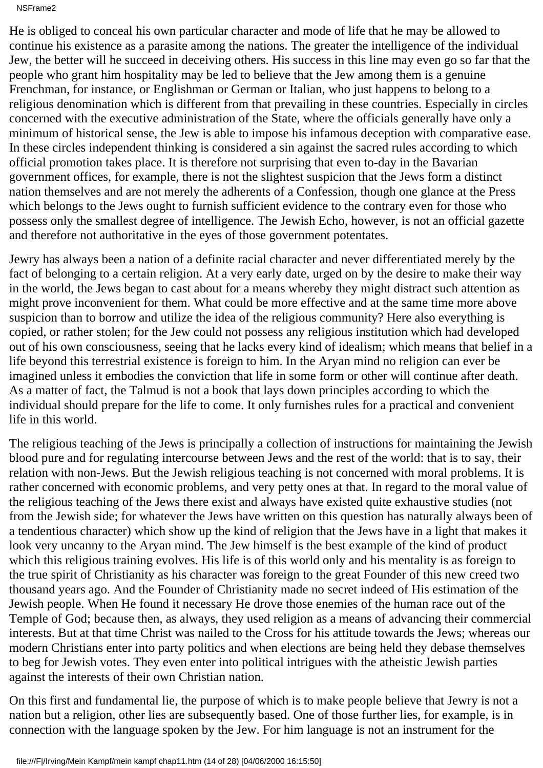He is obliged to conceal his own particular character and mode of life that he may be allowed to continue his existence as a parasite among the nations. The greater the intelligence of the individual Jew, the better will he succeed in deceiving others. His success in this line may even go so far that the people who grant him hospitality may be led to believe that the Jew among them is a genuine Frenchman, for instance, or Englishman or German or Italian, who just happens to belong to a religious denomination which is different from that prevailing in these countries. Especially in circles concerned with the executive administration of the State, where the officials generally have only a minimum of historical sense, the Jew is able to impose his infamous deception with comparative ease. In these circles independent thinking is considered a sin against the sacred rules according to which official promotion takes place. It is therefore not surprising that even to-day in the Bavarian government offices, for example, there is not the slightest suspicion that the Jews form a distinct nation themselves and are not merely the adherents of a Confession, though one glance at the Press which belongs to the Jews ought to furnish sufficient evidence to the contrary even for those who possess only the smallest degree of intelligence. The Jewish Echo, however, is not an official gazette and therefore not authoritative in the eyes of those government potentates.

Jewry has always been a nation of a definite racial character and never differentiated merely by the fact of belonging to a certain religion. At a very early date, urged on by the desire to make their way in the world, the Jews began to cast about for a means whereby they might distract such attention as might prove inconvenient for them. What could be more effective and at the same time more above suspicion than to borrow and utilize the idea of the religious community? Here also everything is copied, or rather stolen; for the Jew could not possess any religious institution which had developed out of his own consciousness, seeing that he lacks every kind of idealism; which means that belief in a life beyond this terrestrial existence is foreign to him. In the Aryan mind no religion can ever be imagined unless it embodies the conviction that life in some form or other will continue after death. As a matter of fact, the Talmud is not a book that lays down principles according to which the individual should prepare for the life to come. It only furnishes rules for a practical and convenient life in this world.

The religious teaching of the Jews is principally a collection of instructions for maintaining the Jewish blood pure and for regulating intercourse between Jews and the rest of the world: that is to say, their relation with non-Jews. But the Jewish religious teaching is not concerned with moral problems. It is rather concerned with economic problems, and very petty ones at that. In regard to the moral value of the religious teaching of the Jews there exist and always have existed quite exhaustive studies (not from the Jewish side; for whatever the Jews have written on this question has naturally always been of a tendentious character) which show up the kind of religion that the Jews have in a light that makes it look very uncanny to the Aryan mind. The Jew himself is the best example of the kind of product which this religious training evolves. His life is of this world only and his mentality is as foreign to the true spirit of Christianity as his character was foreign to the great Founder of this new creed two thousand years ago. And the Founder of Christianity made no secret indeed of His estimation of the Jewish people. When He found it necessary He drove those enemies of the human race out of the Temple of God; because then, as always, they used religion as a means of advancing their commercial interests. But at that time Christ was nailed to the Cross for his attitude towards the Jews; whereas our modern Christians enter into party politics and when elections are being held they debase themselves to beg for Jewish votes. They even enter into political intrigues with the atheistic Jewish parties against the interests of their own Christian nation.

On this first and fundamental lie, the purpose of which is to make people believe that Jewry is not a nation but a religion, other lies are subsequently based. One of those further lies, for example, is in connection with the language spoken by the Jew. For him language is not an instrument for the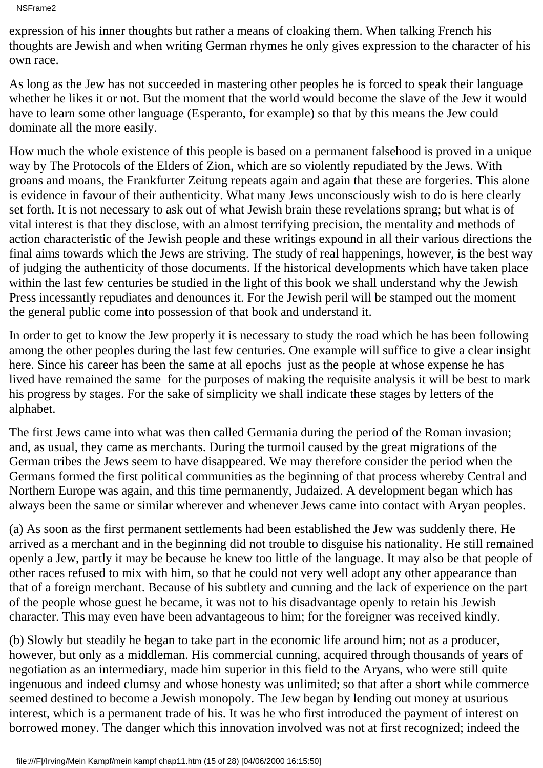NSFrame2

expression of his inner thoughts but rather a means of cloaking them. When talking French his thoughts are Jewish and when writing German rhymes he only gives expression to the character of his own race.

As long as the Jew has not succeeded in mastering other peoples he is forced to speak their language whether he likes it or not. But the moment that the world would become the slave of the Jew it would have to learn some other language (Esperanto, for example) so that by this means the Jew could dominate all the more easily.

How much the whole existence of this people is based on a permanent falsehood is proved in a unique way by The Protocols of the Elders of Zion, which are so violently repudiated by the Jews. With groans and moans, the Frankfurter Zeitung repeats again and again that these are forgeries. This alone is evidence in favour of their authenticity. What many Jews unconsciously wish to do is here clearly set forth. It is not necessary to ask out of what Jewish brain these revelations sprang; but what is of vital interest is that they disclose, with an almost terrifying precision, the mentality and methods of action characteristic of the Jewish people and these writings expound in all their various directions the final aims towards which the Jews are striving. The study of real happenings, however, is the best way of judging the authenticity of those documents. If the historical developments which have taken place within the last few centuries be studied in the light of this book we shall understand why the Jewish Press incessantly repudiates and denounces it. For the Jewish peril will be stamped out the moment the general public come into possession of that book and understand it.

In order to get to know the Jew properly it is necessary to study the road which he has been following among the other peoples during the last few centuries. One example will suffice to give a clear insight here. Since his career has been the same at all epochs just as the people at whose expense he has lived have remained the same for the purposes of making the requisite analysis it will be best to mark his progress by stages. For the sake of simplicity we shall indicate these stages by letters of the alphabet.

The first Jews came into what was then called Germania during the period of the Roman invasion; and, as usual, they came as merchants. During the turmoil caused by the great migrations of the German tribes the Jews seem to have disappeared. We may therefore consider the period when the Germans formed the first political communities as the beginning of that process whereby Central and Northern Europe was again, and this time permanently, Judaized. A development began which has always been the same or similar wherever and whenever Jews came into contact with Aryan peoples.

(a) As soon as the first permanent settlements had been established the Jew was suddenly there. He arrived as a merchant and in the beginning did not trouble to disguise his nationality. He still remained openly a Jew, partly it may be because he knew too little of the language. It may also be that people of other races refused to mix with him, so that he could not very well adopt any other appearance than that of a foreign merchant. Because of his subtlety and cunning and the lack of experience on the part of the people whose guest he became, it was not to his disadvantage openly to retain his Jewish character. This may even have been advantageous to him; for the foreigner was received kindly.

(b) Slowly but steadily he began to take part in the economic life around him; not as a producer, however, but only as a middleman. His commercial cunning, acquired through thousands of years of negotiation as an intermediary, made him superior in this field to the Aryans, who were still quite ingenuous and indeed clumsy and whose honesty was unlimited; so that after a short while commerce seemed destined to become a Jewish monopoly. The Jew began by lending out money at usurious interest, which is a permanent trade of his. It was he who first introduced the payment of interest on borrowed money. The danger which this innovation involved was not at first recognized; indeed the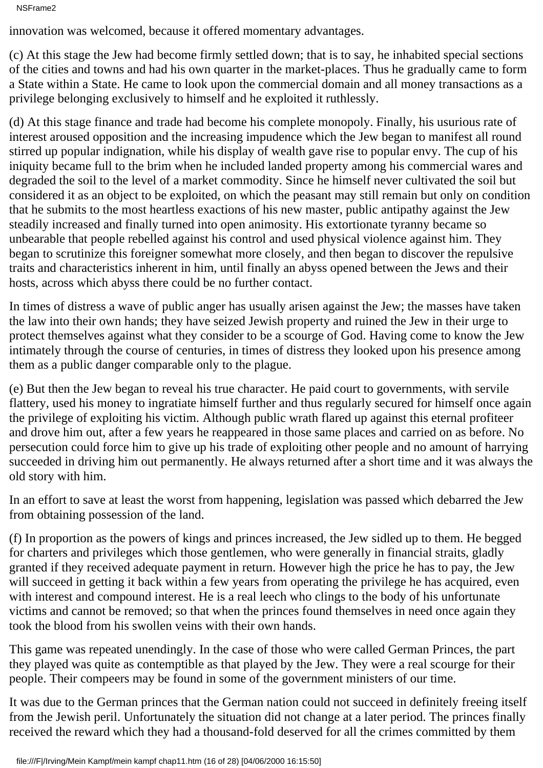NSFrame2

innovation was welcomed, because it offered momentary advantages.

(c) At this stage the Jew had become firmly settled down; that is to say, he inhabited special sections of the cities and towns and had his own quarter in the market-places. Thus he gradually came to form a State within a State. He came to look upon the commercial domain and all money transactions as a privilege belonging exclusively to himself and he exploited it ruthlessly.

(d) At this stage finance and trade had become his complete monopoly. Finally, his usurious rate of interest aroused opposition and the increasing impudence which the Jew began to manifest all round stirred up popular indignation, while his display of wealth gave rise to popular envy. The cup of his iniquity became full to the brim when he included landed property among his commercial wares and degraded the soil to the level of a market commodity. Since he himself never cultivated the soil but considered it as an object to be exploited, on which the peasant may still remain but only on condition that he submits to the most heartless exactions of his new master, public antipathy against the Jew steadily increased and finally turned into open animosity. His extortionate tyranny became so unbearable that people rebelled against his control and used physical violence against him. They began to scrutinize this foreigner somewhat more closely, and then began to discover the repulsive traits and characteristics inherent in him, until finally an abyss opened between the Jews and their hosts, across which abyss there could be no further contact.

In times of distress a wave of public anger has usually arisen against the Jew; the masses have taken the law into their own hands; they have seized Jewish property and ruined the Jew in their urge to protect themselves against what they consider to be a scourge of God. Having come to know the Jew intimately through the course of centuries, in times of distress they looked upon his presence among them as a public danger comparable only to the plague.

(e) But then the Jew began to reveal his true character. He paid court to governments, with servile flattery, used his money to ingratiate himself further and thus regularly secured for himself once again the privilege of exploiting his victim. Although public wrath flared up against this eternal profiteer and drove him out, after a few years he reappeared in those same places and carried on as before. No persecution could force him to give up his trade of exploiting other people and no amount of harrying succeeded in driving him out permanently. He always returned after a short time and it was always the old story with him.

In an effort to save at least the worst from happening, legislation was passed which debarred the Jew from obtaining possession of the land.

(f) In proportion as the powers of kings and princes increased, the Jew sidled up to them. He begged for charters and privileges which those gentlemen, who were generally in financial straits, gladly granted if they received adequate payment in return. However high the price he has to pay, the Jew will succeed in getting it back within a few years from operating the privilege he has acquired, even with interest and compound interest. He is a real leech who clings to the body of his unfortunate victims and cannot be removed; so that when the princes found themselves in need once again they took the blood from his swollen veins with their own hands.

This game was repeated unendingly. In the case of those who were called German Princes, the part they played was quite as contemptible as that played by the Jew. They were a real scourge for their people. Their compeers may be found in some of the government ministers of our time.

It was due to the German princes that the German nation could not succeed in definitely freeing itself from the Jewish peril. Unfortunately the situation did not change at a later period. The princes finally received the reward which they had a thousand-fold deserved for all the crimes committed by them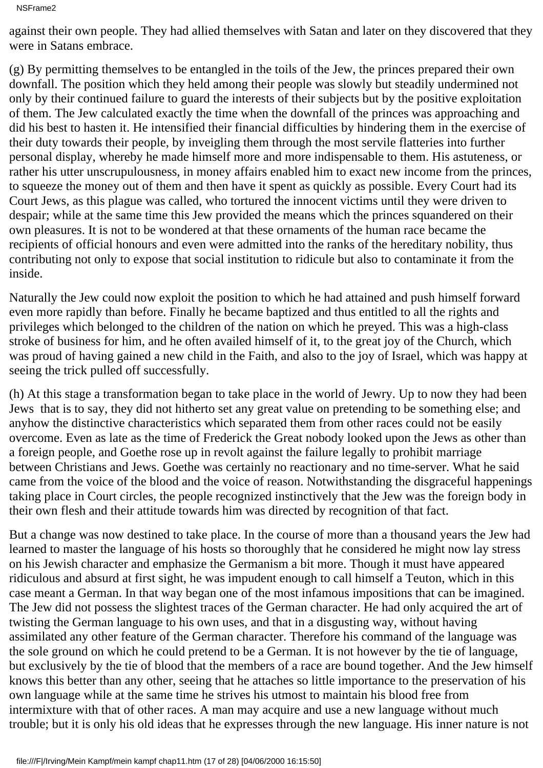```
NSFrame2
```
against their own people. They had allied themselves with Satan and later on they discovered that they were in Satan s embrace.

(g) By permitting themselves to be entangled in the toils of the Jew, the princes prepared their own downfall. The position which they held among their people was slowly but steadily undermined not only by their continued failure to guard the interests of their subjects but by the positive exploitation of them. The Jew calculated exactly the time when the downfall of the princes was approaching and did his best to hasten it. He intensified their financial difficulties by hindering them in the exercise of their duty towards their people, by inveigling them through the most servile flatteries into further personal display, whereby he made himself more and more indispensable to them. His astuteness, or rather his utter unscrupulousness, in money affairs enabled him to exact new income from the princes, to squeeze the money out of them and then have it spent as quickly as possible. Every Court had its Court Jews, as this plague was called, who tortured the innocent victims until they were driven to despair; while at the same time this Jew provided the means which the princes squandered on their own pleasures. It is not to be wondered at that these ornaments of the human race became the recipients of official honours and even were admitted into the ranks of the hereditary nobility, thus contributing not only to expose that social institution to ridicule but also to contaminate it from the inside.

Naturally the Jew could now exploit the position to which he had attained and push himself forward even more rapidly than before. Finally he became baptized and thus entitled to all the rights and privileges which belonged to the children of the nation on which he preyed. This was a high-class stroke of business for him, and he often availed himself of it, to the great joy of the Church, which was proud of having gained a new child in the Faith, and also to the joy of Israel, which was happy at seeing the trick pulled off successfully.

(h) At this stage a transformation began to take place in the world of Jewry. Up to now they had been Jews that is to say, they did not hitherto set any great value on pretending to be something else; and anyhow the distinctive characteristics which separated them from other races could not be easily overcome. Even as late as the time of Frederick the Great nobody looked upon the Jews as other than a foreign people, and Goethe rose up in revolt against the failure legally to prohibit marriage between Christians and Jews. Goethe was certainly no reactionary and no time-server. What he said came from the voice of the blood and the voice of reason. Notwithstanding the disgraceful happenings taking place in Court circles, the people recognized instinctively that the Jew was the foreign body in their own flesh and their attitude towards him was directed by recognition of that fact.

But a change was now destined to take place. In the course of more than a thousand years the Jew had learned to master the language of his hosts so thoroughly that he considered he might now lay stress on his Jewish character and emphasize the Germanism a bit more. Though it must have appeared ridiculous and absurd at first sight, he was impudent enough to call himself a Teuton, which in this case meant a German. In that way began one of the most infamous impositions that can be imagined. The Jew did not possess the slightest traces of the German character. He had only acquired the art of twisting the German language to his own uses, and that in a disgusting way, without having assimilated any other feature of the German character. Therefore his command of the language was the sole ground on which he could pretend to be a German. It is not however by the tie of language, but exclusively by the tie of blood that the members of a race are bound together. And the Jew himself knows this better than any other, seeing that he attaches so little importance to the preservation of his own language while at the same time he strives his utmost to maintain his blood free from intermixture with that of other races. A man may acquire and use a new language without much trouble; but it is only his old ideas that he expresses through the new language. His inner nature is not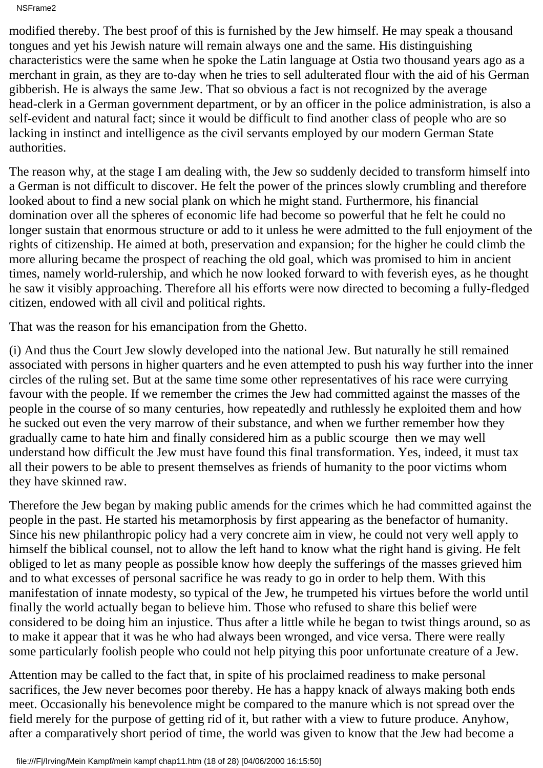NSFrame2

modified thereby. The best proof of this is furnished by the Jew himself. He may speak a thousand tongues and yet his Jewish nature will remain always one and the same. His distinguishing characteristics were the same when he spoke the Latin language at Ostia two thousand years ago as a merchant in grain, as they are to-day when he tries to sell adulterated flour with the aid of his German gibberish. He is always the same Jew. That so obvious a fact is not recognized by the average head-clerk in a German government department, or by an officer in the police administration, is also a self-evident and natural fact; since it would be difficult to find another class of people who are so lacking in instinct and intelligence as the civil servants employed by our modern German State authorities.

The reason why, at the stage I am dealing with, the Jew so suddenly decided to transform himself into a German is not difficult to discover. He felt the power of the princes slowly crumbling and therefore looked about to find a new social plank on which he might stand. Furthermore, his financial domination over all the spheres of economic life had become so powerful that he felt he could no longer sustain that enormous structure or add to it unless he were admitted to the full enjoyment of the rights of citizenship. He aimed at both, preservation and expansion; for the higher he could climb the more alluring became the prospect of reaching the old goal, which was promised to him in ancient times, namely world-rulership, and which he now looked forward to with feverish eyes, as he thought he saw it visibly approaching. Therefore all his efforts were now directed to becoming a fully-fledged citizen, endowed with all civil and political rights.

That was the reason for his emancipation from the Ghetto.

(i) And thus the Court Jew slowly developed into the national Jew. But naturally he still remained associated with persons in higher quarters and he even attempted to push his way further into the inner circles of the ruling set. But at the same time some other representatives of his race were currying favour with the people. If we remember the crimes the Jew had committed against the masses of the people in the course of so many centuries, how repeatedly and ruthlessly he exploited them and how he sucked out even the very marrow of their substance, and when we further remember how they gradually came to hate him and finally considered him as a public scourge then we may well understand how difficult the Jew must have found this final transformation. Yes, indeed, it must tax all their powers to be able to present themselves as friends of humanity to the poor victims whom they have skinned raw.

Therefore the Jew began by making public amends for the crimes which he had committed against the people in the past. He started his metamorphosis by first appearing as the benefactor of humanity. Since his new philanthropic policy had a very concrete aim in view, he could not very well apply to himself the biblical counsel, not to allow the left hand to know what the right hand is giving. He felt obliged to let as many people as possible know how deeply the sufferings of the masses grieved him and to what excesses of personal sacrifice he was ready to go in order to help them. With this manifestation of innate modesty, so typical of the Jew, he trumpeted his virtues before the world until finally the world actually began to believe him. Those who refused to share this belief were considered to be doing him an injustice. Thus after a little while he began to twist things around, so as to make it appear that it was he who had always been wronged, and vice versa. There were really some particularly foolish people who could not help pitying this poor unfortunate creature of a Jew.

Attention may be called to the fact that, in spite of his proclaimed readiness to make personal sacrifices, the Jew never becomes poor thereby. He has a happy knack of always making both ends meet. Occasionally his benevolence might be compared to the manure which is not spread over the field merely for the purpose of getting rid of it, but rather with a view to future produce. Anyhow, after a comparatively short period of time, the world was given to know that the Jew had become a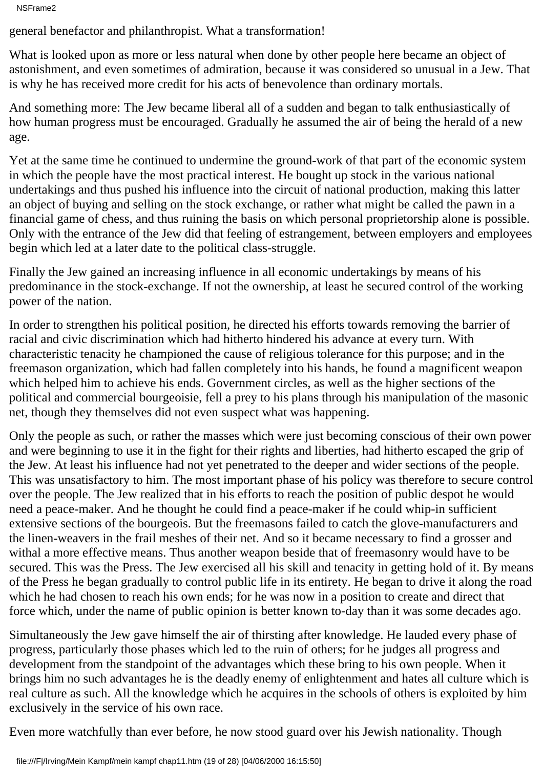general benefactor and philanthropist. What a transformation!

What is looked upon as more or less natural when done by other people here became an object of astonishment, and even sometimes of admiration, because it was considered so unusual in a Jew. That is why he has received more credit for his acts of benevolence than ordinary mortals.

And something more: The Jew became liberal all of a sudden and began to talk enthusiastically of how human progress must be encouraged. Gradually he assumed the air of being the herald of a new age.

Yet at the same time he continued to undermine the ground-work of that part of the economic system in which the people have the most practical interest. He bought up stock in the various national undertakings and thus pushed his influence into the circuit of national production, making this latter an object of buying and selling on the stock exchange, or rather what might be called the pawn in a financial game of chess, and thus ruining the basis on which personal proprietorship alone is possible. Only with the entrance of the Jew did that feeling of estrangement, between employers and employees begin which led at a later date to the political class-struggle.

Finally the Jew gained an increasing influence in all economic undertakings by means of his predominance in the stock-exchange. If not the ownership, at least he secured control of the working power of the nation.

In order to strengthen his political position, he directed his efforts towards removing the barrier of racial and civic discrimination which had hitherto hindered his advance at every turn. With characteristic tenacity he championed the cause of religious tolerance for this purpose; and in the freemason organization, which had fallen completely into his hands, he found a magnificent weapon which helped him to achieve his ends. Government circles, as well as the higher sections of the political and commercial bourgeoisie, fell a prey to his plans through his manipulation of the masonic net, though they themselves did not even suspect what was happening.

Only the people as such, or rather the masses which were just becoming conscious of their own power and were beginning to use it in the fight for their rights and liberties, had hitherto escaped the grip of the Jew. At least his influence had not yet penetrated to the deeper and wider sections of the people. This was unsatisfactory to him. The most important phase of his policy was therefore to secure control over the people. The Jew realized that in his efforts to reach the position of public despot he would need a peace-maker. And he thought he could find a peace-maker if he could whip-in sufficient extensive sections of the bourgeois. But the freemasons failed to catch the glove-manufacturers and the linen-weavers in the frail meshes of their net. And so it became necessary to find a grosser and withal a more effective means. Thus another weapon beside that of freemasonry would have to be secured. This was the Press. The Jew exercised all his skill and tenacity in getting hold of it. By means of the Press he began gradually to control public life in its entirety. He began to drive it along the road which he had chosen to reach his own ends; for he was now in a position to create and direct that force which, under the name of public opinion is better known to-day than it was some decades ago.

Simultaneously the Jew gave himself the air of thirsting after knowledge. He lauded every phase of progress, particularly those phases which led to the ruin of others; for he judges all progress and development from the standpoint of the advantages which these bring to his own people. When it brings him no such advantages he is the deadly enemy of enlightenment and hates all culture which is real culture as such. All the knowledge which he acquires in the schools of others is exploited by him exclusively in the service of his own race.

Even more watchfully than ever before, he now stood guard over his Jewish nationality. Though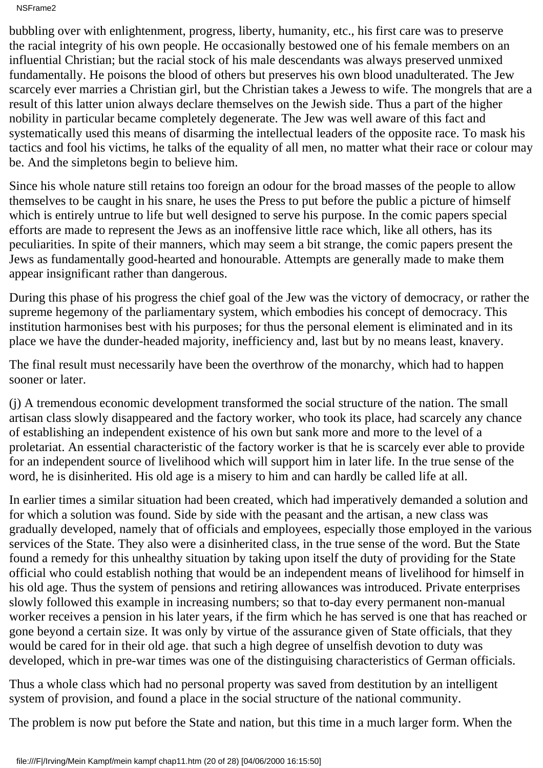NSFrame2

bubbling over with enlightenment, progress, liberty, humanity, etc., his first care was to preserve the racial integrity of his own people. He occasionally bestowed one of his female members on an influential Christian; but the racial stock of his male descendants was always preserved unmixed fundamentally. He poisons the blood of others but preserves his own blood unadulterated. The Jew scarcely ever marries a Christian girl, but the Christian takes a Jewess to wife. The mongrels that are a result of this latter union always declare themselves on the Jewish side. Thus a part of the higher nobility in particular became completely degenerate. The Jew was well aware of this fact and systematically used this means of disarming the intellectual leaders of the opposite race. To mask his tactics and fool his victims, he talks of the equality of all men, no matter what their race or colour may be. And the simpletons begin to believe him.

Since his whole nature still retains too foreign an odour for the broad masses of the people to allow themselves to be caught in his snare, he uses the Press to put before the public a picture of himself which is entirely untrue to life but well designed to serve his purpose. In the comic papers special efforts are made to represent the Jews as an inoffensive little race which, like all others, has its peculiarities. In spite of their manners, which may seem a bit strange, the comic papers present the Jews as fundamentally good-hearted and honourable. Attempts are generally made to make them appear insignificant rather than dangerous.

During this phase of his progress the chief goal of the Jew was the victory of democracy, or rather the supreme hegemony of the parliamentary system, which embodies his concept of democracy. This institution harmonises best with his purposes; for thus the personal element is eliminated and in its place we have the dunder-headed majority, inefficiency and, last but by no means least, knavery.

The final result must necessarily have been the overthrow of the monarchy, which had to happen sooner or later.

(j) A tremendous economic development transformed the social structure of the nation. The small artisan class slowly disappeared and the factory worker, who took its place, had scarcely any chance of establishing an independent existence of his own but sank more and more to the level of a proletariat. An essential characteristic of the factory worker is that he is scarcely ever able to provide for an independent source of livelihood which will support him in later life. In the true sense of the word, he is disinherited. His old age is a misery to him and can hardly be called life at all.

In earlier times a similar situation had been created, which had imperatively demanded a solution and for which a solution was found. Side by side with the peasant and the artisan, a new class was gradually developed, namely that of officials and employees, especially those employed in the various services of the State. They also were a disinherited class, in the true sense of the word. But the State found a remedy for this unhealthy situation by taking upon itself the duty of providing for the State official who could establish nothing that would be an independent means of livelihood for himself in his old age. Thus the system of pensions and retiring allowances was introduced. Private enterprises slowly followed this example in increasing numbers; so that to-day every permanent non-manual worker receives a pension in his later years, if the firm which he has served is one that has reached or gone beyond a certain size. It was only by virtue of the assurance given of State officials, that they would be cared for in their old age. that such a high degree of unselfish devotion to duty was developed, which in pre-war times was one of the distinguising characteristics of German officials.

Thus a whole class which had no personal property was saved from destitution by an intelligent system of provision, and found a place in the social structure of the national community.

The problem is now put before the State and nation, but this time in a much larger form. When the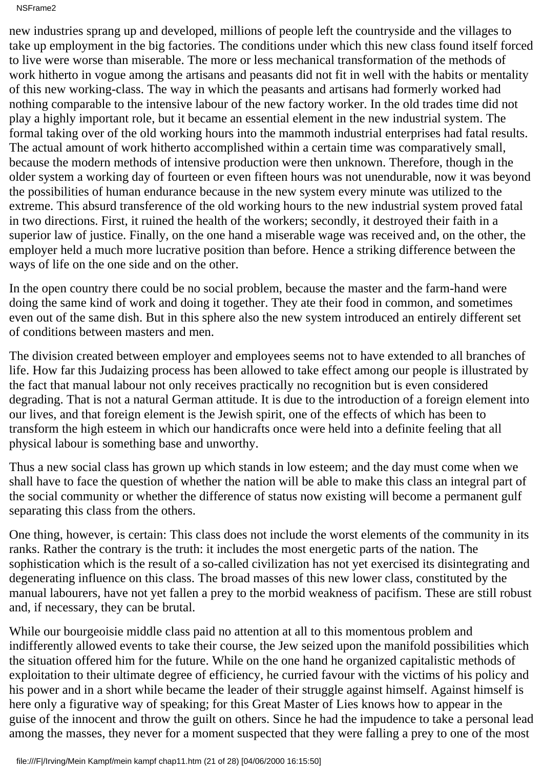new industries sprang up and developed, millions of people left the countryside and the villages to take up employment in the big factories. The conditions under which this new class found itself forced to live were worse than miserable. The more or less mechanical transformation of the methods of work hitherto in vogue among the artisans and peasants did not fit in well with the habits or mentality of this new working-class. The way in which the peasants and artisans had formerly worked had nothing comparable to the intensive labour of the new factory worker. In the old trades time did not play a highly important role, but it became an essential element in the new industrial system. The formal taking over of the old working hours into the mammoth industrial enterprises had fatal results. The actual amount of work hitherto accomplished within a certain time was comparatively small, because the modern methods of intensive production were then unknown. Therefore, though in the older system a working day of fourteen or even fifteen hours was not unendurable, now it was beyond the possibilities of human endurance because in the new system every minute was utilized to the extreme. This absurd transference of the old working hours to the new industrial system proved fatal in two directions. First, it ruined the health of the workers; secondly, it destroyed their faith in a superior law of justice. Finally, on the one hand a miserable wage was received and, on the other, the employer held a much more lucrative position than before. Hence a striking difference between the ways of life on the one side and on the other.

In the open country there could be no social problem, because the master and the farm-hand were doing the same kind of work and doing it together. They ate their food in common, and sometimes even out of the same dish. But in this sphere also the new system introduced an entirely different set of conditions between masters and men.

The division created between employer and employees seems not to have extended to all branches of life. How far this Judaizing process has been allowed to take effect among our people is illustrated by the fact that manual labour not only receives practically no recognition but is even considered degrading. That is not a natural German attitude. It is due to the introduction of a foreign element into our lives, and that foreign element is the Jewish spirit, one of the effects of which has been to transform the high esteem in which our handicrafts once were held into a definite feeling that all physical labour is something base and unworthy.

Thus a new social class has grown up which stands in low esteem; and the day must come when we shall have to face the question of whether the nation will be able to make this class an integral part of the social community or whether the difference of status now existing will become a permanent gulf separating this class from the others.

One thing, however, is certain: This class does not include the worst elements of the community in its ranks. Rather the contrary is the truth: it includes the most energetic parts of the nation. The sophistication which is the result of a so-called civilization has not yet exercised its disintegrating and degenerating influence on this class. The broad masses of this new lower class, constituted by the manual labourers, have not yet fallen a prey to the morbid weakness of pacifism. These are still robust and, if necessary, they can be brutal.

While our bourgeoisie middle class paid no attention at all to this momentous problem and indifferently allowed events to take their course, the Jew seized upon the manifold possibilities which the situation offered him for the future. While on the one hand he organized capitalistic methods of exploitation to their ultimate degree of efficiency, he curried favour with the victims of his policy and his power and in a short while became the leader of their struggle against himself. Against himself is here only a figurative way of speaking; for this Great Master of Lies knows how to appear in the guise of the innocent and throw the guilt on others. Since he had the impudence to take a personal lead among the masses, they never for a moment suspected that they were falling a prey to one of the most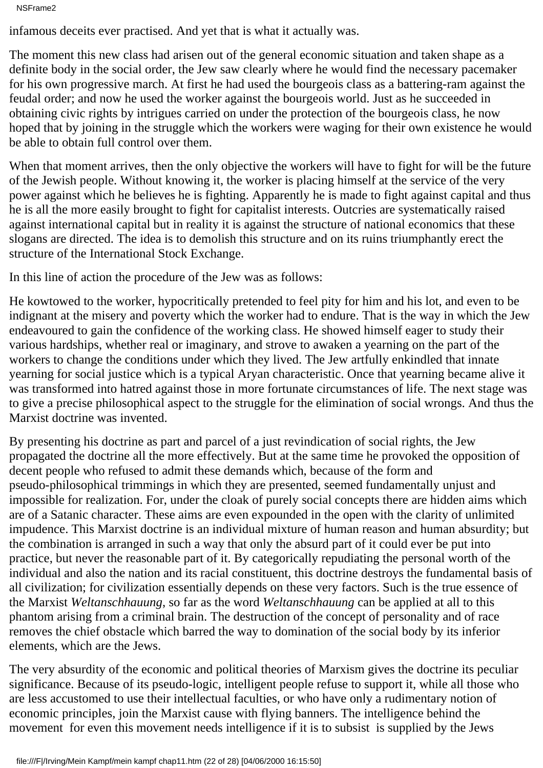infamous deceits ever practised. And yet that is what it actually was.

The moment this new class had arisen out of the general economic situation and taken shape as a definite body in the social order, the Jew saw clearly where he would find the necessary pacemaker for his own progressive march. At first he had used the bourgeois class as a battering-ram against the feudal order; and now he used the worker against the bourgeois world. Just as he succeeded in obtaining civic rights by intrigues carried on under the protection of the bourgeois class, he now hoped that by joining in the struggle which the workers were waging for their own existence he would be able to obtain full control over them.

When that moment arrives, then the only objective the workers will have to fight for will be the future of the Jewish people. Without knowing it, the worker is placing himself at the service of the very power against which he believes he is fighting. Apparently he is made to fight against capital and thus he is all the more easily brought to fight for capitalist interests. Outcries are systematically raised against international capital but in reality it is against the structure of national economics that these slogans are directed. The idea is to demolish this structure and on its ruins triumphantly erect the structure of the International Stock Exchange.

In this line of action the procedure of the Jew was as follows:

He kowtowed to the worker, hypocritically pretended to feel pity for him and his lot, and even to be indignant at the misery and poverty which the worker had to endure. That is the way in which the Jew endeavoured to gain the confidence of the working class. He showed himself eager to study their various hardships, whether real or imaginary, and strove to awaken a yearning on the part of the workers to change the conditions under which they lived. The Jew artfully enkindled that innate yearning for social justice which is a typical Aryan characteristic. Once that yearning became alive it was transformed into hatred against those in more fortunate circumstances of life. The next stage was to give a precise philosophical aspect to the struggle for the elimination of social wrongs. And thus the Marxist doctrine was invented.

By presenting his doctrine as part and parcel of a just revindication of social rights, the Jew propagated the doctrine all the more effectively. But at the same time he provoked the opposition of decent people who refused to admit these demands which, because of the form and pseudo-philosophical trimmings in which they are presented, seemed fundamentally unjust and impossible for realization. For, under the cloak of purely social concepts there are hidden aims which are of a Satanic character. These aims are even expounded in the open with the clarity of unlimited impudence. This Marxist doctrine is an individual mixture of human reason and human absurdity; but the combination is arranged in such a way that only the absurd part of it could ever be put into practice, but never the reasonable part of it. By categorically repudiating the personal worth of the individual and also the nation and its racial constituent, this doctrine destroys the fundamental basis of all civilization; for civilization essentially depends on these very factors. Such is the true essence of the Marxist *Weltanschhauung*, so far as the word *Weltanschhauung* can be applied at all to this phantom arising from a criminal brain. The destruction of the concept of personality and of race removes the chief obstacle which barred the way to domination of the social body by its inferior elements, which are the Jews.

The very absurdity of the economic and political theories of Marxism gives the doctrine its peculiar significance. Because of its pseudo-logic, intelligent people refuse to support it, while all those who are less accustomed to use their intellectual faculties, or who have only a rudimentary notion of economic principles, join the Marxist cause with flying banners. The intelligence behind the movement for even this movement needs intelligence if it is to subsist is supplied by the Jews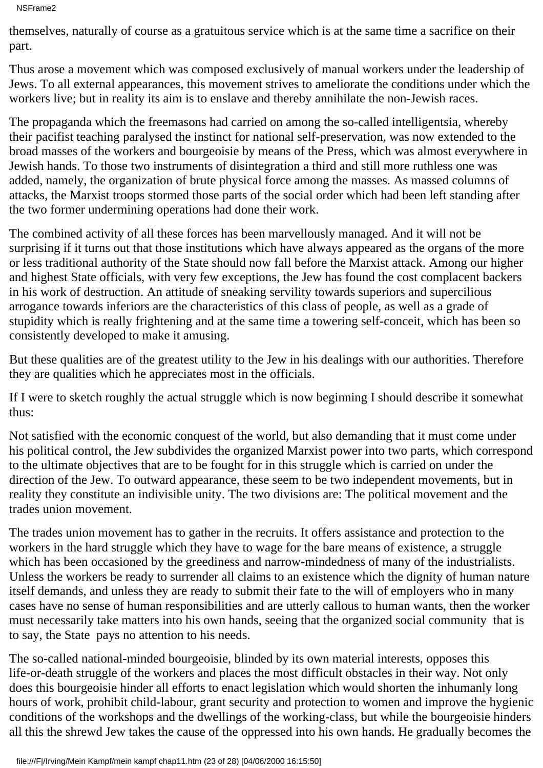themselves, naturally of course as a gratuitous service which is at the same time a sacrifice on their part.

Thus arose a movement which was composed exclusively of manual workers under the leadership of Jews. To all external appearances, this movement strives to ameliorate the conditions under which the workers live; but in reality its aim is to enslave and thereby annihilate the non-Jewish races.

The propaganda which the freemasons had carried on among the so-called intelligentsia, whereby their pacifist teaching paralysed the instinct for national self-preservation, was now extended to the broad masses of the workers and bourgeoisie by means of the Press, which was almost everywhere in Jewish hands. To those two instruments of disintegration a third and still more ruthless one was added, namely, the organization of brute physical force among the masses. As massed columns of attacks, the Marxist troops stormed those parts of the social order which had been left standing after the two former undermining operations had done their work.

The combined activity of all these forces has been marvellously managed. And it will not be surprising if it turns out that those institutions which have always appeared as the organs of the more or less traditional authority of the State should now fall before the Marxist attack. Among our higher and highest State officials, with very few exceptions, the Jew has found the cost complacent backers in his work of destruction. An attitude of sneaking servility towards superiors and supercilious arrogance towards inferiors are the characteristics of this class of people, as well as a grade of stupidity which is really frightening and at the same time a towering self-conceit, which has been so consistently developed to make it amusing.

But these qualities are of the greatest utility to the Jew in his dealings with our authorities. Therefore they are qualities which he appreciates most in the officials.

If I were to sketch roughly the actual struggle which is now beginning I should describe it somewhat thus:

Not satisfied with the economic conquest of the world, but also demanding that it must come under his political control, the Jew subdivides the organized Marxist power into two parts, which correspond to the ultimate objectives that are to be fought for in this struggle which is carried on under the direction of the Jew. To outward appearance, these seem to be two independent movements, but in reality they constitute an indivisible unity. The two divisions are: The political movement and the trades union movement.

The trades union movement has to gather in the recruits. It offers assistance and protection to the workers in the hard struggle which they have to wage for the bare means of existence, a struggle which has been occasioned by the greediness and narrow-mindedness of many of the industrialists. Unless the workers be ready to surrender all claims to an existence which the dignity of human nature itself demands, and unless they are ready to submit their fate to the will of employers who in many cases have no sense of human responsibilities and are utterly callous to human wants, then the worker must necessarily take matters into his own hands, seeing that the organized social community that is to say, the State pays no attention to his needs.

The so-called national-minded bourgeoisie, blinded by its own material interests, opposes this life-or-death struggle of the workers and places the most difficult obstacles in their way. Not only does this bourgeoisie hinder all efforts to enact legislation which would shorten the inhumanly long hours of work, prohibit child-labour, grant security and protection to women and improve the hygienic conditions of the workshops and the dwellings of the working-class, but while the bourgeoisie hinders all this the shrewd Jew takes the cause of the oppressed into his own hands. He gradually becomes the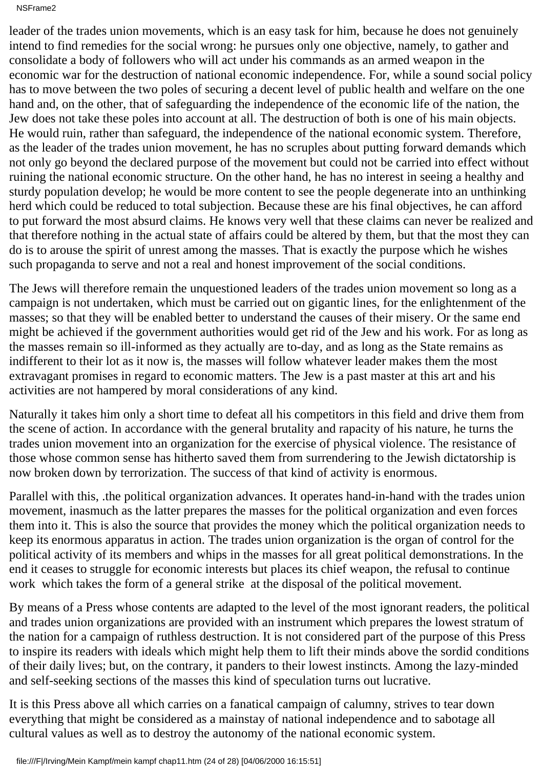leader of the trades union movements, which is an easy task for him, because he does not genuinely intend to find remedies for the social wrong: he pursues only one objective, namely, to gather and consolidate a body of followers who will act under his commands as an armed weapon in the economic war for the destruction of national economic independence. For, while a sound social policy has to move between the two poles of securing a decent level of public health and welfare on the one hand and, on the other, that of safeguarding the independence of the economic life of the nation, the Jew does not take these poles into account at all. The destruction of both is one of his main objects. He would ruin, rather than safeguard, the independence of the national economic system. Therefore, as the leader of the trades union movement, he has no scruples about putting forward demands which not only go beyond the declared purpose of the movement but could not be carried into effect without ruining the national economic structure. On the other hand, he has no interest in seeing a healthy and sturdy population develop; he would be more content to see the people degenerate into an unthinking herd which could be reduced to total subjection. Because these are his final objectives, he can afford to put forward the most absurd claims. He knows very well that these claims can never be realized and that therefore nothing in the actual state of affairs could be altered by them, but that the most they can do is to arouse the spirit of unrest among the masses. That is exactly the purpose which he wishes such propaganda to serve and not a real and honest improvement of the social conditions.

The Jews will therefore remain the unquestioned leaders of the trades union movement so long as a campaign is not undertaken, which must be carried out on gigantic lines, for the enlightenment of the masses; so that they will be enabled better to understand the causes of their misery. Or the same end might be achieved if the government authorities would get rid of the Jew and his work. For as long as the masses remain so ill-informed as they actually are to-day, and as long as the State remains as indifferent to their lot as it now is, the masses will follow whatever leader makes them the most extravagant promises in regard to economic matters. The Jew is a past master at this art and his activities are not hampered by moral considerations of any kind.

Naturally it takes him only a short time to defeat all his competitors in this field and drive them from the scene of action. In accordance with the general brutality and rapacity of his nature, he turns the trades union movement into an organization for the exercise of physical violence. The resistance of those whose common sense has hitherto saved them from surrendering to the Jewish dictatorship is now broken down by terrorization. The success of that kind of activity is enormous.

Parallel with this, .the political organization advances. It operates hand-in-hand with the trades union movement, inasmuch as the latter prepares the masses for the political organization and even forces them into it. This is also the source that provides the money which the political organization needs to keep its enormous apparatus in action. The trades union organization is the organ of control for the political activity of its members and whips in the masses for all great political demonstrations. In the end it ceases to struggle for economic interests but places its chief weapon, the refusal to continue work which takes the form of a general strike at the disposal of the political movement.

By means of a Press whose contents are adapted to the level of the most ignorant readers, the political and trades union organizations are provided with an instrument which prepares the lowest stratum of the nation for a campaign of ruthless destruction. It is not considered part of the purpose of this Press to inspire its readers with ideals which might help them to lift their minds above the sordid conditions of their daily lives; but, on the contrary, it panders to their lowest instincts. Among the lazy-minded and self-seeking sections of the masses this kind of speculation turns out lucrative.

It is this Press above all which carries on a fanatical campaign of calumny, strives to tear down everything that might be considered as a mainstay of national independence and to sabotage all cultural values as well as to destroy the autonomy of the national economic system.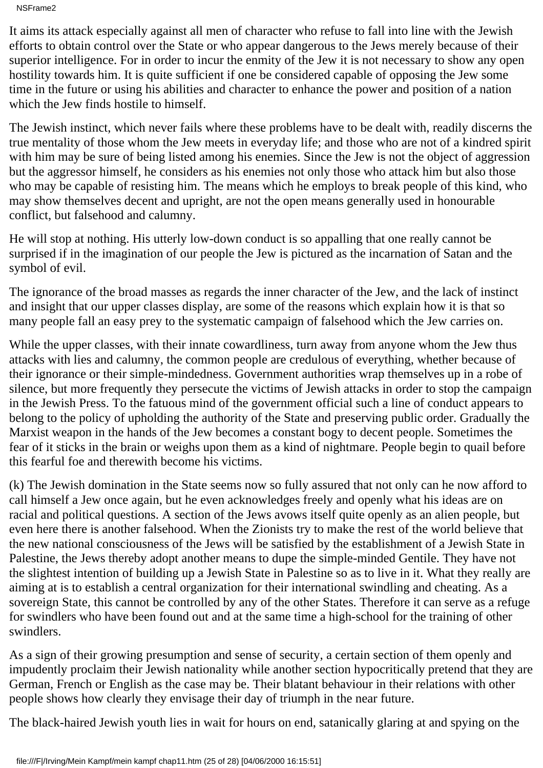NSFrame2

It aims its attack especially against all men of character who refuse to fall into line with the Jewish efforts to obtain control over the State or who appear dangerous to the Jews merely because of their superior intelligence. For in order to incur the enmity of the Jew it is not necessary to show any open hostility towards him. It is quite sufficient if one be considered capable of opposing the Jew some time in the future or using his abilities and character to enhance the power and position of a nation which the Jew finds hostile to himself.

The Jewish instinct, which never fails where these problems have to be dealt with, readily discerns the true mentality of those whom the Jew meets in everyday life; and those who are not of a kindred spirit with him may be sure of being listed among his enemies. Since the Jew is not the object of aggression but the aggressor himself, he considers as his enemies not only those who attack him but also those who may be capable of resisting him. The means which he employs to break people of this kind, who may show themselves decent and upright, are not the open means generally used in honourable conflict, but falsehood and calumny.

He will stop at nothing. His utterly low-down conduct is so appalling that one really cannot be surprised if in the imagination of our people the Jew is pictured as the incarnation of Satan and the symbol of evil.

The ignorance of the broad masses as regards the inner character of the Jew, and the lack of instinct and insight that our upper classes display, are some of the reasons which explain how it is that so many people fall an easy prey to the systematic campaign of falsehood which the Jew carries on.

While the upper classes, with their innate cowardliness, turn away from anyone whom the Jew thus attacks with lies and calumny, the common people are credulous of everything, whether because of their ignorance or their simple-mindedness. Government authorities wrap themselves up in a robe of silence, but more frequently they persecute the victims of Jewish attacks in order to stop the campaign in the Jewish Press. To the fatuous mind of the government official such a line of conduct appears to belong to the policy of upholding the authority of the State and preserving public order. Gradually the Marxist weapon in the hands of the Jew becomes a constant bogy to decent people. Sometimes the fear of it sticks in the brain or weighs upon them as a kind of nightmare. People begin to quail before this fearful foe and therewith become his victims.

(k) The Jewish domination in the State seems now so fully assured that not only can he now afford to call himself a Jew once again, but he even acknowledges freely and openly what his ideas are on racial and political questions. A section of the Jews avows itself quite openly as an alien people, but even here there is another falsehood. When the Zionists try to make the rest of the world believe that the new national consciousness of the Jews will be satisfied by the establishment of a Jewish State in Palestine, the Jews thereby adopt another means to dupe the simple-minded Gentile. They have not the slightest intention of building up a Jewish State in Palestine so as to live in it. What they really are aiming at is to establish a central organization for their international swindling and cheating. As a sovereign State, this cannot be controlled by any of the other States. Therefore it can serve as a refuge for swindlers who have been found out and at the same time a high-school for the training of other swindlers.

As a sign of their growing presumption and sense of security, a certain section of them openly and impudently proclaim their Jewish nationality while another section hypocritically pretend that they are German, French or English as the case may be. Their blatant behaviour in their relations with other people shows how clearly they envisage their day of triumph in the near future.

The black-haired Jewish youth lies in wait for hours on end, satanically glaring at and spying on the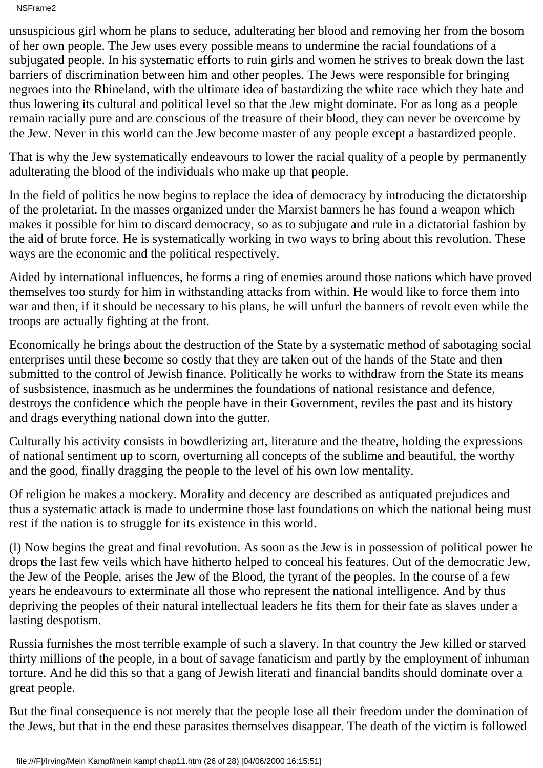NSFrame2

unsuspicious girl whom he plans to seduce, adulterating her blood and removing her from the bosom of her own people. The Jew uses every possible means to undermine the racial foundations of a subjugated people. In his systematic efforts to ruin girls and women he strives to break down the last barriers of discrimination between him and other peoples. The Jews were responsible for bringing negroes into the Rhineland, with the ultimate idea of bastardizing the white race which they hate and thus lowering its cultural and political level so that the Jew might dominate. For as long as a people remain racially pure and are conscious of the treasure of their blood, they can never be overcome by the Jew. Never in this world can the Jew become master of any people except a bastardized people.

That is why the Jew systematically endeavours to lower the racial quality of a people by permanently adulterating the blood of the individuals who make up that people.

In the field of politics he now begins to replace the idea of democracy by introducing the dictatorship of the proletariat. In the masses organized under the Marxist banners he has found a weapon which makes it possible for him to discard democracy, so as to subjugate and rule in a dictatorial fashion by the aid of brute force. He is systematically working in two ways to bring about this revolution. These ways are the economic and the political respectively.

Aided by international influences, he forms a ring of enemies around those nations which have proved themselves too sturdy for him in withstanding attacks from within. He would like to force them into war and then, if it should be necessary to his plans, he will unfurl the banners of revolt even while the troops are actually fighting at the front.

Economically he brings about the destruction of the State by a systematic method of sabotaging social enterprises until these become so costly that they are taken out of the hands of the State and then submitted to the control of Jewish finance. Politically he works to withdraw from the State its means of susbsistence, inasmuch as he undermines the foundations of national resistance and defence, destroys the confidence which the people have in their Government, reviles the past and its history and drags everything national down into the gutter.

Culturally his activity consists in bowdlerizing art, literature and the theatre, holding the expressions of national sentiment up to scorn, overturning all concepts of the sublime and beautiful, the worthy and the good, finally dragging the people to the level of his own low mentality.

Of religion he makes a mockery. Morality and decency are described as antiquated prejudices and thus a systematic attack is made to undermine those last foundations on which the national being must rest if the nation is to struggle for its existence in this world.

(l) Now begins the great and final revolution. As soon as the Jew is in possession of political power he drops the last few veils which have hitherto helped to conceal his features. Out of the democratic Jew, the Jew of the People, arises the Jew of the Blood, the tyrant of the peoples. In the course of a few years he endeavours to exterminate all those who represent the national intelligence. And by thus depriving the peoples of their natural intellectual leaders he fits them for their fate as slaves under a lasting despotism.

Russia furnishes the most terrible example of such a slavery. In that country the Jew killed or starved thirty millions of the people, in a bout of savage fanaticism and partly by the employment of inhuman torture. And he did this so that a gang of Jewish literati and financial bandits should dominate over a great people.

But the final consequence is not merely that the people lose all their freedom under the domination of the Jews, but that in the end these parasites themselves disappear. The death of the victim is followed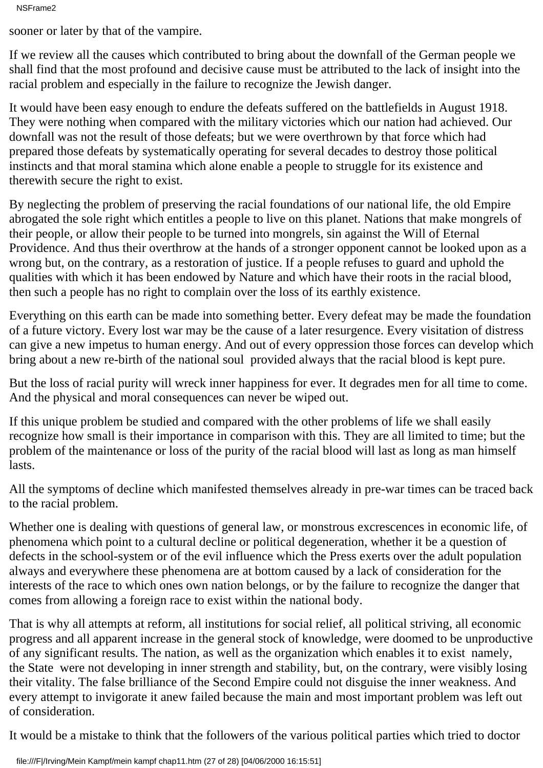NSFrame2

sooner or later by that of the vampire.

If we review all the causes which contributed to bring about the downfall of the German people we shall find that the most profound and decisive cause must be attributed to the lack of insight into the racial problem and especially in the failure to recognize the Jewish danger.

It would have been easy enough to endure the defeats suffered on the battlefields in August 1918. They were nothing when compared with the military victories which our nation had achieved. Our downfall was not the result of those defeats; but we were overthrown by that force which had prepared those defeats by systematically operating for several decades to destroy those political instincts and that moral stamina which alone enable a people to struggle for its existence and therewith secure the right to exist.

By neglecting the problem of preserving the racial foundations of our national life, the old Empire abrogated the sole right which entitles a people to live on this planet. Nations that make mongrels of their people, or allow their people to be turned into mongrels, sin against the Will of Eternal Providence. And thus their overthrow at the hands of a stronger opponent cannot be looked upon as a wrong but, on the contrary, as a restoration of justice. If a people refuses to guard and uphold the qualities with which it has been endowed by Nature and which have their roots in the racial blood, then such a people has no right to complain over the loss of its earthly existence.

Everything on this earth can be made into something better. Every defeat may be made the foundation of a future victory. Every lost war may be the cause of a later resurgence. Every visitation of distress can give a new impetus to human energy. And out of every oppression those forces can develop which bring about a new re-birth of the national soul provided always that the racial blood is kept pure.

But the loss of racial purity will wreck inner happiness for ever. It degrades men for all time to come. And the physical and moral consequences can never be wiped out.

If this unique problem be studied and compared with the other problems of life we shall easily recognize how small is their importance in comparison with this. They are all limited to time; but the problem of the maintenance or loss of the purity of the racial blood will last as long as man himself lasts.

All the symptoms of decline which manifested themselves already in pre-war times can be traced back to the racial problem.

Whether one is dealing with questions of general law, or monstrous excrescences in economic life, of phenomena which point to a cultural decline or political degeneration, whether it be a question of defects in the school-system or of the evil influence which the Press exerts over the adult population always and everywhere these phenomena are at bottom caused by a lack of consideration for the interests of the race to which ones own nation belongs, or by the failure to recognize the danger that comes from allowing a foreign race to exist within the national body.

That is why all attempts at reform, all institutions for social relief, all political striving, all economic progress and all apparent increase in the general stock of knowledge, were doomed to be unproductive of any significant results. The nation, as well as the organization which enables it to exist namely, the State were not developing in inner strength and stability, but, on the contrary, were visibly losing their vitality. The false brilliance of the Second Empire could not disguise the inner weakness. And every attempt to invigorate it anew failed because the main and most important problem was left out of consideration.

It would be a mistake to think that the followers of the various political parties which tried to doctor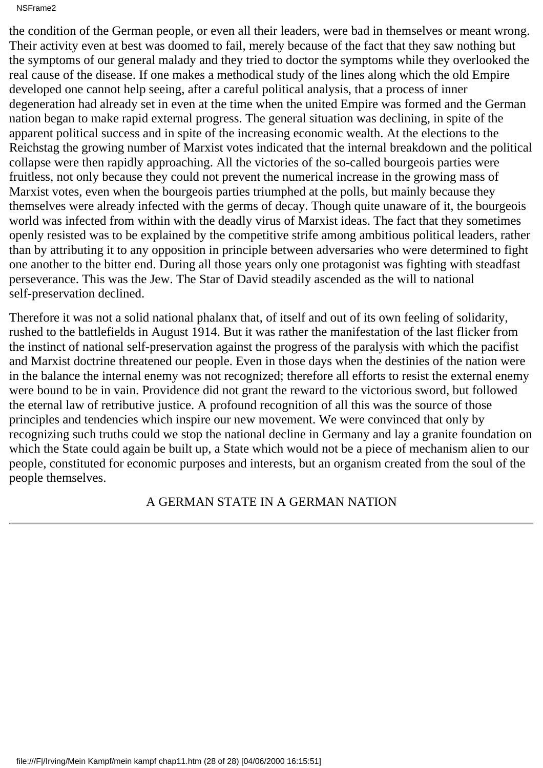the condition of the German people, or even all their leaders, were bad in themselves or meant wrong. Their activity even at best was doomed to fail, merely because of the fact that they saw nothing but the symptoms of our general malady and they tried to doctor the symptoms while they overlooked the real cause of the disease. If one makes a methodical study of the lines along which the old Empire developed one cannot help seeing, after a careful political analysis, that a process of inner degeneration had already set in even at the time when the united Empire was formed and the German nation began to make rapid external progress. The general situation was declining, in spite of the apparent political success and in spite of the increasing economic wealth. At the elections to the Reichstag the growing number of Marxist votes indicated that the internal breakdown and the political collapse were then rapidly approaching. All the victories of the so-called bourgeois parties were fruitless, not only because they could not prevent the numerical increase in the growing mass of Marxist votes, even when the bourgeois parties triumphed at the polls, but mainly because they themselves were already infected with the germs of decay. Though quite unaware of it, the bourgeois world was infected from within with the deadly virus of Marxist ideas. The fact that they sometimes openly resisted was to be explained by the competitive strife among ambitious political leaders, rather than by attributing it to any opposition in principle between adversaries who were determined to fight one another to the bitter end. During all those years only one protagonist was fighting with steadfast perseverance. This was the Jew. The Star of David steadily ascended as the will to national self-preservation declined.

Therefore it was not a solid national phalanx that, of itself and out of its own feeling of solidarity, rushed to the battlefields in August 1914. But it was rather the manifestation of the last flicker from the instinct of national self-preservation against the progress of the paralysis with which the pacifist and Marxist doctrine threatened our people. Even in those days when the destinies of the nation were in the balance the internal enemy was not recognized; therefore all efforts to resist the external enemy were bound to be in vain. Providence did not grant the reward to the victorious sword, but followed the eternal law of retributive justice. A profound recognition of all this was the source of those principles and tendencies which inspire our new movement. We were convinced that only by recognizing such truths could we stop the national decline in Germany and lay a granite foundation on which the State could again be built up, a State which would not be a piece of mechanism alien to our people, constituted for economic purposes and interests, but an organism created from the soul of the people themselves.

## A GERMAN STATE IN A GERMAN NATION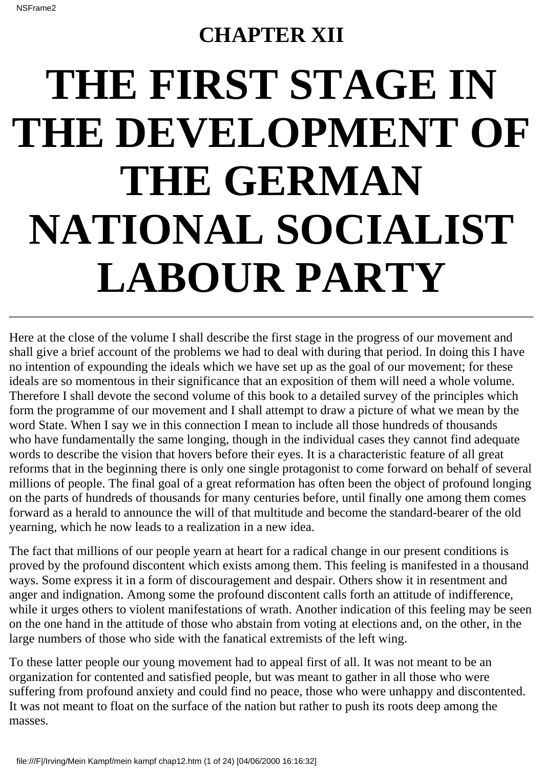# **CHAPTER XII**

# **THE FIRST STAGE IN THE DEVELOPMENT OF THE GERMAN NATIONAL SOCIALIST LABOUR PARTY**

Here at the close of the volume I shall describe the first stage in the progress of our movement and shall give a brief account of the problems we had to deal with during that period. In doing this I have no intention of expounding the ideals which we have set up as the goal of our movement; for these ideals are so momentous in their significance that an exposition of them will need a whole volume. Therefore I shall devote the second volume of this book to a detailed survey of the principles which form the programme of our movement and I shall attempt to draw a picture of what we mean by the word State. When I say we in this connection I mean to include all those hundreds of thousands who have fundamentally the same longing, though in the individual cases they cannot find adequate words to describe the vision that hovers before their eyes. It is a characteristic feature of all great reforms that in the beginning there is only one single protagonist to come forward on behalf of several millions of people. The final goal of a great reformation has often been the object of profound longing on the parts of hundreds of thousands for many centuries before, until finally one among them comes forward as a herald to announce the will of that multitude and become the standard-bearer of the old yearning, which he now leads to a realization in a new idea.

The fact that millions of our people yearn at heart for a radical change in our present conditions is proved by the profound discontent which exists among them. This feeling is manifested in a thousand ways. Some express it in a form of discouragement and despair. Others show it in resentment and anger and indignation. Among some the profound discontent calls forth an attitude of indifference, while it urges others to violent manifestations of wrath. Another indication of this feeling may be seen on the one hand in the attitude of those who abstain from voting at elections and, on the other, in the large numbers of those who side with the fanatical extremists of the left wing.

To these latter people our young movement had to appeal first of all. It was not meant to be an organization for contented and satisfied people, but was meant to gather in all those who were suffering from profound anxiety and could find no peace, those who were unhappy and discontented. It was not meant to float on the surface of the nation but rather to push its roots deep among the masses.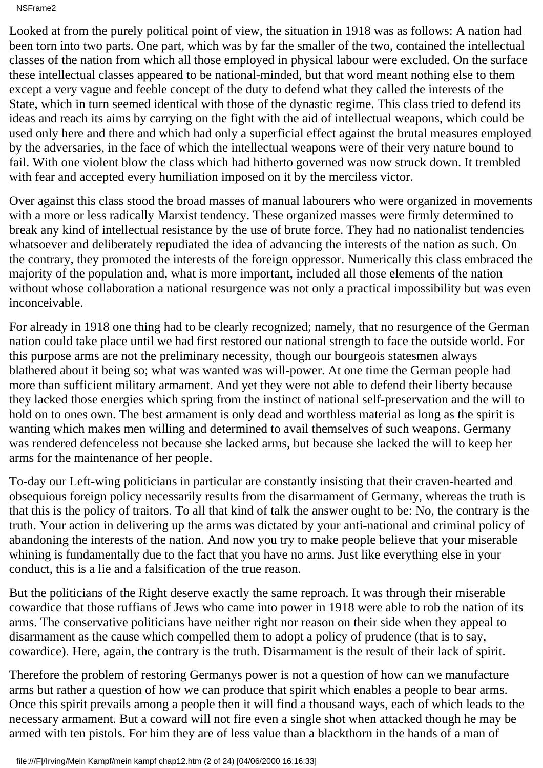NSFrame2

Looked at from the purely political point of view, the situation in 1918 was as follows: A nation had been torn into two parts. One part, which was by far the smaller of the two, contained the intellectual classes of the nation from which all those employed in physical labour were excluded. On the surface these intellectual classes appeared to be national-minded, but that word meant nothing else to them except a very vague and feeble concept of the duty to defend what they called the interests of the State, which in turn seemed identical with those of the dynastic regime. This class tried to defend its ideas and reach its aims by carrying on the fight with the aid of intellectual weapons, which could be used only here and there and which had only a superficial effect against the brutal measures employed by the adversaries, in the face of which the intellectual weapons were of their very nature bound to fail. With one violent blow the class which had hitherto governed was now struck down. It trembled with fear and accepted every humiliation imposed on it by the merciless victor.

Over against this class stood the broad masses of manual labourers who were organized in movements with a more or less radically Marxist tendency. These organized masses were firmly determined to break any kind of intellectual resistance by the use of brute force. They had no nationalist tendencies whatsoever and deliberately repudiated the idea of advancing the interests of the nation as such. On the contrary, they promoted the interests of the foreign oppressor. Numerically this class embraced the majority of the population and, what is more important, included all those elements of the nation without whose collaboration a national resurgence was not only a practical impossibility but was even inconceivable.

For already in 1918 one thing had to be clearly recognized; namely, that no resurgence of the German nation could take place until we had first restored our national strength to face the outside world. For this purpose arms are not the preliminary necessity, though our bourgeois statesmen always blathered about it being so; what was wanted was will-power. At one time the German people had more than sufficient military armament. And yet they were not able to defend their liberty because they lacked those energies which spring from the instinct of national self-preservation and the will to hold on to one s own. The best armament is only dead and worthless material as long as the spirit is wanting which makes men willing and determined to avail themselves of such weapons. Germany was rendered defenceless not because she lacked arms, but because she lacked the will to keep her arms for the maintenance of her people.

To-day our Left-wing politicians in particular are constantly insisting that their craven-hearted and obsequious foreign policy necessarily results from the disarmament of Germany, whereas the truth is that this is the policy of traitors. To all that kind of talk the answer ought to be: No, the contrary is the truth. Your action in delivering up the arms was dictated by your anti-national and criminal policy of abandoning the interests of the nation. And now you try to make people believe that your miserable whining is fundamentally due to the fact that you have no arms. Just like everything else in your conduct, this is a lie and a falsification of the true reason.

But the politicians of the Right deserve exactly the same reproach. It was through their miserable cowardice that those ruffians of Jews who came into power in 1918 were able to rob the nation of its arms. The conservative politicians have neither right nor reason on their side when they appeal to disarmament as the cause which compelled them to adopt a policy of prudence (that is to say, cowardice). Here, again, the contrary is the truth. Disarmament is the result of their lack of spirit.

Therefore the problem of restoring Germany s power is not a question of how can we manufacture arms but rather a question of how we can produce that spirit which enables a people to bear arms. Once this spirit prevails among a people then it will find a thousand ways, each of which leads to the necessary armament. But a coward will not fire even a single shot when attacked though he may be armed with ten pistols. For him they are of less value than a blackthorn in the hands of a man of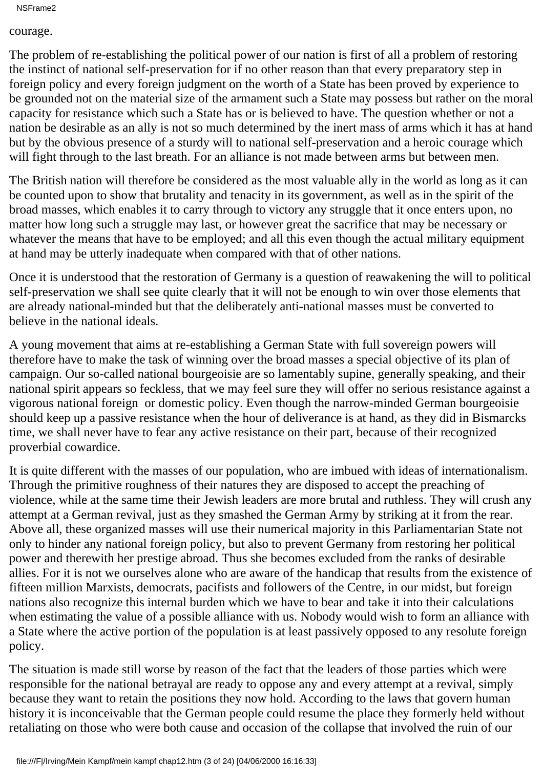## courage.

The problem of re-establishing the political power of our nation is first of all a problem of restoring the instinct of national self-preservation for if no other reason than that every preparatory step in foreign policy and every foreign judgment on the worth of a State has been proved by experience to be grounded not on the material size of the armament such a State may possess but rather on the moral capacity for resistance which such a State has or is believed to have. The question whether or not a nation be desirable as an ally is not so much determined by the inert mass of arms which it has at hand but by the obvious presence of a sturdy will to national self-preservation and a heroic courage which will fight through to the last breath. For an alliance is not made between arms but between men.

The British nation will therefore be considered as the most valuable ally in the world as long as it can be counted upon to show that brutality and tenacity in its government, as well as in the spirit of the broad masses, which enables it to carry through to victory any struggle that it once enters upon, no matter how long such a struggle may last, or however great the sacrifice that may be necessary or whatever the means that have to be employed; and all this even though the actual military equipment at hand may be utterly inadequate when compared with that of other nations.

Once it is understood that the restoration of Germany is a question of reawakening the will to political self-preservation we shall see quite clearly that it will not be enough to win over those elements that are already national-minded but that the deliberately anti-national masses must be converted to believe in the national ideals.

A young movement that aims at re-establishing a German State with full sovereign powers will therefore have to make the task of winning over the broad masses a special objective of its plan of campaign. Our so-called national bourgeoisie are so lamentably supine, generally speaking, and their national spirit appears so feckless, that we may feel sure they will offer no serious resistance against a vigorous national foreign or domestic policy. Even though the narrow-minded German bourgeoisie should keep up a passive resistance when the hour of deliverance is at hand, as they did in Bismarck s time, we shall never have to fear any active resistance on their part, because of their recognized proverbial cowardice.

It is quite different with the masses of our population, who are imbued with ideas of internationalism. Through the primitive roughness of their natures they are disposed to accept the preaching of violence, while at the same time their Jewish leaders are more brutal and ruthless. They will crush any attempt at a German revival, just as they smashed the German Army by striking at it from the rear. Above all, these organized masses will use their numerical majority in this Parliamentarian State not only to hinder any national foreign policy, but also to prevent Germany from restoring her political power and therewith her prestige abroad. Thus she becomes excluded from the ranks of desirable allies. For it is not we ourselves alone who are aware of the handicap that results from the existence of fifteen million Marxists, democrats, pacifists and followers of the Centre, in our midst, but foreign nations also recognize this internal burden which we have to bear and take it into their calculations when estimating the value of a possible alliance with us. Nobody would wish to form an alliance with a State where the active portion of the population is at least passively opposed to any resolute foreign policy.

The situation is made still worse by reason of the fact that the leaders of those parties which were responsible for the national betrayal are ready to oppose any and every attempt at a revival, simply because they want to retain the positions they now hold. According to the laws that govern human history it is inconceivable that the German people could resume the place they formerly held without retaliating on those who were both cause and occasion of the collapse that involved the ruin of our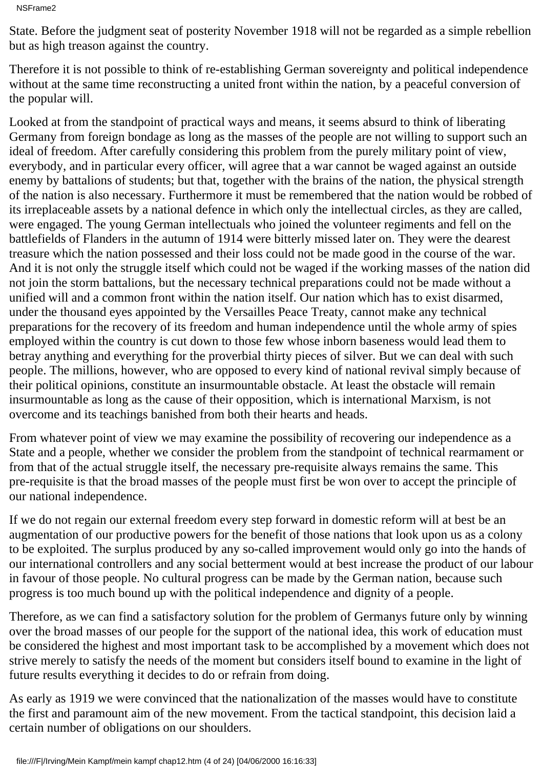NSFrame2

State. Before the judgment seat of posterity November 1918 will not be regarded as a simple rebellion but as high treason against the country.

Therefore it is not possible to think of re-establishing German sovereignty and political independence without at the same time reconstructing a united front within the nation, by a peaceful conversion of the popular will.

Looked at from the standpoint of practical ways and means, it seems absurd to think of liberating Germany from foreign bondage as long as the masses of the people are not willing to support such an ideal of freedom. After carefully considering this problem from the purely military point of view, everybody, and in particular every officer, will agree that a war cannot be waged against an outside enemy by battalions of students; but that, together with the brains of the nation, the physical strength of the nation is also necessary. Furthermore it must be remembered that the nation would be robbed of its irreplaceable assets by a national defence in which only the intellectual circles, as they are called, were engaged. The young German intellectuals who joined the volunteer regiments and fell on the battlefields of Flanders in the autumn of 1914 were bitterly missed later on. They were the dearest treasure which the nation possessed and their loss could not be made good in the course of the war. And it is not only the struggle itself which could not be waged if the working masses of the nation did not join the storm battalions, but the necessary technical preparations could not be made without a unified will and a common front within the nation itself. Our nation which has to exist disarmed, under the thousand eyes appointed by the Versailles Peace Treaty, cannot make any technical preparations for the recovery of its freedom and human independence until the whole army of spies employed within the country is cut down to those few whose inborn baseness would lead them to betray anything and everything for the proverbial thirty pieces of silver. But we can deal with such people. The millions, however, who are opposed to every kind of national revival simply because of their political opinions, constitute an insurmountable obstacle. At least the obstacle will remain insurmountable as long as the cause of their opposition, which is international Marxism, is not overcome and its teachings banished from both their hearts and heads.

From whatever point of view we may examine the possibility of recovering our independence as a State and a people, whether we consider the problem from the standpoint of technical rearmament or from that of the actual struggle itself, the necessary pre-requisite always remains the same. This pre-requisite is that the broad masses of the people must first be won over to accept the principle of our national independence.

If we do not regain our external freedom every step forward in domestic reform will at best be an augmentation of our productive powers for the benefit of those nations that look upon us as a colony to be exploited. The surplus produced by any so-called improvement would only go into the hands of our international controllers and any social betterment would at best increase the product of our labour in favour of those people. No cultural progress can be made by the German nation, because such progress is too much bound up with the political independence and dignity of a people.

Therefore, as we can find a satisfactory solution for the problem of Germanys future only by winning over the broad masses of our people for the support of the national idea, this work of education must be considered the highest and most important task to be accomplished by a movement which does not strive merely to satisfy the needs of the moment but considers itself bound to examine in the light of future results everything it decides to do or refrain from doing.

As early as 1919 we were convinced that the nationalization of the masses would have to constitute the first and paramount aim of the new movement. From the tactical standpoint, this decision laid a certain number of obligations on our shoulders.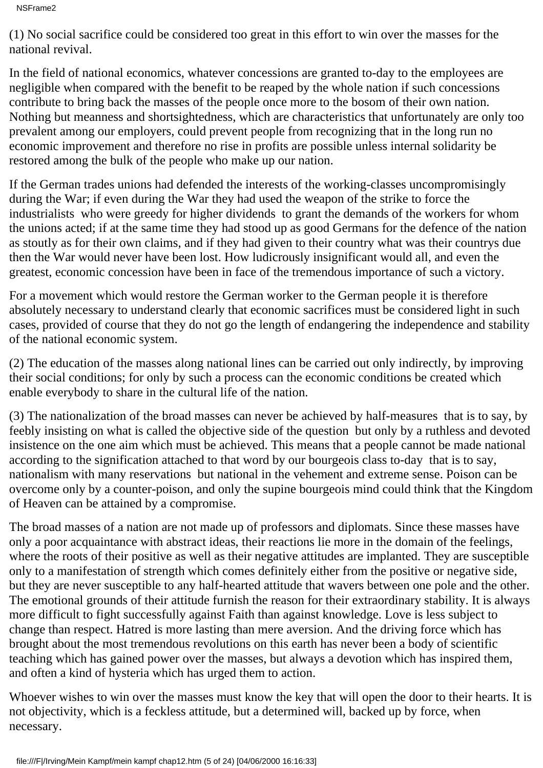(1) No social sacrifice could be considered too great in this effort to win over the masses for the national revival.

In the field of national economics, whatever concessions are granted to-day to the employees are negligible when compared with the benefit to be reaped by the whole nation if such concessions contribute to bring back the masses of the people once more to the bosom of their own nation. Nothing but meanness and shortsightedness, which are characteristics that unfortunately are only too prevalent among our employers, could prevent people from recognizing that in the long run no economic improvement and therefore no rise in profits are possible unless internal solidarity be restored among the bulk of the people who make up our nation.

If the German trades unions had defended the interests of the working-classes uncompromisingly during the War; if even during the War they had used the weapon of the strike to force the industrialists who were greedy for higher dividends to grant the demands of the workers for whom the unions acted; if at the same time they had stood up as good Germans for the defence of the nation as stoutly as for their own claims, and if they had given to their country what was their countrys due then the War would never have been lost. How ludicrously insignificant would all, and even the greatest, economic concession have been in face of the tremendous importance of such a victory.

For a movement which would restore the German worker to the German people it is therefore absolutely necessary to understand clearly that economic sacrifices must be considered light in such cases, provided of course that they do not go the length of endangering the independence and stability of the national economic system.

(2) The education of the masses along national lines can be carried out only indirectly, by improving their social conditions; for only by such a process can the economic conditions be created which enable everybody to share in the cultural life of the nation.

(3) The nationalization of the broad masses can never be achieved by half-measures that is to say, by feebly insisting on what is called the objective side of the question but only by a ruthless and devoted insistence on the one aim which must be achieved. This means that a people cannot be made national according to the signification attached to that word by our bourgeois class to-day that is to say, nationalism with many reservations but national in the vehement and extreme sense. Poison can be overcome only by a counter-poison, and only the supine bourgeois mind could think that the Kingdom of Heaven can be attained by a compromise.

The broad masses of a nation are not made up of professors and diplomats. Since these masses have only a poor acquaintance with abstract ideas, their reactions lie more in the domain of the feelings, where the roots of their positive as well as their negative attitudes are implanted. They are susceptible only to a manifestation of strength which comes definitely either from the positive or negative side, but they are never susceptible to any half-hearted attitude that wavers between one pole and the other. The emotional grounds of their attitude furnish the reason for their extraordinary stability. It is always more difficult to fight successfully against Faith than against knowledge. Love is less subject to change than respect. Hatred is more lasting than mere aversion. And the driving force which has brought about the most tremendous revolutions on this earth has never been a body of scientific teaching which has gained power over the masses, but always a devotion which has inspired them, and often a kind of hysteria which has urged them to action.

Whoever wishes to win over the masses must know the key that will open the door to their hearts. It is not objectivity, which is a feckless attitude, but a determined will, backed up by force, when necessary.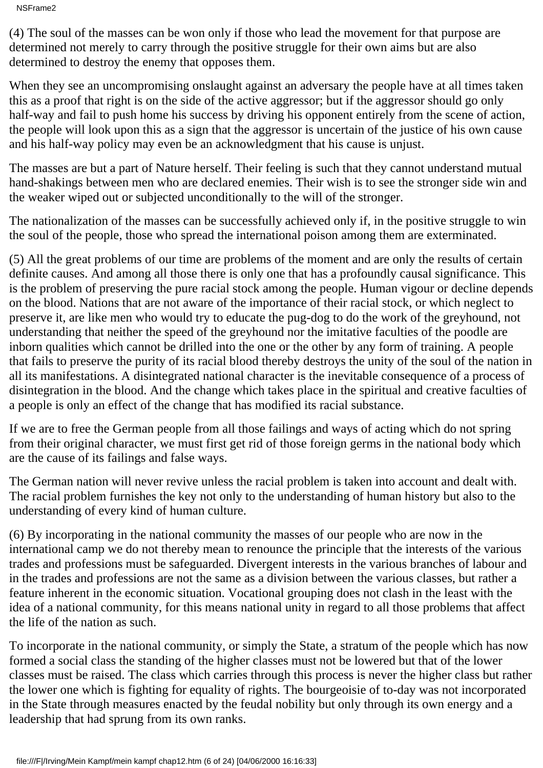(4) The soul of the masses can be won only if those who lead the movement for that purpose are determined not merely to carry through the positive struggle for their own aims but are also determined to destroy the enemy that opposes them.

When they see an uncompromising onslaught against an adversary the people have at all times taken this as a proof that right is on the side of the active aggressor; but if the aggressor should go only half-way and fail to push home his success by driving his opponent entirely from the scene of action, the people will look upon this as a sign that the aggressor is uncertain of the justice of his own cause and his half-way policy may even be an acknowledgment that his cause is unjust.

The masses are but a part of Nature herself. Their feeling is such that they cannot understand mutual hand-shakings between men who are declared enemies. Their wish is to see the stronger side win and the weaker wiped out or subjected unconditionally to the will of the stronger.

The nationalization of the masses can be successfully achieved only if, in the positive struggle to win the soul of the people, those who spread the international poison among them are exterminated.

(5) All the great problems of our time are problems of the moment and are only the results of certain definite causes. And among all those there is only one that has a profoundly causal significance. This is the problem of preserving the pure racial stock among the people. Human vigour or decline depends on the blood. Nations that are not aware of the importance of their racial stock, or which neglect to preserve it, are like men who would try to educate the pug-dog to do the work of the greyhound, not understanding that neither the speed of the greyhound nor the imitative faculties of the poodle are inborn qualities which cannot be drilled into the one or the other by any form of training. A people that fails to preserve the purity of its racial blood thereby destroys the unity of the soul of the nation in all its manifestations. A disintegrated national character is the inevitable consequence of a process of disintegration in the blood. And the change which takes place in the spiritual and creative faculties of a people is only an effect of the change that has modified its racial substance.

If we are to free the German people from all those failings and ways of acting which do not spring from their original character, we must first get rid of those foreign germs in the national body which are the cause of its failings and false ways.

The German nation will never revive unless the racial problem is taken into account and dealt with. The racial problem furnishes the key not only to the understanding of human history but also to the understanding of every kind of human culture.

(6) By incorporating in the national community the masses of our people who are now in the international camp we do not thereby mean to renounce the principle that the interests of the various trades and professions must be safeguarded. Divergent interests in the various branches of labour and in the trades and professions are not the same as a division between the various classes, but rather a feature inherent in the economic situation. Vocational grouping does not clash in the least with the idea of a national community, for this means national unity in regard to all those problems that affect the life of the nation as such.

To incorporate in the national community, or simply the State, a stratum of the people which has now formed a social class the standing of the higher classes must not be lowered but that of the lower classes must be raised. The class which carries through this process is never the higher class but rather the lower one which is fighting for equality of rights. The bourgeoisie of to-day was not incorporated in the State through measures enacted by the feudal nobility but only through its own energy and a leadership that had sprung from its own ranks.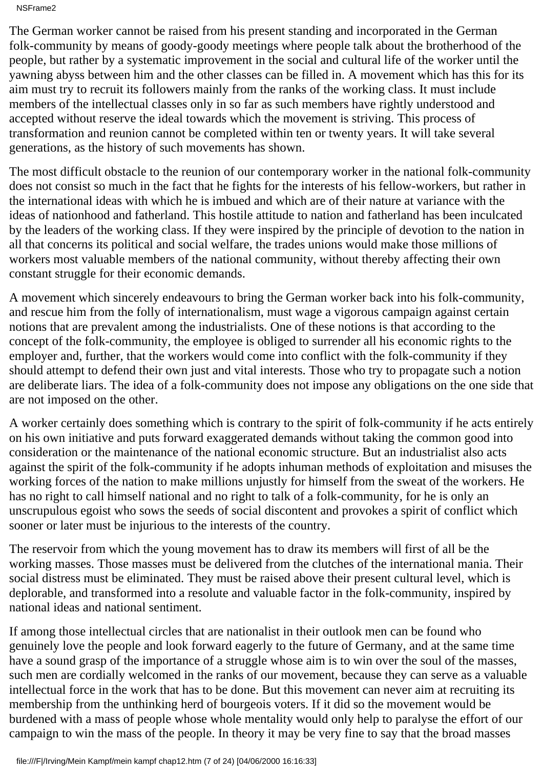NSFrame2

The German worker cannot be raised from his present standing and incorporated in the German folk-community by means of goody-goody meetings where people talk about the brotherhood of the people, but rather by a systematic improvement in the social and cultural life of the worker until the yawning abyss between him and the other classes can be filled in. A movement which has this for its aim must try to recruit its followers mainly from the ranks of the working class. It must include members of the intellectual classes only in so far as such members have rightly understood and accepted without reserve the ideal towards which the movement is striving. This process of transformation and reunion cannot be completed within ten or twenty years. It will take several generations, as the history of such movements has shown.

The most difficult obstacle to the reunion of our contemporary worker in the national folk-community does not consist so much in the fact that he fights for the interests of his fellow-workers, but rather in the international ideas with which he is imbued and which are of their nature at variance with the ideas of nationhood and fatherland. This hostile attitude to nation and fatherland has been inculcated by the leaders of the working class. If they were inspired by the principle of devotion to the nation in all that concerns its political and social welfare, the trades unions would make those millions of workers most valuable members of the national community, without thereby affecting their own constant struggle for their economic demands.

A movement which sincerely endeavours to bring the German worker back into his folk-community, and rescue him from the folly of internationalism, must wage a vigorous campaign against certain notions that are prevalent among the industrialists. One of these notions is that according to the concept of the folk-community, the employee is obliged to surrender all his economic rights to the employer and, further, that the workers would come into conflict with the folk-community if they should attempt to defend their own just and vital interests. Those who try to propagate such a notion are deliberate liars. The idea of a folk-community does not impose any obligations on the one side that are not imposed on the other.

A worker certainly does something which is contrary to the spirit of folk-community if he acts entirely on his own initiative and puts forward exaggerated demands without taking the common good into consideration or the maintenance of the national economic structure. But an industrialist also acts against the spirit of the folk-community if he adopts inhuman methods of exploitation and misuses the working forces of the nation to make millions unjustly for himself from the sweat of the workers. He has no right to call himself national and no right to talk of a folk-community, for he is only an unscrupulous egoist who sows the seeds of social discontent and provokes a spirit of conflict which sooner or later must be injurious to the interests of the country.

The reservoir from which the young movement has to draw its members will first of all be the working masses. Those masses must be delivered from the clutches of the international mania. Their social distress must be eliminated. They must be raised above their present cultural level, which is deplorable, and transformed into a resolute and valuable factor in the folk-community, inspired by national ideas and national sentiment.

If among those intellectual circles that are nationalist in their outlook men can be found who genuinely love the people and look forward eagerly to the future of Germany, and at the same time have a sound grasp of the importance of a struggle whose aim is to win over the soul of the masses, such men are cordially welcomed in the ranks of our movement, because they can serve as a valuable intellectual force in the work that has to be done. But this movement can never aim at recruiting its membership from the unthinking herd of bourgeois voters. If it did so the movement would be burdened with a mass of people whose whole mentality would only help to paralyse the effort of our campaign to win the mass of the people. In theory it may be very fine to say that the broad masses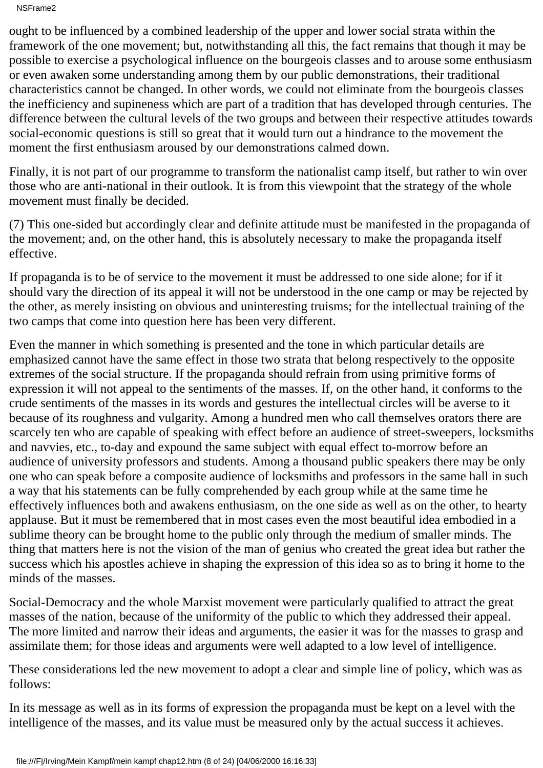NSFrame2

ought to be influenced by a combined leadership of the upper and lower social strata within the framework of the one movement; but, notwithstanding all this, the fact remains that though it may be possible to exercise a psychological influence on the bourgeois classes and to arouse some enthusiasm or even awaken some understanding among them by our public demonstrations, their traditional characteristics cannot be changed. In other words, we could not eliminate from the bourgeois classes the inefficiency and supineness which are part of a tradition that has developed through centuries. The difference between the cultural levels of the two groups and between their respective attitudes towards social-economic questions is still so great that it would turn out a hindrance to the movement the moment the first enthusiasm aroused by our demonstrations calmed down.

Finally, it is not part of our programme to transform the nationalist camp itself, but rather to win over those who are anti-national in their outlook. It is from this viewpoint that the strategy of the whole movement must finally be decided.

(7) This one-sided but accordingly clear and definite attitude must be manifested in the propaganda of the movement; and, on the other hand, this is absolutely necessary to make the propaganda itself effective.

If propaganda is to be of service to the movement it must be addressed to one side alone; for if it should vary the direction of its appeal it will not be understood in the one camp or may be rejected by the other, as merely insisting on obvious and uninteresting truisms; for the intellectual training of the two camps that come into question here has been very different.

Even the manner in which something is presented and the tone in which particular details are emphasized cannot have the same effect in those two strata that belong respectively to the opposite extremes of the social structure. If the propaganda should refrain from using primitive forms of expression it will not appeal to the sentiments of the masses. If, on the other hand, it conforms to the crude sentiments of the masses in its words and gestures the intellectual circles will be averse to it because of its roughness and vulgarity. Among a hundred men who call themselves orators there are scarcely ten who are capable of speaking with effect before an audience of street-sweepers, locksmiths and navvies, etc., to-day and expound the same subject with equal effect to-morrow before an audience of university professors and students. Among a thousand public speakers there may be only one who can speak before a composite audience of locksmiths and professors in the same hall in such a way that his statements can be fully comprehended by each group while at the same time he effectively influences both and awakens enthusiasm, on the one side as well as on the other, to hearty applause. But it must be remembered that in most cases even the most beautiful idea embodied in a sublime theory can be brought home to the public only through the medium of smaller minds. The thing that matters here is not the vision of the man of genius who created the great idea but rather the success which his apostles achieve in shaping the expression of this idea so as to bring it home to the minds of the masses.

Social-Democracy and the whole Marxist movement were particularly qualified to attract the great masses of the nation, because of the uniformity of the public to which they addressed their appeal. The more limited and narrow their ideas and arguments, the easier it was for the masses to grasp and assimilate them; for those ideas and arguments were well adapted to a low level of intelligence.

These considerations led the new movement to adopt a clear and simple line of policy, which was as follows:

In its message as well as in its forms of expression the propaganda must be kept on a level with the intelligence of the masses, and its value must be measured only by the actual success it achieves.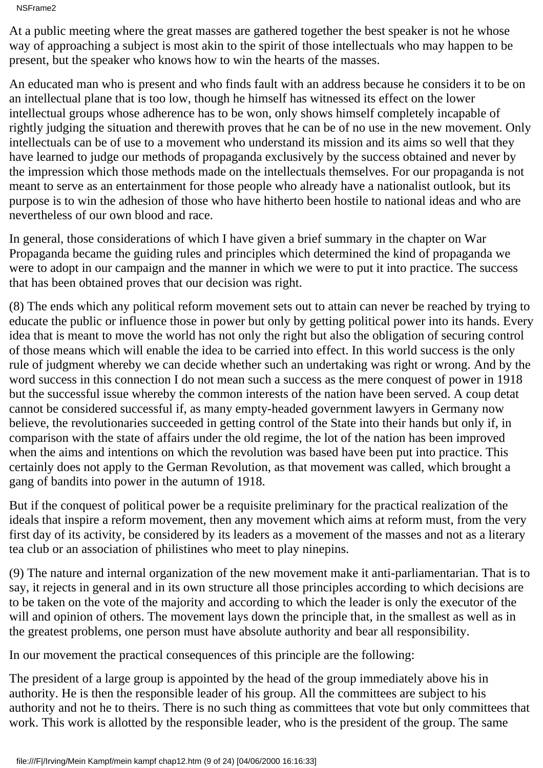NSFrame2

At a public meeting where the great masses are gathered together the best speaker is not he whose way of approaching a subject is most akin to the spirit of those intellectuals who may happen to be present, but the speaker who knows how to win the hearts of the masses.

An educated man who is present and who finds fault with an address because he considers it to be on an intellectual plane that is too low, though he himself has witnessed its effect on the lower intellectual groups whose adherence has to be won, only shows himself completely incapable of rightly judging the situation and therewith proves that he can be of no use in the new movement. Only intellectuals can be of use to a movement who understand its mission and its aims so well that they have learned to judge our methods of propaganda exclusively by the success obtained and never by the impression which those methods made on the intellectuals themselves. For our propaganda is not meant to serve as an entertainment for those people who already have a nationalist outlook, but its purpose is to win the adhesion of those who have hitherto been hostile to national ideas and who are nevertheless of our own blood and race.

In general, those considerations of which I have given a brief summary in the chapter on War Propaganda became the guiding rules and principles which determined the kind of propaganda we were to adopt in our campaign and the manner in which we were to put it into practice. The success that has been obtained proves that our decision was right.

(8) The ends which any political reform movement sets out to attain can never be reached by trying to educate the public or influence those in power but only by getting political power into its hands. Every idea that is meant to move the world has not only the right but also the obligation of securing control of those means which will enable the idea to be carried into effect. In this world success is the only rule of judgment whereby we can decide whether such an undertaking was right or wrong. And by the word success in this connection I do not mean such a success as the mere conquest of power in 1918 but the successful issue whereby the common interests of the nation have been served. A coup d etat cannot be considered successful if, as many empty-headed government lawyers in Germany now believe, the revolutionaries succeeded in getting control of the State into their hands but only if, in comparison with the state of affairs under the old regime, the lot of the nation has been improved when the aims and intentions on which the revolution was based have been put into practice. This certainly does not apply to the German Revolution, as that movement was called, which brought a gang of bandits into power in the autumn of 1918.

But if the conquest of political power be a requisite preliminary for the practical realization of the ideals that inspire a reform movement, then any movement which aims at reform must, from the very first day of its activity, be considered by its leaders as a movement of the masses and not as a literary tea club or an association of philistines who meet to play ninepins.

(9) The nature and internal organization of the new movement make it anti-parliamentarian. That is to say, it rejects in general and in its own structure all those principles according to which decisions are to be taken on the vote of the majority and according to which the leader is only the executor of the will and opinion of others. The movement lays down the principle that, in the smallest as well as in the greatest problems, one person must have absolute authority and bear all responsibility.

In our movement the practical consequences of this principle are the following:

The president of a large group is appointed by the head of the group immediately above his in authority. He is then the responsible leader of his group. All the committees are subject to his authority and not he to theirs. There is no such thing as committees that vote but only committees that work. This work is allotted by the responsible leader, who is the president of the group. The same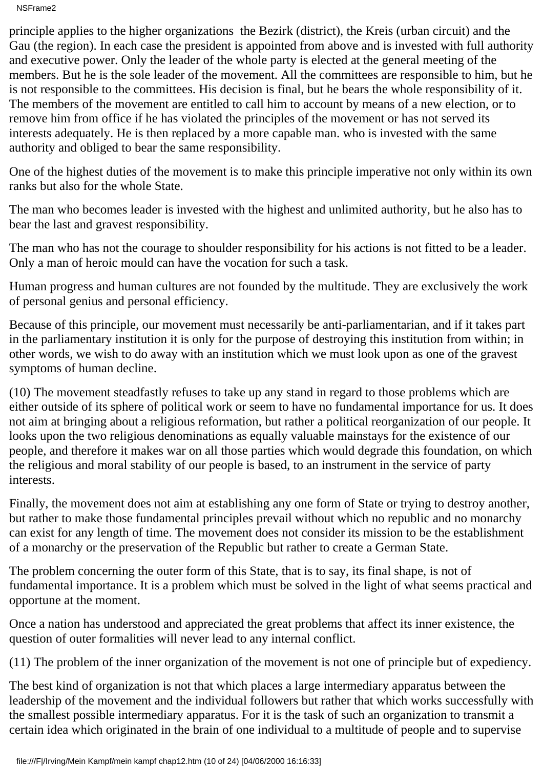NSFrame2

principle applies to the higher organizations the Bezirk (district), the Kreis (urban circuit) and the Gau (the region). In each case the president is appointed from above and is invested with full authority and executive power. Only the leader of the whole party is elected at the general meeting of the members. But he is the sole leader of the movement. All the committees are responsible to him, but he is not responsible to the committees. His decision is final, but he bears the whole responsibility of it. The members of the movement are entitled to call him to account by means of a new election, or to remove him from office if he has violated the principles of the movement or has not served its interests adequately. He is then replaced by a more capable man. who is invested with the same authority and obliged to bear the same responsibility.

One of the highest duties of the movement is to make this principle imperative not only within its own ranks but also for the whole State.

The man who becomes leader is invested with the highest and unlimited authority, but he also has to bear the last and gravest responsibility.

The man who has not the courage to shoulder responsibility for his actions is not fitted to be a leader. Only a man of heroic mould can have the vocation for such a task.

Human progress and human cultures are not founded by the multitude. They are exclusively the work of personal genius and personal efficiency.

Because of this principle, our movement must necessarily be anti-parliamentarian, and if it takes part in the parliamentary institution it is only for the purpose of destroying this institution from within; in other words, we wish to do away with an institution which we must look upon as one of the gravest symptoms of human decline.

(10) The movement steadfastly refuses to take up any stand in regard to those problems which are either outside of its sphere of political work or seem to have no fundamental importance for us. It does not aim at bringing about a religious reformation, but rather a political reorganization of our people. It looks upon the two religious denominations as equally valuable mainstays for the existence of our people, and therefore it makes war on all those parties which would degrade this foundation, on which the religious and moral stability of our people is based, to an instrument in the service of party interests.

Finally, the movement does not aim at establishing any one form of State or trying to destroy another, but rather to make those fundamental principles prevail without which no republic and no monarchy can exist for any length of time. The movement does not consider its mission to be the establishment of a monarchy or the preservation of the Republic but rather to create a German State.

The problem concerning the outer form of this State, that is to say, its final shape, is not of fundamental importance. It is a problem which must be solved in the light of what seems practical and opportune at the moment.

Once a nation has understood and appreciated the great problems that affect its inner existence, the question of outer formalities will never lead to any internal conflict.

(11) The problem of the inner organization of the movement is not one of principle but of expediency.

The best kind of organization is not that which places a large intermediary apparatus between the leadership of the movement and the individual followers but rather that which works successfully with the smallest possible intermediary apparatus. For it is the task of such an organization to transmit a certain idea which originated in the brain of one individual to a multitude of people and to supervise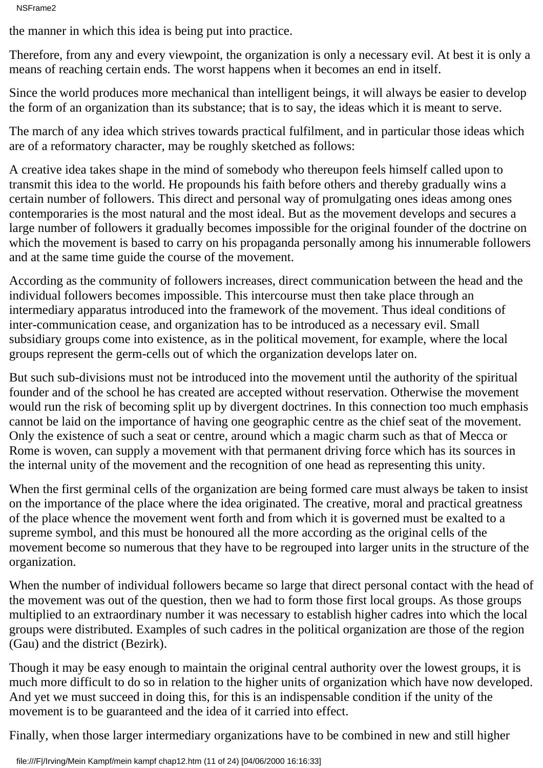the manner in which this idea is being put into practice.

Therefore, from any and every viewpoint, the organization is only a necessary evil. At best it is only a means of reaching certain ends. The worst happens when it becomes an end in itself.

Since the world produces more mechanical than intelligent beings, it will always be easier to develop the form of an organization than its substance; that is to say, the ideas which it is meant to serve.

The march of any idea which strives towards practical fulfilment, and in particular those ideas which are of a reformatory character, may be roughly sketched as follows:

A creative idea takes shape in the mind of somebody who thereupon feels himself called upon to transmit this idea to the world. He propounds his faith before others and thereby gradually wins a certain number of followers. This direct and personal way of promulgating ones ideas among ones contemporaries is the most natural and the most ideal. But as the movement develops and secures a large number of followers it gradually becomes impossible for the original founder of the doctrine on which the movement is based to carry on his propaganda personally among his innumerable followers and at the same time guide the course of the movement.

According as the community of followers increases, direct communication between the head and the individual followers becomes impossible. This intercourse must then take place through an intermediary apparatus introduced into the framework of the movement. Thus ideal conditions of inter-communication cease, and organization has to be introduced as a necessary evil. Small subsidiary groups come into existence, as in the political movement, for example, where the local groups represent the germ-cells out of which the organization develops later on.

But such sub-divisions must not be introduced into the movement until the authority of the spiritual founder and of the school he has created are accepted without reservation. Otherwise the movement would run the risk of becoming split up by divergent doctrines. In this connection too much emphasis cannot be laid on the importance of having one geographic centre as the chief seat of the movement. Only the existence of such a seat or centre, around which a magic charm such as that of Mecca or Rome is woven, can supply a movement with that permanent driving force which has its sources in the internal unity of the movement and the recognition of one head as representing this unity.

When the first germinal cells of the organization are being formed care must always be taken to insist on the importance of the place where the idea originated. The creative, moral and practical greatness of the place whence the movement went forth and from which it is governed must be exalted to a supreme symbol, and this must be honoured all the more according as the original cells of the movement become so numerous that they have to be regrouped into larger units in the structure of the organization.

When the number of individual followers became so large that direct personal contact with the head of the movement was out of the question, then we had to form those first local groups. As those groups multiplied to an extraordinary number it was necessary to establish higher cadres into which the local groups were distributed. Examples of such cadres in the political organization are those of the region (Gau) and the district (Bezirk).

Though it may be easy enough to maintain the original central authority over the lowest groups, it is much more difficult to do so in relation to the higher units of organization which have now developed. And yet we must succeed in doing this, for this is an indispensable condition if the unity of the movement is to be guaranteed and the idea of it carried into effect.

Finally, when those larger intermediary organizations have to be combined in new and still higher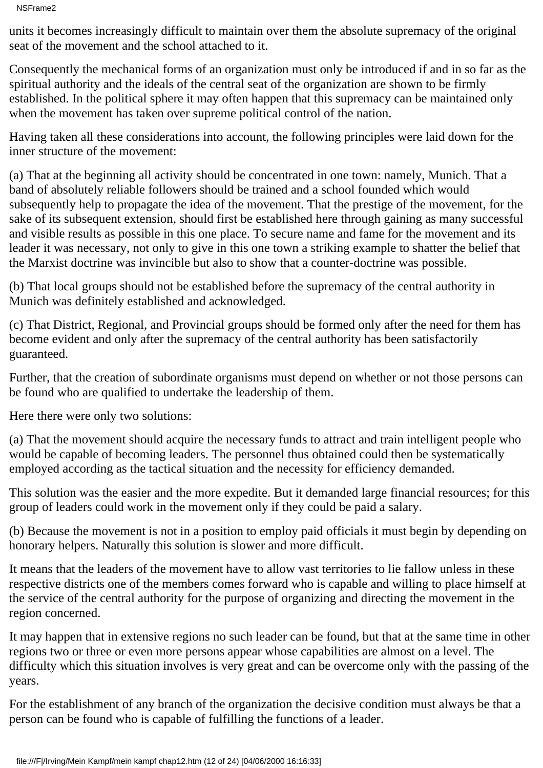NSFrame2

units it becomes increasingly difficult to maintain over them the absolute supremacy of the original seat of the movement and the school attached to it.

Consequently the mechanical forms of an organization must only be introduced if and in so far as the spiritual authority and the ideals of the central seat of the organization are shown to be firmly established. In the political sphere it may often happen that this supremacy can be maintained only when the movement has taken over supreme political control of the nation.

Having taken all these considerations into account, the following principles were laid down for the inner structure of the movement:

(a) That at the beginning all activity should be concentrated in one town: namely, Munich. That a band of absolutely reliable followers should be trained and a school founded which would subsequently help to propagate the idea of the movement. That the prestige of the movement, for the sake of its subsequent extension, should first be established here through gaining as many successful and visible results as possible in this one place. To secure name and fame for the movement and its leader it was necessary, not only to give in this one town a striking example to shatter the belief that the Marxist doctrine was invincible but also to show that a counter-doctrine was possible.

(b) That local groups should not be established before the supremacy of the central authority in Munich was definitely established and acknowledged.

(c) That District, Regional, and Provincial groups should be formed only after the need for them has become evident and only after the supremacy of the central authority has been satisfactorily guaranteed.

Further, that the creation of subordinate organisms must depend on whether or not those persons can be found who are qualified to undertake the leadership of them.

Here there were only two solutions:

(a) That the movement should acquire the necessary funds to attract and train intelligent people who would be capable of becoming leaders. The personnel thus obtained could then be systematically employed according as the tactical situation and the necessity for efficiency demanded.

This solution was the easier and the more expedite. But it demanded large financial resources; for this group of leaders could work in the movement only if they could be paid a salary.

(b) Because the movement is not in a position to employ paid officials it must begin by depending on honorary helpers. Naturally this solution is slower and more difficult.

It means that the leaders of the movement have to allow vast territories to lie fallow unless in these respective districts one of the members comes forward who is capable and willing to place himself at the service of the central authority for the purpose of organizing and directing the movement in the region concerned.

It may happen that in extensive regions no such leader can be found, but that at the same time in other regions two or three or even more persons appear whose capabilities are almost on a level. The difficulty which this situation involves is very great and can be overcome only with the passing of the years.

For the establishment of any branch of the organization the decisive condition must always be that a person can be found who is capable of fulfilling the functions of a leader.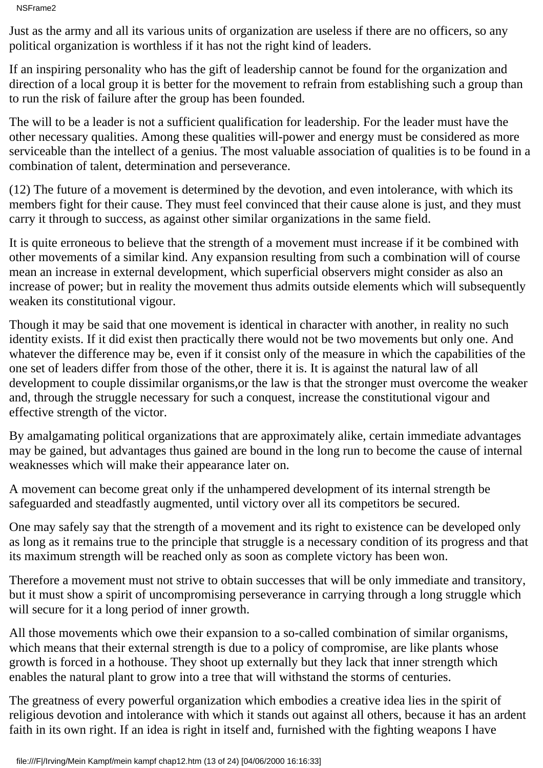NSFrame2

Just as the army and all its various units of organization are useless if there are no officers, so any political organization is worthless if it has not the right kind of leaders.

If an inspiring personality who has the gift of leadership cannot be found for the organization and direction of a local group it is better for the movement to refrain from establishing such a group than to run the risk of failure after the group has been founded.

The will to be a leader is not a sufficient qualification for leadership. For the leader must have the other necessary qualities. Among these qualities will-power and energy must be considered as more serviceable than the intellect of a genius. The most valuable association of qualities is to be found in a combination of talent, determination and perseverance.

(12) The future of a movement is determined by the devotion, and even intolerance, with which its members fight for their cause. They must feel convinced that their cause alone is just, and they must carry it through to success, as against other similar organizations in the same field.

It is quite erroneous to believe that the strength of a movement must increase if it be combined with other movements of a similar kind. Any expansion resulting from such a combination will of course mean an increase in external development, which superficial observers might consider as also an increase of power; but in reality the movement thus admits outside elements which will subsequently weaken its constitutional vigour.

Though it may be said that one movement is identical in character with another, in reality no such identity exists. If it did exist then practically there would not be two movements but only one. And whatever the difference may be, even if it consist only of the measure in which the capabilities of the one set of leaders differ from those of the other, there it is. It is against the natural law of all development to couple dissimilar organisms,or the law is that the stronger must overcome the weaker and, through the struggle necessary for such a conquest, increase the constitutional vigour and effective strength of the victor.

By amalgamating political organizations that are approximately alike, certain immediate advantages may be gained, but advantages thus gained are bound in the long run to become the cause of internal weaknesses which will make their appearance later on.

A movement can become great only if the unhampered development of its internal strength be safeguarded and steadfastly augmented, until victory over all its competitors be secured.

One may safely say that the strength of a movement and its right to existence can be developed only as long as it remains true to the principle that struggle is a necessary condition of its progress and that its maximum strength will be reached only as soon as complete victory has been won.

Therefore a movement must not strive to obtain successes that will be only immediate and transitory, but it must show a spirit of uncompromising perseverance in carrying through a long struggle which will secure for it a long period of inner growth.

All those movements which owe their expansion to a so-called combination of similar organisms, which means that their external strength is due to a policy of compromise, are like plants whose growth is forced in a hothouse. They shoot up externally but they lack that inner strength which enables the natural plant to grow into a tree that will withstand the storms of centuries.

The greatness of every powerful organization which embodies a creative idea lies in the spirit of religious devotion and intolerance with which it stands out against all others, because it has an ardent faith in its own right. If an idea is right in itself and, furnished with the fighting weapons I have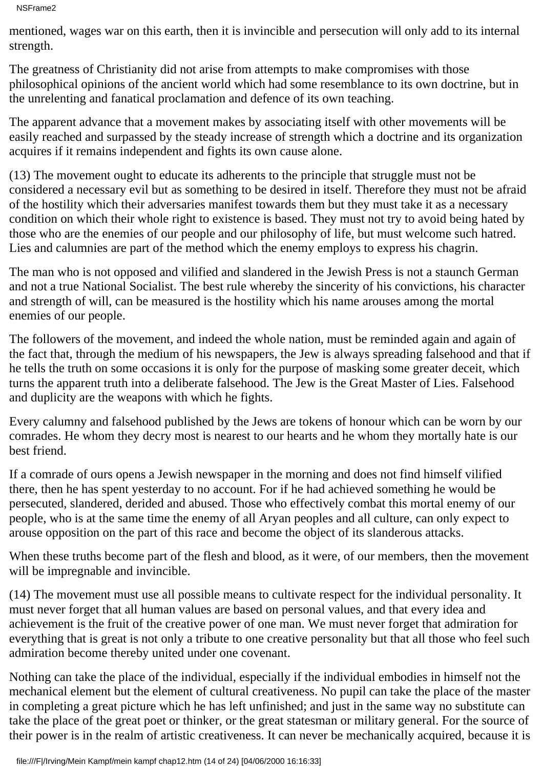```
NSFrame2
```
mentioned, wages war on this earth, then it is invincible and persecution will only add to its internal strength.

The greatness of Christianity did not arise from attempts to make compromises with those philosophical opinions of the ancient world which had some resemblance to its own doctrine, but in the unrelenting and fanatical proclamation and defence of its own teaching.

The apparent advance that a movement makes by associating itself with other movements will be easily reached and surpassed by the steady increase of strength which a doctrine and its organization acquires if it remains independent and fights its own cause alone.

(13) The movement ought to educate its adherents to the principle that struggle must not be considered a necessary evil but as something to be desired in itself. Therefore they must not be afraid of the hostility which their adversaries manifest towards them but they must take it as a necessary condition on which their whole right to existence is based. They must not try to avoid being hated by those who are the enemies of our people and our philosophy of life, but must welcome such hatred. Lies and calumnies are part of the method which the enemy employs to express his chagrin.

The man who is not opposed and vilified and slandered in the Jewish Press is not a staunch German and not a true National Socialist. The best rule whereby the sincerity of his convictions, his character and strength of will, can be measured is the hostility which his name arouses among the mortal enemies of our people.

The followers of the movement, and indeed the whole nation, must be reminded again and again of the fact that, through the medium of his newspapers, the Jew is always spreading falsehood and that if he tells the truth on some occasions it is only for the purpose of masking some greater deceit, which turns the apparent truth into a deliberate falsehood. The Jew is the Great Master of Lies. Falsehood and duplicity are the weapons with which he fights.

Every calumny and falsehood published by the Jews are tokens of honour which can be worn by our comrades. He whom they decry most is nearest to our hearts and he whom they mortally hate is our best friend.

If a comrade of ours opens a Jewish newspaper in the morning and does not find himself vilified there, then he has spent yesterday to no account. For if he had achieved something he would be persecuted, slandered, derided and abused. Those who effectively combat this mortal enemy of our people, who is at the same time the enemy of all Aryan peoples and all culture, can only expect to arouse opposition on the part of this race and become the object of its slanderous attacks.

When these truths become part of the flesh and blood, as it were, of our members, then the movement will be impregnable and invincible.

(14) The movement must use all possible means to cultivate respect for the individual personality. It must never forget that all human values are based on personal values, and that every idea and achievement is the fruit of the creative power of one man. We must never forget that admiration for everything that is great is not only a tribute to one creative personality but that all those who feel such admiration become thereby united under one covenant.

Nothing can take the place of the individual, especially if the individual embodies in himself not the mechanical element but the element of cultural creativeness. No pupil can take the place of the master in completing a great picture which he has left unfinished; and just in the same way no substitute can take the place of the great poet or thinker, or the great statesman or military general. For the source of their power is in the realm of artistic creativeness. It can never be mechanically acquired, because it is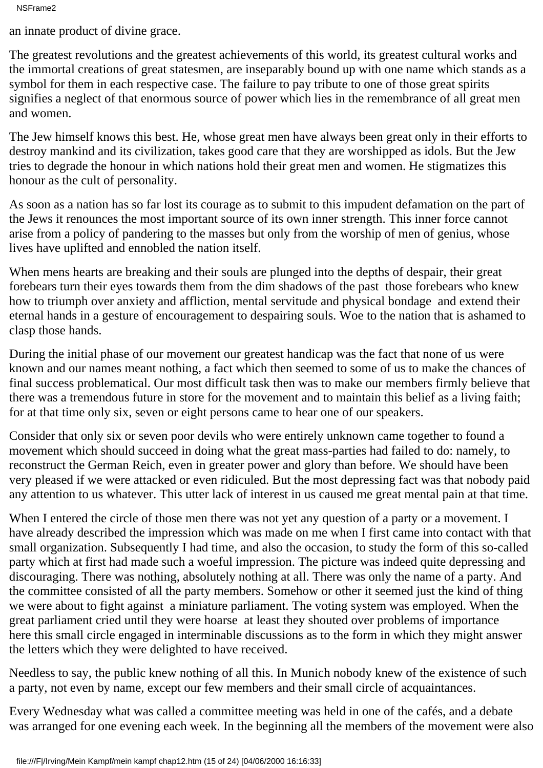an innate product of divine grace.

The greatest revolutions and the greatest achievements of this world, its greatest cultural works and the immortal creations of great statesmen, are inseparably bound up with one name which stands as a symbol for them in each respective case. The failure to pay tribute to one of those great spirits signifies a neglect of that enormous source of power which lies in the remembrance of all great men and women.

The Jew himself knows this best. He, whose great men have always been great only in their efforts to destroy mankind and its civilization, takes good care that they are worshipped as idols. But the Jew tries to degrade the honour in which nations hold their great men and women. He stigmatizes this honour as the cult of personality.

As soon as a nation has so far lost its courage as to submit to this impudent defamation on the part of the Jews it renounces the most important source of its own inner strength. This inner force cannot arise from a policy of pandering to the masses but only from the worship of men of genius, whose lives have uplifted and ennobled the nation itself.

When men s hearts are breaking and their souls are plunged into the depths of despair, their great forebears turn their eyes towards them from the dim shadows of the past those forebears who knew how to triumph over anxiety and affliction, mental servitude and physical bondage and extend their eternal hands in a gesture of encouragement to despairing souls. Woe to the nation that is ashamed to clasp those hands.

During the initial phase of our movement our greatest handicap was the fact that none of us were known and our names meant nothing, a fact which then seemed to some of us to make the chances of final success problematical. Our most difficult task then was to make our members firmly believe that there was a tremendous future in store for the movement and to maintain this belief as a living faith; for at that time only six, seven or eight persons came to hear one of our speakers.

Consider that only six or seven poor devils who were entirely unknown came together to found a movement which should succeed in doing what the great mass-parties had failed to do: namely, to reconstruct the German Reich, even in greater power and glory than before. We should have been very pleased if we were attacked or even ridiculed. But the most depressing fact was that nobody paid any attention to us whatever. This utter lack of interest in us caused me great mental pain at that time.

When I entered the circle of those men there was not yet any question of a party or a movement. I have already described the impression which was made on me when I first came into contact with that small organization. Subsequently I had time, and also the occasion, to study the form of this so-called party which at first had made such a woeful impression. The picture was indeed quite depressing and discouraging. There was nothing, absolutely nothing at all. There was only the name of a party. And the committee consisted of all the party members. Somehow or other it seemed just the kind of thing we were about to fight against a miniature parliament. The voting system was employed. When the great parliament cried until they were hoarse at least they shouted over problems of importance here this small circle engaged in interminable discussions as to the form in which they might answer the letters which they were delighted to have received.

Needless to say, the public knew nothing of all this. In Munich nobody knew of the existence of such a party, not even by name, except our few members and their small circle of acquaintances.

Every Wednesday what was called a committee meeting was held in one of the cafés, and a debate was arranged for one evening each week. In the beginning all the members of the movement were also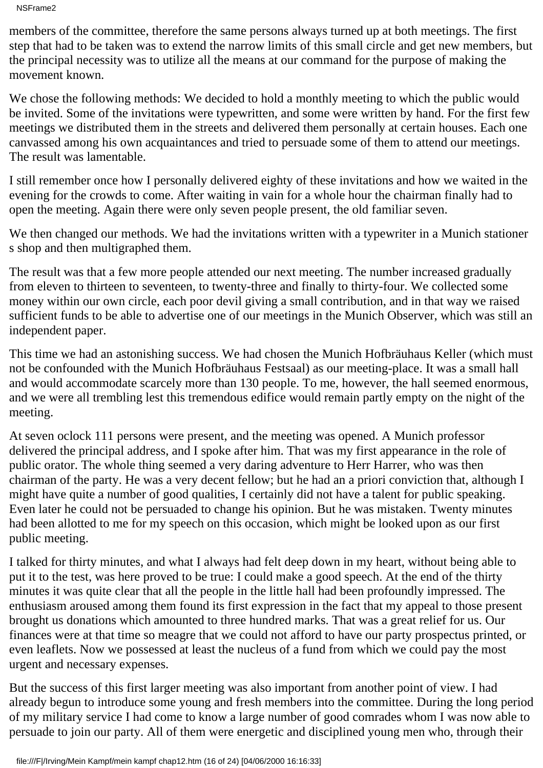NSFrame2

members of the committee, therefore the same persons always turned up at both meetings. The first step that had to be taken was to extend the narrow limits of this small circle and get new members, but the principal necessity was to utilize all the means at our command for the purpose of making the movement known.

We chose the following methods: We decided to hold a monthly meeting to which the public would be invited. Some of the invitations were typewritten, and some were written by hand. For the first few meetings we distributed them in the streets and delivered them personally at certain houses. Each one canvassed among his own acquaintances and tried to persuade some of them to attend our meetings. The result was lamentable.

I still remember once how I personally delivered eighty of these invitations and how we waited in the evening for the crowds to come. After waiting in vain for a whole hour the chairman finally had to open the meeting. Again there were only seven people present, the old familiar seven.

We then changed our methods. We had the invitations written with a typewriter in a Munich stationer s shop and then multigraphed them.

The result was that a few more people attended our next meeting. The number increased gradually from eleven to thirteen to seventeen, to twenty-three and finally to thirty-four. We collected some money within our own circle, each poor devil giving a small contribution, and in that way we raised sufficient funds to be able to advertise one of our meetings in the Munich Observer, which was still an independent paper.

This time we had an astonishing success. We had chosen the Munich Hofbräuhaus Keller (which must not be confounded with the Munich Hofbräuhaus Festsaal) as our meeting-place. It was a small hall and would accommodate scarcely more than 130 people. To me, however, the hall seemed enormous, and we were all trembling lest this tremendous edifice would remain partly empty on the night of the meeting.

At seven o clock 111 persons were present, and the meeting was opened. A Munich professor delivered the principal address, and I spoke after him. That was my first appearance in the role of public orator. The whole thing seemed a very daring adventure to Herr Harrer, who was then chairman of the party. He was a very decent fellow; but he had an a priori conviction that, although I might have quite a number of good qualities, I certainly did not have a talent for public speaking. Even later he could not be persuaded to change his opinion. But he was mistaken. Twenty minutes had been allotted to me for my speech on this occasion, which might be looked upon as our first public meeting.

I talked for thirty minutes, and what I always had felt deep down in my heart, without being able to put it to the test, was here proved to be true: I could make a good speech. At the end of the thirty minutes it was quite clear that all the people in the little hall had been profoundly impressed. The enthusiasm aroused among them found its first expression in the fact that my appeal to those present brought us donations which amounted to three hundred marks. That was a great relief for us. Our finances were at that time so meagre that we could not afford to have our party prospectus printed, or even leaflets. Now we possessed at least the nucleus of a fund from which we could pay the most urgent and necessary expenses.

But the success of this first larger meeting was also important from another point of view. I had already begun to introduce some young and fresh members into the committee. During the long period of my military service I had come to know a large number of good comrades whom I was now able to persuade to join our party. All of them were energetic and disciplined young men who, through their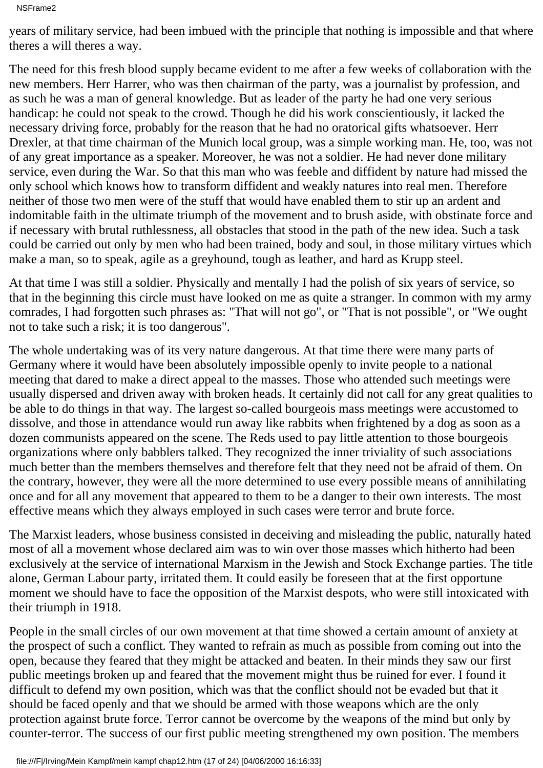NSFrame2

years of military service, had been imbued with the principle that nothing is impossible and that where there s a will there s a way.

The need for this fresh blood supply became evident to me after a few weeks of collaboration with the new members. Herr Harrer, who was then chairman of the party, was a journalist by profession, and as such he was a man of general knowledge. But as leader of the party he had one very serious handicap: he could not speak to the crowd. Though he did his work conscientiously, it lacked the necessary driving force, probably for the reason that he had no oratorical gifts whatsoever. Herr Drexler, at that time chairman of the Munich local group, was a simple working man. He, too, was not of any great importance as a speaker. Moreover, he was not a soldier. He had never done military service, even during the War. So that this man who was feeble and diffident by nature had missed the only school which knows how to transform diffident and weakly natures into real men. Therefore neither of those two men were of the stuff that would have enabled them to stir up an ardent and indomitable faith in the ultimate triumph of the movement and to brush aside, with obstinate force and if necessary with brutal ruthlessness, all obstacles that stood in the path of the new idea. Such a task could be carried out only by men who had been trained, body and soul, in those military virtues which make a man, so to speak, agile as a greyhound, tough as leather, and hard as Krupp steel.

At that time I was still a soldier. Physically and mentally I had the polish of six years of service, so that in the beginning this circle must have looked on me as quite a stranger. In common with my army comrades, I had forgotten such phrases as: "That will not go", or "That is not possible", or "We ought not to take such a risk; it is too dangerous".

The whole undertaking was of its very nature dangerous. At that time there were many parts of Germany where it would have been absolutely impossible openly to invite people to a national meeting that dared to make a direct appeal to the masses. Those who attended such meetings were usually dispersed and driven away with broken heads. It certainly did not call for any great qualities to be able to do things in that way. The largest so-called bourgeois mass meetings were accustomed to dissolve, and those in attendance would run away like rabbits when frightened by a dog as soon as a dozen communists appeared on the scene. The Reds used to pay little attention to those bourgeois organizations where only babblers talked. They recognized the inner triviality of such associations much better than the members themselves and therefore felt that they need not be afraid of them. On the contrary, however, they were all the more determined to use every possible means of annihilating once and for all any movement that appeared to them to be a danger to their own interests. The most effective means which they always employed in such cases were terror and brute force.

The Marxist leaders, whose business consisted in deceiving and misleading the public, naturally hated most of all a movement whose declared aim was to win over those masses which hitherto had been exclusively at the service of international Marxism in the Jewish and Stock Exchange parties. The title alone, German Labour party, irritated them. It could easily be foreseen that at the first opportune moment we should have to face the opposition of the Marxist despots, who were still intoxicated with their triumph in 1918.

People in the small circles of our own movement at that time showed a certain amount of anxiety at the prospect of such a conflict. They wanted to refrain as much as possible from coming out into the open, because they feared that they might be attacked and beaten. In their minds they saw our first public meetings broken up and feared that the movement might thus be ruined for ever. I found it difficult to defend my own position, which was that the conflict should not be evaded but that it should be faced openly and that we should be armed with those weapons which are the only protection against brute force. Terror cannot be overcome by the weapons of the mind but only by counter-terror. The success of our first public meeting strengthened my own position. The members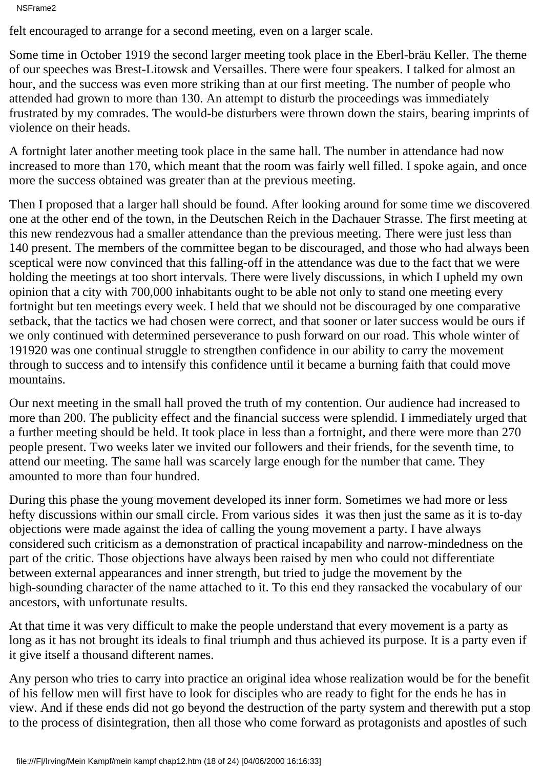felt encouraged to arrange for a second meeting, even on a larger scale.

Some time in October 1919 the second larger meeting took place in the Eberl-bräu Keller. The theme of our speeches was Brest-Litowsk and Versailles. There were four speakers. I talked for almost an hour, and the success was even more striking than at our first meeting. The number of people who attended had grown to more than 130. An attempt to disturb the proceedings was immediately frustrated by my comrades. The would-be disturbers were thrown down the stairs, bearing imprints of violence on their heads.

A fortnight later another meeting took place in the same hall. The number in attendance had now increased to more than 170, which meant that the room was fairly well filled. I spoke again, and once more the success obtained was greater than at the previous meeting.

Then I proposed that a larger hall should be found. After looking around for some time we discovered one at the other end of the town, in the Deutschen Reich in the Dachauer Strasse. The first meeting at this new rendezvous had a smaller attendance than the previous meeting. There were just less than 140 present. The members of the committee began to be discouraged, and those who had always been sceptical were now convinced that this falling-off in the attendance was due to the fact that we were holding the meetings at too short intervals. There were lively discussions, in which I upheld my own opinion that a city with 700,000 inhabitants ought to be able not only to stand one meeting every fortnight but ten meetings every week. I held that we should not be discouraged by one comparative setback, that the tactics we had chosen were correct, and that sooner or later success would be ours if we only continued with determined perseverance to push forward on our road. This whole winter of 191920 was one continual struggle to strengthen confidence in our ability to carry the movement through to success and to intensify this confidence until it became a burning faith that could move mountains.

Our next meeting in the small hall proved the truth of my contention. Our audience had increased to more than 200. The publicity effect and the financial success were splendid. I immediately urged that a further meeting should be held. It took place in less than a fortnight, and there were more than 270 people present. Two weeks later we invited our followers and their friends, for the seventh time, to attend our meeting. The same hall was scarcely large enough for the number that came. They amounted to more than four hundred.

During this phase the young movement developed its inner form. Sometimes we had more or less hefty discussions within our small circle. From various sides it was then just the same as it is to-day objections were made against the idea of calling the young movement a party. I have always considered such criticism as a demonstration of practical incapability and narrow-mindedness on the part of the critic. Those objections have always been raised by men who could not differentiate between external appearances and inner strength, but tried to judge the movement by the high-sounding character of the name attached to it. To this end they ransacked the vocabulary of our ancestors, with unfortunate results.

At that time it was very difficult to make the people understand that every movement is a party as long as it has not brought its ideals to final triumph and thus achieved its purpose. It is a party even if it give itself a thousand difterent names.

Any person who tries to carry into practice an original idea whose realization would be for the benefit of his fellow men will first have to look for disciples who are ready to fight for the ends he has in view. And if these ends did not go beyond the destruction of the party system and therewith put a stop to the process of disintegration, then all those who come forward as protagonists and apostles of such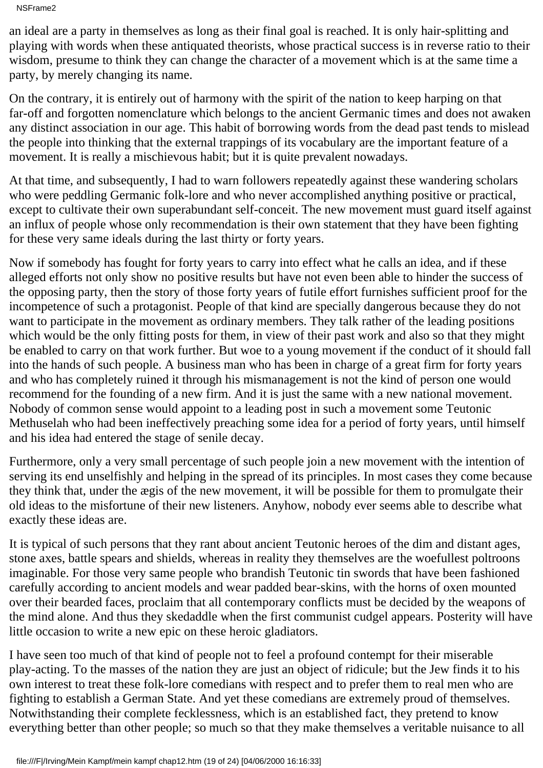NSFrame2

an ideal are a party in themselves as long as their final goal is reached. It is only hair-splitting and playing with words when these antiquated theorists, whose practical success is in reverse ratio to their wisdom, presume to think they can change the character of a movement which is at the same time a party, by merely changing its name.

On the contrary, it is entirely out of harmony with the spirit of the nation to keep harping on that far-off and forgotten nomenclature which belongs to the ancient Germanic times and does not awaken any distinct association in our age. This habit of borrowing words from the dead past tends to mislead the people into thinking that the external trappings of its vocabulary are the important feature of a movement. It is really a mischievous habit; but it is quite prevalent nowadays.

At that time, and subsequently, I had to warn followers repeatedly against these wandering scholars who were peddling Germanic folk-lore and who never accomplished anything positive or practical, except to cultivate their own superabundant self-conceit. The new movement must guard itself against an influx of people whose only recommendation is their own statement that they have been fighting for these very same ideals during the last thirty or forty years.

Now if somebody has fought for forty years to carry into effect what he calls an idea, and if these alleged efforts not only show no positive results but have not even been able to hinder the success of the opposing party, then the story of those forty years of futile effort furnishes sufficient proof for the incompetence of such a protagonist. People of that kind are specially dangerous because they do not want to participate in the movement as ordinary members. They talk rather of the leading positions which would be the only fitting posts for them, in view of their past work and also so that they might be enabled to carry on that work further. But woe to a young movement if the conduct of it should fall into the hands of such people. A business man who has been in charge of a great firm for forty years and who has completely ruined it through his mismanagement is not the kind of person one would recommend for the founding of a new firm. And it is just the same with a new national movement. Nobody of common sense would appoint to a leading post in such a movement some Teutonic Methuselah who had been ineffectively preaching some idea for a period of forty years, until himself and his idea had entered the stage of senile decay.

Furthermore, only a very small percentage of such people join a new movement with the intention of serving its end unselfishly and helping in the spread of its principles. In most cases they come because they think that, under the ægis of the new movement, it will be possible for them to promulgate their old ideas to the misfortune of their new listeners. Anyhow, nobody ever seems able to describe what exactly these ideas are.

It is typical of such persons that they rant about ancient Teutonic heroes of the dim and distant ages, stone axes, battle spears and shields, whereas in reality they themselves are the woefullest poltroons imaginable. For those very same people who brandish Teutonic tin swords that have been fashioned carefully according to ancient models and wear padded bear-skins, with the horns of oxen mounted over their bearded faces, proclaim that all contemporary conflicts must be decided by the weapons of the mind alone. And thus they skedaddle when the first communist cudgel appears. Posterity will have little occasion to write a new epic on these heroic gladiators.

I have seen too much of that kind of people not to feel a profound contempt for their miserable play-acting. To the masses of the nation they are just an object of ridicule; but the Jew finds it to his own interest to treat these folk-lore comedians with respect and to prefer them to real men who are fighting to establish a German State. And yet these comedians are extremely proud of themselves. Notwithstanding their complete fecklessness, which is an established fact, they pretend to know everything better than other people; so much so that they make themselves a veritable nuisance to all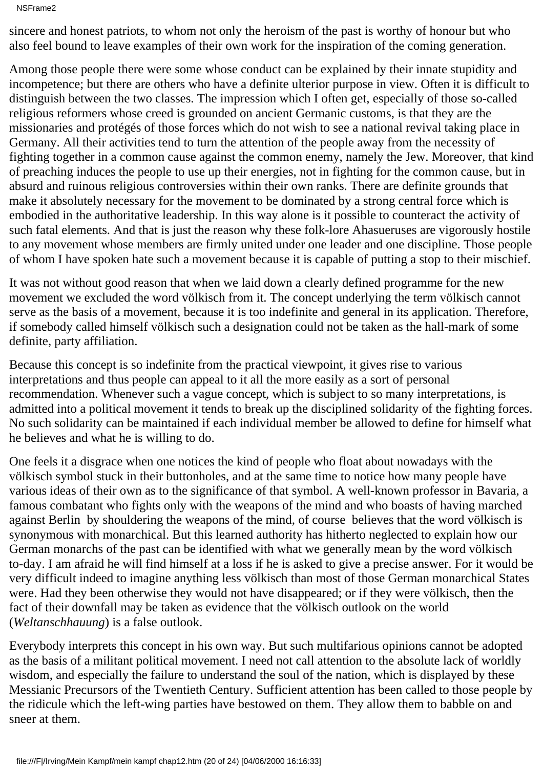NSFrame2

sincere and honest patriots, to whom not only the heroism of the past is worthy of honour but who also feel bound to leave examples of their own work for the inspiration of the coming generation.

Among those people there were some whose conduct can be explained by their innate stupidity and incompetence; but there are others who have a definite ulterior purpose in view. Often it is difficult to distinguish between the two classes. The impression which I often get, especially of those so-called religious reformers whose creed is grounded on ancient Germanic customs, is that they are the missionaries and protégés of those forces which do not wish to see a national revival taking place in Germany. All their activities tend to turn the attention of the people away from the necessity of fighting together in a common cause against the common enemy, namely the Jew. Moreover, that kind of preaching induces the people to use up their energies, not in fighting for the common cause, but in absurd and ruinous religious controversies within their own ranks. There are definite grounds that make it absolutely necessary for the movement to be dominated by a strong central force which is embodied in the authoritative leadership. In this way alone is it possible to counteract the activity of such fatal elements. And that is just the reason why these folk-lore Ahasueruses are vigorously hostile to any movement whose members are firmly united under one leader and one discipline. Those people of whom I have spoken hate such a movement because it is capable of putting a stop to their mischief.

It was not without good reason that when we laid down a clearly defined programme for the new movement we excluded the word völkisch from it. The concept underlying the term völkisch cannot serve as the basis of a movement, because it is too indefinite and general in its application. Therefore, if somebody called himself völkisch such a designation could not be taken as the hall-mark of some definite, party affiliation.

Because this concept is so indefinite from the practical viewpoint, it gives rise to various interpretations and thus people can appeal to it all the more easily as a sort of personal recommendation. Whenever such a vague concept, which is subject to so many interpretations, is admitted into a political movement it tends to break up the disciplined solidarity of the fighting forces. No such solidarity can be maintained if each individual member be allowed to define for himself what he believes and what he is willing to do.

One feels it a disgrace when one notices the kind of people who float about nowadays with the völkisch symbol stuck in their buttonholes, and at the same time to notice how many people have various ideas of their own as to the significance of that symbol. A well-known professor in Bavaria, a famous combatant who fights only with the weapons of the mind and who boasts of having marched against Berlin by shouldering the weapons of the mind, of course believes that the word völkisch is synonymous with monarchical. But this learned authority has hitherto neglected to explain how our German monarchs of the past can be identified with what we generally mean by the word völkisch to-day. I am afraid he will find himself at a loss if he is asked to give a precise answer. For it would be very difficult indeed to imagine anything less völkisch than most of those German monarchical States were. Had they been otherwise they would not have disappeared; or if they were völkisch, then the fact of their downfall may be taken as evidence that the völkisch outlook on the world (*Weltanschhauung*) is a false outlook.

Everybody interprets this concept in his own way. But such multifarious opinions cannot be adopted as the basis of a militant political movement. I need not call attention to the absolute lack of worldly wisdom, and especially the failure to understand the soul of the nation, which is displayed by these Messianic Precursors of the Twentieth Century. Sufficient attention has been called to those people by the ridicule which the left-wing parties have bestowed on them. They allow them to babble on and sneer at them.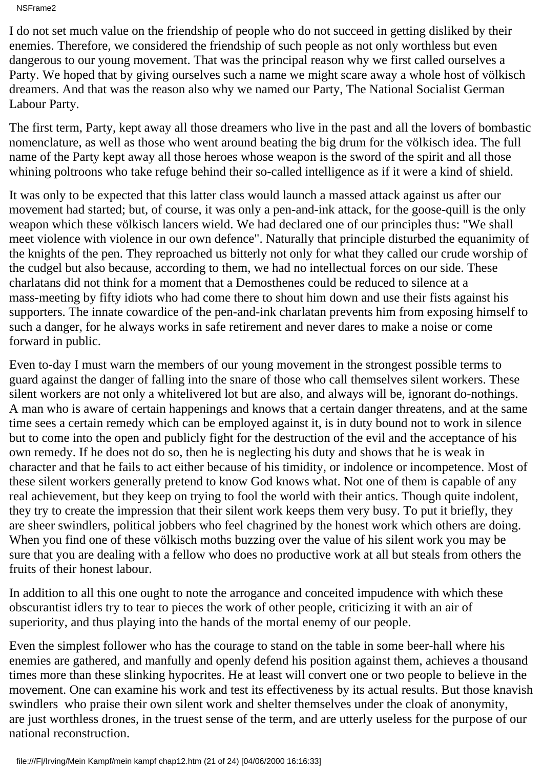NSFrame2

I do not set much value on the friendship of people who do not succeed in getting disliked by their enemies. Therefore, we considered the friendship of such people as not only worthless but even dangerous to our young movement. That was the principal reason why we first called ourselves a Party. We hoped that by giving ourselves such a name we might scare away a whole host of völkisch dreamers. And that was the reason also why we named our Party, The National Socialist German Labour Party.

The first term, Party, kept away all those dreamers who live in the past and all the lovers of bombastic nomenclature, as well as those who went around beating the big drum for the völkisch idea. The full name of the Party kept away all those heroes whose weapon is the sword of the spirit and all those whining poltroons who take refuge behind their so-called intelligence as if it were a kind of shield.

It was only to be expected that this latter class would launch a massed attack against us after our movement had started; but, of course, it was only a pen-and-ink attack, for the goose-quill is the only weapon which these völkisch lancers wield. We had declared one of our principles thus: "We shall meet violence with violence in our own defence". Naturally that principle disturbed the equanimity of the knights of the pen. They reproached us bitterly not only for what they called our crude worship of the cudgel but also because, according to them, we had no intellectual forces on our side. These charlatans did not think for a moment that a Demosthenes could be reduced to silence at a mass-meeting by fifty idiots who had come there to shout him down and use their fists against his supporters. The innate cowardice of the pen-and-ink charlatan prevents him from exposing himself to such a danger, for he always works in safe retirement and never dares to make a noise or come forward in public.

Even to-day I must warn the members of our young movement in the strongest possible terms to guard against the danger of falling into the snare of those who call themselves silent workers. These silent workers are not only a whitelivered lot but are also, and always will be, ignorant do-nothings. A man who is aware of certain happenings and knows that a certain danger threatens, and at the same time sees a certain remedy which can be employed against it, is in duty bound not to work in silence but to come into the open and publicly fight for the destruction of the evil and the acceptance of his own remedy. If he does not do so, then he is neglecting his duty and shows that he is weak in character and that he fails to act either because of his timidity, or indolence or incompetence. Most of these silent workers generally pretend to know God knows what. Not one of them is capable of any real achievement, but they keep on trying to fool the world with their antics. Though quite indolent, they try to create the impression that their silent work keeps them very busy. To put it briefly, they are sheer swindlers, political jobbers who feel chagrined by the honest work which others are doing. When you find one of these völkisch moths buzzing over the value of his silent work you may be sure that you are dealing with a fellow who does no productive work at all but steals from others the fruits of their honest labour.

In addition to all this one ought to note the arrogance and conceited impudence with which these obscurantist idlers try to tear to pieces the work of other people, criticizing it with an air of superiority, and thus playing into the hands of the mortal enemy of our people.

Even the simplest follower who has the courage to stand on the table in some beer-hall where his enemies are gathered, and manfully and openly defend his position against them, achieves a thousand times more than these slinking hypocrites. He at least will convert one or two people to believe in the movement. One can examine his work and test its effectiveness by its actual results. But those knavish swindlers who praise their own silent work and shelter themselves under the cloak of anonymity, are just worthless drones, in the truest sense of the term, and are utterly useless for the purpose of our national reconstruction.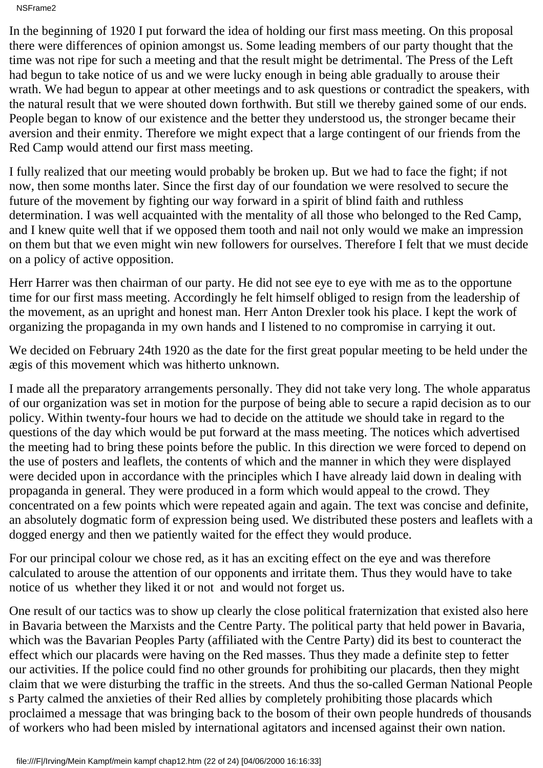In the beginning of 1920 I put forward the idea of holding our first mass meeting. On this proposal there were differences of opinion amongst us. Some leading members of our party thought that the time was not ripe for such a meeting and that the result might be detrimental. The Press of the Left had begun to take notice of us and we were lucky enough in being able gradually to arouse their wrath. We had begun to appear at other meetings and to ask questions or contradict the speakers, with the natural result that we were shouted down forthwith. But still we thereby gained some of our ends. People began to know of our existence and the better they understood us, the stronger became their aversion and their enmity. Therefore we might expect that a large contingent of our friends from the Red Camp would attend our first mass meeting.

I fully realized that our meeting would probably be broken up. But we had to face the fight; if not now, then some months later. Since the first day of our foundation we were resolved to secure the future of the movement by fighting our way forward in a spirit of blind faith and ruthless determination. I was well acquainted with the mentality of all those who belonged to the Red Camp, and I knew quite well that if we opposed them tooth and nail not only would we make an impression on them but that we even might win new followers for ourselves. Therefore I felt that we must decide on a policy of active opposition.

Herr Harrer was then chairman of our party. He did not see eye to eye with me as to the opportune time for our first mass meeting. Accordingly he felt himself obliged to resign from the leadership of the movement, as an upright and honest man. Herr Anton Drexler took his place. I kept the work of organizing the propaganda in my own hands and I listened to no compromise in carrying it out.

We decided on February 24th 1920 as the date for the first great popular meeting to be held under the ægis of this movement which was hitherto unknown.

I made all the preparatory arrangements personally. They did not take very long. The whole apparatus of our organization was set in motion for the purpose of being able to secure a rapid decision as to our policy. Within twenty-four hours we had to decide on the attitude we should take in regard to the questions of the day which would be put forward at the mass meeting. The notices which advertised the meeting had to bring these points before the public. In this direction we were forced to depend on the use of posters and leaflets, the contents of which and the manner in which they were displayed were decided upon in accordance with the principles which I have already laid down in dealing with propaganda in general. They were produced in a form which would appeal to the crowd. They concentrated on a few points which were repeated again and again. The text was concise and definite, an absolutely dogmatic form of expression being used. We distributed these posters and leaflets with a dogged energy and then we patiently waited for the effect they would produce.

For our principal colour we chose red, as it has an exciting effect on the eye and was therefore calculated to arouse the attention of our opponents and irritate them. Thus they would have to take notice of us whether they liked it or not and would not forget us.

One result of our tactics was to show up clearly the close political fraternization that existed also here in Bavaria between the Marxists and the Centre Party. The political party that held power in Bavaria, which was the Bavarian Peoples Party (affiliated with the Centre Party) did its best to counteract the effect which our placards were having on the Red masses. Thus they made a definite step to fetter our activities. If the police could find no other grounds for prohibiting our placards, then they might claim that we were disturbing the traffic in the streets. And thus the so-called German National People s Party calmed the anxieties of their Red allies by completely prohibiting those placards which proclaimed a message that was bringing back to the bosom of their own people hundreds of thousands of workers who had been misled by international agitators and incensed against their own nation.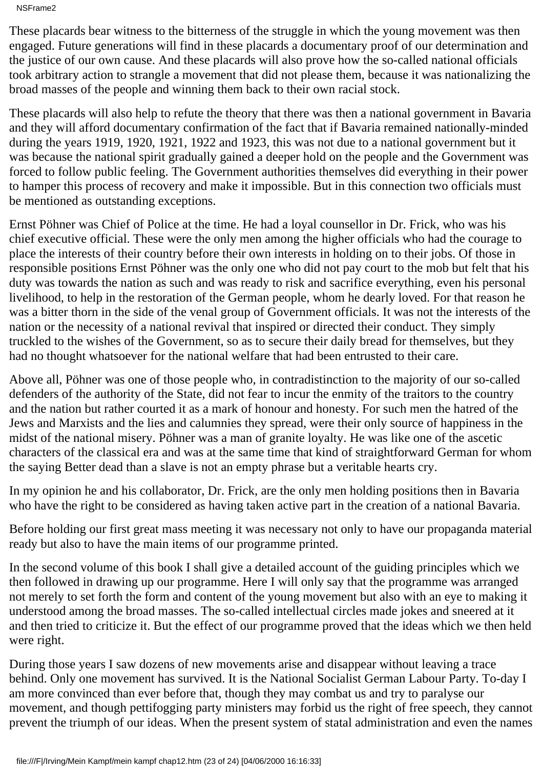NSFrame2

These placards bear witness to the bitterness of the struggle in which the young movement was then engaged. Future generations will find in these placards a documentary proof of our determination and the justice of our own cause. And these placards will also prove how the so-called national officials took arbitrary action to strangle a movement that did not please them, because it was nationalizing the broad masses of the people and winning them back to their own racial stock.

These placards will also help to refute the theory that there was then a national government in Bavaria and they will afford documentary confirmation of the fact that if Bavaria remained nationally-minded during the years 1919, 1920, 1921, 1922 and 1923, this was not due to a national government but it was because the national spirit gradually gained a deeper hold on the people and the Government was forced to follow public feeling. The Government authorities themselves did everything in their power to hamper this process of recovery and make it impossible. But in this connection two officials must be mentioned as outstanding exceptions.

Ernst Pöhner was Chief of Police at the time. He had a loyal counsellor in Dr. Frick, who was his chief executive official. These were the only men among the higher officials who had the courage to place the interests of their country before their own interests in holding on to their jobs. Of those in responsible positions Ernst Pöhner was the only one who did not pay court to the mob but felt that his duty was towards the nation as such and was ready to risk and sacrifice everything, even his personal livelihood, to help in the restoration of the German people, whom he dearly loved. For that reason he was a bitter thorn in the side of the venal group of Government officials. It was not the interests of the nation or the necessity of a national revival that inspired or directed their conduct. They simply truckled to the wishes of the Government, so as to secure their daily bread for themselves, but they had no thought whatsoever for the national welfare that had been entrusted to their care.

Above all, Pöhner was one of those people who, in contradistinction to the majority of our so-called defenders of the authority of the State, did not fear to incur the enmity of the traitors to the country and the nation but rather courted it as a mark of honour and honesty. For such men the hatred of the Jews and Marxists and the lies and calumnies they spread, were their only source of happiness in the midst of the national misery. Pöhner was a man of granite loyalty. He was like one of the ascetic characters of the classical era and was at the same time that kind of straightforward German for whom the saying Better dead than a slave is not an empty phrase but a veritable heart s cry.

In my opinion he and his collaborator, Dr. Frick, are the only men holding positions then in Bavaria who have the right to be considered as having taken active part in the creation of a national Bavaria.

Before holding our first great mass meeting it was necessary not only to have our propaganda material ready but also to have the main items of our programme printed.

In the second volume of this book I shall give a detailed account of the guiding principles which we then followed in drawing up our programme. Here I will only say that the programme was arranged not merely to set forth the form and content of the young movement but also with an eye to making it understood among the broad masses. The so-called intellectual circles made jokes and sneered at it and then tried to criticize it. But the effect of our programme proved that the ideas which we then held were right.

During those years I saw dozens of new movements arise and disappear without leaving a trace behind. Only one movement has survived. It is the National Socialist German Labour Party. To-day I am more convinced than ever before that, though they may combat us and try to paralyse our movement, and though pettifogging party ministers may forbid us the right of free speech, they cannot prevent the triumph of our ideas. When the present system of statal administration and even the names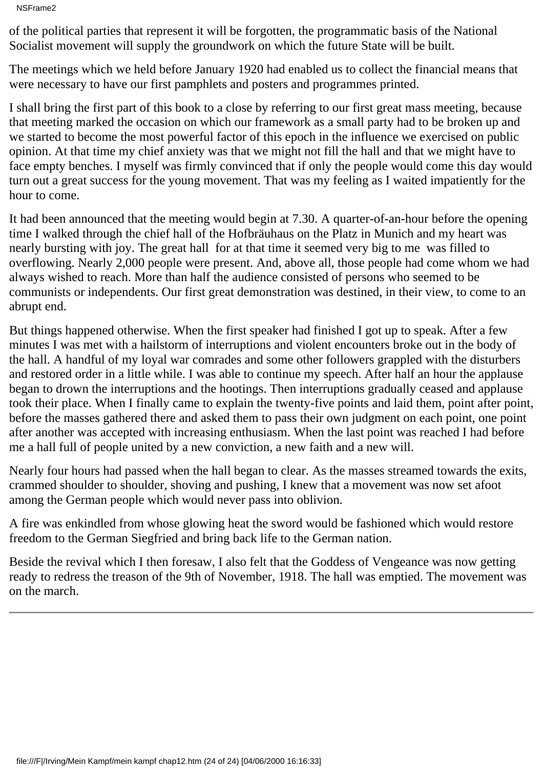NSFrame2

of the political parties that represent it will be forgotten, the programmatic basis of the National Socialist movement will supply the groundwork on which the future State will be built.

The meetings which we held before January 1920 had enabled us to collect the financial means that were necessary to have our first pamphlets and posters and programmes printed.

I shall bring the first part of this book to a close by referring to our first great mass meeting, because that meeting marked the occasion on which our framework as a small party had to be broken up and we started to become the most powerful factor of this epoch in the influence we exercised on public opinion. At that time my chief anxiety was that we might not fill the hall and that we might have to face empty benches. I myself was firmly convinced that if only the people would come this day would turn out a great success for the young movement. That was my feeling as I waited impatiently for the hour to come.

It had been announced that the meeting would begin at 7.30. A quarter-of-an-hour before the opening time I walked through the chief hall of the Hofbräuhaus on the Platz in Munich and my heart was nearly bursting with joy. The great hall for at that time it seemed very big to me was filled to overflowing. Nearly 2,000 people were present. And, above all, those people had come whom we had always wished to reach. More than half the audience consisted of persons who seemed to be communists or independents. Our first great demonstration was destined, in their view, to come to an abrupt end.

But things happened otherwise. When the first speaker had finished I got up to speak. After a few minutes I was met with a hailstorm of interruptions and violent encounters broke out in the body of the hall. A handful of my loyal war comrades and some other followers grappled with the disturbers and restored order in a little while. I was able to continue my speech. After half an hour the applause began to drown the interruptions and the hootings. Then interruptions gradually ceased and applause took their place. When I finally came to explain the twenty-five points and laid them, point after point, before the masses gathered there and asked them to pass their own judgment on each point, one point after another was accepted with increasing enthusiasm. When the last point was reached I had before me a hall full of people united by a new conviction, a new faith and a new will.

Nearly four hours had passed when the hall began to clear. As the masses streamed towards the exits, crammed shoulder to shoulder, shoving and pushing, I knew that a movement was now set afoot among the German people which would never pass into oblivion.

A fire was enkindled from whose glowing heat the sword would be fashioned which would restore freedom to the German Siegfried and bring back life to the German nation.

Beside the revival which I then foresaw, I also felt that the Goddess of Vengeance was now getting ready to redress the treason of the 9th of November, 1918. The hall was emptied. The movement was on the march.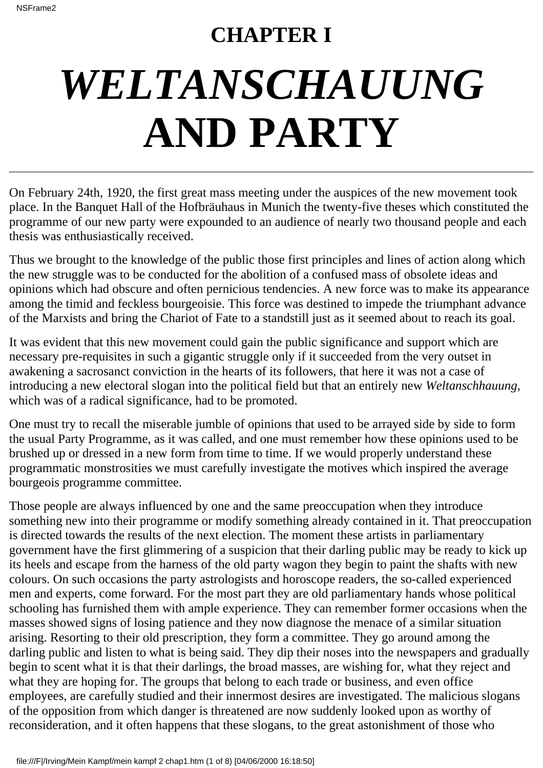## **CHAPTER I**

## *WELTANSCHAUUNG* **AND PARTY**

On February 24th, 1920, the first great mass meeting under the auspices of the new movement took place. In the Banquet Hall of the Hofbräuhaus in Munich the twenty-five theses which constituted the programme of our new party were expounded to an audience of nearly two thousand people and each thesis was enthusiastically received.

Thus we brought to the knowledge of the public those first principles and lines of action along which the new struggle was to be conducted for the abolition of a confused mass of obsolete ideas and opinions which had obscure and often pernicious tendencies. A new force was to make its appearance among the timid and feckless bourgeoisie. This force was destined to impede the triumphant advance of the Marxists and bring the Chariot of Fate to a standstill just as it seemed about to reach its goal.

It was evident that this new movement could gain the public significance and support which are necessary pre-requisites in such a gigantic struggle only if it succeeded from the very outset in awakening a sacrosanct conviction in the hearts of its followers, that here it was not a case of introducing a new electoral slogan into the political field but that an entirely new *Weltanschhauung*, which was of a radical significance, had to be promoted.

One must try to recall the miserable jumble of opinions that used to be arrayed side by side to form the usual Party Programme, as it was called, and one must remember how these opinions used to be brushed up or dressed in a new form from time to time. If we would properly understand these programmatic monstrosities we must carefully investigate the motives which inspired the average bourgeois programme committee.

Those people are always influenced by one and the same preoccupation when they introduce something new into their programme or modify something already contained in it. That preoccupation is directed towards the results of the next election. The moment these artists in parliamentary government have the first glimmering of a suspicion that their darling public may be ready to kick up its heels and escape from the harness of the old party wagon they begin to paint the shafts with new colours. On such occasions the party astrologists and horoscope readers, the so-called experienced men and experts, come forward. For the most part they are old parliamentary hands whose political schooling has furnished them with ample experience. They can remember former occasions when the masses showed signs of losing patience and they now diagnose the menace of a similar situation arising. Resorting to their old prescription, they form a committee. They go around among the darling public and listen to what is being said. They dip their noses into the newspapers and gradually begin to scent what it is that their darlings, the broad masses, are wishing for, what they reject and what they are hoping for. The groups that belong to each trade or business, and even office employees, are carefully studied and their innermost desires are investigated. The malicious slogans of the opposition from which danger is threatened are now suddenly looked upon as worthy of reconsideration, and it often happens that these slogans, to the great astonishment of those who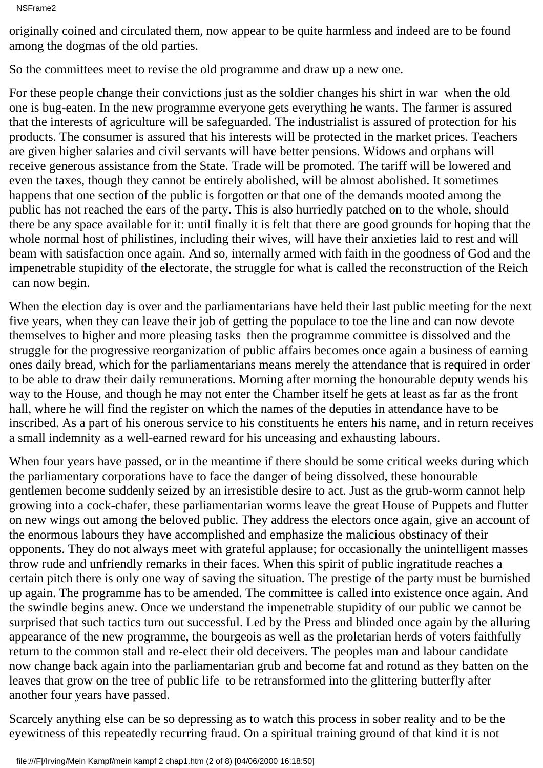NSFrame2

originally coined and circulated them, now appear to be quite harmless and indeed are to be found among the dogmas of the old parties.

So the committees meet to revise the old programme and draw up a new one.

For these people change their convictions just as the soldier changes his shirt in war when the old one is bug-eaten. In the new programme everyone gets everything he wants. The farmer is assured that the interests of agriculture will be safeguarded. The industrialist is assured of protection for his products. The consumer is assured that his interests will be protected in the market prices. Teachers are given higher salaries and civil servants will have better pensions. Widows and orphans will receive generous assistance from the State. Trade will be promoted. The tariff will be lowered and even the taxes, though they cannot be entirely abolished, will be almost abolished. It sometimes happens that one section of the public is forgotten or that one of the demands mooted among the public has not reached the ears of the party. This is also hurriedly patched on to the whole, should there be any space available for it: until finally it is felt that there are good grounds for hoping that the whole normal host of philistines, including their wives, will have their anxieties laid to rest and will beam with satisfaction once again. And so, internally armed with faith in the goodness of God and the impenetrable stupidity of the electorate, the struggle for what is called the reconstruction of the Reich can now begin.

When the election day is over and the parliamentarians have held their last public meeting for the next five years, when they can leave their job of getting the populace to toe the line and can now devote themselves to higher and more pleasing tasks then the programme committee is dissolved and the struggle for the progressive reorganization of public affairs becomes once again a business of earning ones daily bread, which for the parliamentarians means merely the attendance that is required in order to be able to draw their daily remunerations. Morning after morning the honourable deputy wends his way to the House, and though he may not enter the Chamber itself he gets at least as far as the front hall, where he will find the register on which the names of the deputies in attendance have to be inscribed. As a part of his onerous service to his constituents he enters his name, and in return receives a small indemnity as a well-earned reward for his unceasing and exhausting labours.

When four years have passed, or in the meantime if there should be some critical weeks during which the parliamentary corporations have to face the danger of being dissolved, these honourable gentlemen become suddenly seized by an irresistible desire to act. Just as the grub-worm cannot help growing into a cock-chafer, these parliamentarian worms leave the great House of Puppets and flutter on new wings out among the beloved public. They address the electors once again, give an account of the enormous labours they have accomplished and emphasize the malicious obstinacy of their opponents. They do not always meet with grateful applause; for occasionally the unintelligent masses throw rude and unfriendly remarks in their faces. When this spirit of public ingratitude reaches a certain pitch there is only one way of saving the situation. The prestige of the party must be burnished up again. The programme has to be amended. The committee is called into existence once again. And the swindle begins anew. Once we understand the impenetrable stupidity of our public we cannot be surprised that such tactics turn out successful. Led by the Press and blinded once again by the alluring appearance of the new programme, the bourgeois as well as the proletarian herds of voters faithfully return to the common stall and re-elect their old deceivers. The peoples man and labour candidate now change back again into the parliamentarian grub and become fat and rotund as they batten on the leaves that grow on the tree of public life to be retransformed into the glittering butterfly after another four years have passed.

Scarcely anything else can be so depressing as to watch this process in sober reality and to be the eyewitness of this repeatedly recurring fraud. On a spiritual training ground of that kind it is not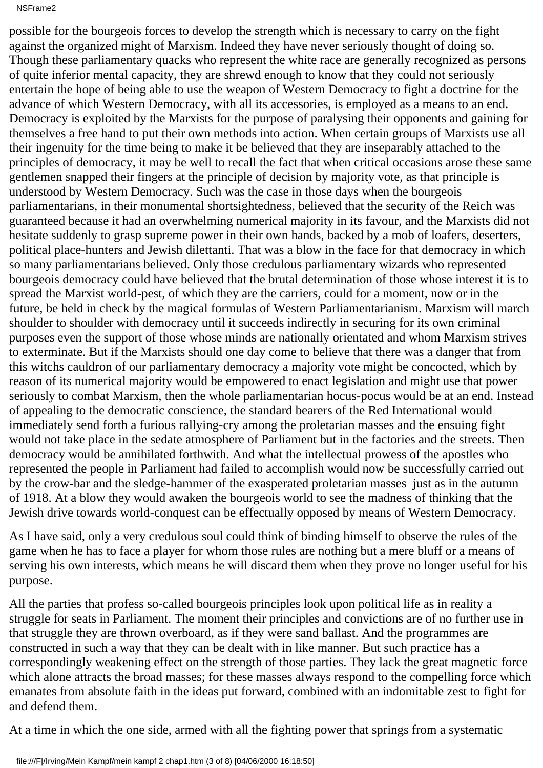## NSFrame2

possible for the bourgeois forces to develop the strength which is necessary to carry on the fight against the organized might of Marxism. Indeed they have never seriously thought of doing so. Though these parliamentary quacks who represent the white race are generally recognized as persons of quite inferior mental capacity, they are shrewd enough to know that they could not seriously entertain the hope of being able to use the weapon of Western Democracy to fight a doctrine for the advance of which Western Democracy, with all its accessories, is employed as a means to an end. Democracy is exploited by the Marxists for the purpose of paralysing their opponents and gaining for themselves a free hand to put their own methods into action. When certain groups of Marxists use all their ingenuity for the time being to make it be believed that they are inseparably attached to the principles of democracy, it may be well to recall the fact that when critical occasions arose these same gentlemen snapped their fingers at the principle of decision by majority vote, as that principle is understood by Western Democracy. Such was the case in those days when the bourgeois parliamentarians, in their monumental shortsightedness, believed that the security of the Reich was guaranteed because it had an overwhelming numerical majority in its favour, and the Marxists did not hesitate suddenly to grasp supreme power in their own hands, backed by a mob of loafers, deserters, political place-hunters and Jewish dilettanti. That was a blow in the face for that democracy in which so many parliamentarians believed. Only those credulous parliamentary wizards who represented bourgeois democracy could have believed that the brutal determination of those whose interest it is to spread the Marxist world-pest, of which they are the carriers, could for a moment, now or in the future, be held in check by the magical formulas of Western Parliamentarianism. Marxism will march shoulder to shoulder with democracy until it succeeds indirectly in securing for its own criminal purposes even the support of those whose minds are nationally orientated and whom Marxism strives to exterminate. But if the Marxists should one day come to believe that there was a danger that from this witch s cauldron of our parliamentary democracy a majority vote might be concocted, which by reason of its numerical majority would be empowered to enact legislation and might use that power seriously to combat Marxism, then the whole parliamentarian hocus-pocus would be at an end. Instead of appealing to the democratic conscience, the standard bearers of the Red International would immediately send forth a furious rallying-cry among the proletarian masses and the ensuing fight would not take place in the sedate atmosphere of Parliament but in the factories and the streets. Then democracy would be annihilated forthwith. And what the intellectual prowess of the apostles who represented the people in Parliament had failed to accomplish would now be successfully carried out by the crow-bar and the sledge-hammer of the exasperated proletarian masses just as in the autumn of 1918. At a blow they would awaken the bourgeois world to see the madness of thinking that the Jewish drive towards world-conquest can be effectually opposed by means of Western Democracy.

As I have said, only a very credulous soul could think of binding himself to observe the rules of the game when he has to face a player for whom those rules are nothing but a mere bluff or a means of serving his own interests, which means he will discard them when they prove no longer useful for his purpose.

All the parties that profess so-called bourgeois principles look upon political life as in reality a struggle for seats in Parliament. The moment their principles and convictions are of no further use in that struggle they are thrown overboard, as if they were sand ballast. And the programmes are constructed in such a way that they can be dealt with in like manner. But such practice has a correspondingly weakening effect on the strength of those parties. They lack the great magnetic force which alone attracts the broad masses; for these masses always respond to the compelling force which emanates from absolute faith in the ideas put forward, combined with an indomitable zest to fight for and defend them.

At a time in which the one side, armed with all the fighting power that springs from a systematic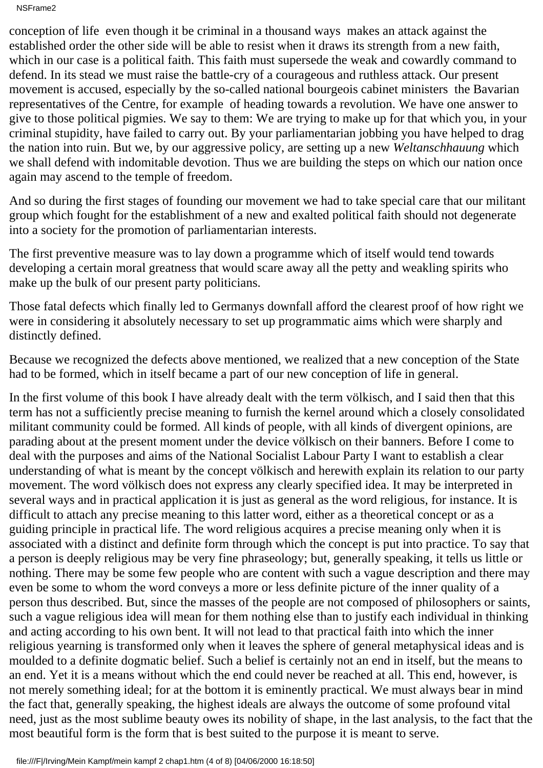conception of life even though it be criminal in a thousand ways makes an attack against the established order the other side will be able to resist when it draws its strength from a new faith, which in our case is a political faith. This faith must supersede the weak and cowardly command to defend. In its stead we must raise the battle-cry of a courageous and ruthless attack. Our present movement is accused, especially by the so-called national bourgeois cabinet ministers the Bavarian representatives of the Centre, for example of heading towards a revolution. We have one answer to give to those political pigmies. We say to them: We are trying to make up for that which you, in your criminal stupidity, have failed to carry out. By your parliamentarian jobbing you have helped to drag the nation into ruin. But we, by our aggressive policy, are setting up a new *Weltanschhauung* which we shall defend with indomitable devotion. Thus we are building the steps on which our nation once again may ascend to the temple of freedom.

And so during the first stages of founding our movement we had to take special care that our militant group which fought for the establishment of a new and exalted political faith should not degenerate into a society for the promotion of parliamentarian interests.

The first preventive measure was to lay down a programme which of itself would tend towards developing a certain moral greatness that would scare away all the petty and weakling spirits who make up the bulk of our present party politicians.

Those fatal defects which finally led to Germanys downfall afford the clearest proof of how right we were in considering it absolutely necessary to set up programmatic aims which were sharply and distinctly defined.

Because we recognized the defects above mentioned, we realized that a new conception of the State had to be formed, which in itself became a part of our new conception of life in general.

In the first volume of this book I have already dealt with the term völkisch, and I said then that this term has not a sufficiently precise meaning to furnish the kernel around which a closely consolidated militant community could be formed. All kinds of people, with all kinds of divergent opinions, are parading about at the present moment under the device völkisch on their banners. Before I come to deal with the purposes and aims of the National Socialist Labour Party I want to establish a clear understanding of what is meant by the concept völkisch and herewith explain its relation to our party movement. The word völkisch does not express any clearly specified idea. It may be interpreted in several ways and in practical application it is just as general as the word religious, for instance. It is difficult to attach any precise meaning to this latter word, either as a theoretical concept or as a guiding principle in practical life. The word religious acquires a precise meaning only when it is associated with a distinct and definite form through which the concept is put into practice. To say that a person is deeply religious may be very fine phraseology; but, generally speaking, it tells us little or nothing. There may be some few people who are content with such a vague description and there may even be some to whom the word conveys a more or less definite picture of the inner quality of a person thus described. But, since the masses of the people are not composed of philosophers or saints, such a vague religious idea will mean for them nothing else than to justify each individual in thinking and acting according to his own bent. It will not lead to that practical faith into which the inner religious yearning is transformed only when it leaves the sphere of general metaphysical ideas and is moulded to a definite dogmatic belief. Such a belief is certainly not an end in itself, but the means to an end. Yet it is a means without which the end could never be reached at all. This end, however, is not merely something ideal; for at the bottom it is eminently practical. We must always bear in mind the fact that, generally speaking, the highest ideals are always the outcome of some profound vital need, just as the most sublime beauty owes its nobility of shape, in the last analysis, to the fact that the most beautiful form is the form that is best suited to the purpose it is meant to serve.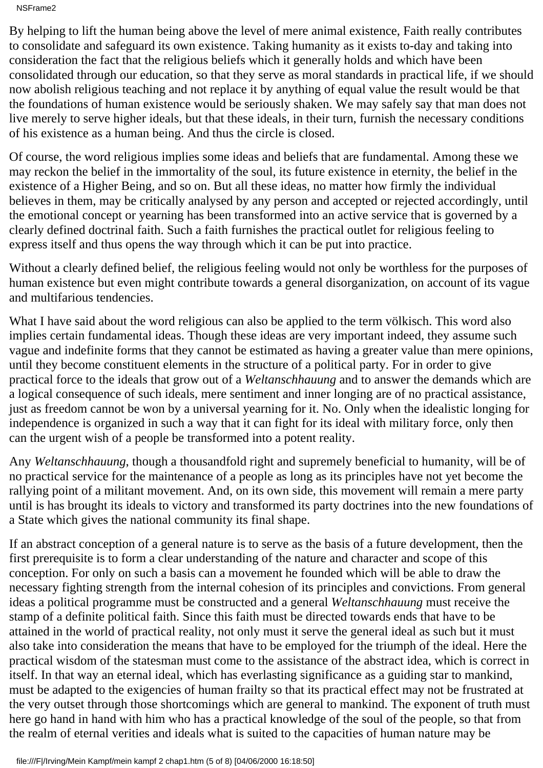NSFrame2

By helping to lift the human being above the level of mere animal existence, Faith really contributes to consolidate and safeguard its own existence. Taking humanity as it exists to-day and taking into consideration the fact that the religious beliefs which it generally holds and which have been consolidated through our education, so that they serve as moral standards in practical life, if we should now abolish religious teaching and not replace it by anything of equal value the result would be that the foundations of human existence would be seriously shaken. We may safely say that man does not live merely to serve higher ideals, but that these ideals, in their turn, furnish the necessary conditions of his existence as a human being. And thus the circle is closed.

Of course, the word religious implies some ideas and beliefs that are fundamental. Among these we may reckon the belief in the immortality of the soul, its future existence in eternity, the belief in the existence of a Higher Being, and so on. But all these ideas, no matter how firmly the individual believes in them, may be critically analysed by any person and accepted or rejected accordingly, until the emotional concept or yearning has been transformed into an active service that is governed by a clearly defined doctrinal faith. Such a faith furnishes the practical outlet for religious feeling to express itself and thus opens the way through which it can be put into practice.

Without a clearly defined belief, the religious feeling would not only be worthless for the purposes of human existence but even might contribute towards a general disorganization, on account of its vague and multifarious tendencies.

What I have said about the word religious can also be applied to the term völkisch. This word also implies certain fundamental ideas. Though these ideas are very important indeed, they assume such vague and indefinite forms that they cannot be estimated as having a greater value than mere opinions, until they become constituent elements in the structure of a political party. For in order to give practical force to the ideals that grow out of a *Weltanschhauung* and to answer the demands which are a logical consequence of such ideals, mere sentiment and inner longing are of no practical assistance, just as freedom cannot be won by a universal yearning for it. No. Only when the idealistic longing for independence is organized in such a way that it can fight for its ideal with military force, only then can the urgent wish of a people be transformed into a potent reality.

Any *Weltanschhauung*, though a thousandfold right and supremely beneficial to humanity, will be of no practical service for the maintenance of a people as long as its principles have not yet become the rallying point of a militant movement. And, on its own side, this movement will remain a mere party until is has brought its ideals to victory and transformed its party doctrines into the new foundations of a State which gives the national community its final shape.

If an abstract conception of a general nature is to serve as the basis of a future development, then the first prerequisite is to form a clear understanding of the nature and character and scope of this conception. For only on such a basis can a movement he founded which will be able to draw the necessary fighting strength from the internal cohesion of its principles and convictions. From general ideas a political programme must be constructed and a general *Weltanschhauung* must receive the stamp of a definite political faith. Since this faith must be directed towards ends that have to be attained in the world of practical reality, not only must it serve the general ideal as such but it must also take into consideration the means that have to be employed for the triumph of the ideal. Here the practical wisdom of the statesman must come to the assistance of the abstract idea, which is correct in itself. In that way an eternal ideal, which has everlasting significance as a guiding star to mankind, must be adapted to the exigencies of human frailty so that its practical effect may not be frustrated at the very outset through those shortcomings which are general to mankind. The exponent of truth must here go hand in hand with him who has a practical knowledge of the soul of the people, so that from the realm of eternal verities and ideals what is suited to the capacities of human nature may be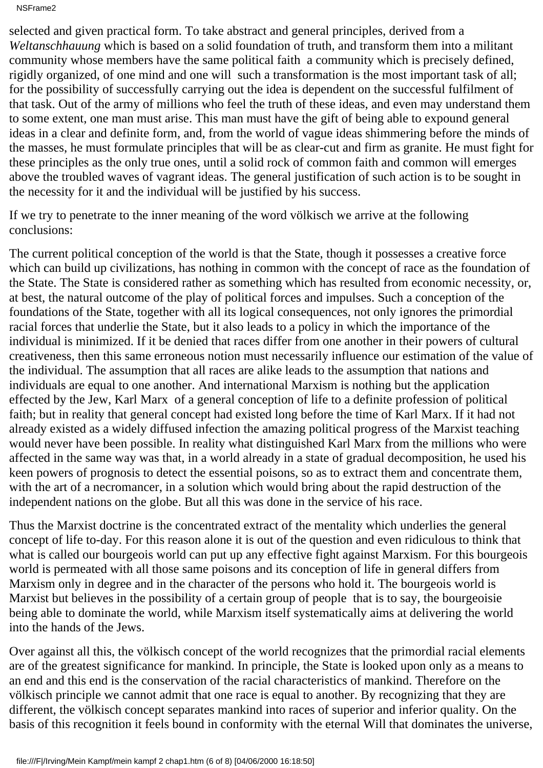NSFrame2

selected and given practical form. To take abstract and general principles, derived from a *Weltanschhauung* which is based on a solid foundation of truth, and transform them into a militant community whose members have the same political faith a community which is precisely defined, rigidly organized, of one mind and one will such a transformation is the most important task of all; for the possibility of successfully carrying out the idea is dependent on the successful fulfilment of that task. Out of the army of millions who feel the truth of these ideas, and even may understand them to some extent, one man must arise. This man must have the gift of being able to expound general ideas in a clear and definite form, and, from the world of vague ideas shimmering before the minds of the masses, he must formulate principles that will be as clear-cut and firm as granite. He must fight for these principles as the only true ones, until a solid rock of common faith and common will emerges above the troubled waves of vagrant ideas. The general justification of such action is to be sought in the necessity for it and the individual will be justified by his success.

If we try to penetrate to the inner meaning of the word völkisch we arrive at the following conclusions:

The current political conception of the world is that the State, though it possesses a creative force which can build up civilizations, has nothing in common with the concept of race as the foundation of the State. The State is considered rather as something which has resulted from economic necessity, or, at best, the natural outcome of the play of political forces and impulses. Such a conception of the foundations of the State, together with all its logical consequences, not only ignores the primordial racial forces that underlie the State, but it also leads to a policy in which the importance of the individual is minimized. If it be denied that races differ from one another in their powers of cultural creativeness, then this same erroneous notion must necessarily influence our estimation of the value of the individual. The assumption that all races are alike leads to the assumption that nations and individuals are equal to one another. And international Marxism is nothing but the application effected by the Jew, Karl Marx of a general conception of life to a definite profession of political faith; but in reality that general concept had existed long before the time of Karl Marx. If it had not already existed as a widely diffused infection the amazing political progress of the Marxist teaching would never have been possible. In reality what distinguished Karl Marx from the millions who were affected in the same way was that, in a world already in a state of gradual decomposition, he used his keen powers of prognosis to detect the essential poisons, so as to extract them and concentrate them, with the art of a necromancer, in a solution which would bring about the rapid destruction of the independent nations on the globe. But all this was done in the service of his race.

Thus the Marxist doctrine is the concentrated extract of the mentality which underlies the general concept of life to-day. For this reason alone it is out of the question and even ridiculous to think that what is called our bourgeois world can put up any effective fight against Marxism. For this bourgeois world is permeated with all those same poisons and its conception of life in general differs from Marxism only in degree and in the character of the persons who hold it. The bourgeois world is Marxist but believes in the possibility of a certain group of people that is to say, the bourgeoisie being able to dominate the world, while Marxism itself systematically aims at delivering the world into the hands of the Jews.

Over against all this, the völkisch concept of the world recognizes that the primordial racial elements are of the greatest significance for mankind. In principle, the State is looked upon only as a means to an end and this end is the conservation of the racial characteristics of mankind. Therefore on the völkisch principle we cannot admit that one race is equal to another. By recognizing that they are different, the völkisch concept separates mankind into races of superior and inferior quality. On the basis of this recognition it feels bound in conformity with the eternal Will that dominates the universe,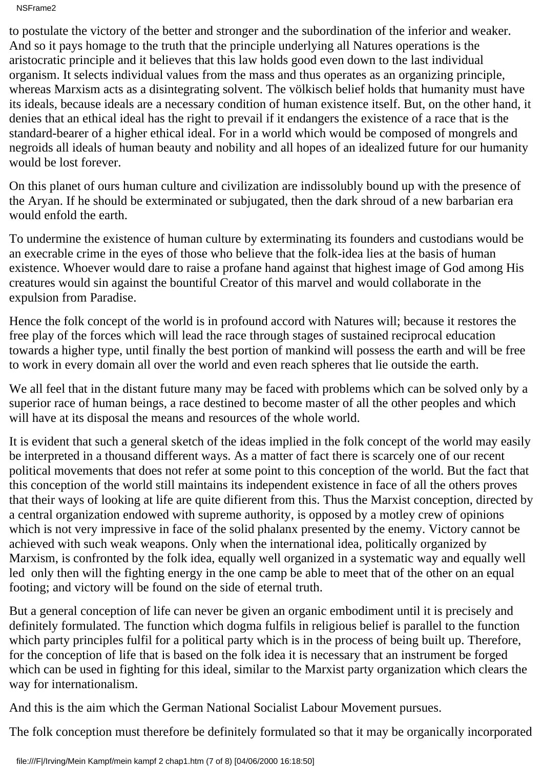NSFrame2

to postulate the victory of the better and stronger and the subordination of the inferior and weaker. And so it pays homage to the truth that the principle underlying all Natures operations is the aristocratic principle and it believes that this law holds good even down to the last individual organism. It selects individual values from the mass and thus operates as an organizing principle, whereas Marxism acts as a disintegrating solvent. The völkisch belief holds that humanity must have its ideals, because ideals are a necessary condition of human existence itself. But, on the other hand, it denies that an ethical ideal has the right to prevail if it endangers the existence of a race that is the standard-bearer of a higher ethical ideal. For in a world which would be composed of mongrels and negroids all ideals of human beauty and nobility and all hopes of an idealized future for our humanity would be lost forever.

On this planet of ours human culture and civilization are indissolubly bound up with the presence of the Aryan. If he should be exterminated or subjugated, then the dark shroud of a new barbarian era would enfold the earth.

To undermine the existence of human culture by exterminating its founders and custodians would be an execrable crime in the eyes of those who believe that the folk-idea lies at the basis of human existence. Whoever would dare to raise a profane hand against that highest image of God among His creatures would sin against the bountiful Creator of this marvel and would collaborate in the expulsion from Paradise.

Hence the folk concept of the world is in profound accord with Natures will; because it restores the free play of the forces which will lead the race through stages of sustained reciprocal education towards a higher type, until finally the best portion of mankind will possess the earth and will be free to work in every domain all over the world and even reach spheres that lie outside the earth.

We all feel that in the distant future many may be faced with problems which can be solved only by a superior race of human beings, a race destined to become master of all the other peoples and which will have at its disposal the means and resources of the whole world.

It is evident that such a general sketch of the ideas implied in the folk concept of the world may easily be interpreted in a thousand different ways. As a matter of fact there is scarcely one of our recent political movements that does not refer at some point to this conception of the world. But the fact that this conception of the world still maintains its independent existence in face of all the others proves that their ways of looking at life are quite difierent from this. Thus the Marxist conception, directed by a central organization endowed with supreme authority, is opposed by a motley crew of opinions which is not very impressive in face of the solid phalanx presented by the enemy. Victory cannot be achieved with such weak weapons. Only when the international idea, politically organized by Marxism, is confronted by the folk idea, equally well organized in a systematic way and equally well led only then will the fighting energy in the one camp be able to meet that of the other on an equal footing; and victory will be found on the side of eternal truth.

But a general conception of life can never be given an organic embodiment until it is precisely and definitely formulated. The function which dogma fulfils in religious belief is parallel to the function which party principles fulfil for a political party which is in the process of being built up. Therefore, for the conception of life that is based on the folk idea it is necessary that an instrument be forged which can be used in fighting for this ideal, similar to the Marxist party organization which clears the way for internationalism.

And this is the aim which the German National Socialist Labour Movement pursues.

The folk conception must therefore be definitely formulated so that it may be organically incorporated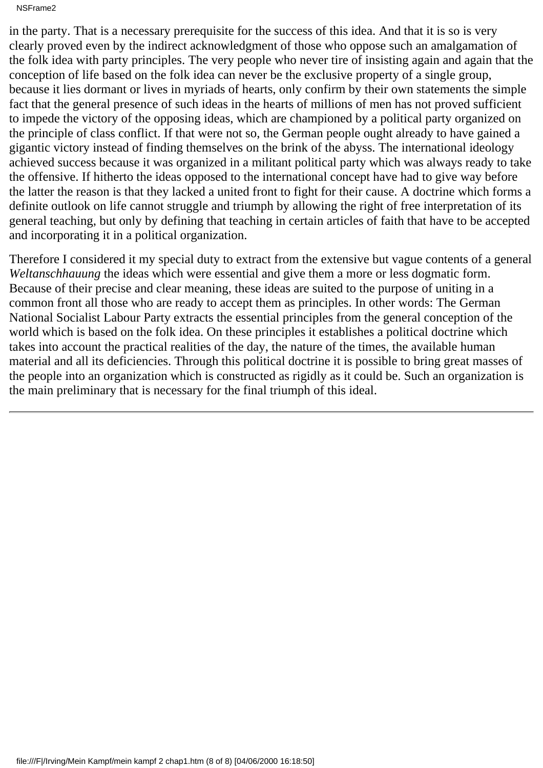## NSFrame2

in the party. That is a necessary prerequisite for the success of this idea. And that it is so is very clearly proved even by the indirect acknowledgment of those who oppose such an amalgamation of the folk idea with party principles. The very people who never tire of insisting again and again that the conception of life based on the folk idea can never be the exclusive property of a single group, because it lies dormant or lives in myriads of hearts, only confirm by their own statements the simple fact that the general presence of such ideas in the hearts of millions of men has not proved sufficient to impede the victory of the opposing ideas, which are championed by a political party organized on the principle of class conflict. If that were not so, the German people ought already to have gained a gigantic victory instead of finding themselves on the brink of the abyss. The international ideology achieved success because it was organized in a militant political party which was always ready to take the offensive. If hitherto the ideas opposed to the international concept have had to give way before the latter the reason is that they lacked a united front to fight for their cause. A doctrine which forms a definite outlook on life cannot struggle and triumph by allowing the right of free interpretation of its general teaching, but only by defining that teaching in certain articles of faith that have to be accepted and incorporating it in a political organization.

Therefore I considered it my special duty to extract from the extensive but vague contents of a general *Weltanschhauung* the ideas which were essential and give them a more or less dogmatic form. Because of their precise and clear meaning, these ideas are suited to the purpose of uniting in a common front all those who are ready to accept them as principles. In other words: The German National Socialist Labour Party extracts the essential principles from the general conception of the world which is based on the folk idea. On these principles it establishes a political doctrine which takes into account the practical realities of the day, the nature of the times, the available human material and all its deficiencies. Through this political doctrine it is possible to bring great masses of the people into an organization which is constructed as rigidly as it could be. Such an organization is the main preliminary that is necessary for the final triumph of this ideal.